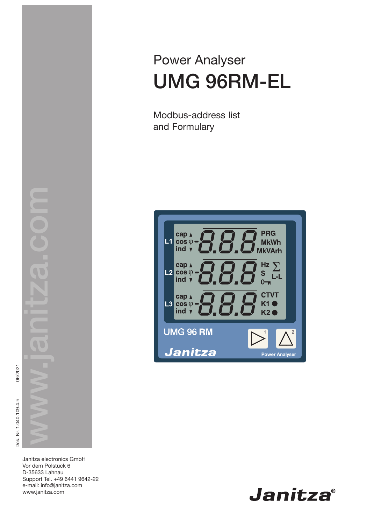Power Analyser UMG 96RM-EL

Modbus-address list and Formulary



06/2021 Dok. Nr. 1.040.109.4.h Dok. Nr. 1.040.109.4.h

> Janitza electronics GmbH Vor dem Polstück 6 D-35633 Lahnau Support Tel. +49 6441 9642-22 e-mail: info@janitza.com www.janitza.com

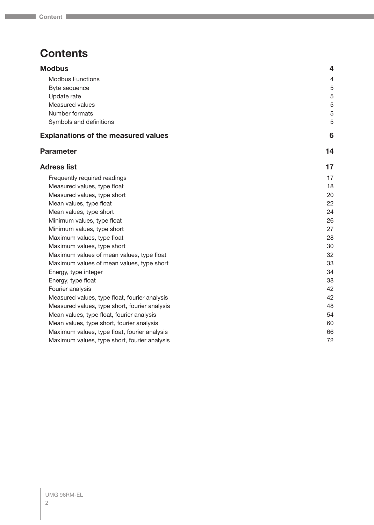# **Contents**

| $\overline{\mathbf{4}}$ |
|-------------------------|
| $\overline{4}$          |
| 5                       |
| 5                       |
| 5                       |
| 5                       |
| 5                       |
| 6                       |
| 14                      |
| 17                      |
| 17                      |
| 18                      |
| 20                      |
| 22                      |
| 24                      |
| 26                      |
| 27                      |
| 28                      |
| 30                      |
| 32                      |
| 33                      |
| 34                      |
| 38                      |
| 42                      |
| 42                      |
| 48                      |
| 54                      |
| 60                      |
| 66                      |
| 72                      |
|                         |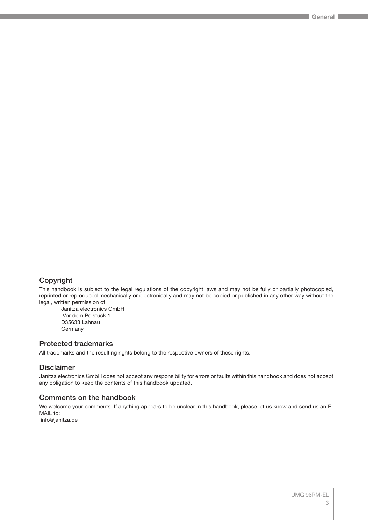## Copyright

This handbook is subject to the legal regulations of the copyright laws and may not be fully or partially photocopied, reprinted or reproduced mechanically or electronically and may not be copied or published in any other way without the legal, written permission of

Janitza electronics GmbH Vor dem Polstück 1 D35633 Lahnau Germany

## Protected trademarks

All trademarks and the resulting rights belong to the respective owners of these rights.

## Disclaimer

Janitza electronics GmbH does not accept any responsibility for errors or faults within this handbook and does not accept any obligation to keep the contents of this handbook updated.

#### Comments on the handbook

We welcome your comments. If anything appears to be unclear in this handbook, please let us know and send us an E-MAIL to:

info@janitza.de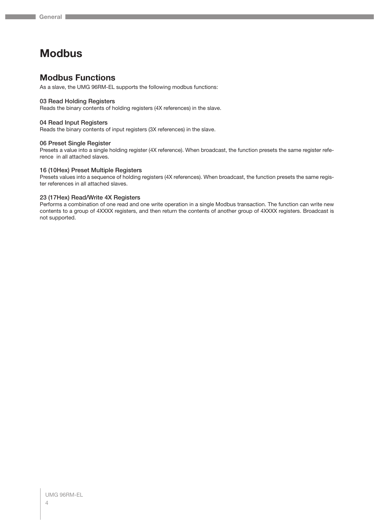# <span id="page-3-0"></span>**Modbus**

## **Modbus Functions**

As a slave, the UMG 96RM-EL supports the following modbus functions:

#### 03 Read Holding Registers

Reads the binary contents of holding registers (4X references) in the slave.

#### 04 Read Input Registers

Reads the binary contents of input registers (3X references) in the slave.

#### 06 Preset Single Register

Presets a value into a single holding register (4X reference). When broadcast, the function presets the same register reference in all attached slaves.

#### 16 (10Hex) Preset Multiple Registers

Presets values into a sequence of holding registers (4X references). When broadcast, the function presets the same register references in all attached slaves.

#### 23 (17Hex) Read/Write 4X Registers

Performs a combination of one read and one write operation in a single Modbus transaction. The function can write new contents to a group of 4XXXX registers, and then return the contents of another group of 4XXXX registers. Broadcast is not supported.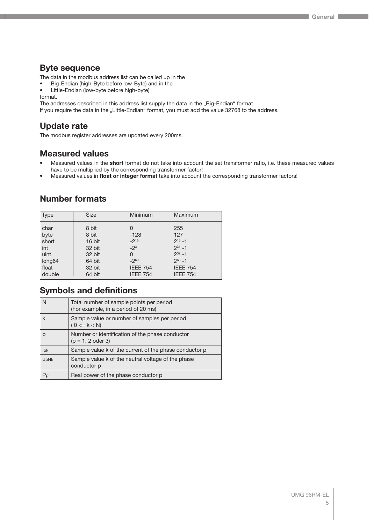## <span id="page-4-0"></span>**Byte sequence**

The data in the modbus address list can be called up in the

- Big-Endian (high-Byte before low-Byte) and in the
- Little-Endian (low-byte before high-byte)

format.

The addresses described in this address list supply the data in the "Big-Endian" format.

If you require the data in the "Little-Endian" format, you must add the value 32768 to the address.

## **Update rate**

The modbus register addresses are updated every 200ms.

## **Measured values**

- Measured values in the **short** format do not take into account the set transformer ratio, i.e. these measured values have to be multiplied by the corresponding transformer factor!
- Measured values in **float or integer format** take into account the corresponding transformer factors!

## **Number formats**

| <b>Type</b> | <b>Size</b> | Minimum         | Maximum         |
|-------------|-------------|-----------------|-----------------|
| char        | 8 bit       | 0               | 255             |
| byte        | 8 bit       | $-128$          | 127             |
| short       | 16 bit      | $-2^{15}$       | $2^{15} - 1$    |
| int         | 32 bit      | $-2^{31}$       | $2^{31} - 1$    |
| uint        | 32 bit      | 0               | $2^{32} - 1$    |
| long64      | 64 bit      | $-2^{63}$       | $2^{63} - 1$    |
| float       | 32 bit      | <b>IEEE 754</b> | <b>IEEE 754</b> |
| double      | 64 bit      | <b>IEEE 754</b> | <b>IEEE 754</b> |

## **Symbols and definitions**

| N           | Total number of sample points per period<br>(For example, in a period of 20 ms) |
|-------------|---------------------------------------------------------------------------------|
| k           | Sample value or number of samples per period<br>$(0 \le k \le N)$               |
| р           | Number or identification of the phase conductor<br>$(p = 1, 2$ oder 3)          |
| ipk         | Sample value k of the current of the phase conductor p                          |
| <b>UpNk</b> | Sample value k of the neutral voltage of the phase<br>conductor p               |
| $P_{p}$     | Real power of the phase conductor p                                             |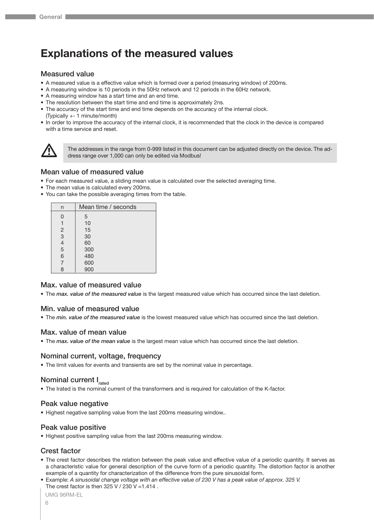# <span id="page-5-0"></span>**Explanations of the measured values**

#### Measured value

- A measured value is a effective value which is formed over a period (measuring window) of 200ms.
- A measuring window is 10 periods in the 50Hz network and 12 periods in the 60Hz network.
- A measuring window has a start time and an end time.
- The resolution between the start time and end time is approximately 2ns.
- The accuracy of the start time and end time depends on the accuracy of the internal clock. (Typically +- 1 minute/month)
- In order to improve the accuracy of the internal clock, it is recommended that the clock in the device is compared with a time service and reset.



The addresses in the range from 0-999 listed in this document can be adjusted directly on the device. The address range over 1,000 can only be edited via Modbus!

#### Mean value of measured value

- For each measured value, a sliding mean value is calculated over the selected averaging time.
- The mean value is calculated every 200ms.
- You can take the possible averaging times from the table.

| n              | Mean time / seconds |
|----------------|---------------------|
| 0              | 5                   |
| 1              | 10                  |
| $\overline{2}$ | 15                  |
| 3              | 30                  |
| $\overline{4}$ | 60                  |
| 5              | 300                 |
| 6              | 480                 |
| $\overline{7}$ | 600                 |
| 8              | 900                 |

#### Max. value of measured value

• The *max. value of the measured value* is the largest measured value which has occurred since the last deletion.

#### Min. value of measured value

• The *min. value of the measured value* is the lowest measured value which has occurred since the last deletion.

#### Max. value of mean value

• The *max. value of the mean value* is the largest mean value which has occurred since the last deletion.

#### Nominal current, voltage, frequency

• The limit values for events and transients are set by the nominal value in percentage.

## Nominal current I<sub>rated</sub>

• The Irated is the nominal current of the transformers and is required for calculation of the K-factor.

#### Peak value negative

• Highest negative sampling value from the last 200ms measuring window..

#### Peak value positive

• Highest positive sampling value from the last 200ms measuring window.

#### Crest factor

- The crest factor describes the relation between the peak value and effective value of a periodic quantity. It serves as a characteristic value for general description of the curve form of a periodic quantity. The distortion factor is another example of a quantity for characterization of the difference from the pure sinusoidal form.
- Example: *A sinusoidal change voltage with an effective value of 230 V has a peak value of approx. 325 V.* The crest factor is then  $325$  V /  $230$  V = 1.414.

```
UMG 96RM-EL
```
6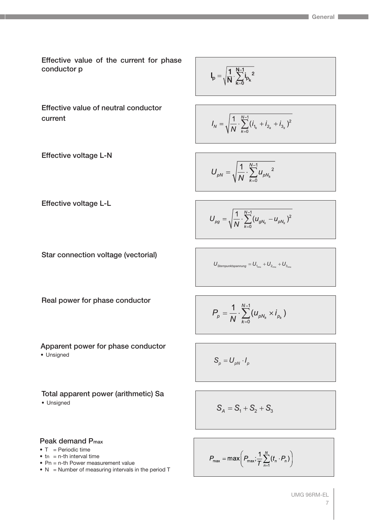Effective value of the current for phase conductor p

$$
I_p=\sqrt{\frac{1}{N}\cdot\sum_{k=0}^{N-1}i_{p_k}^{\phantom{p_k}}^{\phantom{p_k}}}
$$

Effective value of neutral conductor current

Effective voltage L-N

$$
I_N = \sqrt{\frac{1}{N} \cdot \sum_{k=0}^{N-1} (i_{1_k} + i_{2_k} + i_{3_k})^2}
$$

$$
U_{pN} = \sqrt{\frac{1}{N} \cdot \sum_{k=0}^{N-1} u_{pN_k}^2}
$$

Effective voltage L-L

$$
U_{\rho g} = \sqrt{\frac{1}{N} \cdot \sum_{k=0}^{N-1} (u_{gN_k} - u_{\rho N_k})^2}
$$

Star connection voltage (vectorial)

$$
U_{\text{Sternpunktspannung}} = U_{_{1_{\text{rms}}}} + U_{_{2_{\text{rms}}}} + U_{_{3_{\text{rms}}}}
$$

Real power for phase conductor

$$
P_{p} = \frac{1}{N} \cdot \sum_{k=0}^{N-1} (u_{pN_{k}} \times i_{p_{k}})
$$

Apparent power for phase conductor • Unsigned

$$
S_p = U_{pN} \cdot I_p
$$

Total apparent power (arithmetic) Sa

• Unsigned

$$
S_A = S_1 + S_2 + S_3
$$

#### Peak demand Pmax

- $\bullet$  T = Periodic time
- $\bullet$  tn = n-th interval time
- Pn = n-th Power measurement value
- $N =$  Number of measuring intervals in the period T

$$
P_{\max} = \max\left(P_{\max}; \frac{1}{T} \sum_{n=1}^{N} (t_n \cdot P_n)\right)
$$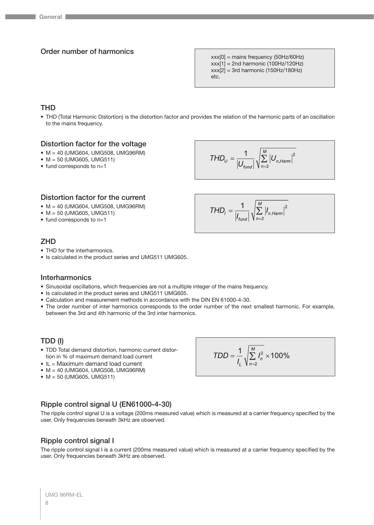## Order number of harmonics

xxx[0] = mains frequency (50Hz/60Hz)  $xxx[1] = 2nd harmonic (100Hz/120Hz)$  $xxx[2] = 3rd$  harmonic (150Hz/180Hz) etc.

## **THD**

• THD (Total Harmonic Distortion) is the distortion factor and provides the relation of the harmonic parts of an oscillation to the mains frequency.

## Distortion factor for the voltage

- M = 40 (UMG604, UMG508, UMG96RM)
- $M = 50$  (UMG605, UMG511)
- fund corresponds to n=1

$$
THD_{U} = \frac{1}{\left|U_{\text{fund}}\right|} \sqrt{\sum_{n=2}^{M} \left|U_{n\text{.Ham}}\right|^{2}}
$$

 $\mathit{THD}_1 = \frac{1}{\left| I_{\mathit{fund}} \right|} \sqrt{\sum_{n=2}^{M} \left| I_{n.\mathit{Harm}} \right|^2}$ 

#### Distortion factor for the current

- M = 40 (UMG604, UMG508, UMG96RM)
- M = 50 (UMG605, UMG511)
- fund corresponds to n=1

## **ZHD**

- THD for the interharmonics.
- Is calculated in the product series and UMG511 UMG605.

#### **Interharmonics**

- Sinusoidal oscillations, which frequencies are not a multiple integer of the mains frequency.
- Is calculated in the product series and UMG511 UMG605.
- Calculation and measurement methods in accordance with the DIN EN 61000-4-30.
- The order number of inter harmonics corresponds to the order number of the next smallest harmonic. For example, between the 3rd and 4th harmonic of the 3rd inter harmonics.

#### TDD (I)

- TDD Total demand distortion, harmonic current distortion in % of maximum demand load current
- IL = Maximum demand load current
- M = 40 (UMG604, UMG508, UMG96RM)
- M = 50 (UMG605, UMG511)

Ripple control signal U (EN61000-4-30)

The ripple control signal U is a voltage (200ms measured value) which is measured at a carrier frequency specified by the user. Only frequencies beneath 3kHz are observed.

#### Ripple control signal I

The ripple control signal I is a current (200ms measured value) which is measured at a carrier frequency specified by the user. Only frequencies beneath 3kHz are observed.

$$
TDD = \frac{1}{I_L} \sqrt{\sum_{n=2}^{M} I_n^2} \times 100\%
$$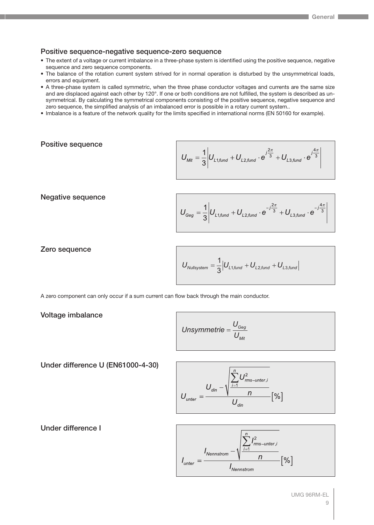## Positive sequence-negative sequence-zero sequence

- The extent of a voltage or current imbalance in a three-phase system is identified using the positive sequence, negative sequence and zero sequence components.
- The balance of the rotation current system strived for in normal operation is disturbed by the unsymmetrical loads, errors and equipment.
- A three-phase system is called symmetric, when the three phase conductor voltages and currents are the same size and are displaced against each other by 120°. If one or both conditions are not fulfilled, the system is described as unsymmetrical. By calculating the symmetrical components consisting of the positive sequence, negative sequence and zero sequence, the simplified analysis of an imbalanced error is possible in a rotary current system..
- Imbalance is a feature of the network quality for the limits specified in international norms (EN 50160 for example).

## Positive sequence

$$
U_{\textit{Mit}} = \frac{1}{3} \left| U_{L1, \textit{fund}} + U_{L2, \textit{fund}} \cdot e^{j\frac{2\pi}{3}} + U_{L3, \textit{fund}} \cdot e^{j\frac{4\pi}{3}} \right|
$$

Negative sequence

$$
U_{Geg} = \frac{1}{3} \left| U_{L1, \text{fund}} + U_{L2, \text{fund}} \cdot e^{-j\frac{2\pi}{3}} + U_{L3, \text{fund}} \cdot e^{-j\frac{4\pi}{3}} \right|
$$

Zero sequence

$$
U_{\text{Nullsystem}} = \frac{1}{3} \Big| U_{\text{L1,fund}} + U_{\text{L2,fund}} + U_{\text{L3,fund}} \Big|
$$

A zero component can only occur if a sum current can flow back through the main conductor.

Voltage imbalance

Unsymmetric = 
$$
\frac{U_{\text{Geg}}}{U_{\text{Mit}}}
$$

Under difference U (EN61000-4-30)

$$
U_{\text{unter}} = \frac{U_{\text{din}} - \sqrt{\sum_{i=1}^{n} U_{\text{rms-unter},i}^{2}}}{U_{\text{din}}}\left[\% \right]
$$

Under difference I

$$
I_{\text{unter}} = \frac{I_{\text{Nennstrom}} - \sqrt{\sum_{i=1}^{n} I_{\text{rms-unter},i}^{2}}}{I_{\text{Nennstrom}}} [%]
$$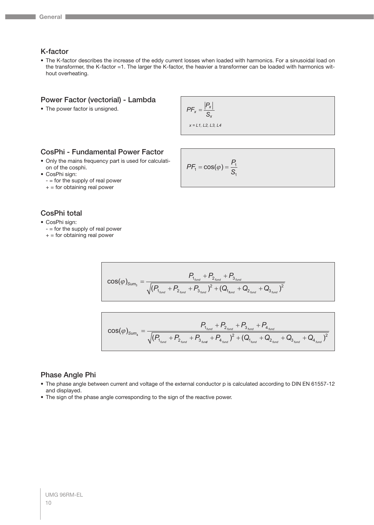## K-factor

• The K-factor describes the increase of the eddy current losses when loaded with harmonics. For a sinusoidal load on the transformer, the K-factor =1. The larger the K-factor, the heavier a transformer can be loaded with harmonics without overheating.

#### Power Factor (vectorial) - Lambda

• The power factor is unsigned.

$$
PF_x = \frac{|P_x|}{S_x}
$$

*x = L1, L2, L3, L4*

## CosPhi - Fundamental Power Factor

- Only the mains frequency part is used for calculation of the cosphi.
- CosPhi sign:
	- = for the supply of real power
	- $+$  = for obtaining real power

## CosPhi total

- CosPhi sign:
	- $-$  = for the supply of real power
	- $+$  = for obtaining real power

$$
PF_1 = \cos(\varphi) = \frac{P_1}{S_1}
$$

$$
\cos(\varphi)_{\text{Sum}_3} = \frac{P_{1_{\text{fund}}} + P_{2_{\text{fund}}} + P_{3_{\text{fund}}}}{\sqrt{(P_{1_{\text{fund}}} + P_{2_{\text{fund}}} + P_{3_{\text{fund}}})^2 + (Q_{1_{\text{fund}}} + Q_{2_{\text{fund}}} + Q_{3_{\text{fund}}})^2}}
$$

$$
\cos(\varphi)_{\text{Sum}_4} = \frac{P_{1_{\text{fund}}} + P_{2_{\text{fund}}} + P_{3_{\text{fund}}} + P_{4_{\text{fund}}}}{\sqrt{(P_{1_{\text{fund}}} + P_{2_{\text{fund}}} + P_{3_{\text{fund}}} + P_{4_{\text{fund}}})^2 + (Q_{1_{\text{fund}}} + Q_{2_{\text{fund}}} + Q_{3_{\text{fund}}} + Q_{4_{\text{fund}}})^2}}
$$

### Phase Angle Phi

- The phase angle between current and voltage of the external conductor p is calculated according to DIN EN 61557-12 and displayed.
- The sign of the phase angle corresponding to the sign of the reactive power.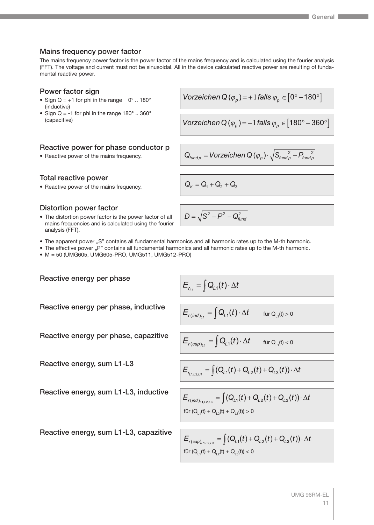### Mains frequency power factor

The mains frequency power factor is the power factor of the mains frequency and is calculated using the fourier analysis (FFT). The voltage and current must not be sinusoidal. All in the device calculated reactive power are resulting of fundamental reactive power.

## Power factor sign

- Sign  $Q = +1$  for phi in the range  $0^\circ$  .. 180° (inductive)
- Sign Q = -1 for phi in the range  $180^\circ$  .. 360° (capacitive)

## Reactive power for phase conductor p

• Reactive power of the mains frequency.

Total reactive power

• Reactive power of the mains frequency.  $Q_V = Q_1 + Q_2 + Q_3$ 

## Distortion power factor

• The distortion power factor is the power factor of all mains frequencies and is calculated using the fourier analysis (FFT).

Vorzeichen Q
$$
(\varphi_p)
$$
 = + 1 falls  $\varphi_p \in [0^{\circ} - 180^{\circ}]$ 

Vorzeichen Q 
$$
(\varphi_p)
$$
 = -1 falls  $\varphi_p \in [180^\circ - 360^\circ]$ 

$$
\textsf{Q}_{\textit{fund}\,\rho} = \textit{Vorzeichen} \, \textsf{Q}\, (\varphi_{_{\cal P}}) \cdot \sqrt{S_{\textit{fund}\,\rho}^{\quad 2} - P_{\textit{fund}\,\rho}^{\quad 2}}
$$

 $D = \sqrt{\mathsf{S}^2-\mathsf{P}^2-\mathsf{Q}_{\textit{funa}}^2}$ 

- The apparent power "S" contains all fundamental harmonics and all harmonic rates up to the M-th harmonic.
- The effective power "P" contains all fundamental harmonics and all harmonic rates up to the M-th harmonic.
- M = 50 (UMG605, UMG605-PRO, UMG511, UMG512-PRO)

Reactive energy per phase, inductive

$$
E_{r_{L1}} = \int Q_{L1}(t) \cdot \Delta t
$$

$$
E_{r(\text{ind})_{L_1}} = \int Q_{L_1}(t) \cdot \Delta t \quad \text{für } Q_{L_1}(t)
$$

 $> 0$ 

Reactive energy per phase, capacitive 
$$
E_{r(cao)_x} = \left[Q_{L1}(t)\right]
$$

Reactive energy, sum L1-L3

Reactive energy per phase

Reactive energy, sum L1-L3, inductive

$$
E_{r(cap)_{L1}} = \int Q_{L1}(t) \cdot \Delta t \quad \text{für } Q_{L1}(t) < 0
$$

$$
E_{r_{L1,L2,L3}} = \int (Q_{L1}(t) + Q_{L2}(t) + Q_{L3}(t)) \cdot \Delta t
$$

 $\Lambda f$ 

$$
E_{r(ind)_{L1,L2,L3}} = \int (Q_{L1}(t) + Q_{L2}(t) + Q_{L3}(t)) \cdot \Delta t
$$
  
für  $(Q_{L1}(t) + Q_{L2}(t) + Q_{L3}(t)) > 0$ 

 $E_{r(cap)_{l+1,2,2,3}} = \int (Q_{L1}(t) + Q_{L2}(t) + Q_{L3}(t)) \cdot \Delta t$ für  $(Q_{L1}(t) + Q_{L2}(t) + Q_{L3}(t)) < 0$ 

Reactive energy, sum L1-L3, capazitive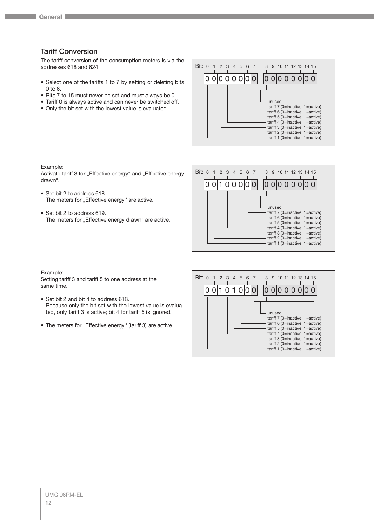## Tariff Conversion

The tariff conversion of the consumption meters is via the addresses 618 and 624.

- Select one of the tariffs 1 to 7 by setting or deleting bits 0 to 6.
- Bits 7 to 15 must never be set and must always be 0.
- Tariff 0 is always active and can never be switched off.
- Only the bit set with the lowest value is evaluated.



Example:

Activate tariff 3 for "Effective energy" and "Effective energy drawn".

- Set bit 2 to address 618. The meters for "Effective energy" are active.
- Set bit 2 to address 619. The meters for "Effective energy drawn" are active.



#### Example:

Setting tariff 3 and tariff 5 to one address at the same time.

- Set bit 2 and bit 4 to address 618. Because only the bit set with the lowest value is evaluated, only tariff 3 is active; bit 4 for tariff 5 is ignored.
- The meters for "Effective energy" (tariff 3) are active.

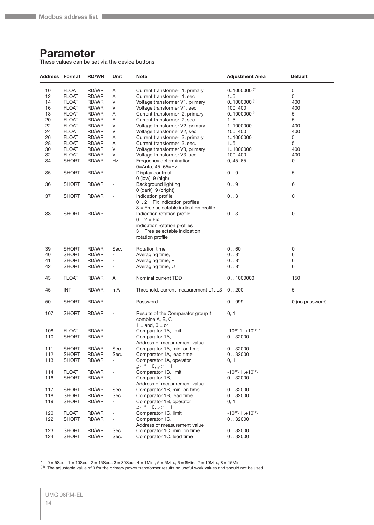## <span id="page-13-0"></span>**Parameter**

These values can be set via the device buttons

| <b>Address Format</b> |              | <b>RD/WR</b> | Unit                                       | <b>Note</b>                                                             | <b>Adjustment Area</b>               | <b>Default</b>  |
|-----------------------|--------------|--------------|--------------------------------------------|-------------------------------------------------------------------------|--------------------------------------|-----------------|
| 10                    | <b>FLOAT</b> | RD/WR        | Α                                          | Current transformer I1, primary                                         | $01000000$ <sup>(*1)</sup>           | $\mathbf 5$     |
| 12                    | <b>FLOAT</b> | RD/WR        | Α                                          | Current transformer I1, sec                                             | 15                                   | 5               |
| 14                    | <b>FLOAT</b> | RD/WR        | V                                          | Voltage transformer V1, primary                                         | $01000000$ <sup>(*1)</sup>           | 400             |
| 16                    | <b>FLOAT</b> | RD/WR        | V                                          | Voltage transformer V1, sec.                                            | 100, 400                             | 400             |
| 18                    | <b>FLOAT</b> | RD/WR        | Α                                          | Current transformer I2, primary                                         | $01000000$ <sup>(*1)</sup>           | 5               |
| 20                    | <b>FLOAT</b> | RD/WR        | Α                                          | Current transformer I2, sec.                                            | 15                                   | 5               |
| 22                    | <b>FLOAT</b> | RD/WR        | V                                          | Voltage transformer V2, primary                                         | 11000000                             | 400             |
| 24                    | <b>FLOAT</b> | RD/WR        | V                                          | Voltage transformer V2, sec.                                            | 100, 400                             | 400             |
| 26                    | <b>FLOAT</b> | RD/WR        | Α                                          | Current transformer I3, primary                                         | 11000000                             | 5               |
| 28                    | <b>FLOAT</b> | RD/WR        | Α                                          | Current transformer I3, sec.                                            | 15                                   | 5               |
| 30                    | <b>FLOAT</b> | RD/WR        | V                                          | Voltage transformer V3, primary                                         | 11000000                             | 400             |
| 32                    | <b>FLOAT</b> | RD/WR        | V                                          | Voltage transformer V3, sec.                                            | 100, 400                             | 400             |
| 34                    | <b>SHORT</b> | RD/WR        | Hz                                         | Frequency determination                                                 | 0, 45.65                             | 0               |
|                       |              |              |                                            | 0=Auto, 4565=Hz                                                         |                                      |                 |
| 35                    | <b>SHORT</b> | RD/WR        | $\overline{\phantom{a}}$                   | Display contrast                                                        | 0.9                                  | 5               |
| 36                    | <b>SHORT</b> | RD/WR        | $\overline{\phantom{a}}$                   | 0 (low), 9 (high)<br>Background lighting                                | 0.9                                  | 6               |
|                       |              |              |                                            | 0 (dark), 9 (bright)                                                    |                                      |                 |
| 37                    | <b>SHORT</b> | RD/WR        | $\overline{\phantom{a}}$                   | Indication profile<br>$0$ $2 = Fix$ indication profiles                 | 03                                   | 0               |
|                       |              |              |                                            | $3$ = Free selectable indication profile                                |                                      |                 |
| 38                    | <b>SHORT</b> | RD/WR        | $\overline{a}$                             | Indication rotation profile<br>$0.2 = Fix$                              | 03                                   | 0               |
|                       |              |              |                                            | indication rotation profiles                                            |                                      |                 |
|                       |              |              |                                            | $3$ = Free selectable indication                                        |                                      |                 |
|                       |              |              |                                            | rotation profile                                                        |                                      |                 |
| 39                    | <b>SHORT</b> | RD/WR        | Sec.                                       | Rotation time                                                           | 0.60                                 | 0               |
| 40                    | <b>SHORT</b> | RD/WR        | $\overline{\phantom{a}}$                   | Averaging time, I                                                       | $08*$                                | 6               |
| 41                    | <b>SHORT</b> | RD/WR        | $\overline{\phantom{a}}$                   | Averaging time, P                                                       | $08^{*}$                             | 6               |
| 42                    | <b>SHORT</b> | RD/WR        | $\overline{\phantom{a}}$                   | Averaging time, U                                                       | $08^{*}$                             | 6               |
| 43                    | <b>FLOAT</b> | RD/WR        | Α                                          | Nominal current TDD                                                     | 0.1000000                            | 150             |
| 45                    | <b>INT</b>   | RD/WR        | mA                                         | Threshold, current measurement L1L3 0200                                |                                      | 5               |
| 50                    | <b>SHORT</b> | RD/WR        | $\overline{\phantom{a}}$                   | Password                                                                | 0.999                                | 0 (no password) |
| 107                   | <b>SHORT</b> | RD/WR        | $\blacksquare$                             | Results of the Comparator group 1                                       | 0, 1                                 |                 |
|                       |              |              |                                            | combine A, B, C<br>$1 =$ and, $0 =$ or                                  |                                      |                 |
| 108                   | <b>FLOAT</b> | RD/WR        | $\overline{\phantom{a}}$                   | Comparator 1A, limit                                                    | $-10^{12} - 1$ + 10 <sup>12</sup> -1 |                 |
| 110                   | <b>SHORT</b> | RD/WR        |                                            | Comparator 1A,                                                          | 0.32000                              |                 |
|                       |              |              |                                            | Address of measurement value                                            |                                      |                 |
| 111                   | <b>SHORT</b> | RD/WR        | Sec.                                       | Comparator 1A, min. on time                                             | 0.32000                              |                 |
| 112                   | <b>SHORT</b> | RD/WR        | Sec.                                       | Comparator 1A, lead time                                                | 0.32000                              |                 |
| 113                   | <b>SHORT</b> | RD/WR        | $\overline{\phantom{a}}$                   | Comparator 1A, operator                                                 | 0, 1                                 |                 |
|                       |              |              |                                            | $_{11}$ >=" = 0, $_{11}$ <" = 1                                         |                                      |                 |
| 114                   | <b>FLOAT</b> | RD/WR        | $\blacksquare$                             | Comparator 1B, limit                                                    | $-10^{12} - 1$ +10 <sup>12</sup> -1  |                 |
| 116                   | <b>SHORT</b> | RD/WR        |                                            | Comparator 1B,                                                          | 0.32000                              |                 |
|                       |              |              |                                            | Address of measurement value                                            |                                      |                 |
| 117                   | <b>SHORT</b> | RD/WR        | Sec.                                       | Comparator 1B, min. on time                                             | 0.32000                              |                 |
| 118                   | <b>SHORT</b> | RD/WR        | Sec.                                       | Comparator 1B, lead time                                                | 0.32000                              |                 |
| 119                   | <b>SHORT</b> | RD/WR        | $\blacksquare$                             | Comparator 1B, operator<br>$_{1,2}$ $>=$ " $= 0$ , $_{1,2}$ $<$ " $= 1$ | 0, 1                                 |                 |
| 120                   | <b>FLOAT</b> | RD/WR        |                                            | Comparator 1C, limit                                                    | $-10^{12} - 1$ +10 <sup>12</sup> -1  |                 |
| 122                   | <b>SHORT</b> | RD/WR        | $\overline{\phantom{a}}$<br>$\blacksquare$ | Comparator 1C,                                                          | 0.32000                              |                 |
|                       |              |              |                                            | Address of measurement value                                            |                                      |                 |
| 123                   | <b>SHORT</b> | RD/WR        | Sec.                                       | Comparator 1C, min. on time                                             | 0.32000                              |                 |
| 124                   | <b>SHORT</b> | RD/WR        | Sec.                                       | Comparator 1C, lead time                                                | 0.32000                              |                 |
|                       |              |              |                                            |                                                                         |                                      |                 |

\* 0 = 5Sec.; 1 = 10Sec.; 2 = 15Sec.; 3 = 30Sec.; 4 = 1Min.; 5 = 5Min.; 6 = 8Min.; 7 = 10Min.; 8 = 15Min.

 $(1)$  The adjustable value of 0 for the primary power transformer results no useful work values and should not be used.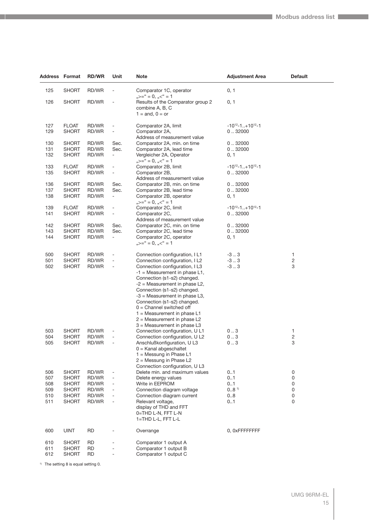| Address Format |                              | <b>RD/WR</b>   | Unit                         | <b>Note</b>                                                                 | <b>Adjustment Area</b>              | <b>Default</b> |
|----------------|------------------------------|----------------|------------------------------|-----------------------------------------------------------------------------|-------------------------------------|----------------|
| 125            | <b>SHORT</b>                 | RD/WR          |                              | Comparator 1C, operator<br>$_{11}$ $>=$ " = 0, $_{11}$ $<$ " = 1            | 0, 1                                |                |
| 126            | <b>SHORT</b>                 | RD/WR          |                              | Results of the Comparator group 2<br>combine A, B, C<br>$1 =$ and, $0 =$ or | 0, 1                                |                |
| 127            | <b>FLOAT</b>                 | RD/WR          |                              | Comparator 2A, limit                                                        | $-10^{12} - 1$ +10 <sup>12</sup> -1 |                |
| 129            | <b>SHORT</b>                 | RD/WR          | $\overline{\phantom{a}}$     | Comparator 2A,<br>Address of measurement value                              | 032000                              |                |
| 130            | <b>SHORT</b>                 | RD/WR          | Sec.                         | Comparator 2A, min. on time                                                 | 0.32000                             |                |
| 131            | <b>SHORT</b>                 | RD/WR          | Sec.                         | Comparator 2A, lead time                                                    | 0.32000                             |                |
| 132            | <b>SHORT</b>                 | RD/WR          | $\blacksquare$               | Vergleicher 2A, Operator<br>$_{1,2}$ $>=$ " = 0, $_{1,2}$ $<$ " = 1         | 0, 1                                |                |
| 133            | <b>FLOAT</b>                 | RD/WR          |                              | Comparator 2B, limit                                                        | $-10^{12} - 1$ +10 <sup>12</sup> -1 |                |
| 135            | <b>SHORT</b>                 | RD/WR          |                              | Comparator 2B,                                                              | 0.032000                            |                |
|                |                              |                |                              | Address of measurement value                                                |                                     |                |
| 136            | <b>SHORT</b>                 | RD/WR          | Sec.                         | Comparator 2B, min. on time                                                 | 0.32000                             |                |
| 137            | <b>SHORT</b>                 | RD/WR          | Sec.                         | Comparator 2B, lead time                                                    | 0.32000                             |                |
| 138            | <b>SHORT</b>                 | RD/WR          | ÷.                           | Comparator 2B, operator<br>$_{1,2}$ >=" = 0, $_{1,2}$ <" = 1                | 0, 1                                |                |
| 139            | <b>FLOAT</b>                 | RD/WR          | $\qquad \qquad \blacksquare$ | Comparator 2C, limit                                                        | $-10^{12} - 1$ +10 <sup>12</sup> -1 |                |
| 141            | <b>SHORT</b>                 | RD/WR          | $\overline{\phantom{a}}$     | Comparator 2C,                                                              | 0.92000                             |                |
|                |                              |                |                              | Address of measurement value                                                |                                     |                |
| 142<br>143     | <b>SHORT</b><br><b>SHORT</b> | RD/WR<br>RD/WR | Sec.<br>Sec.                 | Comparator 2C, min. on time<br>Comparator 2C, lead time                     | 0.32000<br>0.32000                  |                |
| 144            | <b>SHORT</b>                 | RD/WR          | $\overline{\phantom{a}}$     | Comparator 2C, operator                                                     | 0, 1                                |                |
|                |                              |                |                              | $_{1,2}$ $\ge$ = " = 0, $_{1,2}$ $\lt$ " = 1                                |                                     |                |
| 500            | <b>SHORT</b>                 | RD/WR          | $\overline{a}$               | Connection configuration, IL1                                               | -3.3                                | $\mathbf{1}$   |
| 501            | <b>SHORT</b>                 | RD/WR          | $\overline{a}$               | Connection configuration, I L2                                              | -3.3                                | $\sqrt{2}$     |
| 502            | <b>SHORT</b>                 | RD/WR          | $\overline{a}$               | Connection configuration, I L3                                              | $-3.03$                             | 3              |
|                |                              |                |                              | $-1$ = Measurement in phase L1,                                             |                                     |                |
|                |                              |                |                              | Connection (s1-s2) changed.                                                 |                                     |                |
|                |                              |                |                              | $-2$ = Measurement in phase L2,<br>Connection (s1-s2) changed.              |                                     |                |
|                |                              |                |                              | $-3$ = Measurement in phase L3,                                             |                                     |                |
|                |                              |                |                              | Connection (s1-s2) changed.                                                 |                                     |                |
|                |                              |                |                              | $0 =$ Channel switched off                                                  |                                     |                |
|                |                              |                |                              | $1 =$ Measurement in phase L1                                               |                                     |                |
|                |                              |                |                              | $2$ = Measurement in phase L2                                               |                                     |                |
| 503            | <b>SHORT</b>                 | RD/WR          |                              | $3$ = Measurement in phase L3<br>Connection configuration, U L1             | 03                                  | $\mathbf{1}$   |
| 504            | <b>SHORT</b>                 | RD/WR          |                              | Connection configuration, U L2                                              | 03                                  | $\sqrt{2}$     |
| 505            | SHORT                        | RD/WR          |                              | Anschlußkonfiguration, U L3                                                 | 03                                  | 3              |
|                |                              |                |                              | $0 =$ Kanal abgeschaltet                                                    |                                     |                |
|                |                              |                |                              | $1 =$ Messung in Phase L1                                                   |                                     |                |
|                |                              |                |                              | $2 =$ Messung in Phase L2                                                   |                                     |                |
| 506            | <b>SHORT</b>                 | RD/WR          |                              | Connection configuration, U L3<br>Delete min. and maximum values            | 01                                  | 0              |
| 507            | <b>SHORT</b>                 | RD/WR          | $\overline{\phantom{a}}$     | Delete energy values                                                        | 01                                  | 0              |
| 508            | <b>SHORT</b>                 | RD/WR          | $\qquad \qquad \blacksquare$ | Write in EEPROM                                                             | 01                                  | 0              |
| 509            | <b>SHORT</b>                 | RD/WR          |                              | Connection diagram voltage                                                  | 0.8 <sup>1</sup>                    | 0              |
| 510            | <b>SHORT</b>                 | RD/WR          |                              | Connection diagram current                                                  | 08                                  | 0              |
| 511            | <b>SHORT</b>                 | RD/WR          | ٠                            | Relevant voltage,                                                           | 01                                  | 0              |
|                |                              |                |                              | display of THD and FFT<br>0=THD L-N, FFT L-N                                |                                     |                |
|                |                              |                |                              | 1=THD L-L, FFT L-L                                                          |                                     |                |
| 600            | <b>UINT</b>                  | <b>RD</b>      |                              | Overrange                                                                   | 0, OxFFFFFFFF                       |                |
|                |                              |                |                              |                                                                             |                                     |                |
| 610            | <b>SHORT</b>                 | <b>RD</b>      |                              | Comparator 1 output A                                                       |                                     |                |
| 611            | <b>SHORT</b>                 | <b>RD</b>      |                              | Comparator 1 output B                                                       |                                     |                |
| 612            | <b>SHORT</b>                 | <b>RD</b>      | $\overline{\phantom{a}}$     | Comparator 1 output C                                                       |                                     |                |

<sup>1)</sup> The setting 8 is equal setting 0.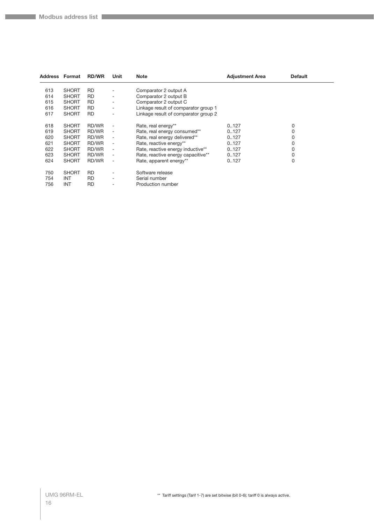| <b>Address Format</b> |              | <b>RD/WR</b> | Unit                         | <b>Note</b>                          | <b>Adjustment Area</b> | <b>Default</b> |  |
|-----------------------|--------------|--------------|------------------------------|--------------------------------------|------------------------|----------------|--|
| 613                   | <b>SHORT</b> | <b>RD</b>    |                              | Comparator 2 output A                |                        |                |  |
| 614                   | <b>SHORT</b> | <b>RD</b>    |                              | Comparator 2 output B                |                        |                |  |
| 615                   | <b>SHORT</b> | <b>RD</b>    |                              | Comparator 2 output C                |                        |                |  |
| 616                   | <b>SHORT</b> | <b>RD</b>    |                              | Linkage result of comparator group 1 |                        |                |  |
|                       |              |              | ۰                            |                                      |                        |                |  |
| 617                   | <b>SHORT</b> | <b>RD</b>    |                              | Linkage result of comparator group 2 |                        |                |  |
| 618                   | <b>SHORT</b> | RD/WR        |                              | Rate, real energy**                  | 0.127                  | 0              |  |
| 619                   | <b>SHORT</b> | RD/WR        |                              | Rate, real energy consumed**         | 0.127                  | 0              |  |
| 620                   | <b>SHORT</b> | RD/WR        | $\overline{\phantom{a}}$     | Rate, real energy delivered**        | 0.127                  | 0              |  |
| 621                   | <b>SHORT</b> | RD/WR        | $\qquad \qquad \blacksquare$ | Rate, reactive energy**              | 0.127                  | 0              |  |
|                       | <b>SHORT</b> |              |                              |                                      |                        | 0              |  |
| 622                   |              | RD/WR        | $\overline{\phantom{a}}$     | Rate, reactive energy inductive**    | 0.127                  |                |  |
| 623                   | <b>SHORT</b> | RD/WR        | $\overline{\phantom{a}}$     | Rate, reactive energy capacitive**   | 0.127                  | 0              |  |
| 624                   | <b>SHORT</b> | RD/WR        |                              | Rate, apparent energy**              | 0.127                  | 0              |  |
|                       |              |              |                              |                                      |                        |                |  |
| 750                   | <b>SHORT</b> | <b>RD</b>    |                              | Software release                     |                        |                |  |
| 754                   | <b>INT</b>   | <b>RD</b>    |                              | Serial number                        |                        |                |  |
| 756                   | <b>INT</b>   | RD           |                              | Production number                    |                        |                |  |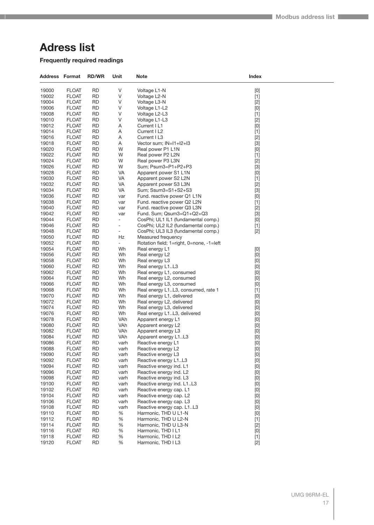# <span id="page-16-0"></span>**Adress list**

**Frequently required readings**

| <b>Address Format</b> |                              | <b>RD/WR</b>           | Unit                         | <b>Note</b>                                            | Index                                                                                                                                                                                                                                                                                                                                                                                                                                                                                                                                                                                                                                                              |  |
|-----------------------|------------------------------|------------------------|------------------------------|--------------------------------------------------------|--------------------------------------------------------------------------------------------------------------------------------------------------------------------------------------------------------------------------------------------------------------------------------------------------------------------------------------------------------------------------------------------------------------------------------------------------------------------------------------------------------------------------------------------------------------------------------------------------------------------------------------------------------------------|--|
| 19000                 | <b>FLOAT</b>                 | <b>RD</b>              | V                            | Voltage L1-N                                           | $[0] % \begin{center} % \includegraphics[width=\linewidth]{imagesSupplemental_3.png} % \end{center} % \caption { % Our method can be used for the use of the image. % Note that the \emph{DefNet}~\cite{bib66} as a function of the \emph{DefNet}~\cite{bib66} as a function of the \emph{DefNet}~\cite{bib66} as a function of the \emph{DefNet}~\cite{bib66} as a function of the \emph{DefNet}~\cite{bib66} as a function of the \emph{DefNet}~\cite{bib66} as a function of the \emph{DefNet}~\cite{bib66} as a function of the \emph{DefNet}~\cite{bib66} as a function of the \emph{DefNet}$                                                                 |  |
| 19002                 | <b>FLOAT</b>                 | <b>RD</b>              | ٧                            | Voltage L2-N                                           | $[1]$                                                                                                                                                                                                                                                                                                                                                                                                                                                                                                                                                                                                                                                              |  |
| 19004                 | <b>FLOAT</b>                 | <b>RD</b>              | ٧                            | Voltage L3-N                                           | $[2]$                                                                                                                                                                                                                                                                                                                                                                                                                                                                                                                                                                                                                                                              |  |
| 19006                 | <b>FLOAT</b>                 | <b>RD</b>              | ٧                            | Voltage L1-L2                                          | [0]                                                                                                                                                                                                                                                                                                                                                                                                                                                                                                                                                                                                                                                                |  |
| 19008                 | <b>FLOAT</b>                 | <b>RD</b>              | ٧                            | Voltage L2-L3                                          | $[1]$                                                                                                                                                                                                                                                                                                                                                                                                                                                                                                                                                                                                                                                              |  |
| 19010                 | <b>FLOAT</b>                 | <b>RD</b>              | ٧                            | Voltage L1-L3                                          | $[2]$                                                                                                                                                                                                                                                                                                                                                                                                                                                                                                                                                                                                                                                              |  |
| 19012                 | <b>FLOAT</b>                 | RD                     | Α                            | Current I L1                                           | [0]                                                                                                                                                                                                                                                                                                                                                                                                                                                                                                                                                                                                                                                                |  |
| 19014                 | <b>FLOAT</b>                 | <b>RD</b>              | Α                            | Current I L2                                           | $[1]$                                                                                                                                                                                                                                                                                                                                                                                                                                                                                                                                                                                                                                                              |  |
| 19016                 | <b>FLOAT</b>                 | <b>RD</b>              | Α                            | Current I L3                                           | $[2]$                                                                                                                                                                                                                                                                                                                                                                                                                                                                                                                                                                                                                                                              |  |
| 19018                 | <b>FLOAT</b>                 | <b>RD</b>              | Α                            | Vector sum; IN=I1+I2+I3                                | $[3]$                                                                                                                                                                                                                                                                                                                                                                                                                                                                                                                                                                                                                                                              |  |
| 19020                 | <b>FLOAT</b>                 | <b>RD</b>              | W                            | Real power P1 L1N                                      | $[0] % \begin{center} % \includegraphics[width=\linewidth]{imagesSupplemental_3.png} % \end{center} % \caption { % Our method is used for the method. % Note that the \emph{exponent} and \emph{exponent} is used for the \emph{exponent} and \emph{exponent} is used for the \emph{exponent} and \emph{exponent} is used for the \emph{exponent} and \emph{exponent} is used for the \emph{exponent} and \emph{exponent} is used for the \emph{exponent} and \emph{exponent} is used for the \emph{exponent} and \emph{exponent} is used for the \emph{exponent} and \emph{exponent} is used for the \emph{exponent} and \emph{exponent} is used for the$         |  |
| 19022                 | <b>FLOAT</b>                 | <b>RD</b>              | W                            | Real power P2 L2N                                      | $[1]$                                                                                                                                                                                                                                                                                                                                                                                                                                                                                                                                                                                                                                                              |  |
| 19024                 | <b>FLOAT</b>                 | <b>RD</b>              | W                            | Real power P3 L3N                                      | $[2]$                                                                                                                                                                                                                                                                                                                                                                                                                                                                                                                                                                                                                                                              |  |
| 19026                 | <b>FLOAT</b>                 | <b>RD</b>              | W                            | Sum; Psum3=P1+P2+P3                                    | $[3]$                                                                                                                                                                                                                                                                                                                                                                                                                                                                                                                                                                                                                                                              |  |
| 19028                 | <b>FLOAT</b>                 | <b>RD</b>              | VA                           | Apparent power S1 L1N                                  | $[0] % \begin{center} % \includegraphics[width=\linewidth]{imagesSupplemental_3.png} % \end{center} % \caption { % Our method is used for the method. % Note that the \emph{exponent} and \emph{exponent} is used for the \emph{exponent} and \emph{exponent} is used for the \emph{exponent} and \emph{exponent} is used for the \emph{exponent} and \emph{exponent} is used for the \emph{exponent} and \emph{exponent} is used for the \emph{exponent} and \emph{exponent} is used for the \emph{exponent} and \emph{exponent} is used for the \emph{exponent} and \emph{exponent} is used for the \emph{exponent} and \emph{exponent} is used for the$         |  |
| 19030                 | <b>FLOAT</b>                 | <b>RD</b>              | VA                           | Apparent power S2 L2N                                  | $[1]$                                                                                                                                                                                                                                                                                                                                                                                                                                                                                                                                                                                                                                                              |  |
| 19032                 | <b>FLOAT</b>                 | RD                     | VA                           | Apparent power S3 L3N                                  | $[2]$                                                                                                                                                                                                                                                                                                                                                                                                                                                                                                                                                                                                                                                              |  |
| 19034                 | <b>FLOAT</b>                 | <b>RD</b>              | VA                           | Sum; Ssum3=S1+S2+S3                                    | $[3]$                                                                                                                                                                                                                                                                                                                                                                                                                                                                                                                                                                                                                                                              |  |
| 19036                 | <b>FLOAT</b>                 | <b>RD</b>              | var                          | Fund. reactive power Q1 L1N                            | [0]                                                                                                                                                                                                                                                                                                                                                                                                                                                                                                                                                                                                                                                                |  |
| 19038                 | <b>FLOAT</b>                 | <b>RD</b>              | var                          | Fund. reactive power Q2 L2N                            | $[1]$                                                                                                                                                                                                                                                                                                                                                                                                                                                                                                                                                                                                                                                              |  |
| 19040                 | <b>FLOAT</b>                 | <b>RD</b>              | var                          | Fund. reactive power Q3 L3N                            | $[2]$                                                                                                                                                                                                                                                                                                                                                                                                                                                                                                                                                                                                                                                              |  |
| 19042                 | <b>FLOAT</b>                 | RD                     | var                          | Fund. Sum; Qsum3=Q1+Q2+Q3                              | $[3]$                                                                                                                                                                                                                                                                                                                                                                                                                                                                                                                                                                                                                                                              |  |
| 19044                 | <b>FLOAT</b>                 | <b>RD</b>              | $\overline{\phantom{m}}$     | CosPhi; UL1 IL1 (fundamental comp.)                    | [0]                                                                                                                                                                                                                                                                                                                                                                                                                                                                                                                                                                                                                                                                |  |
| 19046                 | <b>FLOAT</b>                 | <b>RD</b>              | $\qquad \qquad \blacksquare$ | CosPhi; UL2 IL2 (fundamental comp.)                    | $[1]$                                                                                                                                                                                                                                                                                                                                                                                                                                                                                                                                                                                                                                                              |  |
| 19048                 | <b>FLOAT</b>                 | <b>RD</b>              | ۰                            | CosPhi; UL3 IL3 (fundamental comp.)                    | $[2]$                                                                                                                                                                                                                                                                                                                                                                                                                                                                                                                                                                                                                                                              |  |
| 19050                 | <b>FLOAT</b>                 | <b>RD</b>              | Hz                           | Measured frequency                                     |                                                                                                                                                                                                                                                                                                                                                                                                                                                                                                                                                                                                                                                                    |  |
| 19052                 | <b>FLOAT</b>                 | RD                     | $\blacksquare$               | Rotation field; 1=right, 0=none, -1=left               |                                                                                                                                                                                                                                                                                                                                                                                                                                                                                                                                                                                                                                                                    |  |
| 19054                 | <b>FLOAT</b>                 | <b>RD</b>              | Wh                           | Real energy L1                                         | $[0] % \begin{center} % \includegraphics[width=\linewidth]{imagesSupplemental_3.png} % \end{center} % \caption { % Our method is used for the method. % Note that the \emph{exponent} and \emph{exponent} is used for the \emph{exponent} and \emph{exponent} is used for the \emph{exponent} and \emph{exponent} is used for the \emph{exponent} and \emph{exponent} is used for the \emph{exponent} and \emph{exponent} is used for the \emph{exponent} and \emph{exponent} is used for the \emph{exponent} and \emph{exponent} is used for the \emph{exponent} and \emph{exponent} is used for the \emph{exponent} and \emph{exponent} is used for the$         |  |
| 19056                 | <b>FLOAT</b>                 | <b>RD</b>              | Wh                           | Real energy L2                                         | [0]                                                                                                                                                                                                                                                                                                                                                                                                                                                                                                                                                                                                                                                                |  |
| 19058                 | <b>FLOAT</b>                 | <b>RD</b>              | Wh                           | Real energy L3                                         | $[0] % \begin{center} % \includegraphics[width=\linewidth]{imagesSupplemental_3.png} % \end{center} % \caption { % Our method is used for the method. % Note that the \emph{exponent} and \emph{exponent} is used for the \emph{exponent} and \emph{exponent} is used for the \emph{exponent} and \emph{exponent} is used for the \emph{exponent} and \emph{exponent} is used for the \emph{exponent} and \emph{exponent} is used for the \emph{exponent} and \emph{exponent} is used for the \emph{exponent} and \emph{exponent} is used for the \emph{exponent} and \emph{exponent} is used for the \emph{exponent} and \emph{exponent} is used for the$         |  |
| 19060                 | <b>FLOAT</b>                 | <b>RD</b>              | Wh                           | Real energy L1L3                                       | $[0] % \begin{center} % \includegraphics[width=\linewidth]{imagesSupplemental_3.png} % \end{center} % \caption { % Our method is used for the method. % Note that the \emph{exponent} and \emph{exponent} is used for the \emph{exponent} and \emph{exponent} is used for the \emph{exponent} and \emph{exponent} is used for the \emph{exponent} and \emph{exponent} is used for the \emph{exponent} and \emph{exponent} is used for the \emph{exponent} and \emph{exponent} is used for the \emph{exponent} and \emph{exponent} is used for the \emph{exponent} and \emph{exponent} is used for the \emph{exponent} and \emph{exponent} is used for the$         |  |
| 19062                 | <b>FLOAT</b>                 | RD                     | Wh                           | Real energy L1, consumed                               | [0]                                                                                                                                                                                                                                                                                                                                                                                                                                                                                                                                                                                                                                                                |  |
| 19064                 | <b>FLOAT</b>                 | <b>RD</b>              | Wh                           | Real energy L2, consumed                               | $[0] % \begin{center} % \includegraphics[width=\linewidth]{imagesSupplemental_3.png} % \end{center} % \caption { % Our method is used for the method. % Note that the \emph{exponent} and \emph{exponent} is used for the \emph{exponent} and \emph{exponent} is used for the \emph{exponent} and \emph{exponent} is used for the \emph{exponent} and \emph{exponent} is used for the \emph{exponent} and \emph{exponent} is used for the \emph{exponent} and \emph{exponent} is used for the \emph{exponent} and \emph{exponent} is used for the \emph{exponent} and \emph{exponent} is used for the \emph{exponent} and \emph{exponent} is used for the$         |  |
| 19066<br>19068        | <b>FLOAT</b>                 | <b>RD</b><br><b>RD</b> | Wh                           | Real energy L3, consumed                               | [0]                                                                                                                                                                                                                                                                                                                                                                                                                                                                                                                                                                                                                                                                |  |
| 19070                 | <b>FLOAT</b>                 | <b>RD</b>              | Wh                           | Real energy L1L3, consumed, rate 1                     | $[1]$                                                                                                                                                                                                                                                                                                                                                                                                                                                                                                                                                                                                                                                              |  |
| 19072                 | <b>FLOAT</b><br><b>FLOAT</b> | RD                     | Wh<br>Wh                     | Real energy L1, delivered<br>Real energy L2, delivered | [0]                                                                                                                                                                                                                                                                                                                                                                                                                                                                                                                                                                                                                                                                |  |
| 19074                 | <b>FLOAT</b>                 | <b>RD</b>              | Wh                           | Real energy L3, delivered                              | [0]<br>$[0] % \begin{center} % \includegraphics[width=\linewidth]{imagesSupplemental_3.png} % \end{center} % \caption { % Our method is used for the method. % Note that the \emph{exponent} and \emph{exponent} is used for the \emph{exponent} and \emph{exponent} is used for the \emph{exponent} and \emph{exponent} is used for the \emph{exponent} and \emph{exponent} is used for the \emph{exponent} and \emph{exponent} is used for the \emph{exponent} and \emph{exponent} is used for the \emph{exponent} and \emph{exponent} is used for the \emph{exponent} and \emph{exponent} is used for the \emph{exponent} and \emph{exponent} is used for the$  |  |
| 19076                 | <b>FLOAT</b>                 | <b>RD</b>              | Wh                           | Real energy L1L3, delivered                            | [0]                                                                                                                                                                                                                                                                                                                                                                                                                                                                                                                                                                                                                                                                |  |
| 19078                 | <b>FLOAT</b>                 | <b>RD</b>              | VAh                          | Apparent energy L1                                     | $[0] % \begin{center} % \includegraphics[width=\linewidth]{imagesSupplemental_3.png} % \end{center} % \caption { % Our method is used for the method. % Note that the \emph{exponent} and \emph{exponent} is used for the \emph{exponent} and \emph{exponent} is used for the \emph{exponent} and \emph{exponent} is used for the \emph{exponent} and \emph{exponent} is used for the \emph{exponent} and \emph{exponent} is used for the \emph{exponent} and \emph{exponent} is used for the \emph{exponent} and \emph{exponent} is used for the \emph{exponent} and \emph{exponent} is used for the \emph{exponent} and \emph{exponent} is used for the$         |  |
| 19080                 | <b>FLOAT</b>                 | <b>RD</b>              | VAh                          | Apparent energy L2                                     | $[0] % \begin{center} % \includegraphics[width=\linewidth]{imagesSupplemental_3.png} % \end{center} % \caption { % Our method can be used for the use of the image. % Note that the \emph{DefNet}~\cite{bib66} as a function of the \emph{DefNet}~\cite{bib66} as a function of the \emph{DefNet}~\cite{bib66} as a function of the \emph{DefNet}~\cite{bib66} as a function of the \emph{DefNet}~\cite{bib66} as a function of the \emph{DefNet}~\cite{bib66} as a function of the \emph{DefNet}~\cite{bib66} as a function of the \emph{DefNet}~\cite{bib66} as a function of the \emph{DefNet}$                                                                 |  |
| 19082                 | <b>FLOAT</b>                 | RD                     | VAh                          | Apparent energy L3                                     | [0]                                                                                                                                                                                                                                                                                                                                                                                                                                                                                                                                                                                                                                                                |  |
| 19084                 | <b>FLOAT</b>                 | <b>RD</b>              | VAh                          | Apparent energy L1L3                                   | $[0] % \begin{center} % \includegraphics[width=\linewidth]{imagesSupplemental_3.png} % \end{center} % \caption { % Our method can be used for the use of the image. % Note that the \emph{DefNet}~\cite{bib66} as a function of the \emph{DefNet}~\cite{bib66} as a function of the \emph{DefNet}~\cite{bib66} as a function of the \emph{DefNet}~\cite{bib66} as a function of the \emph{DefNet}~\cite{bib66} as a function of the \emph{DefNet}~\cite{bib66} as a function of the \emph{DefNet}~\cite{bib66} as a function of the \emph{DefNet}~\cite{bib66} as a function of the \emph{DefNet}$                                                                 |  |
| 19086                 | <b>FLOAT</b>                 | <b>RD</b>              | varh                         | Reactive energy L1                                     | [0]                                                                                                                                                                                                                                                                                                                                                                                                                                                                                                                                                                                                                                                                |  |
| 19088                 | <b>FLOAT</b>                 | <b>RD</b>              | varn                         | Reactive energy L2                                     | $[0] % \begin{center} % \includegraphics[width=\linewidth]{imagesSupplemental_3.png} % \end{center} % \caption { % Our method is used for the method. % Note that the \emph{exponent} and \emph{exponent} is used for the \emph{exponent} and \emph{exponent} is used for the \emph{exponent} and \emph{exponent} is used for the \emph{exponent} and \emph{exponent} is used for the \emph{exponent} and \emph{exponent} is used for the \emph{exponent} and \emph{exponent} is used for the \emph{exponent} and \emph{exponent} is used for the \emph{exponent} and \emph{exponent} is used for the \emph{exponent} and \emph{exponent} is used for the$         |  |
| 19090                 | <b>FLOAT</b>                 | <b>RD</b>              | varh                         | Reactive energy L3                                     | $[0] % \begin{center} % \includegraphics[width=\linewidth]{imagesSupplemental_3.png} % \end{center} % \caption { % Our method can be used for the use of the image. % Note that the \emph{DefNet}~\cite{bib66} as a function of the \emph{DefNet}~\cite{bib66} as a function of the \emph{DefNet}~\cite{bib66} as a function of the \emph{DefNet}~\cite{bib66} as a function of the \emph{DefNet}~\cite{bib66} as a function of the \emph{DefNet}~\cite{bib66} as a function of the \emph{DefNet}~\cite{bib66} as a function of the \emph{DefNet}~\cite{bib66} as a function of the \emph{DefNet}$                                                                 |  |
| 19092                 | <b>FLOAT</b>                 | <b>RD</b>              | varh                         | Reactive energy L1L3                                   | $\left[0\right]$                                                                                                                                                                                                                                                                                                                                                                                                                                                                                                                                                                                                                                                   |  |
| 19094                 | <b>FLOAT</b>                 | <b>RD</b>              | varh                         | Reactive energy ind. L1                                | $[0] % \begin{center} % \includegraphics[width=\linewidth]{imagesSupplemental_3.png} % \end{center} % \caption { % Our method is used for the method. % Note that the \emph{exponent} and the \emph{exponent} is used for the \emph{exponent} and the \emph{exponent} is used for the \emph{exponent} and the \emph{exponent} is used for the \emph{exponent} and the \emph{exponent} is used for the \emph{exponent} and the \emph{exponent} is used for the \emph{exponent} and the \emph{exponent} is used for the \emph{exponent} and the \emph{exponent} is used for the \emph{exponent} and the \emph{exponent} is used for the \emph{exponent} and the \em$ |  |
| 19096                 | <b>FLOAT</b>                 | <b>RD</b>              | varh                         | Reactive energy ind. L2                                | $[0] % \begin{center} % \includegraphics[width=\linewidth]{imagesSupplemental_3.png} % \end{center} % \caption { % Our method is used for the method. % Note that the \emph{exponent} and the \emph{exponent} is used for the \emph{exponent} and the \emph{exponent} is used for the \emph{exponent} and the \emph{exponent} is used for the \emph{exponent} and the \emph{exponent} is used for the \emph{exponent} and the \emph{exponent} is used for the \emph{exponent} and the \emph{exponent} is used for the \emph{exponent} and the \emph{exponent} is used for the \emph{exponent} and the \emph{exponent} is used for the \emph{exponent} and the \em$ |  |
| 19098                 | <b>FLOAT</b>                 | <b>RD</b>              | varh                         | Reactive energy ind. L3                                | $[0] % \begin{center} % \includegraphics[width=\linewidth]{imagesSupplemental_3.png} % \end{center} % \caption { % Our method can be used for the use of the image. % Note that the \emph{DefNet}~\cite{bib66} as a function of the \emph{DefNet}~\cite{bib66} as a function of the \emph{DefNet}~\cite{bib66} as a function of the \emph{DefNet}~\cite{bib66} as a function of the \emph{DefNet}~\cite{bib66} as a function of the \emph{DefNet}~\cite{bib66} as a function of the \emph{DefNet}~\cite{bib66} as a function of the \emph{DefNet}~\cite{bib66} as a function of the \emph{DefNet}$                                                                 |  |
| 19100                 | <b>FLOAT</b>                 | <b>RD</b>              | varh                         | Reactive energy ind. L1L3                              | $[0] % \begin{center} % \includegraphics[width=\linewidth]{imagesSupplemental_3.png} % \end{center} % \caption { % Our method can be used for the use of the image. % Note that the \emph{DefNet}~\cite{bib66} as a function of the \emph{DefNet}~\cite{bib66} as a function of the \emph{DefNet}~\cite{bib66} as a function of the \emph{DefNet}~\cite{bib66} as a function of the \emph{DefNet}~\cite{bib66} as a function of the \emph{DefNet}~\cite{bib66} as a function of the \emph{DefNet}~\cite{bib66} as a function of the \emph{DefNet}~\cite{bib66} as a function of the \emph{DefNet}$                                                                 |  |
| 19102                 | <b>FLOAT</b>                 | <b>RD</b>              | varh                         | Reactive energy cap. L1                                | $[0] % \begin{center} % \includegraphics[width=\linewidth]{imagesSupplemental_3.png} % \end{center} % \caption { % Our method can be used for the use of the image. % Note that the \emph{DefNet}~\cite{bib66} as a function of the \emph{DefNet}~\cite{bib66} as a function of the \emph{DefNet}~\cite{bib66} as a function of the \emph{DefNet}~\cite{bib66} as a function of the \emph{DefNet}~\cite{bib66} as a function of the \emph{DefNet}~\cite{bib66} as a function of the \emph{DefNet}~\cite{bib66} as a function of the \emph{DefNet}~\cite{bib66} as a function of the \emph{DefNet}$                                                                 |  |
| 19104                 | <b>FLOAT</b>                 | <b>RD</b>              | varh                         | Reactive energy cap. L2                                | $[0] % \begin{center} % \includegraphics[width=\linewidth]{imagesSupplemental_3.png} % \end{center} % \caption { % Our method can be used for the use of the image. % Note that the \emph{DefNet}~\cite{bib66} as a function of the \emph{DefNet}~\cite{bib66} as a function of the \emph{DefNet}~\cite{bib66} as a function of the \emph{DefNet}~\cite{bib66} as a function of the \emph{DefNet}~\cite{bib66} as a function of the \emph{DefNet}~\cite{bib66} as a function of the \emph{DefNet}~\cite{bib66} as a function of the \emph{DefNet}~\cite{bib66} as a function of the \emph{DefNet}$                                                                 |  |
| 19106                 | <b>FLOAT</b>                 | <b>RD</b>              | varh                         | Reactive energy cap. L3                                | $[0] % \begin{center} % \includegraphics[width=\linewidth]{imagesSupplemental_3.png} % \end{center} % \caption { % Our method can be used for the use of the image. % Note that the \emph{DefNet}~\cite{bib66} as a function of the \emph{DefNet}~\cite{bib66} as a function of the \emph{DefNet}~\cite{bib66} as a function of the \emph{DefNet}~\cite{bib66} as a function of the \emph{DefNet}~\cite{bib66} as a function of the \emph{DefNet}~\cite{bib66} as a function of the \emph{DefNet}~\cite{bib66} as a function of the \emph{DefNet}~\cite{bib66} as a function of the \emph{DefNet}$                                                                 |  |
| 19108                 | <b>FLOAT</b>                 | <b>RD</b>              | varh                         | Reactive energy cap. L1L3                              | $[0] % \begin{center} % \includegraphics[width=\linewidth]{imagesSupplemental_3.png} % \end{center} % \caption { % Our method can be used for the use of the image. % Note that the \emph{DefNet}~\cite{bib66} as a function of the \emph{DefNet}~\cite{bib66} as a function of the \emph{DefNet}~\cite{bib66} as a function of the \emph{DefNet}~\cite{bib66} as a function of the \emph{DefNet}~\cite{bib66} as a function of the \emph{DefNet}~\cite{bib66} as a function of the \emph{DefNet}~\cite{bib66} as a function of the \emph{DefNet}~\cite{bib66} as a function of the \emph{DefNet}$                                                                 |  |
| 19110                 | <b>FLOAT</b>                 | <b>RD</b>              | $\%$                         | Harmonic, THD U L1-N                                   | $[0] % \begin{center} % \includegraphics[width=\linewidth]{imagesSupplemental_3.png} % \end{center} % \caption { % Our method can be used for the use of the image. % Note that the \emph{DefNet}~\cite{bib66} as a function of the \emph{DefNet}~\cite{bib66} as a function of the \emph{DefNet}~\cite{bib66} as a function of the \emph{DefNet}~\cite{bib66} as a function of the \emph{DefNet}~\cite{bib66} as a function of the \emph{DefNet}~\cite{bib66} as a function of the \emph{DefNet}~\cite{bib66} as a function of the \emph{DefNet}~\cite{bib66} as a function of the \emph{DefNet}$                                                                 |  |
| 19112                 | <b>FLOAT</b>                 | <b>RD</b>              | %                            | Harmonic, THD U L2-N                                   | $[1]$                                                                                                                                                                                                                                                                                                                                                                                                                                                                                                                                                                                                                                                              |  |
| 19114                 | <b>FLOAT</b>                 | <b>RD</b>              | %                            | Harmonic, THD U L3-N                                   | $[2]$                                                                                                                                                                                                                                                                                                                                                                                                                                                                                                                                                                                                                                                              |  |
| 19116                 | <b>FLOAT</b>                 | <b>RD</b>              | %                            | Harmonic, THD I L1                                     | $[0] % \begin{center} % \includegraphics[width=\linewidth]{imagesSupplemental_3.png} % \end{center} % \caption { % Our method can be used for the use of the image. % Note that the \emph{DefNet}~\cite{bib66} as a function of the \emph{DefNet}~\cite{bib66} as a function of the \emph{DefNet}~\cite{bib66} as a function of the \emph{DefNet}~\cite{bib66} as a function of the \emph{DefNet}~\cite{bib66} as a function of the \emph{DefNet}~\cite{bib66} as a function of the \emph{DefNet}~\cite{bib66} as a function of the \emph{DefNet}~\cite{bib66} as a function of the \emph{DefNet}$                                                                 |  |
| 19118                 | <b>FLOAT</b>                 | <b>RD</b>              | %                            | Harmonic, THD I L2                                     | $[1]$                                                                                                                                                                                                                                                                                                                                                                                                                                                                                                                                                                                                                                                              |  |
| 19120                 | <b>FLOAT</b>                 | <b>RD</b>              | $\%$                         | Harmonic, THD I L3                                     | $[2]$                                                                                                                                                                                                                                                                                                                                                                                                                                                                                                                                                                                                                                                              |  |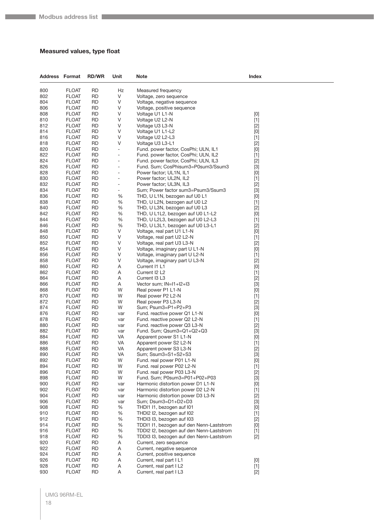#### <span id="page-17-0"></span>**Measured values, type float**

| <b>Address Format</b> |                              | <b>RD/WR</b>           | Unit                 | Note                                                                       | Index                                                                                                                                                                                                                                                                                                                                                                                                                                                                                                                                                                                                                                                                    |  |
|-----------------------|------------------------------|------------------------|----------------------|----------------------------------------------------------------------------|--------------------------------------------------------------------------------------------------------------------------------------------------------------------------------------------------------------------------------------------------------------------------------------------------------------------------------------------------------------------------------------------------------------------------------------------------------------------------------------------------------------------------------------------------------------------------------------------------------------------------------------------------------------------------|--|
| 800                   | <b>FLOAT</b>                 | <b>RD</b>              | Hz                   | Measured frequency                                                         |                                                                                                                                                                                                                                                                                                                                                                                                                                                                                                                                                                                                                                                                          |  |
| 802                   | <b>FLOAT</b>                 | <b>RD</b>              | V                    | Voltage, zero sequence                                                     |                                                                                                                                                                                                                                                                                                                                                                                                                                                                                                                                                                                                                                                                          |  |
| 804                   | <b>FLOAT</b>                 | RD                     | V                    | Voltage, negative sequence                                                 |                                                                                                                                                                                                                                                                                                                                                                                                                                                                                                                                                                                                                                                                          |  |
| 806                   | <b>FLOAT</b>                 | RD                     | V                    | Voltage, positive sequence                                                 |                                                                                                                                                                                                                                                                                                                                                                                                                                                                                                                                                                                                                                                                          |  |
| 808                   | <b>FLOAT</b>                 | <b>RD</b>              | V                    | Voltage U1 L1-N                                                            | $[0] % \begin{center} % \includegraphics[width=\linewidth]{imagesSupplemental_3.png} % \end{center} % \caption { % Our method can be used for the use of the image. % Note that the \emph{DefNet}~\cite{bib66} as a function of the \emph{DefNet}~\cite{bib66} as a function of the \emph{DefNet}~\cite{bib66} as a function of the \emph{DefNet}~\cite{bib66} as a function of the \emph{DefNet}~\cite{bib66} as a function of the \emph{DefNet}~\cite{bib66} as a function of the \emph{DefNet}~\cite{bib66} as a function of the \emph{DefNet}~\cite{bib66} as a function of the \emph{DefNet}$                                                                       |  |
| 810                   | <b>FLOAT</b>                 | RD                     | V                    | Voltage U2 L2-N                                                            | $[1]$                                                                                                                                                                                                                                                                                                                                                                                                                                                                                                                                                                                                                                                                    |  |
| 812                   | <b>FLOAT</b>                 | <b>RD</b>              | V                    | Voltage U3 L3-N                                                            | $[2]$                                                                                                                                                                                                                                                                                                                                                                                                                                                                                                                                                                                                                                                                    |  |
| 814                   | <b>FLOAT</b>                 | RD                     | V                    | Voltage U1 L1-L2                                                           | $[0] % \begin{center} % \includegraphics[width=\linewidth]{imagesSupplemental_3.png} % \end{center} % \caption { % Our method can be used for the use of the image. % Note that the \emph{DefNet}~\cite{bib66} as a function of the \emph{DefNet}~\cite{bib66} as a function of the \emph{DefNet}~\cite{bib66} as a function of the \emph{DefNet}~\cite{bib66} as a function of the \emph{DefNet}~\cite{bib66} as a function of the \emph{DefNet}~\cite{bib66} as a function of the \emph{DefNet}~\cite{bib66} as a function of the \emph{DefNet}~\cite{bib66} as a function of the \emph{DefNet}$                                                                       |  |
| 816                   | <b>FLOAT</b>                 | <b>RD</b>              | V                    | Voltage U2 L2-L3                                                           | $[1]$                                                                                                                                                                                                                                                                                                                                                                                                                                                                                                                                                                                                                                                                    |  |
| 818                   | <b>FLOAT</b>                 | <b>RD</b>              | V                    | Voltage U3 L3-L1                                                           | $[2]$                                                                                                                                                                                                                                                                                                                                                                                                                                                                                                                                                                                                                                                                    |  |
| 820                   | <b>FLOAT</b>                 | RD                     | ÷                    | Fund. power factor, CosPhi; ULN, IL1                                       | [0]                                                                                                                                                                                                                                                                                                                                                                                                                                                                                                                                                                                                                                                                      |  |
| 822                   | <b>FLOAT</b>                 | <b>RD</b>              | -                    | Fund. power factor, CosPhi; ULN, IL2                                       | $[1]$                                                                                                                                                                                                                                                                                                                                                                                                                                                                                                                                                                                                                                                                    |  |
| 824<br>826            | <b>FLOAT</b><br><b>FLOAT</b> | <b>RD</b><br><b>RD</b> | $\overline{a}$<br>÷, | Fund. power factor, CosPhi; ULN, IL3<br>Fund. Sum; CosPhisum3=P0sum3/Ssum3 | $[2]$<br>$[3]$                                                                                                                                                                                                                                                                                                                                                                                                                                                                                                                                                                                                                                                           |  |
| 828                   | <b>FLOAT</b>                 | <b>RD</b>              | ÷,                   | Power factor; UL1N, IL1                                                    |                                                                                                                                                                                                                                                                                                                                                                                                                                                                                                                                                                                                                                                                          |  |
| 830                   | <b>FLOAT</b>                 | RD                     | -                    | Power factor; UL2N, IL2                                                    | [0]<br>$[1]$                                                                                                                                                                                                                                                                                                                                                                                                                                                                                                                                                                                                                                                             |  |
| 832                   | <b>FLOAT</b>                 | <b>RD</b>              | -                    | Power factor; UL3N, IL3                                                    | $[2]$                                                                                                                                                                                                                                                                                                                                                                                                                                                                                                                                                                                                                                                                    |  |
| 834                   | <b>FLOAT</b>                 | <b>RD</b>              | -                    | Sum; Power factor sum3=Psum3/Ssum3                                         | $[3]$                                                                                                                                                                                                                                                                                                                                                                                                                                                                                                                                                                                                                                                                    |  |
| 836                   | <b>FLOAT</b>                 | <b>RD</b>              | %                    | THD, U L1N, bezogen auf U0 L1                                              | [0]                                                                                                                                                                                                                                                                                                                                                                                                                                                                                                                                                                                                                                                                      |  |
| 838                   | <b>FLOAT</b>                 | <b>RD</b>              | %                    | THD, U L2N, bezogen auf U0 L2                                              | $[1]$                                                                                                                                                                                                                                                                                                                                                                                                                                                                                                                                                                                                                                                                    |  |
| 840                   | <b>FLOAT</b>                 | <b>RD</b>              | %                    | THD, U L3N, bezogen auf U0 L3                                              | $[2]$                                                                                                                                                                                                                                                                                                                                                                                                                                                                                                                                                                                                                                                                    |  |
| 842                   | <b>FLOAT</b>                 | <b>RD</b>              | %                    | THD, U L1L2, bezogen auf U0 L1-L2                                          | $[0] % \begin{center} % \includegraphics[width=\linewidth]{imagesSupplemental_3.png} % \end{center} % \caption { % Our method can be used for the use of the image. % Note that the \emph{DefNet}~\cite{bib66} as a function of the \emph{DefNet}~\cite{bib66} as a function of the \emph{DefNet}~\cite{bib66} as a function of the \emph{DefNet}~\cite{bib66} as a function of the \emph{DefNet}~\cite{bib66} as a function of the \emph{DefNet}~\cite{bib66} as a function of the \emph{DefNet}~\cite{bib66} as a function of the \emph{DefNet}~\cite{bib66} as a function of the \emph{DefNet}$                                                                       |  |
| 844                   | <b>FLOAT</b>                 | <b>RD</b>              | %                    | THD, U L2L3, bezogen auf U0 L2-L3                                          | $[1]$                                                                                                                                                                                                                                                                                                                                                                                                                                                                                                                                                                                                                                                                    |  |
| 846                   | <b>FLOAT</b>                 | RD                     | %                    | THD, U L3L1, bezogen auf U0 L3-L1                                          | $[2]$                                                                                                                                                                                                                                                                                                                                                                                                                                                                                                                                                                                                                                                                    |  |
| 848                   | <b>FLOAT</b>                 | <b>RD</b>              | V                    | Voltage, real part U1 L1-N                                                 | [0]                                                                                                                                                                                                                                                                                                                                                                                                                                                                                                                                                                                                                                                                      |  |
| 850                   | <b>FLOAT</b>                 | <b>RD</b>              | V                    | Voltage, real part U2 L2-N                                                 | $[1]$                                                                                                                                                                                                                                                                                                                                                                                                                                                                                                                                                                                                                                                                    |  |
| 852                   | <b>FLOAT</b>                 | <b>RD</b>              | V                    | Voltage, real part U3 L3-N                                                 | $[2]$                                                                                                                                                                                                                                                                                                                                                                                                                                                                                                                                                                                                                                                                    |  |
| 854                   | <b>FLOAT</b>                 | <b>RD</b>              | V                    | Voltage, imaginary part U L1-N                                             | [0]                                                                                                                                                                                                                                                                                                                                                                                                                                                                                                                                                                                                                                                                      |  |
| 856                   | <b>FLOAT</b>                 | RD                     | V                    | Voltage, imaginary part U L2-N                                             | $[1]$                                                                                                                                                                                                                                                                                                                                                                                                                                                                                                                                                                                                                                                                    |  |
| 858                   | <b>FLOAT</b>                 | <b>RD</b>              | V                    | Voltage, imaginary part U L3-N                                             | $[2]$                                                                                                                                                                                                                                                                                                                                                                                                                                                                                                                                                                                                                                                                    |  |
| 860                   | <b>FLOAT</b>                 | <b>RD</b>              | Α                    | Current I1 L1                                                              | [0]                                                                                                                                                                                                                                                                                                                                                                                                                                                                                                                                                                                                                                                                      |  |
| 862                   | <b>FLOAT</b>                 | <b>RD</b>              | Α                    | Current I2 L2                                                              | $[1]$                                                                                                                                                                                                                                                                                                                                                                                                                                                                                                                                                                                                                                                                    |  |
| 864                   | <b>FLOAT</b>                 | <b>RD</b>              | Α                    | Current I3 L3                                                              | $[2]$                                                                                                                                                                                                                                                                                                                                                                                                                                                                                                                                                                                                                                                                    |  |
| 866                   | <b>FLOAT</b>                 | RD                     | Α                    | Vector sum; IN=11+12+13                                                    | $[3]$                                                                                                                                                                                                                                                                                                                                                                                                                                                                                                                                                                                                                                                                    |  |
| 868<br>870            | <b>FLOAT</b><br><b>FLOAT</b> | <b>RD</b><br><b>RD</b> | W<br>W               | Real power P1 L1-N<br>Real power P2 L2-N                                   | [0]                                                                                                                                                                                                                                                                                                                                                                                                                                                                                                                                                                                                                                                                      |  |
| 872                   | <b>FLOAT</b>                 | <b>RD</b>              | W                    | Real power P3 L3-N                                                         | $[1]$<br>$[2]$                                                                                                                                                                                                                                                                                                                                                                                                                                                                                                                                                                                                                                                           |  |
| 874                   | <b>FLOAT</b>                 | <b>RD</b>              | W                    | Sum; Psum3=P1+P2+P3                                                        | $[3]$                                                                                                                                                                                                                                                                                                                                                                                                                                                                                                                                                                                                                                                                    |  |
| 876                   | <b>FLOAT</b>                 | RD                     | var                  | Fund. reactive power Q1 L1-N                                               | [0]                                                                                                                                                                                                                                                                                                                                                                                                                                                                                                                                                                                                                                                                      |  |
| 878                   | <b>FLOAT</b>                 | <b>RD</b>              | var                  | Fund. reactive power Q2 L2-N                                               | $[1]$                                                                                                                                                                                                                                                                                                                                                                                                                                                                                                                                                                                                                                                                    |  |
| 880                   | <b>FLOAT</b>                 | <b>RD</b>              | var                  | Fund. reactive power Q3 L3-N                                               | $[2]$                                                                                                                                                                                                                                                                                                                                                                                                                                                                                                                                                                                                                                                                    |  |
| 882                   | <b>FLOAT</b>                 | <b>RD</b>              | var                  | Fund. Sum; Qsum3=Q1+Q2+Q3                                                  | $[3]$                                                                                                                                                                                                                                                                                                                                                                                                                                                                                                                                                                                                                                                                    |  |
| 884                   | <b>FLOAT</b>                 | <b>RD</b>              | VA                   | Apparent power S1 L1-N                                                     | $[0] % \begin{center} % \includegraphics[width=\linewidth]{imagesSupplemental_3.png} % \end{center} % \caption { % Our method can be used for the use of the image. % Note that the \emph{Def}(i) and the \emph{Def}(i) are the same and the \emph{Def}(i) and the \emph{Def}(i) are the same. % } % \label{fig:Defin_3} %$                                                                                                                                                                                                                                                                                                                                              |  |
| 886                   | <b>FLOAT</b>                 | <b>RD</b>              | VA                   | Apparent power S2 L2-N                                                     | $[1]$                                                                                                                                                                                                                                                                                                                                                                                                                                                                                                                                                                                                                                                                    |  |
| 888                   | <b>FLOAT</b>                 | <b>RD</b>              | VA                   | Apparent power S3 L3-N                                                     | $[2]$                                                                                                                                                                                                                                                                                                                                                                                                                                                                                                                                                                                                                                                                    |  |
| 890                   | <b>FLOAT</b>                 | <b>RD</b>              | VA                   | Sum; Ssum3=S1+S2+S3                                                        | $[3]$                                                                                                                                                                                                                                                                                                                                                                                                                                                                                                                                                                                                                                                                    |  |
| 892                   | <b>FLOAT</b>                 | <b>RD</b>              | W                    | Fund. real power P01 L1-N                                                  | $[0] % \begin{center} % \includegraphics[width=\linewidth]{imagesSupplemental_3.png} % \end{center} % \caption { % Our method can be used for the use of the image. % Note that the \emph{DefNet}~\cite{bib66} as a function of the \emph{DefNet}~\cite{bib66} as a function of the \emph{DefNet}~\cite{bib66} as a function of the \emph{DefNet}~\cite{bib66} as a function of the \emph{DefNet}~\cite{bib66} as a function of the \emph{DefNet}~\cite{bib66} as a function of the \emph{DefNet}~\cite{bib66} as a function of the \emph{DefNet}~\cite{bib66} as a function of the \emph{DefNet}$                                                                       |  |
| 894                   | <b>FLOAT</b>                 | <b>RD</b>              | W                    | Fund. real power P02 L2-N                                                  | $[1]$                                                                                                                                                                                                                                                                                                                                                                                                                                                                                                                                                                                                                                                                    |  |
| 896                   | <b>FLOAT</b>                 | <b>RD</b>              | W                    | Fund. real power P03 L3-N                                                  | $[2]$                                                                                                                                                                                                                                                                                                                                                                                                                                                                                                                                                                                                                                                                    |  |
| 898                   | <b>FLOAT</b>                 | <b>RD</b>              | W                    | Fund. Sum; P0sum3=P01+P02+P03                                              | $[3]$                                                                                                                                                                                                                                                                                                                                                                                                                                                                                                                                                                                                                                                                    |  |
| 900                   | <b>FLOAT</b>                 | <b>RD</b>              | var                  | Harmonic distortion power D1 L1-N                                          | [0]                                                                                                                                                                                                                                                                                                                                                                                                                                                                                                                                                                                                                                                                      |  |
| 902                   | <b>FLOAT</b>                 | <b>RD</b>              | var                  | Harmonic distortion power D2 L2-N                                          | $[1]$                                                                                                                                                                                                                                                                                                                                                                                                                                                                                                                                                                                                                                                                    |  |
| 904<br>906            | <b>FLOAT</b><br><b>FLOAT</b> | <b>RD</b><br><b>RD</b> | var                  | Harmonic distortion power D3 L3-N<br>Sum; Dsum3=D1+D2+D3                   | $[2]$                                                                                                                                                                                                                                                                                                                                                                                                                                                                                                                                                                                                                                                                    |  |
| 908                   | <b>FLOAT</b>                 | <b>RD</b>              | var<br>%             | THDI1 I1, bezogen auf I01                                                  | $[3]$<br>$[0] % \begin{center} % \includegraphics[width=\linewidth]{imagesSupplemental_3.png} % \end{center} % \caption { % Our method can be used for the use of the image. % Note that the \emph{DefNet}~\cite{bib66} as a function of the \emph{DefNet}~\cite{bib66} as a function of the \emph{DefNet}~\cite{bib66} as a function of the \emph{DefNet}~\cite{bib66} as a function of the \emph{DefNet}~\cite{bib66} as a function of the \emph{DefNet}~\cite{bib66} as a function of the \emph{DefNet}~\cite{bib66} as a function of the \emph{DefNet}~\cite{bib66} as a function of the \emph{DefNet}$                                                              |  |
| 910                   | <b>FLOAT</b>                 | <b>RD</b>              | %                    | THDI2 I2, bezogen auf I02                                                  | $[1]$                                                                                                                                                                                                                                                                                                                                                                                                                                                                                                                                                                                                                                                                    |  |
| 912                   | <b>FLOAT</b>                 | <b>RD</b>              | %                    | THDI3 I3, bezogen auf I03                                                  | $[2]$                                                                                                                                                                                                                                                                                                                                                                                                                                                                                                                                                                                                                                                                    |  |
| 914                   | <b>FLOAT</b>                 | <b>RD</b>              | %                    | TDDI1 I1, bezogen auf den Nenn-Laststrom                                   | $[0] % \begin{center} % \includegraphics[width=\linewidth]{imagesSupplemental_3.png} % \end{center} % \caption { % Our method can be used for the use of the image. % Note that the \emph{DefNet}~\cite{bib66} as a function of the \emph{DefNet}~\cite{bib66} as a function of the \emph{DefNet}~\cite{bib66} as a function of the \emph{DefNet}~\cite{bib66} as a function of the \emph{DefNet}~\cite{bib66} as a function of the \emph{DefNet}~\cite{bib66} as a function of the \emph{DefNet}~\cite{bib66} as a function of the \emph{DefNet}~\cite{bib66} as a function of the \emph{DefNet}$                                                                       |  |
| 916                   | <b>FLOAT</b>                 | <b>RD</b>              | %                    | TDDI2 I2, bezogen auf den Nenn-Laststrom                                   | $[1]$                                                                                                                                                                                                                                                                                                                                                                                                                                                                                                                                                                                                                                                                    |  |
| 918                   | <b>FLOAT</b>                 | <b>RD</b>              | %                    | TDDI3 I3, bezogen auf den Nenn-Laststrom                                   | $[2]$                                                                                                                                                                                                                                                                                                                                                                                                                                                                                                                                                                                                                                                                    |  |
| 920                   | <b>FLOAT</b>                 | <b>RD</b>              | A                    | Current, zero sequence                                                     |                                                                                                                                                                                                                                                                                                                                                                                                                                                                                                                                                                                                                                                                          |  |
| 922                   | <b>FLOAT</b>                 | <b>RD</b>              | Α                    | Current, negative sequence                                                 |                                                                                                                                                                                                                                                                                                                                                                                                                                                                                                                                                                                                                                                                          |  |
| 924                   | <b>FLOAT</b>                 | <b>RD</b>              | Α                    | Current, positive sequence                                                 |                                                                                                                                                                                                                                                                                                                                                                                                                                                                                                                                                                                                                                                                          |  |
| 926                   | <b>FLOAT</b>                 | <b>RD</b>              | Α                    | Current, real part I L1                                                    | $[0] % \begin{center} % \includegraphics[width=\linewidth]{imagesSupplemental_3.png} % \end{center} % \caption { % Our method can be used for the use of the image. % Note that the \emph{Def}(i) and the \emph{Def}(i) are the same as a function of the image. % Note that the \emph{Def}(i) and the \emph{Def}(i) are the same as a function of the image. % Note that the \emph{Def}(i) and the \emph{Def}(i) are the same as a function of the image. % } % \label{fig:Def}(i) and the \emph{Def}(i) are the same as a function of the image. % Note that the \emph{Def}(i) and the \emph{Def}(i) are the same as a function of the image. % } % \label{fig:Def}(i$ |  |
| 928                   | <b>FLOAT</b>                 | <b>RD</b>              | Α                    | Current, real part I L2                                                    | $[1]$                                                                                                                                                                                                                                                                                                                                                                                                                                                                                                                                                                                                                                                                    |  |
| 930                   | <b>FLOAT</b>                 | <b>RD</b>              | Α                    | Current, real part I L3                                                    | $[2]$                                                                                                                                                                                                                                                                                                                                                                                                                                                                                                                                                                                                                                                                    |  |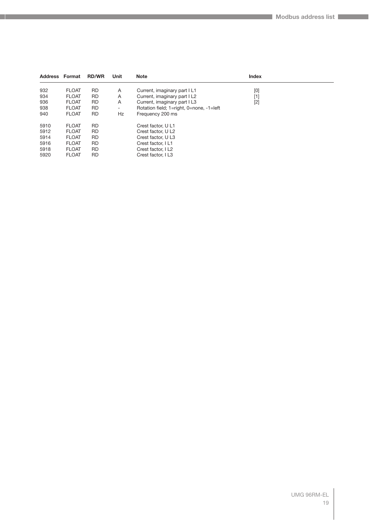| <b>Address Format</b> |              | <b>RD/WR</b> | Unit      | <b>Note</b>                              | <b>Index</b> |  |
|-----------------------|--------------|--------------|-----------|------------------------------------------|--------------|--|
| 932                   | <b>FLOAT</b> | <b>RD</b>    | A         | Current, imaginary part I L1             | [0]          |  |
| 934                   | <b>FLOAT</b> | <b>RD</b>    | A         | Current, imaginary part I L2             | [1]          |  |
| 936                   | <b>FLOAT</b> | <b>RD</b>    | A         | Current, imaginary part I L3             | $[2]$        |  |
| 938                   | <b>FLOAT</b> | <b>RD</b>    | ۰.        | Rotation field; 1=right, 0=none, -1=left |              |  |
| 940                   | <b>FLOAT</b> | <b>RD</b>    | <b>Hz</b> | Frequency 200 ms                         |              |  |
| 5910                  | <b>FLOAT</b> | <b>RD</b>    |           | Crest factor, U L1                       |              |  |
| 5912                  | <b>FLOAT</b> | <b>RD</b>    |           | Crest factor, U L2                       |              |  |
| 5914                  | <b>FLOAT</b> | <b>RD</b>    |           | Crest factor, U L3                       |              |  |
| 5916                  | <b>FLOAT</b> | <b>RD</b>    |           | Crest factor, I L1                       |              |  |
| 5918                  | <b>FLOAT</b> | <b>RD</b>    |           | Crest factor, I L2                       |              |  |
| 5920                  | <b>FLOAT</b> | <b>RD</b>    |           | Crest factor, I L3                       |              |  |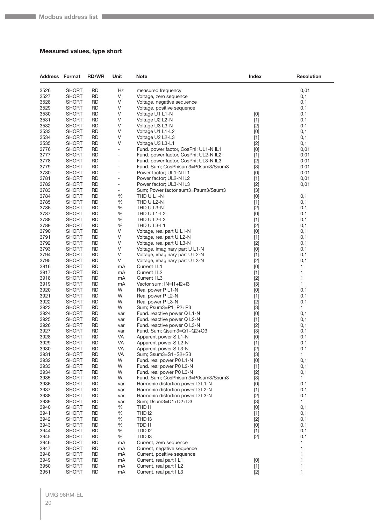#### <span id="page-19-0"></span>**Measured values, type short**

| <b>Address Format</b> |                       | <b>RD/WR</b>           | Unit                         | Note                                                                 | <b>Index</b>                                                                                                                                                                                                                                                                                                                                                                                                                                                                                                                                                                                       | <b>Resolution</b> |
|-----------------------|-----------------------|------------------------|------------------------------|----------------------------------------------------------------------|----------------------------------------------------------------------------------------------------------------------------------------------------------------------------------------------------------------------------------------------------------------------------------------------------------------------------------------------------------------------------------------------------------------------------------------------------------------------------------------------------------------------------------------------------------------------------------------------------|-------------------|
| 3526                  | <b>SHORT</b>          | <b>RD</b>              | Hz                           | measured frequency                                                   |                                                                                                                                                                                                                                                                                                                                                                                                                                                                                                                                                                                                    | 0,01              |
| 3527                  | SHORT                 | <b>RD</b>              | V                            | Voltage, zero sequence                                               |                                                                                                                                                                                                                                                                                                                                                                                                                                                                                                                                                                                                    | 0,1               |
| 3528                  | SHORT                 | <b>RD</b>              | V                            | Voltage, negative sequence                                           |                                                                                                                                                                                                                                                                                                                                                                                                                                                                                                                                                                                                    | 0,1               |
| 3529                  | <b>SHORT</b>          | RD                     | V                            | Voltage, positive sequence                                           |                                                                                                                                                                                                                                                                                                                                                                                                                                                                                                                                                                                                    | 0,1               |
| 3530                  | <b>SHORT</b>          | <b>RD</b>              | V                            | Voltage U1 L1-N                                                      | $[0]$                                                                                                                                                                                                                                                                                                                                                                                                                                                                                                                                                                                              | 0,1               |
| 3531                  | SHORT                 | <b>RD</b>              | V                            | Voltage U2 L2-N                                                      | $[1]$                                                                                                                                                                                                                                                                                                                                                                                                                                                                                                                                                                                              | 0,1               |
| 3532                  | SHORT                 | <b>RD</b>              | $\vee$                       | Voltage U3 L3-N                                                      | $[2]$                                                                                                                                                                                                                                                                                                                                                                                                                                                                                                                                                                                              | 0,1               |
| 3533<br>3534          | SHORT<br><b>SHORT</b> | <b>RD</b><br>RD        | V<br>V                       | Voltage U1 L1-L2                                                     | $[0]$                                                                                                                                                                                                                                                                                                                                                                                                                                                                                                                                                                                              | 0,1               |
| 3535                  | SHORT                 | <b>RD</b>              | V                            | Voltage U2 L2-L3<br>Voltage U3 L3-L1                                 | $[1]$<br>$[2]$                                                                                                                                                                                                                                                                                                                                                                                                                                                                                                                                                                                     | 0,1<br>0,1        |
| 3776                  | SHORT                 | <b>RD</b>              | $\overline{\phantom{a}}$     | Fund. power factor, CosPhi; UL1-N IL1                                | [0]                                                                                                                                                                                                                                                                                                                                                                                                                                                                                                                                                                                                | 0,01              |
| 3777                  | SHORT                 | <b>RD</b>              | $\overline{a}$               | Fund. power factor, CosPhi; UL2-N IL2                                | $[1]$                                                                                                                                                                                                                                                                                                                                                                                                                                                                                                                                                                                              | 0,01              |
| 3778                  | SHORT                 | <b>RD</b>              | $\qquad \qquad \blacksquare$ | Fund. power factor, CosPhi; UL3-N IL3                                | $[2]$                                                                                                                                                                                                                                                                                                                                                                                                                                                                                                                                                                                              | 0,01              |
| 3779                  | SHORT                 | <b>RD</b>              | $\overline{a}$               | Fund. Sum; CosPhisum3=P0sum3/Ssum3                                   | $[3]$                                                                                                                                                                                                                                                                                                                                                                                                                                                                                                                                                                                              | 0,01              |
| 3780                  | <b>SHORT</b>          | <b>RD</b>              | $\qquad \qquad \blacksquare$ | Power factor; UL1-N IL1                                              | $[0]$                                                                                                                                                                                                                                                                                                                                                                                                                                                                                                                                                                                              | 0,01              |
| 3781                  | SHORT                 | <b>RD</b>              | ÷,                           | Power factor; UL2-N IL2                                              | $[1]$                                                                                                                                                                                                                                                                                                                                                                                                                                                                                                                                                                                              | 0,01              |
| 3782                  | SHORT                 | <b>RD</b>              | ÷                            | Power factor; UL3-N IL3                                              | $[2]$                                                                                                                                                                                                                                                                                                                                                                                                                                                                                                                                                                                              | 0,01              |
| 3783                  | SHORT                 | <b>RD</b>              | -                            | Sum; Power factor sum3=Psum3/Ssum3                                   | $[3]$                                                                                                                                                                                                                                                                                                                                                                                                                                                                                                                                                                                              |                   |
| 3784                  | <b>SHORT</b>          | RD                     | $\%$                         | THD U L1-N                                                           | $[0]$                                                                                                                                                                                                                                                                                                                                                                                                                                                                                                                                                                                              | 0,1               |
| 3785                  | <b>SHORT</b>          | <b>RD</b>              | $\%$                         | THD U L2-N                                                           | $[1]$                                                                                                                                                                                                                                                                                                                                                                                                                                                                                                                                                                                              | 0,1               |
| 3786                  | SHORT                 | <b>RD</b>              | %                            | THD U L3-N                                                           | $[2]$                                                                                                                                                                                                                                                                                                                                                                                                                                                                                                                                                                                              | 0,1               |
| 3787                  | SHORT                 | <b>RD</b>              | $\%$                         | THD U L1-L2                                                          | $[0]$                                                                                                                                                                                                                                                                                                                                                                                                                                                                                                                                                                                              | 0,1               |
| 3788                  | SHORT                 | <b>RD</b>              | $\%$                         | THD U L2-L3                                                          | $[1]$                                                                                                                                                                                                                                                                                                                                                                                                                                                                                                                                                                                              | 0,1               |
| 3789<br>3790          | SHORT<br><b>SHORT</b> | RD<br><b>RD</b>        | %<br>V                       | THD U L3-L1                                                          | $[2]$                                                                                                                                                                                                                                                                                                                                                                                                                                                                                                                                                                                              | 0,1<br>0,1        |
| 3791                  | SHORT                 | <b>RD</b>              | V                            | Voltage, real part U L1-N<br>Voltage, real part U L2-N               | $[0]$<br>$[1]$                                                                                                                                                                                                                                                                                                                                                                                                                                                                                                                                                                                     | 0,1               |
| 3792                  | SHORT                 | <b>RD</b>              | V                            | Voltage, real part U L3-N                                            | $[2]$                                                                                                                                                                                                                                                                                                                                                                                                                                                                                                                                                                                              | 0,1               |
| 3793                  | SHORT                 | <b>RD</b>              | V                            | Voltage, imaginary part U L1-N                                       | [0]                                                                                                                                                                                                                                                                                                                                                                                                                                                                                                                                                                                                | 0,1               |
| 3794                  | SHORT                 | RD                     | V                            | Voltage, imaginary part U L2-N                                       | $[1]$                                                                                                                                                                                                                                                                                                                                                                                                                                                                                                                                                                                              | 0,1               |
| 3795                  | <b>SHORT</b>          | <b>RD</b>              | $\vee$                       | Voltage, imaginary part U L3-N                                       | $[2]$                                                                                                                                                                                                                                                                                                                                                                                                                                                                                                                                                                                              | 0,1               |
| 3916                  | SHORT                 | <b>RD</b>              | mA                           | Current I L1                                                         | [0]                                                                                                                                                                                                                                                                                                                                                                                                                                                                                                                                                                                                | 1                 |
| 3917                  | SHORT                 | <b>RD</b>              | mA                           | Current I L2                                                         | $[1]$                                                                                                                                                                                                                                                                                                                                                                                                                                                                                                                                                                                              | 1                 |
| 3918                  | SHORT                 | <b>RD</b>              | mA                           | Current I L3                                                         | $[2]$                                                                                                                                                                                                                                                                                                                                                                                                                                                                                                                                                                                              | 1                 |
| 3919                  | SHORT                 | RD                     | mA                           | Vector sum; IN=I1+I2+I3                                              | $[3]$                                                                                                                                                                                                                                                                                                                                                                                                                                                                                                                                                                                              | 1                 |
| 3920                  | <b>SHORT</b>          | <b>RD</b>              | W                            | Real power P L1-N                                                    | $[0]$                                                                                                                                                                                                                                                                                                                                                                                                                                                                                                                                                                                              | 0,1               |
| 3921                  | SHORT                 | <b>RD</b>              | W                            | Real power P L2-N                                                    | $[1]$                                                                                                                                                                                                                                                                                                                                                                                                                                                                                                                                                                                              | 0,1               |
| 3922                  | SHORT                 | <b>RD</b>              | W                            | Real power P L3-N                                                    | $[2]$                                                                                                                                                                                                                                                                                                                                                                                                                                                                                                                                                                                              | 0,1               |
| 3923<br>3924          | <b>SHORT</b>          | <b>RD</b>              | W                            | Sum; Psum3=P1+P2+P3<br>Fund. reactive power Q L1-N                   | $[3]$                                                                                                                                                                                                                                                                                                                                                                                                                                                                                                                                                                                              | $\mathbf{1}$      |
| 3925                  | SHORT<br><b>SHORT</b> | RD<br><b>RD</b>        | var<br>var                   | Fund. reactive power Q L2-N                                          | $[0]$<br>$[1]$                                                                                                                                                                                                                                                                                                                                                                                                                                                                                                                                                                                     | 0,1<br>0,1        |
| 3926                  | SHORT                 | <b>RD</b>              | var                          | Fund. reactive power Q L3-N                                          | $[2]$                                                                                                                                                                                                                                                                                                                                                                                                                                                                                                                                                                                              | 0,1               |
| 3927                  | SHORT                 | RD                     | var                          | Fund. Sum; Qsum3=Q1+Q2+Q3                                            | $[3]$                                                                                                                                                                                                                                                                                                                                                                                                                                                                                                                                                                                              | 0,1               |
| 3928                  | SHORT                 | <b>RD</b>              | VA                           | Apparent power S L1-N                                                | [0]                                                                                                                                                                                                                                                                                                                                                                                                                                                                                                                                                                                                | 0,1               |
| 3929                  | SHORT                 | <b>RD</b>              | VA                           | Apparent power S L2-N                                                | $[1]$                                                                                                                                                                                                                                                                                                                                                                                                                                                                                                                                                                                              | 0,1               |
| 3930                  | <b>SHORT</b>          | <b>RD</b>              | VA                           | Apparent power S L3-N                                                | $[2]$                                                                                                                                                                                                                                                                                                                                                                                                                                                                                                                                                                                              | 0,1               |
| 3931                  | SHORT                 | <b>RD</b>              | VA                           | Sum; Ssum3=S1+S2+S3                                                  | $[3]$                                                                                                                                                                                                                                                                                                                                                                                                                                                                                                                                                                                              | 1                 |
| 3932                  | SHORT                 | <b>RD</b>              | W                            | Fund. real power P0 L1-N                                             | $[0] % \begin{center} % \includegraphics[width=\linewidth]{imagesSupplemental_3.png} % \end{center} % \caption { % Our method can be used for the use of the image. % Note that the \emph{Def}(i) and the \emph{Def}(i) are the same and the \emph{Def}(i) and the \emph{Def}(i) are the same. % } % \label{fig:Defin_3} %$                                                                                                                                                                                                                                                                        | 0,1               |
| 3933                  | SHORT                 | <b>RD</b>              | W                            | Fund. real power P0 L2-N                                             | $[1]$                                                                                                                                                                                                                                                                                                                                                                                                                                                                                                                                                                                              | 0,1               |
| 3934                  | <b>SHORT</b>          | <b>RD</b>              | W                            | Fund. real power P0 L3-N                                             | $[2]$                                                                                                                                                                                                                                                                                                                                                                                                                                                                                                                                                                                              | 0,1               |
| 3935                  | <b>SHORT</b>          | <b>RD</b>              | W                            | Fund. Sum; CosPhisum3=P0sum3/Ssum3                                   | $[3]$                                                                                                                                                                                                                                                                                                                                                                                                                                                                                                                                                                                              | $\mathbf{1}$      |
| 3936                  | SHORT                 | <b>RD</b><br><b>RD</b> | var                          | Harmonic distortion power D L1-N<br>Harmonic distortion power D L2-N | [0]                                                                                                                                                                                                                                                                                                                                                                                                                                                                                                                                                                                                | 0,1               |
| 3937<br>3938          | <b>SHORT</b><br>SHORT | <b>RD</b>              | var                          | Harmonic distortion power D L3-N                                     | $[1]$<br>$[2]$                                                                                                                                                                                                                                                                                                                                                                                                                                                                                                                                                                                     | 0,1<br>0,1        |
| 3939                  | <b>SHORT</b>          | <b>RD</b>              | var<br>var                   | Sum; Dsum3=D1+D2+D3                                                  | $[3]$                                                                                                                                                                                                                                                                                                                                                                                                                                                                                                                                                                                              | 1.                |
| 3940                  | <b>SHORT</b>          | <b>RD</b>              | %                            | THD I1                                                               | $[0]$                                                                                                                                                                                                                                                                                                                                                                                                                                                                                                                                                                                              | 0,1               |
| 3941                  | SHORT                 | <b>RD</b>              | %                            | THD <sub>12</sub>                                                    | $[1]$                                                                                                                                                                                                                                                                                                                                                                                                                                                                                                                                                                                              | 0,1               |
| 3942                  | SHORT                 | <b>RD</b>              | $\%$                         | THD I3                                                               | $[2]$                                                                                                                                                                                                                                                                                                                                                                                                                                                                                                                                                                                              | 0,1               |
| 3943                  | SHORT                 | <b>RD</b>              | $\%$                         | TDD I1                                                               | $[0]$                                                                                                                                                                                                                                                                                                                                                                                                                                                                                                                                                                                              | 0,1               |
| 3944                  | <b>SHORT</b>          | <b>RD</b>              | $\%$                         | TDD 12                                                               | $[1]$                                                                                                                                                                                                                                                                                                                                                                                                                                                                                                                                                                                              | 0,1               |
| 3945                  | <b>SHORT</b>          | <b>RD</b>              | %                            | TDD I3                                                               | $[2]$                                                                                                                                                                                                                                                                                                                                                                                                                                                                                                                                                                                              | 0,1               |
| 3946                  | SHORT                 | <b>RD</b>              | mA                           | Current, zero sequence                                               |                                                                                                                                                                                                                                                                                                                                                                                                                                                                                                                                                                                                    | 1                 |
| 3947                  | SHORT                 | <b>RD</b>              | mA                           | Current, negative sequence                                           |                                                                                                                                                                                                                                                                                                                                                                                                                                                                                                                                                                                                    | 1                 |
| 3948                  | <b>SHORT</b>          | <b>RD</b>              | mA                           | Current, positive sequence                                           |                                                                                                                                                                                                                                                                                                                                                                                                                                                                                                                                                                                                    | 1                 |
| 3949                  | <b>SHORT</b>          | <b>RD</b>              | mA                           | Current, real part I L1                                              | $[0] % \begin{center} % \includegraphics[width=\linewidth]{imagesSupplemental_3.png} % \end{center} % \caption { % Our method can be used for the use of the image. % Note that the \emph{DefNet}~\cite{bib66} as a function of the \emph{DefNet}~\cite{bib66} as a function of the \emph{DefNet}~\cite{bib66} as a function of the \emph{DefNet}~\cite{bib66} as a function of the \emph{DefNet}~\cite{bib66} as a function of the \emph{DefNet}~\cite{bib66} as a function of the \emph{DefNet}~\cite{bib66} as a function of the \emph{DefNet}~\cite{bib66} as a function of the \emph{DefNet}$ | 1                 |
| 3950                  | <b>SHORT</b>          | <b>RD</b>              | mA                           | Current, real part I L2                                              | $[1]$                                                                                                                                                                                                                                                                                                                                                                                                                                                                                                                                                                                              | 1                 |
| 3951                  | <b>SHORT</b>          | <b>RD</b>              | mA                           | Current, real part I L3                                              | $[2]$                                                                                                                                                                                                                                                                                                                                                                                                                                                                                                                                                                                              | $\mathbf{1}$      |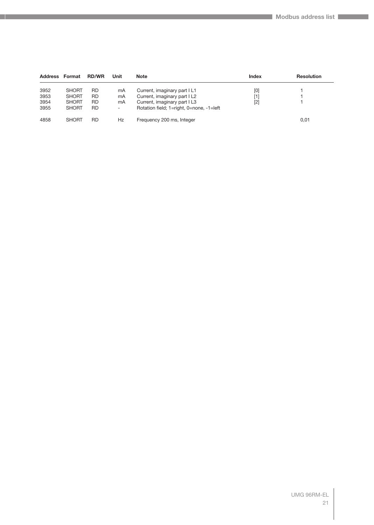| Address Format |              | <b>RD/WR</b> | Unit                     | <b>Note</b>                              | <b>Index</b> | <b>Resolution</b> |
|----------------|--------------|--------------|--------------------------|------------------------------------------|--------------|-------------------|
| 3952           | <b>SHORT</b> | RD           | mA                       | Current, imaginary part I L1             | [0]          |                   |
| 3953           | <b>SHORT</b> | RD           | mA                       | Current, imaginary part I L2             | [1]          |                   |
| 3954           | <b>SHORT</b> | RD           | mA                       | Current, imaginary part I L3             | $[2]$        |                   |
| 3955           | <b>SHORT</b> | RD           | $\overline{\phantom{a}}$ | Rotation field; 1=right, 0=none, -1=left |              |                   |
| 4858           | <b>SHORT</b> | RD           | Hz                       | Frequency 200 ms, Integer                |              | 0,01              |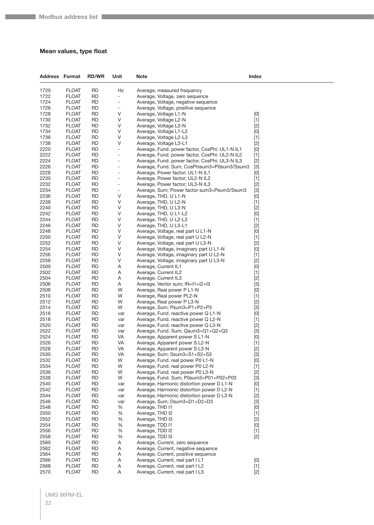#### <span id="page-21-0"></span>**Mean values, type float**

| <b>Address Format</b> |                       | <b>RD/WR</b>           | Unit                          | <b>Note</b>                                                                  | <b>Index</b>                                                                                                                                                                                                                                                                                                                                                                                                                                                                                                                                                                                                                                                                       |
|-----------------------|-----------------------|------------------------|-------------------------------|------------------------------------------------------------------------------|------------------------------------------------------------------------------------------------------------------------------------------------------------------------------------------------------------------------------------------------------------------------------------------------------------------------------------------------------------------------------------------------------------------------------------------------------------------------------------------------------------------------------------------------------------------------------------------------------------------------------------------------------------------------------------|
| 1720                  | <b>FLOAT</b>          | RD                     | Hz                            | Average, measured frequency                                                  |                                                                                                                                                                                                                                                                                                                                                                                                                                                                                                                                                                                                                                                                                    |
| 1722                  | <b>FLOAT</b>          | <b>RD</b>              | $\overline{\phantom{a}}$      | Average, Voltage, zero sequence                                              |                                                                                                                                                                                                                                                                                                                                                                                                                                                                                                                                                                                                                                                                                    |
| 1724                  | <b>FLOAT</b>          | <b>RD</b>              | $\overline{\phantom{a}}$      | Average, Voltage, negative sequence                                          |                                                                                                                                                                                                                                                                                                                                                                                                                                                                                                                                                                                                                                                                                    |
| 1726                  | FLOAT                 | <b>RD</b>              | $\overline{\phantom{a}}$      | Average, Voltage, positive sequence                                          |                                                                                                                                                                                                                                                                                                                                                                                                                                                                                                                                                                                                                                                                                    |
| 1728                  | <b>FLOAT</b>          | <b>RD</b>              | V                             | Average, Voltage L1-N                                                        | [0]                                                                                                                                                                                                                                                                                                                                                                                                                                                                                                                                                                                                                                                                                |
| 1730                  | <b>FLOAT</b>          | <b>RD</b>              | V                             | Average, Voltage L2-N                                                        | $[1]$                                                                                                                                                                                                                                                                                                                                                                                                                                                                                                                                                                                                                                                                              |
| 1732                  | <b>FLOAT</b>          | <b>RD</b>              | V                             | Average, Voltage L3-N                                                        | $[2]$                                                                                                                                                                                                                                                                                                                                                                                                                                                                                                                                                                                                                                                                              |
| 1734                  | <b>FLOAT</b>          | <b>RD</b>              | V                             | Average, Voltage L1-L2                                                       | [0]                                                                                                                                                                                                                                                                                                                                                                                                                                                                                                                                                                                                                                                                                |
| 1736                  | FLOAT                 | <b>RD</b>              | V                             | Average, Voltage L2-L3                                                       | $[1]$                                                                                                                                                                                                                                                                                                                                                                                                                                                                                                                                                                                                                                                                              |
| 1738                  | <b>FLOAT</b>          | <b>RD</b>              | V                             | Average, Voltage L3-L1                                                       | $[2]$                                                                                                                                                                                                                                                                                                                                                                                                                                                                                                                                                                                                                                                                              |
| 2220                  | <b>FLOAT</b>          | <b>RD</b>              | $\overline{\phantom{a}}$      | Average, Fund. power factor, CosPhi; UL1-N IL1                               | $[0] % \begin{center} % \includegraphics[width=\linewidth]{imagesSupplemental_3.png} % \end{center} % \caption { % Our method can be used for the use of the image. % Note that the \emph{Def}(i) and the \emph{Def}(i) are the same and the \emph{Def}(i) and the \emph{Def}(i) are the same. % } % \label{fig:Defin_3} %$                                                                                                                                                                                                                                                                                                                                                        |
| 2222                  | <b>FLOAT</b>          | <b>RD</b>              | $\overline{\phantom{a}}$      | Average, Fund. power factor, CosPhi; UL2-N IL2                               | $[1]$                                                                                                                                                                                                                                                                                                                                                                                                                                                                                                                                                                                                                                                                              |
| 2224                  | <b>FLOAT</b>          | <b>RD</b>              | $\overline{\phantom{a}}$      | Average, Fund. power factor, CosPhi; UL3-N IL3                               | $[2]$                                                                                                                                                                                                                                                                                                                                                                                                                                                                                                                                                                                                                                                                              |
| 2226                  | FLOAT                 | <b>RD</b>              | $\overline{\phantom{a}}$      | Average, Fund. Sum; CosPhisum3=P0sum3/Ssum3                                  | $[3]$                                                                                                                                                                                                                                                                                                                                                                                                                                                                                                                                                                                                                                                                              |
| 2228                  | <b>FLOAT</b>          | <b>RD</b>              | ٠                             | Average, Power factor; UL1-N IL1                                             | $[0] % \begin{center} % \includegraphics[width=\linewidth]{imagesSupplemental_3.png} % \end{center} % \caption { % Our method can be used for the use of the image. % Note that the \emph{DefNet}~\cite{bib66} as a function of the \emph{DefNet}~\cite{bib66} as a function of the \emph{DefNet}~\cite{bib66} as a function of the \emph{DefNet}~\cite{bib66} as a function of the \emph{DefNet}~\cite{bib66} as a function of the \emph{DefNet}~\cite{bib66} as a function of the \emph{DefNet}~\cite{bib66} as a function of the \emph{DefNet}~\cite{bib66} as a function of the \emph{DefNet}$                                                                                 |
| 2230                  | <b>FLOAT</b>          | <b>RD</b>              | $\overline{\phantom{a}}$      | Average, Power factor; UL2-N IL2                                             | $[1]$                                                                                                                                                                                                                                                                                                                                                                                                                                                                                                                                                                                                                                                                              |
| 2232                  | <b>FLOAT</b>          | <b>RD</b>              | $\overline{\phantom{a}}$      | Average, Power factor; UL3-N IL3                                             | $[2]$                                                                                                                                                                                                                                                                                                                                                                                                                                                                                                                                                                                                                                                                              |
| 2234<br>2236          | <b>FLOAT</b>          | <b>RD</b><br><b>RD</b> | $\overline{\phantom{a}}$<br>V | Average, Sum; Power factor sum3=Psum3/Ssum3                                  | $[3]$                                                                                                                                                                                                                                                                                                                                                                                                                                                                                                                                                                                                                                                                              |
| 2238                  | FLOAT<br><b>FLOAT</b> | <b>RD</b>              | V                             | Average, THD, U L1-N<br>Average, THD, U L2-N                                 | [0]                                                                                                                                                                                                                                                                                                                                                                                                                                                                                                                                                                                                                                                                                |
| 2240                  | <b>FLOAT</b>          | <b>RD</b>              | V                             | Average, THD, U L3-N                                                         | $[1]$<br>$[2]$                                                                                                                                                                                                                                                                                                                                                                                                                                                                                                                                                                                                                                                                     |
| 2242                  | <b>FLOAT</b>          | <b>RD</b>              | V                             | Average, THD, U L1-L2                                                        | [0]                                                                                                                                                                                                                                                                                                                                                                                                                                                                                                                                                                                                                                                                                |
| 2244                  | <b>FLOAT</b>          | <b>RD</b>              | V                             | Average, THD, U L2-L3                                                        | $[1]$                                                                                                                                                                                                                                                                                                                                                                                                                                                                                                                                                                                                                                                                              |
| 2246                  | <b>FLOAT</b>          | <b>RD</b>              | V                             | Average, THD, U L3-L1                                                        | $[2]$                                                                                                                                                                                                                                                                                                                                                                                                                                                                                                                                                                                                                                                                              |
| 2248                  | <b>FLOAT</b>          | <b>RD</b>              | V                             | Average, Voltage, real part U L1-N                                           | $[0] % \begin{center} % \includegraphics[width=\linewidth]{imagesSupplemental_3.png} % \end{center} % \caption { % Our method can be used for the use of the image. % Note that the \emph{Def}(i) and the \emph{Def}(i) are the same as a function of the image. % Note that the \emph{Def}(i) and the \emph{Def}(i) are the same as a function of the image. % Note that the \emph{Def}(i) and the \emph{Def}(i) are the same as a function of the image. % Note that the \emph{Def}(i) and the \emph{Def}(i) are the same as a function of the image. % Note that the \emph{Def}(i) and the \emph{Def}(i) are the same as a function of the image. % Note that the \emph{Def}(i$ |
| 2250                  | <b>FLOAT</b>          | <b>RD</b>              | V                             | Average, Voltage, real part U L2-N                                           | $[1]$                                                                                                                                                                                                                                                                                                                                                                                                                                                                                                                                                                                                                                                                              |
| 2252                  | <b>FLOAT</b>          | <b>RD</b>              | V                             | Average, Voltage, real part U L3-N                                           | $[2]$                                                                                                                                                                                                                                                                                                                                                                                                                                                                                                                                                                                                                                                                              |
| 2254                  | <b>FLOAT</b>          | <b>RD</b>              | V                             | Average, Voltage, imaginary part U L1-N                                      | [0]                                                                                                                                                                                                                                                                                                                                                                                                                                                                                                                                                                                                                                                                                |
| 2256                  | FLOAT                 | <b>RD</b>              | V                             | Average, Voltage, imaginary part U L2-N                                      | $[1]$                                                                                                                                                                                                                                                                                                                                                                                                                                                                                                                                                                                                                                                                              |
| 2258                  | <b>FLOAT</b>          | <b>RD</b>              | V                             | Average, Voltage, imaginary part U L3-N                                      | $[2]$                                                                                                                                                                                                                                                                                                                                                                                                                                                                                                                                                                                                                                                                              |
| 2500                  | <b>FLOAT</b>          | <b>RD</b>              | A                             | Average, Current IL1                                                         | [0]                                                                                                                                                                                                                                                                                                                                                                                                                                                                                                                                                                                                                                                                                |
| 2502                  | <b>FLOAT</b>          | RD                     | Α                             | Average, Current IL2                                                         | $[1]$                                                                                                                                                                                                                                                                                                                                                                                                                                                                                                                                                                                                                                                                              |
| 2504                  | <b>FLOAT</b>          | <b>RD</b>              | A                             | Average, Current IL3                                                         | $[2]$                                                                                                                                                                                                                                                                                                                                                                                                                                                                                                                                                                                                                                                                              |
| 2506                  | FLOAT                 | <b>RD</b>              | A                             | Average, Vector sum; IN=I1+I2+I3                                             | $[3]$                                                                                                                                                                                                                                                                                                                                                                                                                                                                                                                                                                                                                                                                              |
| 2508                  | <b>FLOAT</b>          | <b>RD</b>              | W                             | Average, Real power P L1-N                                                   | $[0] % \begin{center} % \includegraphics[width=\linewidth]{imagesSupplemental_3.png} % \end{center} % \caption { % Our method can be used for the use of the image. % Note that the \emph{Def}(i) and the \emph{Def}(i) are the same as a function of the image. % Note that the \emph{Def}(i) and the \emph{Def}(i) are the same as a function of the image. % Note that the \emph{Def}(i) and the \emph{Def}(i) are the same as a function of the image. % Note that the \emph{Def}(i) and the \emph{Def}(i) are the same as a function of the image. % Note that the \emph{Def}(i) and the \emph{Def}(i) are the same as a function of the image. % Note that the \emph{Def}(i$ |
| 2510                  | <b>FLOAT</b>          | <b>RD</b>              | W                             | Average, Real power PL2-N                                                    | $[1]$                                                                                                                                                                                                                                                                                                                                                                                                                                                                                                                                                                                                                                                                              |
| 2512                  | <b>FLOAT</b>          | RD                     | W                             | Average, Real power P L3-N                                                   | $[2]$                                                                                                                                                                                                                                                                                                                                                                                                                                                                                                                                                                                                                                                                              |
| 2514                  | <b>FLOAT</b>          | <b>RD</b>              | W                             | Average, Sum; Psum3=P1+P2+P3                                                 | $[3]$                                                                                                                                                                                                                                                                                                                                                                                                                                                                                                                                                                                                                                                                              |
| 2516                  | FLOAT                 | <b>RD</b>              | var                           | Average, Fund. reactive power Q L1-N                                         | [0]                                                                                                                                                                                                                                                                                                                                                                                                                                                                                                                                                                                                                                                                                |
| 2518<br>2520          | <b>FLOAT</b>          | <b>RD</b><br><b>RD</b> | var                           | Average, Fund. reactive power Q L2-N<br>Average, Fund. reactive power Q L3-N | $[1]$                                                                                                                                                                                                                                                                                                                                                                                                                                                                                                                                                                                                                                                                              |
| 2522                  | FLOAT<br><b>FLOAT</b> | RD                     | var<br>var                    | Average, Fund. Sum; Qsum3=Q1+Q2+Q3                                           | $[2]$<br>$[3]$                                                                                                                                                                                                                                                                                                                                                                                                                                                                                                                                                                                                                                                                     |
| 2524                  | FLOAT                 | <b>RD</b>              | VA                            | Average, Apparent power S L1-N                                               | [0]                                                                                                                                                                                                                                                                                                                                                                                                                                                                                                                                                                                                                                                                                |
| 2526                  | FLOAT                 | <b>RD</b>              | <b>VA</b>                     | Average, Apparent power S L2-N                                               | $[1]$                                                                                                                                                                                                                                                                                                                                                                                                                                                                                                                                                                                                                                                                              |
| 2528                  | <b>FLOAT</b>          | <b>RD</b>              | VA                            | Average, Apparent power S L3-N                                               | $[2]$                                                                                                                                                                                                                                                                                                                                                                                                                                                                                                                                                                                                                                                                              |
| 2530                  | <b>FLOAT</b>          | <b>RD</b>              | VA                            | Average, Sum; Ssum3=S1+S2+S3                                                 | $[3]$                                                                                                                                                                                                                                                                                                                                                                                                                                                                                                                                                                                                                                                                              |
| 2532                  | <b>FLOAT</b>          | <b>RD</b>              | W                             | Average, Fund. real power P0 L1-N                                            | [0]                                                                                                                                                                                                                                                                                                                                                                                                                                                                                                                                                                                                                                                                                |
| 2534                  | FLOAT                 | <b>RD</b>              | W                             | Average, Fund. real power P0 L2-N                                            | $[1]$                                                                                                                                                                                                                                                                                                                                                                                                                                                                                                                                                                                                                                                                              |
| 2536                  | FLOAT                 | <b>RD</b>              | W                             | Average, Fund. real power P0 L3-N                                            | $[2]$                                                                                                                                                                                                                                                                                                                                                                                                                                                                                                                                                                                                                                                                              |
| 2538                  | FLOAT                 | <b>RD</b>              | W                             | Average, Fund. Sum; P0sum3=P01+P02+P03                                       | $[3]$                                                                                                                                                                                                                                                                                                                                                                                                                                                                                                                                                                                                                                                                              |
| 2540                  | <b>FLOAT</b>          | <b>RD</b>              | var                           | Average, Harmonic distortion power D L1-N                                    | [0]                                                                                                                                                                                                                                                                                                                                                                                                                                                                                                                                                                                                                                                                                |
| 2542                  | <b>FLOAT</b>          | <b>RD</b>              | var                           | Average, Harmonic distortion power D L2-N                                    | $[1]$                                                                                                                                                                                                                                                                                                                                                                                                                                                                                                                                                                                                                                                                              |
| 2544                  | FLOAT                 | <b>RD</b>              | var                           | Average, Harmonic distortion power D L3-N                                    | $[2]$                                                                                                                                                                                                                                                                                                                                                                                                                                                                                                                                                                                                                                                                              |
| 2546                  | FLOAT                 | <b>RD</b>              | var                           | Average, Sum; Dsum3=D1+D2+D3                                                 | $[3]$                                                                                                                                                                                                                                                                                                                                                                                                                                                                                                                                                                                                                                                                              |
| 2548                  | FLOAT                 | <b>RD</b>              | %                             | Average, THD I1                                                              | $[0] % \begin{center} % \includegraphics[width=\linewidth]{imagesSupplemental_3.png} % \end{center} % \caption { % Our method can be used for the use of the image. % Note that the \emph{Def}(i) and the \emph{Def}(i) are the same as a function of the image. % Note that the \emph{Def}(i) and the \emph{Def}(i) are the same as a function of the image. % Note that the \emph{Def}(i) and the \emph{Def}(i) are the same as a function of the image. % Note that the \emph{Def}(i) and the \emph{Def}(i) are the same as a function of the image. % Note that the \emph{Def}(i) and the \emph{Def}(i) are the same as a function of the image. % Note that the \emph{Def}(i$ |
| 2550                  | <b>FLOAT</b>          | <b>RD</b>              | %                             | Average, THD I2                                                              | $[1]$                                                                                                                                                                                                                                                                                                                                                                                                                                                                                                                                                                                                                                                                              |
| 2552                  | <b>FLOAT</b>          | <b>RD</b>              | %                             | Average, THD I3                                                              | $[2]$                                                                                                                                                                                                                                                                                                                                                                                                                                                                                                                                                                                                                                                                              |
| 2554                  | FLOAT                 | <b>RD</b>              | %                             | Average, TDD I1                                                              | $[0] % \begin{center} % \includegraphics[width=\linewidth]{imagesSupplemental_3.png} % \end{center} % \caption { % Our method can be used for the use of the image. % Note that the \emph{Def}(i) and the \emph{Def}(i) are the same as a function of the image. % Note that the \emph{Def}(i) and the \emph{Def}(i) are the same as a function of the image. % Note that the \emph{Def}(i) and the \emph{Def}(i) are the same as a function of the image. % Note that the \emph{Def}(i) and the \emph{Def}(i) are the same as a function of the image. % Note that the \emph{Def}(i) and the \emph{Def}(i) are the same as a function of the image. % Note that the \emph{Def}(i$ |
| 2556                  | FLOAT                 | <b>RD</b>              | %                             | Average, TDD I2                                                              | $[1]$                                                                                                                                                                                                                                                                                                                                                                                                                                                                                                                                                                                                                                                                              |
| 2558<br>2560          | FLOAT<br><b>FLOAT</b> | <b>RD</b><br><b>RD</b> | %<br>A                        | Average, TDD I3<br>Average, Current, zero sequence                           | $[2]$                                                                                                                                                                                                                                                                                                                                                                                                                                                                                                                                                                                                                                                                              |
| 2562                  | <b>FLOAT</b>          | <b>RD</b>              | Α                             | Average, Current, negative sequence                                          |                                                                                                                                                                                                                                                                                                                                                                                                                                                                                                                                                                                                                                                                                    |
| 2564                  | FLOAT                 | <b>RD</b>              | A                             | Average, Current, positive sequence                                          |                                                                                                                                                                                                                                                                                                                                                                                                                                                                                                                                                                                                                                                                                    |
| 2566                  | FLOAT                 | <b>RD</b>              | A                             | Average, Current, real part I L1                                             | [0]                                                                                                                                                                                                                                                                                                                                                                                                                                                                                                                                                                                                                                                                                |
| 2568                  | <b>FLOAT</b>          | <b>RD</b>              | A                             | Average, Current, real part I L2                                             | $[1]$                                                                                                                                                                                                                                                                                                                                                                                                                                                                                                                                                                                                                                                                              |
| 2570                  | <b>FLOAT</b>          | <b>RD</b>              | A                             | Average, Current, real part I L3                                             | $[2]$                                                                                                                                                                                                                                                                                                                                                                                                                                                                                                                                                                                                                                                                              |
|                       |                       |                        |                               |                                                                              |                                                                                                                                                                                                                                                                                                                                                                                                                                                                                                                                                                                                                                                                                    |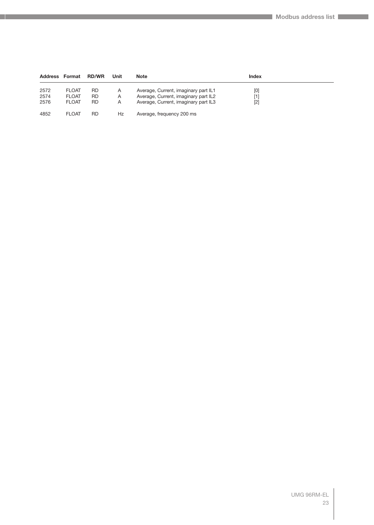| <b>Address Format</b> |              | <b>RD/WR</b> | Unit | Note                                 | Index |  |
|-----------------------|--------------|--------------|------|--------------------------------------|-------|--|
| 2572                  | <b>FLOAT</b> | RD           | A    | Average, Current, imaginary part IL1 | [0]   |  |
| 2574                  | <b>FLOAT</b> | RD.          | A    | Average, Current, imaginary part IL2 |       |  |
| 2576                  | <b>FLOAT</b> | <b>RD</b>    | A    | Average, Current, imaginary part IL3 | [2]   |  |
| 4852                  | <b>FLOAT</b> | RD           | Hz   | Average, frequency 200 ms            |       |  |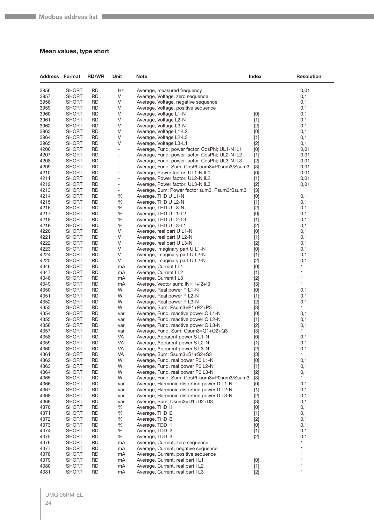#### <span id="page-23-0"></span>**Mean values, type short**

| <b>Address Format</b> |                              | <b>RD/WR</b>           | Unit                     | <b>Note</b>                                                                     | Index                                                                                                                                                                                                                                                                                                                                                                                                                                                                                                                                                                                              | <b>Resolution</b> |
|-----------------------|------------------------------|------------------------|--------------------------|---------------------------------------------------------------------------------|----------------------------------------------------------------------------------------------------------------------------------------------------------------------------------------------------------------------------------------------------------------------------------------------------------------------------------------------------------------------------------------------------------------------------------------------------------------------------------------------------------------------------------------------------------------------------------------------------|-------------------|
| 3956                  | <b>SHORT</b>                 | <b>RD</b>              | Hz                       | Average, measured frequency                                                     |                                                                                                                                                                                                                                                                                                                                                                                                                                                                                                                                                                                                    | 0,01              |
| 3957                  | <b>SHORT</b>                 | <b>RD</b>              | V                        | Average, Voltage, zero sequence                                                 |                                                                                                                                                                                                                                                                                                                                                                                                                                                                                                                                                                                                    | 0,1               |
| 3958                  | <b>SHORT</b>                 | <b>RD</b>              | V                        | Average, Voltage, negative sequence                                             |                                                                                                                                                                                                                                                                                                                                                                                                                                                                                                                                                                                                    | 0,1               |
| 3959                  | <b>SHORT</b>                 | RD                     | V                        | Average, Voltage, positive sequence                                             |                                                                                                                                                                                                                                                                                                                                                                                                                                                                                                                                                                                                    | 0,1               |
| 3960                  | <b>SHORT</b>                 | <b>RD</b>              | V                        | Average, Voltage L1-N                                                           | [0]                                                                                                                                                                                                                                                                                                                                                                                                                                                                                                                                                                                                | 0,1               |
| 3961                  | <b>SHORT</b>                 | <b>RD</b>              | V                        | Average, Voltage L2-N                                                           | $[1]$                                                                                                                                                                                                                                                                                                                                                                                                                                                                                                                                                                                              | 0,1               |
| 3962                  | <b>SHORT</b>                 | <b>RD</b>              | V                        | Average, Voltage L3-N                                                           | $[2]$                                                                                                                                                                                                                                                                                                                                                                                                                                                                                                                                                                                              | 0,1               |
| 3963                  | <b>SHORT</b>                 | <b>RD</b>              | V                        | Average, Voltage L1-L2                                                          | $[0]$                                                                                                                                                                                                                                                                                                                                                                                                                                                                                                                                                                                              | 0,1               |
| 3964                  | <b>SHORT</b>                 | RD                     | V                        | Average, Voltage L2-L3                                                          | $[1]$                                                                                                                                                                                                                                                                                                                                                                                                                                                                                                                                                                                              | 0,1               |
| 3965                  | <b>SHORT</b>                 | <b>RD</b>              | V                        | Average, Voltage L3-L1                                                          | $[2]$                                                                                                                                                                                                                                                                                                                                                                                                                                                                                                                                                                                              | 0,1               |
| 4206                  | <b>SHORT</b>                 | <b>RD</b>              | $\frac{1}{2}$            | Average, Fund. power factor, CosPhi; UL1-N IL1                                  | $[0] % \begin{center} % \includegraphics[width=\linewidth]{imagesSupplemental_3.png} % \end{center} % \caption { % Our method can be used for the use of the image. % Note that the \emph{Def}(i) and the \emph{Def}(i) are the same and the \emph{Def}(i) and the \emph{Def}(i) are the same. % } % \label{fig:Defin_3} %$                                                                                                                                                                                                                                                                        | 0,01              |
| 4207                  | <b>SHORT</b>                 | <b>RD</b>              | $\overline{a}$           | Average, Fund. power factor, CosPhi; UL2-N IL2                                  | $[1]$                                                                                                                                                                                                                                                                                                                                                                                                                                                                                                                                                                                              | 0,01              |
| 4208                  | <b>SHORT</b>                 | <b>RD</b>              | ÷,                       | Average, Fund. power factor, CosPhi; UL3-N IL3                                  | $[2]$                                                                                                                                                                                                                                                                                                                                                                                                                                                                                                                                                                                              | 0,01              |
| 4209                  | <b>SHORT</b>                 | RD                     | ÷,                       | Average, Fund. Sum; CosPhisum3=P0sum3/Ssum3                                     | $[3]$                                                                                                                                                                                                                                                                                                                                                                                                                                                                                                                                                                                              | 0,01              |
| 4210                  | <b>SHORT</b>                 | <b>RD</b>              | $\overline{a}$           | Average, Power factor; UL1-N IL1                                                | [0]                                                                                                                                                                                                                                                                                                                                                                                                                                                                                                                                                                                                | 0,01              |
| 4211<br>4212          | <b>SHORT</b><br><b>SHORT</b> | <b>RD</b><br><b>RD</b> | ÷<br>$\overline{a}$      | Average, Power factor; UL2-N IL2                                                | $[1]$                                                                                                                                                                                                                                                                                                                                                                                                                                                                                                                                                                                              | 0,01              |
| 4213                  | <b>SHORT</b>                 | <b>RD</b>              | $\overline{\phantom{0}}$ | Average, Power factor; UL3-N IL3<br>Average, Sum; Power factor sum3=Psum3/Ssum3 | $[2]$<br>$[3]$                                                                                                                                                                                                                                                                                                                                                                                                                                                                                                                                                                                     | 0,01              |
| 4214                  | <b>SHORT</b>                 | RD                     | %                        | Average, THD U L1-N                                                             | $[0] % \begin{center} % \includegraphics[width=\linewidth]{imagesSupplemental_3.png} % \end{center} % \caption { % Our method can be used for the use of the image. % Note that the \emph{DefNet}~\cite{bib66} as a function of the \emph{DefNet}~\cite{bib66} as a function of the \emph{DefNet}~\cite{bib66} as a function of the \emph{DefNet}~\cite{bib66} as a function of the \emph{DefNet}~\cite{bib66} as a function of the \emph{DefNet}~\cite{bib66} as a function of the \emph{DefNet}~\cite{bib66} as a function of the \emph{DefNet}~\cite{bib66} as a function of the \emph{DefNet}$ | 0,1               |
| 4215                  | <b>SHORT</b>                 | <b>RD</b>              | %                        | Average, THD U L2-N                                                             | $[1]$                                                                                                                                                                                                                                                                                                                                                                                                                                                                                                                                                                                              | 0,1               |
| 4216                  | <b>SHORT</b>                 | <b>RD</b>              | %                        | Average, THD U L3-N                                                             | $[2]$                                                                                                                                                                                                                                                                                                                                                                                                                                                                                                                                                                                              | 0,1               |
| 4217                  | <b>SHORT</b>                 | <b>RD</b>              | %                        | Average, THD U L1-L2                                                            | $[0]$                                                                                                                                                                                                                                                                                                                                                                                                                                                                                                                                                                                              | 0,1               |
| 4218                  | <b>SHORT</b>                 | <b>RD</b>              | %                        | Average, THD U L2-L3                                                            | $[1]$                                                                                                                                                                                                                                                                                                                                                                                                                                                                                                                                                                                              | 0,1               |
| 4219                  | <b>SHORT</b>                 | RD                     | %                        | Average, THD U L3-L1                                                            | $[2]$                                                                                                                                                                                                                                                                                                                                                                                                                                                                                                                                                                                              | 0,1               |
| 4220                  | <b>SHORT</b>                 | <b>RD</b>              | V                        | Average, real part U L1-N                                                       | $[0]$                                                                                                                                                                                                                                                                                                                                                                                                                                                                                                                                                                                              | 0,1               |
| 4221                  | <b>SHORT</b>                 | <b>RD</b>              | V                        | Average, real part U L2-N                                                       | $[1]$                                                                                                                                                                                                                                                                                                                                                                                                                                                                                                                                                                                              | 0,1               |
| 4222                  | <b>SHORT</b>                 | <b>RD</b>              | V                        | Average, real part U L3-N                                                       | $[2]$                                                                                                                                                                                                                                                                                                                                                                                                                                                                                                                                                                                              | 0,1               |
| 4223                  | <b>SHORT</b>                 | <b>RD</b>              | V                        | Average, imaginary part U L1-N                                                  | $[0]$                                                                                                                                                                                                                                                                                                                                                                                                                                                                                                                                                                                              | 0,1               |
| 4224                  | <b>SHORT</b>                 | RD                     | V                        | Average, imaginary part U L2-N                                                  | $[1]$                                                                                                                                                                                                                                                                                                                                                                                                                                                                                                                                                                                              | 0,1               |
| 4225                  | <b>SHORT</b>                 | <b>RD</b>              | V                        | Average, imaginary part U L2-N                                                  | $[2]$                                                                                                                                                                                                                                                                                                                                                                                                                                                                                                                                                                                              | 0,1               |
| 4346                  | <b>SHORT</b>                 | <b>RD</b>              | mA                       | Average, Current I L1                                                           | $[0] % \begin{center} % \includegraphics[width=\linewidth]{imagesSupplemental_3.png} % \end{center} % \caption { % Our method can be used for the use of the image. % Note that the \emph{DefNet}~\cite{bib66} as a function of the \emph{DefNet}~\cite{bib66} as a function of the \emph{DefNet}~\cite{bib66} as a function of the \emph{DefNet}~\cite{bib66} as a function of the \emph{DefNet}~\cite{bib66} as a function of the \emph{DefNet}~\cite{bib66} as a function of the \emph{DefNet}~\cite{bib66} as a function of the \emph{DefNet}~\cite{bib66} as a function of the \emph{DefNet}$ | 1                 |
| 4347                  | <b>SHORT</b>                 | <b>RD</b>              | mA                       | Average, Current I L2                                                           | $[1]$                                                                                                                                                                                                                                                                                                                                                                                                                                                                                                                                                                                              | 1                 |
| 4348                  | <b>SHORT</b>                 | <b>RD</b>              | mA                       | Average, Current I L3                                                           | $[2]$                                                                                                                                                                                                                                                                                                                                                                                                                                                                                                                                                                                              | 1                 |
| 4349                  | <b>SHORT</b>                 | <b>RD</b>              | mA                       | Average, Vector sum; IN=I1+I2+I3                                                | $[3]$                                                                                                                                                                                                                                                                                                                                                                                                                                                                                                                                                                                              | 1                 |
| 4350                  | <b>SHORT</b>                 | <b>RD</b>              | W                        | Average, Real power P L1-N                                                      | [0]                                                                                                                                                                                                                                                                                                                                                                                                                                                                                                                                                                                                | 0,1               |
| 4351                  | <b>SHORT</b>                 | <b>RD</b>              | W                        | Average, Real power P L2-N                                                      | $[1]$                                                                                                                                                                                                                                                                                                                                                                                                                                                                                                                                                                                              | 0,1               |
| 4352                  | <b>SHORT</b>                 | <b>RD</b>              | W                        | Average, Real power P L3-N                                                      | $[2]$                                                                                                                                                                                                                                                                                                                                                                                                                                                                                                                                                                                              | 0,1               |
| 4353<br>4354          | <b>SHORT</b><br><b>SHORT</b> | <b>RD</b><br>RD        | W<br>var                 | Average, Sum; Psum3=P1+P2+P3<br>Average, Fund. reactive power Q L1-N            | $[3]$<br>[0]                                                                                                                                                                                                                                                                                                                                                                                                                                                                                                                                                                                       | 1<br>0,1          |
| 4355                  | <b>SHORT</b>                 | <b>RD</b>              | var                      | Average, Fund. reactive power Q L2-N                                            | $[1]$                                                                                                                                                                                                                                                                                                                                                                                                                                                                                                                                                                                              | 0,1               |
| 4356                  | <b>SHORT</b>                 | <b>RD</b>              | var                      | Average, Fund. reactive power Q L3-N                                            | $[2]$                                                                                                                                                                                                                                                                                                                                                                                                                                                                                                                                                                                              | 0,1               |
| 4357                  | <b>SHORT</b>                 | <b>RD</b>              | var                      | Average, Fund. Sum; Qsum3=Q1+Q2+Q3                                              | $[3]$                                                                                                                                                                                                                                                                                                                                                                                                                                                                                                                                                                                              | 1                 |
| 4358                  | <b>SHORT</b>                 | <b>RD</b>              | VA                       | Average, Apparent power S L1-N                                                  | [0]                                                                                                                                                                                                                                                                                                                                                                                                                                                                                                                                                                                                | 0,1               |
| 4359                  | <b>SHORT</b>                 | RD                     | VA                       | Average, Apparent power S L2-N                                                  | $[1]$                                                                                                                                                                                                                                                                                                                                                                                                                                                                                                                                                                                              | 0,1               |
| 4360                  | <b>SHORT</b>                 | <b>RD</b>              | VA                       | Average, Apparent power S L3-N                                                  | $[2]$                                                                                                                                                                                                                                                                                                                                                                                                                                                                                                                                                                                              | 0,1               |
| 4361                  | <b>SHORT</b>                 | <b>RD</b>              | VA                       | Average, Sum; Ssum3=S1+S2+S3                                                    | $[3]$                                                                                                                                                                                                                                                                                                                                                                                                                                                                                                                                                                                              | 1                 |
| 4362                  | <b>SHORT</b>                 | <b>RD</b>              | W                        | Average, Fund. real power P0 L1-N                                               | $[0] % \begin{center} % \includegraphics[width=\linewidth]{imagesSupplemental_3.png} % \end{center} % \caption { % Our method can be used for the use of the image. % Note that the \emph{Def}(i) and the \emph{Def}(i) are the same and the \emph{Def}(i) and the \emph{Def}(i) are the same. % } % \label{fig:Defin_3} %$                                                                                                                                                                                                                                                                        | 0,1               |
| 4363                  | <b>SHORT</b>                 | <b>RD</b>              | W                        | Average, Fund. real power P0 L2-N                                               | $[1]$                                                                                                                                                                                                                                                                                                                                                                                                                                                                                                                                                                                              | 0,1               |
| 4364                  | <b>SHORT</b>                 | <b>RD</b>              | W                        | Average, Fund. real power P0 L3-N                                               | $[2]$                                                                                                                                                                                                                                                                                                                                                                                                                                                                                                                                                                                              | 0,1               |
| 4365                  | <b>SHORT</b>                 | <b>RD</b>              | W                        | Average, Fund. Sum; CosPhisum3=P0sum3/Ssum3                                     | $[3]$                                                                                                                                                                                                                                                                                                                                                                                                                                                                                                                                                                                              | $\mathbf{1}$      |
| 4366                  | <b>SHORT</b>                 | <b>RD</b>              | var                      | Average, Harmonic distortion power D L1-N                                       | $[0] % \begin{center} % \includegraphics[width=\linewidth]{imagesSupplemental_3.png} % \end{center} % \caption { % Our method can be used for the use of the image. % Note that the \emph{Def}(i) and the \emph{Def}(i) are the same and the \emph{Def}(i) and the \emph{Def}(i) are the same. % } % \label{fig:Defin_3} %$                                                                                                                                                                                                                                                                        | 0,1               |
| 4367                  | <b>SHORT</b>                 | <b>RD</b>              | var                      | Average, Harmonic distortion power D L2-N                                       | $[1]$                                                                                                                                                                                                                                                                                                                                                                                                                                                                                                                                                                                              | 0,1               |
| 4368                  | <b>SHORT</b>                 | <b>RD</b>              | var                      | Average, Harmonic distortion power D L3-N                                       | $[2]$                                                                                                                                                                                                                                                                                                                                                                                                                                                                                                                                                                                              | 0,1               |
| 4369                  | <b>SHORT</b>                 | <b>RD</b>              | var                      | Average, Sum; Dsum3=D1+D2+D3                                                    | $[3]$                                                                                                                                                                                                                                                                                                                                                                                                                                                                                                                                                                                              | 0,1               |
| 4370<br>4371          | <b>SHORT</b><br><b>SHORT</b> | <b>RD</b><br><b>RD</b> | $\%$                     | Average, THD I1<br>Average, THD I2                                              | [0]                                                                                                                                                                                                                                                                                                                                                                                                                                                                                                                                                                                                | 0,1               |
| 4372                  | <b>SHORT</b>                 | <b>RD</b>              | %<br>%                   | Average, THD I3                                                                 | $[1]$<br>$[2]$                                                                                                                                                                                                                                                                                                                                                                                                                                                                                                                                                                                     | 0,1<br>0,1        |
| 4373                  | <b>SHORT</b>                 | <b>RD</b>              | $\%$                     | Average, TDD I1                                                                 | $[0]$                                                                                                                                                                                                                                                                                                                                                                                                                                                                                                                                                                                              | 0,1               |
| 4374                  | <b>SHORT</b>                 | <b>RD</b>              | %                        | Average, TDD I2                                                                 | $[1]$                                                                                                                                                                                                                                                                                                                                                                                                                                                                                                                                                                                              | 0,1               |
| 4375                  | <b>SHORT</b>                 | <b>RD</b>              | $\%$                     | Average, TDD I3                                                                 | $[2]$                                                                                                                                                                                                                                                                                                                                                                                                                                                                                                                                                                                              | 0,1               |
| 4376                  | <b>SHORT</b>                 | <b>RD</b>              | mA                       | Average, Current, zero sequence                                                 |                                                                                                                                                                                                                                                                                                                                                                                                                                                                                                                                                                                                    | 1                 |
| 4377                  | <b>SHORT</b>                 | <b>RD</b>              | mA                       | Average, Current, negative sequence                                             |                                                                                                                                                                                                                                                                                                                                                                                                                                                                                                                                                                                                    | 1                 |
| 4378                  | <b>SHORT</b>                 | <b>RD</b>              | mA                       | Average, Current, positive sequence                                             |                                                                                                                                                                                                                                                                                                                                                                                                                                                                                                                                                                                                    | 1                 |
| 4379                  | <b>SHORT</b>                 | <b>RD</b>              | mA                       | Average, Current, real part I L1                                                | $[0]$                                                                                                                                                                                                                                                                                                                                                                                                                                                                                                                                                                                              | 1                 |
| 4380                  | <b>SHORT</b>                 | <b>RD</b>              | mA                       | Average, Current, real part I L2                                                | $[1]$                                                                                                                                                                                                                                                                                                                                                                                                                                                                                                                                                                                              | 1                 |
| 4381                  | <b>SHORT</b>                 | <b>RD</b>              | mA                       | Average, Current, real part I L3                                                | $[2]$                                                                                                                                                                                                                                                                                                                                                                                                                                                                                                                                                                                              | 1                 |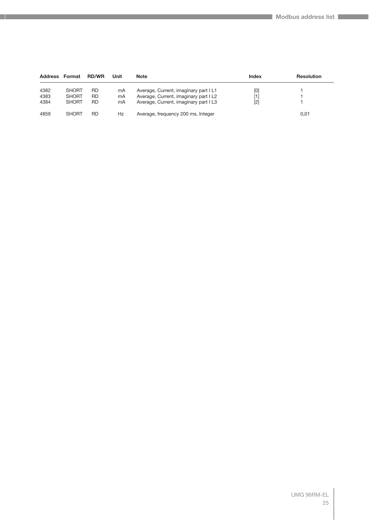| <b>Address</b> | Format       | <b>RD/WR</b> | Unit | <b>Note</b>                           | Index | <b>Resolution</b> |
|----------------|--------------|--------------|------|---------------------------------------|-------|-------------------|
| 4382           | <b>SHORT</b> | <b>RD</b>    | mA   | Average, Current, imaginary part IL1  | [0]   |                   |
| 4383           | <b>SHORT</b> | <b>RD</b>    | mA   | Average, Current, imaginary part I L2 | [1]   |                   |
| 4384           | <b>SHORT</b> | <b>RD</b>    | mA   | Average, Current, imaginary part I L3 | $[2]$ |                   |
| 4859           | <b>SHORT</b> | <b>RD</b>    | Hz   | Average, frequency 200 ms, Integer    |       | 0,01              |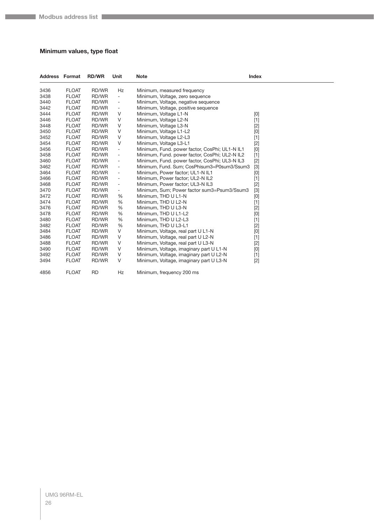#### <span id="page-25-0"></span>**Minimum values, type float**

| <b>Address Format</b> |              | <b>RD/WR</b> | Unit                     | <b>Note</b>                                    | <b>Index</b>                                                                                                                                                                                                                                                                                                                                                                                                                                                                                                                                                                                       |
|-----------------------|--------------|--------------|--------------------------|------------------------------------------------|----------------------------------------------------------------------------------------------------------------------------------------------------------------------------------------------------------------------------------------------------------------------------------------------------------------------------------------------------------------------------------------------------------------------------------------------------------------------------------------------------------------------------------------------------------------------------------------------------|
| 3436                  | <b>FLOAT</b> | RD/WR        | Hz                       | Minimum, measured frequency                    |                                                                                                                                                                                                                                                                                                                                                                                                                                                                                                                                                                                                    |
| 3438                  | <b>FLOAT</b> | RD/WR        | $\overline{\phantom{a}}$ | Minimum, Voltage, zero sequence                |                                                                                                                                                                                                                                                                                                                                                                                                                                                                                                                                                                                                    |
| 3440                  | <b>FLOAT</b> | RD/WR        | $\blacksquare$           | Minimum, Voltage, negative sequence            |                                                                                                                                                                                                                                                                                                                                                                                                                                                                                                                                                                                                    |
| 3442                  | <b>FLOAT</b> | RD/WR        | $\overline{\phantom{a}}$ | Minimum, Voltage, positive sequence            |                                                                                                                                                                                                                                                                                                                                                                                                                                                                                                                                                                                                    |
| 3444                  | <b>FLOAT</b> | RD/WR        | V                        | Minimum, Voltage L1-N                          | [0]                                                                                                                                                                                                                                                                                                                                                                                                                                                                                                                                                                                                |
| 3446                  | <b>FLOAT</b> | RD/WR        | V                        | Minimum, Voltage L2-N                          | $[1]$                                                                                                                                                                                                                                                                                                                                                                                                                                                                                                                                                                                              |
| 3448                  | <b>FLOAT</b> | RD/WR        | V                        | Minimum, Voltage L3-N                          | $[2]$                                                                                                                                                                                                                                                                                                                                                                                                                                                                                                                                                                                              |
| 3450                  | <b>FLOAT</b> | RD/WR        | V                        | Minimum, Voltage L1-L2                         | [0]                                                                                                                                                                                                                                                                                                                                                                                                                                                                                                                                                                                                |
| 3452                  | <b>FLOAT</b> | RD/WR        | V                        | Minimum, Voltage L2-L3                         | $[1]$                                                                                                                                                                                                                                                                                                                                                                                                                                                                                                                                                                                              |
| 3454                  | <b>FLOAT</b> | RD/WR        | V                        | Minimum, Voltage L3-L1                         | $[2]$                                                                                                                                                                                                                                                                                                                                                                                                                                                                                                                                                                                              |
| 3456                  | <b>FLOAT</b> | RD/WR        | $\overline{\phantom{a}}$ | Minimum, Fund. power factor, CosPhi; UL1-N IL1 | [0]                                                                                                                                                                                                                                                                                                                                                                                                                                                                                                                                                                                                |
| 3458                  | <b>FLOAT</b> | RD/WR        | $\overline{\phantom{a}}$ | Minimum, Fund. power factor, CosPhi; UL2-N IL2 | $[1]$                                                                                                                                                                                                                                                                                                                                                                                                                                                                                                                                                                                              |
| 3460                  | <b>FLOAT</b> | RD/WR        | $\overline{\phantom{a}}$ | Minimum, Fund. power factor, CosPhi; UL3-N IL3 | $[2]$                                                                                                                                                                                                                                                                                                                                                                                                                                                                                                                                                                                              |
| 3462                  | <b>FLOAT</b> | RD/WR        | $\overline{\phantom{a}}$ | Minimum, Fund. Sum; CosPhisum3=P0sum3/Ssum3    | $[3]$                                                                                                                                                                                                                                                                                                                                                                                                                                                                                                                                                                                              |
| 3464                  | <b>FLOAT</b> | RD/WR        | $\overline{\phantom{a}}$ | Minimum, Power factor; UL1-N IL1               | [0]                                                                                                                                                                                                                                                                                                                                                                                                                                                                                                                                                                                                |
| 3466                  | <b>FLOAT</b> | RD/WR        | $\overline{\phantom{a}}$ | Minimum, Power factor; UL2-N IL2               | $[1]$                                                                                                                                                                                                                                                                                                                                                                                                                                                                                                                                                                                              |
| 3468                  | <b>FLOAT</b> | RD/WR        | $\overline{\phantom{a}}$ | Minimum, Power factor; UL3-N IL3               | $[2]$                                                                                                                                                                                                                                                                                                                                                                                                                                                                                                                                                                                              |
| 3470                  | <b>FLOAT</b> | RD/WR        | $\overline{\phantom{a}}$ | Minimum, Sum; Power factor sum3=Psum3/Ssum3    | $[3]$                                                                                                                                                                                                                                                                                                                                                                                                                                                                                                                                                                                              |
| 3472                  | <b>FLOAT</b> | RD/WR        | %                        | Minimum, THD U L1-N                            | $[0] % \begin{center} % \includegraphics[width=\linewidth]{imagesSupplemental_3.png} % \end{center} % \caption { % Our method can be used for the use of the image. % Note that the \emph{DefNet}~\cite{bib66} as a function of the \emph{DefNet}~\cite{bib66} as a function of the \emph{DefNet}~\cite{bib66} as a function of the \emph{DefNet}~\cite{bib66} as a function of the \emph{DefNet}~\cite{bib66} as a function of the \emph{DefNet}~\cite{bib66} as a function of the \emph{DefNet}~\cite{bib66} as a function of the \emph{DefNet}~\cite{bib66} as a function of the \emph{DefNet}$ |
| 3474                  | <b>FLOAT</b> | RD/WR        | %                        | Minimum, THD U L2-N                            | $[1]$                                                                                                                                                                                                                                                                                                                                                                                                                                                                                                                                                                                              |
| 3476                  | <b>FLOAT</b> | RD/WR        | %                        | Minimum, THD U L3-N                            | $[2]$                                                                                                                                                                                                                                                                                                                                                                                                                                                                                                                                                                                              |
| 3478                  | <b>FLOAT</b> | RD/WR        | $\%$                     | Minimum, THD U L1-L2                           | [0]                                                                                                                                                                                                                                                                                                                                                                                                                                                                                                                                                                                                |
| 3480                  | <b>FLOAT</b> | RD/WR        | %                        | Minimum, THD U L2-L3                           | $[1]$                                                                                                                                                                                                                                                                                                                                                                                                                                                                                                                                                                                              |
| 3482                  | <b>FLOAT</b> | RD/WR        | %                        | Minimum, THD U L3-L1                           | $[2]$                                                                                                                                                                                                                                                                                                                                                                                                                                                                                                                                                                                              |
| 3484                  | <b>FLOAT</b> | RD/WR        | V                        | Minimum, Voltage, real part U L1-N             | $[0]$                                                                                                                                                                                                                                                                                                                                                                                                                                                                                                                                                                                              |
| 3486                  | <b>FLOAT</b> | RD/WR        | V                        | Minimum, Voltage, real part U L2-N             | $[1]$                                                                                                                                                                                                                                                                                                                                                                                                                                                                                                                                                                                              |
| 3488                  | <b>FLOAT</b> | RD/WR        | V                        | Minimum, Voltage, real part U L3-N             | $[2]$                                                                                                                                                                                                                                                                                                                                                                                                                                                                                                                                                                                              |
| 3490                  | <b>FLOAT</b> | RD/WR        | V                        | Minimum, Voltage, imaginary part U L1-N        | $[0] % \begin{center} % \includegraphics[width=\linewidth]{imagesSupplemental_3.png} % \end{center} % \caption { % Our method can be used for the use of the image. % Note that the \emph{DefNet}~\cite{bib66} as a function of the \emph{DefNet}~\cite{bib66} as a function of the \emph{DefNet}~\cite{bib66} as a function of the \emph{DefNet}~\cite{bib66} as a function of the \emph{DefNet}~\cite{bib66} as a function of the \emph{DefNet}~\cite{bib66} as a function of the \emph{DefNet}~\cite{bib66} as a function of the \emph{DefNet}~\cite{bib66} as a function of the \emph{DefNet}$ |
| 3492                  | <b>FLOAT</b> | RD/WR        | V                        | Minimum, Voltage, imaginary part U L2-N        | $[1]$                                                                                                                                                                                                                                                                                                                                                                                                                                                                                                                                                                                              |
| 3494                  | <b>FLOAT</b> | RD/WR        | V                        | Minimum, Voltage, imaginary part U L3-N        | $[2]$                                                                                                                                                                                                                                                                                                                                                                                                                                                                                                                                                                                              |
| 4856                  | <b>FLOAT</b> | <b>RD</b>    | <b>Hz</b>                | Minimum, frequency 200 ms                      |                                                                                                                                                                                                                                                                                                                                                                                                                                                                                                                                                                                                    |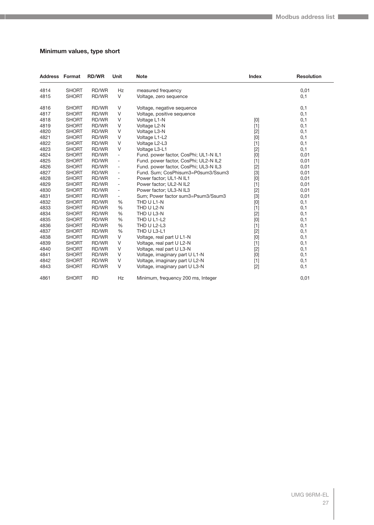#### <span id="page-26-0"></span>**Minimum values, type short**

| <b>Address Format</b> |              | <b>RD/WR</b> | Unit                         | <b>Note</b>                           | <b>Index</b>                                                                                                                                                                                                                                                                                                                                                                                                                                                                                                                                                                                       | <b>Resolution</b> |
|-----------------------|--------------|--------------|------------------------------|---------------------------------------|----------------------------------------------------------------------------------------------------------------------------------------------------------------------------------------------------------------------------------------------------------------------------------------------------------------------------------------------------------------------------------------------------------------------------------------------------------------------------------------------------------------------------------------------------------------------------------------------------|-------------------|
| 4814                  | <b>SHORT</b> | RD/WR        | Hz                           | measured frequency                    |                                                                                                                                                                                                                                                                                                                                                                                                                                                                                                                                                                                                    | 0,01              |
| 4815                  | <b>SHORT</b> | RD/WR        | V                            | Voltage, zero sequence                |                                                                                                                                                                                                                                                                                                                                                                                                                                                                                                                                                                                                    | 0,1               |
| 4816                  | <b>SHORT</b> | RD/WR        | V                            | Voltage, negative sequence            |                                                                                                                                                                                                                                                                                                                                                                                                                                                                                                                                                                                                    | 0,1               |
| 4817                  | <b>SHORT</b> | RD/WR        | V                            | Voltage, positive sequence            |                                                                                                                                                                                                                                                                                                                                                                                                                                                                                                                                                                                                    | 0,1               |
| 4818                  | <b>SHORT</b> | RD/WR        | V                            | Voltage L1-N                          | $[0] % \begin{center} % \includegraphics[width=\linewidth]{imagesSupplemental_3.png} % \end{center} % \caption { % Our method can be used for the use of the image. % Note that the \emph{DefNet}~\cite{bib66} as a function of the \emph{DefNet}~\cite{bib66} as a function of the \emph{DefNet}~\cite{bib66} as a function of the \emph{DefNet}~\cite{bib66} as a function of the \emph{DefNet}~\cite{bib66} as a function of the \emph{DefNet}~\cite{bib66} as a function of the \emph{DefNet}~\cite{bib66} as a function of the \emph{DefNet}~\cite{bib66} as a function of the \emph{DefNet}$ | 0,1               |
| 4819                  | <b>SHORT</b> | RD/WR        | V                            | Voltage L2-N                          | $[1]$                                                                                                                                                                                                                                                                                                                                                                                                                                                                                                                                                                                              | 0,1               |
| 4820                  | <b>SHORT</b> | RD/WR        | V                            | Voltage L3-N                          | $[2]$                                                                                                                                                                                                                                                                                                                                                                                                                                                                                                                                                                                              | 0,1               |
| 4821                  | <b>SHORT</b> | RD/WR        | V                            | Voltage L1-L2                         | $[0] % \begin{center} % \includegraphics[width=\linewidth]{imagesSupplemental_3.png} % \end{center} % \caption { % Our method can be used for the use of the image. % Note that the \emph{DefNet}~\cite{bib66} as a function of the \emph{DefNet}~\cite{bib66} as a function of the \emph{DefNet}~\cite{bib66} as a function of the \emph{DefNet}~\cite{bib66} as a function of the \emph{DefNet}~\cite{bib66} as a function of the \emph{DefNet}~\cite{bib66} as a function of the \emph{DefNet}~\cite{bib66} as a function of the \emph{DefNet}~\cite{bib66} as a function of the \emph{DefNet}$ | 0,1               |
| 4822                  | <b>SHORT</b> | RD/WR        | V                            | Voltage L2-L3                         | $[1]$                                                                                                                                                                                                                                                                                                                                                                                                                                                                                                                                                                                              | 0,1               |
| 4823                  | <b>SHORT</b> | RD/WR        | V                            | Voltage L3-L1                         | $[2]$                                                                                                                                                                                                                                                                                                                                                                                                                                                                                                                                                                                              | 0,1               |
| 4824                  | <b>SHORT</b> | RD/WR        | $\qquad \qquad \blacksquare$ | Fund. power factor, CosPhi; UL1-N IL1 | [0]                                                                                                                                                                                                                                                                                                                                                                                                                                                                                                                                                                                                | 0,01              |
| 4825                  | <b>SHORT</b> | RD/WR        | $\frac{1}{2}$                | Fund. power factor, CosPhi; UL2-N IL2 | $[1]$                                                                                                                                                                                                                                                                                                                                                                                                                                                                                                                                                                                              | 0,01              |
| 4826                  | <b>SHORT</b> | RD/WR        | $\overline{\phantom{a}}$     | Fund. power factor, CosPhi; UL3-N IL3 | $[2]$                                                                                                                                                                                                                                                                                                                                                                                                                                                                                                                                                                                              | 0,01              |
| 4827                  | <b>SHORT</b> | RD/WR        | $\overline{\phantom{a}}$     | Fund. Sum; CosPhisum3=P0sum3/Ssum3    | $[3]$                                                                                                                                                                                                                                                                                                                                                                                                                                                                                                                                                                                              | 0,01              |
| 4828                  | <b>SHORT</b> | RD/WR        | $\overline{\phantom{a}}$     | Power factor; UL1-N IL1               | [0]                                                                                                                                                                                                                                                                                                                                                                                                                                                                                                                                                                                                | 0,01              |
| 4829                  | <b>SHORT</b> | RD/WR        | -                            | Power factor; UL2-N IL2               | $[1]$                                                                                                                                                                                                                                                                                                                                                                                                                                                                                                                                                                                              | 0,01              |
| 4830                  | <b>SHORT</b> | RD/WR        | $\overline{\phantom{0}}$     | Power factor; UL3-N IL3               | $[2]$                                                                                                                                                                                                                                                                                                                                                                                                                                                                                                                                                                                              | 0,01              |
| 4831                  | <b>SHORT</b> | RD/WR        | -                            | Sum; Power factor sum3=Psum3/Ssum3    | $[3]$                                                                                                                                                                                                                                                                                                                                                                                                                                                                                                                                                                                              | 0,01              |
| 4832                  | <b>SHORT</b> | RD/WR        | %                            | THD U L1-N                            | [0]                                                                                                                                                                                                                                                                                                                                                                                                                                                                                                                                                                                                | 0,1               |
| 4833                  | <b>SHORT</b> | RD/WR        | %                            | THD U L2-N                            | $[1]$                                                                                                                                                                                                                                                                                                                                                                                                                                                                                                                                                                                              | 0,1               |
| 4834                  | <b>SHORT</b> | RD/WR        | %                            | THD U L3-N                            | $[2]$                                                                                                                                                                                                                                                                                                                                                                                                                                                                                                                                                                                              | 0,1               |
| 4835                  | <b>SHORT</b> | RD/WR        | %                            | THD U L1-L2                           | [0]                                                                                                                                                                                                                                                                                                                                                                                                                                                                                                                                                                                                | 0,1               |
| 4836                  | <b>SHORT</b> | RD/WR        | %                            | THD U L2-L3                           | $[1]$                                                                                                                                                                                                                                                                                                                                                                                                                                                                                                                                                                                              | 0,1               |
| 4837                  | <b>SHORT</b> | RD/WR        | %                            | THD U L3-L1                           | $[2]$                                                                                                                                                                                                                                                                                                                                                                                                                                                                                                                                                                                              | 0,1               |
| 4838                  | <b>SHORT</b> | RD/WR        | V                            | Voltage, real part U L1-N             | [0]                                                                                                                                                                                                                                                                                                                                                                                                                                                                                                                                                                                                | 0,1               |
| 4839                  | <b>SHORT</b> | RD/WR        | V                            | Voltage, real part U L2-N             | $[1]$                                                                                                                                                                                                                                                                                                                                                                                                                                                                                                                                                                                              | 0,1               |
| 4840                  | <b>SHORT</b> | RD/WR        | $\vee$                       | Voltage, real part U L3-N             | $[2]$                                                                                                                                                                                                                                                                                                                                                                                                                                                                                                                                                                                              | 0,1               |
| 4841                  | <b>SHORT</b> | RD/WR        | V                            | Voltage, imaginary part U L1-N        | [0]                                                                                                                                                                                                                                                                                                                                                                                                                                                                                                                                                                                                | 0,1               |
| 4842                  | <b>SHORT</b> | RD/WR        | $\vee$                       | Voltage, imaginary part U L2-N        | $[1]$                                                                                                                                                                                                                                                                                                                                                                                                                                                                                                                                                                                              | 0,1               |
| 4843                  | <b>SHORT</b> | RD/WR        | V                            | Voltage, imaginary part U L3-N        | $[2]$                                                                                                                                                                                                                                                                                                                                                                                                                                                                                                                                                                                              | 0,1               |
| 4861                  | <b>SHORT</b> | <b>RD</b>    | Hz                           | Minimum, frequency 200 ms, Integer    |                                                                                                                                                                                                                                                                                                                                                                                                                                                                                                                                                                                                    | 0,01              |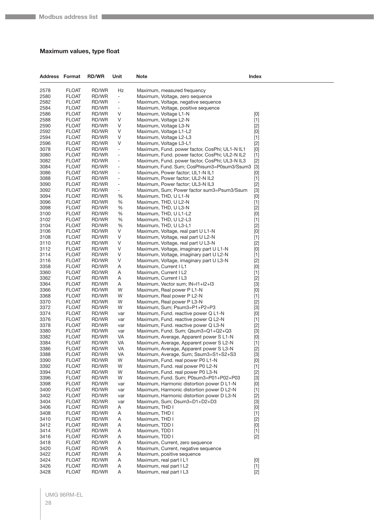#### <span id="page-27-0"></span>**Maximum values, type float**

| <b>Address Format</b> |                              | <b>RD/WR</b>   | Unit                         | <b>Note</b>                                                                  | Index        |
|-----------------------|------------------------------|----------------|------------------------------|------------------------------------------------------------------------------|--------------|
| 2578                  | <b>FLOAT</b>                 | RD/WR          | Hz                           | Maximum, measured frequency                                                  |              |
| 2580                  | <b>FLOAT</b>                 | RD/WR          | $\blacksquare$               | Maximum, Voltage, zero seguence                                              |              |
| 2582                  | <b>FLOAT</b>                 | RD/WR          | $\overline{\phantom{0}}$     | Maximum, Voltage, negative sequence                                          |              |
| 2584                  | <b>FLOAT</b>                 | RD/WR          | $\overline{\phantom{a}}$     | Maximum, Voltage, positive sequence                                          |              |
| 2586                  | <b>FLOAT</b>                 | RD/WR          | V                            | Maximum, Voltage L1-N                                                        | [0]          |
| 2588                  | <b>FLOAT</b>                 | RD/WR          | V                            | Maximum, Voltage L2-N                                                        | $[1]$        |
| 2590                  | <b>FLOAT</b>                 | RD/WR          | V                            | Maximum, Voltage L3-N                                                        | $[2]$        |
| 2592                  | <b>FLOAT</b>                 | RD/WR          | $\vee$                       | Maximum, Voltage L1-L2                                                       | [0]          |
| 2594                  | <b>FLOAT</b>                 | RD/WR          | V                            | Maximum, Voltage L2-L3                                                       | $[1]$        |
| 2596                  | <b>FLOAT</b>                 | RD/WR          | V                            | Maximum, Voltage L3-L1                                                       | $[2]$        |
| 3078                  | <b>FLOAT</b>                 | RD/WR          | $\qquad \qquad -$            | Maximum, Fund. power factor, CosPhi; UL1-N IL1                               | [0]          |
| 3080                  | <b>FLOAT</b>                 | RD/WR          | $\qquad \qquad \blacksquare$ | Maximum, Fund. power factor, CosPhi; UL2-N IL2                               | $[1]$        |
| 3082                  | <b>FLOAT</b>                 | RD/WR          | $\overline{\phantom{0}}$     | Maximum, Fund. power factor, CosPhi; UL3-N IL3                               | $[2]$        |
| 3084                  | <b>FLOAT</b>                 | RD/WR          | $\overline{\phantom{m}}$     | Maximum, Fund. Sum; CosPhisum3=P0sum3/Ssum3                                  | $[3]$        |
| 3086                  | <b>FLOAT</b>                 | RD/WR          | $\overline{a}$               | Maximum, Power factor; UL1-N IL1                                             | [0]          |
| 3088                  | <b>FLOAT</b>                 | RD/WR          | $\qquad \qquad \blacksquare$ | Maximum, Power factor; UL2-N IL2                                             | $[1]$        |
| 3090                  | <b>FLOAT</b>                 | RD/WR          | $\overline{\phantom{0}}$     | Maximum, Power factor; UL3-N IL3                                             | $[2]$        |
| 3092                  | <b>FLOAT</b>                 | RD/WR          | $\overline{\phantom{0}}$     | Maximum, Sum; Power factor sum3=Psum3/Ssum                                   | $[3]$        |
| 3094<br>3096          | <b>FLOAT</b><br><b>FLOAT</b> | RD/WR<br>RD/WR | %<br>%                       | Maximum, THD, U L1-N<br>Maximum, THD, U L2-N                                 | [0]<br>$[1]$ |
| 3098                  | <b>FLOAT</b>                 | RD/WR          | %                            | Maximum, THD, U L3-N                                                         |              |
| 3100                  | <b>FLOAT</b>                 | RD/WR          | %                            | Maximum, THD, U L1-L2                                                        | $[2]$<br>[0] |
| 3102                  | <b>FLOAT</b>                 | RD/WR          | %                            | Maximum, THD, U L2-L3                                                        | $[1]$        |
| 3104                  | <b>FLOAT</b>                 | RD/WR          | %                            | Maximum, THD, U L3-L1                                                        | $[2]$        |
| 3106                  | <b>FLOAT</b>                 | RD/WR          | V                            | Maximum, Voltage, real part U L1-N                                           | [0]          |
| 3108                  | <b>FLOAT</b>                 | RD/WR          | $\vee$                       | Maximum, Voltage, real part U L2-N                                           | $[1]$        |
| 3110                  | <b>FLOAT</b>                 | RD/WR          | V                            | Maximum, Voltage, real part U L3-N                                           | $[2]$        |
| 3112                  | <b>FLOAT</b>                 | RD/WR          | V                            | Maximum, Voltage, imaginary part U L1-N                                      | [0]          |
| 3114                  | <b>FLOAT</b>                 | RD/WR          | V                            | Maximum, Voltage, imaginary part U L2-N                                      | $[1]$        |
| 3116                  | <b>FLOAT</b>                 | RD/WR          | V                            | Maximum, Voltage, imaginary part U L3-N                                      | $[2]$        |
| 3358                  | <b>FLOAT</b>                 | RD/WR          | Α                            | Maximum, Current I L1                                                        | [0]          |
| 3360                  | <b>FLOAT</b>                 | RD/WR          | Α                            | Maximum, Current I L2                                                        | $[1]$        |
| 3362                  | <b>FLOAT</b>                 | RD/WR          | Α                            | Maximum, Current I L3                                                        | $[2]$        |
| 3364                  | <b>FLOAT</b>                 | RD/WR          | Α                            | Maximum, Vector sum; IN=I1+I2+I3                                             | $[3]$        |
| 3366                  | <b>FLOAT</b>                 | RD/WR          | W                            | Maximum, Real power P L1-N                                                   | [0]          |
| 3368                  | <b>FLOAT</b>                 | RD/WR          | W                            | Maximum, Real power P L2-N                                                   | $[1]$        |
| 3370                  | <b>FLOAT</b>                 | RD/WR          | W                            | Maximum, Real power P L3-N                                                   | $[2]$        |
| 3372<br>3374          | FLOAT<br><b>FLOAT</b>        | RD/WR<br>RD/WR | W                            | Maximum, Sum; Psum3=P1+P2+P3                                                 | $[3]$        |
| 3376                  | <b>FLOAT</b>                 | RD/WR          | var<br>var                   | Maximum, Fund. reactive power Q L1-N<br>Maximum, Fund. reactive power Q L2-N | [0]<br>$[1]$ |
| 3378                  | <b>FLOAT</b>                 | RD/WR          | var                          | Maximum, Fund. reactive power Q L3-N                                         | $[2]$        |
| 3380                  | <b>FLOAT</b>                 | RD/WR          | var                          | Maximum, Fund. Sum; Qsum3=Q1+Q2+Q3                                           | $[3]$        |
| 3382                  | FLOAT                        | RD/WR          | VA                           | Maximum, Average, Apparent power SL1-N                                       | [0]          |
| 3384                  | <b>FLOAT</b>                 | RD/WR          | VA                           | Maximum, Average, Apparent power S L2-N                                      | $[1]$        |
| 3386                  | <b>FLOAT</b>                 | RD/WR          | VA                           | Maximum, Average, Apparent power S L3-N                                      | $[2]$        |
| 3388                  | <b>FLOAT</b>                 | RD/WR          | VA                           | Maximum, Average, Sum; Ssum3=S1+S2+S3                                        | $[3]$        |
| 3390                  | FLOAT                        | RD/WR          | W                            | Maximum, Fund. real power P0 L1-N                                            | [0]          |
| 3392                  | <b>FLOAT</b>                 | RD/WR          | W                            | Maximum, Fund. real power P0 L2-N                                            | $[1]$        |
| 3394                  | <b>FLOAT</b>                 | RD/WR          | W                            | Maximum, Fund. real power P0 L3-N                                            | $[2]$        |
| 3396                  | <b>FLOAT</b>                 | RD/WR          | W                            | Maximum, Fund. Sum; P0sum3=P01+P02+P03                                       | $[3]$        |
| 3398                  | <b>FLOAT</b>                 | RD/WR          | var                          | Maximum, Harmonic distortion power D L1-N                                    | [0]          |
| 3400                  | FLOAT                        | RD/WR          | var                          | Maximum, Harmonic distortion power D L2-N                                    | $[1]$        |
| 3402                  | <b>FLOAT</b>                 | RD/WR          | var                          | Maximum, Harmonic distortion power D L3-N                                    | $[2]$        |
| 3404<br>3406          | <b>FLOAT</b><br><b>FLOAT</b> | RD/WR          | var                          | Maximum, Sum; Dsum3=D1+D2+D3<br>Maximum, THD I                               | $[3]$        |
| 3408                  | <b>FLOAT</b>                 | RD/WR<br>RD/WR | Α<br>A                       | Maximum, THD I                                                               | [0]<br>$[1]$ |
| 3410                  | FLOAT                        | RD/WR          | Α                            | Maximum, THD I                                                               | $[2]$        |
| 3412                  | <b>FLOAT</b>                 | RD/WR          | A                            | Maximum, TDD I                                                               | [0]          |
| 3414                  | <b>FLOAT</b>                 | RD/WR          | Α                            | Maximum, TDD I                                                               | $[1]$        |
| 3416                  | <b>FLOAT</b>                 | RD/WR          | Α                            | Maximum, TDD I                                                               | $[2]$        |
| 3418                  | <b>FLOAT</b>                 | RD/WR          | A                            | Maximum, Current, zero sequence                                              |              |
| 3420                  | FLOAT                        | RD/WR          | Α                            | Maximum, Current, negative sequence                                          |              |
| 3422                  | <b>FLOAT</b>                 | RD/WR          | A                            | Maximum, positive sequence                                                   |              |
| 3424                  | <b>FLOAT</b>                 | RD/WR          | Α                            | Maximum, real part I L1                                                      | [0]          |
| 3426                  | <b>FLOAT</b>                 | RD/WR          | Α                            | Maximum, real part I L2                                                      | $[1]$        |
| 3428                  | <b>FLOAT</b>                 | RD/WR          | A                            | Maximum, real part I L3                                                      | $[2]$        |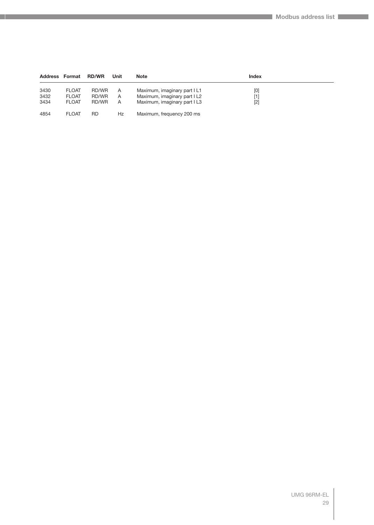|      | <b>Address Format</b> | <b>RD/WR</b> | Unit | <b>Note</b>                  | <b>Index</b> |  |
|------|-----------------------|--------------|------|------------------------------|--------------|--|
| 3430 | <b>FLOAT</b>          | RD/WR        | A    | Maximum, imaginary part I L1 | [0]          |  |
| 3432 | <b>FLOAT</b>          | RD/WR        | A    | Maximum, imaginary part I L2 | [1]          |  |
| 3434 | <b>FLOAT</b>          | RD/WR        | A    | Maximum, imaginary part I L3 | [2]          |  |
| 4854 | <b>FLOAT</b>          | RD           | Hz   | Maximum, frequency 200 ms    |              |  |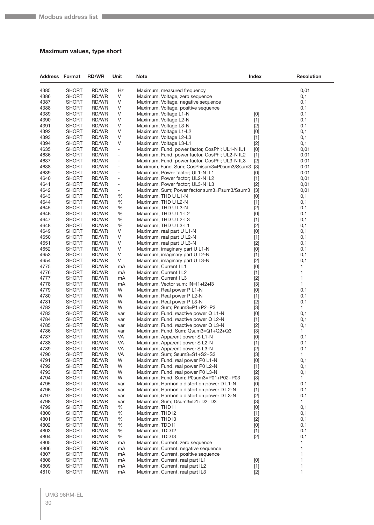#### <span id="page-29-0"></span>**Maximum values, type short**

| <b>Address Format</b> |                              | <b>RD/WR</b>   | Unit                         | Note                                                             | <b>Index</b>   | <b>Resolution</b> |
|-----------------------|------------------------------|----------------|------------------------------|------------------------------------------------------------------|----------------|-------------------|
| 4385                  | <b>SHORT</b>                 | RD/WR          | Hz                           | Maximum, measured frequency                                      |                | 0,01              |
| 4386                  | <b>SHORT</b>                 | RD/WR          | V                            | Maximum, Voltage, zero sequence                                  |                | 0,1               |
| 4387                  | <b>SHORT</b>                 | RD/WR          | V                            | Maximum, Voltage, negative sequence                              |                | 0,1               |
| 4388                  | <b>SHORT</b>                 | RD/WR          | V                            | Maximum, Voltage, positive sequence                              |                | 0,1               |
| 4389                  | <b>SHORT</b>                 | RD/WR          | V                            | Maximum, Voltage L1-N                                            | [0]            | 0,1               |
| 4390                  | <b>SHORT</b>                 | RD/WR          | V                            | Maximum, Voltage L2-N                                            | $[1]$          | 0,1               |
| 4391                  | <b>SHORT</b>                 | RD/WR          | V                            | Maximum, Voltage L3-N                                            | $[2]$          | 0,1               |
| 4392                  | <b>SHORT</b>                 | RD/WR          | V                            | Maximum, Voltage L1-L2                                           | [0]            | 0,1               |
| 4393<br>4394          | <b>SHORT</b><br><b>SHORT</b> | RD/WR          | V<br>$\vee$                  | Maximum, Voltage L2-L3<br>Maximum, Voltage L3-L1                 | $[1]$          | 0,1<br>0,1        |
| 4635                  | <b>SHORT</b>                 | RD/WR<br>RD/WR | $\overline{\phantom{a}}$     | Maximum, Fund. power factor, CosPhi; UL1-N IL1                   | $[2]$<br>$[0]$ | 0,01              |
| 4636                  | <b>SHORT</b>                 | RD/WR          | $\overline{\phantom{a}}$     | Maximum, Fund. power factor, CosPhi; UL2-N IL2                   | $[1]$          | 0,01              |
| 4637                  | <b>SHORT</b>                 | RD/WR          | $\overline{\phantom{0}}$     | Maximum, Fund. power factor, CosPhi; UL3-N IL3                   | $[2]$          | 0,01              |
| 4638                  | <b>SHORT</b>                 | RD/WR          | $\qquad \qquad \blacksquare$ | Maximum, Fund. Sum; CosPhisum3=P0sum3/Ssum3                      | $[3]$          | 0,01              |
| 4639                  | <b>SHORT</b>                 | RD/WR          | $\overline{\phantom{a}}$     | Maximum, Power factor; UL1-N IL1                                 | [0]            | 0,01              |
| 4640                  | <b>SHORT</b>                 | RD/WR          | $\overline{\phantom{0}}$     | Maximum, Power factor; UL2-N IL2                                 | $[1]$          | 0,01              |
| 4641                  | <b>SHORT</b>                 | RD/WR          | $\overline{\phantom{0}}$     | Maximum, Power factor; UL3-N IL3                                 | $[2]$          | 0,01              |
| 4642                  | <b>SHORT</b>                 | RD/WR          | $\qquad \qquad -$            | Maximum, Sum; Power factor sum3=Psum3/Ssum3                      | $[3]$          | 0,01              |
| 4643                  | <b>SHORT</b>                 | RD/WR          | %                            | Maximum, THD U L1-N                                              | [0]            | 0,1               |
| 4644                  | <b>SHORT</b>                 | RD/WR          | %                            | Maximum, THD U L2-N                                              | $[1]$          | 0,1               |
| 4645                  | <b>SHORT</b>                 | RD/WR          | %                            | Maximum, THD U L3-N                                              | $[2]$          | 0,1               |
| 4646                  | <b>SHORT</b>                 | RD/WR          | %                            | Maximum, THD U L1-L2                                             | $[0]$          | 0,1               |
| 4647                  | <b>SHORT</b>                 | RD/WR          | %                            | Maximum, THD U L2-L3                                             | $[1]$          | 0,1               |
| 4648                  | <b>SHORT</b>                 | RD/WR          | %                            | Maximum, THD U L3-L1                                             | $[2]$          | 0,1               |
| 4649                  | <b>SHORT</b>                 | RD/WR          | V                            | Maximum, real part U L1-N                                        | $[0]$          | 0,1               |
| 4650                  | <b>SHORT</b>                 | RD/WR          | V                            | Maximum, real part U L2-N                                        | $[1]$          | 0,1               |
| 4651                  | <b>SHORT</b>                 | RD/WR          | V<br>V                       | Maximum, real part U L3-N<br>Maximum, imaginary part U L1-N      | $[2]$          | 0,1<br>0,1        |
| 4652<br>4653          | <b>SHORT</b><br><b>SHORT</b> | RD/WR<br>RD/WR | V                            | Maximum, imaginary part U L2-N                                   | [0]<br>$[1]$   | 0,1               |
| 4654                  | <b>SHORT</b>                 | RD/WR          | V                            | Maximum, imaginary part U L3-N                                   | $[2]$          | 0,1               |
| 4775                  | <b>SHORT</b>                 | RD/WR          | mA                           | Maximum, Current I L1                                            | [0]            | 1                 |
| 4776                  | <b>SHORT</b>                 | RD/WR          | mA                           | Maximum, Current I L2                                            | $[1]$          | 1                 |
| 4777                  | <b>SHORT</b>                 | RD/WR          | mA                           | Maximum, Current I L3                                            | $[2]$          | 1                 |
| 4778                  | <b>SHORT</b>                 | RD/WR          | mA                           | Maximum, Vector sum; IN=I1+I2+I3                                 | $[3]$          | 1                 |
| 4779                  | <b>SHORT</b>                 | RD/WR          | W                            | Maximum, Real power P L1-N                                       | [0]            | 0,1               |
| 4780                  | <b>SHORT</b>                 | RD/WR          | W                            | Maximum, Real power P L2-N                                       | $[1]$          | 0,1               |
| 4781                  | <b>SHORT</b>                 | RD/WR          | W                            | Maximum, Real power P L3-N                                       | $[2]$          | 0,1               |
| 4782                  | <b>SHORT</b>                 | RD/WR          | W                            | Maximum, Sum; Psum3=P1+P2+P3                                     | $[3]$          | 1                 |
| 4783                  | <b>SHORT</b>                 | RD/WR          | var                          | Maximum, Fund. reactive power Q L1-N                             | [0]            | 0,1               |
| 4784                  | <b>SHORT</b>                 | RD/WR          | var                          | Maximum, Fund. reactive power Q L2-N                             | $[1]$          | 0,1               |
| 4785                  | <b>SHORT</b>                 | RD/WR          | var                          | Maximum, Fund. reactive power Q L3-N                             | $[2]$          | 0,1               |
| 4786                  | <b>SHORT</b>                 | RD/WR          | var                          | Maximum, Fund. Sum; Qsum3=Q1+Q2+Q3                               | $[3]$          | 1                 |
| 4787<br>4788          | <b>SHORT</b><br><b>SHORT</b> | RD/WR<br>RD/WR | VA<br>VA                     | Maximum, Apparent power S L1-N<br>Maximum, Apparent power S L2-N | [0]<br>$[1]$   | 0,1<br>0,1        |
| 4789                  | <b>SHORT</b>                 | RD/WR          | VA                           | Maximum, Apparent power S L3-N                                   | $[2]$          | 0,1               |
| 4790                  | <b>SHORT</b>                 | RD/WR          | VA                           | Maximum, Sum; Ssum3=S1+S2+S3                                     | $[3]$          | $\mathbf{1}$      |
| 4791                  | <b>SHORT</b>                 | RD/WR          | W                            | Maximum, Fund. real power P0 L1-N                                | [0]            | 0,1               |
| 4792                  | <b>SHORT</b>                 | RD/WR          | W                            | Maximum, Fund. real power P0 L2-N                                | $[1]$          | 0,1               |
| 4793                  | <b>SHORT</b>                 | RD/WR          | W                            | Maximum, Fund. real power P0 L3-N                                | $[2]$          | 0,1               |
| 4794                  | <b>SHORT</b>                 | RD/WR          | W                            | Maximum, Fund. Sum; P0sum3=P01+P02+P03                           | $[3]$          | $\mathbf{1}$      |
| 4795                  | <b>SHORT</b>                 | RD/WR          | var                          | Maximum, Harmonic distortion power D L1-N                        | [0]            | 0,1               |
| 4796                  | <b>SHORT</b>                 | RD/WR          | var                          | Maximum, Harmonic distortion power D L2-N                        | $[1]$          | 0,1               |
| 4797                  | <b>SHORT</b>                 | RD/WR          | var                          | Maximum, Harmonic distortion power D L3-N                        | $[2]$          | 0,1               |
| 4798                  | <b>SHORT</b>                 | RD/WR          | var                          | Maximum, Sum; Dsum3=D1+D2+D3                                     | $[3]$          | $\mathbf{1}$      |
| 4799                  | <b>SHORT</b>                 | RD/WR          | %                            | Maximum, THD I1                                                  | [0]            | 0,1               |
| 4800                  | <b>SHORT</b>                 | RD/WR          | %                            | Maximum, THD I2                                                  | $[1]$          | 0,1               |
| 4801                  | <b>SHORT</b>                 | RD/WR          | $\%$                         | Maximum, THD I3                                                  | $[2]$          | 0,1               |
| 4802                  | <b>SHORT</b>                 | RD/WR          | %                            | Maximum, TDD I1                                                  | [0]            | 0,1               |
| 4803<br>4804          | <b>SHORT</b><br><b>SHORT</b> | RD/WR<br>RD/WR | $\%$<br>%                    | Maximum, TDD I2<br>Maximum, TDD I3                               | $[1]$<br>$[2]$ | 0,1<br>0,1        |
| 4805                  | <b>SHORT</b>                 | RD/WR          | mA                           | Maximum, Current, zero sequence                                  |                | 1                 |
| 4806                  | <b>SHORT</b>                 | RD/WR          | mA                           | Maximum, Current, negative sequence                              |                | 1                 |
| 4807                  | <b>SHORT</b>                 | RD/WR          | mA                           | Maximum, Current, positive sequence                              |                | 1                 |
| 4808                  | <b>SHORT</b>                 | RD/WR          | mA                           | Maximum, Current, real part IL1                                  | [0]            | 1                 |
| 4809                  | <b>SHORT</b>                 | RD/WR          | mA                           | Maximum, Current, real part IL2                                  | $[1]$          | 1                 |
| 4810                  | <b>SHORT</b>                 | RD/WR          | mA                           | Maximum, Current, real part IL3                                  | $[2]$          | $\mathbf{1}$      |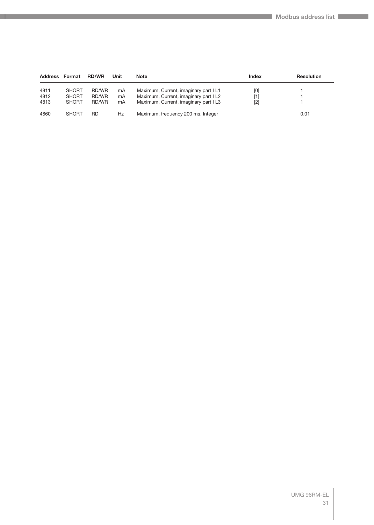| <b>Address</b> | Format                       | <b>RD/WR</b>       | Unit     | <b>Note</b>                                                                  | <b>Index</b> | <b>Resolution</b> |
|----------------|------------------------------|--------------------|----------|------------------------------------------------------------------------------|--------------|-------------------|
| 4811<br>4812   | <b>SHORT</b><br><b>SHORT</b> | RD/WR<br>RD/WR     | mA<br>mA | Maximum, Current, imaginary part IL1<br>Maximum, Current, imaginary part IL2 | [0]<br>[1]   |                   |
| 4813<br>4860   | <b>SHORT</b><br><b>SHORT</b> | RD/WR<br><b>RD</b> | mA<br>Hz | Maximum, Current, imaginary part IL3<br>Maximum, frequency 200 ms, Integer   | $[2]$        | 0,01              |
|                |                              |                    |          |                                                                              |              |                   |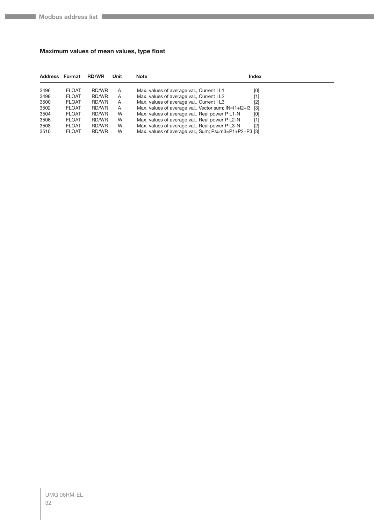#### <span id="page-31-0"></span>**Maximum values of mean values, type float**

| <b>Address Format</b> |              | <b>RD/WR</b> | Unit | <b>Note</b>                                          | <b>Index</b> |
|-----------------------|--------------|--------------|------|------------------------------------------------------|--------------|
| 3496                  | <b>FLOAT</b> | RD/WR        | A    | Max. values of average val., Current I L1            | [0]          |
| 3498                  | <b>FLOAT</b> | RD/WR        | Α    | Max. values of average val., Current I L2            | [1]          |
| 3500                  | <b>FLOAT</b> | RD/WR        | A    | Max. values of average val., Current I L3            | [2]          |
| 3502                  | <b>FLOAT</b> | RD/WR        | A    | Max. values of average val., Vector sum; IN=I1+I2+I3 | $[3]$        |
| 3504                  | <b>FLOAT</b> | RD/WR        | W    | Max. values of average val., Real power P L1-N       | [0]          |
| 3506                  | <b>FLOAT</b> | RD/WR        | W    | Max. values of average val., Real power P L2-N       | [1]          |
| 3508                  | <b>FLOAT</b> | RD/WR        | W    | Max. values of average val., Real power P L3-N       | $[2]$        |
| 3510                  | <b>FLOAT</b> | RD/WR        | W    | Max. values of average val., Sum; Psum3=P1+P2+P3 [3] |              |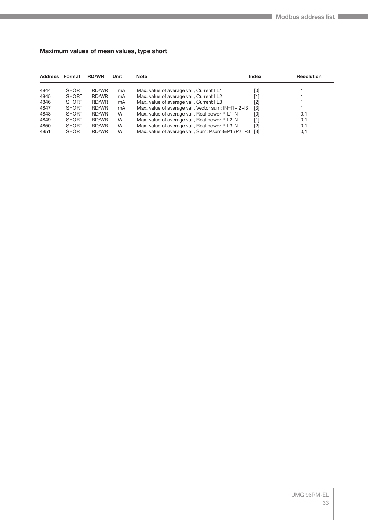#### <span id="page-32-0"></span>**Maximum values of mean values, type short**

| <b>Address Format</b> |              | <b>RD/WR</b> | Unit | <b>Note</b>                                         | <b>Index</b>      | <b>Resolution</b> |
|-----------------------|--------------|--------------|------|-----------------------------------------------------|-------------------|-------------------|
| 4844                  | <b>SHORT</b> | RD/WR        | mA   | Max. value of average val., Current I L1            | [0]               |                   |
| 4845                  | <b>SHORT</b> | RD/WR        | mA   | Max. value of average val., Current I L2            | [1]               |                   |
| 4846                  | <b>SHORT</b> | RD/WR        | mA   | Max. value of average val., Current I L3            | [2]               |                   |
| 4847                  | <b>SHORT</b> | RD/WR        | mA   | Max. value of average val., Vector sum; IN=I1+I2+I3 | $[3]$             |                   |
| 4848                  | <b>SHORT</b> | RD/WR        | W    | Max. value of average val., Real power P L1-N       | [0]               | 0,1               |
| 4849                  | <b>SHORT</b> | RD/WR        | W    | Max. value of average val., Real power P L2-N       | [1]               | 0,1               |
| 4850                  | <b>SHORT</b> | RD/WR        | W    | Max. value of average val., Real power P L3-N       | $[2]$             | 0,1               |
| 4851                  | <b>SHORT</b> | RD/WR        | W    | Max. value of average val., Sum; Psum3=P1+P2+P3     | $\lceil 3 \rceil$ | 0,1               |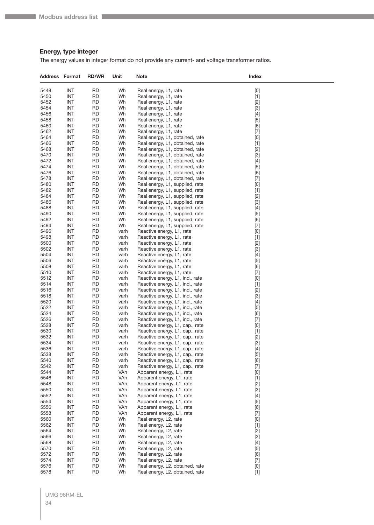#### <span id="page-33-0"></span>**Energy, type integer**

The energy values in integer format do not provide any current- and voltage transformer ratios.

| 5448<br><b>INT</b><br><b>RD</b><br>Wh<br>[0]<br>Real energy, L1, rate<br><b>INT</b><br><b>RD</b><br>$[1]$<br>5450<br>Wh<br>Real energy, L1, rate<br>5452<br><b>INT</b><br>RD<br>Wh<br>$[2]$<br>Real energy, L1, rate<br>$[3]$<br>5454<br><b>INT</b><br><b>RD</b><br>Wh<br>Real energy, L1, rate<br>5456<br><b>INT</b><br>$[4]$<br>RD<br>Wh<br>Real energy, L1, rate<br>5458<br><b>INT</b><br>$[5]$<br>RD<br>Wh<br>Real energy, L1, rate<br><b>INT</b><br>5460<br><b>RD</b><br>Wh<br>[6]<br>Real energy, L1, rate<br>5462<br><b>INT</b><br><b>RD</b><br>$[7]$<br>Wh<br>Real energy, L1, rate<br>5464<br><b>INT</b><br><b>RD</b><br>Wh<br>$[0] % \begin{center} % \includegraphics[width=\linewidth]{imagesSupplemental_3.png} % \end{center} % \caption { % Our method can be used for the use of the image. % Note that the \emph{DefNet}~\cite{bib66} as a function of the \emph{DefNet}~\cite{bib66} as a function of the \emph{DefNet}~\cite{bib66} as a function of the \emph{DefNet}~\cite{bib66} as a function of the \emph{DefNet}~\cite{bib66} as a function of the \emph{DefNet}~\cite{bib66} as a function of the \emph{DefNet}~\cite{bib66} as a function of the \emph{DefNet}~\cite{bib66} as a function of the \emph{DefNet}$<br>Real energy, L1, obtained, rate<br>5466<br><b>INT</b><br>RD<br>Wh<br>Real energy, L1, obtained, rate<br>$[1]$<br><b>INT</b><br>$[2]$<br>5468<br>RD<br>Wh<br>Real energy, L1, obtained, rate<br><b>INT</b><br>5470<br><b>RD</b><br>Wh<br>$[3]$<br>Real energy, L1, obtained, rate<br>5472<br><b>INT</b><br><b>RD</b><br>$[4]$<br>Wh<br>Real energy, L1, obtained, rate<br>5474<br><b>INT</b><br><b>RD</b><br>Wh<br>$[5]$<br>Real energy, L1, obtained, rate<br>5476<br><b>INT</b><br><b>RD</b><br>[6]<br>Wh<br>Real energy, L1, obtained, rate<br>5478<br><b>INT</b><br>RD<br>Wh<br>Real energy, L1, obtained, rate<br>$[7] \centering% \includegraphics[width=1\textwidth]{images/TransY.pdf} \caption{The first two different values of $d=3$ and $d=4$ (left) and $d=5$ (right) and $d=6$ (right). The first two different values of $d=2$ (right).} \label{fig:class}$<br>5480<br><b>INT</b><br><b>RD</b><br>Wh<br>$[0] % \begin{center} % \includegraphics[width=\linewidth]{imagesSupplemental_3.png} % \end{center} % \caption { % Our method can be used for the use of the image. % Note that the \emph{DefNet}~\cite{bib66} as a function of the \emph{DefNet}~\cite{bib66} as a function of the \emph{DefNet}~\cite{bib66} as a function of the \emph{DefNet}~\cite{bib66} as a function of the \emph{DefNet}~\cite{bib66} as a function of the \emph{DefNet}~\cite{bib66} as a function of the \emph{DefNet}~\cite{bib66} as a function of the \emph{DefNet}~\cite{bib66} as a function of the \emph{DefNet}$<br>Real energy, L1, supplied, rate<br>5482<br><b>INT</b><br><b>RD</b><br>$[1]$<br>Wh<br>Real energy, L1, supplied, rate<br>$[2]$<br>5484<br><b>INT</b><br><b>RD</b><br>Wh<br>Real energy, L1, supplied, rate<br>5486<br><b>INT</b><br><b>RD</b><br>Wh<br>Real energy, L1, supplied, rate<br>$[3]$<br>5488<br><b>INT</b><br><b>RD</b><br>Wh<br>Real energy, L1, supplied, rate<br>$[4] % \begin{center} \includegraphics[width=\linewidth]{imagesSupplemental/Imetad-Architecture.png} \end{center} \caption{The image shows the image shows a single number of times, and the image shows a single number of times.} \label{fig:limal}$<br>$[5]$<br>5490<br><b>INT</b><br><b>RD</b><br>Wh<br>Real energy, L1, supplied, rate<br>5492<br><b>INT</b><br><b>RD</b><br>[6]<br>Wh<br>Real energy, L1, supplied, rate<br>5494<br><b>INT</b><br><b>RD</b><br>$[7]$<br>Wh<br>Real energy, L1, supplied, rate<br>5496<br><b>INT</b><br>RD<br>Reactive energy, L1, rate<br>[0]<br>varh<br>5498<br><b>INT</b><br><b>RD</b><br>varh<br>Reactive energy, L1, rate<br>$[1]$<br>$[2]$<br>5500<br><b>INT</b><br><b>RD</b><br>varh<br>Reactive energy, L1, rate<br>5502<br><b>INT</b><br><b>RD</b><br>$[3]$<br>varh<br>Reactive energy, L1, rate<br>5504<br><b>INT</b><br><b>RD</b><br>$[4]$<br>varh<br>Reactive energy, L1, rate<br>5506<br><b>INT</b><br><b>RD</b><br>varh<br>Reactive energy, L1, rate<br>$[5]$<br>5508<br><b>INT</b><br><b>RD</b><br>varh<br>Reactive energy, L1, rate<br>[6]<br>$[7]$<br>5510<br><b>INT</b><br><b>RD</b><br>varh<br>Reactive energy, L1, rate<br>5512<br><b>INT</b><br><b>RD</b><br>$[0] % \begin{center} % \includegraphics[width=\linewidth]{imagesSupplemental_3.png} % \end{center} % \caption { % Our method can be used for the use of the image. % Note that the \emph{DefNet}~\cite{bib66} as a function of the \emph{DefNet}~\cite{bib66} as a function of the \emph{DefNet}~\cite{bib66} as a function of the \emph{DefNet}~\cite{bib66} as a function of the \emph{DefNet}~\cite{bib66} as a function of the \emph{DefNet}~\cite{bib66} as a function of the \emph{DefNet}~\cite{bib66} as a function of the \emph{DefNet}~\cite{bib66} as a function of the \emph{DefNet}$<br>varh<br>Reactive energy, L1, ind., rate<br>5514<br><b>INT</b><br><b>RD</b><br>$[1]$<br>varh<br>Reactive energy, L1, ind., rate<br>5516<br><b>INT</b><br>RD<br>varh<br>Reactive energy, L1, ind., rate<br>$[2]$<br>5518<br><b>INT</b><br><b>RD</b><br>varh<br>Reactive energy, L1, ind., rate<br>$[3]$<br>5520<br><b>INT</b><br><b>RD</b><br>$[4]$<br>varh<br>Reactive energy, L1, ind., rate<br>5522<br><b>INT</b><br><b>RD</b><br>$[5]$<br>varh<br>Reactive energy, L1, ind., rate<br>5524<br><b>INT</b><br><b>RD</b><br>[6]<br>varh<br>Reactive energy, L1, ind., rate<br>5526<br><b>INT</b><br>RD<br>varh<br>Reactive energy, L1, ind., rate<br>$[7]$<br>5528<br><b>INT</b><br><b>RD</b><br>Reactive energy, L1, cap., rate<br>[0]<br>varh<br>$[1]$<br>5530<br><b>INT</b><br><b>RD</b><br>varh<br>Reactive energy, L1, cap., rate<br>5532<br>INT<br>RD<br>$[2]$<br>varh<br>Reactive energy, L1, cap., rate<br>$[3]$<br>5534<br>INT<br>RD<br>varh<br>Reactive energy, L1, cap., rate<br>5536<br><b>INT</b><br><b>RD</b><br>$[4]$<br>varh<br>Reactive energy, L1, cap., rate<br>5538<br><b>INT</b><br><b>RD</b><br>$[5]$<br>varh<br>Reactive energy, L1, cap., rate<br><b>INT</b><br>[6]<br>5540<br><b>RD</b><br>Reactive energy, L1, cap., rate<br>varh<br>5542<br><b>INT</b><br><b>RD</b><br>$[7]$<br>varh<br>Reactive energy, L1, cap., rate<br><b>INT</b><br>5544<br><b>RD</b><br>VAh<br>Apparent energy, L1, rate<br>$[0] % \begin{center} % \includegraphics[width=\linewidth]{imagesSupplemental_3.png} % \end{center} % \caption { % Our method can be used for the use of the image. % Note that the \emph{DefNet}~\cite{bib66} as a function of the \emph{DefNet}~\cite{bib66} as a function of the \emph{DefNet}~\cite{bib66} as a function of the \emph{DefNet}~\cite{bib66} as a function of the \emph{DefNet}~\cite{bib66} as a function of the \emph{DefNet}~\cite{bib66} as a function of the \emph{DefNet}~\cite{bib66} as a function of the \emph{DefNet}~\cite{bib66} as a function of the \emph{DefNet}$<br>5546<br><b>INT</b><br><b>RD</b><br>VAh<br>$[1]$<br>Apparent energy, L1, rate<br>5548<br><b>INT</b><br><b>RD</b><br>VAh<br>$[2]$<br>Apparent energy, L1, rate<br>$[3]$<br>5550<br><b>INT</b><br><b>RD</b><br>VAh<br>Apparent energy, L1, rate<br>5552<br><b>INT</b><br><b>RD</b><br>VAh<br>$[4]$<br>Apparent energy, L1, rate<br><b>INT</b><br>$[5]$<br>5554<br><b>RD</b><br>VAh<br>Apparent energy, L1, rate<br>5556<br><b>INT</b><br><b>RD</b><br>VAh<br>[6]<br>Apparent energy, L1, rate<br>5558<br><b>INT</b><br><b>RD</b><br>VAh<br>$[7]$<br>Apparent energy, L1, rate<br>$[0] % \begin{center} % \includegraphics[width=\linewidth]{imagesSupplemental_3.png} % \end{center} % \caption { % Our method can be used for the use of the image. % Note that the \emph{Def}(i) and the \emph{Def}(i) are the same and the \emph{Def}(i) and the \emph{Def}(i) are the same. % } % \label{fig:Defin_3} %$<br>5560<br><b>INT</b><br><b>RD</b><br>Wh<br>Real energy, L2, rate<br>5562<br><b>INT</b><br><b>RD</b><br>Wh<br>$[1]$<br>Real energy, L2, rate<br><b>INT</b><br>$[2]$<br>5564<br><b>RD</b><br>Wh<br>Real energy, L2, rate<br>5566<br><b>INT</b><br><b>RD</b><br>$[3]$<br>Wh<br>Real energy, L2, rate<br>5568<br><b>INT</b><br><b>RD</b><br>Wh<br>Real energy, L2, rate<br>$[4]$<br>INT<br>$[5]$<br>5570<br><b>RD</b><br>Wh<br>Real energy, L2, rate<br>5572<br><b>INT</b><br><b>RD</b><br>[6]<br>Wh<br>Real energy, L2, rate<br>INT<br>$[7]$<br>5574<br><b>RD</b><br>Wh<br>Real energy, L2, rate<br>5576<br><b>INT</b><br><b>RD</b><br>$[0] % \begin{center} % \includegraphics[width=\linewidth]{imagesSupplemental_3.png} % \end{center} % \caption { % Our method can be used for the proposed method. % Note that the \emph{exponent} is used to be used in the image. % Note that the \emph{exponent} is used in the image. % Note that the \emph{exponent} is used to be used in the image. % Note that the \emph{exponent} is used in the image. % Note that the \emph{exponent} is used in the image. % Note that the \emph{exportector} is used in the image. % Note that the \emph{exportector} is used in the image. % Note that the \emph{exportector} is used in the image. % Note that the \emph{exportector} is used in the image. % Note that the \emph{export$<br>Wh<br>Real energy, L2, obtained, rate | <b>Address Format</b> |            | <b>RD/WR</b> | Unit | Note                            | Index |
|--------------------------------------------------------------------------------------------------------------------------------------------------------------------------------------------------------------------------------------------------------------------------------------------------------------------------------------------------------------------------------------------------------------------------------------------------------------------------------------------------------------------------------------------------------------------------------------------------------------------------------------------------------------------------------------------------------------------------------------------------------------------------------------------------------------------------------------------------------------------------------------------------------------------------------------------------------------------------------------------------------------------------------------------------------------------------------------------------------------------------------------------------------------------------------------------------------------------------------------------------------------------------------------------------------------------------------------------------------------------------------------------------------------------------------------------------------------------------------------------------------------------------------------------------------------------------------------------------------------------------------------------------------------------------------------------------------------------------------------------------------------------------------------------------------------------------------------------------------------------------------------------------------------------------------------------------------------------------------------------------------------------------------------------------------------------------------------------------------------------------------------------------------------------------------------------------------------------------------------------------------------------------------------------------------------------------------------------------------------------------------------------------------------------------------------------------------------------------------------------------------------------------------------------------------------------------------------------------------------------------------------------------------------------------------------------------------------------------------------------------------------------------------------------------------------------------------------------------------------------------------------------------------------------------------------------------------------------------------------------------------------------------------------------------------------------------------------------------------------------------------------------------------------------------------------------------------------------------------------------------------------------------------------------------------------------------------------------------------------------------------------------------------------------------------------------------------------------------------------------------------------------------------------------------------------------------------------------------------------------------------------------------------------------------------------------------------------------------------------------------------------------------------------------------------------------------------------------------------------------------------------------------------------------------------------------------------------------------------------------------------------------------------------------------------------------------------------------------------------------------------------------------------------------------------------------------------------------------------------------------------------------------------------------------------------------------------------------------------------------------------------------------------------------------------------------------------------------------------------------------------------------------------------------------------------------------------------------------------------------------------------------------------------------------------------------------------------------------------------------------------------------------------------------------------------------------------------------------------------------------------------------------------------------------------------------------------------------------------------------------------------------------------------------------------------------------------------------------------------------------------------------------------------------------------------------------------------------------------------------------------------------------------------------------------------------------------------------------------------------------------------------------------------------------------------------------------------------------------------------------------------------------------------------------------------------------------------------------------------------------------------------------------------------------------------------------------------------------------------------------------------------------------------------------------------------------------------------------------------------------------------------------------------------------------------------------------------------------------------------------------------------------------------------------------------------------------------------------------------------------------------------------------------------------------------------------------------------------------------------------------------------------------------------------------------------------------------------------------------------------------------------------------------------------------------------------------------------------------------------------------------------------------------------------------------------------------------------------------------------------------------------------------------------------------------------------------------------------------------------------------------------------------------------------------------------------------------------------------------------------------------------------------------------------------------------------------------------------------------------------------------------------------------------------------------------------------------------------------------------------------------------------------------------------------------------------------------------------------------------------------------------------------------------------------------------------------------------------------------------------------------------------------------------------------------------------------------------------------------------------------------------------------------------------------------------------------------------------------------------------------------------------------------------------------------------------------------------------------------------------------------------------------------------------------------------------------------------------------------------------------------------------------------------------------------------------------------------------------------------------------------------------------------------------------------------------------------------------------------------------------------------------------------------------------------------------------------------------------------------------------------------------------------------------------------------------------------------------------------------------------------------------------------------------------------------------------------------------------------------------------------------------------------------------------------------------------------------------------------------------------------------------------------------------------------------------------------------------------------------------------------------------------------------------------------------------------------------------------------------------------------------------------------------------------------------------------------------------------------------------------------------------------------------------------------------------------------------------------------------------------------------------------------------------------------------------------------------------------------------------------------------------------------------------------------------------------------------------------|-----------------------|------------|--------------|------|---------------------------------|-------|
|                                                                                                                                                                                                                                                                                                                                                                                                                                                                                                                                                                                                                                                                                                                                                                                                                                                                                                                                                                                                                                                                                                                                                                                                                                                                                                                                                                                                                                                                                                                                                                                                                                                                                                                                                                                                                                                                                                                                                                                                                                                                                                                                                                                                                                                                                                                                                                                                                                                                                                                                                                                                                                                                                                                                                                                                                                                                                                                                                                                                                                                                                                                                                                                                                                                                                                                                                                                                                                                                                                                                                                                                                                                                                                                                                                                                                                                                                                                                                                                                                                                                                                                                                                                                                                                                                                                                                                                                                                                                                                                                                                                                                                                                                                                                                                                                                                                                                                                                                                                                                                                                                                                                                                                                                                                                                                                                                                                                                                                                                                                                                                                                                                                                                                                                                                                                                                                                                                                                                                                                                                                                                                                                                                                                                                                                                                                                                                                                                                                                                                                                                                                                                                                                                                                                                                                                                                                                                                                                                                                                                                                                                                                                                                                                                                                                                                                                                                                                                                                                                                                                                                                                                                                                                                                                                                                                                                                                                                                                                                                                                                                                                                                                                                                                                                                                                                                                                                                                                                                                                                                                                                                                                                                                                                                                                                                                                                                                                                                                                                                                                                                                                                                                                                                                                                                                                                                                                        |                       |            |              |      |                                 |       |
|                                                                                                                                                                                                                                                                                                                                                                                                                                                                                                                                                                                                                                                                                                                                                                                                                                                                                                                                                                                                                                                                                                                                                                                                                                                                                                                                                                                                                                                                                                                                                                                                                                                                                                                                                                                                                                                                                                                                                                                                                                                                                                                                                                                                                                                                                                                                                                                                                                                                                                                                                                                                                                                                                                                                                                                                                                                                                                                                                                                                                                                                                                                                                                                                                                                                                                                                                                                                                                                                                                                                                                                                                                                                                                                                                                                                                                                                                                                                                                                                                                                                                                                                                                                                                                                                                                                                                                                                                                                                                                                                                                                                                                                                                                                                                                                                                                                                                                                                                                                                                                                                                                                                                                                                                                                                                                                                                                                                                                                                                                                                                                                                                                                                                                                                                                                                                                                                                                                                                                                                                                                                                                                                                                                                                                                                                                                                                                                                                                                                                                                                                                                                                                                                                                                                                                                                                                                                                                                                                                                                                                                                                                                                                                                                                                                                                                                                                                                                                                                                                                                                                                                                                                                                                                                                                                                                                                                                                                                                                                                                                                                                                                                                                                                                                                                                                                                                                                                                                                                                                                                                                                                                                                                                                                                                                                                                                                                                                                                                                                                                                                                                                                                                                                                                                                                                                                                                                        |                       |            |              |      |                                 |       |
|                                                                                                                                                                                                                                                                                                                                                                                                                                                                                                                                                                                                                                                                                                                                                                                                                                                                                                                                                                                                                                                                                                                                                                                                                                                                                                                                                                                                                                                                                                                                                                                                                                                                                                                                                                                                                                                                                                                                                                                                                                                                                                                                                                                                                                                                                                                                                                                                                                                                                                                                                                                                                                                                                                                                                                                                                                                                                                                                                                                                                                                                                                                                                                                                                                                                                                                                                                                                                                                                                                                                                                                                                                                                                                                                                                                                                                                                                                                                                                                                                                                                                                                                                                                                                                                                                                                                                                                                                                                                                                                                                                                                                                                                                                                                                                                                                                                                                                                                                                                                                                                                                                                                                                                                                                                                                                                                                                                                                                                                                                                                                                                                                                                                                                                                                                                                                                                                                                                                                                                                                                                                                                                                                                                                                                                                                                                                                                                                                                                                                                                                                                                                                                                                                                                                                                                                                                                                                                                                                                                                                                                                                                                                                                                                                                                                                                                                                                                                                                                                                                                                                                                                                                                                                                                                                                                                                                                                                                                                                                                                                                                                                                                                                                                                                                                                                                                                                                                                                                                                                                                                                                                                                                                                                                                                                                                                                                                                                                                                                                                                                                                                                                                                                                                                                                                                                                                                                        |                       |            |              |      |                                 |       |
|                                                                                                                                                                                                                                                                                                                                                                                                                                                                                                                                                                                                                                                                                                                                                                                                                                                                                                                                                                                                                                                                                                                                                                                                                                                                                                                                                                                                                                                                                                                                                                                                                                                                                                                                                                                                                                                                                                                                                                                                                                                                                                                                                                                                                                                                                                                                                                                                                                                                                                                                                                                                                                                                                                                                                                                                                                                                                                                                                                                                                                                                                                                                                                                                                                                                                                                                                                                                                                                                                                                                                                                                                                                                                                                                                                                                                                                                                                                                                                                                                                                                                                                                                                                                                                                                                                                                                                                                                                                                                                                                                                                                                                                                                                                                                                                                                                                                                                                                                                                                                                                                                                                                                                                                                                                                                                                                                                                                                                                                                                                                                                                                                                                                                                                                                                                                                                                                                                                                                                                                                                                                                                                                                                                                                                                                                                                                                                                                                                                                                                                                                                                                                                                                                                                                                                                                                                                                                                                                                                                                                                                                                                                                                                                                                                                                                                                                                                                                                                                                                                                                                                                                                                                                                                                                                                                                                                                                                                                                                                                                                                                                                                                                                                                                                                                                                                                                                                                                                                                                                                                                                                                                                                                                                                                                                                                                                                                                                                                                                                                                                                                                                                                                                                                                                                                                                                                                                        |                       |            |              |      |                                 |       |
|                                                                                                                                                                                                                                                                                                                                                                                                                                                                                                                                                                                                                                                                                                                                                                                                                                                                                                                                                                                                                                                                                                                                                                                                                                                                                                                                                                                                                                                                                                                                                                                                                                                                                                                                                                                                                                                                                                                                                                                                                                                                                                                                                                                                                                                                                                                                                                                                                                                                                                                                                                                                                                                                                                                                                                                                                                                                                                                                                                                                                                                                                                                                                                                                                                                                                                                                                                                                                                                                                                                                                                                                                                                                                                                                                                                                                                                                                                                                                                                                                                                                                                                                                                                                                                                                                                                                                                                                                                                                                                                                                                                                                                                                                                                                                                                                                                                                                                                                                                                                                                                                                                                                                                                                                                                                                                                                                                                                                                                                                                                                                                                                                                                                                                                                                                                                                                                                                                                                                                                                                                                                                                                                                                                                                                                                                                                                                                                                                                                                                                                                                                                                                                                                                                                                                                                                                                                                                                                                                                                                                                                                                                                                                                                                                                                                                                                                                                                                                                                                                                                                                                                                                                                                                                                                                                                                                                                                                                                                                                                                                                                                                                                                                                                                                                                                                                                                                                                                                                                                                                                                                                                                                                                                                                                                                                                                                                                                                                                                                                                                                                                                                                                                                                                                                                                                                                                                                        |                       |            |              |      |                                 |       |
|                                                                                                                                                                                                                                                                                                                                                                                                                                                                                                                                                                                                                                                                                                                                                                                                                                                                                                                                                                                                                                                                                                                                                                                                                                                                                                                                                                                                                                                                                                                                                                                                                                                                                                                                                                                                                                                                                                                                                                                                                                                                                                                                                                                                                                                                                                                                                                                                                                                                                                                                                                                                                                                                                                                                                                                                                                                                                                                                                                                                                                                                                                                                                                                                                                                                                                                                                                                                                                                                                                                                                                                                                                                                                                                                                                                                                                                                                                                                                                                                                                                                                                                                                                                                                                                                                                                                                                                                                                                                                                                                                                                                                                                                                                                                                                                                                                                                                                                                                                                                                                                                                                                                                                                                                                                                                                                                                                                                                                                                                                                                                                                                                                                                                                                                                                                                                                                                                                                                                                                                                                                                                                                                                                                                                                                                                                                                                                                                                                                                                                                                                                                                                                                                                                                                                                                                                                                                                                                                                                                                                                                                                                                                                                                                                                                                                                                                                                                                                                                                                                                                                                                                                                                                                                                                                                                                                                                                                                                                                                                                                                                                                                                                                                                                                                                                                                                                                                                                                                                                                                                                                                                                                                                                                                                                                                                                                                                                                                                                                                                                                                                                                                                                                                                                                                                                                                                                                        |                       |            |              |      |                                 |       |
|                                                                                                                                                                                                                                                                                                                                                                                                                                                                                                                                                                                                                                                                                                                                                                                                                                                                                                                                                                                                                                                                                                                                                                                                                                                                                                                                                                                                                                                                                                                                                                                                                                                                                                                                                                                                                                                                                                                                                                                                                                                                                                                                                                                                                                                                                                                                                                                                                                                                                                                                                                                                                                                                                                                                                                                                                                                                                                                                                                                                                                                                                                                                                                                                                                                                                                                                                                                                                                                                                                                                                                                                                                                                                                                                                                                                                                                                                                                                                                                                                                                                                                                                                                                                                                                                                                                                                                                                                                                                                                                                                                                                                                                                                                                                                                                                                                                                                                                                                                                                                                                                                                                                                                                                                                                                                                                                                                                                                                                                                                                                                                                                                                                                                                                                                                                                                                                                                                                                                                                                                                                                                                                                                                                                                                                                                                                                                                                                                                                                                                                                                                                                                                                                                                                                                                                                                                                                                                                                                                                                                                                                                                                                                                                                                                                                                                                                                                                                                                                                                                                                                                                                                                                                                                                                                                                                                                                                                                                                                                                                                                                                                                                                                                                                                                                                                                                                                                                                                                                                                                                                                                                                                                                                                                                                                                                                                                                                                                                                                                                                                                                                                                                                                                                                                                                                                                                                                        |                       |            |              |      |                                 |       |
|                                                                                                                                                                                                                                                                                                                                                                                                                                                                                                                                                                                                                                                                                                                                                                                                                                                                                                                                                                                                                                                                                                                                                                                                                                                                                                                                                                                                                                                                                                                                                                                                                                                                                                                                                                                                                                                                                                                                                                                                                                                                                                                                                                                                                                                                                                                                                                                                                                                                                                                                                                                                                                                                                                                                                                                                                                                                                                                                                                                                                                                                                                                                                                                                                                                                                                                                                                                                                                                                                                                                                                                                                                                                                                                                                                                                                                                                                                                                                                                                                                                                                                                                                                                                                                                                                                                                                                                                                                                                                                                                                                                                                                                                                                                                                                                                                                                                                                                                                                                                                                                                                                                                                                                                                                                                                                                                                                                                                                                                                                                                                                                                                                                                                                                                                                                                                                                                                                                                                                                                                                                                                                                                                                                                                                                                                                                                                                                                                                                                                                                                                                                                                                                                                                                                                                                                                                                                                                                                                                                                                                                                                                                                                                                                                                                                                                                                                                                                                                                                                                                                                                                                                                                                                                                                                                                                                                                                                                                                                                                                                                                                                                                                                                                                                                                                                                                                                                                                                                                                                                                                                                                                                                                                                                                                                                                                                                                                                                                                                                                                                                                                                                                                                                                                                                                                                                                                                        |                       |            |              |      |                                 |       |
|                                                                                                                                                                                                                                                                                                                                                                                                                                                                                                                                                                                                                                                                                                                                                                                                                                                                                                                                                                                                                                                                                                                                                                                                                                                                                                                                                                                                                                                                                                                                                                                                                                                                                                                                                                                                                                                                                                                                                                                                                                                                                                                                                                                                                                                                                                                                                                                                                                                                                                                                                                                                                                                                                                                                                                                                                                                                                                                                                                                                                                                                                                                                                                                                                                                                                                                                                                                                                                                                                                                                                                                                                                                                                                                                                                                                                                                                                                                                                                                                                                                                                                                                                                                                                                                                                                                                                                                                                                                                                                                                                                                                                                                                                                                                                                                                                                                                                                                                                                                                                                                                                                                                                                                                                                                                                                                                                                                                                                                                                                                                                                                                                                                                                                                                                                                                                                                                                                                                                                                                                                                                                                                                                                                                                                                                                                                                                                                                                                                                                                                                                                                                                                                                                                                                                                                                                                                                                                                                                                                                                                                                                                                                                                                                                                                                                                                                                                                                                                                                                                                                                                                                                                                                                                                                                                                                                                                                                                                                                                                                                                                                                                                                                                                                                                                                                                                                                                                                                                                                                                                                                                                                                                                                                                                                                                                                                                                                                                                                                                                                                                                                                                                                                                                                                                                                                                                                                        |                       |            |              |      |                                 |       |
|                                                                                                                                                                                                                                                                                                                                                                                                                                                                                                                                                                                                                                                                                                                                                                                                                                                                                                                                                                                                                                                                                                                                                                                                                                                                                                                                                                                                                                                                                                                                                                                                                                                                                                                                                                                                                                                                                                                                                                                                                                                                                                                                                                                                                                                                                                                                                                                                                                                                                                                                                                                                                                                                                                                                                                                                                                                                                                                                                                                                                                                                                                                                                                                                                                                                                                                                                                                                                                                                                                                                                                                                                                                                                                                                                                                                                                                                                                                                                                                                                                                                                                                                                                                                                                                                                                                                                                                                                                                                                                                                                                                                                                                                                                                                                                                                                                                                                                                                                                                                                                                                                                                                                                                                                                                                                                                                                                                                                                                                                                                                                                                                                                                                                                                                                                                                                                                                                                                                                                                                                                                                                                                                                                                                                                                                                                                                                                                                                                                                                                                                                                                                                                                                                                                                                                                                                                                                                                                                                                                                                                                                                                                                                                                                                                                                                                                                                                                                                                                                                                                                                                                                                                                                                                                                                                                                                                                                                                                                                                                                                                                                                                                                                                                                                                                                                                                                                                                                                                                                                                                                                                                                                                                                                                                                                                                                                                                                                                                                                                                                                                                                                                                                                                                                                                                                                                                                                        |                       |            |              |      |                                 |       |
|                                                                                                                                                                                                                                                                                                                                                                                                                                                                                                                                                                                                                                                                                                                                                                                                                                                                                                                                                                                                                                                                                                                                                                                                                                                                                                                                                                                                                                                                                                                                                                                                                                                                                                                                                                                                                                                                                                                                                                                                                                                                                                                                                                                                                                                                                                                                                                                                                                                                                                                                                                                                                                                                                                                                                                                                                                                                                                                                                                                                                                                                                                                                                                                                                                                                                                                                                                                                                                                                                                                                                                                                                                                                                                                                                                                                                                                                                                                                                                                                                                                                                                                                                                                                                                                                                                                                                                                                                                                                                                                                                                                                                                                                                                                                                                                                                                                                                                                                                                                                                                                                                                                                                                                                                                                                                                                                                                                                                                                                                                                                                                                                                                                                                                                                                                                                                                                                                                                                                                                                                                                                                                                                                                                                                                                                                                                                                                                                                                                                                                                                                                                                                                                                                                                                                                                                                                                                                                                                                                                                                                                                                                                                                                                                                                                                                                                                                                                                                                                                                                                                                                                                                                                                                                                                                                                                                                                                                                                                                                                                                                                                                                                                                                                                                                                                                                                                                                                                                                                                                                                                                                                                                                                                                                                                                                                                                                                                                                                                                                                                                                                                                                                                                                                                                                                                                                                                                        |                       |            |              |      |                                 |       |
|                                                                                                                                                                                                                                                                                                                                                                                                                                                                                                                                                                                                                                                                                                                                                                                                                                                                                                                                                                                                                                                                                                                                                                                                                                                                                                                                                                                                                                                                                                                                                                                                                                                                                                                                                                                                                                                                                                                                                                                                                                                                                                                                                                                                                                                                                                                                                                                                                                                                                                                                                                                                                                                                                                                                                                                                                                                                                                                                                                                                                                                                                                                                                                                                                                                                                                                                                                                                                                                                                                                                                                                                                                                                                                                                                                                                                                                                                                                                                                                                                                                                                                                                                                                                                                                                                                                                                                                                                                                                                                                                                                                                                                                                                                                                                                                                                                                                                                                                                                                                                                                                                                                                                                                                                                                                                                                                                                                                                                                                                                                                                                                                                                                                                                                                                                                                                                                                                                                                                                                                                                                                                                                                                                                                                                                                                                                                                                                                                                                                                                                                                                                                                                                                                                                                                                                                                                                                                                                                                                                                                                                                                                                                                                                                                                                                                                                                                                                                                                                                                                                                                                                                                                                                                                                                                                                                                                                                                                                                                                                                                                                                                                                                                                                                                                                                                                                                                                                                                                                                                                                                                                                                                                                                                                                                                                                                                                                                                                                                                                                                                                                                                                                                                                                                                                                                                                                                                        |                       |            |              |      |                                 |       |
|                                                                                                                                                                                                                                                                                                                                                                                                                                                                                                                                                                                                                                                                                                                                                                                                                                                                                                                                                                                                                                                                                                                                                                                                                                                                                                                                                                                                                                                                                                                                                                                                                                                                                                                                                                                                                                                                                                                                                                                                                                                                                                                                                                                                                                                                                                                                                                                                                                                                                                                                                                                                                                                                                                                                                                                                                                                                                                                                                                                                                                                                                                                                                                                                                                                                                                                                                                                                                                                                                                                                                                                                                                                                                                                                                                                                                                                                                                                                                                                                                                                                                                                                                                                                                                                                                                                                                                                                                                                                                                                                                                                                                                                                                                                                                                                                                                                                                                                                                                                                                                                                                                                                                                                                                                                                                                                                                                                                                                                                                                                                                                                                                                                                                                                                                                                                                                                                                                                                                                                                                                                                                                                                                                                                                                                                                                                                                                                                                                                                                                                                                                                                                                                                                                                                                                                                                                                                                                                                                                                                                                                                                                                                                                                                                                                                                                                                                                                                                                                                                                                                                                                                                                                                                                                                                                                                                                                                                                                                                                                                                                                                                                                                                                                                                                                                                                                                                                                                                                                                                                                                                                                                                                                                                                                                                                                                                                                                                                                                                                                                                                                                                                                                                                                                                                                                                                                                                        |                       |            |              |      |                                 |       |
|                                                                                                                                                                                                                                                                                                                                                                                                                                                                                                                                                                                                                                                                                                                                                                                                                                                                                                                                                                                                                                                                                                                                                                                                                                                                                                                                                                                                                                                                                                                                                                                                                                                                                                                                                                                                                                                                                                                                                                                                                                                                                                                                                                                                                                                                                                                                                                                                                                                                                                                                                                                                                                                                                                                                                                                                                                                                                                                                                                                                                                                                                                                                                                                                                                                                                                                                                                                                                                                                                                                                                                                                                                                                                                                                                                                                                                                                                                                                                                                                                                                                                                                                                                                                                                                                                                                                                                                                                                                                                                                                                                                                                                                                                                                                                                                                                                                                                                                                                                                                                                                                                                                                                                                                                                                                                                                                                                                                                                                                                                                                                                                                                                                                                                                                                                                                                                                                                                                                                                                                                                                                                                                                                                                                                                                                                                                                                                                                                                                                                                                                                                                                                                                                                                                                                                                                                                                                                                                                                                                                                                                                                                                                                                                                                                                                                                                                                                                                                                                                                                                                                                                                                                                                                                                                                                                                                                                                                                                                                                                                                                                                                                                                                                                                                                                                                                                                                                                                                                                                                                                                                                                                                                                                                                                                                                                                                                                                                                                                                                                                                                                                                                                                                                                                                                                                                                                                                        |                       |            |              |      |                                 |       |
|                                                                                                                                                                                                                                                                                                                                                                                                                                                                                                                                                                                                                                                                                                                                                                                                                                                                                                                                                                                                                                                                                                                                                                                                                                                                                                                                                                                                                                                                                                                                                                                                                                                                                                                                                                                                                                                                                                                                                                                                                                                                                                                                                                                                                                                                                                                                                                                                                                                                                                                                                                                                                                                                                                                                                                                                                                                                                                                                                                                                                                                                                                                                                                                                                                                                                                                                                                                                                                                                                                                                                                                                                                                                                                                                                                                                                                                                                                                                                                                                                                                                                                                                                                                                                                                                                                                                                                                                                                                                                                                                                                                                                                                                                                                                                                                                                                                                                                                                                                                                                                                                                                                                                                                                                                                                                                                                                                                                                                                                                                                                                                                                                                                                                                                                                                                                                                                                                                                                                                                                                                                                                                                                                                                                                                                                                                                                                                                                                                                                                                                                                                                                                                                                                                                                                                                                                                                                                                                                                                                                                                                                                                                                                                                                                                                                                                                                                                                                                                                                                                                                                                                                                                                                                                                                                                                                                                                                                                                                                                                                                                                                                                                                                                                                                                                                                                                                                                                                                                                                                                                                                                                                                                                                                                                                                                                                                                                                                                                                                                                                                                                                                                                                                                                                                                                                                                                                                        |                       |            |              |      |                                 |       |
|                                                                                                                                                                                                                                                                                                                                                                                                                                                                                                                                                                                                                                                                                                                                                                                                                                                                                                                                                                                                                                                                                                                                                                                                                                                                                                                                                                                                                                                                                                                                                                                                                                                                                                                                                                                                                                                                                                                                                                                                                                                                                                                                                                                                                                                                                                                                                                                                                                                                                                                                                                                                                                                                                                                                                                                                                                                                                                                                                                                                                                                                                                                                                                                                                                                                                                                                                                                                                                                                                                                                                                                                                                                                                                                                                                                                                                                                                                                                                                                                                                                                                                                                                                                                                                                                                                                                                                                                                                                                                                                                                                                                                                                                                                                                                                                                                                                                                                                                                                                                                                                                                                                                                                                                                                                                                                                                                                                                                                                                                                                                                                                                                                                                                                                                                                                                                                                                                                                                                                                                                                                                                                                                                                                                                                                                                                                                                                                                                                                                                                                                                                                                                                                                                                                                                                                                                                                                                                                                                                                                                                                                                                                                                                                                                                                                                                                                                                                                                                                                                                                                                                                                                                                                                                                                                                                                                                                                                                                                                                                                                                                                                                                                                                                                                                                                                                                                                                                                                                                                                                                                                                                                                                                                                                                                                                                                                                                                                                                                                                                                                                                                                                                                                                                                                                                                                                                                                        |                       |            |              |      |                                 |       |
|                                                                                                                                                                                                                                                                                                                                                                                                                                                                                                                                                                                                                                                                                                                                                                                                                                                                                                                                                                                                                                                                                                                                                                                                                                                                                                                                                                                                                                                                                                                                                                                                                                                                                                                                                                                                                                                                                                                                                                                                                                                                                                                                                                                                                                                                                                                                                                                                                                                                                                                                                                                                                                                                                                                                                                                                                                                                                                                                                                                                                                                                                                                                                                                                                                                                                                                                                                                                                                                                                                                                                                                                                                                                                                                                                                                                                                                                                                                                                                                                                                                                                                                                                                                                                                                                                                                                                                                                                                                                                                                                                                                                                                                                                                                                                                                                                                                                                                                                                                                                                                                                                                                                                                                                                                                                                                                                                                                                                                                                                                                                                                                                                                                                                                                                                                                                                                                                                                                                                                                                                                                                                                                                                                                                                                                                                                                                                                                                                                                                                                                                                                                                                                                                                                                                                                                                                                                                                                                                                                                                                                                                                                                                                                                                                                                                                                                                                                                                                                                                                                                                                                                                                                                                                                                                                                                                                                                                                                                                                                                                                                                                                                                                                                                                                                                                                                                                                                                                                                                                                                                                                                                                                                                                                                                                                                                                                                                                                                                                                                                                                                                                                                                                                                                                                                                                                                                                                        |                       |            |              |      |                                 |       |
|                                                                                                                                                                                                                                                                                                                                                                                                                                                                                                                                                                                                                                                                                                                                                                                                                                                                                                                                                                                                                                                                                                                                                                                                                                                                                                                                                                                                                                                                                                                                                                                                                                                                                                                                                                                                                                                                                                                                                                                                                                                                                                                                                                                                                                                                                                                                                                                                                                                                                                                                                                                                                                                                                                                                                                                                                                                                                                                                                                                                                                                                                                                                                                                                                                                                                                                                                                                                                                                                                                                                                                                                                                                                                                                                                                                                                                                                                                                                                                                                                                                                                                                                                                                                                                                                                                                                                                                                                                                                                                                                                                                                                                                                                                                                                                                                                                                                                                                                                                                                                                                                                                                                                                                                                                                                                                                                                                                                                                                                                                                                                                                                                                                                                                                                                                                                                                                                                                                                                                                                                                                                                                                                                                                                                                                                                                                                                                                                                                                                                                                                                                                                                                                                                                                                                                                                                                                                                                                                                                                                                                                                                                                                                                                                                                                                                                                                                                                                                                                                                                                                                                                                                                                                                                                                                                                                                                                                                                                                                                                                                                                                                                                                                                                                                                                                                                                                                                                                                                                                                                                                                                                                                                                                                                                                                                                                                                                                                                                                                                                                                                                                                                                                                                                                                                                                                                                                                        |                       |            |              |      |                                 |       |
|                                                                                                                                                                                                                                                                                                                                                                                                                                                                                                                                                                                                                                                                                                                                                                                                                                                                                                                                                                                                                                                                                                                                                                                                                                                                                                                                                                                                                                                                                                                                                                                                                                                                                                                                                                                                                                                                                                                                                                                                                                                                                                                                                                                                                                                                                                                                                                                                                                                                                                                                                                                                                                                                                                                                                                                                                                                                                                                                                                                                                                                                                                                                                                                                                                                                                                                                                                                                                                                                                                                                                                                                                                                                                                                                                                                                                                                                                                                                                                                                                                                                                                                                                                                                                                                                                                                                                                                                                                                                                                                                                                                                                                                                                                                                                                                                                                                                                                                                                                                                                                                                                                                                                                                                                                                                                                                                                                                                                                                                                                                                                                                                                                                                                                                                                                                                                                                                                                                                                                                                                                                                                                                                                                                                                                                                                                                                                                                                                                                                                                                                                                                                                                                                                                                                                                                                                                                                                                                                                                                                                                                                                                                                                                                                                                                                                                                                                                                                                                                                                                                                                                                                                                                                                                                                                                                                                                                                                                                                                                                                                                                                                                                                                                                                                                                                                                                                                                                                                                                                                                                                                                                                                                                                                                                                                                                                                                                                                                                                                                                                                                                                                                                                                                                                                                                                                                                                                        |                       |            |              |      |                                 |       |
|                                                                                                                                                                                                                                                                                                                                                                                                                                                                                                                                                                                                                                                                                                                                                                                                                                                                                                                                                                                                                                                                                                                                                                                                                                                                                                                                                                                                                                                                                                                                                                                                                                                                                                                                                                                                                                                                                                                                                                                                                                                                                                                                                                                                                                                                                                                                                                                                                                                                                                                                                                                                                                                                                                                                                                                                                                                                                                                                                                                                                                                                                                                                                                                                                                                                                                                                                                                                                                                                                                                                                                                                                                                                                                                                                                                                                                                                                                                                                                                                                                                                                                                                                                                                                                                                                                                                                                                                                                                                                                                                                                                                                                                                                                                                                                                                                                                                                                                                                                                                                                                                                                                                                                                                                                                                                                                                                                                                                                                                                                                                                                                                                                                                                                                                                                                                                                                                                                                                                                                                                                                                                                                                                                                                                                                                                                                                                                                                                                                                                                                                                                                                                                                                                                                                                                                                                                                                                                                                                                                                                                                                                                                                                                                                                                                                                                                                                                                                                                                                                                                                                                                                                                                                                                                                                                                                                                                                                                                                                                                                                                                                                                                                                                                                                                                                                                                                                                                                                                                                                                                                                                                                                                                                                                                                                                                                                                                                                                                                                                                                                                                                                                                                                                                                                                                                                                                                                        |                       |            |              |      |                                 |       |
|                                                                                                                                                                                                                                                                                                                                                                                                                                                                                                                                                                                                                                                                                                                                                                                                                                                                                                                                                                                                                                                                                                                                                                                                                                                                                                                                                                                                                                                                                                                                                                                                                                                                                                                                                                                                                                                                                                                                                                                                                                                                                                                                                                                                                                                                                                                                                                                                                                                                                                                                                                                                                                                                                                                                                                                                                                                                                                                                                                                                                                                                                                                                                                                                                                                                                                                                                                                                                                                                                                                                                                                                                                                                                                                                                                                                                                                                                                                                                                                                                                                                                                                                                                                                                                                                                                                                                                                                                                                                                                                                                                                                                                                                                                                                                                                                                                                                                                                                                                                                                                                                                                                                                                                                                                                                                                                                                                                                                                                                                                                                                                                                                                                                                                                                                                                                                                                                                                                                                                                                                                                                                                                                                                                                                                                                                                                                                                                                                                                                                                                                                                                                                                                                                                                                                                                                                                                                                                                                                                                                                                                                                                                                                                                                                                                                                                                                                                                                                                                                                                                                                                                                                                                                                                                                                                                                                                                                                                                                                                                                                                                                                                                                                                                                                                                                                                                                                                                                                                                                                                                                                                                                                                                                                                                                                                                                                                                                                                                                                                                                                                                                                                                                                                                                                                                                                                                                                        |                       |            |              |      |                                 |       |
|                                                                                                                                                                                                                                                                                                                                                                                                                                                                                                                                                                                                                                                                                                                                                                                                                                                                                                                                                                                                                                                                                                                                                                                                                                                                                                                                                                                                                                                                                                                                                                                                                                                                                                                                                                                                                                                                                                                                                                                                                                                                                                                                                                                                                                                                                                                                                                                                                                                                                                                                                                                                                                                                                                                                                                                                                                                                                                                                                                                                                                                                                                                                                                                                                                                                                                                                                                                                                                                                                                                                                                                                                                                                                                                                                                                                                                                                                                                                                                                                                                                                                                                                                                                                                                                                                                                                                                                                                                                                                                                                                                                                                                                                                                                                                                                                                                                                                                                                                                                                                                                                                                                                                                                                                                                                                                                                                                                                                                                                                                                                                                                                                                                                                                                                                                                                                                                                                                                                                                                                                                                                                                                                                                                                                                                                                                                                                                                                                                                                                                                                                                                                                                                                                                                                                                                                                                                                                                                                                                                                                                                                                                                                                                                                                                                                                                                                                                                                                                                                                                                                                                                                                                                                                                                                                                                                                                                                                                                                                                                                                                                                                                                                                                                                                                                                                                                                                                                                                                                                                                                                                                                                                                                                                                                                                                                                                                                                                                                                                                                                                                                                                                                                                                                                                                                                                                                                                        |                       |            |              |      |                                 |       |
|                                                                                                                                                                                                                                                                                                                                                                                                                                                                                                                                                                                                                                                                                                                                                                                                                                                                                                                                                                                                                                                                                                                                                                                                                                                                                                                                                                                                                                                                                                                                                                                                                                                                                                                                                                                                                                                                                                                                                                                                                                                                                                                                                                                                                                                                                                                                                                                                                                                                                                                                                                                                                                                                                                                                                                                                                                                                                                                                                                                                                                                                                                                                                                                                                                                                                                                                                                                                                                                                                                                                                                                                                                                                                                                                                                                                                                                                                                                                                                                                                                                                                                                                                                                                                                                                                                                                                                                                                                                                                                                                                                                                                                                                                                                                                                                                                                                                                                                                                                                                                                                                                                                                                                                                                                                                                                                                                                                                                                                                                                                                                                                                                                                                                                                                                                                                                                                                                                                                                                                                                                                                                                                                                                                                                                                                                                                                                                                                                                                                                                                                                                                                                                                                                                                                                                                                                                                                                                                                                                                                                                                                                                                                                                                                                                                                                                                                                                                                                                                                                                                                                                                                                                                                                                                                                                                                                                                                                                                                                                                                                                                                                                                                                                                                                                                                                                                                                                                                                                                                                                                                                                                                                                                                                                                                                                                                                                                                                                                                                                                                                                                                                                                                                                                                                                                                                                                                                        |                       |            |              |      |                                 |       |
|                                                                                                                                                                                                                                                                                                                                                                                                                                                                                                                                                                                                                                                                                                                                                                                                                                                                                                                                                                                                                                                                                                                                                                                                                                                                                                                                                                                                                                                                                                                                                                                                                                                                                                                                                                                                                                                                                                                                                                                                                                                                                                                                                                                                                                                                                                                                                                                                                                                                                                                                                                                                                                                                                                                                                                                                                                                                                                                                                                                                                                                                                                                                                                                                                                                                                                                                                                                                                                                                                                                                                                                                                                                                                                                                                                                                                                                                                                                                                                                                                                                                                                                                                                                                                                                                                                                                                                                                                                                                                                                                                                                                                                                                                                                                                                                                                                                                                                                                                                                                                                                                                                                                                                                                                                                                                                                                                                                                                                                                                                                                                                                                                                                                                                                                                                                                                                                                                                                                                                                                                                                                                                                                                                                                                                                                                                                                                                                                                                                                                                                                                                                                                                                                                                                                                                                                                                                                                                                                                                                                                                                                                                                                                                                                                                                                                                                                                                                                                                                                                                                                                                                                                                                                                                                                                                                                                                                                                                                                                                                                                                                                                                                                                                                                                                                                                                                                                                                                                                                                                                                                                                                                                                                                                                                                                                                                                                                                                                                                                                                                                                                                                                                                                                                                                                                                                                                                                        |                       |            |              |      |                                 |       |
|                                                                                                                                                                                                                                                                                                                                                                                                                                                                                                                                                                                                                                                                                                                                                                                                                                                                                                                                                                                                                                                                                                                                                                                                                                                                                                                                                                                                                                                                                                                                                                                                                                                                                                                                                                                                                                                                                                                                                                                                                                                                                                                                                                                                                                                                                                                                                                                                                                                                                                                                                                                                                                                                                                                                                                                                                                                                                                                                                                                                                                                                                                                                                                                                                                                                                                                                                                                                                                                                                                                                                                                                                                                                                                                                                                                                                                                                                                                                                                                                                                                                                                                                                                                                                                                                                                                                                                                                                                                                                                                                                                                                                                                                                                                                                                                                                                                                                                                                                                                                                                                                                                                                                                                                                                                                                                                                                                                                                                                                                                                                                                                                                                                                                                                                                                                                                                                                                                                                                                                                                                                                                                                                                                                                                                                                                                                                                                                                                                                                                                                                                                                                                                                                                                                                                                                                                                                                                                                                                                                                                                                                                                                                                                                                                                                                                                                                                                                                                                                                                                                                                                                                                                                                                                                                                                                                                                                                                                                                                                                                                                                                                                                                                                                                                                                                                                                                                                                                                                                                                                                                                                                                                                                                                                                                                                                                                                                                                                                                                                                                                                                                                                                                                                                                                                                                                                                                                        |                       |            |              |      |                                 |       |
|                                                                                                                                                                                                                                                                                                                                                                                                                                                                                                                                                                                                                                                                                                                                                                                                                                                                                                                                                                                                                                                                                                                                                                                                                                                                                                                                                                                                                                                                                                                                                                                                                                                                                                                                                                                                                                                                                                                                                                                                                                                                                                                                                                                                                                                                                                                                                                                                                                                                                                                                                                                                                                                                                                                                                                                                                                                                                                                                                                                                                                                                                                                                                                                                                                                                                                                                                                                                                                                                                                                                                                                                                                                                                                                                                                                                                                                                                                                                                                                                                                                                                                                                                                                                                                                                                                                                                                                                                                                                                                                                                                                                                                                                                                                                                                                                                                                                                                                                                                                                                                                                                                                                                                                                                                                                                                                                                                                                                                                                                                                                                                                                                                                                                                                                                                                                                                                                                                                                                                                                                                                                                                                                                                                                                                                                                                                                                                                                                                                                                                                                                                                                                                                                                                                                                                                                                                                                                                                                                                                                                                                                                                                                                                                                                                                                                                                                                                                                                                                                                                                                                                                                                                                                                                                                                                                                                                                                                                                                                                                                                                                                                                                                                                                                                                                                                                                                                                                                                                                                                                                                                                                                                                                                                                                                                                                                                                                                                                                                                                                                                                                                                                                                                                                                                                                                                                                                                        |                       |            |              |      |                                 |       |
|                                                                                                                                                                                                                                                                                                                                                                                                                                                                                                                                                                                                                                                                                                                                                                                                                                                                                                                                                                                                                                                                                                                                                                                                                                                                                                                                                                                                                                                                                                                                                                                                                                                                                                                                                                                                                                                                                                                                                                                                                                                                                                                                                                                                                                                                                                                                                                                                                                                                                                                                                                                                                                                                                                                                                                                                                                                                                                                                                                                                                                                                                                                                                                                                                                                                                                                                                                                                                                                                                                                                                                                                                                                                                                                                                                                                                                                                                                                                                                                                                                                                                                                                                                                                                                                                                                                                                                                                                                                                                                                                                                                                                                                                                                                                                                                                                                                                                                                                                                                                                                                                                                                                                                                                                                                                                                                                                                                                                                                                                                                                                                                                                                                                                                                                                                                                                                                                                                                                                                                                                                                                                                                                                                                                                                                                                                                                                                                                                                                                                                                                                                                                                                                                                                                                                                                                                                                                                                                                                                                                                                                                                                                                                                                                                                                                                                                                                                                                                                                                                                                                                                                                                                                                                                                                                                                                                                                                                                                                                                                                                                                                                                                                                                                                                                                                                                                                                                                                                                                                                                                                                                                                                                                                                                                                                                                                                                                                                                                                                                                                                                                                                                                                                                                                                                                                                                                                                        |                       |            |              |      |                                 |       |
|                                                                                                                                                                                                                                                                                                                                                                                                                                                                                                                                                                                                                                                                                                                                                                                                                                                                                                                                                                                                                                                                                                                                                                                                                                                                                                                                                                                                                                                                                                                                                                                                                                                                                                                                                                                                                                                                                                                                                                                                                                                                                                                                                                                                                                                                                                                                                                                                                                                                                                                                                                                                                                                                                                                                                                                                                                                                                                                                                                                                                                                                                                                                                                                                                                                                                                                                                                                                                                                                                                                                                                                                                                                                                                                                                                                                                                                                                                                                                                                                                                                                                                                                                                                                                                                                                                                                                                                                                                                                                                                                                                                                                                                                                                                                                                                                                                                                                                                                                                                                                                                                                                                                                                                                                                                                                                                                                                                                                                                                                                                                                                                                                                                                                                                                                                                                                                                                                                                                                                                                                                                                                                                                                                                                                                                                                                                                                                                                                                                                                                                                                                                                                                                                                                                                                                                                                                                                                                                                                                                                                                                                                                                                                                                                                                                                                                                                                                                                                                                                                                                                                                                                                                                                                                                                                                                                                                                                                                                                                                                                                                                                                                                                                                                                                                                                                                                                                                                                                                                                                                                                                                                                                                                                                                                                                                                                                                                                                                                                                                                                                                                                                                                                                                                                                                                                                                                                                        |                       |            |              |      |                                 |       |
|                                                                                                                                                                                                                                                                                                                                                                                                                                                                                                                                                                                                                                                                                                                                                                                                                                                                                                                                                                                                                                                                                                                                                                                                                                                                                                                                                                                                                                                                                                                                                                                                                                                                                                                                                                                                                                                                                                                                                                                                                                                                                                                                                                                                                                                                                                                                                                                                                                                                                                                                                                                                                                                                                                                                                                                                                                                                                                                                                                                                                                                                                                                                                                                                                                                                                                                                                                                                                                                                                                                                                                                                                                                                                                                                                                                                                                                                                                                                                                                                                                                                                                                                                                                                                                                                                                                                                                                                                                                                                                                                                                                                                                                                                                                                                                                                                                                                                                                                                                                                                                                                                                                                                                                                                                                                                                                                                                                                                                                                                                                                                                                                                                                                                                                                                                                                                                                                                                                                                                                                                                                                                                                                                                                                                                                                                                                                                                                                                                                                                                                                                                                                                                                                                                                                                                                                                                                                                                                                                                                                                                                                                                                                                                                                                                                                                                                                                                                                                                                                                                                                                                                                                                                                                                                                                                                                                                                                                                                                                                                                                                                                                                                                                                                                                                                                                                                                                                                                                                                                                                                                                                                                                                                                                                                                                                                                                                                                                                                                                                                                                                                                                                                                                                                                                                                                                                                                                        |                       |            |              |      |                                 |       |
|                                                                                                                                                                                                                                                                                                                                                                                                                                                                                                                                                                                                                                                                                                                                                                                                                                                                                                                                                                                                                                                                                                                                                                                                                                                                                                                                                                                                                                                                                                                                                                                                                                                                                                                                                                                                                                                                                                                                                                                                                                                                                                                                                                                                                                                                                                                                                                                                                                                                                                                                                                                                                                                                                                                                                                                                                                                                                                                                                                                                                                                                                                                                                                                                                                                                                                                                                                                                                                                                                                                                                                                                                                                                                                                                                                                                                                                                                                                                                                                                                                                                                                                                                                                                                                                                                                                                                                                                                                                                                                                                                                                                                                                                                                                                                                                                                                                                                                                                                                                                                                                                                                                                                                                                                                                                                                                                                                                                                                                                                                                                                                                                                                                                                                                                                                                                                                                                                                                                                                                                                                                                                                                                                                                                                                                                                                                                                                                                                                                                                                                                                                                                                                                                                                                                                                                                                                                                                                                                                                                                                                                                                                                                                                                                                                                                                                                                                                                                                                                                                                                                                                                                                                                                                                                                                                                                                                                                                                                                                                                                                                                                                                                                                                                                                                                                                                                                                                                                                                                                                                                                                                                                                                                                                                                                                                                                                                                                                                                                                                                                                                                                                                                                                                                                                                                                                                                                                        |                       |            |              |      |                                 |       |
|                                                                                                                                                                                                                                                                                                                                                                                                                                                                                                                                                                                                                                                                                                                                                                                                                                                                                                                                                                                                                                                                                                                                                                                                                                                                                                                                                                                                                                                                                                                                                                                                                                                                                                                                                                                                                                                                                                                                                                                                                                                                                                                                                                                                                                                                                                                                                                                                                                                                                                                                                                                                                                                                                                                                                                                                                                                                                                                                                                                                                                                                                                                                                                                                                                                                                                                                                                                                                                                                                                                                                                                                                                                                                                                                                                                                                                                                                                                                                                                                                                                                                                                                                                                                                                                                                                                                                                                                                                                                                                                                                                                                                                                                                                                                                                                                                                                                                                                                                                                                                                                                                                                                                                                                                                                                                                                                                                                                                                                                                                                                                                                                                                                                                                                                                                                                                                                                                                                                                                                                                                                                                                                                                                                                                                                                                                                                                                                                                                                                                                                                                                                                                                                                                                                                                                                                                                                                                                                                                                                                                                                                                                                                                                                                                                                                                                                                                                                                                                                                                                                                                                                                                                                                                                                                                                                                                                                                                                                                                                                                                                                                                                                                                                                                                                                                                                                                                                                                                                                                                                                                                                                                                                                                                                                                                                                                                                                                                                                                                                                                                                                                                                                                                                                                                                                                                                                                                        |                       |            |              |      |                                 |       |
|                                                                                                                                                                                                                                                                                                                                                                                                                                                                                                                                                                                                                                                                                                                                                                                                                                                                                                                                                                                                                                                                                                                                                                                                                                                                                                                                                                                                                                                                                                                                                                                                                                                                                                                                                                                                                                                                                                                                                                                                                                                                                                                                                                                                                                                                                                                                                                                                                                                                                                                                                                                                                                                                                                                                                                                                                                                                                                                                                                                                                                                                                                                                                                                                                                                                                                                                                                                                                                                                                                                                                                                                                                                                                                                                                                                                                                                                                                                                                                                                                                                                                                                                                                                                                                                                                                                                                                                                                                                                                                                                                                                                                                                                                                                                                                                                                                                                                                                                                                                                                                                                                                                                                                                                                                                                                                                                                                                                                                                                                                                                                                                                                                                                                                                                                                                                                                                                                                                                                                                                                                                                                                                                                                                                                                                                                                                                                                                                                                                                                                                                                                                                                                                                                                                                                                                                                                                                                                                                                                                                                                                                                                                                                                                                                                                                                                                                                                                                                                                                                                                                                                                                                                                                                                                                                                                                                                                                                                                                                                                                                                                                                                                                                                                                                                                                                                                                                                                                                                                                                                                                                                                                                                                                                                                                                                                                                                                                                                                                                                                                                                                                                                                                                                                                                                                                                                                                                        |                       |            |              |      |                                 |       |
|                                                                                                                                                                                                                                                                                                                                                                                                                                                                                                                                                                                                                                                                                                                                                                                                                                                                                                                                                                                                                                                                                                                                                                                                                                                                                                                                                                                                                                                                                                                                                                                                                                                                                                                                                                                                                                                                                                                                                                                                                                                                                                                                                                                                                                                                                                                                                                                                                                                                                                                                                                                                                                                                                                                                                                                                                                                                                                                                                                                                                                                                                                                                                                                                                                                                                                                                                                                                                                                                                                                                                                                                                                                                                                                                                                                                                                                                                                                                                                                                                                                                                                                                                                                                                                                                                                                                                                                                                                                                                                                                                                                                                                                                                                                                                                                                                                                                                                                                                                                                                                                                                                                                                                                                                                                                                                                                                                                                                                                                                                                                                                                                                                                                                                                                                                                                                                                                                                                                                                                                                                                                                                                                                                                                                                                                                                                                                                                                                                                                                                                                                                                                                                                                                                                                                                                                                                                                                                                                                                                                                                                                                                                                                                                                                                                                                                                                                                                                                                                                                                                                                                                                                                                                                                                                                                                                                                                                                                                                                                                                                                                                                                                                                                                                                                                                                                                                                                                                                                                                                                                                                                                                                                                                                                                                                                                                                                                                                                                                                                                                                                                                                                                                                                                                                                                                                                                                                        |                       |            |              |      |                                 |       |
|                                                                                                                                                                                                                                                                                                                                                                                                                                                                                                                                                                                                                                                                                                                                                                                                                                                                                                                                                                                                                                                                                                                                                                                                                                                                                                                                                                                                                                                                                                                                                                                                                                                                                                                                                                                                                                                                                                                                                                                                                                                                                                                                                                                                                                                                                                                                                                                                                                                                                                                                                                                                                                                                                                                                                                                                                                                                                                                                                                                                                                                                                                                                                                                                                                                                                                                                                                                                                                                                                                                                                                                                                                                                                                                                                                                                                                                                                                                                                                                                                                                                                                                                                                                                                                                                                                                                                                                                                                                                                                                                                                                                                                                                                                                                                                                                                                                                                                                                                                                                                                                                                                                                                                                                                                                                                                                                                                                                                                                                                                                                                                                                                                                                                                                                                                                                                                                                                                                                                                                                                                                                                                                                                                                                                                                                                                                                                                                                                                                                                                                                                                                                                                                                                                                                                                                                                                                                                                                                                                                                                                                                                                                                                                                                                                                                                                                                                                                                                                                                                                                                                                                                                                                                                                                                                                                                                                                                                                                                                                                                                                                                                                                                                                                                                                                                                                                                                                                                                                                                                                                                                                                                                                                                                                                                                                                                                                                                                                                                                                                                                                                                                                                                                                                                                                                                                                                                                        |                       |            |              |      |                                 |       |
|                                                                                                                                                                                                                                                                                                                                                                                                                                                                                                                                                                                                                                                                                                                                                                                                                                                                                                                                                                                                                                                                                                                                                                                                                                                                                                                                                                                                                                                                                                                                                                                                                                                                                                                                                                                                                                                                                                                                                                                                                                                                                                                                                                                                                                                                                                                                                                                                                                                                                                                                                                                                                                                                                                                                                                                                                                                                                                                                                                                                                                                                                                                                                                                                                                                                                                                                                                                                                                                                                                                                                                                                                                                                                                                                                                                                                                                                                                                                                                                                                                                                                                                                                                                                                                                                                                                                                                                                                                                                                                                                                                                                                                                                                                                                                                                                                                                                                                                                                                                                                                                                                                                                                                                                                                                                                                                                                                                                                                                                                                                                                                                                                                                                                                                                                                                                                                                                                                                                                                                                                                                                                                                                                                                                                                                                                                                                                                                                                                                                                                                                                                                                                                                                                                                                                                                                                                                                                                                                                                                                                                                                                                                                                                                                                                                                                                                                                                                                                                                                                                                                                                                                                                                                                                                                                                                                                                                                                                                                                                                                                                                                                                                                                                                                                                                                                                                                                                                                                                                                                                                                                                                                                                                                                                                                                                                                                                                                                                                                                                                                                                                                                                                                                                                                                                                                                                                                                        |                       |            |              |      |                                 |       |
|                                                                                                                                                                                                                                                                                                                                                                                                                                                                                                                                                                                                                                                                                                                                                                                                                                                                                                                                                                                                                                                                                                                                                                                                                                                                                                                                                                                                                                                                                                                                                                                                                                                                                                                                                                                                                                                                                                                                                                                                                                                                                                                                                                                                                                                                                                                                                                                                                                                                                                                                                                                                                                                                                                                                                                                                                                                                                                                                                                                                                                                                                                                                                                                                                                                                                                                                                                                                                                                                                                                                                                                                                                                                                                                                                                                                                                                                                                                                                                                                                                                                                                                                                                                                                                                                                                                                                                                                                                                                                                                                                                                                                                                                                                                                                                                                                                                                                                                                                                                                                                                                                                                                                                                                                                                                                                                                                                                                                                                                                                                                                                                                                                                                                                                                                                                                                                                                                                                                                                                                                                                                                                                                                                                                                                                                                                                                                                                                                                                                                                                                                                                                                                                                                                                                                                                                                                                                                                                                                                                                                                                                                                                                                                                                                                                                                                                                                                                                                                                                                                                                                                                                                                                                                                                                                                                                                                                                                                                                                                                                                                                                                                                                                                                                                                                                                                                                                                                                                                                                                                                                                                                                                                                                                                                                                                                                                                                                                                                                                                                                                                                                                                                                                                                                                                                                                                                                                        |                       |            |              |      |                                 |       |
|                                                                                                                                                                                                                                                                                                                                                                                                                                                                                                                                                                                                                                                                                                                                                                                                                                                                                                                                                                                                                                                                                                                                                                                                                                                                                                                                                                                                                                                                                                                                                                                                                                                                                                                                                                                                                                                                                                                                                                                                                                                                                                                                                                                                                                                                                                                                                                                                                                                                                                                                                                                                                                                                                                                                                                                                                                                                                                                                                                                                                                                                                                                                                                                                                                                                                                                                                                                                                                                                                                                                                                                                                                                                                                                                                                                                                                                                                                                                                                                                                                                                                                                                                                                                                                                                                                                                                                                                                                                                                                                                                                                                                                                                                                                                                                                                                                                                                                                                                                                                                                                                                                                                                                                                                                                                                                                                                                                                                                                                                                                                                                                                                                                                                                                                                                                                                                                                                                                                                                                                                                                                                                                                                                                                                                                                                                                                                                                                                                                                                                                                                                                                                                                                                                                                                                                                                                                                                                                                                                                                                                                                                                                                                                                                                                                                                                                                                                                                                                                                                                                                                                                                                                                                                                                                                                                                                                                                                                                                                                                                                                                                                                                                                                                                                                                                                                                                                                                                                                                                                                                                                                                                                                                                                                                                                                                                                                                                                                                                                                                                                                                                                                                                                                                                                                                                                                                                                        |                       |            |              |      |                                 |       |
|                                                                                                                                                                                                                                                                                                                                                                                                                                                                                                                                                                                                                                                                                                                                                                                                                                                                                                                                                                                                                                                                                                                                                                                                                                                                                                                                                                                                                                                                                                                                                                                                                                                                                                                                                                                                                                                                                                                                                                                                                                                                                                                                                                                                                                                                                                                                                                                                                                                                                                                                                                                                                                                                                                                                                                                                                                                                                                                                                                                                                                                                                                                                                                                                                                                                                                                                                                                                                                                                                                                                                                                                                                                                                                                                                                                                                                                                                                                                                                                                                                                                                                                                                                                                                                                                                                                                                                                                                                                                                                                                                                                                                                                                                                                                                                                                                                                                                                                                                                                                                                                                                                                                                                                                                                                                                                                                                                                                                                                                                                                                                                                                                                                                                                                                                                                                                                                                                                                                                                                                                                                                                                                                                                                                                                                                                                                                                                                                                                                                                                                                                                                                                                                                                                                                                                                                                                                                                                                                                                                                                                                                                                                                                                                                                                                                                                                                                                                                                                                                                                                                                                                                                                                                                                                                                                                                                                                                                                                                                                                                                                                                                                                                                                                                                                                                                                                                                                                                                                                                                                                                                                                                                                                                                                                                                                                                                                                                                                                                                                                                                                                                                                                                                                                                                                                                                                                                                        |                       |            |              |      |                                 |       |
|                                                                                                                                                                                                                                                                                                                                                                                                                                                                                                                                                                                                                                                                                                                                                                                                                                                                                                                                                                                                                                                                                                                                                                                                                                                                                                                                                                                                                                                                                                                                                                                                                                                                                                                                                                                                                                                                                                                                                                                                                                                                                                                                                                                                                                                                                                                                                                                                                                                                                                                                                                                                                                                                                                                                                                                                                                                                                                                                                                                                                                                                                                                                                                                                                                                                                                                                                                                                                                                                                                                                                                                                                                                                                                                                                                                                                                                                                                                                                                                                                                                                                                                                                                                                                                                                                                                                                                                                                                                                                                                                                                                                                                                                                                                                                                                                                                                                                                                                                                                                                                                                                                                                                                                                                                                                                                                                                                                                                                                                                                                                                                                                                                                                                                                                                                                                                                                                                                                                                                                                                                                                                                                                                                                                                                                                                                                                                                                                                                                                                                                                                                                                                                                                                                                                                                                                                                                                                                                                                                                                                                                                                                                                                                                                                                                                                                                                                                                                                                                                                                                                                                                                                                                                                                                                                                                                                                                                                                                                                                                                                                                                                                                                                                                                                                                                                                                                                                                                                                                                                                                                                                                                                                                                                                                                                                                                                                                                                                                                                                                                                                                                                                                                                                                                                                                                                                                                                        |                       |            |              |      |                                 |       |
|                                                                                                                                                                                                                                                                                                                                                                                                                                                                                                                                                                                                                                                                                                                                                                                                                                                                                                                                                                                                                                                                                                                                                                                                                                                                                                                                                                                                                                                                                                                                                                                                                                                                                                                                                                                                                                                                                                                                                                                                                                                                                                                                                                                                                                                                                                                                                                                                                                                                                                                                                                                                                                                                                                                                                                                                                                                                                                                                                                                                                                                                                                                                                                                                                                                                                                                                                                                                                                                                                                                                                                                                                                                                                                                                                                                                                                                                                                                                                                                                                                                                                                                                                                                                                                                                                                                                                                                                                                                                                                                                                                                                                                                                                                                                                                                                                                                                                                                                                                                                                                                                                                                                                                                                                                                                                                                                                                                                                                                                                                                                                                                                                                                                                                                                                                                                                                                                                                                                                                                                                                                                                                                                                                                                                                                                                                                                                                                                                                                                                                                                                                                                                                                                                                                                                                                                                                                                                                                                                                                                                                                                                                                                                                                                                                                                                                                                                                                                                                                                                                                                                                                                                                                                                                                                                                                                                                                                                                                                                                                                                                                                                                                                                                                                                                                                                                                                                                                                                                                                                                                                                                                                                                                                                                                                                                                                                                                                                                                                                                                                                                                                                                                                                                                                                                                                                                                                                        |                       |            |              |      |                                 |       |
|                                                                                                                                                                                                                                                                                                                                                                                                                                                                                                                                                                                                                                                                                                                                                                                                                                                                                                                                                                                                                                                                                                                                                                                                                                                                                                                                                                                                                                                                                                                                                                                                                                                                                                                                                                                                                                                                                                                                                                                                                                                                                                                                                                                                                                                                                                                                                                                                                                                                                                                                                                                                                                                                                                                                                                                                                                                                                                                                                                                                                                                                                                                                                                                                                                                                                                                                                                                                                                                                                                                                                                                                                                                                                                                                                                                                                                                                                                                                                                                                                                                                                                                                                                                                                                                                                                                                                                                                                                                                                                                                                                                                                                                                                                                                                                                                                                                                                                                                                                                                                                                                                                                                                                                                                                                                                                                                                                                                                                                                                                                                                                                                                                                                                                                                                                                                                                                                                                                                                                                                                                                                                                                                                                                                                                                                                                                                                                                                                                                                                                                                                                                                                                                                                                                                                                                                                                                                                                                                                                                                                                                                                                                                                                                                                                                                                                                                                                                                                                                                                                                                                                                                                                                                                                                                                                                                                                                                                                                                                                                                                                                                                                                                                                                                                                                                                                                                                                                                                                                                                                                                                                                                                                                                                                                                                                                                                                                                                                                                                                                                                                                                                                                                                                                                                                                                                                                                                        |                       |            |              |      |                                 |       |
|                                                                                                                                                                                                                                                                                                                                                                                                                                                                                                                                                                                                                                                                                                                                                                                                                                                                                                                                                                                                                                                                                                                                                                                                                                                                                                                                                                                                                                                                                                                                                                                                                                                                                                                                                                                                                                                                                                                                                                                                                                                                                                                                                                                                                                                                                                                                                                                                                                                                                                                                                                                                                                                                                                                                                                                                                                                                                                                                                                                                                                                                                                                                                                                                                                                                                                                                                                                                                                                                                                                                                                                                                                                                                                                                                                                                                                                                                                                                                                                                                                                                                                                                                                                                                                                                                                                                                                                                                                                                                                                                                                                                                                                                                                                                                                                                                                                                                                                                                                                                                                                                                                                                                                                                                                                                                                                                                                                                                                                                                                                                                                                                                                                                                                                                                                                                                                                                                                                                                                                                                                                                                                                                                                                                                                                                                                                                                                                                                                                                                                                                                                                                                                                                                                                                                                                                                                                                                                                                                                                                                                                                                                                                                                                                                                                                                                                                                                                                                                                                                                                                                                                                                                                                                                                                                                                                                                                                                                                                                                                                                                                                                                                                                                                                                                                                                                                                                                                                                                                                                                                                                                                                                                                                                                                                                                                                                                                                                                                                                                                                                                                                                                                                                                                                                                                                                                                                                        |                       |            |              |      |                                 |       |
|                                                                                                                                                                                                                                                                                                                                                                                                                                                                                                                                                                                                                                                                                                                                                                                                                                                                                                                                                                                                                                                                                                                                                                                                                                                                                                                                                                                                                                                                                                                                                                                                                                                                                                                                                                                                                                                                                                                                                                                                                                                                                                                                                                                                                                                                                                                                                                                                                                                                                                                                                                                                                                                                                                                                                                                                                                                                                                                                                                                                                                                                                                                                                                                                                                                                                                                                                                                                                                                                                                                                                                                                                                                                                                                                                                                                                                                                                                                                                                                                                                                                                                                                                                                                                                                                                                                                                                                                                                                                                                                                                                                                                                                                                                                                                                                                                                                                                                                                                                                                                                                                                                                                                                                                                                                                                                                                                                                                                                                                                                                                                                                                                                                                                                                                                                                                                                                                                                                                                                                                                                                                                                                                                                                                                                                                                                                                                                                                                                                                                                                                                                                                                                                                                                                                                                                                                                                                                                                                                                                                                                                                                                                                                                                                                                                                                                                                                                                                                                                                                                                                                                                                                                                                                                                                                                                                                                                                                                                                                                                                                                                                                                                                                                                                                                                                                                                                                                                                                                                                                                                                                                                                                                                                                                                                                                                                                                                                                                                                                                                                                                                                                                                                                                                                                                                                                                                                                        |                       |            |              |      |                                 |       |
|                                                                                                                                                                                                                                                                                                                                                                                                                                                                                                                                                                                                                                                                                                                                                                                                                                                                                                                                                                                                                                                                                                                                                                                                                                                                                                                                                                                                                                                                                                                                                                                                                                                                                                                                                                                                                                                                                                                                                                                                                                                                                                                                                                                                                                                                                                                                                                                                                                                                                                                                                                                                                                                                                                                                                                                                                                                                                                                                                                                                                                                                                                                                                                                                                                                                                                                                                                                                                                                                                                                                                                                                                                                                                                                                                                                                                                                                                                                                                                                                                                                                                                                                                                                                                                                                                                                                                                                                                                                                                                                                                                                                                                                                                                                                                                                                                                                                                                                                                                                                                                                                                                                                                                                                                                                                                                                                                                                                                                                                                                                                                                                                                                                                                                                                                                                                                                                                                                                                                                                                                                                                                                                                                                                                                                                                                                                                                                                                                                                                                                                                                                                                                                                                                                                                                                                                                                                                                                                                                                                                                                                                                                                                                                                                                                                                                                                                                                                                                                                                                                                                                                                                                                                                                                                                                                                                                                                                                                                                                                                                                                                                                                                                                                                                                                                                                                                                                                                                                                                                                                                                                                                                                                                                                                                                                                                                                                                                                                                                                                                                                                                                                                                                                                                                                                                                                                                                                        |                       |            |              |      |                                 |       |
|                                                                                                                                                                                                                                                                                                                                                                                                                                                                                                                                                                                                                                                                                                                                                                                                                                                                                                                                                                                                                                                                                                                                                                                                                                                                                                                                                                                                                                                                                                                                                                                                                                                                                                                                                                                                                                                                                                                                                                                                                                                                                                                                                                                                                                                                                                                                                                                                                                                                                                                                                                                                                                                                                                                                                                                                                                                                                                                                                                                                                                                                                                                                                                                                                                                                                                                                                                                                                                                                                                                                                                                                                                                                                                                                                                                                                                                                                                                                                                                                                                                                                                                                                                                                                                                                                                                                                                                                                                                                                                                                                                                                                                                                                                                                                                                                                                                                                                                                                                                                                                                                                                                                                                                                                                                                                                                                                                                                                                                                                                                                                                                                                                                                                                                                                                                                                                                                                                                                                                                                                                                                                                                                                                                                                                                                                                                                                                                                                                                                                                                                                                                                                                                                                                                                                                                                                                                                                                                                                                                                                                                                                                                                                                                                                                                                                                                                                                                                                                                                                                                                                                                                                                                                                                                                                                                                                                                                                                                                                                                                                                                                                                                                                                                                                                                                                                                                                                                                                                                                                                                                                                                                                                                                                                                                                                                                                                                                                                                                                                                                                                                                                                                                                                                                                                                                                                                                                        |                       |            |              |      |                                 |       |
|                                                                                                                                                                                                                                                                                                                                                                                                                                                                                                                                                                                                                                                                                                                                                                                                                                                                                                                                                                                                                                                                                                                                                                                                                                                                                                                                                                                                                                                                                                                                                                                                                                                                                                                                                                                                                                                                                                                                                                                                                                                                                                                                                                                                                                                                                                                                                                                                                                                                                                                                                                                                                                                                                                                                                                                                                                                                                                                                                                                                                                                                                                                                                                                                                                                                                                                                                                                                                                                                                                                                                                                                                                                                                                                                                                                                                                                                                                                                                                                                                                                                                                                                                                                                                                                                                                                                                                                                                                                                                                                                                                                                                                                                                                                                                                                                                                                                                                                                                                                                                                                                                                                                                                                                                                                                                                                                                                                                                                                                                                                                                                                                                                                                                                                                                                                                                                                                                                                                                                                                                                                                                                                                                                                                                                                                                                                                                                                                                                                                                                                                                                                                                                                                                                                                                                                                                                                                                                                                                                                                                                                                                                                                                                                                                                                                                                                                                                                                                                                                                                                                                                                                                                                                                                                                                                                                                                                                                                                                                                                                                                                                                                                                                                                                                                                                                                                                                                                                                                                                                                                                                                                                                                                                                                                                                                                                                                                                                                                                                                                                                                                                                                                                                                                                                                                                                                                                                        |                       |            |              |      |                                 |       |
|                                                                                                                                                                                                                                                                                                                                                                                                                                                                                                                                                                                                                                                                                                                                                                                                                                                                                                                                                                                                                                                                                                                                                                                                                                                                                                                                                                                                                                                                                                                                                                                                                                                                                                                                                                                                                                                                                                                                                                                                                                                                                                                                                                                                                                                                                                                                                                                                                                                                                                                                                                                                                                                                                                                                                                                                                                                                                                                                                                                                                                                                                                                                                                                                                                                                                                                                                                                                                                                                                                                                                                                                                                                                                                                                                                                                                                                                                                                                                                                                                                                                                                                                                                                                                                                                                                                                                                                                                                                                                                                                                                                                                                                                                                                                                                                                                                                                                                                                                                                                                                                                                                                                                                                                                                                                                                                                                                                                                                                                                                                                                                                                                                                                                                                                                                                                                                                                                                                                                                                                                                                                                                                                                                                                                                                                                                                                                                                                                                                                                                                                                                                                                                                                                                                                                                                                                                                                                                                                                                                                                                                                                                                                                                                                                                                                                                                                                                                                                                                                                                                                                                                                                                                                                                                                                                                                                                                                                                                                                                                                                                                                                                                                                                                                                                                                                                                                                                                                                                                                                                                                                                                                                                                                                                                                                                                                                                                                                                                                                                                                                                                                                                                                                                                                                                                                                                                                                        |                       |            |              |      |                                 |       |
|                                                                                                                                                                                                                                                                                                                                                                                                                                                                                                                                                                                                                                                                                                                                                                                                                                                                                                                                                                                                                                                                                                                                                                                                                                                                                                                                                                                                                                                                                                                                                                                                                                                                                                                                                                                                                                                                                                                                                                                                                                                                                                                                                                                                                                                                                                                                                                                                                                                                                                                                                                                                                                                                                                                                                                                                                                                                                                                                                                                                                                                                                                                                                                                                                                                                                                                                                                                                                                                                                                                                                                                                                                                                                                                                                                                                                                                                                                                                                                                                                                                                                                                                                                                                                                                                                                                                                                                                                                                                                                                                                                                                                                                                                                                                                                                                                                                                                                                                                                                                                                                                                                                                                                                                                                                                                                                                                                                                                                                                                                                                                                                                                                                                                                                                                                                                                                                                                                                                                                                                                                                                                                                                                                                                                                                                                                                                                                                                                                                                                                                                                                                                                                                                                                                                                                                                                                                                                                                                                                                                                                                                                                                                                                                                                                                                                                                                                                                                                                                                                                                                                                                                                                                                                                                                                                                                                                                                                                                                                                                                                                                                                                                                                                                                                                                                                                                                                                                                                                                                                                                                                                                                                                                                                                                                                                                                                                                                                                                                                                                                                                                                                                                                                                                                                                                                                                                                                        |                       |            |              |      |                                 |       |
|                                                                                                                                                                                                                                                                                                                                                                                                                                                                                                                                                                                                                                                                                                                                                                                                                                                                                                                                                                                                                                                                                                                                                                                                                                                                                                                                                                                                                                                                                                                                                                                                                                                                                                                                                                                                                                                                                                                                                                                                                                                                                                                                                                                                                                                                                                                                                                                                                                                                                                                                                                                                                                                                                                                                                                                                                                                                                                                                                                                                                                                                                                                                                                                                                                                                                                                                                                                                                                                                                                                                                                                                                                                                                                                                                                                                                                                                                                                                                                                                                                                                                                                                                                                                                                                                                                                                                                                                                                                                                                                                                                                                                                                                                                                                                                                                                                                                                                                                                                                                                                                                                                                                                                                                                                                                                                                                                                                                                                                                                                                                                                                                                                                                                                                                                                                                                                                                                                                                                                                                                                                                                                                                                                                                                                                                                                                                                                                                                                                                                                                                                                                                                                                                                                                                                                                                                                                                                                                                                                                                                                                                                                                                                                                                                                                                                                                                                                                                                                                                                                                                                                                                                                                                                                                                                                                                                                                                                                                                                                                                                                                                                                                                                                                                                                                                                                                                                                                                                                                                                                                                                                                                                                                                                                                                                                                                                                                                                                                                                                                                                                                                                                                                                                                                                                                                                                                                                        |                       |            |              |      |                                 |       |
|                                                                                                                                                                                                                                                                                                                                                                                                                                                                                                                                                                                                                                                                                                                                                                                                                                                                                                                                                                                                                                                                                                                                                                                                                                                                                                                                                                                                                                                                                                                                                                                                                                                                                                                                                                                                                                                                                                                                                                                                                                                                                                                                                                                                                                                                                                                                                                                                                                                                                                                                                                                                                                                                                                                                                                                                                                                                                                                                                                                                                                                                                                                                                                                                                                                                                                                                                                                                                                                                                                                                                                                                                                                                                                                                                                                                                                                                                                                                                                                                                                                                                                                                                                                                                                                                                                                                                                                                                                                                                                                                                                                                                                                                                                                                                                                                                                                                                                                                                                                                                                                                                                                                                                                                                                                                                                                                                                                                                                                                                                                                                                                                                                                                                                                                                                                                                                                                                                                                                                                                                                                                                                                                                                                                                                                                                                                                                                                                                                                                                                                                                                                                                                                                                                                                                                                                                                                                                                                                                                                                                                                                                                                                                                                                                                                                                                                                                                                                                                                                                                                                                                                                                                                                                                                                                                                                                                                                                                                                                                                                                                                                                                                                                                                                                                                                                                                                                                                                                                                                                                                                                                                                                                                                                                                                                                                                                                                                                                                                                                                                                                                                                                                                                                                                                                                                                                                                                        |                       |            |              |      |                                 |       |
|                                                                                                                                                                                                                                                                                                                                                                                                                                                                                                                                                                                                                                                                                                                                                                                                                                                                                                                                                                                                                                                                                                                                                                                                                                                                                                                                                                                                                                                                                                                                                                                                                                                                                                                                                                                                                                                                                                                                                                                                                                                                                                                                                                                                                                                                                                                                                                                                                                                                                                                                                                                                                                                                                                                                                                                                                                                                                                                                                                                                                                                                                                                                                                                                                                                                                                                                                                                                                                                                                                                                                                                                                                                                                                                                                                                                                                                                                                                                                                                                                                                                                                                                                                                                                                                                                                                                                                                                                                                                                                                                                                                                                                                                                                                                                                                                                                                                                                                                                                                                                                                                                                                                                                                                                                                                                                                                                                                                                                                                                                                                                                                                                                                                                                                                                                                                                                                                                                                                                                                                                                                                                                                                                                                                                                                                                                                                                                                                                                                                                                                                                                                                                                                                                                                                                                                                                                                                                                                                                                                                                                                                                                                                                                                                                                                                                                                                                                                                                                                                                                                                                                                                                                                                                                                                                                                                                                                                                                                                                                                                                                                                                                                                                                                                                                                                                                                                                                                                                                                                                                                                                                                                                                                                                                                                                                                                                                                                                                                                                                                                                                                                                                                                                                                                                                                                                                                                                        |                       |            |              |      |                                 |       |
|                                                                                                                                                                                                                                                                                                                                                                                                                                                                                                                                                                                                                                                                                                                                                                                                                                                                                                                                                                                                                                                                                                                                                                                                                                                                                                                                                                                                                                                                                                                                                                                                                                                                                                                                                                                                                                                                                                                                                                                                                                                                                                                                                                                                                                                                                                                                                                                                                                                                                                                                                                                                                                                                                                                                                                                                                                                                                                                                                                                                                                                                                                                                                                                                                                                                                                                                                                                                                                                                                                                                                                                                                                                                                                                                                                                                                                                                                                                                                                                                                                                                                                                                                                                                                                                                                                                                                                                                                                                                                                                                                                                                                                                                                                                                                                                                                                                                                                                                                                                                                                                                                                                                                                                                                                                                                                                                                                                                                                                                                                                                                                                                                                                                                                                                                                                                                                                                                                                                                                                                                                                                                                                                                                                                                                                                                                                                                                                                                                                                                                                                                                                                                                                                                                                                                                                                                                                                                                                                                                                                                                                                                                                                                                                                                                                                                                                                                                                                                                                                                                                                                                                                                                                                                                                                                                                                                                                                                                                                                                                                                                                                                                                                                                                                                                                                                                                                                                                                                                                                                                                                                                                                                                                                                                                                                                                                                                                                                                                                                                                                                                                                                                                                                                                                                                                                                                                                                        |                       |            |              |      |                                 |       |
|                                                                                                                                                                                                                                                                                                                                                                                                                                                                                                                                                                                                                                                                                                                                                                                                                                                                                                                                                                                                                                                                                                                                                                                                                                                                                                                                                                                                                                                                                                                                                                                                                                                                                                                                                                                                                                                                                                                                                                                                                                                                                                                                                                                                                                                                                                                                                                                                                                                                                                                                                                                                                                                                                                                                                                                                                                                                                                                                                                                                                                                                                                                                                                                                                                                                                                                                                                                                                                                                                                                                                                                                                                                                                                                                                                                                                                                                                                                                                                                                                                                                                                                                                                                                                                                                                                                                                                                                                                                                                                                                                                                                                                                                                                                                                                                                                                                                                                                                                                                                                                                                                                                                                                                                                                                                                                                                                                                                                                                                                                                                                                                                                                                                                                                                                                                                                                                                                                                                                                                                                                                                                                                                                                                                                                                                                                                                                                                                                                                                                                                                                                                                                                                                                                                                                                                                                                                                                                                                                                                                                                                                                                                                                                                                                                                                                                                                                                                                                                                                                                                                                                                                                                                                                                                                                                                                                                                                                                                                                                                                                                                                                                                                                                                                                                                                                                                                                                                                                                                                                                                                                                                                                                                                                                                                                                                                                                                                                                                                                                                                                                                                                                                                                                                                                                                                                                                                                        |                       |            |              |      |                                 |       |
|                                                                                                                                                                                                                                                                                                                                                                                                                                                                                                                                                                                                                                                                                                                                                                                                                                                                                                                                                                                                                                                                                                                                                                                                                                                                                                                                                                                                                                                                                                                                                                                                                                                                                                                                                                                                                                                                                                                                                                                                                                                                                                                                                                                                                                                                                                                                                                                                                                                                                                                                                                                                                                                                                                                                                                                                                                                                                                                                                                                                                                                                                                                                                                                                                                                                                                                                                                                                                                                                                                                                                                                                                                                                                                                                                                                                                                                                                                                                                                                                                                                                                                                                                                                                                                                                                                                                                                                                                                                                                                                                                                                                                                                                                                                                                                                                                                                                                                                                                                                                                                                                                                                                                                                                                                                                                                                                                                                                                                                                                                                                                                                                                                                                                                                                                                                                                                                                                                                                                                                                                                                                                                                                                                                                                                                                                                                                                                                                                                                                                                                                                                                                                                                                                                                                                                                                                                                                                                                                                                                                                                                                                                                                                                                                                                                                                                                                                                                                                                                                                                                                                                                                                                                                                                                                                                                                                                                                                                                                                                                                                                                                                                                                                                                                                                                                                                                                                                                                                                                                                                                                                                                                                                                                                                                                                                                                                                                                                                                                                                                                                                                                                                                                                                                                                                                                                                                                                        |                       |            |              |      |                                 |       |
|                                                                                                                                                                                                                                                                                                                                                                                                                                                                                                                                                                                                                                                                                                                                                                                                                                                                                                                                                                                                                                                                                                                                                                                                                                                                                                                                                                                                                                                                                                                                                                                                                                                                                                                                                                                                                                                                                                                                                                                                                                                                                                                                                                                                                                                                                                                                                                                                                                                                                                                                                                                                                                                                                                                                                                                                                                                                                                                                                                                                                                                                                                                                                                                                                                                                                                                                                                                                                                                                                                                                                                                                                                                                                                                                                                                                                                                                                                                                                                                                                                                                                                                                                                                                                                                                                                                                                                                                                                                                                                                                                                                                                                                                                                                                                                                                                                                                                                                                                                                                                                                                                                                                                                                                                                                                                                                                                                                                                                                                                                                                                                                                                                                                                                                                                                                                                                                                                                                                                                                                                                                                                                                                                                                                                                                                                                                                                                                                                                                                                                                                                                                                                                                                                                                                                                                                                                                                                                                                                                                                                                                                                                                                                                                                                                                                                                                                                                                                                                                                                                                                                                                                                                                                                                                                                                                                                                                                                                                                                                                                                                                                                                                                                                                                                                                                                                                                                                                                                                                                                                                                                                                                                                                                                                                                                                                                                                                                                                                                                                                                                                                                                                                                                                                                                                                                                                                                                        |                       |            |              |      |                                 |       |
|                                                                                                                                                                                                                                                                                                                                                                                                                                                                                                                                                                                                                                                                                                                                                                                                                                                                                                                                                                                                                                                                                                                                                                                                                                                                                                                                                                                                                                                                                                                                                                                                                                                                                                                                                                                                                                                                                                                                                                                                                                                                                                                                                                                                                                                                                                                                                                                                                                                                                                                                                                                                                                                                                                                                                                                                                                                                                                                                                                                                                                                                                                                                                                                                                                                                                                                                                                                                                                                                                                                                                                                                                                                                                                                                                                                                                                                                                                                                                                                                                                                                                                                                                                                                                                                                                                                                                                                                                                                                                                                                                                                                                                                                                                                                                                                                                                                                                                                                                                                                                                                                                                                                                                                                                                                                                                                                                                                                                                                                                                                                                                                                                                                                                                                                                                                                                                                                                                                                                                                                                                                                                                                                                                                                                                                                                                                                                                                                                                                                                                                                                                                                                                                                                                                                                                                                                                                                                                                                                                                                                                                                                                                                                                                                                                                                                                                                                                                                                                                                                                                                                                                                                                                                                                                                                                                                                                                                                                                                                                                                                                                                                                                                                                                                                                                                                                                                                                                                                                                                                                                                                                                                                                                                                                                                                                                                                                                                                                                                                                                                                                                                                                                                                                                                                                                                                                                                                        |                       |            |              |      |                                 |       |
|                                                                                                                                                                                                                                                                                                                                                                                                                                                                                                                                                                                                                                                                                                                                                                                                                                                                                                                                                                                                                                                                                                                                                                                                                                                                                                                                                                                                                                                                                                                                                                                                                                                                                                                                                                                                                                                                                                                                                                                                                                                                                                                                                                                                                                                                                                                                                                                                                                                                                                                                                                                                                                                                                                                                                                                                                                                                                                                                                                                                                                                                                                                                                                                                                                                                                                                                                                                                                                                                                                                                                                                                                                                                                                                                                                                                                                                                                                                                                                                                                                                                                                                                                                                                                                                                                                                                                                                                                                                                                                                                                                                                                                                                                                                                                                                                                                                                                                                                                                                                                                                                                                                                                                                                                                                                                                                                                                                                                                                                                                                                                                                                                                                                                                                                                                                                                                                                                                                                                                                                                                                                                                                                                                                                                                                                                                                                                                                                                                                                                                                                                                                                                                                                                                                                                                                                                                                                                                                                                                                                                                                                                                                                                                                                                                                                                                                                                                                                                                                                                                                                                                                                                                                                                                                                                                                                                                                                                                                                                                                                                                                                                                                                                                                                                                                                                                                                                                                                                                                                                                                                                                                                                                                                                                                                                                                                                                                                                                                                                                                                                                                                                                                                                                                                                                                                                                                                                        |                       |            |              |      |                                 |       |
|                                                                                                                                                                                                                                                                                                                                                                                                                                                                                                                                                                                                                                                                                                                                                                                                                                                                                                                                                                                                                                                                                                                                                                                                                                                                                                                                                                                                                                                                                                                                                                                                                                                                                                                                                                                                                                                                                                                                                                                                                                                                                                                                                                                                                                                                                                                                                                                                                                                                                                                                                                                                                                                                                                                                                                                                                                                                                                                                                                                                                                                                                                                                                                                                                                                                                                                                                                                                                                                                                                                                                                                                                                                                                                                                                                                                                                                                                                                                                                                                                                                                                                                                                                                                                                                                                                                                                                                                                                                                                                                                                                                                                                                                                                                                                                                                                                                                                                                                                                                                                                                                                                                                                                                                                                                                                                                                                                                                                                                                                                                                                                                                                                                                                                                                                                                                                                                                                                                                                                                                                                                                                                                                                                                                                                                                                                                                                                                                                                                                                                                                                                                                                                                                                                                                                                                                                                                                                                                                                                                                                                                                                                                                                                                                                                                                                                                                                                                                                                                                                                                                                                                                                                                                                                                                                                                                                                                                                                                                                                                                                                                                                                                                                                                                                                                                                                                                                                                                                                                                                                                                                                                                                                                                                                                                                                                                                                                                                                                                                                                                                                                                                                                                                                                                                                                                                                                                                        |                       |            |              |      |                                 |       |
|                                                                                                                                                                                                                                                                                                                                                                                                                                                                                                                                                                                                                                                                                                                                                                                                                                                                                                                                                                                                                                                                                                                                                                                                                                                                                                                                                                                                                                                                                                                                                                                                                                                                                                                                                                                                                                                                                                                                                                                                                                                                                                                                                                                                                                                                                                                                                                                                                                                                                                                                                                                                                                                                                                                                                                                                                                                                                                                                                                                                                                                                                                                                                                                                                                                                                                                                                                                                                                                                                                                                                                                                                                                                                                                                                                                                                                                                                                                                                                                                                                                                                                                                                                                                                                                                                                                                                                                                                                                                                                                                                                                                                                                                                                                                                                                                                                                                                                                                                                                                                                                                                                                                                                                                                                                                                                                                                                                                                                                                                                                                                                                                                                                                                                                                                                                                                                                                                                                                                                                                                                                                                                                                                                                                                                                                                                                                                                                                                                                                                                                                                                                                                                                                                                                                                                                                                                                                                                                                                                                                                                                                                                                                                                                                                                                                                                                                                                                                                                                                                                                                                                                                                                                                                                                                                                                                                                                                                                                                                                                                                                                                                                                                                                                                                                                                                                                                                                                                                                                                                                                                                                                                                                                                                                                                                                                                                                                                                                                                                                                                                                                                                                                                                                                                                                                                                                                                                        |                       |            |              |      |                                 |       |
|                                                                                                                                                                                                                                                                                                                                                                                                                                                                                                                                                                                                                                                                                                                                                                                                                                                                                                                                                                                                                                                                                                                                                                                                                                                                                                                                                                                                                                                                                                                                                                                                                                                                                                                                                                                                                                                                                                                                                                                                                                                                                                                                                                                                                                                                                                                                                                                                                                                                                                                                                                                                                                                                                                                                                                                                                                                                                                                                                                                                                                                                                                                                                                                                                                                                                                                                                                                                                                                                                                                                                                                                                                                                                                                                                                                                                                                                                                                                                                                                                                                                                                                                                                                                                                                                                                                                                                                                                                                                                                                                                                                                                                                                                                                                                                                                                                                                                                                                                                                                                                                                                                                                                                                                                                                                                                                                                                                                                                                                                                                                                                                                                                                                                                                                                                                                                                                                                                                                                                                                                                                                                                                                                                                                                                                                                                                                                                                                                                                                                                                                                                                                                                                                                                                                                                                                                                                                                                                                                                                                                                                                                                                                                                                                                                                                                                                                                                                                                                                                                                                                                                                                                                                                                                                                                                                                                                                                                                                                                                                                                                                                                                                                                                                                                                                                                                                                                                                                                                                                                                                                                                                                                                                                                                                                                                                                                                                                                                                                                                                                                                                                                                                                                                                                                                                                                                                                                        | 5578                  | <b>INT</b> | <b>RD</b>    | Wh   | Real energy, L2, obtained, rate | $[1]$ |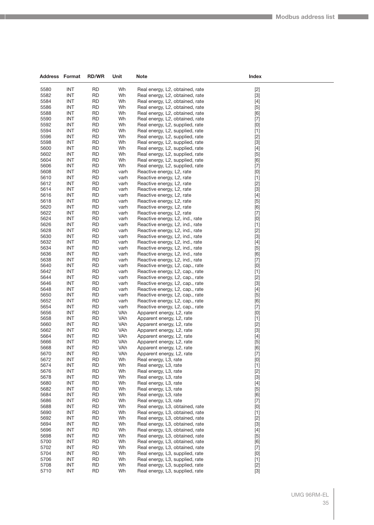| <b>Address Format</b> |                          | <b>RD/WR</b>           | Unit         | Note                                                               | Index                                                                                                                                                                                                                                                                                                                                                                                                                                                                                                                                                                                              |
|-----------------------|--------------------------|------------------------|--------------|--------------------------------------------------------------------|----------------------------------------------------------------------------------------------------------------------------------------------------------------------------------------------------------------------------------------------------------------------------------------------------------------------------------------------------------------------------------------------------------------------------------------------------------------------------------------------------------------------------------------------------------------------------------------------------|
| 5580                  | <b>INT</b>               | <b>RD</b>              | Wh           | Real energy, L <sub>2</sub> , obtained, rate                       | $[2]$                                                                                                                                                                                                                                                                                                                                                                                                                                                                                                                                                                                              |
| 5582                  | <b>INT</b>               | <b>RD</b>              | Wh           | Real energy, L2, obtained, rate                                    | $[3]$                                                                                                                                                                                                                                                                                                                                                                                                                                                                                                                                                                                              |
| 5584                  | INT                      | <b>RD</b>              | Wh           | Real energy, L2, obtained, rate                                    | $[4]$                                                                                                                                                                                                                                                                                                                                                                                                                                                                                                                                                                                              |
| 5586                  | <b>INT</b>               | <b>RD</b>              | Wh           | Real energy, L2, obtained, rate                                    | [5]                                                                                                                                                                                                                                                                                                                                                                                                                                                                                                                                                                                                |
| 5588                  | <b>INT</b>               | <b>RD</b>              | Wh           | Real energy, L2, obtained, rate                                    | [6]                                                                                                                                                                                                                                                                                                                                                                                                                                                                                                                                                                                                |
| 5590                  | INT                      | <b>RD</b>              | Wh           | Real energy, L2, obtained, rate                                    | $[7]$                                                                                                                                                                                                                                                                                                                                                                                                                                                                                                                                                                                              |
| 5592                  | <b>INT</b>               | <b>RD</b>              | Wh           | Real energy, L2, supplied, rate                                    | [0]                                                                                                                                                                                                                                                                                                                                                                                                                                                                                                                                                                                                |
| 5594                  | INT                      | <b>RD</b>              | Wh           | Real energy, L2, supplied, rate                                    | $[1]$                                                                                                                                                                                                                                                                                                                                                                                                                                                                                                                                                                                              |
| 5596                  | INT                      | RD                     | Wh           | Real energy, L2, supplied, rate                                    | $[2]$                                                                                                                                                                                                                                                                                                                                                                                                                                                                                                                                                                                              |
| 5598                  | <b>INT</b>               | <b>RD</b>              | Wh           | Real energy, L2, supplied, rate                                    | $[3]$                                                                                                                                                                                                                                                                                                                                                                                                                                                                                                                                                                                              |
| 5600<br>5602          | INT<br><b>INT</b>        | <b>RD</b>              | Wh           | Real energy, L2, supplied, rate                                    | $[4]$                                                                                                                                                                                                                                                                                                                                                                                                                                                                                                                                                                                              |
| 5604                  | INT                      | RD<br><b>RD</b>        | Wh<br>Wh     | Real energy, L2, supplied, rate<br>Real energy, L2, supplied, rate | $[5]$<br>[6]                                                                                                                                                                                                                                                                                                                                                                                                                                                                                                                                                                                       |
| 5606                  | <b>INT</b>               | <b>RD</b>              | Wh           | Real energy, L2, supplied, rate                                    | $[7]$                                                                                                                                                                                                                                                                                                                                                                                                                                                                                                                                                                                              |
| 5608                  | <b>INT</b>               | <b>RD</b>              | varh         | Reactive energy, L2, rate                                          | $[0]$                                                                                                                                                                                                                                                                                                                                                                                                                                                                                                                                                                                              |
| 5610                  | INT                      | <b>RD</b>              | varh         | Reactive energy, L2, rate                                          | $[1]$                                                                                                                                                                                                                                                                                                                                                                                                                                                                                                                                                                                              |
| 5612                  | <b>INT</b>               | RD                     | varh         | Reactive energy, L2, rate                                          | $[2]$                                                                                                                                                                                                                                                                                                                                                                                                                                                                                                                                                                                              |
| 5614                  | <b>INT</b>               | <b>RD</b>              | varh         | Reactive energy, L2, rate                                          | $[3]$                                                                                                                                                                                                                                                                                                                                                                                                                                                                                                                                                                                              |
| 5616                  | <b>INT</b>               | <b>RD</b>              | varh         | Reactive energy, L2, rate                                          | $[4]$                                                                                                                                                                                                                                                                                                                                                                                                                                                                                                                                                                                              |
| 5618                  | <b>INT</b>               | <b>RD</b>              | varh         | Reactive energy, L2, rate                                          | $[5]$                                                                                                                                                                                                                                                                                                                                                                                                                                                                                                                                                                                              |
| 5620                  | INT                      | RD                     | varh         | Reactive energy, L2, rate                                          | [6]                                                                                                                                                                                                                                                                                                                                                                                                                                                                                                                                                                                                |
| 5622                  | INT                      | RD                     | varh         | Reactive energy, L2, rate                                          | $[7]$                                                                                                                                                                                                                                                                                                                                                                                                                                                                                                                                                                                              |
| 5624                  | <b>INT</b>               | <b>RD</b>              | varh         | Reactive energy, L2, ind., rate                                    | $[0]$                                                                                                                                                                                                                                                                                                                                                                                                                                                                                                                                                                                              |
| 5626                  | <b>INT</b>               | <b>RD</b>              | varh         | Reactive energy, L2, ind., rate                                    | $[1]$                                                                                                                                                                                                                                                                                                                                                                                                                                                                                                                                                                                              |
| 5628                  | <b>INT</b>               | <b>RD</b>              | varh         | Reactive energy, L2, ind., rate                                    | $[2]$                                                                                                                                                                                                                                                                                                                                                                                                                                                                                                                                                                                              |
| 5630                  | INT                      | <b>RD</b>              | varh         | Reactive energy, L2, ind., rate                                    | $[3]$                                                                                                                                                                                                                                                                                                                                                                                                                                                                                                                                                                                              |
| 5632                  | <b>INT</b>               | RD                     | varh         | Reactive energy, L2, ind., rate                                    | $[4]$                                                                                                                                                                                                                                                                                                                                                                                                                                                                                                                                                                                              |
| 5634                  | <b>INT</b>               | <b>RD</b>              | varh         | Reactive energy, L2, ind., rate                                    | $[5]$                                                                                                                                                                                                                                                                                                                                                                                                                                                                                                                                                                                              |
| 5636<br>5638          | <b>INT</b><br><b>INT</b> | <b>RD</b><br><b>RD</b> | varh         | Reactive energy, L2, ind., rate                                    | [6]                                                                                                                                                                                                                                                                                                                                                                                                                                                                                                                                                                                                |
| 5640                  | INT                      | RD                     | varh<br>varh | Reactive energy, L2, ind., rate<br>Reactive energy, L2, cap., rate | $[7]$                                                                                                                                                                                                                                                                                                                                                                                                                                                                                                                                                                                              |
| 5642                  | INT                      | RD                     | varh         | Reactive energy, L2, cap., rate                                    | [0]<br>$[1]$                                                                                                                                                                                                                                                                                                                                                                                                                                                                                                                                                                                       |
| 5644                  | <b>INT</b>               | <b>RD</b>              | varh         | Reactive energy, L2, cap., rate                                    | $[2]$                                                                                                                                                                                                                                                                                                                                                                                                                                                                                                                                                                                              |
| 5646                  | <b>INT</b>               | <b>RD</b>              | varh         | Reactive energy, L2, cap., rate                                    | $[3]$                                                                                                                                                                                                                                                                                                                                                                                                                                                                                                                                                                                              |
| 5648                  | <b>INT</b>               | <b>RD</b>              | varh         | Reactive energy, L2, cap., rate                                    | $[4]$                                                                                                                                                                                                                                                                                                                                                                                                                                                                                                                                                                                              |
| 5650                  | INT                      | <b>RD</b>              | varh         | Reactive energy, L2, cap., rate                                    | $[5]$                                                                                                                                                                                                                                                                                                                                                                                                                                                                                                                                                                                              |
| 5652                  | INT                      | RD                     | varh         | Reactive energy, L2, cap., rate                                    | [6]                                                                                                                                                                                                                                                                                                                                                                                                                                                                                                                                                                                                |
| 5654                  | <b>INT</b>               | <b>RD</b>              | varh         | Reactive energy, L2, cap., rate                                    | $[7]$                                                                                                                                                                                                                                                                                                                                                                                                                                                                                                                                                                                              |
| 5656                  | <b>INT</b>               | <b>RD</b>              | VAh          | Apparent energy, L2, rate                                          | $[0]$                                                                                                                                                                                                                                                                                                                                                                                                                                                                                                                                                                                              |
| 5658                  | <b>INT</b>               | <b>RD</b>              | VAh          | Apparent energy, L2, rate                                          | $[1]$                                                                                                                                                                                                                                                                                                                                                                                                                                                                                                                                                                                              |
| 5660                  | INT                      | RD                     | VAh          | Apparent energy, L2, rate                                          | $[2]$                                                                                                                                                                                                                                                                                                                                                                                                                                                                                                                                                                                              |
| 5662                  | <b>INT</b>               | RD                     | VAh          | Apparent energy, L2, rate                                          | $[3]$                                                                                                                                                                                                                                                                                                                                                                                                                                                                                                                                                                                              |
| 5664                  | INT                      | <b>RD</b>              | VAh          | Apparent energy, L2, rate                                          | $[4]$                                                                                                                                                                                                                                                                                                                                                                                                                                                                                                                                                                                              |
| 5666                  | <b>INT</b>               | <b>RD</b>              | VAh          | Apparent energy, L2, rate                                          | [5]                                                                                                                                                                                                                                                                                                                                                                                                                                                                                                                                                                                                |
| 5668<br>5670          | IN I<br><b>INT</b>       | <b>RD</b><br><b>RD</b> | VAh<br>VAh   | Apparent energy, L2, rate<br>Apparent energy, L2, rate             | [6]<br>$[7]$                                                                                                                                                                                                                                                                                                                                                                                                                                                                                                                                                                                       |
| 5672                  | <b>INT</b>               | <b>RD</b>              | Wh           | Real energy, L3, rate                                              | [0]                                                                                                                                                                                                                                                                                                                                                                                                                                                                                                                                                                                                |
| 5674                  | <b>INT</b>               | <b>RD</b>              | Wh           | Real energy, L3, rate                                              | $[1]$                                                                                                                                                                                                                                                                                                                                                                                                                                                                                                                                                                                              |
| 5676                  | <b>INT</b>               | <b>RD</b>              | Wh           | Real energy, L3, rate                                              | $[2]$                                                                                                                                                                                                                                                                                                                                                                                                                                                                                                                                                                                              |
| 5678                  | <b>INT</b>               | <b>RD</b>              | Wh           | Real energy, L3, rate                                              | $[3]$                                                                                                                                                                                                                                                                                                                                                                                                                                                                                                                                                                                              |
| 5680                  | <b>INT</b>               | <b>RD</b>              | Wh           | Real energy, L3, rate                                              | $[4]$                                                                                                                                                                                                                                                                                                                                                                                                                                                                                                                                                                                              |
| 5682                  | <b>INT</b>               | <b>RD</b>              | Wh           | Real energy, L3, rate                                              | $[5]$                                                                                                                                                                                                                                                                                                                                                                                                                                                                                                                                                                                              |
| 5684                  | <b>INT</b>               | <b>RD</b>              | Wh           | Real energy, L3, rate                                              | [6]                                                                                                                                                                                                                                                                                                                                                                                                                                                                                                                                                                                                |
| 5686                  | <b>INT</b>               | <b>RD</b>              | Wh           | Real energy, L3, rate                                              | $[7]$                                                                                                                                                                                                                                                                                                                                                                                                                                                                                                                                                                                              |
| 5688                  | <b>INT</b>               | <b>RD</b>              | Wh           | Real energy, L3, obtained, rate                                    | $[0] % \begin{center} % \includegraphics[width=\linewidth]{imagesSupplemental_3.png} % \end{center} % \caption { % Our method can be used for the use of the image. % Note that the \emph{DefNet}~\cite{bib66} as a function of the \emph{DefNet}~\cite{bib66} as a function of the \emph{DefNet}~\cite{bib66} as a function of the \emph{DefNet}~\cite{bib66} as a function of the \emph{DefNet}~\cite{bib66} as a function of the \emph{DefNet}~\cite{bib66} as a function of the \emph{DefNet}~\cite{bib66} as a function of the \emph{DefNet}~\cite{bib66} as a function of the \emph{DefNet}$ |
| 5690                  | <b>INT</b>               | <b>RD</b>              | Wh           | Real energy, L3, obtained, rate                                    | $[1]$                                                                                                                                                                                                                                                                                                                                                                                                                                                                                                                                                                                              |
| 5692                  | <b>INT</b>               | <b>RD</b>              | Wh           | Real energy, L3, obtained, rate                                    | $[2]$                                                                                                                                                                                                                                                                                                                                                                                                                                                                                                                                                                                              |
| 5694                  | <b>INT</b>               | <b>RD</b>              | Wh           | Real energy, L3, obtained, rate                                    | $[3]$                                                                                                                                                                                                                                                                                                                                                                                                                                                                                                                                                                                              |
| 5696                  | <b>INT</b>               | <b>RD</b>              | Wh           | Real energy, L3, obtained, rate                                    | $[4]$                                                                                                                                                                                                                                                                                                                                                                                                                                                                                                                                                                                              |
| 5698<br>5700          | <b>INT</b><br><b>INT</b> | <b>RD</b><br><b>RD</b> | Wh<br>Wh     | Real energy, L3, obtained, rate<br>Real energy, L3, obtained, rate | $[5]$                                                                                                                                                                                                                                                                                                                                                                                                                                                                                                                                                                                              |
| 5702                  | <b>INT</b>               | <b>RD</b>              | Wh           | Real energy, L3, obtained, rate                                    | [6]<br>$[7]$                                                                                                                                                                                                                                                                                                                                                                                                                                                                                                                                                                                       |
| 5704                  | <b>INT</b>               | <b>RD</b>              | Wh           | Real energy, L3, supplied, rate                                    | [0]                                                                                                                                                                                                                                                                                                                                                                                                                                                                                                                                                                                                |
| 5706                  | <b>INT</b>               | <b>RD</b>              | Wh           | Real energy, L3, supplied, rate                                    | $[1]$                                                                                                                                                                                                                                                                                                                                                                                                                                                                                                                                                                                              |
| 5708                  | <b>INT</b>               | <b>RD</b>              | Wh           | Real energy, L3, supplied, rate                                    | $[2]$                                                                                                                                                                                                                                                                                                                                                                                                                                                                                                                                                                                              |
| 5710                  | <b>INT</b>               | <b>RD</b>              | Wh           | Real energy, L3, supplied, rate                                    | $[3]$                                                                                                                                                                                                                                                                                                                                                                                                                                                                                                                                                                                              |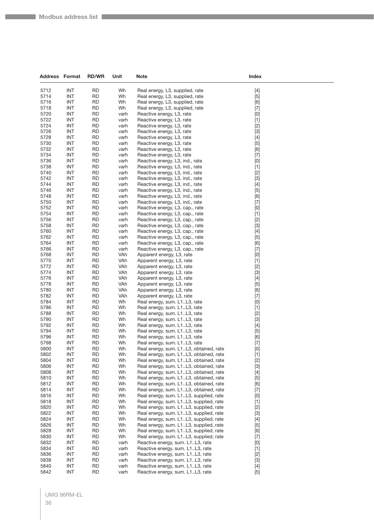| <b>Address Format</b> |                          | <b>RD/WR</b>           | Unit         | <b>Note</b>                                                                      | Index                                                                                                                                                                                                                                                  |  |
|-----------------------|--------------------------|------------------------|--------------|----------------------------------------------------------------------------------|--------------------------------------------------------------------------------------------------------------------------------------------------------------------------------------------------------------------------------------------------------|--|
| 5712                  | <b>INT</b>               | <b>RD</b>              | Wh           | Real energy, L3, supplied, rate                                                  | $[4]$                                                                                                                                                                                                                                                  |  |
| 5714                  | <b>INT</b>               | <b>RD</b>              | Wh           | Real energy, L3, supplied, rate                                                  | $[5]$                                                                                                                                                                                                                                                  |  |
| 5716                  | <b>INT</b>               | <b>RD</b>              | Wh           | Real energy, L3, supplied, rate                                                  | [6]                                                                                                                                                                                                                                                    |  |
| 5718                  | <b>INT</b>               | <b>RD</b>              | Wh           | Real energy, L3, supplied, rate                                                  | $[7]$                                                                                                                                                                                                                                                  |  |
| 5720                  | <b>INT</b>               | <b>RD</b>              | varh         | Reactive energy, L3, rate                                                        | [0]                                                                                                                                                                                                                                                    |  |
| 5722                  | <b>INT</b>               | <b>RD</b>              | varh         | Reactive energy, L3, rate                                                        | $[1]$                                                                                                                                                                                                                                                  |  |
| 5724                  | <b>INT</b>               | <b>RD</b>              | varh         | Reactive energy, L3, rate                                                        | $[2]$                                                                                                                                                                                                                                                  |  |
| 5726                  | <b>INT</b>               | <b>RD</b>              | varh         | Reactive energy, L3, rate                                                        | $[3]$                                                                                                                                                                                                                                                  |  |
| 5728                  | <b>INT</b>               | <b>RD</b>              | varh         | Reactive energy, L3, rate                                                        | $[4]$                                                                                                                                                                                                                                                  |  |
| 5730                  | <b>INT</b>               | <b>RD</b>              | varh         | Reactive energy, L3, rate                                                        | $[5]$                                                                                                                                                                                                                                                  |  |
| 5732                  | <b>INT</b>               | <b>RD</b>              | varh         | Reactive energy, L3, rate                                                        | [6]                                                                                                                                                                                                                                                    |  |
| 5734                  | <b>INT</b>               | <b>RD</b>              | varh         | Reactive energy, L3, rate                                                        | $[7]$                                                                                                                                                                                                                                                  |  |
| 5736                  | <b>INT</b>               | <b>RD</b>              | varh         | Reactive energy, L3, ind., rate                                                  | [0]                                                                                                                                                                                                                                                    |  |
| 5738                  | <b>INT</b>               | <b>RD</b>              | varh         | Reactive energy, L3, ind., rate                                                  | $[1]$                                                                                                                                                                                                                                                  |  |
| 5740                  | <b>INT</b>               | <b>RD</b>              | varh         | Reactive energy, L3, ind., rate                                                  | $[2]$                                                                                                                                                                                                                                                  |  |
| 5742                  | <b>INT</b>               | <b>RD</b>              | varh         | Reactive energy, L3, ind., rate                                                  | $[3]$                                                                                                                                                                                                                                                  |  |
| 5744                  | <b>INT</b>               | <b>RD</b>              | varh         | Reactive energy, L3, ind., rate                                                  | $[4]$                                                                                                                                                                                                                                                  |  |
| 5746                  | <b>INT</b>               | <b>RD</b>              | varh         | Reactive energy, L3, ind., rate                                                  | $[5]$                                                                                                                                                                                                                                                  |  |
| 5748                  | <b>INT</b>               | <b>RD</b>              | varh         | Reactive energy, L3, ind., rate                                                  | [6]                                                                                                                                                                                                                                                    |  |
| 5750                  | <b>INT</b>               | <b>RD</b>              | varh         | Reactive energy, L3, ind., rate                                                  | $[7]$                                                                                                                                                                                                                                                  |  |
| 5752                  | <b>INT</b>               | <b>RD</b>              | varh         | Reactive energy, L3, cap., rate                                                  | [0]                                                                                                                                                                                                                                                    |  |
| 5754                  | <b>INT</b>               | <b>RD</b>              | varh         | Reactive energy, L3, cap., rate                                                  | $[1]$                                                                                                                                                                                                                                                  |  |
| 5756                  | <b>INT</b>               | <b>RD</b>              | varh         | Reactive energy, L3, cap., rate                                                  | $[2]$                                                                                                                                                                                                                                                  |  |
| 5758<br>5760          | <b>INT</b><br><b>INT</b> | <b>RD</b><br><b>RD</b> | varh         | Reactive energy, L3, cap., rate                                                  | $[3]$                                                                                                                                                                                                                                                  |  |
| 5762                  | <b>INT</b>               | <b>RD</b>              | varh         | Reactive energy, L3, cap., rate<br>Reactive energy, L3, cap., rate               | $[4]$                                                                                                                                                                                                                                                  |  |
| 5764                  | <b>INT</b>               | <b>RD</b>              | varh<br>varh | Reactive energy, L3, cap., rate                                                  | $[5]$<br>[6]                                                                                                                                                                                                                                           |  |
| 5766                  | <b>INT</b>               | <b>RD</b>              | varh         | Reactive energy, L3, cap., rate                                                  | $[7]$                                                                                                                                                                                                                                                  |  |
| 5768                  | <b>INT</b>               | <b>RD</b>              | VAh          | Apparent energy, L3, rate                                                        | [0]                                                                                                                                                                                                                                                    |  |
| 5770                  | <b>INT</b>               | <b>RD</b>              | VAh          | Apparent energy, L3, rate                                                        | $[1]$                                                                                                                                                                                                                                                  |  |
| 5772                  | <b>INT</b>               | <b>RD</b>              | VAh          | Apparent energy, L3, rate                                                        | $[2]$                                                                                                                                                                                                                                                  |  |
| 5774                  | <b>INT</b>               | <b>RD</b>              | VAh          | Apparent energy, L3, rate                                                        | $[3]$                                                                                                                                                                                                                                                  |  |
| 5776                  | <b>INT</b>               | <b>RD</b>              | VAh          | Apparent energy, L3, rate                                                        | $[4]$                                                                                                                                                                                                                                                  |  |
| 5778                  | <b>INT</b>               | <b>RD</b>              | VAh          | Apparent energy, L3, rate                                                        | $[5]$                                                                                                                                                                                                                                                  |  |
| 5780                  | <b>INT</b>               | <b>RD</b>              | VAh          | Apparent energy, L3, rate                                                        | [6]                                                                                                                                                                                                                                                    |  |
| 5782                  | <b>INT</b>               | <b>RD</b>              | VAh          | Apparent energy, L3, rate                                                        | $[7]$                                                                                                                                                                                                                                                  |  |
| 5784                  | <b>INT</b>               | <b>RD</b>              | Wh           | Real energy, sum. L1L3, rate                                                     | [0]                                                                                                                                                                                                                                                    |  |
| 5786                  | <b>INT</b>               | <b>RD</b>              | Wh           | Real energy, sum. L1L3, rate                                                     | $[1]$                                                                                                                                                                                                                                                  |  |
| 5788                  | <b>INT</b>               | <b>RD</b>              | Wh           | Real energy, sum. L1L3, rate                                                     | $[2]$                                                                                                                                                                                                                                                  |  |
| 5790                  | <b>INT</b>               | <b>RD</b>              | Wh           | Real energy, sum. L1L3, rate                                                     | $[3]$                                                                                                                                                                                                                                                  |  |
| 5792                  | <b>INT</b>               | <b>RD</b>              | Wh           | Real energy, sum. L1L3, rate                                                     | $[4]$                                                                                                                                                                                                                                                  |  |
| 5794                  | <b>INT</b>               | <b>RD</b>              | Wh           | Real energy, sum. L1L3, rate                                                     | $[5]$                                                                                                                                                                                                                                                  |  |
| 5796                  | <b>INT</b>               | RD                     | Wh           | Real energy, sum. L1L3, rate                                                     | [6]                                                                                                                                                                                                                                                    |  |
| 5798                  | <b>INT</b>               | RD                     | Wh           | Real energy, sum. L1L3, rate                                                     | $[7]$                                                                                                                                                                                                                                                  |  |
| 5800<br>5802          | <b>INT</b><br><b>INT</b> | <b>RD</b><br><b>RD</b> | Wh<br>Wh     | Real energy, sum. L1L3, obtained, rate<br>Real energy, sum. L1L3, obtained, rate | $\left[ 0\right]$                                                                                                                                                                                                                                      |  |
| 5804                  | <b>INT</b>               | <b>RD</b>              | Wh           | Real energy, sum. L1L3, obtained, rate                                           | $[1]$<br>$[2]$                                                                                                                                                                                                                                         |  |
| 5806                  | <b>INT</b>               | <b>RD</b>              | Wh           | Real energy, sum. L1L3, obtained, rate                                           | $[3]$                                                                                                                                                                                                                                                  |  |
| 5808                  | <b>INT</b>               | <b>RD</b>              | Wh           | Real energy, sum. L1L3, obtained, rate                                           | $[4] % \begin{center} \includegraphics[width=\linewidth]{imagesSupplemental/Imetad-Architecture.png} \end{center} \caption{The image shows the image shows a single number of times, and the image shows a single number of times.} \label{fig:limal}$ |  |
| 5810                  | <b>INT</b>               | <b>RD</b>              | Wh           | Real energy, sum. L1L3, obtained, rate                                           | $[5]$                                                                                                                                                                                                                                                  |  |
| 5812                  | <b>INT</b>               | <b>RD</b>              | Wh           | Real energy, sum. L1L3, obtained, rate                                           | [6]                                                                                                                                                                                                                                                    |  |
| 5814                  | <b>INT</b>               | <b>RD</b>              | Wh           | Real energy, sum. L1L3, obtained, rate                                           | $[7]$                                                                                                                                                                                                                                                  |  |
| 5816                  | <b>INT</b>               | <b>RD</b>              | Wh           | Real energy, sum. L1L3, supplied, rate                                           | [0]                                                                                                                                                                                                                                                    |  |
| 5818                  | <b>INT</b>               | <b>RD</b>              | Wh           | Real energy, sum. L1L3, supplied, rate                                           | $[1]$                                                                                                                                                                                                                                                  |  |
| 5820                  | <b>INT</b>               | <b>RD</b>              | Wh           | Real energy, sum. L1L3, supplied, rate                                           | $[2]$                                                                                                                                                                                                                                                  |  |
| 5822                  | <b>INT</b>               | <b>RD</b>              | Wh           | Real energy, sum. L1L3, supplied, rate                                           | $[3]$                                                                                                                                                                                                                                                  |  |
| 5824                  | <b>INT</b>               | <b>RD</b>              | Wh           | Real energy, sum. L1L3, supplied, rate                                           | $[4] % \begin{center} \includegraphics[width=\linewidth]{imagesSupplemental/Imetad-Architecture.png} \end{center} \caption{The image shows the image shows a single number of times, and the image shows a single number of times.} \label{fig:limal}$ |  |
| 5826                  | <b>INT</b>               | <b>RD</b>              | Wh           | Real energy, sum. L1L3, supplied, rate                                           | $[5]$                                                                                                                                                                                                                                                  |  |
| 5828                  | <b>INT</b>               | <b>RD</b>              | Wh           | Real energy, sum. L1L3, supplied, rate                                           | [6]                                                                                                                                                                                                                                                    |  |
| 5830                  | <b>INT</b>               | <b>RD</b>              | Wh           | Real energy, sum. L1L3, supplied, rate                                           | $[7]$                                                                                                                                                                                                                                                  |  |
| 5832                  | <b>INT</b>               | <b>RD</b>              | varh         | Reactive energy, sum. L1L3, rate                                                 | [0]                                                                                                                                                                                                                                                    |  |
| 5834                  | <b>INT</b>               | <b>RD</b>              | varh         | Reactive energy, sum. L1L3, rate                                                 | $[1]$                                                                                                                                                                                                                                                  |  |
| 5836                  | <b>INT</b>               | <b>RD</b>              | varh         | Reactive energy, sum. L1L3, rate                                                 | $[2]$                                                                                                                                                                                                                                                  |  |
| 5838                  | <b>INT</b>               | <b>RD</b>              | varh         | Reactive energy, sum. L1L3, rate                                                 | $[3]$                                                                                                                                                                                                                                                  |  |
| 5840                  | <b>INT</b>               | <b>RD</b>              | varh         | Reactive energy, sum. L1L3, rate                                                 | $[4]$                                                                                                                                                                                                                                                  |  |
| 5842                  | <b>INT</b>               | <b>RD</b>              | varh         | Reactive energy, sum. L1L3, rate                                                 | $[5]$                                                                                                                                                                                                                                                  |  |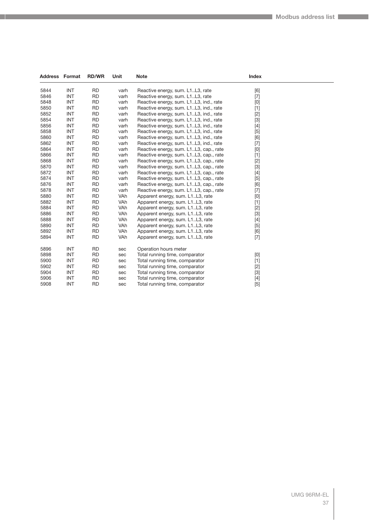| <b>Address Format</b> |            | <b>RD/WR</b> | Unit       | <b>Note</b>                            | <b>Index</b> |  |
|-----------------------|------------|--------------|------------|----------------------------------------|--------------|--|
| 5844                  | <b>INT</b> | <b>RD</b>    | varh       | Reactive energy, sum. L1L3, rate       | [6]          |  |
| 5846                  | <b>INT</b> | <b>RD</b>    | varh       | Reactive energy, sum. L1L3, rate       | $[7]$        |  |
| 5848                  | <b>INT</b> | <b>RD</b>    | varh       | Reactive energy, sum. L1L3, ind., rate | [0]          |  |
| 5850                  | <b>INT</b> | <b>RD</b>    | varh       | Reactive energy, sum. L1L3, ind., rate | $[1]$        |  |
| 5852                  | <b>INT</b> | <b>RD</b>    | varh       | Reactive energy, sum. L1L3, ind., rate | $[2]$        |  |
| 5854                  | <b>INT</b> | <b>RD</b>    | varh       | Reactive energy, sum. L1L3, ind., rate | $[3]$        |  |
| 5856                  | <b>INT</b> | <b>RD</b>    | varh       | Reactive energy, sum. L1L3, ind., rate | $[4]$        |  |
| 5858                  | <b>INT</b> | <b>RD</b>    | varh       | Reactive energy, sum. L1L3, ind., rate | [5]          |  |
| 5860                  | <b>INT</b> | <b>RD</b>    | varh       | Reactive energy, sum. L1L3, ind., rate | [6]          |  |
| 5862                  | <b>INT</b> | <b>RD</b>    | varh       | Reactive energy, sum. L1L3, ind., rate | $[7]$        |  |
| 5864                  | <b>INT</b> | <b>RD</b>    | varh       | Reactive energy, sum. L1L3, cap., rate | [0]          |  |
| 5866                  | <b>INT</b> | <b>RD</b>    | varh       | Reactive energy, sum. L1L3, cap., rate | $[1]$        |  |
| 5868                  | <b>INT</b> | <b>RD</b>    | varh       | Reactive energy, sum. L1L3, cap., rate | $[2]$        |  |
| 5870                  | <b>INT</b> | <b>RD</b>    | varh       | Reactive energy, sum. L1L3, cap., rate | $[3]$        |  |
| 5872                  | <b>INT</b> | <b>RD</b>    | varh       | Reactive energy, sum. L1L3, cap., rate | $[4]$        |  |
| 5874                  | <b>INT</b> | <b>RD</b>    | varh       | Reactive energy, sum. L1L3, cap., rate | $[5]$        |  |
| 5876                  | <b>INT</b> | <b>RD</b>    | varh       | Reactive energy, sum. L1L3, cap., rate | [6]          |  |
| 5878                  | <b>INT</b> | <b>RD</b>    | varh       | Reactive energy, sum. L1L3, cap., rate | $[7]$        |  |
| 5880                  | <b>INT</b> | <b>RD</b>    | <b>VAh</b> | Apparent energy, sum. L1L3, rate       | [0]          |  |
| 5882                  | <b>INT</b> | <b>RD</b>    | <b>VAh</b> | Apparent energy, sum. L1L3, rate       | $[1]$        |  |
| 5884                  | <b>INT</b> | <b>RD</b>    | VAh        | Apparent energy, sum. L1L3, rate       | $[2]$        |  |
| 5886                  | <b>INT</b> | <b>RD</b>    | VAh        | Apparent energy, sum. L1L3, rate       | $[3]$        |  |
| 5888                  | <b>INT</b> | <b>RD</b>    | VAh        | Apparent energy, sum. L1L3, rate       | $[4]$        |  |
| 5890                  | <b>INT</b> | <b>RD</b>    | VAh        | Apparent energy, sum. L1L3, rate       | $[5]$        |  |
| 5892                  | <b>INT</b> | <b>RD</b>    | <b>VAh</b> | Apparent energy, sum. L1L3, rate       | [6]          |  |
| 5894                  | <b>INT</b> | <b>RD</b>    | VAh        | Apparent energy, sum. L1L3, rate       | $[7]$        |  |
| 5896                  | <b>INT</b> | <b>RD</b>    | sec        | Operation hours meter                  |              |  |
| 5898                  | <b>INT</b> | <b>RD</b>    | sec        | Total running time, comparator         | [0]          |  |
| 5900                  | <b>INT</b> | <b>RD</b>    | sec        | Total running time, comparator         | $[1]$        |  |
| 5902                  | <b>INT</b> | <b>RD</b>    | sec        | Total running time, comparator         | $[2]$        |  |
| 5904                  | <b>INT</b> | <b>RD</b>    | sec        | Total running time, comparator         | $[3]$        |  |
| 5906                  | <b>INT</b> | <b>RD</b>    | sec        | Total running time, comparator         | $[4]$        |  |
| 5908                  | <b>INT</b> | <b>RD</b>    | sec        | Total running time, comparator         | $[5]$        |  |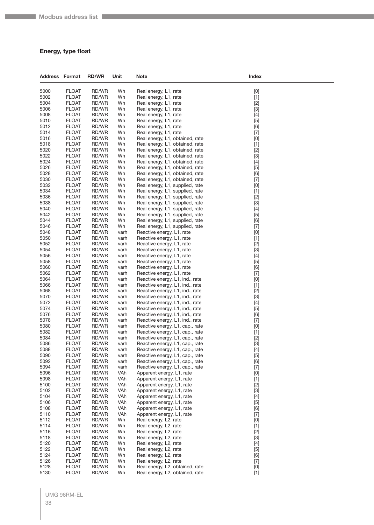#### **Energy, type float**

| <b>Address Format</b> |              | <b>RD/WR</b> | Unit | Note                            | Index                                                                                                                                                                                                                                                                                                                                                                                                                                                                                                                                                                                                                                                                                                                                                 |
|-----------------------|--------------|--------------|------|---------------------------------|-------------------------------------------------------------------------------------------------------------------------------------------------------------------------------------------------------------------------------------------------------------------------------------------------------------------------------------------------------------------------------------------------------------------------------------------------------------------------------------------------------------------------------------------------------------------------------------------------------------------------------------------------------------------------------------------------------------------------------------------------------|
| 5000                  | <b>FLOAT</b> | RD/WR        | Wh   | Real energy, L1, rate           | [0]                                                                                                                                                                                                                                                                                                                                                                                                                                                                                                                                                                                                                                                                                                                                                   |
| 5002                  | <b>FLOAT</b> | RD/WR        | Wh   | Real energy, L1, rate           | $[1]$                                                                                                                                                                                                                                                                                                                                                                                                                                                                                                                                                                                                                                                                                                                                                 |
| 5004                  | <b>FLOAT</b> | RD/WR        | Wh   | Real energy, L1, rate           | $[2]$                                                                                                                                                                                                                                                                                                                                                                                                                                                                                                                                                                                                                                                                                                                                                 |
| 5006                  | <b>FLOAT</b> | RD/WR        | Wh   | Real energy, L1, rate           | $[3]$                                                                                                                                                                                                                                                                                                                                                                                                                                                                                                                                                                                                                                                                                                                                                 |
| 5008                  | <b>FLOAT</b> | RD/WR        | Wh   | Real energy, L1, rate           | $[4]$                                                                                                                                                                                                                                                                                                                                                                                                                                                                                                                                                                                                                                                                                                                                                 |
| 5010                  | <b>FLOAT</b> | RD/WR        | Wh   | Real energy, L1, rate           | $[5]$                                                                                                                                                                                                                                                                                                                                                                                                                                                                                                                                                                                                                                                                                                                                                 |
| 5012                  | <b>FLOAT</b> | RD/WR        | Wh   | Real energy, L1, rate           | [6]                                                                                                                                                                                                                                                                                                                                                                                                                                                                                                                                                                                                                                                                                                                                                   |
| 5014                  | <b>FLOAT</b> | RD/WR        | Wh   | Real energy, L1, rate           | $[7]$                                                                                                                                                                                                                                                                                                                                                                                                                                                                                                                                                                                                                                                                                                                                                 |
| 5016                  | <b>FLOAT</b> | RD/WR        | Wh   | Real energy, L1, obtained, rate | [0]                                                                                                                                                                                                                                                                                                                                                                                                                                                                                                                                                                                                                                                                                                                                                   |
| 5018                  | <b>FLOAT</b> | RD/WR        | Wh   | Real energy, L1, obtained, rate | $[1]$                                                                                                                                                                                                                                                                                                                                                                                                                                                                                                                                                                                                                                                                                                                                                 |
| 5020                  | <b>FLOAT</b> | RD/WR        | Wh   | Real energy, L1, obtained, rate | $[2]$                                                                                                                                                                                                                                                                                                                                                                                                                                                                                                                                                                                                                                                                                                                                                 |
| 5022                  | <b>FLOAT</b> | RD/WR        | Wh   | Real energy, L1, obtained, rate | $[3]$                                                                                                                                                                                                                                                                                                                                                                                                                                                                                                                                                                                                                                                                                                                                                 |
| 5024                  | <b>FLOAT</b> | RD/WR        | Wh   | Real energy, L1, obtained, rate | $[4]$                                                                                                                                                                                                                                                                                                                                                                                                                                                                                                                                                                                                                                                                                                                                                 |
| 5026                  | <b>FLOAT</b> | RD/WR        | Wh   | Real energy, L1, obtained, rate | $[5]$                                                                                                                                                                                                                                                                                                                                                                                                                                                                                                                                                                                                                                                                                                                                                 |
| 5028                  | <b>FLOAT</b> | RD/WR        | Wh   | Real energy, L1, obtained, rate | [6]                                                                                                                                                                                                                                                                                                                                                                                                                                                                                                                                                                                                                                                                                                                                                   |
| 5030                  | <b>FLOAT</b> | RD/WR        | Wh   | Real energy, L1, obtained, rate | $[7]$                                                                                                                                                                                                                                                                                                                                                                                                                                                                                                                                                                                                                                                                                                                                                 |
| 5032                  | <b>FLOAT</b> | RD/WR        | Wh   | Real energy, L1, supplied, rate | $[0]$                                                                                                                                                                                                                                                                                                                                                                                                                                                                                                                                                                                                                                                                                                                                                 |
| 5034                  | <b>FLOAT</b> | RD/WR        | Wh   | Real energy, L1, supplied, rate | $[1]$                                                                                                                                                                                                                                                                                                                                                                                                                                                                                                                                                                                                                                                                                                                                                 |
| 5036                  | <b>FLOAT</b> | RD/WR        | Wh   | Real energy, L1, supplied, rate | $[2]$                                                                                                                                                                                                                                                                                                                                                                                                                                                                                                                                                                                                                                                                                                                                                 |
| 5038                  | <b>FLOAT</b> | RD/WR        | Wh   | Real energy, L1, supplied, rate | $[3]$                                                                                                                                                                                                                                                                                                                                                                                                                                                                                                                                                                                                                                                                                                                                                 |
| 5040                  | <b>FLOAT</b> | RD/WR        | Wh   | Real energy, L1, supplied, rate | $[4]$                                                                                                                                                                                                                                                                                                                                                                                                                                                                                                                                                                                                                                                                                                                                                 |
| 5042                  | <b>FLOAT</b> | RD/WR        | Wh   | Real energy, L1, supplied, rate | $[5]$                                                                                                                                                                                                                                                                                                                                                                                                                                                                                                                                                                                                                                                                                                                                                 |
| 5044                  | <b>FLOAT</b> | RD/WR        | Wh   | Real energy, L1, supplied, rate | [6]                                                                                                                                                                                                                                                                                                                                                                                                                                                                                                                                                                                                                                                                                                                                                   |
| 5046                  | <b>FLOAT</b> | RD/WR        | Wh   | Real energy, L1, supplied, rate | $[7]$                                                                                                                                                                                                                                                                                                                                                                                                                                                                                                                                                                                                                                                                                                                                                 |
| 5048                  | <b>FLOAT</b> | RD/WR        | varh | Reactive energy, L1, rate       | $[0]$                                                                                                                                                                                                                                                                                                                                                                                                                                                                                                                                                                                                                                                                                                                                                 |
| 5050                  | <b>FLOAT</b> | RD/WR        | varh | Reactive energy, L1, rate       | $[1]$                                                                                                                                                                                                                                                                                                                                                                                                                                                                                                                                                                                                                                                                                                                                                 |
| 5052                  | <b>FLOAT</b> | RD/WR        | varh | Reactive energy, L1, rate       | $[2]$                                                                                                                                                                                                                                                                                                                                                                                                                                                                                                                                                                                                                                                                                                                                                 |
| 5054                  | <b>FLOAT</b> | RD/WR        | varh | Reactive energy, L1, rate       | $[3]$                                                                                                                                                                                                                                                                                                                                                                                                                                                                                                                                                                                                                                                                                                                                                 |
| 5056                  | <b>FLOAT</b> | RD/WR        | varh | Reactive energy, L1, rate       | $[4]$                                                                                                                                                                                                                                                                                                                                                                                                                                                                                                                                                                                                                                                                                                                                                 |
| 5058                  | <b>FLOAT</b> | RD/WR        | varh | Reactive energy, L1, rate       | $[5]$                                                                                                                                                                                                                                                                                                                                                                                                                                                                                                                                                                                                                                                                                                                                                 |
| 5060                  | <b>FLOAT</b> | RD/WR        | varh | Reactive energy, L1, rate       | [6]                                                                                                                                                                                                                                                                                                                                                                                                                                                                                                                                                                                                                                                                                                                                                   |
| 5062                  | <b>FLOAT</b> | RD/WR        | varh | Reactive energy, L1, rate       | $[7]$                                                                                                                                                                                                                                                                                                                                                                                                                                                                                                                                                                                                                                                                                                                                                 |
| 5064                  | <b>FLOAT</b> | RD/WR        | varh | Reactive energy, L1, ind., rate | [0]                                                                                                                                                                                                                                                                                                                                                                                                                                                                                                                                                                                                                                                                                                                                                   |
| 5066                  | <b>FLOAT</b> | RD/WR        | varh | Reactive energy, L1, ind., rate | $[1]$                                                                                                                                                                                                                                                                                                                                                                                                                                                                                                                                                                                                                                                                                                                                                 |
| 5068                  | <b>FLOAT</b> | RD/WR        | varh | Reactive energy, L1, ind., rate | $[2]$                                                                                                                                                                                                                                                                                                                                                                                                                                                                                                                                                                                                                                                                                                                                                 |
| 5070                  | <b>FLOAT</b> | RD/WR        | varh | Reactive energy, L1, ind., rate | $[3]$                                                                                                                                                                                                                                                                                                                                                                                                                                                                                                                                                                                                                                                                                                                                                 |
| 5072                  | <b>FLOAT</b> | RD/WR        | varh | Reactive energy, L1, ind., rate | $[4]$                                                                                                                                                                                                                                                                                                                                                                                                                                                                                                                                                                                                                                                                                                                                                 |
| 5074                  | <b>FLOAT</b> | RD/WR        | varh | Reactive energy, L1, ind., rate | $[5]$                                                                                                                                                                                                                                                                                                                                                                                                                                                                                                                                                                                                                                                                                                                                                 |
| 5076                  | <b>FLOAT</b> | RD/WR        | varh | Reactive energy, L1, ind., rate | [6]                                                                                                                                                                                                                                                                                                                                                                                                                                                                                                                                                                                                                                                                                                                                                   |
| 5078                  | <b>FLOAT</b> | RD/WR        | varh | Reactive energy, L1, ind., rate | $[7]$                                                                                                                                                                                                                                                                                                                                                                                                                                                                                                                                                                                                                                                                                                                                                 |
| 5080                  | <b>FLOAT</b> | RD/WR        | varh | Reactive energy, L1, cap., rate | [0]                                                                                                                                                                                                                                                                                                                                                                                                                                                                                                                                                                                                                                                                                                                                                   |
| 5082                  | <b>FLOAT</b> | RD/WR        | varh | Reactive energy, L1, cap., rate | $[1]$                                                                                                                                                                                                                                                                                                                                                                                                                                                                                                                                                                                                                                                                                                                                                 |
| 5084                  | <b>FLOAT</b> | RD/WR        | varh | Reactive energy, L1, cap., rate | $[2]$                                                                                                                                                                                                                                                                                                                                                                                                                                                                                                                                                                                                                                                                                                                                                 |
| 5086                  | <b>FLOAT</b> | RD/WR        | varh | Reactive energy, L1, cap., rate | $[3]$                                                                                                                                                                                                                                                                                                                                                                                                                                                                                                                                                                                                                                                                                                                                                 |
| 5088                  | <b>FLOAT</b> | RD/WR        | varh | Reactive energy, L1, cap., rate | $[4]$                                                                                                                                                                                                                                                                                                                                                                                                                                                                                                                                                                                                                                                                                                                                                 |
| 5090                  | <b>FLOAT</b> | RD/WR        | varh | Reactive energy, L1, cap., rate | $[5]$                                                                                                                                                                                                                                                                                                                                                                                                                                                                                                                                                                                                                                                                                                                                                 |
| 5092                  | <b>FLOAT</b> | RD/WR        | varh | Reactive energy, L1, cap., rate | [6]                                                                                                                                                                                                                                                                                                                                                                                                                                                                                                                                                                                                                                                                                                                                                   |
| 5094                  | <b>FLOAT</b> | RD/WR        | varh | Reactive energy, L1, cap., rate | $[7]$                                                                                                                                                                                                                                                                                                                                                                                                                                                                                                                                                                                                                                                                                                                                                 |
| 5096                  | <b>FLOAT</b> | RD/WR        | VAh  | Apparent energy, L1, rate       | $[0] % \begin{center} % \includegraphics[width=\linewidth]{imagesSupplemental_3.png} % \end{center} % \caption { % Our method is used for the method. % Note that the \emph{exponent} is used for the method. % Note that the \emph{exponent} is used for the method. % Note that the \emph{exponent} is used for the method. % Note that the \emph{exponent} is used for the method. % Note that the \emph{exponent} is used for the method. % Note that the \emph{exportector} is used for the method. % Note that the \emph{exportector} is used for the method. % Note that the \emph{exportector} is used for the method. % Note that the \emph{exportector} is used for the method. % Note that the \emph{exportector} is used for the method.$ |
| 5098                  | <b>FLOAT</b> | RD/WR        | VAh  | Apparent energy, L1, rate       | $[1]$                                                                                                                                                                                                                                                                                                                                                                                                                                                                                                                                                                                                                                                                                                                                                 |
| 5100                  | <b>FLOAT</b> | RD/WR        | VAh  | Apparent energy, L1, rate       | $[2]$                                                                                                                                                                                                                                                                                                                                                                                                                                                                                                                                                                                                                                                                                                                                                 |
| 5102                  | <b>FLOAT</b> | RD/WR        | VAh  | Apparent energy, L1, rate       | $[3]$                                                                                                                                                                                                                                                                                                                                                                                                                                                                                                                                                                                                                                                                                                                                                 |
| 5104                  | <b>FLOAT</b> | RD/WR        | VAh  | Apparent energy, L1, rate       | $[4]$                                                                                                                                                                                                                                                                                                                                                                                                                                                                                                                                                                                                                                                                                                                                                 |
| 5106                  | <b>FLOAT</b> | RD/WR        | VAh  | Apparent energy, L1, rate       | $[5]$                                                                                                                                                                                                                                                                                                                                                                                                                                                                                                                                                                                                                                                                                                                                                 |
| 5108                  | <b>FLOAT</b> | RD/WR        | VAh  | Apparent energy, L1, rate       | [6]                                                                                                                                                                                                                                                                                                                                                                                                                                                                                                                                                                                                                                                                                                                                                   |
| 5110                  | <b>FLOAT</b> | RD/WR        | VAh  | Apparent energy, L1, rate       | $[7]$                                                                                                                                                                                                                                                                                                                                                                                                                                                                                                                                                                                                                                                                                                                                                 |
| 5112                  | <b>FLOAT</b> | RD/WR        | Wh   | Real energy, L2, rate           | $[0] % \begin{center} % \includegraphics[width=\linewidth]{imagesSupplemental_3.png} % \end{center} % \caption { % Our method can be used for the use of the image. % Note that the \emph{DefNet}~\cite{bib66} as a function of the \emph{DefNet}~\cite{bib66} as a function of the \emph{DefNet}~\cite{bib66} as a function of the \emph{DefNet}~\cite{bib66} as a function of the \emph{DefNet}~\cite{bib66} as a function of the \emph{DefNet}~\cite{bib66} as a function of the \emph{DefNet}~\cite{bib66} as a function of the \emph{DefNet}~\cite{bib66} as a function of the \emph{DefNet}$                                                                                                                                                    |
| 5114                  | <b>FLOAT</b> | RD/WR        | Wh   | Real energy, L2, rate           | $[1]$                                                                                                                                                                                                                                                                                                                                                                                                                                                                                                                                                                                                                                                                                                                                                 |
| 5116                  | <b>FLOAT</b> | RD/WR        | Wh   | Real energy, L2, rate           | $[2]$                                                                                                                                                                                                                                                                                                                                                                                                                                                                                                                                                                                                                                                                                                                                                 |
| 5118                  | <b>FLOAT</b> | RD/WR        | Wh   | Real energy, L2, rate           | $[3]$                                                                                                                                                                                                                                                                                                                                                                                                                                                                                                                                                                                                                                                                                                                                                 |
| 5120                  | <b>FLOAT</b> | RD/WR        | Wh   | Real energy, L2, rate           | $[4]$                                                                                                                                                                                                                                                                                                                                                                                                                                                                                                                                                                                                                                                                                                                                                 |
| 5122                  | <b>FLOAT</b> | RD/WR        | Wh   | Real energy, L2, rate           | $[5]$                                                                                                                                                                                                                                                                                                                                                                                                                                                                                                                                                                                                                                                                                                                                                 |
| 5124                  | <b>FLOAT</b> | RD/WR        | Wh   | Real energy, L2, rate           | [6]                                                                                                                                                                                                                                                                                                                                                                                                                                                                                                                                                                                                                                                                                                                                                   |
| 5126                  | <b>FLOAT</b> | RD/WR        | Wh   | Real energy, L2, rate           | $[7]$                                                                                                                                                                                                                                                                                                                                                                                                                                                                                                                                                                                                                                                                                                                                                 |
| 5128                  | <b>FLOAT</b> | RD/WR        | Wh   | Real energy, L2, obtained, rate | $[0] % \begin{center} % \includegraphics[width=\linewidth]{imagesSupplemental_3.png} % \end{center} % \caption { % Our method can be used for the use of the image. % Note that the \emph{DefNet}~\cite{bib66} as a function of the \emph{DefNet}~\cite{bib66} as a function of the \emph{DefNet}~\cite{bib66} as a function of the \emph{DefNet}~\cite{bib66} as a function of the \emph{DefNet}~\cite{bib66} as a function of the \emph{DefNet}~\cite{bib66} as a function of the \emph{DefNet}~\cite{bib66} as a function of the \emph{DefNet}~\cite{bib66} as a function of the \emph{DefNet}$                                                                                                                                                    |
| 5130                  | <b>FLOAT</b> | RD/WR        | Wh   | Real energy, L2, obtained, rate | $[1]$                                                                                                                                                                                                                                                                                                                                                                                                                                                                                                                                                                                                                                                                                                                                                 |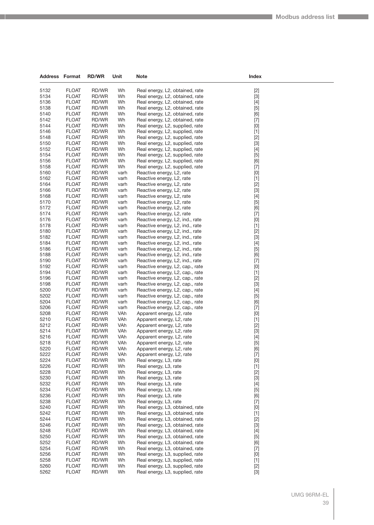| <b>Address Format</b> |                              | <b>RD/WR</b>   | Unit         | Note                                                               | Index                                                                                                                                                                                                                                                                                                                                                                                                                                                                                                                                                                                              |
|-----------------------|------------------------------|----------------|--------------|--------------------------------------------------------------------|----------------------------------------------------------------------------------------------------------------------------------------------------------------------------------------------------------------------------------------------------------------------------------------------------------------------------------------------------------------------------------------------------------------------------------------------------------------------------------------------------------------------------------------------------------------------------------------------------|
| 5132                  | <b>FLOAT</b>                 | RD/WR          | Wh           | Real energy, L2, obtained, rate                                    | $[2]$                                                                                                                                                                                                                                                                                                                                                                                                                                                                                                                                                                                              |
| 5134                  | <b>FLOAT</b>                 | RD/WR          | Wh           | Real energy, L2, obtained, rate                                    | $[3]$                                                                                                                                                                                                                                                                                                                                                                                                                                                                                                                                                                                              |
| 5136                  | <b>FLOAT</b>                 | RD/WR          | Wh           | Real energy, L2, obtained, rate                                    | $[4]$                                                                                                                                                                                                                                                                                                                                                                                                                                                                                                                                                                                              |
| 5138                  | <b>FLOAT</b>                 | RD/WR          | Wh           | Real energy, L2, obtained, rate                                    | $[5]$                                                                                                                                                                                                                                                                                                                                                                                                                                                                                                                                                                                              |
| 5140                  | <b>FLOAT</b>                 | RD/WR          | Wh           | Real energy, L2, obtained, rate                                    | [6]                                                                                                                                                                                                                                                                                                                                                                                                                                                                                                                                                                                                |
| 5142                  | <b>FLOAT</b>                 | RD/WR          | Wh           | Real energy, L2, obtained, rate                                    | $[7]$                                                                                                                                                                                                                                                                                                                                                                                                                                                                                                                                                                                              |
| 5144                  | <b>FLOAT</b>                 | RD/WR          | Wh           | Real energy, L2, supplied, rate                                    | $[0]$                                                                                                                                                                                                                                                                                                                                                                                                                                                                                                                                                                                              |
| 5146                  | <b>FLOAT</b>                 | RD/WR          | Wh           | Real energy, L2, supplied, rate                                    | $[1]$                                                                                                                                                                                                                                                                                                                                                                                                                                                                                                                                                                                              |
| 5148                  | <b>FLOAT</b>                 | RD/WR          | Wh           | Real energy, L2, supplied, rate                                    | $[2]$                                                                                                                                                                                                                                                                                                                                                                                                                                                                                                                                                                                              |
| 5150                  | <b>FLOAT</b>                 | RD/WR          | Wh           | Real energy, L2, supplied, rate                                    | $[3]$                                                                                                                                                                                                                                                                                                                                                                                                                                                                                                                                                                                              |
| 5152                  | <b>FLOAT</b>                 | RD/WR          | Wh           | Real energy, L2, supplied, rate                                    | $[4]$                                                                                                                                                                                                                                                                                                                                                                                                                                                                                                                                                                                              |
| 5154                  | <b>FLOAT</b>                 | RD/WR          | Wh           | Real energy, L2, supplied, rate                                    | $[5]$                                                                                                                                                                                                                                                                                                                                                                                                                                                                                                                                                                                              |
| 5156                  | <b>FLOAT</b>                 | RD/WR          | Wh           | Real energy, L2, supplied, rate                                    | [6]                                                                                                                                                                                                                                                                                                                                                                                                                                                                                                                                                                                                |
| 5158<br>5160          | <b>FLOAT</b><br><b>FLOAT</b> | RD/WR<br>RD/WR | Wh<br>varh   | Real energy, L2, supplied, rate<br>Reactive energy, L2, rate       | $[7]$<br>[0]                                                                                                                                                                                                                                                                                                                                                                                                                                                                                                                                                                                       |
| 5162                  | <b>FLOAT</b>                 | RD/WR          | varh         | Reactive energy, L2, rate                                          | $[1]$                                                                                                                                                                                                                                                                                                                                                                                                                                                                                                                                                                                              |
| 5164                  | <b>FLOAT</b>                 | RD/WR          | varh         | Reactive energy, L2, rate                                          | $[2]$                                                                                                                                                                                                                                                                                                                                                                                                                                                                                                                                                                                              |
| 5166                  | <b>FLOAT</b>                 | RD/WR          | varh         | Reactive energy, L2, rate                                          | $[3]$                                                                                                                                                                                                                                                                                                                                                                                                                                                                                                                                                                                              |
| 5168                  | <b>FLOAT</b>                 | RD/WR          | varh         | Reactive energy, L2, rate                                          | $[4]$                                                                                                                                                                                                                                                                                                                                                                                                                                                                                                                                                                                              |
| 5170                  | <b>FLOAT</b>                 | RD/WR          | varh         | Reactive energy, L2, rate                                          | $[5]$                                                                                                                                                                                                                                                                                                                                                                                                                                                                                                                                                                                              |
| 5172                  | <b>FLOAT</b>                 | RD/WR          | varh         | Reactive energy, L2, rate                                          | [6]                                                                                                                                                                                                                                                                                                                                                                                                                                                                                                                                                                                                |
| 5174                  | <b>FLOAT</b>                 | RD/WR          | varh         | Reactive energy, L2, rate                                          | $[7]$                                                                                                                                                                                                                                                                                                                                                                                                                                                                                                                                                                                              |
| 5176                  | <b>FLOAT</b>                 | RD/WR          | varh         | Reactive energy, L2, ind., rate                                    | [0]                                                                                                                                                                                                                                                                                                                                                                                                                                                                                                                                                                                                |
| 5178                  | <b>FLOAT</b>                 | RD/WR          | varh         | Reactive energy, L2, ind., rate                                    | $[1]$                                                                                                                                                                                                                                                                                                                                                                                                                                                                                                                                                                                              |
| 5180                  | <b>FLOAT</b>                 | RD/WR          | varh         | Reactive energy, L2, ind., rate                                    | $[2]$                                                                                                                                                                                                                                                                                                                                                                                                                                                                                                                                                                                              |
| 5182                  | <b>FLOAT</b>                 | RD/WR          | varh         | Reactive energy, L2, ind., rate                                    | $[3]$                                                                                                                                                                                                                                                                                                                                                                                                                                                                                                                                                                                              |
| 5184                  | <b>FLOAT</b>                 | RD/WR          | varh         | Reactive energy, L2, ind., rate                                    | $[4]$                                                                                                                                                                                                                                                                                                                                                                                                                                                                                                                                                                                              |
| 5186<br>5188          | <b>FLOAT</b><br><b>FLOAT</b> | RD/WR<br>RD/WR | varh         | Reactive energy, L2, ind., rate                                    | $[5]$                                                                                                                                                                                                                                                                                                                                                                                                                                                                                                                                                                                              |
| 5190                  | <b>FLOAT</b>                 | RD/WR          | varh<br>varh | Reactive energy, L2, ind., rate<br>Reactive energy, L2, ind., rate | [6]<br>$[7]$                                                                                                                                                                                                                                                                                                                                                                                                                                                                                                                                                                                       |
| 5192                  | <b>FLOAT</b>                 | RD/WR          | varh         | Reactive energy, L2, cap., rate                                    | $[0]$                                                                                                                                                                                                                                                                                                                                                                                                                                                                                                                                                                                              |
| 5194                  | <b>FLOAT</b>                 | RD/WR          | varh         | Reactive energy, L2, cap., rate                                    | $[1]$                                                                                                                                                                                                                                                                                                                                                                                                                                                                                                                                                                                              |
| 5196                  | <b>FLOAT</b>                 | RD/WR          | varh         | Reactive energy, L2, cap., rate                                    | $[2]$                                                                                                                                                                                                                                                                                                                                                                                                                                                                                                                                                                                              |
| 5198                  | <b>FLOAT</b>                 | RD/WR          | varh         | Reactive energy, L2, cap., rate                                    | $[3]$                                                                                                                                                                                                                                                                                                                                                                                                                                                                                                                                                                                              |
| 5200                  | <b>FLOAT</b>                 | RD/WR          | varh         | Reactive energy, L2, cap., rate                                    | $[4]$                                                                                                                                                                                                                                                                                                                                                                                                                                                                                                                                                                                              |
| 5202                  | <b>FLOAT</b>                 | RD/WR          | varh         | Reactive energy, L2, cap., rate                                    | $[5]$                                                                                                                                                                                                                                                                                                                                                                                                                                                                                                                                                                                              |
| 5204                  | <b>FLOAT</b>                 | RD/WR          | varh         | Reactive energy, L2, cap., rate                                    | [6]                                                                                                                                                                                                                                                                                                                                                                                                                                                                                                                                                                                                |
| 5206                  | <b>FLOAT</b>                 | RD/WR          | varh         | Reactive energy, L2, cap., rate                                    | $[7]$                                                                                                                                                                                                                                                                                                                                                                                                                                                                                                                                                                                              |
| 5208                  | <b>FLOAT</b>                 | RD/WR          | VAh          | Apparent energy, L <sub>2</sub> , rate                             | [0]                                                                                                                                                                                                                                                                                                                                                                                                                                                                                                                                                                                                |
| 5210<br>5212          | <b>FLOAT</b><br><b>FLOAT</b> | RD/WR<br>RD/WR | VAh<br>VAh   | Apparent energy, L2, rate                                          | $[1]$                                                                                                                                                                                                                                                                                                                                                                                                                                                                                                                                                                                              |
| 5214                  | <b>FLOAT</b>                 | RD/WR          | VAh          | Apparent energy, L2, rate<br>Apparent energy, L2, rate             | $[2]$<br>$[3]$                                                                                                                                                                                                                                                                                                                                                                                                                                                                                                                                                                                     |
| 5216                  | <b>FLOAT</b>                 | RD/WR          | VAh          | Apparent energy, L2, rate                                          | $[4]$                                                                                                                                                                                                                                                                                                                                                                                                                                                                                                                                                                                              |
| 5218                  | <b>FLOAT</b>                 | RD/WR          | VAh          | Apparent energy, L2, rate                                          | $[5]$                                                                                                                                                                                                                                                                                                                                                                                                                                                                                                                                                                                              |
| 5220                  | <b>FLOAT</b>                 | RD/WR          | VAh          | Apparent energy, L2, rate                                          | $[6] % \begin{center} \includegraphics[width=\linewidth]{imagesSupplemental/Imetad-Architecture.png} \end{center} % \caption { % \textit{DefNet} of the Grotation \textit{DefNet} and \textit{DefNet} and \textit{DefNet} and \textit{DefNet} are used to be used. } \label{fig:DefNet} %$                                                                                                                                                                                                                                                                                                         |
| 5222                  | <b>FLOAT</b>                 | RD/WR          | VAh          | Apparent energy, L2, rate                                          | $[7]$                                                                                                                                                                                                                                                                                                                                                                                                                                                                                                                                                                                              |
| 5224                  | <b>FLOAT</b>                 | RD/WR          | Wh           | Real energy, L3, rate                                              | $[0] % \begin{center} % \includegraphics[width=\linewidth]{imagesSupplemental_3.png} % \end{center} % \caption { % Our method can be used for the use of the image. % Note that the \emph{DefNet}~\cite{bib66} as a function of the \emph{DefNet}~\cite{bib66} as a function of the \emph{DefNet}~\cite{bib66} as a function of the \emph{DefNet}~\cite{bib66} as a function of the \emph{DefNet}~\cite{bib66} as a function of the \emph{DefNet}~\cite{bib66} as a function of the \emph{DefNet}~\cite{bib66} as a function of the \emph{DefNet}~\cite{bib66} as a function of the \emph{DefNet}$ |
| 5226                  | <b>FLOAT</b>                 | RD/WR          | Wh           | Real energy, L3, rate                                              | $[1]$                                                                                                                                                                                                                                                                                                                                                                                                                                                                                                                                                                                              |
| 5228                  | <b>FLOAT</b>                 | RD/WR          | Wh           | Real energy, L3, rate                                              | $[2]$                                                                                                                                                                                                                                                                                                                                                                                                                                                                                                                                                                                              |
| 5230                  | <b>FLOAT</b>                 | RD/WR          | Wh           | Real energy, L3, rate                                              | $[3]$                                                                                                                                                                                                                                                                                                                                                                                                                                                                                                                                                                                              |
| 5232                  | <b>FLOAT</b>                 | RD/WR          | Wh           | Real energy, L3, rate                                              | $[4]$                                                                                                                                                                                                                                                                                                                                                                                                                                                                                                                                                                                              |
| 5234                  | <b>FLOAT</b>                 | RD/WR          | Wh           | Real energy, L3, rate                                              | $[5]$                                                                                                                                                                                                                                                                                                                                                                                                                                                                                                                                                                                              |
| 5236                  | <b>FLOAT</b>                 | RD/WR          | Wh           | Real energy, L3, rate                                              | [6]                                                                                                                                                                                                                                                                                                                                                                                                                                                                                                                                                                                                |
| 5238<br>5240          | <b>FLOAT</b><br><b>FLOAT</b> | RD/WR<br>RD/WR | Wh<br>Wh     | Real energy, L3, rate<br>Real energy, L3, obtained, rate           | $[7]$                                                                                                                                                                                                                                                                                                                                                                                                                                                                                                                                                                                              |
| 5242                  | <b>FLOAT</b>                 | RD/WR          | Wh           | Real energy, L3, obtained, rate                                    | [0]<br>$[1]$                                                                                                                                                                                                                                                                                                                                                                                                                                                                                                                                                                                       |
| 5244                  | <b>FLOAT</b>                 | RD/WR          | Wh           | Real energy, L3, obtained, rate                                    | $[2]$                                                                                                                                                                                                                                                                                                                                                                                                                                                                                                                                                                                              |
| 5246                  | <b>FLOAT</b>                 | RD/WR          | Wh           | Real energy, L3, obtained, rate                                    | $[3]$                                                                                                                                                                                                                                                                                                                                                                                                                                                                                                                                                                                              |
| 5248                  | <b>FLOAT</b>                 | RD/WR          | Wh           | Real energy, L3, obtained, rate                                    | $[4]$                                                                                                                                                                                                                                                                                                                                                                                                                                                                                                                                                                                              |
| 5250                  | <b>FLOAT</b>                 | RD/WR          | Wh           | Real energy, L3, obtained, rate                                    | $[5]$                                                                                                                                                                                                                                                                                                                                                                                                                                                                                                                                                                                              |
| 5252                  | <b>FLOAT</b>                 | RD/WR          | Wh           | Real energy, L3, obtained, rate                                    | [6]                                                                                                                                                                                                                                                                                                                                                                                                                                                                                                                                                                                                |
| 5254                  | <b>FLOAT</b>                 | RD/WR          | Wh           | Real energy, L3, obtained, rate                                    | $[7]$                                                                                                                                                                                                                                                                                                                                                                                                                                                                                                                                                                                              |
| 5256                  | <b>FLOAT</b>                 | RD/WR          | Wh           | Real energy, L3, supplied, rate                                    | $[0] % \begin{center} % \includegraphics[width=\linewidth]{imagesSupplemental_3.png} % \end{center} % \caption { % Our method can be used for the use of the image. % Note that the \emph{DefNet}~\cite{bib66} as a function of the \emph{DefNet}~\cite{bib66} as a function of the \emph{DefNet}~\cite{bib66} as a function of the \emph{DefNet}~\cite{bib66} as a function of the \emph{DefNet}~\cite{bib66} as a function of the \emph{DefNet}~\cite{bib66} as a function of the \emph{DefNet}~\cite{bib66} as a function of the \emph{DefNet}~\cite{bib66} as a function of the \emph{DefNet}$ |
| 5258                  | <b>FLOAT</b>                 | RD/WR          | Wh           | Real energy, L3, supplied, rate                                    | $[1]$                                                                                                                                                                                                                                                                                                                                                                                                                                                                                                                                                                                              |
| 5260                  | <b>FLOAT</b>                 | RD/WR          | Wh           | Real energy, L3, supplied, rate                                    | $[2]$                                                                                                                                                                                                                                                                                                                                                                                                                                                                                                                                                                                              |
| 5262                  | <b>FLOAT</b>                 | RD/WR          | Wh           | Real energy, L3, supplied, rate                                    | $[3] % \begin{center} \includegraphics[width=\linewidth]{imagesSupplemental/Imers.png} \end{center} % \vspace*{-1em} \caption{The image shows the number of parameters of the parameter $\mathcal{M}$ with the corresponding parameters of the parameter $\mathcal{M}$ with the number of parameters of the parameter $\mathcal{M}$ with the number of parameters of the parameter $\mathcal{M}$.} \label{fig:3}$                                                                                                                                                                                  |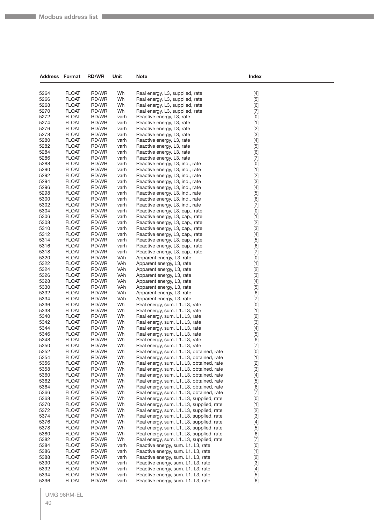| <b>Address Format</b> |                              | <b>RD/WR</b>   | Unit         | <b>Note</b>                                                          | Index                                                                                                                                                                                                                                                                                                                                                                                                                                                                                                                                                                                              |  |
|-----------------------|------------------------------|----------------|--------------|----------------------------------------------------------------------|----------------------------------------------------------------------------------------------------------------------------------------------------------------------------------------------------------------------------------------------------------------------------------------------------------------------------------------------------------------------------------------------------------------------------------------------------------------------------------------------------------------------------------------------------------------------------------------------------|--|
|                       |                              |                |              |                                                                      |                                                                                                                                                                                                                                                                                                                                                                                                                                                                                                                                                                                                    |  |
| 5264                  | <b>FLOAT</b>                 |                | Wh           |                                                                      |                                                                                                                                                                                                                                                                                                                                                                                                                                                                                                                                                                                                    |  |
| 5266                  | <b>FLOAT</b>                 | RD/WR<br>RD/WR | Wh           | Real energy, L3, supplied, rate<br>Real energy, L3, supplied, rate   | $[4]$<br>$[5]$                                                                                                                                                                                                                                                                                                                                                                                                                                                                                                                                                                                     |  |
| 5268                  | <b>FLOAT</b>                 | RD/WR          | Wh           | Real energy, L3, supplied, rate                                      | [6]                                                                                                                                                                                                                                                                                                                                                                                                                                                                                                                                                                                                |  |
| 5270                  | <b>FLOAT</b>                 | RD/WR          | Wh           | Real energy, L3, supplied, rate                                      | $[7]$                                                                                                                                                                                                                                                                                                                                                                                                                                                                                                                                                                                              |  |
| 5272                  | <b>FLOAT</b>                 | RD/WR          | varh         | Reactive energy, L3, rate                                            | [0]                                                                                                                                                                                                                                                                                                                                                                                                                                                                                                                                                                                                |  |
| 5274                  | <b>FLOAT</b>                 | RD/WR          | varh         | Reactive energy, L3, rate                                            | $[1]$                                                                                                                                                                                                                                                                                                                                                                                                                                                                                                                                                                                              |  |
| 5276                  | <b>FLOAT</b>                 | RD/WR          | varh         | Reactive energy, L3, rate                                            | $[2]$                                                                                                                                                                                                                                                                                                                                                                                                                                                                                                                                                                                              |  |
| 5278                  | <b>FLOAT</b>                 | RD/WR          | varh         | Reactive energy, L3, rate                                            | $[3]$                                                                                                                                                                                                                                                                                                                                                                                                                                                                                                                                                                                              |  |
| 5280                  | <b>FLOAT</b>                 | RD/WR          | varh         | Reactive energy, L3, rate                                            | $[4]$                                                                                                                                                                                                                                                                                                                                                                                                                                                                                                                                                                                              |  |
| 5282                  | <b>FLOAT</b>                 | RD/WR          | varh         | Reactive energy, L3, rate                                            | $[5]$                                                                                                                                                                                                                                                                                                                                                                                                                                                                                                                                                                                              |  |
| 5284                  | <b>FLOAT</b>                 | RD/WR          | varh         | Reactive energy, L3, rate                                            | [6]                                                                                                                                                                                                                                                                                                                                                                                                                                                                                                                                                                                                |  |
| 5286                  | <b>FLOAT</b>                 | RD/WR          | varh         | Reactive energy, L3, rate                                            | $[7]$                                                                                                                                                                                                                                                                                                                                                                                                                                                                                                                                                                                              |  |
| 5288                  | <b>FLOAT</b>                 | RD/WR          | varh         | Reactive energy, L3, ind., rate                                      | [0]                                                                                                                                                                                                                                                                                                                                                                                                                                                                                                                                                                                                |  |
| 5290                  | <b>FLOAT</b>                 | RD/WR          | varh         | Reactive energy, L3, ind., rate                                      | $[1]$                                                                                                                                                                                                                                                                                                                                                                                                                                                                                                                                                                                              |  |
| 5292                  | <b>FLOAT</b>                 | RD/WR          | varh         | Reactive energy, L3, ind., rate                                      | $[2]$                                                                                                                                                                                                                                                                                                                                                                                                                                                                                                                                                                                              |  |
| 5294                  | <b>FLOAT</b>                 | RD/WR          | varh         | Reactive energy, L3, ind., rate                                      | $[3]$                                                                                                                                                                                                                                                                                                                                                                                                                                                                                                                                                                                              |  |
| 5296                  | <b>FLOAT</b>                 | RD/WR          | varh         | Reactive energy, L3, ind., rate                                      | $[4]$                                                                                                                                                                                                                                                                                                                                                                                                                                                                                                                                                                                              |  |
| 5298                  | <b>FLOAT</b>                 | RD/WR          | varh         | Reactive energy, L3, ind., rate                                      | $[5]$                                                                                                                                                                                                                                                                                                                                                                                                                                                                                                                                                                                              |  |
| 5300                  | <b>FLOAT</b>                 | RD/WR          | varh         | Reactive energy, L3, ind., rate                                      | [6]                                                                                                                                                                                                                                                                                                                                                                                                                                                                                                                                                                                                |  |
| 5302                  | <b>FLOAT</b>                 | RD/WR          | varh         | Reactive energy, L3, ind., rate                                      | $[7]$                                                                                                                                                                                                                                                                                                                                                                                                                                                                                                                                                                                              |  |
| 5304                  | <b>FLOAT</b>                 | RD/WR          | varh         | Reactive energy, L3, cap., rate                                      | [0]                                                                                                                                                                                                                                                                                                                                                                                                                                                                                                                                                                                                |  |
| 5306                  | <b>FLOAT</b>                 | RD/WR          | varh         | Reactive energy, L3, cap., rate                                      | $[1]$                                                                                                                                                                                                                                                                                                                                                                                                                                                                                                                                                                                              |  |
| 5308<br>5310          | <b>FLOAT</b><br><b>FLOAT</b> | RD/WR<br>RD/WR | varh<br>varh | Reactive energy, L3, cap., rate<br>Reactive energy, L3, cap., rate   | $[2]$                                                                                                                                                                                                                                                                                                                                                                                                                                                                                                                                                                                              |  |
| 5312                  | <b>FLOAT</b>                 | RD/WR          | varh         | Reactive energy, L3, cap., rate                                      | $[3]$                                                                                                                                                                                                                                                                                                                                                                                                                                                                                                                                                                                              |  |
| 5314                  | <b>FLOAT</b>                 | RD/WR          | varh         | Reactive energy, L3, cap., rate                                      | $[4]$<br>$[5]$                                                                                                                                                                                                                                                                                                                                                                                                                                                                                                                                                                                     |  |
| 5316                  | <b>FLOAT</b>                 | RD/WR          | varh         | Reactive energy, L3, cap., rate                                      | [6]                                                                                                                                                                                                                                                                                                                                                                                                                                                                                                                                                                                                |  |
| 5318                  | <b>FLOAT</b>                 | RD/WR          | varh         | Reactive energy, L3, cap., rate                                      | $[7]$                                                                                                                                                                                                                                                                                                                                                                                                                                                                                                                                                                                              |  |
| 5320                  | <b>FLOAT</b>                 | RD/WR          | VAh          | Apparent energy, L3, rate                                            | [0]                                                                                                                                                                                                                                                                                                                                                                                                                                                                                                                                                                                                |  |
| 5322                  | <b>FLOAT</b>                 | RD/WR          | VAh          | Apparent energy, L3, rate                                            | $[1]$                                                                                                                                                                                                                                                                                                                                                                                                                                                                                                                                                                                              |  |
| 5324                  | <b>FLOAT</b>                 | RD/WR          | VAh          | Apparent energy, L3, rate                                            | $[2]$                                                                                                                                                                                                                                                                                                                                                                                                                                                                                                                                                                                              |  |
| 5326                  | <b>FLOAT</b>                 | RD/WR          | VAh          | Apparent energy, L3, rate                                            | $[3]$                                                                                                                                                                                                                                                                                                                                                                                                                                                                                                                                                                                              |  |
| 5328                  | <b>FLOAT</b>                 | RD/WR          | VAh          | Apparent energy, L3, rate                                            | [4]                                                                                                                                                                                                                                                                                                                                                                                                                                                                                                                                                                                                |  |
| 5330                  | <b>FLOAT</b>                 | RD/WR          | VAh          | Apparent energy, L3, rate                                            | $[5]$                                                                                                                                                                                                                                                                                                                                                                                                                                                                                                                                                                                              |  |
| 5332                  | <b>FLOAT</b>                 | RD/WR          | VAh          | Apparent energy, L3, rate                                            | [6]                                                                                                                                                                                                                                                                                                                                                                                                                                                                                                                                                                                                |  |
| 5334                  | <b>FLOAT</b>                 | RD/WR          | VAh          | Apparent energy, L3, rate                                            | $[7]$                                                                                                                                                                                                                                                                                                                                                                                                                                                                                                                                                                                              |  |
| 5336                  | <b>FLOAT</b>                 | RD/WR          | Wh           | Real energy, sum. L1L3, rate                                         | [0]                                                                                                                                                                                                                                                                                                                                                                                                                                                                                                                                                                                                |  |
| 5338                  | <b>FLOAT</b>                 | RD/WR          | Wh           | Real energy, sum. L1L3, rate                                         | $[1]$                                                                                                                                                                                                                                                                                                                                                                                                                                                                                                                                                                                              |  |
| 5340                  | <b>FLOAT</b>                 | RD/WR          | Wh           | Real energy, sum. L1L3, rate                                         | $[2]$                                                                                                                                                                                                                                                                                                                                                                                                                                                                                                                                                                                              |  |
| 5342                  | <b>FLOAT</b>                 | RD/WR          | Wh           | Real energy, sum. L1L3, rate                                         | $[3]$                                                                                                                                                                                                                                                                                                                                                                                                                                                                                                                                                                                              |  |
| 5344<br>5346          | <b>FLOAT</b><br><b>FLOAT</b> | RD/WR          | Wh           | Real energy, sum. L1L3, rate                                         | [4]                                                                                                                                                                                                                                                                                                                                                                                                                                                                                                                                                                                                |  |
| 5348                  | <b>FLOAT</b>                 | RD/WR<br>RD/WR | Wh<br>Wh     | Real energy, sum. L1L3, rate<br>Real energy, sum. L1L3, rate         | $[5]$                                                                                                                                                                                                                                                                                                                                                                                                                                                                                                                                                                                              |  |
| 5350                  | <b>FLOAT</b>                 | RD/WR          | Wh           | Real energy, sum. L1L3, rate                                         | [6]<br>$[7]$                                                                                                                                                                                                                                                                                                                                                                                                                                                                                                                                                                                       |  |
| 5352                  | <b>FLOAT</b>                 | RD/WR          | Wh           | Real energy, sum. L1L3, obtained, rate                               | $[0] % \begin{center} % \includegraphics[width=\linewidth]{imagesSupplemental_3.png} % \end{center} % \caption { % Our method can be used for the use of the image. % Note that the \emph{DefNet}~\cite{bib66} as a function of the \emph{DefNet}~\cite{bib66} as a function of the \emph{DefNet}~\cite{bib66} as a function of the \emph{DefNet}~\cite{bib66} as a function of the \emph{DefNet}~\cite{bib66} as a function of the \emph{DefNet}~\cite{bib66} as a function of the \emph{DefNet}~\cite{bib66} as a function of the \emph{DefNet}~\cite{bib66} as a function of the \emph{DefNet}$ |  |
| 5354                  | <b>FLOAT</b>                 | RD/WR          | Wh           | Real energy, sum. L1L3, obtained, rate                               | $[1]$                                                                                                                                                                                                                                                                                                                                                                                                                                                                                                                                                                                              |  |
| 5356                  | <b>FLOAT</b>                 | RD/WR          | Wh           | Real energy, sum. L1L3, obtained, rate                               | $[2]$                                                                                                                                                                                                                                                                                                                                                                                                                                                                                                                                                                                              |  |
| 5358                  | <b>FLOAT</b>                 | RD/WR          | Wh           | Real energy, sum. L1L3, obtained, rate                               | $[3]$                                                                                                                                                                                                                                                                                                                                                                                                                                                                                                                                                                                              |  |
| 5360                  | <b>FLOAT</b>                 | RD/WR          | Wh           | Real energy, sum. L1L3, obtained, rate                               | $[4]$                                                                                                                                                                                                                                                                                                                                                                                                                                                                                                                                                                                              |  |
| 5362                  | <b>FLOAT</b>                 | RD/WR          | Wh           | Real energy, sum. L1L3, obtained, rate                               | $[5]$                                                                                                                                                                                                                                                                                                                                                                                                                                                                                                                                                                                              |  |
| 5364                  | <b>FLOAT</b>                 | RD/WR          | Wh           | Real energy, sum. L1L3, obtained, rate                               | [6]                                                                                                                                                                                                                                                                                                                                                                                                                                                                                                                                                                                                |  |
| 5366                  | <b>FLOAT</b>                 | RD/WR          | Wh           | Real energy, sum. L1L3, obtained, rate                               | $[7]$                                                                                                                                                                                                                                                                                                                                                                                                                                                                                                                                                                                              |  |
| 5368                  | <b>FLOAT</b>                 | RD/WR          | Wh           | Real energy, sum. L1L3, supplied, rate                               | [0]                                                                                                                                                                                                                                                                                                                                                                                                                                                                                                                                                                                                |  |
| 5370                  | <b>FLOAT</b>                 | RD/WR          | Wh           | Real energy, sum. L1L3, supplied, rate                               | $[1]$                                                                                                                                                                                                                                                                                                                                                                                                                                                                                                                                                                                              |  |
| 5372                  | <b>FLOAT</b>                 | RD/WR          | Wh           | Real energy, sum. L1L3, supplied, rate                               | $[2]$                                                                                                                                                                                                                                                                                                                                                                                                                                                                                                                                                                                              |  |
| 5374                  | <b>FLOAT</b>                 | RD/WR          | Wh           | Real energy, sum. L1L3, supplied, rate                               | $[3]$                                                                                                                                                                                                                                                                                                                                                                                                                                                                                                                                                                                              |  |
| 5376                  | <b>FLOAT</b>                 | RD/WR          | Wh           | Real energy, sum. L1L3, supplied, rate                               | $[4]$                                                                                                                                                                                                                                                                                                                                                                                                                                                                                                                                                                                              |  |
| 5378                  | <b>FLOAT</b>                 | RD/WR          | Wh           | Real energy, sum. L1L3, supplied, rate                               | $[5]$                                                                                                                                                                                                                                                                                                                                                                                                                                                                                                                                                                                              |  |
| 5380                  | <b>FLOAT</b>                 | RD/WR          | Wh           | Real energy, sum. L1L3, supplied, rate                               | [6]                                                                                                                                                                                                                                                                                                                                                                                                                                                                                                                                                                                                |  |
| 5382                  | <b>FLOAT</b>                 | RD/WR          | Wh           | Real energy, sum. L1L3, supplied, rate                               | $[7]$                                                                                                                                                                                                                                                                                                                                                                                                                                                                                                                                                                                              |  |
| 5384                  | <b>FLOAT</b>                 | RD/WR          | varh         | Reactive energy, sum. L1L3, rate                                     | [0]                                                                                                                                                                                                                                                                                                                                                                                                                                                                                                                                                                                                |  |
| 5386<br>5388          | <b>FLOAT</b><br><b>FLOAT</b> | RD/WR          | varh         | Reactive energy, sum. L1L3, rate<br>Reactive energy, sum. L1L3, rate | $[1]$                                                                                                                                                                                                                                                                                                                                                                                                                                                                                                                                                                                              |  |
| 5390                  | <b>FLOAT</b>                 | RD/WR<br>RD/WR | varh<br>varh | Reactive energy, sum. L1L3, rate                                     | $[2]$<br>$[3]$                                                                                                                                                                                                                                                                                                                                                                                                                                                                                                                                                                                     |  |
| 5392                  | <b>FLOAT</b>                 | RD/WR          | varh         | Reactive energy, sum. L1L3, rate                                     | $[4]$                                                                                                                                                                                                                                                                                                                                                                                                                                                                                                                                                                                              |  |
| 5394                  | <b>FLOAT</b>                 | RD/WR          | varh         | Reactive energy, sum. L1L3, rate                                     | $[5]$                                                                                                                                                                                                                                                                                                                                                                                                                                                                                                                                                                                              |  |
| 5396                  | <b>FLOAT</b>                 | RD/WR          | varh         | Reactive energy, sum. L1L3, rate                                     | [6]                                                                                                                                                                                                                                                                                                                                                                                                                                                                                                                                                                                                |  |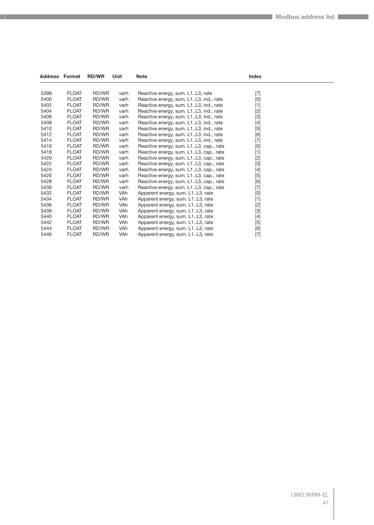| <b>Address Format</b> |              | <b>RD/WR</b> | Unit       | <b>Note</b>                            | Index                                                                                                                                                                                                                                                                                                                                                                                                                                                                                                                                                                                                                         |  |
|-----------------------|--------------|--------------|------------|----------------------------------------|-------------------------------------------------------------------------------------------------------------------------------------------------------------------------------------------------------------------------------------------------------------------------------------------------------------------------------------------------------------------------------------------------------------------------------------------------------------------------------------------------------------------------------------------------------------------------------------------------------------------------------|--|
|                       |              |              |            |                                        |                                                                                                                                                                                                                                                                                                                                                                                                                                                                                                                                                                                                                               |  |
| 5398                  | <b>FLOAT</b> | RD/WR        | varh       | Reactive energy, sum. L1L3, rate       | $[7]$                                                                                                                                                                                                                                                                                                                                                                                                                                                                                                                                                                                                                         |  |
| 5400                  | <b>FLOAT</b> | RD/WR        | varh       | Reactive energy, sum. L1L3, ind., rate | [0]                                                                                                                                                                                                                                                                                                                                                                                                                                                                                                                                                                                                                           |  |
| 5402                  | <b>FLOAT</b> | RD/WR        | varh       | Reactive energy, sum. L1L3, ind., rate | $[1] % \centering \includegraphics[width=0.9\columnwidth]{figures/fig_10.pdf} \caption{The figure shows the number of times on the right.} \label{fig:time} %$                                                                                                                                                                                                                                                                                                                                                                                                                                                                |  |
| 5404                  | <b>FLOAT</b> | RD/WR        | varh       | Reactive energy, sum. L1L3, ind., rate |                                                                                                                                                                                                                                                                                                                                                                                                                                                                                                                                                                                                                               |  |
| 5406                  | <b>FLOAT</b> | RD/WR        | varh       | Reactive energy, sum. L1L3, ind., rate | $[3]$                                                                                                                                                                                                                                                                                                                                                                                                                                                                                                                                                                                                                         |  |
| 5408                  | <b>FLOAT</b> | RD/WR        | varh       | Reactive energy, sum. L1L3, ind., rate |                                                                                                                                                                                                                                                                                                                                                                                                                                                                                                                                                                                                                               |  |
| 5410                  | <b>FLOAT</b> | RD/WR        | varh       | Reactive energy, sum. L1L3, ind., rate | [5]                                                                                                                                                                                                                                                                                                                                                                                                                                                                                                                                                                                                                           |  |
| 5412                  | <b>FLOAT</b> | RD/WR        | varh       | Reactive energy, sum. L1L3, ind., rate | [6]                                                                                                                                                                                                                                                                                                                                                                                                                                                                                                                                                                                                                           |  |
| 5414                  | <b>FLOAT</b> | RD/WR        | varh       | Reactive energy, sum. L1L3, ind., rate | $[7] % \begin{minipage}[b]{0.4\linewidth} \centering \includegraphics[width=\textwidth]{figs/fig_4.pdf} \caption{The 3D (blue) model for the $z$-axis.} \label{fig:3d}% \end{minipage} \vspace{0.05in} \begin{minipage}[b]{0.45\linewidth} \centering \includegraphics[width=\textwidth]{figs/fig_4.pdf} \caption{The 3D (blue) model for the $z$-axis.} \label{fig:3d}% \end{minipage} \vspace{0.05in} \caption{The 3D (blue) model for the $z$-axis.} \label{fig:3d}%$                                                                                                                                                      |  |
| 5416                  | <b>FLOAT</b> | RD/WR        | varh       | Reactive energy, sum. L1L3, cap., rate | [0]                                                                                                                                                                                                                                                                                                                                                                                                                                                                                                                                                                                                                           |  |
| 5418                  | <b>FLOAT</b> | RD/WR        | varh       | Reactive energy, sum. L1L3, cap., rate | $[1]$                                                                                                                                                                                                                                                                                                                                                                                                                                                                                                                                                                                                                         |  |
| 5420                  | <b>FLOAT</b> | RD/WR        | varh       | Reactive energy, sum. L1L3, cap., rate | $[2]$                                                                                                                                                                                                                                                                                                                                                                                                                                                                                                                                                                                                                         |  |
| 5422                  | <b>FLOAT</b> | RD/WR        | varh       | Reactive energy, sum. L1L3, cap., rate | $[3]$                                                                                                                                                                                                                                                                                                                                                                                                                                                                                                                                                                                                                         |  |
| 5424                  | <b>FLOAT</b> | RD/WR        | varh       | Reactive energy, sum. L1L3, cap., rate | [4]                                                                                                                                                                                                                                                                                                                                                                                                                                                                                                                                                                                                                           |  |
| 5426                  | <b>FLOAT</b> | RD/WR        | varh       | Reactive energy, sum. L1L3, cap., rate | $[5]$                                                                                                                                                                                                                                                                                                                                                                                                                                                                                                                                                                                                                         |  |
| 5428                  | <b>FLOAT</b> | RD/WR        | varh       | Reactive energy, sum. L1L3, cap., rate | [6]                                                                                                                                                                                                                                                                                                                                                                                                                                                                                                                                                                                                                           |  |
| 5430                  | <b>FLOAT</b> | RD/WR        | varh       | Reactive energy, sum. L1L3, cap., rate | $[7] % \begin{minipage}[b]{0.4\linewidth} \centering \includegraphics[width=\textwidth]{figs/fig_4.pdf} \caption{The figure shows the number of times on the left and right.} \label{fig:fig_4} \end{minipage} \vspace{0.05in} \begin{minipage}[b]{0.45\linewidth} \centering \includegraphics[width=\textwidth]{figs/fig_4.pdf} \caption{The figure shows the number of times on the right.} \label{fig:fig_4} \end{minipage} \vspace{0.05in} \begin{minipage}[b]{0.45in} \centering \includegraphics[width=\textwidth]{figs/fig_4.pdf} \caption{The figure shows the number of times on the right.} \label{fig:fig_4} \end$ |  |
| 5432                  | <b>FLOAT</b> | RD/WR        | VAh        | Apparent energy, sum. L1L3, rate       | [0]                                                                                                                                                                                                                                                                                                                                                                                                                                                                                                                                                                                                                           |  |
| 5434                  | <b>FLOAT</b> | RD/WR        | <b>VAh</b> | Apparent energy, sum. L1L3, rate       | $[1] % \centering \includegraphics[width=0.9\columnwidth]{figures/fig_10.pdf} \caption{The figure shows the number of times on the right.} \label{fig:time} %$                                                                                                                                                                                                                                                                                                                                                                                                                                                                |  |
| 5436                  | <b>FLOAT</b> | RD/WR        | <b>VAh</b> | Apparent energy, sum. L1L3, rate       | $[2]$                                                                                                                                                                                                                                                                                                                                                                                                                                                                                                                                                                                                                         |  |
| 5438                  | <b>FLOAT</b> | RD/WR        | VAh        | Apparent energy, sum. L1L3, rate       | $[3]$                                                                                                                                                                                                                                                                                                                                                                                                                                                                                                                                                                                                                         |  |
| 5440                  | <b>FLOAT</b> | RD/WR        | <b>VAh</b> | Apparent energy, sum. L1L3, rate       | $[4] % \begin{center} \includegraphics[width=\linewidth]{imagesSupplemental/Imetad-Architecture.png} \end{center} \caption{The image shows the image shows a single number of three different times, and the image shows a single number of three different times, and the image shows a single number of three different times.} \label{fig:limal}$                                                                                                                                                                                                                                                                          |  |
| 5442                  | <b>FLOAT</b> | RD/WR        | VAh        | Apparent energy, sum. L1L3, rate       | $[5]$                                                                                                                                                                                                                                                                                                                                                                                                                                                                                                                                                                                                                         |  |
| 5444                  | <b>FLOAT</b> | RD/WR        | VAh        | Apparent energy, sum. L1L3, rate       | [6]                                                                                                                                                                                                                                                                                                                                                                                                                                                                                                                                                                                                                           |  |
| 5446                  | <b>FLOAT</b> | RD/WR        | <b>VAh</b> | Apparent energy, sum. L1L3, rate       | $[7]$                                                                                                                                                                                                                                                                                                                                                                                                                                                                                                                                                                                                                         |  |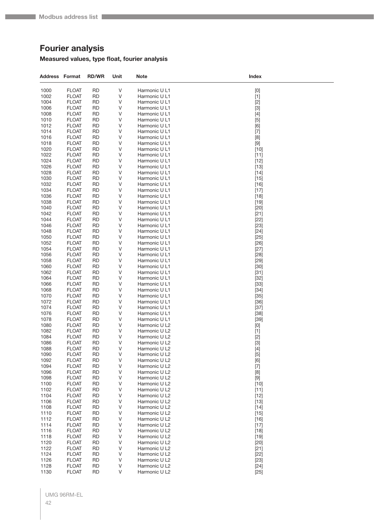# **Fourier analysis**

## **Measured values, type float, fourier analysis**

| $\sf V$<br>1000<br><b>FLOAT</b><br><b>RD</b><br>Harmonic U L1<br>$[0]$<br>1002<br><b>FLOAT</b><br><b>RD</b><br>V<br>Harmonic U L1<br>$[1]$<br>1004<br><b>FLOAT</b><br><b>RD</b><br>V<br>$[2]$<br>Harmonic U L1<br>1006<br><b>FLOAT</b><br><b>RD</b><br>V<br>Harmonic U L1<br>$[3]$<br>1008<br><b>FLOAT</b><br>V<br>RD<br>Harmonic U L1<br>1010<br><b>FLOAT</b><br><b>RD</b><br>V<br>Harmonic U L1<br>$[5]$<br>1012<br><b>FLOAT</b><br><b>RD</b><br>V<br>Harmonic U L1<br>[6]<br>1014<br><b>FLOAT</b><br><b>RD</b><br>V<br>Harmonic U L1<br>$[7]$<br><b>RD</b><br>V<br>1016<br><b>FLOAT</b><br>Harmonic U L1<br>[8]<br><b>FLOAT</b><br>V<br>1018<br>RD<br>Harmonic U L1<br>$[9]$<br>1020<br><b>FLOAT</b><br><b>RD</b><br>V<br>Harmonic U L1<br>$[10]$<br>1022<br><b>FLOAT</b><br><b>RD</b><br>V<br>Harmonic U L1<br>$[11]$<br>1024<br><b>FLOAT</b><br><b>RD</b><br>V<br>$[12]$<br>Harmonic U L1<br>1026<br>V<br><b>FLOAT</b><br>RD<br>Harmonic U L1<br>$[13]$<br>1028<br><b>FLOAT</b><br>V<br>RD<br>Harmonic U L1<br>$[14]$<br>1030<br><b>FLOAT</b><br><b>RD</b><br>V<br>Harmonic U L1<br>$[15]$<br>1032<br><b>FLOAT</b><br><b>RD</b><br>V<br>Harmonic U L1<br>$[16]$<br>1034<br><b>FLOAT</b><br><b>RD</b><br>V<br>Harmonic U L1<br>$[17]$<br>1036<br>V<br><b>FLOAT</b><br>RD<br>Harmonic U L1<br>$[18]$<br>1038<br><b>FLOAT</b><br>V<br>RD<br>Harmonic U L1<br>$[19]$<br>1040<br><b>FLOAT</b><br><b>RD</b><br>V<br>Harmonic U L1<br>$[20]$<br>1042<br><b>FLOAT</b><br>V<br>RD<br>Harmonic U L1<br>$[21]$<br>1044<br><b>FLOAT</b><br><b>RD</b><br>V<br>$[22]$<br>Harmonic U L1<br>1046<br>V<br>$[23]$<br><b>FLOAT</b><br>RD<br>Harmonic U L1<br>1048<br><b>FLOAT</b><br>V<br>RD<br>Harmonic U L1<br>$[24]$<br>1050<br><b>FLOAT</b><br><b>RD</b><br>V<br>Harmonic U L1<br>$[25]$<br>1052<br><b>FLOAT</b><br>V<br>RD<br>Harmonic U L1<br>$[26]$<br>1054<br><b>FLOAT</b><br><b>RD</b><br>V<br>Harmonic U L1<br>$[27]$<br>1056<br>V<br><b>FLOAT</b><br>RD<br>Harmonic U L1<br>$[28]$<br>1058<br><b>FLOAT</b><br>V<br>RD<br>Harmonic U L1<br>$[29]$<br>1060<br><b>FLOAT</b><br><b>RD</b><br>V<br>Harmonic U L1<br>$[30]$<br>1062<br><b>FLOAT</b><br>RD<br>V<br>Harmonic U L1<br>$[31]$<br>1064<br><b>FLOAT</b><br><b>RD</b><br>V<br>$[32]$<br>Harmonic U L1<br>1066<br><b>RD</b><br>V<br>$[33]$<br><b>FLOAT</b><br>Harmonic U L1<br>1068<br><b>FLOAT</b><br>V<br>RD<br>Harmonic U L1<br>$[34]$<br>1070<br><b>FLOAT</b><br><b>RD</b><br>V<br>Harmonic U L1<br>$[35]$<br>1072<br><b>FLOAT</b><br>RD<br>V<br>Harmonic U L1<br>$[36]$<br>1074<br><b>FLOAT</b><br><b>RD</b><br>V<br>$[37]$<br>Harmonic U L1<br>1076<br><b>RD</b><br>V<br><b>FLOAT</b><br>Harmonic U L1<br>$[38]$<br>1078<br><b>FLOAT</b><br>V<br>RD<br>Harmonic U L1<br>$[39]$<br>1080<br><b>FLOAT</b><br><b>RD</b><br>V<br>Harmonic U L2<br>[0]<br>1082<br><b>FLOAT</b><br>RD<br>V<br>Harmonic U L2<br>$[1]$<br>1084<br><b>FLOAT</b><br><b>RD</b><br>V<br>Harmonic U L2<br>$[2]$<br>1086<br><b>RD</b><br>V<br>$[3]$<br><b>FLOAT</b><br>Harmonic U L2<br>1088<br><b>FLOAT</b><br><b>RD</b><br>V<br>Harmonic U L2<br>$[4]$<br>V<br>1090<br><b>FLOAT</b><br><b>RD</b><br>Harmonic U L2<br>$[5]$<br>1092<br><b>FLOAT</b><br><b>RD</b><br>V<br>Harmonic U L2<br>[6]<br>1094<br><b>RD</b><br><b>FLOAT</b><br>V<br>Harmonic U L2<br>$[7]$<br>1096<br>V<br><b>FLOAT</b><br><b>RD</b><br>Harmonic U L2<br>[8]<br>1098<br><b>FLOAT</b><br><b>RD</b><br>V<br>Harmonic U L2<br>[9]<br>1100<br>V<br><b>FLOAT</b><br><b>RD</b><br>Harmonic U L2<br>$[10]$<br>1102<br><b>FLOAT</b><br>V<br>RD<br>Harmonic U L2<br>$[11]$<br>1104<br>$[12]$<br><b>FLOAT</b><br><b>RD</b><br>V<br>Harmonic U L2<br>1106<br>V<br><b>FLOAT</b><br><b>RD</b><br>Harmonic U L2<br>$[13]$<br>1108<br><b>FLOAT</b><br><b>RD</b><br>V<br>Harmonic U L2<br>$[14]$<br>V<br>1110<br><b>FLOAT</b><br><b>RD</b><br>Harmonic U L2<br>$[15]$<br>1112<br><b>FLOAT</b><br>V<br>RD<br>Harmonic U L2<br>$[16]$<br>1114<br><b>FLOAT</b><br><b>RD</b><br>V<br>Harmonic U L2<br>$[17]$<br>V<br>1116<br><b>FLOAT</b><br><b>RD</b><br>Harmonic U L2<br>$[18]$<br>1118<br><b>FLOAT</b><br>V<br>Harmonic U L2<br>RD<br>$[19]$<br>1120<br>V<br><b>FLOAT</b><br><b>RD</b><br>Harmonic U L2<br>$[20]$<br>1122<br><b>FLOAT</b><br>V<br>RD<br>Harmonic U L2<br>$[21]$<br>1124<br><b>FLOAT</b><br><b>RD</b><br>V<br>Harmonic U L2<br>$[22]$<br>V<br>1126<br><b>FLOAT</b><br><b>RD</b><br>Harmonic U L2<br>$[23]$<br>1128<br><b>FLOAT</b><br><b>RD</b><br>V<br>Harmonic U L2<br>$[24]$<br>V<br><b>FLOAT</b><br>Harmonic U L2 | <b>Address Format</b> | <b>RD/WR</b> | Unit | <b>Note</b> | Index  |
|-------------------------------------------------------------------------------------------------------------------------------------------------------------------------------------------------------------------------------------------------------------------------------------------------------------------------------------------------------------------------------------------------------------------------------------------------------------------------------------------------------------------------------------------------------------------------------------------------------------------------------------------------------------------------------------------------------------------------------------------------------------------------------------------------------------------------------------------------------------------------------------------------------------------------------------------------------------------------------------------------------------------------------------------------------------------------------------------------------------------------------------------------------------------------------------------------------------------------------------------------------------------------------------------------------------------------------------------------------------------------------------------------------------------------------------------------------------------------------------------------------------------------------------------------------------------------------------------------------------------------------------------------------------------------------------------------------------------------------------------------------------------------------------------------------------------------------------------------------------------------------------------------------------------------------------------------------------------------------------------------------------------------------------------------------------------------------------------------------------------------------------------------------------------------------------------------------------------------------------------------------------------------------------------------------------------------------------------------------------------------------------------------------------------------------------------------------------------------------------------------------------------------------------------------------------------------------------------------------------------------------------------------------------------------------------------------------------------------------------------------------------------------------------------------------------------------------------------------------------------------------------------------------------------------------------------------------------------------------------------------------------------------------------------------------------------------------------------------------------------------------------------------------------------------------------------------------------------------------------------------------------------------------------------------------------------------------------------------------------------------------------------------------------------------------------------------------------------------------------------------------------------------------------------------------------------------------------------------------------------------------------------------------------------------------------------------------------------------------------------------------------------------------------------------------------------------------------------------------------------------------------------------------------------------------------------------------------------------------------------------------------------------------------------------------------------------------------------------------------------------------------------------------------------------------------------------------------------------------------------------------------------------------------------------------------------------------------------------------------------------------------------------------------------------------------------------------------------------------------------------------------------|-----------------------|--------------|------|-------------|--------|
|                                                                                                                                                                                                                                                                                                                                                                                                                                                                                                                                                                                                                                                                                                                                                                                                                                                                                                                                                                                                                                                                                                                                                                                                                                                                                                                                                                                                                                                                                                                                                                                                                                                                                                                                                                                                                                                                                                                                                                                                                                                                                                                                                                                                                                                                                                                                                                                                                                                                                                                                                                                                                                                                                                                                                                                                                                                                                                                                                                                                                                                                                                                                                                                                                                                                                                                                                                                                                                                                                                                                                                                                                                                                                                                                                                                                                                                                                                                                                                                                                                                                                                                                                                                                                                                                                                                                                                                                                                                                                                                   |                       |              |      |             |        |
|                                                                                                                                                                                                                                                                                                                                                                                                                                                                                                                                                                                                                                                                                                                                                                                                                                                                                                                                                                                                                                                                                                                                                                                                                                                                                                                                                                                                                                                                                                                                                                                                                                                                                                                                                                                                                                                                                                                                                                                                                                                                                                                                                                                                                                                                                                                                                                                                                                                                                                                                                                                                                                                                                                                                                                                                                                                                                                                                                                                                                                                                                                                                                                                                                                                                                                                                                                                                                                                                                                                                                                                                                                                                                                                                                                                                                                                                                                                                                                                                                                                                                                                                                                                                                                                                                                                                                                                                                                                                                                                   |                       |              |      |             |        |
|                                                                                                                                                                                                                                                                                                                                                                                                                                                                                                                                                                                                                                                                                                                                                                                                                                                                                                                                                                                                                                                                                                                                                                                                                                                                                                                                                                                                                                                                                                                                                                                                                                                                                                                                                                                                                                                                                                                                                                                                                                                                                                                                                                                                                                                                                                                                                                                                                                                                                                                                                                                                                                                                                                                                                                                                                                                                                                                                                                                                                                                                                                                                                                                                                                                                                                                                                                                                                                                                                                                                                                                                                                                                                                                                                                                                                                                                                                                                                                                                                                                                                                                                                                                                                                                                                                                                                                                                                                                                                                                   |                       |              |      |             |        |
|                                                                                                                                                                                                                                                                                                                                                                                                                                                                                                                                                                                                                                                                                                                                                                                                                                                                                                                                                                                                                                                                                                                                                                                                                                                                                                                                                                                                                                                                                                                                                                                                                                                                                                                                                                                                                                                                                                                                                                                                                                                                                                                                                                                                                                                                                                                                                                                                                                                                                                                                                                                                                                                                                                                                                                                                                                                                                                                                                                                                                                                                                                                                                                                                                                                                                                                                                                                                                                                                                                                                                                                                                                                                                                                                                                                                                                                                                                                                                                                                                                                                                                                                                                                                                                                                                                                                                                                                                                                                                                                   |                       |              |      |             |        |
|                                                                                                                                                                                                                                                                                                                                                                                                                                                                                                                                                                                                                                                                                                                                                                                                                                                                                                                                                                                                                                                                                                                                                                                                                                                                                                                                                                                                                                                                                                                                                                                                                                                                                                                                                                                                                                                                                                                                                                                                                                                                                                                                                                                                                                                                                                                                                                                                                                                                                                                                                                                                                                                                                                                                                                                                                                                                                                                                                                                                                                                                                                                                                                                                                                                                                                                                                                                                                                                                                                                                                                                                                                                                                                                                                                                                                                                                                                                                                                                                                                                                                                                                                                                                                                                                                                                                                                                                                                                                                                                   |                       |              |      |             |        |
|                                                                                                                                                                                                                                                                                                                                                                                                                                                                                                                                                                                                                                                                                                                                                                                                                                                                                                                                                                                                                                                                                                                                                                                                                                                                                                                                                                                                                                                                                                                                                                                                                                                                                                                                                                                                                                                                                                                                                                                                                                                                                                                                                                                                                                                                                                                                                                                                                                                                                                                                                                                                                                                                                                                                                                                                                                                                                                                                                                                                                                                                                                                                                                                                                                                                                                                                                                                                                                                                                                                                                                                                                                                                                                                                                                                                                                                                                                                                                                                                                                                                                                                                                                                                                                                                                                                                                                                                                                                                                                                   |                       |              |      |             |        |
|                                                                                                                                                                                                                                                                                                                                                                                                                                                                                                                                                                                                                                                                                                                                                                                                                                                                                                                                                                                                                                                                                                                                                                                                                                                                                                                                                                                                                                                                                                                                                                                                                                                                                                                                                                                                                                                                                                                                                                                                                                                                                                                                                                                                                                                                                                                                                                                                                                                                                                                                                                                                                                                                                                                                                                                                                                                                                                                                                                                                                                                                                                                                                                                                                                                                                                                                                                                                                                                                                                                                                                                                                                                                                                                                                                                                                                                                                                                                                                                                                                                                                                                                                                                                                                                                                                                                                                                                                                                                                                                   |                       |              |      |             |        |
|                                                                                                                                                                                                                                                                                                                                                                                                                                                                                                                                                                                                                                                                                                                                                                                                                                                                                                                                                                                                                                                                                                                                                                                                                                                                                                                                                                                                                                                                                                                                                                                                                                                                                                                                                                                                                                                                                                                                                                                                                                                                                                                                                                                                                                                                                                                                                                                                                                                                                                                                                                                                                                                                                                                                                                                                                                                                                                                                                                                                                                                                                                                                                                                                                                                                                                                                                                                                                                                                                                                                                                                                                                                                                                                                                                                                                                                                                                                                                                                                                                                                                                                                                                                                                                                                                                                                                                                                                                                                                                                   |                       |              |      |             |        |
|                                                                                                                                                                                                                                                                                                                                                                                                                                                                                                                                                                                                                                                                                                                                                                                                                                                                                                                                                                                                                                                                                                                                                                                                                                                                                                                                                                                                                                                                                                                                                                                                                                                                                                                                                                                                                                                                                                                                                                                                                                                                                                                                                                                                                                                                                                                                                                                                                                                                                                                                                                                                                                                                                                                                                                                                                                                                                                                                                                                                                                                                                                                                                                                                                                                                                                                                                                                                                                                                                                                                                                                                                                                                                                                                                                                                                                                                                                                                                                                                                                                                                                                                                                                                                                                                                                                                                                                                                                                                                                                   |                       |              |      |             |        |
|                                                                                                                                                                                                                                                                                                                                                                                                                                                                                                                                                                                                                                                                                                                                                                                                                                                                                                                                                                                                                                                                                                                                                                                                                                                                                                                                                                                                                                                                                                                                                                                                                                                                                                                                                                                                                                                                                                                                                                                                                                                                                                                                                                                                                                                                                                                                                                                                                                                                                                                                                                                                                                                                                                                                                                                                                                                                                                                                                                                                                                                                                                                                                                                                                                                                                                                                                                                                                                                                                                                                                                                                                                                                                                                                                                                                                                                                                                                                                                                                                                                                                                                                                                                                                                                                                                                                                                                                                                                                                                                   |                       |              |      |             |        |
|                                                                                                                                                                                                                                                                                                                                                                                                                                                                                                                                                                                                                                                                                                                                                                                                                                                                                                                                                                                                                                                                                                                                                                                                                                                                                                                                                                                                                                                                                                                                                                                                                                                                                                                                                                                                                                                                                                                                                                                                                                                                                                                                                                                                                                                                                                                                                                                                                                                                                                                                                                                                                                                                                                                                                                                                                                                                                                                                                                                                                                                                                                                                                                                                                                                                                                                                                                                                                                                                                                                                                                                                                                                                                                                                                                                                                                                                                                                                                                                                                                                                                                                                                                                                                                                                                                                                                                                                                                                                                                                   |                       |              |      |             |        |
|                                                                                                                                                                                                                                                                                                                                                                                                                                                                                                                                                                                                                                                                                                                                                                                                                                                                                                                                                                                                                                                                                                                                                                                                                                                                                                                                                                                                                                                                                                                                                                                                                                                                                                                                                                                                                                                                                                                                                                                                                                                                                                                                                                                                                                                                                                                                                                                                                                                                                                                                                                                                                                                                                                                                                                                                                                                                                                                                                                                                                                                                                                                                                                                                                                                                                                                                                                                                                                                                                                                                                                                                                                                                                                                                                                                                                                                                                                                                                                                                                                                                                                                                                                                                                                                                                                                                                                                                                                                                                                                   |                       |              |      |             |        |
|                                                                                                                                                                                                                                                                                                                                                                                                                                                                                                                                                                                                                                                                                                                                                                                                                                                                                                                                                                                                                                                                                                                                                                                                                                                                                                                                                                                                                                                                                                                                                                                                                                                                                                                                                                                                                                                                                                                                                                                                                                                                                                                                                                                                                                                                                                                                                                                                                                                                                                                                                                                                                                                                                                                                                                                                                                                                                                                                                                                                                                                                                                                                                                                                                                                                                                                                                                                                                                                                                                                                                                                                                                                                                                                                                                                                                                                                                                                                                                                                                                                                                                                                                                                                                                                                                                                                                                                                                                                                                                                   |                       |              |      |             |        |
|                                                                                                                                                                                                                                                                                                                                                                                                                                                                                                                                                                                                                                                                                                                                                                                                                                                                                                                                                                                                                                                                                                                                                                                                                                                                                                                                                                                                                                                                                                                                                                                                                                                                                                                                                                                                                                                                                                                                                                                                                                                                                                                                                                                                                                                                                                                                                                                                                                                                                                                                                                                                                                                                                                                                                                                                                                                                                                                                                                                                                                                                                                                                                                                                                                                                                                                                                                                                                                                                                                                                                                                                                                                                                                                                                                                                                                                                                                                                                                                                                                                                                                                                                                                                                                                                                                                                                                                                                                                                                                                   |                       |              |      |             |        |
|                                                                                                                                                                                                                                                                                                                                                                                                                                                                                                                                                                                                                                                                                                                                                                                                                                                                                                                                                                                                                                                                                                                                                                                                                                                                                                                                                                                                                                                                                                                                                                                                                                                                                                                                                                                                                                                                                                                                                                                                                                                                                                                                                                                                                                                                                                                                                                                                                                                                                                                                                                                                                                                                                                                                                                                                                                                                                                                                                                                                                                                                                                                                                                                                                                                                                                                                                                                                                                                                                                                                                                                                                                                                                                                                                                                                                                                                                                                                                                                                                                                                                                                                                                                                                                                                                                                                                                                                                                                                                                                   |                       |              |      |             |        |
|                                                                                                                                                                                                                                                                                                                                                                                                                                                                                                                                                                                                                                                                                                                                                                                                                                                                                                                                                                                                                                                                                                                                                                                                                                                                                                                                                                                                                                                                                                                                                                                                                                                                                                                                                                                                                                                                                                                                                                                                                                                                                                                                                                                                                                                                                                                                                                                                                                                                                                                                                                                                                                                                                                                                                                                                                                                                                                                                                                                                                                                                                                                                                                                                                                                                                                                                                                                                                                                                                                                                                                                                                                                                                                                                                                                                                                                                                                                                                                                                                                                                                                                                                                                                                                                                                                                                                                                                                                                                                                                   |                       |              |      |             |        |
|                                                                                                                                                                                                                                                                                                                                                                                                                                                                                                                                                                                                                                                                                                                                                                                                                                                                                                                                                                                                                                                                                                                                                                                                                                                                                                                                                                                                                                                                                                                                                                                                                                                                                                                                                                                                                                                                                                                                                                                                                                                                                                                                                                                                                                                                                                                                                                                                                                                                                                                                                                                                                                                                                                                                                                                                                                                                                                                                                                                                                                                                                                                                                                                                                                                                                                                                                                                                                                                                                                                                                                                                                                                                                                                                                                                                                                                                                                                                                                                                                                                                                                                                                                                                                                                                                                                                                                                                                                                                                                                   |                       |              |      |             |        |
|                                                                                                                                                                                                                                                                                                                                                                                                                                                                                                                                                                                                                                                                                                                                                                                                                                                                                                                                                                                                                                                                                                                                                                                                                                                                                                                                                                                                                                                                                                                                                                                                                                                                                                                                                                                                                                                                                                                                                                                                                                                                                                                                                                                                                                                                                                                                                                                                                                                                                                                                                                                                                                                                                                                                                                                                                                                                                                                                                                                                                                                                                                                                                                                                                                                                                                                                                                                                                                                                                                                                                                                                                                                                                                                                                                                                                                                                                                                                                                                                                                                                                                                                                                                                                                                                                                                                                                                                                                                                                                                   |                       |              |      |             |        |
|                                                                                                                                                                                                                                                                                                                                                                                                                                                                                                                                                                                                                                                                                                                                                                                                                                                                                                                                                                                                                                                                                                                                                                                                                                                                                                                                                                                                                                                                                                                                                                                                                                                                                                                                                                                                                                                                                                                                                                                                                                                                                                                                                                                                                                                                                                                                                                                                                                                                                                                                                                                                                                                                                                                                                                                                                                                                                                                                                                                                                                                                                                                                                                                                                                                                                                                                                                                                                                                                                                                                                                                                                                                                                                                                                                                                                                                                                                                                                                                                                                                                                                                                                                                                                                                                                                                                                                                                                                                                                                                   |                       |              |      |             |        |
|                                                                                                                                                                                                                                                                                                                                                                                                                                                                                                                                                                                                                                                                                                                                                                                                                                                                                                                                                                                                                                                                                                                                                                                                                                                                                                                                                                                                                                                                                                                                                                                                                                                                                                                                                                                                                                                                                                                                                                                                                                                                                                                                                                                                                                                                                                                                                                                                                                                                                                                                                                                                                                                                                                                                                                                                                                                                                                                                                                                                                                                                                                                                                                                                                                                                                                                                                                                                                                                                                                                                                                                                                                                                                                                                                                                                                                                                                                                                                                                                                                                                                                                                                                                                                                                                                                                                                                                                                                                                                                                   |                       |              |      |             |        |
|                                                                                                                                                                                                                                                                                                                                                                                                                                                                                                                                                                                                                                                                                                                                                                                                                                                                                                                                                                                                                                                                                                                                                                                                                                                                                                                                                                                                                                                                                                                                                                                                                                                                                                                                                                                                                                                                                                                                                                                                                                                                                                                                                                                                                                                                                                                                                                                                                                                                                                                                                                                                                                                                                                                                                                                                                                                                                                                                                                                                                                                                                                                                                                                                                                                                                                                                                                                                                                                                                                                                                                                                                                                                                                                                                                                                                                                                                                                                                                                                                                                                                                                                                                                                                                                                                                                                                                                                                                                                                                                   |                       |              |      |             |        |
|                                                                                                                                                                                                                                                                                                                                                                                                                                                                                                                                                                                                                                                                                                                                                                                                                                                                                                                                                                                                                                                                                                                                                                                                                                                                                                                                                                                                                                                                                                                                                                                                                                                                                                                                                                                                                                                                                                                                                                                                                                                                                                                                                                                                                                                                                                                                                                                                                                                                                                                                                                                                                                                                                                                                                                                                                                                                                                                                                                                                                                                                                                                                                                                                                                                                                                                                                                                                                                                                                                                                                                                                                                                                                                                                                                                                                                                                                                                                                                                                                                                                                                                                                                                                                                                                                                                                                                                                                                                                                                                   |                       |              |      |             |        |
|                                                                                                                                                                                                                                                                                                                                                                                                                                                                                                                                                                                                                                                                                                                                                                                                                                                                                                                                                                                                                                                                                                                                                                                                                                                                                                                                                                                                                                                                                                                                                                                                                                                                                                                                                                                                                                                                                                                                                                                                                                                                                                                                                                                                                                                                                                                                                                                                                                                                                                                                                                                                                                                                                                                                                                                                                                                                                                                                                                                                                                                                                                                                                                                                                                                                                                                                                                                                                                                                                                                                                                                                                                                                                                                                                                                                                                                                                                                                                                                                                                                                                                                                                                                                                                                                                                                                                                                                                                                                                                                   |                       |              |      |             |        |
|                                                                                                                                                                                                                                                                                                                                                                                                                                                                                                                                                                                                                                                                                                                                                                                                                                                                                                                                                                                                                                                                                                                                                                                                                                                                                                                                                                                                                                                                                                                                                                                                                                                                                                                                                                                                                                                                                                                                                                                                                                                                                                                                                                                                                                                                                                                                                                                                                                                                                                                                                                                                                                                                                                                                                                                                                                                                                                                                                                                                                                                                                                                                                                                                                                                                                                                                                                                                                                                                                                                                                                                                                                                                                                                                                                                                                                                                                                                                                                                                                                                                                                                                                                                                                                                                                                                                                                                                                                                                                                                   |                       |              |      |             |        |
|                                                                                                                                                                                                                                                                                                                                                                                                                                                                                                                                                                                                                                                                                                                                                                                                                                                                                                                                                                                                                                                                                                                                                                                                                                                                                                                                                                                                                                                                                                                                                                                                                                                                                                                                                                                                                                                                                                                                                                                                                                                                                                                                                                                                                                                                                                                                                                                                                                                                                                                                                                                                                                                                                                                                                                                                                                                                                                                                                                                                                                                                                                                                                                                                                                                                                                                                                                                                                                                                                                                                                                                                                                                                                                                                                                                                                                                                                                                                                                                                                                                                                                                                                                                                                                                                                                                                                                                                                                                                                                                   |                       |              |      |             |        |
|                                                                                                                                                                                                                                                                                                                                                                                                                                                                                                                                                                                                                                                                                                                                                                                                                                                                                                                                                                                                                                                                                                                                                                                                                                                                                                                                                                                                                                                                                                                                                                                                                                                                                                                                                                                                                                                                                                                                                                                                                                                                                                                                                                                                                                                                                                                                                                                                                                                                                                                                                                                                                                                                                                                                                                                                                                                                                                                                                                                                                                                                                                                                                                                                                                                                                                                                                                                                                                                                                                                                                                                                                                                                                                                                                                                                                                                                                                                                                                                                                                                                                                                                                                                                                                                                                                                                                                                                                                                                                                                   |                       |              |      |             |        |
|                                                                                                                                                                                                                                                                                                                                                                                                                                                                                                                                                                                                                                                                                                                                                                                                                                                                                                                                                                                                                                                                                                                                                                                                                                                                                                                                                                                                                                                                                                                                                                                                                                                                                                                                                                                                                                                                                                                                                                                                                                                                                                                                                                                                                                                                                                                                                                                                                                                                                                                                                                                                                                                                                                                                                                                                                                                                                                                                                                                                                                                                                                                                                                                                                                                                                                                                                                                                                                                                                                                                                                                                                                                                                                                                                                                                                                                                                                                                                                                                                                                                                                                                                                                                                                                                                                                                                                                                                                                                                                                   |                       |              |      |             |        |
|                                                                                                                                                                                                                                                                                                                                                                                                                                                                                                                                                                                                                                                                                                                                                                                                                                                                                                                                                                                                                                                                                                                                                                                                                                                                                                                                                                                                                                                                                                                                                                                                                                                                                                                                                                                                                                                                                                                                                                                                                                                                                                                                                                                                                                                                                                                                                                                                                                                                                                                                                                                                                                                                                                                                                                                                                                                                                                                                                                                                                                                                                                                                                                                                                                                                                                                                                                                                                                                                                                                                                                                                                                                                                                                                                                                                                                                                                                                                                                                                                                                                                                                                                                                                                                                                                                                                                                                                                                                                                                                   |                       |              |      |             |        |
|                                                                                                                                                                                                                                                                                                                                                                                                                                                                                                                                                                                                                                                                                                                                                                                                                                                                                                                                                                                                                                                                                                                                                                                                                                                                                                                                                                                                                                                                                                                                                                                                                                                                                                                                                                                                                                                                                                                                                                                                                                                                                                                                                                                                                                                                                                                                                                                                                                                                                                                                                                                                                                                                                                                                                                                                                                                                                                                                                                                                                                                                                                                                                                                                                                                                                                                                                                                                                                                                                                                                                                                                                                                                                                                                                                                                                                                                                                                                                                                                                                                                                                                                                                                                                                                                                                                                                                                                                                                                                                                   |                       |              |      |             |        |
|                                                                                                                                                                                                                                                                                                                                                                                                                                                                                                                                                                                                                                                                                                                                                                                                                                                                                                                                                                                                                                                                                                                                                                                                                                                                                                                                                                                                                                                                                                                                                                                                                                                                                                                                                                                                                                                                                                                                                                                                                                                                                                                                                                                                                                                                                                                                                                                                                                                                                                                                                                                                                                                                                                                                                                                                                                                                                                                                                                                                                                                                                                                                                                                                                                                                                                                                                                                                                                                                                                                                                                                                                                                                                                                                                                                                                                                                                                                                                                                                                                                                                                                                                                                                                                                                                                                                                                                                                                                                                                                   |                       |              |      |             |        |
|                                                                                                                                                                                                                                                                                                                                                                                                                                                                                                                                                                                                                                                                                                                                                                                                                                                                                                                                                                                                                                                                                                                                                                                                                                                                                                                                                                                                                                                                                                                                                                                                                                                                                                                                                                                                                                                                                                                                                                                                                                                                                                                                                                                                                                                                                                                                                                                                                                                                                                                                                                                                                                                                                                                                                                                                                                                                                                                                                                                                                                                                                                                                                                                                                                                                                                                                                                                                                                                                                                                                                                                                                                                                                                                                                                                                                                                                                                                                                                                                                                                                                                                                                                                                                                                                                                                                                                                                                                                                                                                   |                       |              |      |             |        |
|                                                                                                                                                                                                                                                                                                                                                                                                                                                                                                                                                                                                                                                                                                                                                                                                                                                                                                                                                                                                                                                                                                                                                                                                                                                                                                                                                                                                                                                                                                                                                                                                                                                                                                                                                                                                                                                                                                                                                                                                                                                                                                                                                                                                                                                                                                                                                                                                                                                                                                                                                                                                                                                                                                                                                                                                                                                                                                                                                                                                                                                                                                                                                                                                                                                                                                                                                                                                                                                                                                                                                                                                                                                                                                                                                                                                                                                                                                                                                                                                                                                                                                                                                                                                                                                                                                                                                                                                                                                                                                                   |                       |              |      |             |        |
|                                                                                                                                                                                                                                                                                                                                                                                                                                                                                                                                                                                                                                                                                                                                                                                                                                                                                                                                                                                                                                                                                                                                                                                                                                                                                                                                                                                                                                                                                                                                                                                                                                                                                                                                                                                                                                                                                                                                                                                                                                                                                                                                                                                                                                                                                                                                                                                                                                                                                                                                                                                                                                                                                                                                                                                                                                                                                                                                                                                                                                                                                                                                                                                                                                                                                                                                                                                                                                                                                                                                                                                                                                                                                                                                                                                                                                                                                                                                                                                                                                                                                                                                                                                                                                                                                                                                                                                                                                                                                                                   |                       |              |      |             |        |
|                                                                                                                                                                                                                                                                                                                                                                                                                                                                                                                                                                                                                                                                                                                                                                                                                                                                                                                                                                                                                                                                                                                                                                                                                                                                                                                                                                                                                                                                                                                                                                                                                                                                                                                                                                                                                                                                                                                                                                                                                                                                                                                                                                                                                                                                                                                                                                                                                                                                                                                                                                                                                                                                                                                                                                                                                                                                                                                                                                                                                                                                                                                                                                                                                                                                                                                                                                                                                                                                                                                                                                                                                                                                                                                                                                                                                                                                                                                                                                                                                                                                                                                                                                                                                                                                                                                                                                                                                                                                                                                   |                       |              |      |             |        |
|                                                                                                                                                                                                                                                                                                                                                                                                                                                                                                                                                                                                                                                                                                                                                                                                                                                                                                                                                                                                                                                                                                                                                                                                                                                                                                                                                                                                                                                                                                                                                                                                                                                                                                                                                                                                                                                                                                                                                                                                                                                                                                                                                                                                                                                                                                                                                                                                                                                                                                                                                                                                                                                                                                                                                                                                                                                                                                                                                                                                                                                                                                                                                                                                                                                                                                                                                                                                                                                                                                                                                                                                                                                                                                                                                                                                                                                                                                                                                                                                                                                                                                                                                                                                                                                                                                                                                                                                                                                                                                                   |                       |              |      |             |        |
|                                                                                                                                                                                                                                                                                                                                                                                                                                                                                                                                                                                                                                                                                                                                                                                                                                                                                                                                                                                                                                                                                                                                                                                                                                                                                                                                                                                                                                                                                                                                                                                                                                                                                                                                                                                                                                                                                                                                                                                                                                                                                                                                                                                                                                                                                                                                                                                                                                                                                                                                                                                                                                                                                                                                                                                                                                                                                                                                                                                                                                                                                                                                                                                                                                                                                                                                                                                                                                                                                                                                                                                                                                                                                                                                                                                                                                                                                                                                                                                                                                                                                                                                                                                                                                                                                                                                                                                                                                                                                                                   |                       |              |      |             |        |
|                                                                                                                                                                                                                                                                                                                                                                                                                                                                                                                                                                                                                                                                                                                                                                                                                                                                                                                                                                                                                                                                                                                                                                                                                                                                                                                                                                                                                                                                                                                                                                                                                                                                                                                                                                                                                                                                                                                                                                                                                                                                                                                                                                                                                                                                                                                                                                                                                                                                                                                                                                                                                                                                                                                                                                                                                                                                                                                                                                                                                                                                                                                                                                                                                                                                                                                                                                                                                                                                                                                                                                                                                                                                                                                                                                                                                                                                                                                                                                                                                                                                                                                                                                                                                                                                                                                                                                                                                                                                                                                   |                       |              |      |             |        |
|                                                                                                                                                                                                                                                                                                                                                                                                                                                                                                                                                                                                                                                                                                                                                                                                                                                                                                                                                                                                                                                                                                                                                                                                                                                                                                                                                                                                                                                                                                                                                                                                                                                                                                                                                                                                                                                                                                                                                                                                                                                                                                                                                                                                                                                                                                                                                                                                                                                                                                                                                                                                                                                                                                                                                                                                                                                                                                                                                                                                                                                                                                                                                                                                                                                                                                                                                                                                                                                                                                                                                                                                                                                                                                                                                                                                                                                                                                                                                                                                                                                                                                                                                                                                                                                                                                                                                                                                                                                                                                                   |                       |              |      |             |        |
|                                                                                                                                                                                                                                                                                                                                                                                                                                                                                                                                                                                                                                                                                                                                                                                                                                                                                                                                                                                                                                                                                                                                                                                                                                                                                                                                                                                                                                                                                                                                                                                                                                                                                                                                                                                                                                                                                                                                                                                                                                                                                                                                                                                                                                                                                                                                                                                                                                                                                                                                                                                                                                                                                                                                                                                                                                                                                                                                                                                                                                                                                                                                                                                                                                                                                                                                                                                                                                                                                                                                                                                                                                                                                                                                                                                                                                                                                                                                                                                                                                                                                                                                                                                                                                                                                                                                                                                                                                                                                                                   |                       |              |      |             |        |
|                                                                                                                                                                                                                                                                                                                                                                                                                                                                                                                                                                                                                                                                                                                                                                                                                                                                                                                                                                                                                                                                                                                                                                                                                                                                                                                                                                                                                                                                                                                                                                                                                                                                                                                                                                                                                                                                                                                                                                                                                                                                                                                                                                                                                                                                                                                                                                                                                                                                                                                                                                                                                                                                                                                                                                                                                                                                                                                                                                                                                                                                                                                                                                                                                                                                                                                                                                                                                                                                                                                                                                                                                                                                                                                                                                                                                                                                                                                                                                                                                                                                                                                                                                                                                                                                                                                                                                                                                                                                                                                   |                       |              |      |             |        |
|                                                                                                                                                                                                                                                                                                                                                                                                                                                                                                                                                                                                                                                                                                                                                                                                                                                                                                                                                                                                                                                                                                                                                                                                                                                                                                                                                                                                                                                                                                                                                                                                                                                                                                                                                                                                                                                                                                                                                                                                                                                                                                                                                                                                                                                                                                                                                                                                                                                                                                                                                                                                                                                                                                                                                                                                                                                                                                                                                                                                                                                                                                                                                                                                                                                                                                                                                                                                                                                                                                                                                                                                                                                                                                                                                                                                                                                                                                                                                                                                                                                                                                                                                                                                                                                                                                                                                                                                                                                                                                                   |                       |              |      |             |        |
|                                                                                                                                                                                                                                                                                                                                                                                                                                                                                                                                                                                                                                                                                                                                                                                                                                                                                                                                                                                                                                                                                                                                                                                                                                                                                                                                                                                                                                                                                                                                                                                                                                                                                                                                                                                                                                                                                                                                                                                                                                                                                                                                                                                                                                                                                                                                                                                                                                                                                                                                                                                                                                                                                                                                                                                                                                                                                                                                                                                                                                                                                                                                                                                                                                                                                                                                                                                                                                                                                                                                                                                                                                                                                                                                                                                                                                                                                                                                                                                                                                                                                                                                                                                                                                                                                                                                                                                                                                                                                                                   |                       |              |      |             |        |
|                                                                                                                                                                                                                                                                                                                                                                                                                                                                                                                                                                                                                                                                                                                                                                                                                                                                                                                                                                                                                                                                                                                                                                                                                                                                                                                                                                                                                                                                                                                                                                                                                                                                                                                                                                                                                                                                                                                                                                                                                                                                                                                                                                                                                                                                                                                                                                                                                                                                                                                                                                                                                                                                                                                                                                                                                                                                                                                                                                                                                                                                                                                                                                                                                                                                                                                                                                                                                                                                                                                                                                                                                                                                                                                                                                                                                                                                                                                                                                                                                                                                                                                                                                                                                                                                                                                                                                                                                                                                                                                   |                       |              |      |             |        |
|                                                                                                                                                                                                                                                                                                                                                                                                                                                                                                                                                                                                                                                                                                                                                                                                                                                                                                                                                                                                                                                                                                                                                                                                                                                                                                                                                                                                                                                                                                                                                                                                                                                                                                                                                                                                                                                                                                                                                                                                                                                                                                                                                                                                                                                                                                                                                                                                                                                                                                                                                                                                                                                                                                                                                                                                                                                                                                                                                                                                                                                                                                                                                                                                                                                                                                                                                                                                                                                                                                                                                                                                                                                                                                                                                                                                                                                                                                                                                                                                                                                                                                                                                                                                                                                                                                                                                                                                                                                                                                                   |                       |              |      |             |        |
|                                                                                                                                                                                                                                                                                                                                                                                                                                                                                                                                                                                                                                                                                                                                                                                                                                                                                                                                                                                                                                                                                                                                                                                                                                                                                                                                                                                                                                                                                                                                                                                                                                                                                                                                                                                                                                                                                                                                                                                                                                                                                                                                                                                                                                                                                                                                                                                                                                                                                                                                                                                                                                                                                                                                                                                                                                                                                                                                                                                                                                                                                                                                                                                                                                                                                                                                                                                                                                                                                                                                                                                                                                                                                                                                                                                                                                                                                                                                                                                                                                                                                                                                                                                                                                                                                                                                                                                                                                                                                                                   |                       |              |      |             |        |
|                                                                                                                                                                                                                                                                                                                                                                                                                                                                                                                                                                                                                                                                                                                                                                                                                                                                                                                                                                                                                                                                                                                                                                                                                                                                                                                                                                                                                                                                                                                                                                                                                                                                                                                                                                                                                                                                                                                                                                                                                                                                                                                                                                                                                                                                                                                                                                                                                                                                                                                                                                                                                                                                                                                                                                                                                                                                                                                                                                                                                                                                                                                                                                                                                                                                                                                                                                                                                                                                                                                                                                                                                                                                                                                                                                                                                                                                                                                                                                                                                                                                                                                                                                                                                                                                                                                                                                                                                                                                                                                   |                       |              |      |             |        |
|                                                                                                                                                                                                                                                                                                                                                                                                                                                                                                                                                                                                                                                                                                                                                                                                                                                                                                                                                                                                                                                                                                                                                                                                                                                                                                                                                                                                                                                                                                                                                                                                                                                                                                                                                                                                                                                                                                                                                                                                                                                                                                                                                                                                                                                                                                                                                                                                                                                                                                                                                                                                                                                                                                                                                                                                                                                                                                                                                                                                                                                                                                                                                                                                                                                                                                                                                                                                                                                                                                                                                                                                                                                                                                                                                                                                                                                                                                                                                                                                                                                                                                                                                                                                                                                                                                                                                                                                                                                                                                                   |                       |              |      |             |        |
|                                                                                                                                                                                                                                                                                                                                                                                                                                                                                                                                                                                                                                                                                                                                                                                                                                                                                                                                                                                                                                                                                                                                                                                                                                                                                                                                                                                                                                                                                                                                                                                                                                                                                                                                                                                                                                                                                                                                                                                                                                                                                                                                                                                                                                                                                                                                                                                                                                                                                                                                                                                                                                                                                                                                                                                                                                                                                                                                                                                                                                                                                                                                                                                                                                                                                                                                                                                                                                                                                                                                                                                                                                                                                                                                                                                                                                                                                                                                                                                                                                                                                                                                                                                                                                                                                                                                                                                                                                                                                                                   |                       |              |      |             |        |
|                                                                                                                                                                                                                                                                                                                                                                                                                                                                                                                                                                                                                                                                                                                                                                                                                                                                                                                                                                                                                                                                                                                                                                                                                                                                                                                                                                                                                                                                                                                                                                                                                                                                                                                                                                                                                                                                                                                                                                                                                                                                                                                                                                                                                                                                                                                                                                                                                                                                                                                                                                                                                                                                                                                                                                                                                                                                                                                                                                                                                                                                                                                                                                                                                                                                                                                                                                                                                                                                                                                                                                                                                                                                                                                                                                                                                                                                                                                                                                                                                                                                                                                                                                                                                                                                                                                                                                                                                                                                                                                   |                       |              |      |             |        |
|                                                                                                                                                                                                                                                                                                                                                                                                                                                                                                                                                                                                                                                                                                                                                                                                                                                                                                                                                                                                                                                                                                                                                                                                                                                                                                                                                                                                                                                                                                                                                                                                                                                                                                                                                                                                                                                                                                                                                                                                                                                                                                                                                                                                                                                                                                                                                                                                                                                                                                                                                                                                                                                                                                                                                                                                                                                                                                                                                                                                                                                                                                                                                                                                                                                                                                                                                                                                                                                                                                                                                                                                                                                                                                                                                                                                                                                                                                                                                                                                                                                                                                                                                                                                                                                                                                                                                                                                                                                                                                                   |                       |              |      |             |        |
|                                                                                                                                                                                                                                                                                                                                                                                                                                                                                                                                                                                                                                                                                                                                                                                                                                                                                                                                                                                                                                                                                                                                                                                                                                                                                                                                                                                                                                                                                                                                                                                                                                                                                                                                                                                                                                                                                                                                                                                                                                                                                                                                                                                                                                                                                                                                                                                                                                                                                                                                                                                                                                                                                                                                                                                                                                                                                                                                                                                                                                                                                                                                                                                                                                                                                                                                                                                                                                                                                                                                                                                                                                                                                                                                                                                                                                                                                                                                                                                                                                                                                                                                                                                                                                                                                                                                                                                                                                                                                                                   |                       |              |      |             |        |
|                                                                                                                                                                                                                                                                                                                                                                                                                                                                                                                                                                                                                                                                                                                                                                                                                                                                                                                                                                                                                                                                                                                                                                                                                                                                                                                                                                                                                                                                                                                                                                                                                                                                                                                                                                                                                                                                                                                                                                                                                                                                                                                                                                                                                                                                                                                                                                                                                                                                                                                                                                                                                                                                                                                                                                                                                                                                                                                                                                                                                                                                                                                                                                                                                                                                                                                                                                                                                                                                                                                                                                                                                                                                                                                                                                                                                                                                                                                                                                                                                                                                                                                                                                                                                                                                                                                                                                                                                                                                                                                   |                       |              |      |             |        |
|                                                                                                                                                                                                                                                                                                                                                                                                                                                                                                                                                                                                                                                                                                                                                                                                                                                                                                                                                                                                                                                                                                                                                                                                                                                                                                                                                                                                                                                                                                                                                                                                                                                                                                                                                                                                                                                                                                                                                                                                                                                                                                                                                                                                                                                                                                                                                                                                                                                                                                                                                                                                                                                                                                                                                                                                                                                                                                                                                                                                                                                                                                                                                                                                                                                                                                                                                                                                                                                                                                                                                                                                                                                                                                                                                                                                                                                                                                                                                                                                                                                                                                                                                                                                                                                                                                                                                                                                                                                                                                                   |                       |              |      |             |        |
|                                                                                                                                                                                                                                                                                                                                                                                                                                                                                                                                                                                                                                                                                                                                                                                                                                                                                                                                                                                                                                                                                                                                                                                                                                                                                                                                                                                                                                                                                                                                                                                                                                                                                                                                                                                                                                                                                                                                                                                                                                                                                                                                                                                                                                                                                                                                                                                                                                                                                                                                                                                                                                                                                                                                                                                                                                                                                                                                                                                                                                                                                                                                                                                                                                                                                                                                                                                                                                                                                                                                                                                                                                                                                                                                                                                                                                                                                                                                                                                                                                                                                                                                                                                                                                                                                                                                                                                                                                                                                                                   |                       |              |      |             |        |
|                                                                                                                                                                                                                                                                                                                                                                                                                                                                                                                                                                                                                                                                                                                                                                                                                                                                                                                                                                                                                                                                                                                                                                                                                                                                                                                                                                                                                                                                                                                                                                                                                                                                                                                                                                                                                                                                                                                                                                                                                                                                                                                                                                                                                                                                                                                                                                                                                                                                                                                                                                                                                                                                                                                                                                                                                                                                                                                                                                                                                                                                                                                                                                                                                                                                                                                                                                                                                                                                                                                                                                                                                                                                                                                                                                                                                                                                                                                                                                                                                                                                                                                                                                                                                                                                                                                                                                                                                                                                                                                   |                       |              |      |             |        |
|                                                                                                                                                                                                                                                                                                                                                                                                                                                                                                                                                                                                                                                                                                                                                                                                                                                                                                                                                                                                                                                                                                                                                                                                                                                                                                                                                                                                                                                                                                                                                                                                                                                                                                                                                                                                                                                                                                                                                                                                                                                                                                                                                                                                                                                                                                                                                                                                                                                                                                                                                                                                                                                                                                                                                                                                                                                                                                                                                                                                                                                                                                                                                                                                                                                                                                                                                                                                                                                                                                                                                                                                                                                                                                                                                                                                                                                                                                                                                                                                                                                                                                                                                                                                                                                                                                                                                                                                                                                                                                                   |                       |              |      |             |        |
|                                                                                                                                                                                                                                                                                                                                                                                                                                                                                                                                                                                                                                                                                                                                                                                                                                                                                                                                                                                                                                                                                                                                                                                                                                                                                                                                                                                                                                                                                                                                                                                                                                                                                                                                                                                                                                                                                                                                                                                                                                                                                                                                                                                                                                                                                                                                                                                                                                                                                                                                                                                                                                                                                                                                                                                                                                                                                                                                                                                                                                                                                                                                                                                                                                                                                                                                                                                                                                                                                                                                                                                                                                                                                                                                                                                                                                                                                                                                                                                                                                                                                                                                                                                                                                                                                                                                                                                                                                                                                                                   |                       |              |      |             |        |
|                                                                                                                                                                                                                                                                                                                                                                                                                                                                                                                                                                                                                                                                                                                                                                                                                                                                                                                                                                                                                                                                                                                                                                                                                                                                                                                                                                                                                                                                                                                                                                                                                                                                                                                                                                                                                                                                                                                                                                                                                                                                                                                                                                                                                                                                                                                                                                                                                                                                                                                                                                                                                                                                                                                                                                                                                                                                                                                                                                                                                                                                                                                                                                                                                                                                                                                                                                                                                                                                                                                                                                                                                                                                                                                                                                                                                                                                                                                                                                                                                                                                                                                                                                                                                                                                                                                                                                                                                                                                                                                   |                       |              |      |             |        |
|                                                                                                                                                                                                                                                                                                                                                                                                                                                                                                                                                                                                                                                                                                                                                                                                                                                                                                                                                                                                                                                                                                                                                                                                                                                                                                                                                                                                                                                                                                                                                                                                                                                                                                                                                                                                                                                                                                                                                                                                                                                                                                                                                                                                                                                                                                                                                                                                                                                                                                                                                                                                                                                                                                                                                                                                                                                                                                                                                                                                                                                                                                                                                                                                                                                                                                                                                                                                                                                                                                                                                                                                                                                                                                                                                                                                                                                                                                                                                                                                                                                                                                                                                                                                                                                                                                                                                                                                                                                                                                                   |                       |              |      |             |        |
|                                                                                                                                                                                                                                                                                                                                                                                                                                                                                                                                                                                                                                                                                                                                                                                                                                                                                                                                                                                                                                                                                                                                                                                                                                                                                                                                                                                                                                                                                                                                                                                                                                                                                                                                                                                                                                                                                                                                                                                                                                                                                                                                                                                                                                                                                                                                                                                                                                                                                                                                                                                                                                                                                                                                                                                                                                                                                                                                                                                                                                                                                                                                                                                                                                                                                                                                                                                                                                                                                                                                                                                                                                                                                                                                                                                                                                                                                                                                                                                                                                                                                                                                                                                                                                                                                                                                                                                                                                                                                                                   |                       |              |      |             |        |
|                                                                                                                                                                                                                                                                                                                                                                                                                                                                                                                                                                                                                                                                                                                                                                                                                                                                                                                                                                                                                                                                                                                                                                                                                                                                                                                                                                                                                                                                                                                                                                                                                                                                                                                                                                                                                                                                                                                                                                                                                                                                                                                                                                                                                                                                                                                                                                                                                                                                                                                                                                                                                                                                                                                                                                                                                                                                                                                                                                                                                                                                                                                                                                                                                                                                                                                                                                                                                                                                                                                                                                                                                                                                                                                                                                                                                                                                                                                                                                                                                                                                                                                                                                                                                                                                                                                                                                                                                                                                                                                   | 1130                  | <b>RD</b>    |      |             | $[25]$ |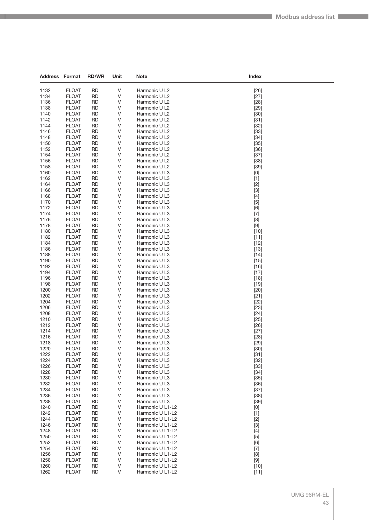| <b>Address Format</b> |                              | <b>RD/WR</b>           | Unit        | <b>Note</b>                          | Index            |
|-----------------------|------------------------------|------------------------|-------------|--------------------------------------|------------------|
| 1132                  | <b>FLOAT</b>                 | <b>RD</b>              | V           |                                      |                  |
| 1134                  | <b>FLOAT</b>                 | <b>RD</b>              | V           | Harmonic U L2<br>Harmonic U L2       | $[26]$<br>$[27]$ |
| 1136                  | <b>FLOAT</b>                 | <b>RD</b>              | V           | Harmonic U L2                        | $[28]$           |
| 1138                  | <b>FLOAT</b>                 | <b>RD</b>              | V           | Harmonic U L2                        | $[29]$           |
| 1140                  | <b>FLOAT</b>                 | <b>RD</b>              | V           | Harmonic U L2                        | $[30]$           |
| 1142                  | <b>FLOAT</b>                 | RD                     | V           | Harmonic U L2                        | $[31]$           |
| 1144                  | <b>FLOAT</b>                 | RD                     | V           | Harmonic U L2                        | $[32]$           |
| 1146                  | <b>FLOAT</b>                 | <b>RD</b>              | V           | Harmonic U L2                        | $[33]$           |
| 1148                  | <b>FLOAT</b>                 | <b>RD</b>              | V           | Harmonic U L2                        | $[34]$           |
| 1150                  | <b>FLOAT</b>                 | <b>RD</b>              | V           | Harmonic U L2                        | $[35]$           |
| 1152                  | <b>FLOAT</b>                 | RD                     | V           | Harmonic U L2                        | $[36]$           |
| 1154                  | <b>FLOAT</b>                 | RD                     | V           | Harmonic U L2                        | $[37]$           |
| 1156                  | <b>FLOAT</b>                 | <b>RD</b>              | V           | Harmonic U L2                        | $[38]$           |
| 1158                  | <b>FLOAT</b>                 | <b>RD</b>              | V<br>$\vee$ | Harmonic U L2                        | $[39]$           |
| 1160<br>1162          | <b>FLOAT</b><br><b>FLOAT</b> | <b>RD</b><br><b>RD</b> | V           | Harmonic U L3<br>Harmonic U L3       | [0]              |
| 1164                  | <b>FLOAT</b>                 | RD                     | V           | Harmonic U L3                        | $[1]$<br>$[2]$   |
| 1166                  | <b>FLOAT</b>                 | <b>RD</b>              | V           | Harmonic U L3                        | $[3]$            |
| 1168                  | <b>FLOAT</b>                 | <b>RD</b>              | V           | Harmonic U L3                        | $[4]$            |
| 1170                  | <b>FLOAT</b>                 | <b>RD</b>              | $\vee$      | Harmonic U L3                        | $[5]$            |
| 1172                  | <b>FLOAT</b>                 | <b>RD</b>              | V           | Harmonic U L3                        | [6]              |
| 1174                  | <b>FLOAT</b>                 | RD                     | V           | Harmonic U L3                        | $[7]$            |
| 1176                  | <b>FLOAT</b>                 | <b>RD</b>              | V           | Harmonic U L3                        | [8]              |
| 1178                  | <b>FLOAT</b>                 | <b>RD</b>              | V           | Harmonic U L3                        | $[9]$            |
| 1180                  | <b>FLOAT</b>                 | <b>RD</b>              | $\vee$      | Harmonic U L3                        | $[10]$           |
| 1182                  | <b>FLOAT</b>                 | <b>RD</b>              | V           | Harmonic U L3                        | $[11]$           |
| 1184                  | <b>FLOAT</b>                 | RD                     | V           | Harmonic U L3                        | $[12]$           |
| 1186                  | <b>FLOAT</b>                 | <b>RD</b>              | V           | Harmonic U L3                        | $[13]$           |
| 1188                  | <b>FLOAT</b>                 | <b>RD</b>              | V           | Harmonic U L3                        | $[14]$           |
| 1190                  | <b>FLOAT</b>                 | <b>RD</b>              | $\vee$      | Harmonic U L3                        | $[15]$           |
| 1192                  | <b>FLOAT</b>                 | <b>RD</b>              | V           | Harmonic U L3                        | $[16]$           |
| 1194<br>1196          | <b>FLOAT</b><br><b>FLOAT</b> | RD<br><b>RD</b>        | V<br>V      | Harmonic U L3                        | $[17]$           |
| 1198                  | <b>FLOAT</b>                 | <b>RD</b>              | V           | Harmonic U L3<br>Harmonic U L3       | $[18]$<br>$[19]$ |
| 1200                  | <b>FLOAT</b>                 | <b>RD</b>              | $\vee$      | Harmonic U L3                        | $[20]$           |
| 1202                  | <b>FLOAT</b>                 | <b>RD</b>              | V           | Harmonic U L3                        | $[21]$           |
| 1204                  | <b>FLOAT</b>                 | RD                     | V           | Harmonic U L3                        | $[22]$           |
| 1206                  | <b>FLOAT</b>                 | <b>RD</b>              | V           | Harmonic U L3                        | $[23]$           |
| 1208                  | <b>FLOAT</b>                 | <b>RD</b>              | V           | Harmonic U L3                        | $[24]$           |
| 1210                  | <b>FLOAT</b>                 | <b>RD</b>              | V           | Harmonic U L3                        | $[25]$           |
| 1212                  | <b>FLOAT</b>                 | <b>RD</b>              | V           | Harmonic U L3                        | $[26]$           |
| 1214                  | <b>FLOAT</b>                 | RD                     | V           | Harmonic U L3                        | $[27]$           |
| 1216                  | <b>FLOAT</b>                 | <b>RD</b>              | V           | Harmonic U L3                        | $[28]$           |
| 1218                  | <b>FLOAT</b>                 | <b>RD</b>              | V           | Harmonic U L3                        | $[29]$           |
| 1220                  | <b>FLOAT</b>                 | <b>RD</b>              | V           | Harmonic U L3                        | $[30]$           |
| 1222                  | <b>FLOAT</b>                 | RD                     | V           | Harmonic U L3                        | $[31]$           |
| 1224<br>1226          | <b>FLOAT</b><br><b>FLOAT</b> | <b>RD</b><br><b>RD</b> | V<br>V      | Harmonic U L3<br>Harmonic U L3       | $[32]$           |
| 1228                  | <b>FLOAT</b>                 | <b>RD</b>              | V           | Harmonic U L3                        | $[33]$<br>$[34]$ |
| 1230                  | <b>FLOAT</b>                 | RD                     | V           | Harmonic U L3                        | $[35]$           |
| 1232                  | <b>FLOAT</b>                 | <b>RD</b>              | V           | Harmonic U L3                        | $[36]$           |
| 1234                  | <b>FLOAT</b>                 | RD                     | V           | Harmonic U L3                        | $[37]$           |
| 1236                  | <b>FLOAT</b>                 | <b>RD</b>              | V           | Harmonic U L3                        | $[38]$           |
| 1238                  | <b>FLOAT</b>                 | <b>RD</b>              | V           | Harmonic U L3                        | $[39]$           |
| 1240                  | <b>FLOAT</b>                 | RD                     | V           | Harmonic U L1-L2                     | [0]              |
| 1242                  | <b>FLOAT</b>                 | <b>RD</b>              | V           | Harmonic U L1-L2                     | $[1]$            |
| 1244                  | <b>FLOAT</b>                 | RD                     | V           | Harmonic U L1-L2                     | $[2]$            |
| 1246                  | <b>FLOAT</b>                 | <b>RD</b>              | V           | Harmonic U L1-L2                     | $[3]$            |
| 1248                  | <b>FLOAT</b>                 | <b>RD</b>              | V           | Harmonic U L1-L2                     | $[4]$            |
| 1250                  | <b>FLOAT</b>                 | RD                     | V           | Harmonic U L1-L2                     | $[5]$            |
| 1252                  | <b>FLOAT</b>                 | <b>RD</b>              | V           | Harmonic U L1-L2                     | [6]              |
| 1254                  | <b>FLOAT</b>                 | RD                     | V           | Harmonic U L1-L2                     | $[7]$            |
| 1256                  | <b>FLOAT</b>                 | <b>RD</b>              | V           | Harmonic U L1-L2                     | [8]              |
| 1258<br>1260          | <b>FLOAT</b>                 | RD                     | V<br>V      | Harmonic U L1-L2                     | $[9]$            |
| 1262                  | <b>FLOAT</b><br><b>FLOAT</b> | RD<br><b>RD</b>        | V           | Harmonic U L1-L2<br>Harmonic U L1-L2 | $[10]$           |
|                       |                              |                        |             |                                      | $[11]$           |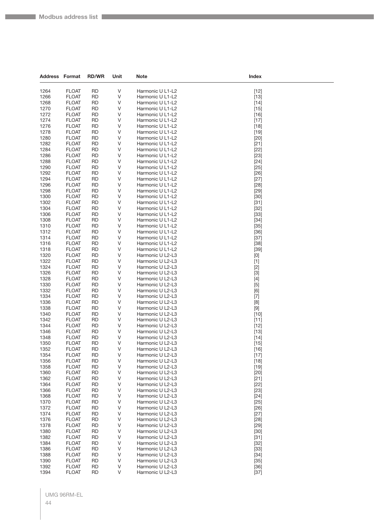| <b>Address Format</b> |                              | <b>RD/WR</b>           | Unit   | <b>Note</b>                          | Index                                                                                                                                                                                                                                                                                                                                                                                                                                                                                                                                                                                                                                                                    |
|-----------------------|------------------------------|------------------------|--------|--------------------------------------|--------------------------------------------------------------------------------------------------------------------------------------------------------------------------------------------------------------------------------------------------------------------------------------------------------------------------------------------------------------------------------------------------------------------------------------------------------------------------------------------------------------------------------------------------------------------------------------------------------------------------------------------------------------------------|
| 1264                  | <b>FLOAT</b>                 | <b>RD</b>              | V      | Harmonic U L1-L2                     |                                                                                                                                                                                                                                                                                                                                                                                                                                                                                                                                                                                                                                                                          |
| 1266                  | <b>FLOAT</b>                 | <b>RD</b>              | V      | Harmonic U L1-L2                     | $[12]$<br>$[13]$                                                                                                                                                                                                                                                                                                                                                                                                                                                                                                                                                                                                                                                         |
| 1268                  | <b>FLOAT</b>                 | <b>RD</b>              | V      | Harmonic U L1-L2                     | $[14]$                                                                                                                                                                                                                                                                                                                                                                                                                                                                                                                                                                                                                                                                   |
| 1270                  | <b>FLOAT</b>                 | <b>RD</b>              | V      | Harmonic U L1-L2                     | $[15]$                                                                                                                                                                                                                                                                                                                                                                                                                                                                                                                                                                                                                                                                   |
| 1272                  | <b>FLOAT</b>                 | <b>RD</b>              | V      | Harmonic U L1-L2                     | $[16]$                                                                                                                                                                                                                                                                                                                                                                                                                                                                                                                                                                                                                                                                   |
| 1274                  | <b>FLOAT</b>                 | <b>RD</b>              | V      | Harmonic U L1-L2                     | $[17]$                                                                                                                                                                                                                                                                                                                                                                                                                                                                                                                                                                                                                                                                   |
| 1276                  | <b>FLOAT</b>                 | <b>RD</b>              | V      | Harmonic U L1-L2                     | $[18]$                                                                                                                                                                                                                                                                                                                                                                                                                                                                                                                                                                                                                                                                   |
| 1278                  | <b>FLOAT</b>                 | <b>RD</b>              | V      | Harmonic U L1-L2                     | $[19]$                                                                                                                                                                                                                                                                                                                                                                                                                                                                                                                                                                                                                                                                   |
| 1280                  | <b>FLOAT</b>                 | <b>RD</b>              | V      | Harmonic U L1-L2                     | $[20]$                                                                                                                                                                                                                                                                                                                                                                                                                                                                                                                                                                                                                                                                   |
| 1282                  | <b>FLOAT</b>                 | <b>RD</b>              | V      | Harmonic U L1-L2                     | $[21]$                                                                                                                                                                                                                                                                                                                                                                                                                                                                                                                                                                                                                                                                   |
| 1284                  | <b>FLOAT</b>                 | <b>RD</b>              | V      | Harmonic U L1-L2                     | $[22]$                                                                                                                                                                                                                                                                                                                                                                                                                                                                                                                                                                                                                                                                   |
| 1286                  | <b>FLOAT</b>                 | <b>RD</b>              | V      | Harmonic U L1-L2                     | $[23]$                                                                                                                                                                                                                                                                                                                                                                                                                                                                                                                                                                                                                                                                   |
| 1288                  | <b>FLOAT</b>                 | <b>RD</b>              | V      | Harmonic U L1-L2                     | $[24]$                                                                                                                                                                                                                                                                                                                                                                                                                                                                                                                                                                                                                                                                   |
| 1290                  | <b>FLOAT</b>                 | <b>RD</b>              | V      | Harmonic U L1-L2                     | $[25]$                                                                                                                                                                                                                                                                                                                                                                                                                                                                                                                                                                                                                                                                   |
| 1292                  | <b>FLOAT</b>                 | <b>RD</b>              | V      | Harmonic U L1-L2                     | $[26]$                                                                                                                                                                                                                                                                                                                                                                                                                                                                                                                                                                                                                                                                   |
| 1294                  | <b>FLOAT</b>                 | <b>RD</b>              | V      | Harmonic U L1-L2                     | $[27]$                                                                                                                                                                                                                                                                                                                                                                                                                                                                                                                                                                                                                                                                   |
| 1296                  | <b>FLOAT</b>                 | <b>RD</b>              | V      | Harmonic U L1-L2                     | $[28]$                                                                                                                                                                                                                                                                                                                                                                                                                                                                                                                                                                                                                                                                   |
| 1298                  | <b>FLOAT</b>                 | <b>RD</b>              | V      | Harmonic U L1-L2                     | $[29]$                                                                                                                                                                                                                                                                                                                                                                                                                                                                                                                                                                                                                                                                   |
| 1300                  | <b>FLOAT</b>                 | <b>RD</b>              | V      | Harmonic U L1-L2                     | $[30]$                                                                                                                                                                                                                                                                                                                                                                                                                                                                                                                                                                                                                                                                   |
| 1302<br>1304          | <b>FLOAT</b><br><b>FLOAT</b> | <b>RD</b><br><b>RD</b> | V<br>V | Harmonic U L1-L2<br>Harmonic U L1-L2 | $[31]$                                                                                                                                                                                                                                                                                                                                                                                                                                                                                                                                                                                                                                                                   |
| 1306                  | <b>FLOAT</b>                 | <b>RD</b>              | V      | Harmonic U L1-L2                     | $[32]$<br>$[33]$                                                                                                                                                                                                                                                                                                                                                                                                                                                                                                                                                                                                                                                         |
| 1308                  | <b>FLOAT</b>                 | <b>RD</b>              | V      | Harmonic U L1-L2                     | $[34]$                                                                                                                                                                                                                                                                                                                                                                                                                                                                                                                                                                                                                                                                   |
| 1310                  | <b>FLOAT</b>                 | <b>RD</b>              | V      | Harmonic U L1-L2                     | $[35]$                                                                                                                                                                                                                                                                                                                                                                                                                                                                                                                                                                                                                                                                   |
| 1312                  | <b>FLOAT</b>                 | <b>RD</b>              | V      | Harmonic U L1-L2                     | $[36]$                                                                                                                                                                                                                                                                                                                                                                                                                                                                                                                                                                                                                                                                   |
| 1314                  | <b>FLOAT</b>                 | <b>RD</b>              | V      | Harmonic U L1-L2                     | $[37]$                                                                                                                                                                                                                                                                                                                                                                                                                                                                                                                                                                                                                                                                   |
| 1316                  | <b>FLOAT</b>                 | <b>RD</b>              | V      | Harmonic U L1-L2                     | $[38]$                                                                                                                                                                                                                                                                                                                                                                                                                                                                                                                                                                                                                                                                   |
| 1318                  | <b>FLOAT</b>                 | <b>RD</b>              | V      | Harmonic U L1-L2                     | $[39]$                                                                                                                                                                                                                                                                                                                                                                                                                                                                                                                                                                                                                                                                   |
| 1320                  | <b>FLOAT</b>                 | <b>RD</b>              | V      | Harmonic U L2-L3                     | $[0] % \begin{center} % \includegraphics[width=\linewidth]{imagesSupplemental_3.png} % \end{center} % \caption { % Our method can be used for the use of the image. % Note that the \emph{Def}(i) and the \emph{Def}(i) are the same as a function of the image. % Note that the \emph{Def}(i) and the \emph{Def}(i) are the same as a function of the image. % Note that the \emph{Def}(i) and the \emph{Def}(i) are the same as a function of the image. % } % \label{fig:Def}(i) and the \emph{Def}(i) are the same as a function of the image. % Note that the \emph{Def}(i) and the \emph{Def}(i) are the same as a function of the image. % } % \label{fig:Def}(i$ |
| 1322                  | <b>FLOAT</b>                 | <b>RD</b>              | V      | Harmonic U L2-L3                     | $[1]$                                                                                                                                                                                                                                                                                                                                                                                                                                                                                                                                                                                                                                                                    |
| 1324                  | <b>FLOAT</b>                 | <b>RD</b>              | V      | Harmonic U L2-L3                     | $[2]$                                                                                                                                                                                                                                                                                                                                                                                                                                                                                                                                                                                                                                                                    |
| 1326                  | <b>FLOAT</b>                 | <b>RD</b>              | V      | Harmonic U L2-L3                     | $[3]$                                                                                                                                                                                                                                                                                                                                                                                                                                                                                                                                                                                                                                                                    |
| 1328                  | <b>FLOAT</b>                 | RD                     | V      | Harmonic U L2-L3                     | $[4]$                                                                                                                                                                                                                                                                                                                                                                                                                                                                                                                                                                                                                                                                    |
| 1330                  | <b>FLOAT</b>                 | <b>RD</b>              | V      | Harmonic U L2-L3                     | $[5]$                                                                                                                                                                                                                                                                                                                                                                                                                                                                                                                                                                                                                                                                    |
| 1332                  | <b>FLOAT</b>                 | <b>RD</b>              | V      | Harmonic U L2-L3                     | [6]                                                                                                                                                                                                                                                                                                                                                                                                                                                                                                                                                                                                                                                                      |
| 1334                  | <b>FLOAT</b>                 | <b>RD</b>              | V      | Harmonic U L2-L3                     | $[7]$                                                                                                                                                                                                                                                                                                                                                                                                                                                                                                                                                                                                                                                                    |
| 1336<br>1338          | <b>FLOAT</b>                 | <b>RD</b>              | V      | Harmonic U L2-L3                     | [8]                                                                                                                                                                                                                                                                                                                                                                                                                                                                                                                                                                                                                                                                      |
| 1340                  | <b>FLOAT</b><br><b>FLOAT</b> | RD<br><b>RD</b>        | V<br>V | Harmonic U L2-L3<br>Harmonic U L2-L3 | $[9]$<br>$[10]$                                                                                                                                                                                                                                                                                                                                                                                                                                                                                                                                                                                                                                                          |
| 1342                  | <b>FLOAT</b>                 | <b>RD</b>              | V      | Harmonic U L2-L3                     | $[11]$                                                                                                                                                                                                                                                                                                                                                                                                                                                                                                                                                                                                                                                                   |
| 1344                  | <b>FLOAT</b>                 | <b>RD</b>              | V      | Harmonic U L2-L3                     | $[12]$                                                                                                                                                                                                                                                                                                                                                                                                                                                                                                                                                                                                                                                                   |
| 1346                  | <b>FLOAT</b>                 | <b>RD</b>              | V      | Harmonic U L2-L3                     | $[13]$                                                                                                                                                                                                                                                                                                                                                                                                                                                                                                                                                                                                                                                                   |
| 1348                  | <b>FLOAT</b>                 | <b>RD</b>              | V      | Harmonic U L2-L3                     | $[14]$                                                                                                                                                                                                                                                                                                                                                                                                                                                                                                                                                                                                                                                                   |
| 1350                  | <b>FLOAT</b>                 | <b>RD</b>              | V      | Harmonic U L2-L3                     | $[15]$                                                                                                                                                                                                                                                                                                                                                                                                                                                                                                                                                                                                                                                                   |
| 1352                  | <b>FLOAT</b>                 | <b>RD</b>              | V      | Harmonic U L2-L3                     | $[16]$                                                                                                                                                                                                                                                                                                                                                                                                                                                                                                                                                                                                                                                                   |
| 1354                  | <b>FLOAT</b>                 | <b>RD</b>              | V      | Harmonic U L2-L3                     | $[17]$                                                                                                                                                                                                                                                                                                                                                                                                                                                                                                                                                                                                                                                                   |
| 1356                  | <b>FLOAT</b>                 | <b>RD</b>              | V      | Harmonic U L2-L3                     | $[18]$                                                                                                                                                                                                                                                                                                                                                                                                                                                                                                                                                                                                                                                                   |
| 1358                  | <b>FLOAT</b>                 | <b>RD</b>              | V      | Harmonic U L2-L3                     | $[19]$                                                                                                                                                                                                                                                                                                                                                                                                                                                                                                                                                                                                                                                                   |
| 1360                  | <b>FLOAT</b>                 | <b>RD</b>              | V      | Harmonic U L2-L3                     | $[20]$                                                                                                                                                                                                                                                                                                                                                                                                                                                                                                                                                                                                                                                                   |
| 1362                  | <b>FLOAT</b>                 | <b>RD</b>              | V      | Harmonic U L2-L3                     | $[21]$                                                                                                                                                                                                                                                                                                                                                                                                                                                                                                                                                                                                                                                                   |
| 1364                  | <b>FLOAT</b>                 | <b>RD</b>              | V      | Harmonic U L2-L3                     | $[22]$                                                                                                                                                                                                                                                                                                                                                                                                                                                                                                                                                                                                                                                                   |
| 1366<br>1368          | <b>FLOAT</b><br><b>FLOAT</b> | <b>RD</b><br><b>RD</b> | V      | Harmonic U L2-L3<br>Harmonic U L2-L3 | $[23]$                                                                                                                                                                                                                                                                                                                                                                                                                                                                                                                                                                                                                                                                   |
| 1370                  | <b>FLOAT</b>                 | <b>RD</b>              | V<br>V | Harmonic U L2-L3                     | $[24]$<br>$[25]$                                                                                                                                                                                                                                                                                                                                                                                                                                                                                                                                                                                                                                                         |
| 1372                  | <b>FLOAT</b>                 | <b>RD</b>              | V      | Harmonic U L2-L3                     | $[26]$                                                                                                                                                                                                                                                                                                                                                                                                                                                                                                                                                                                                                                                                   |
| 1374                  | <b>FLOAT</b>                 | <b>RD</b>              | V      | Harmonic U L2-L3                     | $[27]$                                                                                                                                                                                                                                                                                                                                                                                                                                                                                                                                                                                                                                                                   |
| 1376                  | <b>FLOAT</b>                 | <b>RD</b>              | V      | Harmonic U L2-L3                     | $[28]$                                                                                                                                                                                                                                                                                                                                                                                                                                                                                                                                                                                                                                                                   |
| 1378                  | <b>FLOAT</b>                 | <b>RD</b>              | V      | Harmonic U L2-L3                     | $[29]$                                                                                                                                                                                                                                                                                                                                                                                                                                                                                                                                                                                                                                                                   |
| 1380                  | <b>FLOAT</b>                 | <b>RD</b>              | V      | Harmonic U L2-L3                     | $[30]$                                                                                                                                                                                                                                                                                                                                                                                                                                                                                                                                                                                                                                                                   |
| 1382                  | <b>FLOAT</b>                 | <b>RD</b>              | V      | Harmonic U L2-L3                     | $[31]$                                                                                                                                                                                                                                                                                                                                                                                                                                                                                                                                                                                                                                                                   |
| 1384                  | <b>FLOAT</b>                 | <b>RD</b>              | V      | Harmonic U L2-L3                     | $[32]$                                                                                                                                                                                                                                                                                                                                                                                                                                                                                                                                                                                                                                                                   |
| 1386                  | <b>FLOAT</b>                 | <b>RD</b>              | V      | Harmonic U L2-L3                     | $[33]$                                                                                                                                                                                                                                                                                                                                                                                                                                                                                                                                                                                                                                                                   |
| 1388                  | <b>FLOAT</b>                 | <b>RD</b>              | V      | Harmonic U L2-L3                     | $[34]$                                                                                                                                                                                                                                                                                                                                                                                                                                                                                                                                                                                                                                                                   |
| 1390                  | <b>FLOAT</b>                 | <b>RD</b>              | V      | Harmonic U L2-L3                     | $[35]$                                                                                                                                                                                                                                                                                                                                                                                                                                                                                                                                                                                                                                                                   |
| 1392                  | <b>FLOAT</b>                 | <b>RD</b>              | V      | Harmonic U L2-L3                     | $[36]$                                                                                                                                                                                                                                                                                                                                                                                                                                                                                                                                                                                                                                                                   |
| 1394                  | <b>FLOAT</b>                 | <b>RD</b>              | V      | Harmonic U L2-L3                     | $[37]$                                                                                                                                                                                                                                                                                                                                                                                                                                                                                                                                                                                                                                                                   |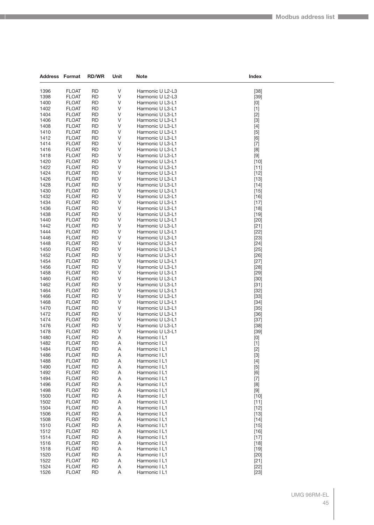| <b>Address Format</b> |                              | <b>RD/WR</b>           | Unit   | <b>Note</b>                          | Index                                                                                                                                                                                                                                                                                                                                                                                                                                                                                                                                                                                                        |
|-----------------------|------------------------------|------------------------|--------|--------------------------------------|--------------------------------------------------------------------------------------------------------------------------------------------------------------------------------------------------------------------------------------------------------------------------------------------------------------------------------------------------------------------------------------------------------------------------------------------------------------------------------------------------------------------------------------------------------------------------------------------------------------|
|                       |                              |                        |        |                                      |                                                                                                                                                                                                                                                                                                                                                                                                                                                                                                                                                                                                              |
| 1396                  | <b>FLOAT</b>                 | RD                     | V      | Harmonic U L2-L3                     | $[38]$                                                                                                                                                                                                                                                                                                                                                                                                                                                                                                                                                                                                       |
| 1398                  | <b>FLOAT</b>                 | RD                     | V      | Harmonic U L2-L3                     | $[39]$                                                                                                                                                                                                                                                                                                                                                                                                                                                                                                                                                                                                       |
| 1400<br>1402          | <b>FLOAT</b><br><b>FLOAT</b> | <b>RD</b><br><b>RD</b> | V      | Harmonic U L3-L1<br>Harmonic U L3-L1 | $[0] % \begin{center} % \includegraphics[width=\linewidth]{imagesSupplemental_3.png} % \end{center} % \caption { % Our method can be used for the use of the image. % Note that the \emph{DefNet}~\cite{bib66} as a function of the \emph{DefNet}~\cite{bib66} as a function of the \emph{DefNet}~\cite{bib66} as a function of the \emph{DefNet}~\cite{bib66} as a function of the \emph{DefNet}~\cite{bib66} as a function of the \emph{DefNet}~\cite{bib66} as a function of the \emph{DefNet}~\cite{bib66} as a function of the \emph{DefNet}~\cite{bib66} as a function of the \emph{DefNet}$           |
| 1404                  | <b>FLOAT</b>                 | <b>RD</b>              | V<br>V | Harmonic U L3-L1                     | $[1]$                                                                                                                                                                                                                                                                                                                                                                                                                                                                                                                                                                                                        |
| 1406                  | <b>FLOAT</b>                 | <b>RD</b>              | V      | Harmonic U L3-L1                     | $[2]$<br>$[3]$                                                                                                                                                                                                                                                                                                                                                                                                                                                                                                                                                                                               |
| 1408                  | <b>FLOAT</b>                 | RD                     | V      | Harmonic U L3-L1                     | $[4]$                                                                                                                                                                                                                                                                                                                                                                                                                                                                                                                                                                                                        |
| 1410                  | <b>FLOAT</b>                 | <b>RD</b>              | V      | Harmonic U L3-L1                     | $[5]$                                                                                                                                                                                                                                                                                                                                                                                                                                                                                                                                                                                                        |
| 1412                  | <b>FLOAT</b>                 | <b>RD</b>              | V      | Harmonic U L3-L1                     | [6]                                                                                                                                                                                                                                                                                                                                                                                                                                                                                                                                                                                                          |
| 1414                  | <b>FLOAT</b>                 | <b>RD</b>              | V      | Harmonic U L3-L1                     | $[7]$                                                                                                                                                                                                                                                                                                                                                                                                                                                                                                                                                                                                        |
| 1416                  | <b>FLOAT</b>                 | <b>RD</b>              | V      | Harmonic U L3-L1                     | [8]                                                                                                                                                                                                                                                                                                                                                                                                                                                                                                                                                                                                          |
| 1418                  | <b>FLOAT</b>                 | <b>RD</b>              | V      | Harmonic U L3-L1                     | $[9]$                                                                                                                                                                                                                                                                                                                                                                                                                                                                                                                                                                                                        |
| 1420                  | <b>FLOAT</b>                 | <b>RD</b>              | V      | Harmonic U L3-L1                     | $[10]$                                                                                                                                                                                                                                                                                                                                                                                                                                                                                                                                                                                                       |
| 1422                  | <b>FLOAT</b>                 | <b>RD</b>              | V      | Harmonic U L3-L1                     | $[11]$                                                                                                                                                                                                                                                                                                                                                                                                                                                                                                                                                                                                       |
| 1424                  | <b>FLOAT</b>                 | <b>RD</b>              | V      | Harmonic U L3-L1                     | $[12]$                                                                                                                                                                                                                                                                                                                                                                                                                                                                                                                                                                                                       |
| 1426                  | <b>FLOAT</b>                 | <b>RD</b>              | V      | Harmonic U L3-L1                     | $[13]$                                                                                                                                                                                                                                                                                                                                                                                                                                                                                                                                                                                                       |
| 1428                  | <b>FLOAT</b>                 | <b>RD</b>              | V      | Harmonic U L3-L1                     | $[14]$                                                                                                                                                                                                                                                                                                                                                                                                                                                                                                                                                                                                       |
| 1430                  | <b>FLOAT</b>                 | <b>RD</b>              | V      | Harmonic U L3-L1                     | $[15]$                                                                                                                                                                                                                                                                                                                                                                                                                                                                                                                                                                                                       |
| 1432                  | <b>FLOAT</b>                 | <b>RD</b>              | V      | Harmonic U L3-L1                     | $[16]$                                                                                                                                                                                                                                                                                                                                                                                                                                                                                                                                                                                                       |
| 1434                  | <b>FLOAT</b>                 | <b>RD</b>              | V      | Harmonic U L3-L1                     | $[17]$                                                                                                                                                                                                                                                                                                                                                                                                                                                                                                                                                                                                       |
| 1436                  | <b>FLOAT</b>                 | <b>RD</b>              | V      | Harmonic U L3-L1                     | $[18]$                                                                                                                                                                                                                                                                                                                                                                                                                                                                                                                                                                                                       |
| 1438                  | <b>FLOAT</b>                 | <b>RD</b>              | V      | Harmonic U L3-L1                     | $[19]$                                                                                                                                                                                                                                                                                                                                                                                                                                                                                                                                                                                                       |
| 1440                  | <b>FLOAT</b><br><b>FLOAT</b> | <b>RD</b>              | V      | Harmonic U L3-L1                     | $[20]$                                                                                                                                                                                                                                                                                                                                                                                                                                                                                                                                                                                                       |
| 1442<br>1444          | <b>FLOAT</b>                 | <b>RD</b><br><b>RD</b> | V<br>V | Harmonic U L3-L1<br>Harmonic U L3-L1 | $[21]$<br>$[22]$                                                                                                                                                                                                                                                                                                                                                                                                                                                                                                                                                                                             |
| 1446                  | <b>FLOAT</b>                 | <b>RD</b>              | V      | Harmonic U L3-L1                     | $[23]$                                                                                                                                                                                                                                                                                                                                                                                                                                                                                                                                                                                                       |
| 1448                  | <b>FLOAT</b>                 | <b>RD</b>              | V      | Harmonic U L3-L1                     | $[24]$                                                                                                                                                                                                                                                                                                                                                                                                                                                                                                                                                                                                       |
| 1450                  | <b>FLOAT</b>                 | <b>RD</b>              | V      | Harmonic U L3-L1                     | $[25]$                                                                                                                                                                                                                                                                                                                                                                                                                                                                                                                                                                                                       |
| 1452                  | <b>FLOAT</b>                 | <b>RD</b>              | V      | Harmonic U L3-L1                     | $[26]$                                                                                                                                                                                                                                                                                                                                                                                                                                                                                                                                                                                                       |
| 1454                  | <b>FLOAT</b>                 | <b>RD</b>              | V      | Harmonic U L3-L1                     | $[27]$                                                                                                                                                                                                                                                                                                                                                                                                                                                                                                                                                                                                       |
| 1456                  | <b>FLOAT</b>                 | <b>RD</b>              | V      | Harmonic U L3-L1                     | $[28]$                                                                                                                                                                                                                                                                                                                                                                                                                                                                                                                                                                                                       |
| 1458                  | <b>FLOAT</b>                 | <b>RD</b>              | V      | Harmonic U L3-L1                     | $[29]$                                                                                                                                                                                                                                                                                                                                                                                                                                                                                                                                                                                                       |
| 1460                  | <b>FLOAT</b>                 | <b>RD</b>              | V      | Harmonic U L3-L1                     | $[30]$                                                                                                                                                                                                                                                                                                                                                                                                                                                                                                                                                                                                       |
| 1462                  | <b>FLOAT</b>                 | <b>RD</b>              | V      | Harmonic U L3-L1                     | $[31]$                                                                                                                                                                                                                                                                                                                                                                                                                                                                                                                                                                                                       |
| 1464                  | <b>FLOAT</b>                 | RD                     | V      | Harmonic U L3-L1                     | $[32]$                                                                                                                                                                                                                                                                                                                                                                                                                                                                                                                                                                                                       |
| 1466                  | <b>FLOAT</b>                 | <b>RD</b>              | V      | Harmonic U L3-L1                     | $[33]$                                                                                                                                                                                                                                                                                                                                                                                                                                                                                                                                                                                                       |
| 1468                  | <b>FLOAT</b>                 | <b>RD</b>              | V      | Harmonic U L3-L1                     | $[34]$                                                                                                                                                                                                                                                                                                                                                                                                                                                                                                                                                                                                       |
| 1470                  | <b>FLOAT</b>                 | <b>RD</b>              | V      | Harmonic U L3-L1                     | $[35]$                                                                                                                                                                                                                                                                                                                                                                                                                                                                                                                                                                                                       |
| 1472                  | <b>FLOAT</b>                 | <b>RD</b>              | V      | Harmonic U L3-L1                     | $[36]$                                                                                                                                                                                                                                                                                                                                                                                                                                                                                                                                                                                                       |
| 1474                  | <b>FLOAT</b>                 | <b>RD</b>              | V      | Harmonic U L3-L1                     | $[37]$                                                                                                                                                                                                                                                                                                                                                                                                                                                                                                                                                                                                       |
| 1476                  | <b>FLOAT</b><br><b>FLOAT</b> | <b>RD</b>              | V      | Harmonic U L3-L1                     | $[38]$                                                                                                                                                                                                                                                                                                                                                                                                                                                                                                                                                                                                       |
| 1478<br>1480          | <b>FLOAT</b>                 | <b>RD</b><br><b>RD</b> | V<br>Α | Harmonic U L3-L1<br>Harmonic I L1    | $[39]$<br>$[0] % \begin{center} % \includegraphics[width=\linewidth]{imagesSupplemental_3.png} % \end{center} % \caption { % Our method can be used for the use of the image. % Note that the \emph{DefNet}~\cite{bib66} as a function of the \emph{DefNet}~\cite{bib66} as a function of the \emph{DefNet}~\cite{bib66} as a function of the \emph{DefNet}~\cite{bib66} as a function of the \emph{DefNet}~\cite{bib66} as a function of the \emph{DefNet}~\cite{bib66} as a function of the \emph{DefNet}~\cite{bib66} as a function of the \emph{DefNet}~\cite{bib66} as a function of the \emph{DefNet}$ |
| 1482                  | <b>FLOAT</b>                 | RD                     | Α      | Harmonic I L1                        | $[1]$                                                                                                                                                                                                                                                                                                                                                                                                                                                                                                                                                                                                        |
| 1484                  | <b>FLOAT</b>                 | <b>RD</b>              | A      | Harmonic I L1                        | $[2]$                                                                                                                                                                                                                                                                                                                                                                                                                                                                                                                                                                                                        |
| 1486                  | <b>FLOAT</b>                 | RD                     | Α      | Harmonic I L1                        | $[3]$                                                                                                                                                                                                                                                                                                                                                                                                                                                                                                                                                                                                        |
| 1488                  | <b>FLOAT</b>                 | <b>RD</b>              | Α      | Harmonic I L1                        | $[4]$                                                                                                                                                                                                                                                                                                                                                                                                                                                                                                                                                                                                        |
| 1490                  | <b>FLOAT</b>                 | <b>RD</b>              | Α      | Harmonic I L1                        | $[5]$                                                                                                                                                                                                                                                                                                                                                                                                                                                                                                                                                                                                        |
| 1492                  | <b>FLOAT</b>                 | RD                     | Α      | Harmonic I L1                        | [6]                                                                                                                                                                                                                                                                                                                                                                                                                                                                                                                                                                                                          |
| 1494                  | <b>FLOAT</b>                 | <b>RD</b>              | Α      | Harmonic I L1                        | $[7]$                                                                                                                                                                                                                                                                                                                                                                                                                                                                                                                                                                                                        |
| 1496                  | <b>FLOAT</b>                 | <b>RD</b>              | Α      | Harmonic I L1                        | [8]                                                                                                                                                                                                                                                                                                                                                                                                                                                                                                                                                                                                          |
| 1498                  | <b>FLOAT</b>                 | <b>RD</b>              | Α      | Harmonic I L1                        | $[9]$                                                                                                                                                                                                                                                                                                                                                                                                                                                                                                                                                                                                        |
| 1500                  | <b>FLOAT</b>                 | <b>RD</b>              | Α      | Harmonic I L1                        | $[10]$                                                                                                                                                                                                                                                                                                                                                                                                                                                                                                                                                                                                       |
| 1502                  | <b>FLOAT</b>                 | RD                     | A      | Harmonic I L1                        | $[11]$                                                                                                                                                                                                                                                                                                                                                                                                                                                                                                                                                                                                       |
| 1504                  | <b>FLOAT</b>                 | <b>RD</b>              | Α      | Harmonic I L1                        | $[12]$                                                                                                                                                                                                                                                                                                                                                                                                                                                                                                                                                                                                       |
| 1506                  | <b>FLOAT</b>                 | <b>RD</b>              | Α      | Harmonic I L1                        | $[13]$                                                                                                                                                                                                                                                                                                                                                                                                                                                                                                                                                                                                       |
| 1508                  | <b>FLOAT</b>                 | <b>RD</b>              | Α      | Harmonic I L1                        | $[14]$                                                                                                                                                                                                                                                                                                                                                                                                                                                                                                                                                                                                       |
| 1510                  | <b>FLOAT</b>                 | <b>RD</b>              | Α      | Harmonic I L1                        | $[15]$                                                                                                                                                                                                                                                                                                                                                                                                                                                                                                                                                                                                       |
| 1512<br>1514          | <b>FLOAT</b><br><b>FLOAT</b> | RD<br><b>RD</b>        | Α<br>Α | Harmonic I L1<br>Harmonic I L1       | $[16]$<br>$[17]$                                                                                                                                                                                                                                                                                                                                                                                                                                                                                                                                                                                             |
| 1516                  | <b>FLOAT</b>                 | <b>RD</b>              | Α      | Harmonic I L1                        | $[18]$                                                                                                                                                                                                                                                                                                                                                                                                                                                                                                                                                                                                       |
| 1518                  | <b>FLOAT</b>                 | <b>RD</b>              | Α      | Harmonic I L1                        | $[19]$                                                                                                                                                                                                                                                                                                                                                                                                                                                                                                                                                                                                       |
| 1520                  | <b>FLOAT</b>                 | <b>RD</b>              | Α      | Harmonic I L1                        | $[20]$                                                                                                                                                                                                                                                                                                                                                                                                                                                                                                                                                                                                       |
| 1522                  | <b>FLOAT</b>                 | RD                     | Α      | Harmonic I L1                        | $[21]$                                                                                                                                                                                                                                                                                                                                                                                                                                                                                                                                                                                                       |
| 1524                  | <b>FLOAT</b>                 | <b>RD</b>              | Α      | Harmonic I L1                        | $[22]$                                                                                                                                                                                                                                                                                                                                                                                                                                                                                                                                                                                                       |
| 1526                  | <b>FLOAT</b>                 | <b>RD</b>              | Α      | Harmonic I L1                        | $[23]$                                                                                                                                                                                                                                                                                                                                                                                                                                                                                                                                                                                                       |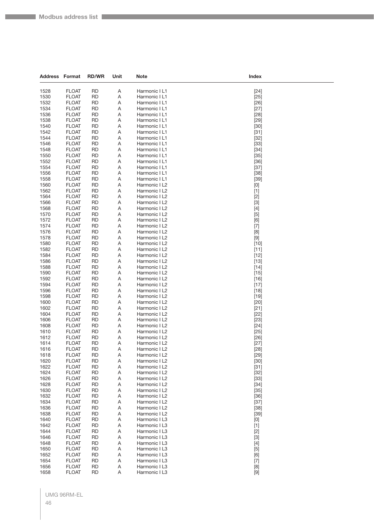| Address Format |                              | <b>RD/WR</b>           | Unit   | <b>Note</b>                    | Index                                                                                                                                                                                                                     |
|----------------|------------------------------|------------------------|--------|--------------------------------|---------------------------------------------------------------------------------------------------------------------------------------------------------------------------------------------------------------------------|
|                |                              |                        |        |                                |                                                                                                                                                                                                                           |
| 1528           | <b>FLOAT</b><br><b>FLOAT</b> | <b>RD</b>              | Α      | Harmonic I L1<br>Harmonic I L1 | $[24]$                                                                                                                                                                                                                    |
| 1530<br>1532   | <b>FLOAT</b>                 | RD<br><b>RD</b>        | Α<br>Α | Harmonic I L1                  | $[25]$                                                                                                                                                                                                                    |
| 1534           | <b>FLOAT</b>                 | RD                     | Α      | Harmonic I L1                  | $[26]$<br>$[27]$                                                                                                                                                                                                          |
| 1536           | <b>FLOAT</b>                 | <b>RD</b>              | Α      | Harmonic I L1                  | $[28]$                                                                                                                                                                                                                    |
| 1538           | <b>FLOAT</b>                 | RD                     | Α      | Harmonic I L1                  | $[29]$                                                                                                                                                                                                                    |
| 1540           | <b>FLOAT</b>                 | RD                     | Α      | Harmonic I L1                  | $[30]$                                                                                                                                                                                                                    |
| 1542           | <b>FLOAT</b>                 | RD                     | Α      | Harmonic I L1                  | $[31]$                                                                                                                                                                                                                    |
| 1544           | <b>FLOAT</b>                 | RD                     | Α      | Harmonic I L1                  | $[32]$                                                                                                                                                                                                                    |
| 1546           | <b>FLOAT</b>                 | <b>RD</b>              | Α      | Harmonic I L1                  | $[33]$                                                                                                                                                                                                                    |
| 1548           | <b>FLOAT</b>                 | RD                     | Α      | Harmonic I L1                  | $[34]$                                                                                                                                                                                                                    |
| 1550           | <b>FLOAT</b>                 | RD                     | Α      | Harmonic I L1                  | $[35]$                                                                                                                                                                                                                    |
| 1552           | <b>FLOAT</b>                 | RD                     | Α      | Harmonic I L1                  | $[36]$                                                                                                                                                                                                                    |
| 1554           | <b>FLOAT</b>                 | RD                     | Α      | Harmonic I L1                  | $[37]$                                                                                                                                                                                                                    |
| 1556           | <b>FLOAT</b>                 | <b>RD</b>              | Α      | Harmonic I L1                  | $[38]$                                                                                                                                                                                                                    |
| 1558           | <b>FLOAT</b>                 | RD                     | Α      | Harmonic I L1                  | $[39]$                                                                                                                                                                                                                    |
| 1560           | <b>FLOAT</b>                 | RD                     | Α      | Harmonic I L2                  | [0]                                                                                                                                                                                                                       |
| 1562           | <b>FLOAT</b>                 | RD                     | Α      | Harmonic I L2                  | $[1]$                                                                                                                                                                                                                     |
| 1564           | <b>FLOAT</b>                 | RD                     | Α      | Harmonic I L2                  | $[2]$                                                                                                                                                                                                                     |
| 1566           | <b>FLOAT</b>                 | <b>RD</b>              | Α      | Harmonic I L2                  | $[3]$                                                                                                                                                                                                                     |
| 1568           | <b>FLOAT</b>                 | RD                     | Α      | Harmonic I L2                  | $[4]$                                                                                                                                                                                                                     |
| 1570           | <b>FLOAT</b>                 | RD                     | Α      | Harmonic I L2                  | $[5]$                                                                                                                                                                                                                     |
| 1572           | <b>FLOAT</b>                 | RD                     | Α      | Harmonic I L2                  | [6]                                                                                                                                                                                                                       |
| 1574           | <b>FLOAT</b>                 | RD                     | Α      | Harmonic I L2                  | $[7]$                                                                                                                                                                                                                     |
| 1576<br>1578   | <b>FLOAT</b>                 | <b>RD</b>              | Α      | Harmonic I L2                  | [8]                                                                                                                                                                                                                       |
| 1580           | <b>FLOAT</b><br><b>FLOAT</b> | RD<br>RD               | Α<br>Α | Harmonic I L2<br>Harmonic I L2 | $[9]$<br>$[10]$                                                                                                                                                                                                           |
| 1582           | <b>FLOAT</b>                 | <b>RD</b>              | Α      | Harmonic I L2                  | $[11]$                                                                                                                                                                                                                    |
| 1584           | <b>FLOAT</b>                 | RD                     | Α      | Harmonic I L2                  | $[12]$                                                                                                                                                                                                                    |
| 1586           | <b>FLOAT</b>                 | <b>RD</b>              | Α      | Harmonic I L2                  | $[13]$                                                                                                                                                                                                                    |
| 1588           | <b>FLOAT</b>                 | RD                     | Α      | Harmonic I L2                  | $[14]$                                                                                                                                                                                                                    |
| 1590           | <b>FLOAT</b>                 | RD                     | Α      | Harmonic I L2                  | $[15]$                                                                                                                                                                                                                    |
| 1592           | <b>FLOAT</b>                 | RD                     | Α      | Harmonic I L2                  | $[16]$                                                                                                                                                                                                                    |
| 1594           | <b>FLOAT</b>                 | RD                     | Α      | Harmonic I L2                  | $[17]$                                                                                                                                                                                                                    |
| 1596           | <b>FLOAT</b>                 | <b>RD</b>              | Α      | Harmonic I L2                  | $[18]$                                                                                                                                                                                                                    |
| 1598           | <b>FLOAT</b>                 | RD                     | Α      | Harmonic I L2                  | $[19]$                                                                                                                                                                                                                    |
| 1600           | <b>FLOAT</b>                 | RD                     | Α      | Harmonic I L2                  | $[20]$                                                                                                                                                                                                                    |
| 1602           | <b>FLOAT</b>                 | RD                     | Α      | Harmonic I L2                  | $[21]$                                                                                                                                                                                                                    |
| 1604           | <b>FLOAT</b>                 | RD                     | Α      | Harmonic I L2                  | $[22]$                                                                                                                                                                                                                    |
| 1606           | <b>FLOAT</b>                 | <b>RD</b>              | Α      | Harmonic I L2                  | $[23]$                                                                                                                                                                                                                    |
| 1608           | <b>FLOAT</b>                 | RD                     | Α      | Harmonic I L2                  | $[24]$                                                                                                                                                                                                                    |
| 1610           | <b>FLOAT</b>                 | RD                     | Α      | Harmonic I L2                  | $[25]$                                                                                                                                                                                                                    |
| 1612           | <b>FLOAT</b><br><b>FLOAT</b> | RD<br><b>RD</b>        | Α      | Harmonic I L2<br>Harmonic I L2 | $[26]$                                                                                                                                                                                                                    |
| 1614           |                              |                        | Α<br>Α |                                | $[27]$                                                                                                                                                                                                                    |
| 1616<br>1618   | <b>FLOAT</b><br><b>FLOAT</b> | <b>RD</b><br>RD        | Α      | Harmonic I L2<br>Harmonic I L2 | $[28]$<br>$[29]$                                                                                                                                                                                                          |
| 1620           | <b>FLOAT</b>                 | <b>RD</b>              | Α      | Harmonic I L2                  | $[30]$                                                                                                                                                                                                                    |
| 1622           | <b>FLOAT</b>                 | <b>RD</b>              | Α      | Harmonic I L2                  | $[31]$                                                                                                                                                                                                                    |
| 1624           | <b>FLOAT</b>                 | <b>RD</b>              | Α      | Harmonic I L2                  | $[32]$                                                                                                                                                                                                                    |
| 1626           | <b>FLOAT</b>                 | <b>RD</b>              | Α      | Harmonic I L2                  | $[33]$                                                                                                                                                                                                                    |
| 1628           | <b>FLOAT</b>                 | RD                     | Α      | Harmonic I L2                  | $[34]$                                                                                                                                                                                                                    |
| 1630           | <b>FLOAT</b>                 | <b>RD</b>              | Α      | Harmonic I L2                  | $[35]$                                                                                                                                                                                                                    |
| 1632           | <b>FLOAT</b>                 | <b>RD</b>              | Α      | Harmonic I L2                  | $[36]$                                                                                                                                                                                                                    |
| 1634           | <b>FLOAT</b>                 | <b>RD</b>              | Α      | Harmonic I L2                  | $[37]$                                                                                                                                                                                                                    |
| 1636           | <b>FLOAT</b>                 | <b>RD</b>              | Α      | Harmonic I L2                  | $[38]$                                                                                                                                                                                                                    |
| 1638           | <b>FLOAT</b>                 | RD                     | Α      | Harmonic I L2                  | $[39]$                                                                                                                                                                                                                    |
| 1640           | <b>FLOAT</b>                 | <b>RD</b>              | Α      | Harmonic I L3                  | [0]                                                                                                                                                                                                                       |
| 1642           | <b>FLOAT</b>                 | <b>RD</b>              | Α      | Harmonic I L3                  | $[1]$                                                                                                                                                                                                                     |
| 1644<br>1646   | <b>FLOAT</b><br><b>FLOAT</b> | <b>RD</b><br><b>RD</b> | Α      | Harmonic I L3<br>Harmonic I L3 | $[2]$                                                                                                                                                                                                                     |
| 1648           | <b>FLOAT</b>                 | RD                     | Α<br>Α | Harmonic I L3                  | $[3]$<br>$[4]$                                                                                                                                                                                                            |
| 1650           | <b>FLOAT</b>                 | <b>RD</b>              | Α      | Harmonic I L3                  | $[5]$                                                                                                                                                                                                                     |
| 1652           | <b>FLOAT</b>                 | <b>RD</b>              | Α      | Harmonic I L3                  | [6]                                                                                                                                                                                                                       |
| 1654           | <b>FLOAT</b>                 | <b>RD</b>              | Α      | Harmonic I L3                  | $[7]$                                                                                                                                                                                                                     |
| 1656           | <b>FLOAT</b>                 | <b>RD</b>              | Α      | Harmonic I L3                  | [8]                                                                                                                                                                                                                       |
| 1658           | <b>FLOAT</b>                 | <b>RD</b>              | Α      | Harmonic I L3                  | $[9] % \begin{center} \includegraphics[width=\linewidth]{imagesSupplemental/Imetad2D.pdf} \end{center} % \vspace{-1em} \caption{The figure shows the results of the estimators in the left and right.} \label{fig:limal}$ |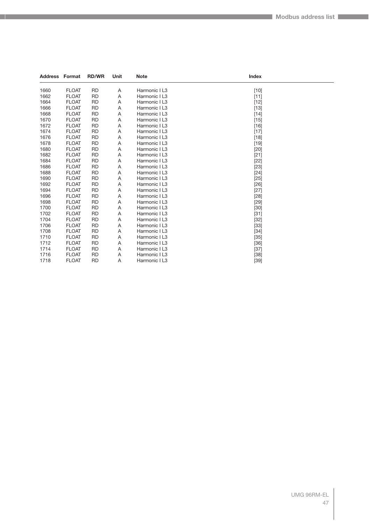| <b>Address Format</b> |              | <b>RD/WR</b> | Unit | <b>Note</b>   | Index  |  |
|-----------------------|--------------|--------------|------|---------------|--------|--|
| 1660                  | <b>FLOAT</b> | <b>RD</b>    | Α    | Harmonic I L3 | $[10]$ |  |
| 1662                  | <b>FLOAT</b> | <b>RD</b>    | Α    | Harmonic I L3 | $[11]$ |  |
| 1664                  | <b>FLOAT</b> | RD           | Α    | Harmonic I L3 | $[12]$ |  |
| 1666                  | <b>FLOAT</b> | <b>RD</b>    | Α    | Harmonic I L3 | $[13]$ |  |
| 1668                  | <b>FLOAT</b> | <b>RD</b>    | Α    | Harmonic I L3 | $[14]$ |  |
| 1670                  | <b>FLOAT</b> | <b>RD</b>    | Α    | Harmonic I L3 | $[15]$ |  |
| 1672                  | <b>FLOAT</b> | <b>RD</b>    | Α    | Harmonic I L3 | $[16]$ |  |
| 1674                  | <b>FLOAT</b> | <b>RD</b>    | Α    | Harmonic I L3 | $[17]$ |  |
| 1676                  | <b>FLOAT</b> | <b>RD</b>    | Α    | Harmonic I L3 | $[18]$ |  |
| 1678                  | <b>FLOAT</b> | <b>RD</b>    | Α    | Harmonic I L3 | $[19]$ |  |
| 1680                  | <b>FLOAT</b> | <b>RD</b>    | Α    | Harmonic I L3 | $[20]$ |  |
| 1682                  | <b>FLOAT</b> | <b>RD</b>    | Α    | Harmonic I L3 | $[21]$ |  |
| 1684                  | <b>FLOAT</b> | <b>RD</b>    | Α    | Harmonic I L3 | $[22]$ |  |
| 1686                  | <b>FLOAT</b> | <b>RD</b>    | Α    | Harmonic I L3 | $[23]$ |  |
| 1688                  | <b>FLOAT</b> | <b>RD</b>    | Α    | Harmonic I L3 | $[24]$ |  |
| 1690                  | <b>FLOAT</b> | <b>RD</b>    | Α    | Harmonic I L3 | $[25]$ |  |
| 1692                  | <b>FLOAT</b> | <b>RD</b>    | Α    | Harmonic I L3 | $[26]$ |  |
| 1694                  | <b>FLOAT</b> | <b>RD</b>    | Α    | Harmonic I L3 | $[27]$ |  |
| 1696                  | <b>FLOAT</b> | RD           | Α    | Harmonic I L3 | $[28]$ |  |
| 1698                  | <b>FLOAT</b> | <b>RD</b>    | Α    | Harmonic I L3 | $[29]$ |  |
| 1700                  | <b>FLOAT</b> | <b>RD</b>    | Α    | Harmonic I L3 | $[30]$ |  |
| 1702                  | <b>FLOAT</b> | <b>RD</b>    | Α    | Harmonic I L3 | $[31]$ |  |
| 1704                  | <b>FLOAT</b> | <b>RD</b>    | Α    | Harmonic I L3 | $[32]$ |  |
| 1706                  | <b>FLOAT</b> | <b>RD</b>    | Α    | Harmonic I L3 | $[33]$ |  |
| 1708                  | <b>FLOAT</b> | <b>RD</b>    | Α    | Harmonic I L3 | $[34]$ |  |
| 1710                  | <b>FLOAT</b> | <b>RD</b>    | Α    | Harmonic I L3 | $[35]$ |  |
| 1712                  | <b>FLOAT</b> | <b>RD</b>    | Α    | Harmonic I L3 | $[36]$ |  |
| 1714                  | <b>FLOAT</b> | <b>RD</b>    | Α    | Harmonic I L3 | $[37]$ |  |
| 1716                  | <b>FLOAT</b> | <b>RD</b>    | Α    | Harmonic I L3 | $[38]$ |  |
| 1718                  | <b>FLOAT</b> | <b>RD</b>    | A    | Harmonic I L3 | [39]   |  |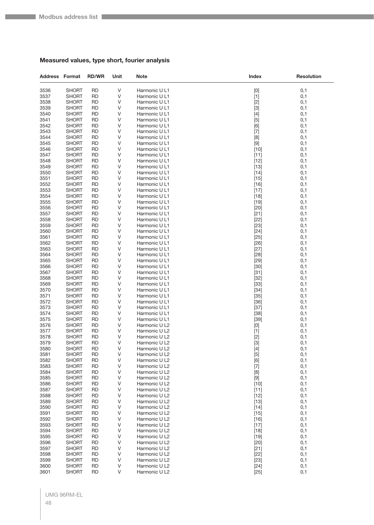**Tarix** 

#### **Measured values, type short, fourier analysis**

| <b>Address Format</b> |                              | <b>RD/WR</b>           | Unit   | <b>Note</b>                    | Index                                                                                                                                                                                                                                | <b>Resolution</b> |
|-----------------------|------------------------------|------------------------|--------|--------------------------------|--------------------------------------------------------------------------------------------------------------------------------------------------------------------------------------------------------------------------------------|-------------------|
| 3536                  | <b>SHORT</b>                 | <b>RD</b>              | V      | Harmonic U L1                  | [0]                                                                                                                                                                                                                                  | 0,1               |
| 3537                  | <b>SHORT</b>                 | RD                     | V      | Harmonic U L1                  | $[1]$                                                                                                                                                                                                                                | 0,1               |
| 3538                  | <b>SHORT</b>                 | <b>RD</b>              | V      | Harmonic U L1                  | $[2]$                                                                                                                                                                                                                                | 0,1               |
| 3539                  | SHORT                        | RD                     | V      | Harmonic U L1                  | $[3]$                                                                                                                                                                                                                                | 0,1               |
| 3540                  | <b>SHORT</b>                 | RD                     | V      | Harmonic U L1                  | $[4]$                                                                                                                                                                                                                                | 0,1               |
| 3541                  | <b>SHORT</b>                 | <b>RD</b>              | V      | Harmonic U L1                  | $[5]$                                                                                                                                                                                                                                | 0,1               |
| 3542                  | <b>SHORT</b>                 | RD                     | $\vee$ | Harmonic U L1                  | [6]                                                                                                                                                                                                                                  | 0,1               |
| 3543                  | <b>SHORT</b>                 | RD                     | V      | Harmonic U L1                  | $[7]$                                                                                                                                                                                                                                | 0,1               |
| 3544<br>3545          | <b>SHORT</b><br><b>SHORT</b> | RD<br><b>RD</b>        | V<br>V | Harmonic U L1                  | [8]                                                                                                                                                                                                                                  | 0,1               |
| 3546                  | <b>SHORT</b>                 | <b>RD</b>              | V      | Harmonic U L1<br>Harmonic U L1 | $[9]$<br>$[10]$                                                                                                                                                                                                                      | 0,1<br>0,1        |
| 3547                  | <b>SHORT</b>                 | RD                     | V      | Harmonic U L1                  | $[11]$                                                                                                                                                                                                                               | 0,1               |
| 3548                  | <b>SHORT</b>                 | RD                     | V      | Harmonic U L1                  | $[12]$                                                                                                                                                                                                                               | 0,1               |
| 3549                  | <b>SHORT</b>                 | RD                     | V      | Harmonic U L1                  | $[13]$                                                                                                                                                                                                                               | 0,1               |
| 3550                  | <b>SHORT</b>                 | RD                     | V      | Harmonic U L1                  | $[14]$                                                                                                                                                                                                                               | 0,1               |
| 3551                  | <b>SHORT</b>                 | <b>RD</b>              | V      | Harmonic U L1                  | $[15]$                                                                                                                                                                                                                               | 0,1               |
| 3552                  | <b>SHORT</b>                 | <b>RD</b>              | V      | Harmonic U L1                  | $[16]$                                                                                                                                                                                                                               | 0,1               |
| 3553                  | SHORT                        | <b>RD</b>              | V      | Harmonic U L1                  | $[17]$                                                                                                                                                                                                                               | 0,1               |
| 3554                  | SHORT                        | RD                     | V      | Harmonic U L1                  | $[18]$                                                                                                                                                                                                                               | 0,1               |
| 3555                  | <b>SHORT</b>                 | RD                     | V      | Harmonic U L1                  | $[19]$                                                                                                                                                                                                                               | 0,1               |
| 3556                  | <b>SHORT</b>                 | RD                     | V      | Harmonic U L1                  | $[20]$                                                                                                                                                                                                                               | 0,1               |
| 3557                  | <b>SHORT</b>                 | RD                     | V      | Harmonic U L1                  | $[21]$                                                                                                                                                                                                                               | 0,1               |
| 3558                  | SHORT                        | <b>RD</b>              | V      | Harmonic U L1                  | $[22]$                                                                                                                                                                                                                               | 0,1               |
| 3559                  | SHORT                        | RD                     | V      | Harmonic U L1                  | $[23]$                                                                                                                                                                                                                               | 0,1               |
| 3560                  | <b>SHORT</b>                 | <b>RD</b>              | V      | Harmonic U L1                  | $[24]$                                                                                                                                                                                                                               | 0,1               |
| 3561                  | SHORT                        | <b>RD</b>              | V      | Harmonic U L1                  | $[25]$                                                                                                                                                                                                                               | 0,1               |
| 3562<br>3563          | <b>SHORT</b><br><b>SHORT</b> | RD<br>RD               | V<br>V | Harmonic U L1<br>Harmonic U L1 | $[26]$<br>$[27]$                                                                                                                                                                                                                     | 0,1<br>0,1        |
| 3564                  | SHORT                        | RD                     | V      | Harmonic U L1                  | $[28]$                                                                                                                                                                                                                               | 0,1               |
| 3565                  | <b>SHORT</b>                 | <b>RD</b>              | V      | Harmonic U L1                  | $[29]$                                                                                                                                                                                                                               | 0,1               |
| 3566                  | <b>SHORT</b>                 | <b>RD</b>              | V      | Harmonic U L1                  | $[30]$                                                                                                                                                                                                                               | 0,1               |
| 3567                  | SHORT                        | RD                     | V      | Harmonic U L1                  | $[31]$                                                                                                                                                                                                                               | 0,1               |
| 3568                  | SHORT                        | <b>RD</b>              | V      | Harmonic U L1                  | $[32]$                                                                                                                                                                                                                               | 0,1               |
| 3569                  | SHORT                        | RD                     | V      | Harmonic U L1                  | $[33]$                                                                                                                                                                                                                               | 0,1               |
| 3570                  | <b>SHORT</b>                 | RD                     | V      | Harmonic U L1                  | $[34]$                                                                                                                                                                                                                               | 0,1               |
| 3571                  | <b>SHORT</b>                 | RD                     | V      | Harmonic U L1                  | $[35]$                                                                                                                                                                                                                               | 0,1               |
| 3572                  | SHORT                        | RD                     | V      | Harmonic U L1                  | $[36]$                                                                                                                                                                                                                               | 0,1               |
| 3573                  | SHORT                        | <b>RD</b>              | V      | Harmonic U L1                  | $[37]$                                                                                                                                                                                                                               | 0,1               |
| 3574                  | SHORT                        | RD                     | V      | Harmonic U L1                  | $[38]$                                                                                                                                                                                                                               | 0,1               |
| 3575                  | <b>SHORT</b>                 | <b>RD</b>              | V      | Harmonic U L1                  | $[39]$                                                                                                                                                                                                                               | 0,1               |
| 3576<br>3577          | SHORT<br><b>SHORT</b>        | RD<br><b>RD</b>        | V<br>V | Harmonic U L2<br>Harmonic U L2 | [0]                                                                                                                                                                                                                                  | 0,1<br>0,1        |
| 3578                  | <b>SHORT</b>                 | RD                     | V      | Harmonic U L2                  | $[1]$<br>$[2]$                                                                                                                                                                                                                       | 0,1               |
| 3579                  | SHORT                        | RD                     | V      | Harmonic U L2                  | $[3]$                                                                                                                                                                                                                                | 0,1               |
| 3580                  | <b>SHORT</b>                 | <b>RD</b>              | $\vee$ | Harmonic U L2                  | $[4]$                                                                                                                                                                                                                                | 0,1               |
| 3581                  | <b>SHORT</b>                 | <b>RD</b>              | V      | Harmonic U L2                  | $[5]$                                                                                                                                                                                                                                | 0,1               |
| 3582                  | <b>SHORT</b>                 | RD                     | V      | Harmonic U L2                  | [6]                                                                                                                                                                                                                                  | 0,1               |
| 3583                  | <b>SHORT</b>                 | <b>RD</b>              | V      | Harmonic U L2                  | $[7]$                                                                                                                                                                                                                                | 0,1               |
| 3584                  | <b>SHORT</b>                 | <b>RD</b>              | V      | Harmonic U L2                  | [8]                                                                                                                                                                                                                                  | 0,1               |
| 3585                  | <b>SHORT</b>                 | <b>RD</b>              | V      | Harmonic U L2                  | $[9] % \begin{center} \includegraphics[width=\linewidth]{imagesSupplemental/Imers.png} \end{center} % \vspace*{-1em} \caption{The image shows the number of parameters of the estimators in the left and right.} \label{fig:limall}$ | 0,1               |
| 3586                  | <b>SHORT</b>                 | <b>RD</b>              | V      | Harmonic U L2                  | $[10]$                                                                                                                                                                                                                               | 0,1               |
| 3587                  | SHORT                        | RD                     | V      | Harmonic U L2                  | $[11]$                                                                                                                                                                                                                               | 0,1               |
| 3588                  | <b>SHORT</b>                 | <b>RD</b>              | V      | Harmonic U L2                  | $[12]$                                                                                                                                                                                                                               | 0,1               |
| 3589                  | <b>SHORT</b><br><b>SHORT</b> | <b>RD</b>              | V      | Harmonic U L2                  | $[13]$                                                                                                                                                                                                                               | 0,1               |
| 3590<br>3591          | <b>SHORT</b>                 | <b>RD</b><br><b>RD</b> | V<br>V | Harmonic U L2<br>Harmonic U L2 | $[14]$                                                                                                                                                                                                                               | 0,1<br>0,1        |
| 3592                  | <b>SHORT</b>                 | RD                     | V      | Harmonic U L2                  | $[15]$<br>$[16]$                                                                                                                                                                                                                     | 0,1               |
| 3593                  | <b>SHORT</b>                 | <b>RD</b>              | V      | Harmonic U L2                  | $[17]$                                                                                                                                                                                                                               | 0,1               |
| 3594                  | <b>SHORT</b>                 | <b>RD</b>              | V      | Harmonic U L2                  | $[18]$                                                                                                                                                                                                                               | 0,1               |
| 3595                  | <b>SHORT</b>                 | <b>RD</b>              | V      | Harmonic U L2                  | $[19]$                                                                                                                                                                                                                               | 0,1               |
| 3596                  | <b>SHORT</b>                 | <b>RD</b>              | V      | Harmonic U L2                  | $[20]$                                                                                                                                                                                                                               | 0,1               |
| 3597                  | SHORT                        | RD                     | V      | Harmonic U L2                  | $[21]$                                                                                                                                                                                                                               | 0,1               |
| 3598                  | <b>SHORT</b>                 | <b>RD</b>              | V      | Harmonic U L2                  | $[22]$                                                                                                                                                                                                                               | 0,1               |
| 3599                  | <b>SHORT</b>                 | <b>RD</b>              | V      | Harmonic U L2                  | $[23]$                                                                                                                                                                                                                               | 0,1               |
| 3600                  | <b>SHORT</b>                 | <b>RD</b>              | V      | Harmonic U L2                  | $[24]$                                                                                                                                                                                                                               | 0,1               |
| 3601                  | <b>SHORT</b>                 | <b>RD</b>              | $\vee$ | Harmonic U L2                  | $[25]$                                                                                                                                                                                                                               | 0,1               |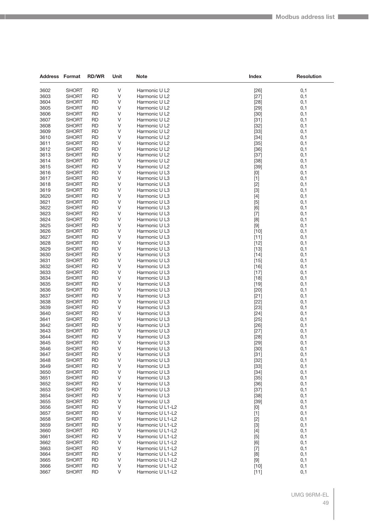| <b>Address Format</b> |                              | <b>RD/WR</b>           | Unit        | Note                                 | Index          | <b>Resolution</b> |
|-----------------------|------------------------------|------------------------|-------------|--------------------------------------|----------------|-------------------|
| 3602                  | <b>SHORT</b>                 | <b>RD</b>              | V           | Harmonic U L2                        | $[26]$         | 0,1               |
| 3603                  | <b>SHORT</b>                 | <b>RD</b>              | V           | Harmonic U L2                        | $[27]$         | 0,1               |
| 3604                  | <b>SHORT</b>                 | <b>RD</b>              | V           | Harmonic U L2                        | $[28]$         | 0,1               |
| 3605                  | SHORT                        | <b>RD</b>              | V           | Harmonic U L2                        | $[29]$         | 0,1               |
| 3606                  | SHORT                        | <b>RD</b>              | $\vee$      | Harmonic U L2                        | $[30]$         | 0,1               |
| 3607                  | <b>SHORT</b>                 | <b>RD</b>              | V           | Harmonic U L2                        | $[31]$         | 0,1               |
| 3608                  | <b>SHORT</b>                 | RD                     | V           | Harmonic U L2                        | $[32]$         | 0,1               |
| 3609                  | <b>SHORT</b>                 | <b>RD</b>              | V           | Harmonic U L2                        | $[33]$         | 0,1               |
| 3610                  | SHORT                        | <b>RD</b>              | V           | Harmonic U L2                        | $[34]$         | 0,1               |
| 3611                  | SHORT                        | <b>RD</b>              | $\vee$      | Harmonic U L2                        | $[35]$         | 0,1               |
| 3612                  | <b>SHORT</b>                 | <b>RD</b>              | V           | Harmonic U L2                        | $[36]$         | 0,1               |
| 3613                  | <b>SHORT</b>                 | RD                     | V           | Harmonic U L2                        | $[37]$         | 0,1               |
| 3614                  | <b>SHORT</b>                 | <b>RD</b>              | V           | Harmonic U L2                        | $[38]$         | 0,1               |
| 3615                  | <b>SHORT</b>                 | <b>RD</b>              | V           | Harmonic U L2                        | $[39]$         | 0,1               |
| 3616                  | <b>SHORT</b>                 | <b>RD</b>              | $\vee$      | Harmonic U L3                        | [0]            | 0,1               |
| 3617                  | <b>SHORT</b>                 | <b>RD</b>              | V           | Harmonic U L3                        | $[1]$          | 0,1               |
| 3618                  | <b>SHORT</b>                 | RD                     | V           | Harmonic U L3                        | $[2]$          | 0,1               |
| 3619                  | <b>SHORT</b>                 | <b>RD</b>              | V           | Harmonic U L3                        | $[3]$          | 0,1               |
| 3620                  | <b>SHORT</b>                 | <b>RD</b>              | V<br>$\vee$ | Harmonic U L3                        | $[4]$          | 0,1               |
| 3621<br>3622          | <b>SHORT</b><br><b>SHORT</b> | <b>RD</b><br><b>RD</b> | V           | Harmonic U L3                        | $[5]$          | 0,1<br>0,1        |
| 3623                  | <b>SHORT</b>                 | RD                     | V           | Harmonic U L3<br>Harmonic U L3       | [6]<br>$[7]$   | 0,1               |
| 3624                  | <b>SHORT</b>                 | <b>RD</b>              | V           | Harmonic U L3                        | [8]            | 0,1               |
| 3625                  | SHORT                        | <b>RD</b>              | V           | Harmonic U L3                        | $[9]$          | 0,1               |
| 3626                  | <b>SHORT</b>                 | RD                     | $\vee$      | Harmonic U L3                        | $[10]$         | 0,1               |
| 3627                  | <b>SHORT</b>                 | <b>RD</b>              | V           | Harmonic U L3                        | $[11]$         | 0,1               |
| 3628                  | <b>SHORT</b>                 | RD                     | V           | Harmonic U L3                        | $[12]$         | 0,1               |
| 3629                  | <b>SHORT</b>                 | <b>RD</b>              | V           | Harmonic U L3                        | $[13]$         | 0,1               |
| 3630                  | SHORT                        | <b>RD</b>              | V           | Harmonic U L3                        | $[14]$         | 0,1               |
| 3631                  | SHORT                        | <b>RD</b>              | $\vee$      | Harmonic U L3                        | $[15]$         | 0,1               |
| 3632                  | <b>SHORT</b>                 | <b>RD</b>              | V           | Harmonic U L3                        | [16]           | 0,1               |
| 3633                  | <b>SHORT</b>                 | RD                     | V           | Harmonic U L3                        | $[17]$         | 0,1               |
| 3634                  | <b>SHORT</b>                 | <b>RD</b>              | V           | Harmonic U L3                        | $[18]$         | 0,1               |
| 3635                  | <b>SHORT</b>                 | <b>RD</b>              | V           | Harmonic U L3                        | $[19]$         | 0,1               |
| 3636                  | SHORT                        | <b>RD</b>              | $\vee$      | Harmonic U L3                        | $[20]$         | 0,1               |
| 3637                  | <b>SHORT</b>                 | <b>RD</b>              | V           | Harmonic U L3                        | $[21]$         | 0,1               |
| 3638                  | <b>SHORT</b>                 | RD                     | V           | Harmonic U L3                        | $[22]$         | 0,1               |
| 3639                  | <b>SHORT</b>                 | <b>RD</b>              | V           | Harmonic U L3                        | $[23]$         | 0,1               |
| 3640<br>3641          | <b>SHORT</b>                 | <b>RD</b><br><b>RD</b> | V<br>V      | Harmonic U L3<br>Harmonic U L3       | $[24]$         | 0,1               |
| 3642                  | <b>SHORT</b><br><b>SHORT</b> | <b>RD</b>              | V           | Harmonic U L3                        | $[25]$<br>[26] | 0,1<br>0,1        |
| 3643                  | <b>SHORT</b>                 | RD                     | V           | Harmonic U L3                        | $[27]$         | 0,1               |
| 3644                  | <b>SHORT</b>                 | <b>RD</b>              | V           | Harmonic U L3                        | [28]           | 0,1               |
| 3645                  | SHORT                        | <b>RD</b>              | V           | Harmonic U L3                        | $[29]$         | 0,1               |
| 3646                  | <b>SHORT</b>                 | <b>RD</b>              | V           | Harmonic U L3                        | $[30]$         | 0,1               |
| 3647                  | <b>SHORT</b>                 | RD                     | V           | Harmonic U L3                        | $[31]$         | 0,1               |
| 3648                  | <b>SHORT</b>                 | RD                     | V           | Harmonic U L3                        | $[32]$         | 0,1               |
| 3649                  | <b>SHORT</b>                 | <b>RD</b>              | V           | Harmonic U L3                        | $[33]$         | 0,1               |
| 3650                  | <b>SHORT</b>                 | <b>RD</b>              | V           | Harmonic U L3                        | $[34]$         | 0,1               |
| 3651                  | <b>SHORT</b>                 | RD                     | V           | Harmonic U L3                        | $[35]$         | 0,1               |
| 3652                  | <b>SHORT</b>                 | <b>RD</b>              | V           | Harmonic U L3                        | $[36]$         | 0,1               |
| 3653                  | <b>SHORT</b>                 | RD                     | V           | Harmonic U L3                        | $[37]$         | 0,1               |
| 3654                  | <b>SHORT</b>                 | <b>RD</b>              | V           | Harmonic U L3                        | $[38]$         | 0,1               |
| 3655                  | <b>SHORT</b>                 | RD                     | V           | Harmonic U L3                        | $[39]$         | 0,1               |
| 3656                  | <b>SHORT</b>                 | RD                     | V           | Harmonic U L1-L2                     | [0]            | 0,1               |
| 3657                  | <b>SHORT</b>                 | <b>RD</b>              | V           | Harmonic U L1-L2                     | $[1]$          | 0,1               |
| 3658<br>3659          | <b>SHORT</b><br><b>SHORT</b> | RD<br><b>RD</b>        | V<br>V      | Harmonic U L1-L2<br>Harmonic U L1-L2 | $[2]$          | 0,1               |
| 3660                  | <b>SHORT</b>                 | <b>RD</b>              | V           | Harmonic U L1-L2                     | $[3]$          | 0,1<br>0,1        |
| 3661                  | <b>SHORT</b>                 | RD                     | V           | Harmonic U L1-L2                     | $[4]$<br>$[5]$ | 0,1               |
| 3662                  | <b>SHORT</b>                 | RD                     | V           | Harmonic U L1-L2                     | [6]            | 0,1               |
| 3663                  | <b>SHORT</b>                 | RD                     | V           | Harmonic U L1-L2                     | $[7]$          | 0,1               |
| 3664                  | <b>SHORT</b>                 | <b>RD</b>              | V           | Harmonic U L1-L2                     | [8]            | 0,1               |
| 3665                  | <b>SHORT</b>                 | <b>RD</b>              | V           | Harmonic U L1-L2                     | $[9]$          | 0,1               |
| 3666                  | <b>SHORT</b>                 | RD                     | V           | Harmonic U L1-L2                     | $[10]$         | 0,1               |
| 3667                  | <b>SHORT</b>                 | <b>RD</b>              | $\vee$      | Harmonic U L1-L2                     | $[11]$         | 0,1               |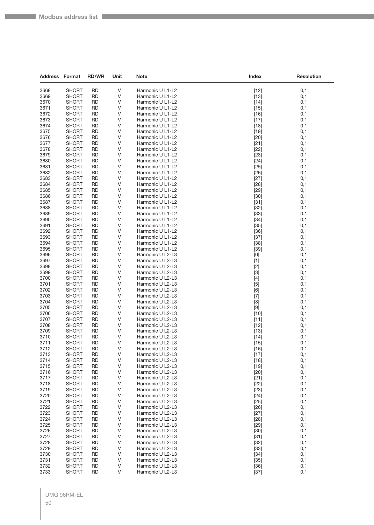| <b>Address Format</b> |                              | <b>RD/WR</b>           | Unit   | Note                                 | Index                                                                                                                                                                                                                                                                                                                                                                                                                                                                                                                                                                                                       | <b>Resolution</b> |
|-----------------------|------------------------------|------------------------|--------|--------------------------------------|-------------------------------------------------------------------------------------------------------------------------------------------------------------------------------------------------------------------------------------------------------------------------------------------------------------------------------------------------------------------------------------------------------------------------------------------------------------------------------------------------------------------------------------------------------------------------------------------------------------|-------------------|
| 3668                  | <b>SHORT</b>                 | <b>RD</b>              | V      | Harmonic U L1-L2                     | $[12]$                                                                                                                                                                                                                                                                                                                                                                                                                                                                                                                                                                                                      | 0,1               |
| 3669                  | <b>SHORT</b>                 | RD                     | V      | Harmonic U L1-L2                     | $[13]$                                                                                                                                                                                                                                                                                                                                                                                                                                                                                                                                                                                                      | 0,1               |
| 3670                  | <b>SHORT</b>                 | <b>RD</b>              | V      | Harmonic U L1-L2                     | $[14]$                                                                                                                                                                                                                                                                                                                                                                                                                                                                                                                                                                                                      | 0,1               |
| 3671                  | <b>SHORT</b>                 | RD                     | V      | Harmonic U L1-L2                     | $[15]$                                                                                                                                                                                                                                                                                                                                                                                                                                                                                                                                                                                                      | 0,1               |
| 3672                  | SHORT                        | RD                     | V      | Harmonic U L1-L2                     | $[16]$                                                                                                                                                                                                                                                                                                                                                                                                                                                                                                                                                                                                      | 0,1               |
| 3673                  | <b>SHORT</b>                 | <b>RD</b>              | V      | Harmonic U L1-L2                     | $[17]$                                                                                                                                                                                                                                                                                                                                                                                                                                                                                                                                                                                                      | 0,1               |
| 3674                  | <b>SHORT</b>                 | <b>RD</b>              | V      | Harmonic U L1-L2                     | $[18]$                                                                                                                                                                                                                                                                                                                                                                                                                                                                                                                                                                                                      | 0,1               |
| 3675                  | <b>SHORT</b>                 | <b>RD</b>              | V      | Harmonic U L1-L2                     | $[19]$                                                                                                                                                                                                                                                                                                                                                                                                                                                                                                                                                                                                      | 0,1               |
| 3676                  | SHORT                        | RD                     | V      | Harmonic U L1-L2                     | $[20]$                                                                                                                                                                                                                                                                                                                                                                                                                                                                                                                                                                                                      | 0,1               |
| 3677                  | <b>SHORT</b>                 | RD                     | V      | Harmonic U L1-L2                     | $[21]$                                                                                                                                                                                                                                                                                                                                                                                                                                                                                                                                                                                                      | 0,1               |
| 3678                  | <b>SHORT</b>                 | <b>RD</b>              | V      | Harmonic U L1-L2                     | $[22]$                                                                                                                                                                                                                                                                                                                                                                                                                                                                                                                                                                                                      | 0,1               |
| 3679                  | <b>SHORT</b>                 | <b>RD</b>              | V      | Harmonic U L1-L2                     | $[23]$                                                                                                                                                                                                                                                                                                                                                                                                                                                                                                                                                                                                      | 0,1               |
| 3680                  | <b>SHORT</b>                 | <b>RD</b>              | V<br>V | Harmonic U L1-L2                     | $[24]$                                                                                                                                                                                                                                                                                                                                                                                                                                                                                                                                                                                                      | 0,1               |
| 3681<br>3682          | <b>SHORT</b><br><b>SHORT</b> | RD<br><b>RD</b>        | V      | Harmonic U L1-L2<br>Harmonic U L1-L2 | $[25]$<br>$[26]$                                                                                                                                                                                                                                                                                                                                                                                                                                                                                                                                                                                            | 0,1<br>0,1        |
| 3683                  | <b>SHORT</b>                 | <b>RD</b>              | V      | Harmonic U L1-L2                     | $[27]$                                                                                                                                                                                                                                                                                                                                                                                                                                                                                                                                                                                                      | 0,1               |
| 3684                  | <b>SHORT</b>                 | <b>RD</b>              | V      | Harmonic U L1-L2                     | $[28]$                                                                                                                                                                                                                                                                                                                                                                                                                                                                                                                                                                                                      | 0,1               |
| 3685                  | <b>SHORT</b>                 | <b>RD</b>              | V      | Harmonic U L1-L2                     | $[29]$                                                                                                                                                                                                                                                                                                                                                                                                                                                                                                                                                                                                      | 0,1               |
| 3686                  | <b>SHORT</b>                 | RD                     | V      | Harmonic U L1-L2                     | $[30]$                                                                                                                                                                                                                                                                                                                                                                                                                                                                                                                                                                                                      | 0,1               |
| 3687                  | <b>SHORT</b>                 | <b>RD</b>              | V      | Harmonic U L1-L2                     | $[31]$                                                                                                                                                                                                                                                                                                                                                                                                                                                                                                                                                                                                      | 0,1               |
| 3688                  | <b>SHORT</b>                 | <b>RD</b>              | V      | Harmonic U L1-L2                     | $[32]$                                                                                                                                                                                                                                                                                                                                                                                                                                                                                                                                                                                                      | 0,1               |
| 3689                  | <b>SHORT</b>                 | RD                     | V      | Harmonic U L1-L2                     | $[33]$                                                                                                                                                                                                                                                                                                                                                                                                                                                                                                                                                                                                      | 0,1               |
| 3690                  | <b>SHORT</b>                 | <b>RD</b>              | V      | Harmonic U L1-L2                     | $[34]$                                                                                                                                                                                                                                                                                                                                                                                                                                                                                                                                                                                                      | 0,1               |
| 3691                  | SHORT                        | RD                     | V      | Harmonic U L1-L2                     | $[35]$                                                                                                                                                                                                                                                                                                                                                                                                                                                                                                                                                                                                      | 0,1               |
| 3692                  | <b>SHORT</b>                 | RD                     | V      | Harmonic U L1-L2                     | $[36]$                                                                                                                                                                                                                                                                                                                                                                                                                                                                                                                                                                                                      | 0,1               |
| 3693                  | SHORT                        | RD                     | V      | Harmonic U L1-L2                     | $[37]$                                                                                                                                                                                                                                                                                                                                                                                                                                                                                                                                                                                                      | 0,1               |
| 3694                  | <b>SHORT</b>                 | <b>RD</b>              | V      | Harmonic U L1-L2                     | $[38]$                                                                                                                                                                                                                                                                                                                                                                                                                                                                                                                                                                                                      | 0,1               |
| 3695                  | <b>SHORT</b>                 | <b>RD</b>              | V<br>V | Harmonic U L1-L2                     | $[39]$                                                                                                                                                                                                                                                                                                                                                                                                                                                                                                                                                                                                      | 0,1               |
| 3696<br>3697          | SHORT<br><b>SHORT</b>        | RD<br><b>RD</b>        | V      | Harmonic U L2-L3<br>Harmonic U L2-L3 | $[0] % \begin{center} % \includegraphics[width=\linewidth]{imagesSupplemental_3.png} % \end{center} % \caption { % Our method can be used for the use of the image. % Note that the \emph{DefNet}~\cite{bib66} as a function of the \emph{DefNet}~\cite{bib66} as a function of the \emph{DefNet}~\cite{bib66} as a function of the \emph{DefNet}~\cite{bib66} as a function of the \emph{DefNet}~\cite{bib66} as a function of the \emph{DefNet}~\cite{bib66} as a function of the \emph{DefNet}~\cite{bib66} as a function of the \emph{DefNet}~\cite{bib66} as a function of the \emph{DefNet}$<br>$[1]$ | 0,1<br>0,1        |
| 3698                  | <b>SHORT</b>                 | RD                     | V      | Harmonic U L2-L3                     | $[2]$                                                                                                                                                                                                                                                                                                                                                                                                                                                                                                                                                                                                       | 0,1               |
| 3699                  | <b>SHORT</b>                 | <b>RD</b>              | V      | Harmonic U L2-L3                     | $[3]$                                                                                                                                                                                                                                                                                                                                                                                                                                                                                                                                                                                                       | 0,1               |
| 3700                  | <b>SHORT</b>                 | <b>RD</b>              | V      | Harmonic U L2-L3                     | $[4]$                                                                                                                                                                                                                                                                                                                                                                                                                                                                                                                                                                                                       | 0,1               |
| 3701                  | SHORT                        | RD                     | V      | Harmonic U L2-L3                     | $[5]$                                                                                                                                                                                                                                                                                                                                                                                                                                                                                                                                                                                                       | 0,1               |
| 3702                  | <b>SHORT</b>                 | <b>RD</b>              | V      | Harmonic U L2-L3                     | [6]                                                                                                                                                                                                                                                                                                                                                                                                                                                                                                                                                                                                         | 0,1               |
| 3703                  | <b>SHORT</b>                 | <b>RD</b>              | V      | Harmonic U L2-L3                     | $[7]$                                                                                                                                                                                                                                                                                                                                                                                                                                                                                                                                                                                                       | 0,1               |
| 3704                  | <b>SHORT</b>                 | RD                     | V      | Harmonic U L2-L3                     | [8]                                                                                                                                                                                                                                                                                                                                                                                                                                                                                                                                                                                                         | 0,1               |
| 3705                  | <b>SHORT</b>                 | <b>RD</b>              | V      | Harmonic U L2-L3                     | $[9]$                                                                                                                                                                                                                                                                                                                                                                                                                                                                                                                                                                                                       | 0,1               |
| 3706                  | SHORT                        | RD                     | V      | Harmonic U L2-L3                     | $[10]$                                                                                                                                                                                                                                                                                                                                                                                                                                                                                                                                                                                                      | 0,1               |
| 3707                  | <b>SHORT</b>                 | <b>RD</b>              | V      | Harmonic U L2-L3                     | $[11]$                                                                                                                                                                                                                                                                                                                                                                                                                                                                                                                                                                                                      | 0,1               |
| 3708                  | <b>SHORT</b><br><b>SHORT</b> | RD                     | V<br>V | Harmonic U L2-L3                     | $[12]$                                                                                                                                                                                                                                                                                                                                                                                                                                                                                                                                                                                                      | 0,1               |
| 3709<br>3710          | <b>SHORT</b>                 | RD<br><b>RD</b>        | V      | Harmonic U L2-L3<br>Harmonic U L2-L3 | $[13]$<br>$[14]$                                                                                                                                                                                                                                                                                                                                                                                                                                                                                                                                                                                            | 0,1<br>0,1        |
| 3711                  | SHORT                        | RD                     | V      | Harmonic U L2-L3                     | $[15]$                                                                                                                                                                                                                                                                                                                                                                                                                                                                                                                                                                                                      | 0,1               |
| 3712                  | <b>SHORT</b>                 | <b>RD</b>              | V      | Harmonic U L2-L3                     | $[16]$                                                                                                                                                                                                                                                                                                                                                                                                                                                                                                                                                                                                      | 0,1               |
| 3713                  | <b>SHORT</b>                 | <b>RD</b>              | V      | Harmonic U L2-L3                     | $[17]$                                                                                                                                                                                                                                                                                                                                                                                                                                                                                                                                                                                                      | 0,1               |
| 3714                  | <b>SHORT</b>                 | <b>RD</b>              | V      | Harmonic U L2-L3                     | $[18]$                                                                                                                                                                                                                                                                                                                                                                                                                                                                                                                                                                                                      | 0,1               |
| 3715                  | <b>SHORT</b>                 | <b>RD</b>              | V      | Harmonic U L2-L3                     | $[19]$                                                                                                                                                                                                                                                                                                                                                                                                                                                                                                                                                                                                      | 0,1               |
| 3716                  | <b>SHORT</b>                 | RD                     | V      | Harmonic U L2-L3                     | $[20]$                                                                                                                                                                                                                                                                                                                                                                                                                                                                                                                                                                                                      | 0,1               |
| 3717                  | <b>SHORT</b>                 | <b>RD</b>              | V      | Harmonic U L2-L3                     | $[21]$                                                                                                                                                                                                                                                                                                                                                                                                                                                                                                                                                                                                      | 0,1               |
| 3718                  | <b>SHORT</b>                 | <b>RD</b>              | V      | Harmonic U L2-L3                     | $[22]$                                                                                                                                                                                                                                                                                                                                                                                                                                                                                                                                                                                                      | 0,1               |
| 3719                  | <b>SHORT</b>                 | RD                     | V      | Harmonic U L2-L3                     | $[23]$                                                                                                                                                                                                                                                                                                                                                                                                                                                                                                                                                                                                      | 0,1               |
| 3720                  | <b>SHORT</b>                 | <b>RD</b>              | V      | Harmonic U L2-L3                     | $[24]$                                                                                                                                                                                                                                                                                                                                                                                                                                                                                                                                                                                                      | 0,1               |
| 3721                  | <b>SHORT</b>                 | <b>RD</b>              | V      | Harmonic U L2-L3                     | $[25]$                                                                                                                                                                                                                                                                                                                                                                                                                                                                                                                                                                                                      | 0,1               |
| 3722<br>3723          | <b>SHORT</b><br><b>SHORT</b> | <b>RD</b><br><b>RD</b> | V<br>V | Harmonic U L2-L3<br>Harmonic U L2-L3 | $[26]$<br>$[27]$                                                                                                                                                                                                                                                                                                                                                                                                                                                                                                                                                                                            | 0,1               |
| 3724                  | <b>SHORT</b>                 | RD                     | V      | Harmonic U L2-L3                     | $[28]$                                                                                                                                                                                                                                                                                                                                                                                                                                                                                                                                                                                                      | 0,1<br>0,1        |
| 3725                  | <b>SHORT</b>                 | <b>RD</b>              | V      | Harmonic U L2-L3                     | $[29]$                                                                                                                                                                                                                                                                                                                                                                                                                                                                                                                                                                                                      | 0,1               |
| 3726                  | <b>SHORT</b>                 | <b>RD</b>              | V      | Harmonic U L2-L3                     | $[30]$                                                                                                                                                                                                                                                                                                                                                                                                                                                                                                                                                                                                      | 0,1               |
| 3727                  | <b>SHORT</b>                 | <b>RD</b>              | V      | Harmonic U L2-L3                     | $[31]$                                                                                                                                                                                                                                                                                                                                                                                                                                                                                                                                                                                                      | 0,1               |
| 3728                  | <b>SHORT</b>                 | <b>RD</b>              | V      | Harmonic U L2-L3                     | $[32]$                                                                                                                                                                                                                                                                                                                                                                                                                                                                                                                                                                                                      | 0,1               |
| 3729                  | <b>SHORT</b>                 | <b>RD</b>              | V      | Harmonic U L2-L3                     | $[33]$                                                                                                                                                                                                                                                                                                                                                                                                                                                                                                                                                                                                      | 0,1               |
| 3730                  | <b>SHORT</b>                 | <b>RD</b>              | V      | Harmonic U L2-L3                     | $[34]$                                                                                                                                                                                                                                                                                                                                                                                                                                                                                                                                                                                                      | 0,1               |
| 3731                  | <b>SHORT</b>                 | <b>RD</b>              | V      | Harmonic U L2-L3                     | $[35]$                                                                                                                                                                                                                                                                                                                                                                                                                                                                                                                                                                                                      | 0,1               |
| 3732                  | <b>SHORT</b>                 | <b>RD</b>              | V      | Harmonic U L2-L3                     | $[36]$                                                                                                                                                                                                                                                                                                                                                                                                                                                                                                                                                                                                      | 0,1               |
| 3733                  | <b>SHORT</b>                 | <b>RD</b>              | V      | Harmonic U L2-L3                     | $[37]$                                                                                                                                                                                                                                                                                                                                                                                                                                                                                                                                                                                                      | 0,1               |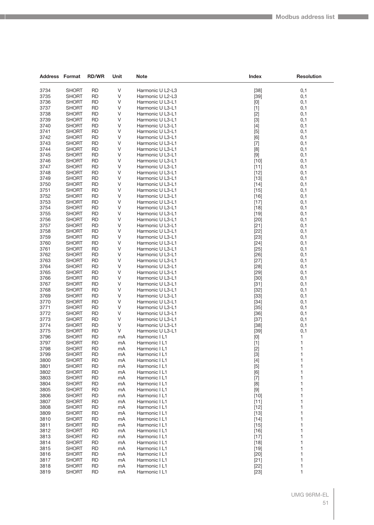| <b>Address Format</b> |                              | <b>RD/WR</b>    | Unit     | <b>Note</b>                          | Index                                                                                                                                                                                                                                                                                                                       | <b>Resolution</b> |
|-----------------------|------------------------------|-----------------|----------|--------------------------------------|-----------------------------------------------------------------------------------------------------------------------------------------------------------------------------------------------------------------------------------------------------------------------------------------------------------------------------|-------------------|
| 3734                  | <b>SHORT</b>                 | <b>RD</b>       | V        | Harmonic U L2-L3                     | $[38]$                                                                                                                                                                                                                                                                                                                      | 0,1               |
| 3735                  | <b>SHORT</b>                 | <b>RD</b>       | V        | Harmonic U L2-L3                     | $[39]$                                                                                                                                                                                                                                                                                                                      | 0,1               |
| 3736                  | <b>SHORT</b>                 | <b>RD</b>       | V        | Harmonic U L3-L1                     | $[0] % \begin{center} % \includegraphics[width=\linewidth]{imagesSupplemental_3.png} % \end{center} % \caption { % Our method can be used for the use of the image. % Note that the \emph{Def}(i) and the \emph{Def}(i) are the same and the \emph{Def}(i) and the \emph{Def}(i) are the same. % } % \label{fig:Defin_3} %$ | 0,1               |
| 3737                  | <b>SHORT</b>                 | RD              | V        | Harmonic U L3-L1                     | $[1]$                                                                                                                                                                                                                                                                                                                       | 0,1               |
| 3738                  | <b>SHORT</b>                 | <b>RD</b>       | V        | Harmonic U L3-L1                     | $[2]$                                                                                                                                                                                                                                                                                                                       | 0,1               |
| 3739                  | <b>SHORT</b>                 | RD              | V        | Harmonic U L3-L1                     | $[3]$                                                                                                                                                                                                                                                                                                                       | 0,1               |
| 3740                  | <b>SHORT</b>                 | RD              | V        | Harmonic U L3-L1                     | $[4]$                                                                                                                                                                                                                                                                                                                       | 0,1               |
| 3741                  | <b>SHORT</b>                 | <b>RD</b>       | V        | Harmonic U L3-L1                     | $[5]$                                                                                                                                                                                                                                                                                                                       | 0,1               |
| 3742                  | <b>SHORT</b>                 | RD              | V        | Harmonic U L3-L1                     | [6]                                                                                                                                                                                                                                                                                                                         | 0,1               |
| 3743                  | <b>SHORT</b>                 | <b>RD</b>       | V        | Harmonic U L3-L1                     | $[7]$                                                                                                                                                                                                                                                                                                                       | 0,1               |
| 3744                  | <b>SHORT</b>                 | RD              | V        | Harmonic U L3-L1                     | [8]                                                                                                                                                                                                                                                                                                                         | 0,1               |
| 3745                  | <b>SHORT</b>                 | RD              | V        | Harmonic U L3-L1                     | $[9]$                                                                                                                                                                                                                                                                                                                       | 0,1               |
| 3746                  | <b>SHORT</b>                 | <b>RD</b>       | V        | Harmonic U L3-L1                     | $[10]$                                                                                                                                                                                                                                                                                                                      | 0,1               |
| 3747                  | <b>SHORT</b>                 | RD              | V        | Harmonic U L3-L1                     | $[11]$                                                                                                                                                                                                                                                                                                                      | 0,1               |
| 3748                  | <b>SHORT</b>                 | <b>RD</b>       | V        | Harmonic U L3-L1                     | $[12]$                                                                                                                                                                                                                                                                                                                      | 0,1               |
| 3749                  | <b>SHORT</b>                 | RD              | V        | Harmonic U L3-L1                     | $[13]$                                                                                                                                                                                                                                                                                                                      | 0,1               |
| 3750                  | <b>SHORT</b>                 | RD              | V        | Harmonic U L3-L1                     | $[14]$                                                                                                                                                                                                                                                                                                                      | 0,1               |
| 3751                  | <b>SHORT</b>                 | <b>RD</b>       | V        | Harmonic U L3-L1                     | $[15]$                                                                                                                                                                                                                                                                                                                      | 0,1               |
| 3752                  | <b>SHORT</b>                 | RD              | V        | Harmonic U L3-L1                     | $[16]$                                                                                                                                                                                                                                                                                                                      | 0,1               |
| 3753                  | <b>SHORT</b>                 | <b>RD</b>       | V        | Harmonic U L3-L1                     | $[17]$                                                                                                                                                                                                                                                                                                                      | 0,1               |
| 3754                  | <b>SHORT</b>                 | RD              | V        | Harmonic U L3-L1                     | $[18]$                                                                                                                                                                                                                                                                                                                      | 0,1               |
| 3755                  | <b>SHORT</b>                 | RD              | V        | Harmonic U L3-L1                     | $[19]$                                                                                                                                                                                                                                                                                                                      | 0,1               |
| 3756                  | <b>SHORT</b>                 | <b>RD</b>       | V        | Harmonic U L3-L1                     | [20]                                                                                                                                                                                                                                                                                                                        | 0,1               |
| 3757                  | <b>SHORT</b>                 | RD              | V<br>V   | Harmonic U L3-L1                     | $[21]$                                                                                                                                                                                                                                                                                                                      | 0,1               |
| 3758<br>3759          | <b>SHORT</b>                 | <b>RD</b>       | V        | Harmonic U L3-L1                     | $[22]$                                                                                                                                                                                                                                                                                                                      | 0,1               |
| 3760                  | <b>SHORT</b><br><b>SHORT</b> | RD<br>RD        | V        | Harmonic U L3-L1<br>Harmonic U L3-L1 | $[23]$<br>$[24]$                                                                                                                                                                                                                                                                                                            | 0,1<br>0,1        |
| 3761                  | <b>SHORT</b>                 | <b>RD</b>       | V        | Harmonic U L3-L1                     | $[25]$                                                                                                                                                                                                                                                                                                                      | 0,1               |
| 3762                  | <b>SHORT</b>                 | RD              | V        | Harmonic U L3-L1                     | $[26]$                                                                                                                                                                                                                                                                                                                      | 0,1               |
| 3763                  | <b>SHORT</b>                 | <b>RD</b>       | V        | Harmonic U L3-L1                     | $[27]$                                                                                                                                                                                                                                                                                                                      | 0,1               |
| 3764                  | <b>SHORT</b>                 | RD              | V        | Harmonic U L3-L1                     | [28]                                                                                                                                                                                                                                                                                                                        | 0,1               |
| 3765                  | <b>SHORT</b>                 | RD              | V        | Harmonic U L3-L1                     | $[29]$                                                                                                                                                                                                                                                                                                                      | 0,1               |
| 3766                  | <b>SHORT</b>                 | <b>RD</b>       | V        | Harmonic U L3-L1                     | $[30]$                                                                                                                                                                                                                                                                                                                      | 0,1               |
| 3767                  | <b>SHORT</b>                 | RD              | V        | Harmonic U L3-L1                     | $[31]$                                                                                                                                                                                                                                                                                                                      | 0,1               |
| 3768                  | <b>SHORT</b>                 | <b>RD</b>       | V        | Harmonic U L3-L1                     | $[32]$                                                                                                                                                                                                                                                                                                                      | 0,1               |
| 3769                  | <b>SHORT</b>                 | RD              | V        | Harmonic U L3-L1                     | $[33]$                                                                                                                                                                                                                                                                                                                      | 0,1               |
| 3770                  | <b>SHORT</b>                 | RD              | V        | Harmonic U L3-L1                     | $[34]$                                                                                                                                                                                                                                                                                                                      | 0,1               |
| 3771                  | <b>SHORT</b>                 | <b>RD</b>       | V        | Harmonic U L3-L1                     | $[35]$                                                                                                                                                                                                                                                                                                                      | 0,1               |
| 3772                  | <b>SHORT</b>                 | RD              | V        | Harmonic U L3-L1                     | $[36]$                                                                                                                                                                                                                                                                                                                      | 0,1               |
| 3773                  | <b>SHORT</b>                 | <b>RD</b>       | V        | Harmonic U L3-L1                     | $[37]$                                                                                                                                                                                                                                                                                                                      | 0,1               |
| 3774                  | <b>SHORT</b>                 | RD              | V        | Harmonic U L3-L1                     | $[38]$                                                                                                                                                                                                                                                                                                                      | 0,1               |
| 3775                  | <b>SHORT</b>                 | RD              | V        | Harmonic U L3-L1                     | $[39]$                                                                                                                                                                                                                                                                                                                      | 0,1               |
| 3796                  | <b>SHORT</b>                 | <b>RD</b>       | mA       | Harmonic I L1                        | $[0] % \begin{center} % \includegraphics[width=\linewidth]{imagesSupplemental_3.png} % \end{center} % \caption { % Our method can be used for the use of the image. % Note that the \emph{Def}(i) and the \emph{Def}(i) are the same and the \emph{Def}(i) and the \emph{Def}(i) are the same. % } % \label{fig:Defin_3} %$ | 1                 |
| 3797                  | <b>SHORT</b>                 | RD              | mA       | Harmonic I L1                        | $[1]$                                                                                                                                                                                                                                                                                                                       | $\mathbf{1}$      |
| 3798                  | <b>SHORT</b>                 | <b>RD</b>       | mA       | Harmonic I L1                        | $[2]$                                                                                                                                                                                                                                                                                                                       | 1                 |
| 3799                  | <b>SHORT</b>                 | RD              | mA       | Harmonic I L1                        | $[3]$                                                                                                                                                                                                                                                                                                                       | 1                 |
| 3800                  | <b>SHORT</b>                 | RD              | mA       | Harmonic I L1                        | [4]                                                                                                                                                                                                                                                                                                                         | 1                 |
| 3801<br>3802          | <b>SHORT</b><br><b>SHORT</b> | <b>RD</b>       | mA       | Harmonic I L1                        | $[5]$                                                                                                                                                                                                                                                                                                                       | 1<br>1            |
| 3803                  | <b>SHORT</b>                 | RD<br><b>RD</b> | mA<br>mA | Harmonic I L1<br>Harmonic I L1       | [6]<br>$[7]$                                                                                                                                                                                                                                                                                                                | 1                 |
| 3804                  | <b>SHORT</b>                 | RD              | mA       | Harmonic I L1                        | [8]                                                                                                                                                                                                                                                                                                                         | 1                 |
| 3805                  | <b>SHORT</b>                 | RD              | mA       | Harmonic I L1                        | $[9]$                                                                                                                                                                                                                                                                                                                       | 1                 |
| 3806                  | <b>SHORT</b>                 | <b>RD</b>       | mA       | Harmonic I L1                        | $[10]$                                                                                                                                                                                                                                                                                                                      | 1                 |
| 3807                  | <b>SHORT</b>                 | RD              | mA       | Harmonic I L1                        | $[11]$                                                                                                                                                                                                                                                                                                                      | 1                 |
| 3808                  | <b>SHORT</b>                 | <b>RD</b>       | mA       | Harmonic I L1                        | $[12]$                                                                                                                                                                                                                                                                                                                      | 1                 |
| 3809                  | <b>SHORT</b>                 | RD              | mA       | Harmonic I L1                        | $[13]$                                                                                                                                                                                                                                                                                                                      | 1                 |
| 3810                  | <b>SHORT</b>                 | RD              | mA       | Harmonic I L1                        | $[14]$                                                                                                                                                                                                                                                                                                                      | 1                 |
| 3811                  | <b>SHORT</b>                 | <b>RD</b>       | mA       | Harmonic I L1                        | $[15]$                                                                                                                                                                                                                                                                                                                      | 1                 |
| 3812                  | <b>SHORT</b>                 | RD              | mA       | Harmonic I L1                        | $[16]$                                                                                                                                                                                                                                                                                                                      | 1                 |
| 3813                  | <b>SHORT</b>                 | RD              | mA       | Harmonic I L1                        | $[17]$                                                                                                                                                                                                                                                                                                                      | 1                 |
| 3814                  | <b>SHORT</b>                 | RD              | mA       | Harmonic I L1                        | $[18]$                                                                                                                                                                                                                                                                                                                      | 1                 |
| 3815                  | <b>SHORT</b>                 | RD              | mA       | Harmonic I L1                        | $[19]$                                                                                                                                                                                                                                                                                                                      | 1                 |
| 3816                  | <b>SHORT</b>                 | <b>RD</b>       | mA       | Harmonic I L1                        | $[20]$                                                                                                                                                                                                                                                                                                                      | 1                 |
| 3817                  | <b>SHORT</b>                 | RD              | mA       | Harmonic I L1                        | $[21]$                                                                                                                                                                                                                                                                                                                      | 1                 |
| 3818                  | <b>SHORT</b>                 | <b>RD</b>       | mA       | Harmonic I L1                        | $[22]$                                                                                                                                                                                                                                                                                                                      | 1                 |
| 3819                  | <b>SHORT</b>                 | <b>RD</b>       | mA       | Harmonic I L1                        | $[23]$                                                                                                                                                                                                                                                                                                                      | 1                 |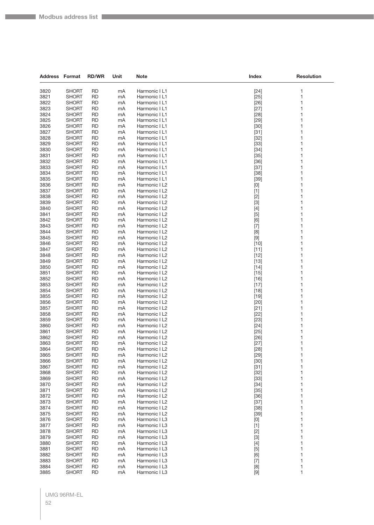| <b>Address Format</b> |                              | <b>RD/WR</b>           | Unit     | Note                           | Index                                                                                                                                                                                                                                                                                                                                                                                                                                                                                                                                                                                              | <b>Resolution</b> |
|-----------------------|------------------------------|------------------------|----------|--------------------------------|----------------------------------------------------------------------------------------------------------------------------------------------------------------------------------------------------------------------------------------------------------------------------------------------------------------------------------------------------------------------------------------------------------------------------------------------------------------------------------------------------------------------------------------------------------------------------------------------------|-------------------|
| 3820                  | <b>SHORT</b>                 | <b>RD</b>              | mA       | Harmonic I L1                  | $[24]$                                                                                                                                                                                                                                                                                                                                                                                                                                                                                                                                                                                             | 1                 |
| 3821                  | <b>SHORT</b>                 | <b>RD</b>              | mA       | Harmonic I L1                  | $[25]$                                                                                                                                                                                                                                                                                                                                                                                                                                                                                                                                                                                             | 1                 |
| 3822                  | SHORT                        | RD                     | mA       | Harmonic I L1                  | $[26]$                                                                                                                                                                                                                                                                                                                                                                                                                                                                                                                                                                                             | 1                 |
| 3823                  | SHORT                        | <b>RD</b>              | mA       | Harmonic I L1                  | $[27]$                                                                                                                                                                                                                                                                                                                                                                                                                                                                                                                                                                                             | 1                 |
| 3824                  | SHORT                        | <b>RD</b>              | mA       | Harmonic I L1                  | $[28]$                                                                                                                                                                                                                                                                                                                                                                                                                                                                                                                                                                                             | 1                 |
| 3825                  | SHORT                        | <b>RD</b>              | mA       | Harmonic I L1                  | $[29]$                                                                                                                                                                                                                                                                                                                                                                                                                                                                                                                                                                                             | 1                 |
| 3826                  | <b>SHORT</b>                 | <b>RD</b>              | mA       | Harmonic I L1                  | $[30]$                                                                                                                                                                                                                                                                                                                                                                                                                                                                                                                                                                                             | 1                 |
| 3827                  | SHORT                        | RD                     | mA       | Harmonic I L1                  | $[31]$                                                                                                                                                                                                                                                                                                                                                                                                                                                                                                                                                                                             | 1                 |
| 3828                  | SHORT                        | <b>RD</b>              | mA       | Harmonic I L1                  | $[32]$                                                                                                                                                                                                                                                                                                                                                                                                                                                                                                                                                                                             | 1                 |
| 3829                  | SHORT                        | RD                     | mA       | Harmonic I L1                  | $[33]$                                                                                                                                                                                                                                                                                                                                                                                                                                                                                                                                                                                             | 1                 |
| 3830                  | SHORT                        | <b>RD</b>              | mA       | Harmonic I L1                  | $[34]$                                                                                                                                                                                                                                                                                                                                                                                                                                                                                                                                                                                             | 1                 |
| 3831                  | SHORT                        | RD                     | mA       | Harmonic I L1                  | $[35]$                                                                                                                                                                                                                                                                                                                                                                                                                                                                                                                                                                                             | 1                 |
| 3832                  | SHORT                        | RD                     | mA       | Harmonic I L1                  | $[36]$                                                                                                                                                                                                                                                                                                                                                                                                                                                                                                                                                                                             | 1                 |
| 3833<br>3834          | SHORT<br>SHORT               | <b>RD</b><br>RD        | mA<br>mA | Harmonic I L1<br>Harmonic I L1 | $[37]$<br>$[38]$                                                                                                                                                                                                                                                                                                                                                                                                                                                                                                                                                                                   | 1<br>1            |
| 3835                  | SHORT                        | <b>RD</b>              | mA       | Harmonic I L1                  | $[39]$                                                                                                                                                                                                                                                                                                                                                                                                                                                                                                                                                                                             | 1                 |
| 3836                  | <b>SHORT</b>                 | <b>RD</b>              | mA       | Harmonic I L2                  | $[0] % \begin{center} % \includegraphics[width=\linewidth]{imagesSupplemental_3.png} % \end{center} % \caption { % Our method can be used for the use of the image. % Note that the \emph{DefNet}~\cite{bib66} as a function of the \emph{DefNet}~\cite{bib66} as a function of the \emph{DefNet}~\cite{bib66} as a function of the \emph{DefNet}~\cite{bib66} as a function of the \emph{DefNet}~\cite{bib66} as a function of the \emph{DefNet}~\cite{bib66} as a function of the \emph{DefNet}~\cite{bib66} as a function of the \emph{DefNet}~\cite{bib66} as a function of the \emph{DefNet}$ | 1                 |
| 3837                  | SHORT                        | RD                     | mA       | Harmonic I L2                  | $[1]$                                                                                                                                                                                                                                                                                                                                                                                                                                                                                                                                                                                              | 1                 |
| 3838                  | SHORT                        | <b>RD</b>              | mA       | Harmonic I L2                  | $[2]$                                                                                                                                                                                                                                                                                                                                                                                                                                                                                                                                                                                              | 1                 |
| 3839                  | SHORT                        | <b>RD</b>              | mA       | Harmonic I L2                  | $[3]$                                                                                                                                                                                                                                                                                                                                                                                                                                                                                                                                                                                              | 1                 |
| 3840                  | <b>SHORT</b>                 | <b>RD</b>              | mA       | Harmonic I L2                  | $[4]$                                                                                                                                                                                                                                                                                                                                                                                                                                                                                                                                                                                              | 1                 |
| 3841                  | <b>SHORT</b>                 | RD                     | mA       | Harmonic I L2                  | $[5]$                                                                                                                                                                                                                                                                                                                                                                                                                                                                                                                                                                                              | 1                 |
| 3842                  | SHORT                        | RD                     | mA       | Harmonic I L2                  | [6]                                                                                                                                                                                                                                                                                                                                                                                                                                                                                                                                                                                                | 1                 |
| 3843                  | SHORT                        | <b>RD</b>              | mA       | Harmonic I L2                  | $[7]$                                                                                                                                                                                                                                                                                                                                                                                                                                                                                                                                                                                              | 1                 |
| 3844                  | SHORT                        | RD                     | mA       | Harmonic I L2                  | [8]                                                                                                                                                                                                                                                                                                                                                                                                                                                                                                                                                                                                | 1                 |
| 3845                  | <b>SHORT</b>                 | <b>RD</b>              | mA       | Harmonic I L2                  | $[9]$                                                                                                                                                                                                                                                                                                                                                                                                                                                                                                                                                                                              | 1                 |
| 3846                  | SHORT                        | RD                     | mA       | Harmonic I L2                  | $[10]$                                                                                                                                                                                                                                                                                                                                                                                                                                                                                                                                                                                             | 1                 |
| 3847                  | SHORT                        | RD                     | mA       | Harmonic I L2                  | $[11]$                                                                                                                                                                                                                                                                                                                                                                                                                                                                                                                                                                                             | 1                 |
| 3848                  | SHORT                        | <b>RD</b>              | mA       | Harmonic I L2                  | $[12]$                                                                                                                                                                                                                                                                                                                                                                                                                                                                                                                                                                                             | 1                 |
| 3849                  | SHORT                        | RD                     | mA       | Harmonic I L2                  | $[13]$                                                                                                                                                                                                                                                                                                                                                                                                                                                                                                                                                                                             | 1                 |
| 3850<br>3851          | SHORT<br><b>SHORT</b>        | <b>RD</b><br>RD        | mA       | Harmonic I L2<br>Harmonic I L2 | $[14]$                                                                                                                                                                                                                                                                                                                                                                                                                                                                                                                                                                                             | 1<br>1            |
| 3852                  | SHORT                        | RD                     | mA<br>mA | Harmonic I L2                  | $[15]$<br>$[16]$                                                                                                                                                                                                                                                                                                                                                                                                                                                                                                                                                                                   | 1                 |
| 3853                  | SHORT                        | <b>RD</b>              | mA       | Harmonic I L2                  | $[17]$                                                                                                                                                                                                                                                                                                                                                                                                                                                                                                                                                                                             | 1                 |
| 3854                  | SHORT                        | <b>RD</b>              | mA       | Harmonic I L2                  | $[18]$                                                                                                                                                                                                                                                                                                                                                                                                                                                                                                                                                                                             | 1                 |
| 3855                  | SHORT                        | <b>RD</b>              | mA       | Harmonic I L2                  | $[19]$                                                                                                                                                                                                                                                                                                                                                                                                                                                                                                                                                                                             | 1                 |
| 3856                  | <b>SHORT</b>                 | <b>RD</b>              | mA       | Harmonic I L2                  | $[20]$                                                                                                                                                                                                                                                                                                                                                                                                                                                                                                                                                                                             | 1                 |
| 3857                  | SHORT                        | RD                     | mA       | Harmonic I L2                  | $[21]$                                                                                                                                                                                                                                                                                                                                                                                                                                                                                                                                                                                             | 1                 |
| 3858                  | SHORT                        | <b>RD</b>              | mA       | Harmonic I L2                  | $[22]$                                                                                                                                                                                                                                                                                                                                                                                                                                                                                                                                                                                             | 1                 |
| 3859                  | <b>SHORT</b>                 | RD                     | mA       | Harmonic I L2                  | $[23]$                                                                                                                                                                                                                                                                                                                                                                                                                                                                                                                                                                                             | 1                 |
| 3860                  | SHORT                        | <b>RD</b>              | mA       | Harmonic I L2                  | $[24]$                                                                                                                                                                                                                                                                                                                                                                                                                                                                                                                                                                                             | 1                 |
| 3861                  | SHORT                        | <b>RD</b>              | mA       | Harmonic I L2                  | $[25]$                                                                                                                                                                                                                                                                                                                                                                                                                                                                                                                                                                                             | 1                 |
| 3862                  | SHORT                        | RD                     | mA       | Harmonic I L2                  | $[26]$                                                                                                                                                                                                                                                                                                                                                                                                                                                                                                                                                                                             | 1                 |
| 3863                  | SHORT                        | <b>RD</b>              | mA       | Harmonic I L2                  | $[27]$                                                                                                                                                                                                                                                                                                                                                                                                                                                                                                                                                                                             | 1                 |
| 3864<br>3865          | <b>SHORT</b><br><b>SHORT</b> | RD<br><b>RD</b>        | mA       | Harmonic I L2<br>Harmonic I L2 | $[28]$<br>$[29]$                                                                                                                                                                                                                                                                                                                                                                                                                                                                                                                                                                                   | 1<br>1            |
| 3866                  | <b>SHORT</b>                 | <b>RD</b>              | mA<br>mA | Harmonic I L2                  | $[30]$                                                                                                                                                                                                                                                                                                                                                                                                                                                                                                                                                                                             | $\mathbf{1}$      |
| 3867                  | <b>SHORT</b>                 | <b>RD</b>              | mA       | Harmonic I L2                  | $[31]$                                                                                                                                                                                                                                                                                                                                                                                                                                                                                                                                                                                             | $\mathbf{1}$      |
| 3868                  | <b>SHORT</b>                 | <b>RD</b>              | mA       | Harmonic I L2                  | $[32]$                                                                                                                                                                                                                                                                                                                                                                                                                                                                                                                                                                                             | 1                 |
| 3869                  | <b>SHORT</b>                 | <b>RD</b>              | mA       | Harmonic I L2                  | $[33]$                                                                                                                                                                                                                                                                                                                                                                                                                                                                                                                                                                                             | 1                 |
| 3870                  | <b>SHORT</b>                 | <b>RD</b>              | mA       | Harmonic I L2                  | $[34]$                                                                                                                                                                                                                                                                                                                                                                                                                                                                                                                                                                                             | 1                 |
| 3871                  | <b>SHORT</b>                 | <b>RD</b>              | mA       | Harmonic I L2                  | $[35]$                                                                                                                                                                                                                                                                                                                                                                                                                                                                                                                                                                                             | 1                 |
| 3872                  | <b>SHORT</b>                 | RD                     | mA       | Harmonic I L2                  | $[36]$                                                                                                                                                                                                                                                                                                                                                                                                                                                                                                                                                                                             | $\mathbf{1}$      |
| 3873                  | <b>SHORT</b>                 | <b>RD</b>              | mA       | Harmonic I L2                  | $[37]$                                                                                                                                                                                                                                                                                                                                                                                                                                                                                                                                                                                             | 1                 |
| 3874                  | <b>SHORT</b>                 | <b>RD</b>              | mA       | Harmonic I L2                  | $[38]$                                                                                                                                                                                                                                                                                                                                                                                                                                                                                                                                                                                             | 1                 |
| 3875                  | <b>SHORT</b>                 | <b>RD</b>              | mA       | Harmonic I L2                  | $[39]$                                                                                                                                                                                                                                                                                                                                                                                                                                                                                                                                                                                             | 1                 |
| 3876                  | <b>SHORT</b>                 | <b>RD</b>              | mA       | Harmonic I L3                  | $[0] % \begin{center} % \includegraphics[width=\linewidth]{imagesSupplemental_3.png} % \end{center} % \caption { % Our method can be used for the use of the image. % Note that the \emph{DefNet}~\cite{bib66} as a function of the \emph{DefNet}~\cite{bib66} as a function of the \emph{DefNet}~\cite{bib66} as a function of the \emph{DefNet}~\cite{bib66} as a function of the \emph{DefNet}~\cite{bib66} as a function of the \emph{DefNet}~\cite{bib66} as a function of the \emph{DefNet}~\cite{bib66} as a function of the \emph{DefNet}~\cite{bib66} as a function of the \emph{DefNet}$ | 1                 |
| 3877                  | <b>SHORT</b>                 | RD                     | mA       | Harmonic I L3                  | $[1]$                                                                                                                                                                                                                                                                                                                                                                                                                                                                                                                                                                                              | $\mathbf{1}$      |
| 3878                  | <b>SHORT</b>                 | <b>RD</b>              | mA       | Harmonic I L3                  | $[2]$                                                                                                                                                                                                                                                                                                                                                                                                                                                                                                                                                                                              | 1<br>1            |
| 3879<br>3880          | <b>SHORT</b><br><b>SHORT</b> | <b>RD</b><br><b>RD</b> | mA<br>mA | Harmonic I L3<br>Harmonic I L3 | $[3]$<br>$[4]$                                                                                                                                                                                                                                                                                                                                                                                                                                                                                                                                                                                     | 1                 |
| 3881                  | <b>SHORT</b>                 | <b>RD</b>              | mA       | Harmonic I L3                  | $[5]$                                                                                                                                                                                                                                                                                                                                                                                                                                                                                                                                                                                              | 1                 |
| 3882                  | <b>SHORT</b>                 | RD                     | mA       | Harmonic I L3                  | [6]                                                                                                                                                                                                                                                                                                                                                                                                                                                                                                                                                                                                | 1                 |
| 3883                  | <b>SHORT</b>                 | <b>RD</b>              | mA       | Harmonic I L3                  | $[7]$                                                                                                                                                                                                                                                                                                                                                                                                                                                                                                                                                                                              | 1                 |
| 3884                  | <b>SHORT</b>                 | <b>RD</b>              | mA       | Harmonic I L3                  | $[8]$                                                                                                                                                                                                                                                                                                                                                                                                                                                                                                                                                                                              | 1                 |
| 3885                  | <b>SHORT</b>                 | <b>RD</b>              | mA       | Harmonic I L3                  | $[9] % \begin{center} \includegraphics[width=\linewidth]{imagesSupplemental/Imers.png} \end{center} % \vspace*{-1em} \caption{The image shows the number of parameters of the estimators in the left and right.} \label{fig:limall}$                                                                                                                                                                                                                                                                                                                                                               | 1                 |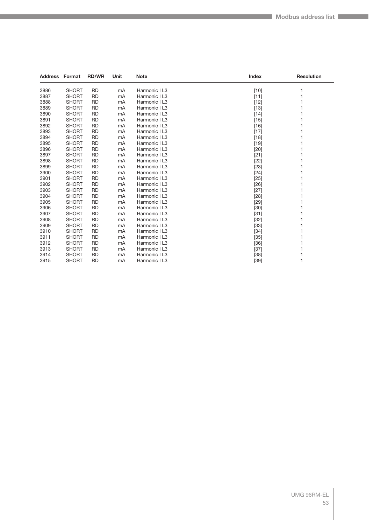|      | <b>Address Format</b> | <b>RD/WR</b> | Unit | <b>Note</b>   | <b>Index</b> | <b>Resolution</b> |
|------|-----------------------|--------------|------|---------------|--------------|-------------------|
| 3886 | <b>SHORT</b>          | <b>RD</b>    | mA   | Harmonic I L3 | $[10]$       |                   |
| 3887 | <b>SHORT</b>          | <b>RD</b>    | mA   | Harmonic I L3 | $[11]$       |                   |
| 3888 | <b>SHORT</b>          | <b>RD</b>    | mA   | Harmonic I L3 | $[12]$       |                   |
| 3889 | <b>SHORT</b>          | <b>RD</b>    | mA   | Harmonic I L3 | $[13]$       |                   |
| 3890 | <b>SHORT</b>          | <b>RD</b>    | mA   | Harmonic I L3 | $[14]$       |                   |
| 3891 | <b>SHORT</b>          | <b>RD</b>    | mA   | Harmonic I L3 | $[15]$       |                   |
| 3892 | <b>SHORT</b>          | <b>RD</b>    | mA   | Harmonic I L3 | $[16]$       |                   |
| 3893 | <b>SHORT</b>          | <b>RD</b>    | mA   | Harmonic I L3 | $[17]$       |                   |
| 3894 | <b>SHORT</b>          | <b>RD</b>    | mA   | Harmonic I L3 | $[18]$       |                   |
| 3895 | <b>SHORT</b>          | <b>RD</b>    | mA   | Harmonic I L3 | $[19]$       |                   |
| 3896 | <b>SHORT</b>          | <b>RD</b>    | mA   | Harmonic I L3 | $[20]$       |                   |
| 3897 | <b>SHORT</b>          | <b>RD</b>    | mA   | Harmonic I L3 | $[21]$       |                   |
| 3898 | <b>SHORT</b>          | <b>RD</b>    | mA   | Harmonic I L3 | $[22]$       |                   |
| 3899 | <b>SHORT</b>          | <b>RD</b>    | mA   | Harmonic I L3 | $[23]$       |                   |
| 3900 | <b>SHORT</b>          | <b>RD</b>    | mA   | Harmonic I L3 | [24]         |                   |
| 3901 | <b>SHORT</b>          | <b>RD</b>    | mA   | Harmonic I L3 | $[25]$       |                   |
| 3902 | <b>SHORT</b>          | <b>RD</b>    | mA   | Harmonic I L3 | $[26]$       |                   |
| 3903 | <b>SHORT</b>          | <b>RD</b>    | mA   | Harmonic I L3 | $[27]$       |                   |
| 3904 | <b>SHORT</b>          | <b>RD</b>    | mA   | Harmonic I L3 | $[28]$       |                   |
| 3905 | <b>SHORT</b>          | <b>RD</b>    | mA   | Harmonic I L3 | [29]         |                   |
| 3906 | <b>SHORT</b>          | <b>RD</b>    | mA   | Harmonic I L3 | $[30]$       |                   |
| 3907 | <b>SHORT</b>          | <b>RD</b>    | mA   | Harmonic I L3 | $[31]$       |                   |
| 3908 | <b>SHORT</b>          | <b>RD</b>    | mA   | Harmonic I L3 | $[32]$       |                   |
| 3909 | <b>SHORT</b>          | <b>RD</b>    | mA   | Harmonic I L3 | $[33]$       |                   |
| 3910 | <b>SHORT</b>          | <b>RD</b>    | mA   | Harmonic I L3 | $[34]$       |                   |
| 3911 | <b>SHORT</b>          | <b>RD</b>    | mA   | Harmonic I L3 | $[35]$       |                   |
| 3912 | <b>SHORT</b>          | <b>RD</b>    | mA   | Harmonic I L3 | $[36]$       |                   |
| 3913 | <b>SHORT</b>          | <b>RD</b>    | mA   | Harmonic I L3 | $[37]$       |                   |
| 3914 | <b>SHORT</b>          | <b>RD</b>    | mA   | Harmonic I L3 | $[38]$       |                   |
| 3915 | <b>SHORT</b>          | <b>RD</b>    | mA   | Harmonic I L3 | $[39]$       |                   |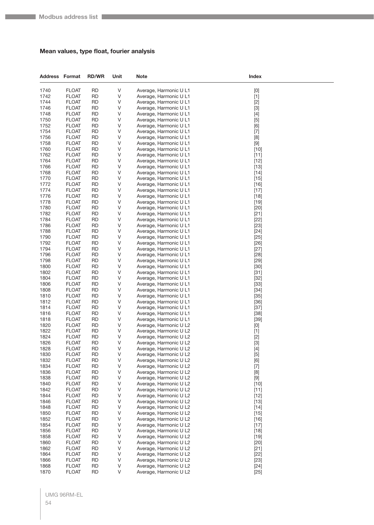#### **Mean values, type float, fourier analysis**

| <b>Address Format</b> |                              | <b>RD/WR</b>           | Unit        | <b>Note</b>                                      | Index                                                                                                                                                                                                                                                                                                                                                                                                                                                                                                                                                                                                       |
|-----------------------|------------------------------|------------------------|-------------|--------------------------------------------------|-------------------------------------------------------------------------------------------------------------------------------------------------------------------------------------------------------------------------------------------------------------------------------------------------------------------------------------------------------------------------------------------------------------------------------------------------------------------------------------------------------------------------------------------------------------------------------------------------------------|
| 1740                  | <b>FLOAT</b>                 | <b>RD</b>              | V           | Average, Harmonic U L1                           | [0]                                                                                                                                                                                                                                                                                                                                                                                                                                                                                                                                                                                                         |
| 1742                  | <b>FLOAT</b>                 | <b>RD</b>              | V           | Average, Harmonic U L1                           | $[1]$                                                                                                                                                                                                                                                                                                                                                                                                                                                                                                                                                                                                       |
| 1744                  | <b>FLOAT</b>                 | <b>RD</b>              | V           | Average, Harmonic U L1                           | $[2]$                                                                                                                                                                                                                                                                                                                                                                                                                                                                                                                                                                                                       |
| 1746                  | <b>FLOAT</b>                 | <b>RD</b>              | V           | Average, Harmonic U L1                           | $[3]$                                                                                                                                                                                                                                                                                                                                                                                                                                                                                                                                                                                                       |
| 1748                  | <b>FLOAT</b>                 | <b>RD</b>              | V           | Average, Harmonic U L1                           | $[4]$                                                                                                                                                                                                                                                                                                                                                                                                                                                                                                                                                                                                       |
| 1750                  | <b>FLOAT</b>                 | <b>RD</b>              | V           | Average, Harmonic U L1                           | $[5]$                                                                                                                                                                                                                                                                                                                                                                                                                                                                                                                                                                                                       |
| 1752                  | <b>FLOAT</b>                 | <b>RD</b>              | V           | Average, Harmonic U L1                           | [6]                                                                                                                                                                                                                                                                                                                                                                                                                                                                                                                                                                                                         |
| 1754                  | <b>FLOAT</b>                 | <b>RD</b>              | V           | Average, Harmonic U L1                           | $[7]$                                                                                                                                                                                                                                                                                                                                                                                                                                                                                                                                                                                                       |
| 1756                  | <b>FLOAT</b>                 | <b>RD</b>              | V           | Average, Harmonic U L1                           | [8]                                                                                                                                                                                                                                                                                                                                                                                                                                                                                                                                                                                                         |
| 1758<br>1760          | <b>FLOAT</b><br><b>FLOAT</b> | RD<br><b>RD</b>        | V<br>V      | Average, Harmonic U L1<br>Average, Harmonic U L1 | $[9]$<br>$[10]$                                                                                                                                                                                                                                                                                                                                                                                                                                                                                                                                                                                             |
| 1762                  | <b>FLOAT</b>                 | <b>RD</b>              | V           | Average, Harmonic U L1                           | $[11]$                                                                                                                                                                                                                                                                                                                                                                                                                                                                                                                                                                                                      |
| 1764                  | <b>FLOAT</b>                 | <b>RD</b>              | V           | Average, Harmonic U L1                           | $[12]$                                                                                                                                                                                                                                                                                                                                                                                                                                                                                                                                                                                                      |
| 1766                  | <b>FLOAT</b>                 | RD                     | V           | Average, Harmonic U L1                           | $[13]$                                                                                                                                                                                                                                                                                                                                                                                                                                                                                                                                                                                                      |
| 1768                  | <b>FLOAT</b>                 | RD                     | V           | Average, Harmonic U L1                           | $[14]$                                                                                                                                                                                                                                                                                                                                                                                                                                                                                                                                                                                                      |
| 1770                  | <b>FLOAT</b>                 | <b>RD</b>              | V           | Average, Harmonic U L1                           | $[15]$                                                                                                                                                                                                                                                                                                                                                                                                                                                                                                                                                                                                      |
| 1772                  | <b>FLOAT</b>                 | <b>RD</b>              | V           | Average, Harmonic U L1                           | $[16]$                                                                                                                                                                                                                                                                                                                                                                                                                                                                                                                                                                                                      |
| 1774                  | <b>FLOAT</b>                 | <b>RD</b>              | V           | Average, Harmonic U L1                           | $[17]$                                                                                                                                                                                                                                                                                                                                                                                                                                                                                                                                                                                                      |
| 1776                  | <b>FLOAT</b>                 | RD                     | V           | Average, Harmonic U L1                           | $[18]$                                                                                                                                                                                                                                                                                                                                                                                                                                                                                                                                                                                                      |
| 1778                  | <b>FLOAT</b>                 | RD                     | V           | Average, Harmonic U L1                           | $[19]$                                                                                                                                                                                                                                                                                                                                                                                                                                                                                                                                                                                                      |
| 1780                  | <b>FLOAT</b>                 | <b>RD</b>              | V           | Average, Harmonic U L1                           | $[20]$                                                                                                                                                                                                                                                                                                                                                                                                                                                                                                                                                                                                      |
| 1782                  | <b>FLOAT</b>                 | <b>RD</b>              | V           | Average, Harmonic U L1                           | $[21]$                                                                                                                                                                                                                                                                                                                                                                                                                                                                                                                                                                                                      |
| 1784                  | <b>FLOAT</b>                 | <b>RD</b>              | V           | Average, Harmonic U L1                           | $[22]$                                                                                                                                                                                                                                                                                                                                                                                                                                                                                                                                                                                                      |
| 1786                  | <b>FLOAT</b>                 | <b>RD</b>              | V           | Average, Harmonic U L1                           | $[23]$                                                                                                                                                                                                                                                                                                                                                                                                                                                                                                                                                                                                      |
| 1788<br>1790          | <b>FLOAT</b>                 | RD<br><b>RD</b>        | V<br>V      | Average, Harmonic U L1                           | $[24]$                                                                                                                                                                                                                                                                                                                                                                                                                                                                                                                                                                                                      |
| 1792                  | <b>FLOAT</b><br><b>FLOAT</b> | <b>RD</b>              | V           | Average, Harmonic U L1<br>Average, Harmonic U L1 | $[25]$<br>$[26]$                                                                                                                                                                                                                                                                                                                                                                                                                                                                                                                                                                                            |
| 1794                  | <b>FLOAT</b>                 | <b>RD</b>              | V           | Average, Harmonic U L1                           | $[27]$                                                                                                                                                                                                                                                                                                                                                                                                                                                                                                                                                                                                      |
| 1796                  | <b>FLOAT</b>                 | <b>RD</b>              | V           | Average, Harmonic U L1                           | $[28]$                                                                                                                                                                                                                                                                                                                                                                                                                                                                                                                                                                                                      |
| 1798                  | <b>FLOAT</b>                 | RD                     | V           | Average, Harmonic U L1                           | $[29]$                                                                                                                                                                                                                                                                                                                                                                                                                                                                                                                                                                                                      |
| 1800                  | <b>FLOAT</b>                 | <b>RD</b>              | V           | Average, Harmonic U L1                           | $[30]$                                                                                                                                                                                                                                                                                                                                                                                                                                                                                                                                                                                                      |
| 1802                  | <b>FLOAT</b>                 | <b>RD</b>              | V           | Average, Harmonic U L1                           | $[31]$                                                                                                                                                                                                                                                                                                                                                                                                                                                                                                                                                                                                      |
| 1804                  | <b>FLOAT</b>                 | <b>RD</b>              | V           | Average, Harmonic U L1                           | $[32]$                                                                                                                                                                                                                                                                                                                                                                                                                                                                                                                                                                                                      |
| 1806                  | <b>FLOAT</b>                 | RD                     | V           | Average, Harmonic U L1                           | $[33]$                                                                                                                                                                                                                                                                                                                                                                                                                                                                                                                                                                                                      |
| 1808                  | <b>FLOAT</b>                 | RD                     | V           | Average, Harmonic U L1                           | $[34]$                                                                                                                                                                                                                                                                                                                                                                                                                                                                                                                                                                                                      |
| 1810                  | <b>FLOAT</b>                 | <b>RD</b>              | V           | Average, Harmonic U L1                           | $[35]$                                                                                                                                                                                                                                                                                                                                                                                                                                                                                                                                                                                                      |
| 1812                  | <b>FLOAT</b>                 | RD                     | V           | Average, Harmonic U L1                           | $[36]$                                                                                                                                                                                                                                                                                                                                                                                                                                                                                                                                                                                                      |
| 1814                  | <b>FLOAT</b>                 | <b>RD</b>              | V           | Average, Harmonic U L1                           | $[37]$                                                                                                                                                                                                                                                                                                                                                                                                                                                                                                                                                                                                      |
| 1816                  | <b>FLOAT</b>                 | RD                     | V<br>V      | Average, Harmonic U L1<br>Average, Harmonic U L1 | $[38]$                                                                                                                                                                                                                                                                                                                                                                                                                                                                                                                                                                                                      |
| 1818<br>1820          | <b>FLOAT</b><br><b>FLOAT</b> | RD<br><b>RD</b>        | V           | Average, Harmonic U L2                           | $[39]$                                                                                                                                                                                                                                                                                                                                                                                                                                                                                                                                                                                                      |
| 1822                  | <b>FLOAT</b>                 | <b>RD</b>              | V           | Average, Harmonic U L2                           | $[0] % \begin{center} % \includegraphics[width=\linewidth]{imagesSupplemental_3.png} % \end{center} % \caption { % Our method can be used for the use of the image. % Note that the \emph{DefNet}~\cite{bib66} as a function of the \emph{DefNet}~\cite{bib66} as a function of the \emph{DefNet}~\cite{bib66} as a function of the \emph{DefNet}~\cite{bib66} as a function of the \emph{DefNet}~\cite{bib66} as a function of the \emph{DefNet}~\cite{bib66} as a function of the \emph{DefNet}~\cite{bib66} as a function of the \emph{DefNet}~\cite{bib66} as a function of the \emph{DefNet}$<br>$[1]$ |
| 1824                  | <b>FLOAT</b>                 | <b>RD</b>              | V           | Average, Harmonic U L2                           | $[2]$                                                                                                                                                                                                                                                                                                                                                                                                                                                                                                                                                                                                       |
| 1826                  | <b>FLOAT</b>                 | <b>RD</b>              | V           | Average, Harmonic U L2                           | $[3]$                                                                                                                                                                                                                                                                                                                                                                                                                                                                                                                                                                                                       |
| 1828                  | <b>FLOAT</b>                 | <b>RD</b>              | $\mathsf V$ | Average, Harmonic U L2                           | $[4]$                                                                                                                                                                                                                                                                                                                                                                                                                                                                                                                                                                                                       |
| 1830                  | <b>FLOAT</b>                 | <b>RD</b>              | V           | Average, Harmonic U L2                           | $[5] % \begin{center} \includegraphics[width=\linewidth]{imagesSupplemental/Imit} \caption{The image shows the image shows a single number of times.} \label{fig:limal} \end{center}$                                                                                                                                                                                                                                                                                                                                                                                                                       |
| 1832                  | <b>FLOAT</b>                 | <b>RD</b>              | V           | Average, Harmonic U L2                           | [6]                                                                                                                                                                                                                                                                                                                                                                                                                                                                                                                                                                                                         |
| 1834                  | <b>FLOAT</b>                 | <b>RD</b>              | V           | Average, Harmonic U L2                           | $[7]$                                                                                                                                                                                                                                                                                                                                                                                                                                                                                                                                                                                                       |
| 1836                  | <b>FLOAT</b>                 | <b>RD</b>              | V           | Average, Harmonic U L2                           | $[8] % \begin{center} \includegraphics[width=\linewidth]{imagesSupplemental/Imetad2.png} \end{center} % \caption { % Our method shows the proposed method. % } % \label{fig:limsub} %$                                                                                                                                                                                                                                                                                                                                                                                                                      |
| 1838                  | <b>FLOAT</b>                 | <b>RD</b>              | $\vee$      | Average, Harmonic U L2                           | $\left[ 9\right]$                                                                                                                                                                                                                                                                                                                                                                                                                                                                                                                                                                                           |
| 1840                  | <b>FLOAT</b>                 | <b>RD</b>              | V           | Average, Harmonic U L2                           | $[10]$                                                                                                                                                                                                                                                                                                                                                                                                                                                                                                                                                                                                      |
| 1842                  | <b>FLOAT</b>                 | <b>RD</b>              | V           | Average, Harmonic U L2                           | $[11]$                                                                                                                                                                                                                                                                                                                                                                                                                                                                                                                                                                                                      |
| 1844<br>1846          | <b>FLOAT</b><br><b>FLOAT</b> | <b>RD</b><br><b>RD</b> | V<br>V      | Average, Harmonic U L2<br>Average, Harmonic U L2 | $[12]$                                                                                                                                                                                                                                                                                                                                                                                                                                                                                                                                                                                                      |
| 1848                  | <b>FLOAT</b>                 | <b>RD</b>              | V           | Average, Harmonic U L2                           | $[13]$<br>$[14]$                                                                                                                                                                                                                                                                                                                                                                                                                                                                                                                                                                                            |
| 1850                  | <b>FLOAT</b>                 | <b>RD</b>              | V           | Average, Harmonic U L2                           | $[15]$                                                                                                                                                                                                                                                                                                                                                                                                                                                                                                                                                                                                      |
| 1852                  | <b>FLOAT</b>                 | <b>RD</b>              | V           | Average, Harmonic U L2                           | $[16]$                                                                                                                                                                                                                                                                                                                                                                                                                                                                                                                                                                                                      |
| 1854                  | <b>FLOAT</b>                 | <b>RD</b>              | V           | Average, Harmonic U L2                           | $[17]$                                                                                                                                                                                                                                                                                                                                                                                                                                                                                                                                                                                                      |
| 1856                  | <b>FLOAT</b>                 | <b>RD</b>              | V           | Average, Harmonic U L2                           | $[18]$                                                                                                                                                                                                                                                                                                                                                                                                                                                                                                                                                                                                      |
| 1858                  | <b>FLOAT</b>                 | <b>RD</b>              | V           | Average, Harmonic U L2                           | $[19]$                                                                                                                                                                                                                                                                                                                                                                                                                                                                                                                                                                                                      |
| 1860                  | <b>FLOAT</b>                 | <b>RD</b>              | V           | Average, Harmonic U L2                           | $[20]$                                                                                                                                                                                                                                                                                                                                                                                                                                                                                                                                                                                                      |
| 1862                  | <b>FLOAT</b>                 | <b>RD</b>              | V           | Average, Harmonic U L2                           | $[21]$                                                                                                                                                                                                                                                                                                                                                                                                                                                                                                                                                                                                      |
| 1864                  | <b>FLOAT</b>                 | <b>RD</b>              | V           | Average, Harmonic U L2                           | $[22]$                                                                                                                                                                                                                                                                                                                                                                                                                                                                                                                                                                                                      |
| 1866                  | <b>FLOAT</b>                 | <b>RD</b>              | V           | Average, Harmonic U L2                           | $[23]$                                                                                                                                                                                                                                                                                                                                                                                                                                                                                                                                                                                                      |
| 1868                  | <b>FLOAT</b>                 | <b>RD</b>              | V           | Average, Harmonic U L2                           | $[24]$                                                                                                                                                                                                                                                                                                                                                                                                                                                                                                                                                                                                      |
| 1870                  | <b>FLOAT</b>                 | <b>RD</b>              | V           | Average, Harmonic U L2                           | $[25]$                                                                                                                                                                                                                                                                                                                                                                                                                                                                                                                                                                                                      |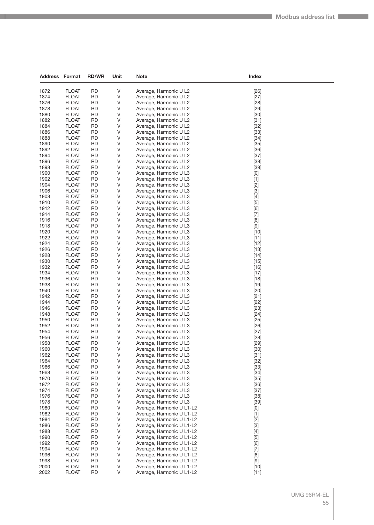| Address Format |                              | <b>RD/WR</b>           | Unit        | <b>Note</b>                                            | Index                                                                                                                                                                                                                                                                                                                                                                                                                                                                                                                                                                                                                                                                                                                                                                                                                                                                                                                           |  |
|----------------|------------------------------|------------------------|-------------|--------------------------------------------------------|---------------------------------------------------------------------------------------------------------------------------------------------------------------------------------------------------------------------------------------------------------------------------------------------------------------------------------------------------------------------------------------------------------------------------------------------------------------------------------------------------------------------------------------------------------------------------------------------------------------------------------------------------------------------------------------------------------------------------------------------------------------------------------------------------------------------------------------------------------------------------------------------------------------------------------|--|
| 1872           | <b>FLOAT</b>                 | <b>RD</b>              | V           | Average, Harmonic U L2                                 | $[26]$                                                                                                                                                                                                                                                                                                                                                                                                                                                                                                                                                                                                                                                                                                                                                                                                                                                                                                                          |  |
| 1874           | <b>FLOAT</b>                 | <b>RD</b>              | $\vee$      | Average, Harmonic U L2                                 | $[27]$                                                                                                                                                                                                                                                                                                                                                                                                                                                                                                                                                                                                                                                                                                                                                                                                                                                                                                                          |  |
| 1876           | <b>FLOAT</b>                 | <b>RD</b>              | V           | Average, Harmonic U L2                                 | $[28]$                                                                                                                                                                                                                                                                                                                                                                                                                                                                                                                                                                                                                                                                                                                                                                                                                                                                                                                          |  |
| 1878           | <b>FLOAT</b>                 | <b>RD</b>              | V           | Average, Harmonic U L2                                 | $[29]$                                                                                                                                                                                                                                                                                                                                                                                                                                                                                                                                                                                                                                                                                                                                                                                                                                                                                                                          |  |
| 1880           | <b>FLOAT</b>                 | <b>RD</b>              | V           | Average, Harmonic U L2                                 | $[30]$                                                                                                                                                                                                                                                                                                                                                                                                                                                                                                                                                                                                                                                                                                                                                                                                                                                                                                                          |  |
| 1882           | <b>FLOAT</b>                 | <b>RD</b>              | V           | Average, Harmonic U L2                                 | $[31]$                                                                                                                                                                                                                                                                                                                                                                                                                                                                                                                                                                                                                                                                                                                                                                                                                                                                                                                          |  |
| 1884           | <b>FLOAT</b>                 | <b>RD</b>              | V           | Average, Harmonic U L2                                 | $[32]$                                                                                                                                                                                                                                                                                                                                                                                                                                                                                                                                                                                                                                                                                                                                                                                                                                                                                                                          |  |
| 1886           | <b>FLOAT</b>                 | <b>RD</b>              | V<br>V      | Average, Harmonic U L2                                 | $[33]$                                                                                                                                                                                                                                                                                                                                                                                                                                                                                                                                                                                                                                                                                                                                                                                                                                                                                                                          |  |
| 1888<br>1890   | <b>FLOAT</b><br><b>FLOAT</b> | <b>RD</b><br><b>RD</b> | V           | Average, Harmonic U L2<br>Average, Harmonic U L2       | $[34]$<br>$[35]$                                                                                                                                                                                                                                                                                                                                                                                                                                                                                                                                                                                                                                                                                                                                                                                                                                                                                                                |  |
| 1892           | <b>FLOAT</b>                 | <b>RD</b>              | V           | Average, Harmonic U L2                                 | $[36]$                                                                                                                                                                                                                                                                                                                                                                                                                                                                                                                                                                                                                                                                                                                                                                                                                                                                                                                          |  |
| 1894           | <b>FLOAT</b>                 | <b>RD</b>              | V           | Average, Harmonic U L2                                 | $[37]$                                                                                                                                                                                                                                                                                                                                                                                                                                                                                                                                                                                                                                                                                                                                                                                                                                                                                                                          |  |
| 1896           | <b>FLOAT</b>                 | <b>RD</b>              | V           | Average, Harmonic U L2                                 | $[38]$                                                                                                                                                                                                                                                                                                                                                                                                                                                                                                                                                                                                                                                                                                                                                                                                                                                                                                                          |  |
| 1898           | <b>FLOAT</b>                 | <b>RD</b>              | V           | Average, Harmonic U L2                                 | $[39]$                                                                                                                                                                                                                                                                                                                                                                                                                                                                                                                                                                                                                                                                                                                                                                                                                                                                                                                          |  |
| 1900           | <b>FLOAT</b>                 | <b>RD</b>              | V           | Average, Harmonic U L3                                 | [0]                                                                                                                                                                                                                                                                                                                                                                                                                                                                                                                                                                                                                                                                                                                                                                                                                                                                                                                             |  |
| 1902           | <b>FLOAT</b>                 | <b>RD</b>              | V           | Average, Harmonic U L3                                 | $[1]$                                                                                                                                                                                                                                                                                                                                                                                                                                                                                                                                                                                                                                                                                                                                                                                                                                                                                                                           |  |
| 1904           | <b>FLOAT</b>                 | <b>RD</b>              | V           | Average, Harmonic U L3                                 | $[2]$                                                                                                                                                                                                                                                                                                                                                                                                                                                                                                                                                                                                                                                                                                                                                                                                                                                                                                                           |  |
| 1906           | <b>FLOAT</b>                 | <b>RD</b>              | V           | Average, Harmonic U L3                                 | $[3]$                                                                                                                                                                                                                                                                                                                                                                                                                                                                                                                                                                                                                                                                                                                                                                                                                                                                                                                           |  |
| 1908           | <b>FLOAT</b>                 | <b>RD</b>              | V           | Average, Harmonic U L3                                 | $[4]$                                                                                                                                                                                                                                                                                                                                                                                                                                                                                                                                                                                                                                                                                                                                                                                                                                                                                                                           |  |
| 1910           | <b>FLOAT</b>                 | <b>RD</b>              | V           | Average, Harmonic U L3                                 | $[5]$                                                                                                                                                                                                                                                                                                                                                                                                                                                                                                                                                                                                                                                                                                                                                                                                                                                                                                                           |  |
| 1912<br>1914   | <b>FLOAT</b><br><b>FLOAT</b> | <b>RD</b><br><b>RD</b> | V<br>V      | Average, Harmonic U L3                                 | [6]                                                                                                                                                                                                                                                                                                                                                                                                                                                                                                                                                                                                                                                                                                                                                                                                                                                                                                                             |  |
| 1916           | <b>FLOAT</b>                 | <b>RD</b>              | V           | Average, Harmonic U L3<br>Average, Harmonic U L3       | $[7]$<br>[8]                                                                                                                                                                                                                                                                                                                                                                                                                                                                                                                                                                                                                                                                                                                                                                                                                                                                                                                    |  |
| 1918           | <b>FLOAT</b>                 | <b>RD</b>              | V           | Average, Harmonic U L3                                 | $[9] % \begin{center} \includegraphics[width=\linewidth]{imagesSupplemental/Imers.png} \end{center} % \vspace*{-1em} \caption{The image shows the number of parameters of the parameter $\mathcal{M}$ with the number of parameters in the parameter $\mathcal{M}$ and the number of parameters in the parameter $\mathcal{M}$ and the number of parameters in the parameter $\mathcal{M}$ and the number of parameters in the parameter $\mathcal{M}$ and the number of parameters in the parameter $\mathcal{M}$ and the number of parameters in the parameter $\mathcal{M}$ and the number of parameters in the parameter $\mathcal{M}$ and the number of parameters in the parameter $\mathcal{M}$ and the number of parameters in the parameter $\mathcal{M}$ and the number of parameters in the parameter $\mathcal{M}$ and the number of parameters in the parameter $\mathcal{M}$ and the number of parameters in the$ |  |
| 1920           | <b>FLOAT</b>                 | <b>RD</b>              | V           | Average, Harmonic U L3                                 | $[10]$                                                                                                                                                                                                                                                                                                                                                                                                                                                                                                                                                                                                                                                                                                                                                                                                                                                                                                                          |  |
| 1922           | <b>FLOAT</b>                 | <b>RD</b>              | V           | Average, Harmonic U L3                                 | $[11]$                                                                                                                                                                                                                                                                                                                                                                                                                                                                                                                                                                                                                                                                                                                                                                                                                                                                                                                          |  |
| 1924           | <b>FLOAT</b>                 | <b>RD</b>              | V           | Average, Harmonic U L3                                 | $[12]$                                                                                                                                                                                                                                                                                                                                                                                                                                                                                                                                                                                                                                                                                                                                                                                                                                                                                                                          |  |
| 1926           | <b>FLOAT</b>                 | <b>RD</b>              | V           | Average, Harmonic U L3                                 | $[13]$                                                                                                                                                                                                                                                                                                                                                                                                                                                                                                                                                                                                                                                                                                                                                                                                                                                                                                                          |  |
| 1928           | <b>FLOAT</b>                 | <b>RD</b>              | V           | Average, Harmonic U L3                                 | $[14]$                                                                                                                                                                                                                                                                                                                                                                                                                                                                                                                                                                                                                                                                                                                                                                                                                                                                                                                          |  |
| 1930           | <b>FLOAT</b>                 | <b>RD</b>              | V           | Average, Harmonic U L3                                 | $[15]$                                                                                                                                                                                                                                                                                                                                                                                                                                                                                                                                                                                                                                                                                                                                                                                                                                                                                                                          |  |
| 1932           | <b>FLOAT</b>                 | <b>RD</b>              | V           | Average, Harmonic U L3                                 | $[16]$                                                                                                                                                                                                                                                                                                                                                                                                                                                                                                                                                                                                                                                                                                                                                                                                                                                                                                                          |  |
| 1934           | <b>FLOAT</b>                 | <b>RD</b>              | V           | Average, Harmonic U L3                                 | $[17]$                                                                                                                                                                                                                                                                                                                                                                                                                                                                                                                                                                                                                                                                                                                                                                                                                                                                                                                          |  |
| 1936           | <b>FLOAT</b>                 | <b>RD</b>              | V           | Average, Harmonic U L3                                 | $[18]$                                                                                                                                                                                                                                                                                                                                                                                                                                                                                                                                                                                                                                                                                                                                                                                                                                                                                                                          |  |
| 1938<br>1940   | <b>FLOAT</b><br><b>FLOAT</b> | <b>RD</b><br><b>RD</b> | V<br>V      | Average, Harmonic U L3                                 | $[19]$                                                                                                                                                                                                                                                                                                                                                                                                                                                                                                                                                                                                                                                                                                                                                                                                                                                                                                                          |  |
| 1942           | <b>FLOAT</b>                 | <b>RD</b>              | V           | Average, Harmonic U L3<br>Average, Harmonic U L3       | $[20]$<br>$[21]$                                                                                                                                                                                                                                                                                                                                                                                                                                                                                                                                                                                                                                                                                                                                                                                                                                                                                                                |  |
| 1944           | <b>FLOAT</b>                 | <b>RD</b>              | V           | Average, Harmonic U L3                                 | $[22]$                                                                                                                                                                                                                                                                                                                                                                                                                                                                                                                                                                                                                                                                                                                                                                                                                                                                                                                          |  |
| 1946           | <b>FLOAT</b>                 | <b>RD</b>              | V           | Average, Harmonic U L3                                 | $[23]$                                                                                                                                                                                                                                                                                                                                                                                                                                                                                                                                                                                                                                                                                                                                                                                                                                                                                                                          |  |
| 1948           | <b>FLOAT</b>                 | <b>RD</b>              | V           | Average, Harmonic U L3                                 | $[24]$                                                                                                                                                                                                                                                                                                                                                                                                                                                                                                                                                                                                                                                                                                                                                                                                                                                                                                                          |  |
| 1950           | <b>FLOAT</b>                 | <b>RD</b>              | V           | Average, Harmonic U L3                                 | $[25]$                                                                                                                                                                                                                                                                                                                                                                                                                                                                                                                                                                                                                                                                                                                                                                                                                                                                                                                          |  |
| 1952           | <b>FLOAT</b>                 | <b>RD</b>              | V           | Average, Harmonic U L3                                 | $[26]$                                                                                                                                                                                                                                                                                                                                                                                                                                                                                                                                                                                                                                                                                                                                                                                                                                                                                                                          |  |
| 1954           | <b>FLOAT</b>                 | <b>RD</b>              | V           | Average, Harmonic U L3                                 | $[27]$                                                                                                                                                                                                                                                                                                                                                                                                                                                                                                                                                                                                                                                                                                                                                                                                                                                                                                                          |  |
| 1956           | <b>FLOAT</b>                 | <b>RD</b>              | ٧           | Average, Harmonic U L3                                 | $[28]$                                                                                                                                                                                                                                                                                                                                                                                                                                                                                                                                                                                                                                                                                                                                                                                                                                                                                                                          |  |
| 1958           | <b>FLOAT</b>                 | <b>RD</b>              | V           | Average, Harmonic U L3                                 | $[29]$                                                                                                                                                                                                                                                                                                                                                                                                                                                                                                                                                                                                                                                                                                                                                                                                                                                                                                                          |  |
| 1960<br>1962   | <b>FLOAT</b><br><b>FLOAT</b> | <b>RD</b><br><b>RD</b> | V<br>$\vee$ | Average, Harmonic U L3                                 | $[30]$                                                                                                                                                                                                                                                                                                                                                                                                                                                                                                                                                                                                                                                                                                                                                                                                                                                                                                                          |  |
| 1964           | <b>FLOAT</b>                 | <b>RD</b>              | V           | Average, Harmonic U L3<br>Average, Harmonic U L3       | $[31]$<br>$[32]$                                                                                                                                                                                                                                                                                                                                                                                                                                                                                                                                                                                                                                                                                                                                                                                                                                                                                                                |  |
| 1966           | <b>FLOAT</b>                 | <b>RD</b>              | V           | Average, Harmonic U L3                                 | $[33]$                                                                                                                                                                                                                                                                                                                                                                                                                                                                                                                                                                                                                                                                                                                                                                                                                                                                                                                          |  |
| 1968           | <b>FLOAT</b>                 | <b>RD</b>              | V           | Average, Harmonic U L3                                 | $[34]$                                                                                                                                                                                                                                                                                                                                                                                                                                                                                                                                                                                                                                                                                                                                                                                                                                                                                                                          |  |
| 1970           | <b>FLOAT</b>                 | <b>RD</b>              | V           | Average, Harmonic U L3                                 | $[35]$                                                                                                                                                                                                                                                                                                                                                                                                                                                                                                                                                                                                                                                                                                                                                                                                                                                                                                                          |  |
| 1972           | <b>FLOAT</b>                 | <b>RD</b>              | V           | Average, Harmonic U L3                                 | $[36]$                                                                                                                                                                                                                                                                                                                                                                                                                                                                                                                                                                                                                                                                                                                                                                                                                                                                                                                          |  |
| 1974           | <b>FLOAT</b>                 | <b>RD</b>              | V           | Average, Harmonic U L3                                 | $[37]$                                                                                                                                                                                                                                                                                                                                                                                                                                                                                                                                                                                                                                                                                                                                                                                                                                                                                                                          |  |
| 1976           | <b>FLOAT</b>                 | <b>RD</b>              | V           | Average, Harmonic U L3                                 | $[38]$                                                                                                                                                                                                                                                                                                                                                                                                                                                                                                                                                                                                                                                                                                                                                                                                                                                                                                                          |  |
| 1978           | <b>FLOAT</b>                 | <b>RD</b>              | V           | Average, Harmonic U L3                                 | $[39]$                                                                                                                                                                                                                                                                                                                                                                                                                                                                                                                                                                                                                                                                                                                                                                                                                                                                                                                          |  |
| 1980           | <b>FLOAT</b>                 | <b>RD</b>              | V           | Average, Harmonic U L1-L2                              | $[0] % \begin{center} % \includegraphics[width=\linewidth]{imagesSupplemental_3.png} % \end{center} % \caption { % Our method can be used for the use of the image. % Note that the \emph{DefNet}~\cite{bib66} as a function of the \emph{DefNet}~\cite{bib66} as a function of the \emph{DefNet}~\cite{bib66} as a function of the \emph{DefNet}~\cite{bib66} as a function of the \emph{DefNet}~\cite{bib66} as a function of the \emph{DefNet}~\cite{bib66} as a function of the \emph{DefNet}~\cite{bib66} as a function of the \emph{DefNet}~\cite{bib66} as a function of the \emph{DefNet}$                                                                                                                                                                                                                                                                                                                              |  |
| 1982           | <b>FLOAT</b>                 | <b>RD</b>              | V           | Average, Harmonic U L1-L2                              | $[1]$                                                                                                                                                                                                                                                                                                                                                                                                                                                                                                                                                                                                                                                                                                                                                                                                                                                                                                                           |  |
| 1984           | <b>FLOAT</b><br><b>FLOAT</b> | <b>RD</b>              | V           | Average, Harmonic U L1-L2                              | $[2]$                                                                                                                                                                                                                                                                                                                                                                                                                                                                                                                                                                                                                                                                                                                                                                                                                                                                                                                           |  |
| 1986<br>1988   | <b>FLOAT</b>                 | <b>RD</b><br><b>RD</b> | V<br>V      | Average, Harmonic U L1-L2<br>Average, Harmonic U L1-L2 | $[3]$                                                                                                                                                                                                                                                                                                                                                                                                                                                                                                                                                                                                                                                                                                                                                                                                                                                                                                                           |  |
| 1990           | <b>FLOAT</b>                 | <b>RD</b>              | V           | Average, Harmonic U L1-L2                              | $[4]$<br>$[5]$                                                                                                                                                                                                                                                                                                                                                                                                                                                                                                                                                                                                                                                                                                                                                                                                                                                                                                                  |  |
| 1992           | <b>FLOAT</b>                 | <b>RD</b>              | V           | Average, Harmonic U L1-L2                              | [6]                                                                                                                                                                                                                                                                                                                                                                                                                                                                                                                                                                                                                                                                                                                                                                                                                                                                                                                             |  |
| 1994           | <b>FLOAT</b>                 | <b>RD</b>              | V           | Average, Harmonic U L1-L2                              | $[7]$                                                                                                                                                                                                                                                                                                                                                                                                                                                                                                                                                                                                                                                                                                                                                                                                                                                                                                                           |  |
| 1996           | <b>FLOAT</b>                 | <b>RD</b>              | V           | Average, Harmonic U L1-L2                              | [8]                                                                                                                                                                                                                                                                                                                                                                                                                                                                                                                                                                                                                                                                                                                                                                                                                                                                                                                             |  |
| 1998           | <b>FLOAT</b>                 | <b>RD</b>              | V           | Average, Harmonic U L1-L2                              | $\left[ 9\right]$                                                                                                                                                                                                                                                                                                                                                                                                                                                                                                                                                                                                                                                                                                                                                                                                                                                                                                               |  |
| 2000           | <b>FLOAT</b>                 | <b>RD</b>              | $\vee$      | Average, Harmonic U L1-L2                              | $[10]$                                                                                                                                                                                                                                                                                                                                                                                                                                                                                                                                                                                                                                                                                                                                                                                                                                                                                                                          |  |
| 2002           | <b>FLOAT</b>                 | <b>RD</b>              | V           | Average, Harmonic U L1-L2                              | $[11]$                                                                                                                                                                                                                                                                                                                                                                                                                                                                                                                                                                                                                                                                                                                                                                                                                                                                                                                          |  |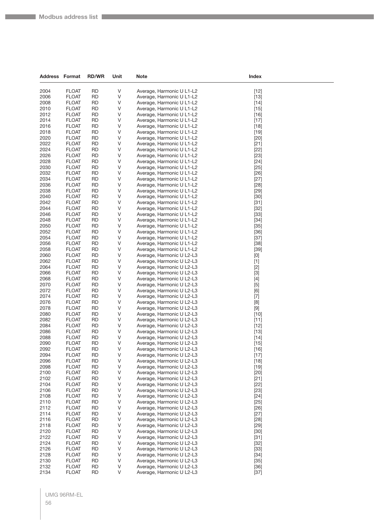| <b>Address Format</b> |                              | <b>RD/WR</b>           | Unit    | <b>Note</b>                                            | Index                                                                                                                                                                                                                                                                                                                                                                                                                                                                                                                                                                                              |  |
|-----------------------|------------------------------|------------------------|---------|--------------------------------------------------------|----------------------------------------------------------------------------------------------------------------------------------------------------------------------------------------------------------------------------------------------------------------------------------------------------------------------------------------------------------------------------------------------------------------------------------------------------------------------------------------------------------------------------------------------------------------------------------------------------|--|
| 2004                  | <b>FLOAT</b>                 | <b>RD</b>              | V       | Average, Harmonic U L1-L2                              | $[12]$                                                                                                                                                                                                                                                                                                                                                                                                                                                                                                                                                                                             |  |
| 2006                  | <b>FLOAT</b>                 | <b>RD</b>              | V       | Average, Harmonic U L1-L2                              | $[13]$                                                                                                                                                                                                                                                                                                                                                                                                                                                                                                                                                                                             |  |
| 2008                  | <b>FLOAT</b>                 | <b>RD</b>              | V       | Average, Harmonic U L1-L2                              | $[14]$                                                                                                                                                                                                                                                                                                                                                                                                                                                                                                                                                                                             |  |
| 2010                  | <b>FLOAT</b>                 | <b>RD</b>              | V       | Average, Harmonic U L1-L2                              | $[15]$                                                                                                                                                                                                                                                                                                                                                                                                                                                                                                                                                                                             |  |
| 2012                  | <b>FLOAT</b>                 | <b>RD</b>              | V       | Average, Harmonic U L1-L2                              | $[16]$                                                                                                                                                                                                                                                                                                                                                                                                                                                                                                                                                                                             |  |
| 2014                  | <b>FLOAT</b>                 | <b>RD</b>              | V       | Average, Harmonic U L1-L2                              | $[17]$                                                                                                                                                                                                                                                                                                                                                                                                                                                                                                                                                                                             |  |
| 2016                  | <b>FLOAT</b>                 | <b>RD</b>              | V       | Average, Harmonic U L1-L2                              | $[18]$                                                                                                                                                                                                                                                                                                                                                                                                                                                                                                                                                                                             |  |
| 2018                  | <b>FLOAT</b>                 | <b>RD</b>              | V       | Average, Harmonic U L1-L2                              | $[19]$                                                                                                                                                                                                                                                                                                                                                                                                                                                                                                                                                                                             |  |
| 2020                  | <b>FLOAT</b>                 | <b>RD</b>              | V       | Average, Harmonic U L1-L2                              | $[20]$                                                                                                                                                                                                                                                                                                                                                                                                                                                                                                                                                                                             |  |
| 2022                  | <b>FLOAT</b>                 | <b>RD</b>              | V       | Average, Harmonic U L1-L2                              | $[21]$                                                                                                                                                                                                                                                                                                                                                                                                                                                                                                                                                                                             |  |
| 2024                  | <b>FLOAT</b>                 | <b>RD</b>              | V       | Average, Harmonic U L1-L2                              | $[22]$                                                                                                                                                                                                                                                                                                                                                                                                                                                                                                                                                                                             |  |
| 2026                  | <b>FLOAT</b>                 | <b>RD</b>              | V       | Average, Harmonic U L1-L2                              | $[23]$                                                                                                                                                                                                                                                                                                                                                                                                                                                                                                                                                                                             |  |
| 2028                  | <b>FLOAT</b>                 | <b>RD</b>              | V       | Average, Harmonic U L1-L2                              | $[24]$                                                                                                                                                                                                                                                                                                                                                                                                                                                                                                                                                                                             |  |
| 2030<br>2032          | <b>FLOAT</b>                 | <b>RD</b><br><b>RD</b> | V<br>V  | Average, Harmonic U L1-L2                              | $[25]$                                                                                                                                                                                                                                                                                                                                                                                                                                                                                                                                                                                             |  |
| 2034                  | <b>FLOAT</b><br><b>FLOAT</b> | <b>RD</b>              | V       | Average, Harmonic U L1-L2<br>Average, Harmonic U L1-L2 | $[26]$<br>$[27]$                                                                                                                                                                                                                                                                                                                                                                                                                                                                                                                                                                                   |  |
| 2036                  | <b>FLOAT</b>                 | <b>RD</b>              | V       | Average, Harmonic U L1-L2                              | $[28]$                                                                                                                                                                                                                                                                                                                                                                                                                                                                                                                                                                                             |  |
| 2038                  | <b>FLOAT</b>                 | <b>RD</b>              | V       | Average, Harmonic U L1-L2                              | $[29]$                                                                                                                                                                                                                                                                                                                                                                                                                                                                                                                                                                                             |  |
| 2040                  | <b>FLOAT</b>                 | <b>RD</b>              | V       | Average, Harmonic U L1-L2                              | $[30]$                                                                                                                                                                                                                                                                                                                                                                                                                                                                                                                                                                                             |  |
| 2042                  | <b>FLOAT</b>                 | <b>RD</b>              | V       | Average, Harmonic U L1-L2                              | $[31]$                                                                                                                                                                                                                                                                                                                                                                                                                                                                                                                                                                                             |  |
| 2044                  | <b>FLOAT</b>                 | <b>RD</b>              | V       | Average, Harmonic U L1-L2                              | $[32]$                                                                                                                                                                                                                                                                                                                                                                                                                                                                                                                                                                                             |  |
| 2046                  | <b>FLOAT</b>                 | <b>RD</b>              | V       | Average, Harmonic U L1-L2                              | $[33]$                                                                                                                                                                                                                                                                                                                                                                                                                                                                                                                                                                                             |  |
| 2048                  | <b>FLOAT</b>                 | <b>RD</b>              | V       | Average, Harmonic U L1-L2                              | $[34]$                                                                                                                                                                                                                                                                                                                                                                                                                                                                                                                                                                                             |  |
| 2050                  | <b>FLOAT</b>                 | <b>RD</b>              | V       | Average, Harmonic U L1-L2                              | $[35]$                                                                                                                                                                                                                                                                                                                                                                                                                                                                                                                                                                                             |  |
| 2052                  | <b>FLOAT</b>                 | <b>RD</b>              | V       | Average, Harmonic U L1-L2                              | $[36]$                                                                                                                                                                                                                                                                                                                                                                                                                                                                                                                                                                                             |  |
| 2054                  | <b>FLOAT</b>                 | <b>RD</b>              | V       | Average, Harmonic U L1-L2                              | $[37]$                                                                                                                                                                                                                                                                                                                                                                                                                                                                                                                                                                                             |  |
| 2056                  | <b>FLOAT</b>                 | <b>RD</b>              | V       | Average, Harmonic U L1-L2                              | $[38]$                                                                                                                                                                                                                                                                                                                                                                                                                                                                                                                                                                                             |  |
| 2058                  | <b>FLOAT</b>                 | <b>RD</b>              | V       | Average, Harmonic U L1-L2                              | $[39]$                                                                                                                                                                                                                                                                                                                                                                                                                                                                                                                                                                                             |  |
| 2060<br>2062          | <b>FLOAT</b>                 | <b>RD</b><br><b>RD</b> | V<br>V  | Average, Harmonic U L2-L3                              | $[0] % \begin{center} % \includegraphics[width=\linewidth]{imagesSupplemental_3.png} % \end{center} % \caption { % Our method can be used for the use of the image. % Note that the \emph{DefNet}~\cite{bib66} as a function of the \emph{DefNet}~\cite{bib66} as a function of the \emph{DefNet}~\cite{bib66} as a function of the \emph{DefNet}~\cite{bib66} as a function of the \emph{DefNet}~\cite{bib66} as a function of the \emph{DefNet}~\cite{bib66} as a function of the \emph{DefNet}~\cite{bib66} as a function of the \emph{DefNet}~\cite{bib66} as a function of the \emph{DefNet}$ |  |
| 2064                  | <b>FLOAT</b><br><b>FLOAT</b> | <b>RD</b>              | V       | Average, Harmonic U L2-L3<br>Average, Harmonic U L2-L3 | $[1]$<br>$[2]$                                                                                                                                                                                                                                                                                                                                                                                                                                                                                                                                                                                     |  |
| 2066                  | <b>FLOAT</b>                 | <b>RD</b>              | V       | Average, Harmonic U L2-L3                              | $[3]$                                                                                                                                                                                                                                                                                                                                                                                                                                                                                                                                                                                              |  |
| 2068                  | <b>FLOAT</b>                 | <b>RD</b>              | V       | Average, Harmonic U L2-L3                              |                                                                                                                                                                                                                                                                                                                                                                                                                                                                                                                                                                                                    |  |
| 2070                  | <b>FLOAT</b>                 | <b>RD</b>              | V       | Average, Harmonic U L2-L3                              | $[5]$                                                                                                                                                                                                                                                                                                                                                                                                                                                                                                                                                                                              |  |
| 2072                  | <b>FLOAT</b>                 | <b>RD</b>              | V       | Average, Harmonic U L2-L3                              | [6]                                                                                                                                                                                                                                                                                                                                                                                                                                                                                                                                                                                                |  |
| 2074                  | <b>FLOAT</b>                 | <b>RD</b>              | V       | Average, Harmonic U L2-L3                              | $[7]$                                                                                                                                                                                                                                                                                                                                                                                                                                                                                                                                                                                              |  |
| 2076                  | <b>FLOAT</b>                 | <b>RD</b>              | V       | Average, Harmonic U L2-L3                              | [8]                                                                                                                                                                                                                                                                                                                                                                                                                                                                                                                                                                                                |  |
| 2078                  | <b>FLOAT</b>                 | <b>RD</b>              | V       | Average, Harmonic U L2-L3                              | $\left[ 9\right]$                                                                                                                                                                                                                                                                                                                                                                                                                                                                                                                                                                                  |  |
| 2080                  | <b>FLOAT</b>                 | <b>RD</b>              | V       | Average, Harmonic U L2-L3                              | $[10]$                                                                                                                                                                                                                                                                                                                                                                                                                                                                                                                                                                                             |  |
| 2082                  | <b>FLOAT</b>                 | <b>RD</b>              | V       | Average, Harmonic U L2-L3                              | $[11]$                                                                                                                                                                                                                                                                                                                                                                                                                                                                                                                                                                                             |  |
| 2084                  | <b>FLOAT</b>                 | <b>RD</b>              | V       | Average, Harmonic U L2-L3                              | $[12]$                                                                                                                                                                                                                                                                                                                                                                                                                                                                                                                                                                                             |  |
| 2086<br>2088          | <b>FLOAT</b><br><b>FLOAT</b> | <b>RD</b><br><b>RD</b> | V<br>V  | Average, Harmonic U L2-L3<br>Average, Harmonic U L2-L3 | $[13]$                                                                                                                                                                                                                                                                                                                                                                                                                                                                                                                                                                                             |  |
| 2090                  | <b>FLOAT</b>                 | <b>RD</b>              | V       | Average, Harmonic U L2-L3                              | $[14]$<br>$[15]$                                                                                                                                                                                                                                                                                                                                                                                                                                                                                                                                                                                   |  |
| 2092                  | <b>FLOAT</b>                 | <b>RD</b>              | V       | Average, Harmonic U L2-L3                              | [16]                                                                                                                                                                                                                                                                                                                                                                                                                                                                                                                                                                                               |  |
| 2094                  | <b>FLOAT</b>                 | <b>RD</b>              | V       | Average, Harmonic U L2-L3                              | $[17]$                                                                                                                                                                                                                                                                                                                                                                                                                                                                                                                                                                                             |  |
| 2096                  | <b>FLOAT</b>                 | <b>RD</b>              | V       | Average, Harmonic U L2-L3                              | $[18]$                                                                                                                                                                                                                                                                                                                                                                                                                                                                                                                                                                                             |  |
| 2098                  | <b>FLOAT</b>                 | <b>RD</b>              | V       | Average, Harmonic U L2-L3                              | $[19]$                                                                                                                                                                                                                                                                                                                                                                                                                                                                                                                                                                                             |  |
| 2100                  | <b>FLOAT</b>                 | <b>RD</b>              | V       | Average, Harmonic U L2-L3                              | $[20]$                                                                                                                                                                                                                                                                                                                                                                                                                                                                                                                                                                                             |  |
| 2102                  | <b>FLOAT</b>                 | <b>RD</b>              | V       | Average, Harmonic U L2-L3                              | $[21]$                                                                                                                                                                                                                                                                                                                                                                                                                                                                                                                                                                                             |  |
| 2104                  | <b>FLOAT</b>                 | <b>RD</b>              | V       | Average, Harmonic U L2-L3                              | $[22]$                                                                                                                                                                                                                                                                                                                                                                                                                                                                                                                                                                                             |  |
| 2106                  | <b>FLOAT</b>                 | <b>RD</b>              | V       | Average, Harmonic U L2-L3                              | $[23]$                                                                                                                                                                                                                                                                                                                                                                                                                                                                                                                                                                                             |  |
| 2108                  | <b>FLOAT</b>                 | <b>RD</b>              | $\sf V$ | Average, Harmonic U L2-L3                              | $[24]$                                                                                                                                                                                                                                                                                                                                                                                                                                                                                                                                                                                             |  |
| 2110                  | <b>FLOAT</b>                 | <b>RD</b>              | V       | Average, Harmonic U L2-L3<br>Average, Harmonic U L2-L3 | $[25]$                                                                                                                                                                                                                                                                                                                                                                                                                                                                                                                                                                                             |  |
| 2112<br>2114          | <b>FLOAT</b><br><b>FLOAT</b> | <b>RD</b><br><b>RD</b> | V<br>V  | Average, Harmonic U L2-L3                              | $[26]$<br>$[27]$                                                                                                                                                                                                                                                                                                                                                                                                                                                                                                                                                                                   |  |
| 2116                  | <b>FLOAT</b>                 | <b>RD</b>              | V       | Average, Harmonic U L2-L3                              | $[28]$                                                                                                                                                                                                                                                                                                                                                                                                                                                                                                                                                                                             |  |
| 2118                  | <b>FLOAT</b>                 | <b>RD</b>              | V       | Average, Harmonic U L2-L3                              | $[29]$                                                                                                                                                                                                                                                                                                                                                                                                                                                                                                                                                                                             |  |
| 2120                  | <b>FLOAT</b>                 | <b>RD</b>              | V       | Average, Harmonic U L2-L3                              | $[30]$                                                                                                                                                                                                                                                                                                                                                                                                                                                                                                                                                                                             |  |
| 2122                  | <b>FLOAT</b>                 | <b>RD</b>              | V       | Average, Harmonic U L2-L3                              | $[31]$                                                                                                                                                                                                                                                                                                                                                                                                                                                                                                                                                                                             |  |
| 2124                  | <b>FLOAT</b>                 | <b>RD</b>              | V       | Average, Harmonic U L2-L3                              | $[32]$                                                                                                                                                                                                                                                                                                                                                                                                                                                                                                                                                                                             |  |
| 2126                  | <b>FLOAT</b>                 | <b>RD</b>              | V       | Average, Harmonic U L2-L3                              | $[33]$                                                                                                                                                                                                                                                                                                                                                                                                                                                                                                                                                                                             |  |
| 2128                  | <b>FLOAT</b>                 | <b>RD</b>              | V       | Average, Harmonic U L2-L3                              | $[34]$                                                                                                                                                                                                                                                                                                                                                                                                                                                                                                                                                                                             |  |
| 2130                  | <b>FLOAT</b>                 | <b>RD</b>              | V       | Average, Harmonic U L2-L3                              | $[35]$                                                                                                                                                                                                                                                                                                                                                                                                                                                                                                                                                                                             |  |
| 2132                  | <b>FLOAT</b>                 | <b>RD</b>              | V       | Average, Harmonic U L2-L3                              | $[36]$                                                                                                                                                                                                                                                                                                                                                                                                                                                                                                                                                                                             |  |
| 2134                  | <b>FLOAT</b>                 | <b>RD</b>              | V       | Average, Harmonic U L2-L3                              | $[37]$                                                                                                                                                                                                                                                                                                                                                                                                                                                                                                                                                                                             |  |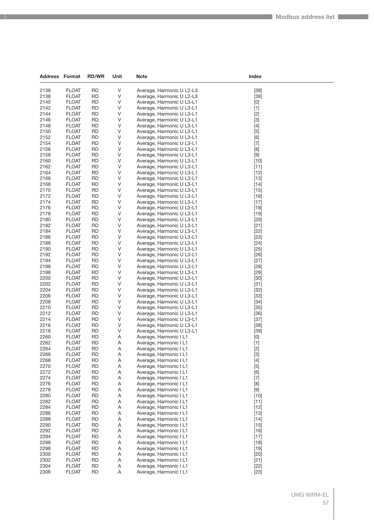| Address Format |                              | <b>RD/WR</b>           | Unit   | Note                                                   | Index                                                                                                                                                                                                                                                                                                                       |
|----------------|------------------------------|------------------------|--------|--------------------------------------------------------|-----------------------------------------------------------------------------------------------------------------------------------------------------------------------------------------------------------------------------------------------------------------------------------------------------------------------------|
|                |                              |                        |        |                                                        |                                                                                                                                                                                                                                                                                                                             |
| 2136<br>2138   | <b>FLOAT</b>                 | <b>RD</b><br><b>RD</b> | V<br>V | Average, Harmonic U L2-L3                              | $[38]$                                                                                                                                                                                                                                                                                                                      |
| 2140           | <b>FLOAT</b><br><b>FLOAT</b> | <b>RD</b>              | V      | Average, Harmonic U L2-L3<br>Average, Harmonic U L3-L1 | $[39]$                                                                                                                                                                                                                                                                                                                      |
| 2142           | <b>FLOAT</b>                 | <b>RD</b>              | V      | Average, Harmonic U L3-L1                              | [0]<br>$[1]$                                                                                                                                                                                                                                                                                                                |
| 2144           | <b>FLOAT</b>                 | <b>RD</b>              | V      | Average, Harmonic U L3-L1                              | $[2]$                                                                                                                                                                                                                                                                                                                       |
| 2146           | <b>FLOAT</b>                 | RD                     | V      | Average, Harmonic U L3-L1                              | $[3]$                                                                                                                                                                                                                                                                                                                       |
| 2148           | <b>FLOAT</b>                 | <b>RD</b>              | V      | Average, Harmonic U L3-L1                              | $[4]$                                                                                                                                                                                                                                                                                                                       |
| 2150           | <b>FLOAT</b>                 | <b>RD</b>              | V      | Average, Harmonic U L3-L1                              | $[5]$                                                                                                                                                                                                                                                                                                                       |
| 2152           | <b>FLOAT</b>                 | <b>RD</b>              | V      | Average, Harmonic U L3-L1                              | [6]                                                                                                                                                                                                                                                                                                                         |
| 2154           | <b>FLOAT</b>                 | <b>RD</b>              | V      | Average, Harmonic U L3-L1                              | $[7]$                                                                                                                                                                                                                                                                                                                       |
| 2156           | <b>FLOAT</b>                 | RD                     | V      | Average, Harmonic U L3-L1                              | [8]                                                                                                                                                                                                                                                                                                                         |
| 2158           | <b>FLOAT</b>                 | <b>RD</b>              | V      | Average, Harmonic U L3-L1                              | $[9] % \begin{center} \includegraphics[width=\linewidth]{imagesSupplemental/Imit} \caption{The image shows the image shows a single number of times.} \label{fig:limal} \end{center} % \vspace*{-1em} \caption{The image shows the image shows a single number of times.} \label{fig:limal}$                                |
| 2160           | <b>FLOAT</b>                 | <b>RD</b>              | V      | Average, Harmonic U L3-L1                              | $[10]$                                                                                                                                                                                                                                                                                                                      |
| 2162<br>2164   | <b>FLOAT</b>                 | <b>RD</b><br><b>RD</b> | V<br>V | Average, Harmonic U L3-L1                              | $[11]$                                                                                                                                                                                                                                                                                                                      |
| 2166           | <b>FLOAT</b><br><b>FLOAT</b> | RD                     | V      | Average, Harmonic U L3-L1<br>Average, Harmonic U L3-L1 | $[12]$<br>$[13]$                                                                                                                                                                                                                                                                                                            |
| 2168           | <b>FLOAT</b>                 | <b>RD</b>              | V      | Average, Harmonic U L3-L1                              | $[14]$                                                                                                                                                                                                                                                                                                                      |
| 2170           | <b>FLOAT</b>                 | <b>RD</b>              | V      | Average, Harmonic U L3-L1                              | $[15]$                                                                                                                                                                                                                                                                                                                      |
| 2172           | <b>FLOAT</b>                 | <b>RD</b>              | V      | Average, Harmonic U L3-L1                              | $[16]$                                                                                                                                                                                                                                                                                                                      |
| 2174           | <b>FLOAT</b>                 | <b>RD</b>              | V      | Average, Harmonic U L3-L1                              | $[17]$                                                                                                                                                                                                                                                                                                                      |
| 2176           | <b>FLOAT</b>                 | <b>RD</b>              | V      | Average, Harmonic U L3-L1                              | $[18]$                                                                                                                                                                                                                                                                                                                      |
| 2178           | <b>FLOAT</b>                 | <b>RD</b>              | V      | Average, Harmonic U L3-L1                              | $[19]$                                                                                                                                                                                                                                                                                                                      |
| 2180           | <b>FLOAT</b>                 | <b>RD</b>              | V      | Average, Harmonic U L3-L1                              | $[20]$                                                                                                                                                                                                                                                                                                                      |
| 2182           | <b>FLOAT</b>                 | <b>RD</b>              | V      | Average, Harmonic U L3-L1                              | $[21]$                                                                                                                                                                                                                                                                                                                      |
| 2184           | <b>FLOAT</b>                 | <b>RD</b>              | V      | Average, Harmonic U L3-L1                              | $[22]$                                                                                                                                                                                                                                                                                                                      |
| 2186           | <b>FLOAT</b>                 | <b>RD</b>              | V      | Average, Harmonic U L3-L1                              | $[23]$                                                                                                                                                                                                                                                                                                                      |
| 2188           | <b>FLOAT</b>                 | <b>RD</b>              | V      | Average, Harmonic U L3-L1                              | $[24]$                                                                                                                                                                                                                                                                                                                      |
| 2190<br>2192   | <b>FLOAT</b><br><b>FLOAT</b> | <b>RD</b><br><b>RD</b> | V<br>V | Average, Harmonic U L3-L1<br>Average, Harmonic U L3-L1 | $[25]$<br>$[26]$                                                                                                                                                                                                                                                                                                            |
| 2194           | <b>FLOAT</b>                 | <b>RD</b>              | V      | Average, Harmonic U L3-L1                              | $[27]$                                                                                                                                                                                                                                                                                                                      |
| 2196           | <b>FLOAT</b>                 | <b>RD</b>              | V      | Average, Harmonic U L3-L1                              | $[28]$                                                                                                                                                                                                                                                                                                                      |
| 2198           | <b>FLOAT</b>                 | <b>RD</b>              | V      | Average, Harmonic U L3-L1                              | $[29]$                                                                                                                                                                                                                                                                                                                      |
| 2200           | <b>FLOAT</b>                 | <b>RD</b>              | V      | Average, Harmonic U L3-L1                              | $[30]$                                                                                                                                                                                                                                                                                                                      |
| 2202           | <b>FLOAT</b>                 | <b>RD</b>              | V      | Average, Harmonic U L3-L1                              | $[31]$                                                                                                                                                                                                                                                                                                                      |
| 2204           | <b>FLOAT</b>                 | <b>RD</b>              | V      | Average, Harmonic U L3-L1                              | $[32]$                                                                                                                                                                                                                                                                                                                      |
| 2206           | <b>FLOAT</b>                 | <b>RD</b>              | V      | Average, Harmonic U L3-L1                              | $[33]$                                                                                                                                                                                                                                                                                                                      |
| 2208           | <b>FLOAT</b>                 | <b>RD</b>              | V      | Average, Harmonic U L3-L1                              | $[34]$                                                                                                                                                                                                                                                                                                                      |
| 2210           | <b>FLOAT</b>                 | <b>RD</b>              | V      | Average, Harmonic U L3-L1                              | $[35]$                                                                                                                                                                                                                                                                                                                      |
| 2212           | <b>FLOAT</b>                 | <b>RD</b>              | V      | Average, Harmonic U L3-L1                              | $[36]$                                                                                                                                                                                                                                                                                                                      |
| 2214<br>2216   | <b>FLOAT</b>                 | <b>RD</b><br><b>RD</b> | V<br>V | Average, Harmonic U L3-L1<br>Average, Harmonic U L3-L1 | $[37]$                                                                                                                                                                                                                                                                                                                      |
| 2218           | <b>FLOAT</b><br><b>FLOAT</b> | <b>RD</b>              | V      | Average, Harmonic U L3-L1                              | $[38]$<br>$[39]$                                                                                                                                                                                                                                                                                                            |
| 2260           | <b>FLOAT</b>                 | <b>RD</b>              | Α      | Average, Harmonic I L1                                 | $[0] % \begin{center} % \includegraphics[width=\linewidth]{imagesSupplemental_3.png} % \end{center} % \caption { % Our method can be used for the use of the image. % Note that the \emph{Def}(i) and the \emph{Def}(i) are the same and the \emph{Def}(i) and the \emph{Def}(i) are the same. % } % \label{fig:Defin_3} %$ |
| 2262           | <b>FLOAT</b>                 | <b>RD</b>              | Α      | Average, Harmonic I L1                                 | $[1]$                                                                                                                                                                                                                                                                                                                       |
| 2264           | <b>FLOAT</b>                 | <b>RD</b>              | Α      | Average, Harmonic I L1                                 | $[2]$                                                                                                                                                                                                                                                                                                                       |
| 2266           | <b>FLOAT</b>                 | <b>RD</b>              | Α      | Average, Harmonic I L1                                 | $[3]$                                                                                                                                                                                                                                                                                                                       |
| 2268           | <b>FLOAT</b>                 | <b>RD</b>              | A      | Average, Harmonic I L1                                 | $[4]$                                                                                                                                                                                                                                                                                                                       |
| 2270           | <b>FLOAT</b>                 | <b>RD</b>              | A      | Average, Harmonic I L1                                 | $[5]$                                                                                                                                                                                                                                                                                                                       |
| 2272           | <b>FLOAT</b>                 | <b>RD</b>              | Α      | Average, Harmonic I L1                                 | [6]                                                                                                                                                                                                                                                                                                                         |
| 2274           | <b>FLOAT</b>                 | <b>RD</b>              | Α      | Average, Harmonic I L1                                 | $[7]$                                                                                                                                                                                                                                                                                                                       |
| 2276           | <b>FLOAT</b>                 | RD                     | Α      | Average, Harmonic I L1                                 | [8]                                                                                                                                                                                                                                                                                                                         |
| 2278           | <b>FLOAT</b>                 | <b>RD</b>              | A      | Average, Harmonic I L1                                 | $[9] % \begin{center} \includegraphics[width=\linewidth]{imagesSupplemental/Imit} \caption{The image shows the image shows a single number of times.} \label{fig:limal} \end{center} % \vspace*{-1em} \caption{The image shows the image shows a single number of times.} \label{fig:limal}$                                |
| 2280<br>2282   | <b>FLOAT</b><br><b>FLOAT</b> | <b>RD</b><br><b>RD</b> | A      | Average, Harmonic I L1<br>Average, Harmonic I L1       | $[10]$                                                                                                                                                                                                                                                                                                                      |
| 2284           | <b>FLOAT</b>                 | <b>RD</b>              | Α<br>A | Average, Harmonic I L1                                 | $[11]$<br>$[12]$                                                                                                                                                                                                                                                                                                            |
| 2286           | <b>FLOAT</b>                 | <b>RD</b>              | Α      | Average, Harmonic I L1                                 | $[13]$                                                                                                                                                                                                                                                                                                                      |
| 2288           | <b>FLOAT</b>                 | <b>RD</b>              | A      | Average, Harmonic I L1                                 | $[14]$                                                                                                                                                                                                                                                                                                                      |
| 2290           | <b>FLOAT</b>                 | <b>RD</b>              | A      | Average, Harmonic I L1                                 | $[15]$                                                                                                                                                                                                                                                                                                                      |
| 2292           | <b>FLOAT</b>                 | <b>RD</b>              | Α      | Average, Harmonic I L1                                 | $[16]$                                                                                                                                                                                                                                                                                                                      |
| 2294           | <b>FLOAT</b>                 | <b>RD</b>              | A      | Average, Harmonic I L1                                 | $[17]$                                                                                                                                                                                                                                                                                                                      |
| 2296           | <b>FLOAT</b>                 | <b>RD</b>              | Α      | Average, Harmonic I L1                                 | $[18]$                                                                                                                                                                                                                                                                                                                      |
| 2298           | <b>FLOAT</b>                 | <b>RD</b>              | A      | Average, Harmonic I L1                                 | $[19]$                                                                                                                                                                                                                                                                                                                      |
| 2300           | <b>FLOAT</b>                 | <b>RD</b>              | A      | Average, Harmonic I L1                                 | $[20]$                                                                                                                                                                                                                                                                                                                      |
| 2302           | <b>FLOAT</b>                 | <b>RD</b>              | Α      | Average, Harmonic I L1                                 | $[21]$                                                                                                                                                                                                                                                                                                                      |
| 2304           | <b>FLOAT</b>                 | <b>RD</b>              | Α      | Average, Harmonic I L1                                 | $[22]$                                                                                                                                                                                                                                                                                                                      |
| 2306           | <b>FLOAT</b>                 | <b>RD</b>              | A      | Average, Harmonic I L1                                 | $[23]$                                                                                                                                                                                                                                                                                                                      |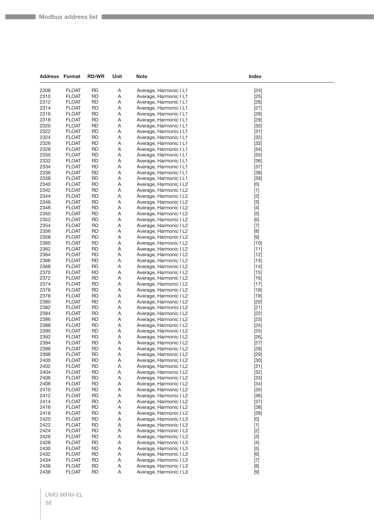| <b>Address Format</b> |                              | <b>RD/WR</b>           | Unit        | <b>Note</b>                                      | Index                                                                                                                                                                                                                                                                                                                                                                                                                                                                                                                                                                                                                                                                                                                                                          |
|-----------------------|------------------------------|------------------------|-------------|--------------------------------------------------|----------------------------------------------------------------------------------------------------------------------------------------------------------------------------------------------------------------------------------------------------------------------------------------------------------------------------------------------------------------------------------------------------------------------------------------------------------------------------------------------------------------------------------------------------------------------------------------------------------------------------------------------------------------------------------------------------------------------------------------------------------------|
| 2308                  | <b>FLOAT</b>                 | <b>RD</b>              | Α           | Average, Harmonic I L1                           | $[24]$                                                                                                                                                                                                                                                                                                                                                                                                                                                                                                                                                                                                                                                                                                                                                         |
| 2310                  | <b>FLOAT</b>                 | <b>RD</b>              | Α           | Average, Harmonic I L1                           | $[25]$                                                                                                                                                                                                                                                                                                                                                                                                                                                                                                                                                                                                                                                                                                                                                         |
| 2312                  | <b>FLOAT</b>                 | <b>RD</b>              | Α           | Average, Harmonic I L1                           | $[26]$                                                                                                                                                                                                                                                                                                                                                                                                                                                                                                                                                                                                                                                                                                                                                         |
| 2314                  | <b>FLOAT</b>                 | <b>RD</b>              | Α           | Average, Harmonic I L1                           | $[27]$                                                                                                                                                                                                                                                                                                                                                                                                                                                                                                                                                                                                                                                                                                                                                         |
| 2316                  | <b>FLOAT</b>                 | <b>RD</b>              | Α           | Average, Harmonic I L1                           | $[28]$                                                                                                                                                                                                                                                                                                                                                                                                                                                                                                                                                                                                                                                                                                                                                         |
| 2318                  | <b>FLOAT</b>                 | <b>RD</b>              | Α           | Average, Harmonic I L1                           | $[29]$                                                                                                                                                                                                                                                                                                                                                                                                                                                                                                                                                                                                                                                                                                                                                         |
| 2320                  | <b>FLOAT</b>                 | <b>RD</b>              | Α           | Average, Harmonic I L1                           | $[30]$                                                                                                                                                                                                                                                                                                                                                                                                                                                                                                                                                                                                                                                                                                                                                         |
| 2322                  | <b>FLOAT</b>                 | <b>RD</b>              | Α           | Average, Harmonic I L1                           | $[31]$                                                                                                                                                                                                                                                                                                                                                                                                                                                                                                                                                                                                                                                                                                                                                         |
| 2324                  | <b>FLOAT</b>                 | <b>RD</b>              | Α           | Average, Harmonic I L1                           | $[32]$                                                                                                                                                                                                                                                                                                                                                                                                                                                                                                                                                                                                                                                                                                                                                         |
| 2326                  | <b>FLOAT</b>                 | <b>RD</b>              | Α           | Average, Harmonic I L1                           | $[33]$                                                                                                                                                                                                                                                                                                                                                                                                                                                                                                                                                                                                                                                                                                                                                         |
| 2328                  | <b>FLOAT</b>                 | <b>RD</b>              | Α           | Average, Harmonic I L1                           | $[34]$                                                                                                                                                                                                                                                                                                                                                                                                                                                                                                                                                                                                                                                                                                                                                         |
| 2330                  | <b>FLOAT</b>                 | <b>RD</b>              | Α           | Average, Harmonic I L1                           | $[35]$                                                                                                                                                                                                                                                                                                                                                                                                                                                                                                                                                                                                                                                                                                                                                         |
| 2332                  | <b>FLOAT</b>                 | <b>RD</b>              | Α           | Average, Harmonic I L1                           | $[36]$                                                                                                                                                                                                                                                                                                                                                                                                                                                                                                                                                                                                                                                                                                                                                         |
| 2334                  | <b>FLOAT</b>                 | <b>RD</b>              | Α           | Average, Harmonic I L1                           | $[37]$                                                                                                                                                                                                                                                                                                                                                                                                                                                                                                                                                                                                                                                                                                                                                         |
| 2336<br>2338          | <b>FLOAT</b><br><b>FLOAT</b> | <b>RD</b><br><b>RD</b> | Α<br>Α      | Average, Harmonic I L1                           | $[38]$                                                                                                                                                                                                                                                                                                                                                                                                                                                                                                                                                                                                                                                                                                                                                         |
| 2340                  | <b>FLOAT</b>                 | <b>RD</b>              | Α           | Average, Harmonic I L1<br>Average, Harmonic I L2 | $[39]$                                                                                                                                                                                                                                                                                                                                                                                                                                                                                                                                                                                                                                                                                                                                                         |
| 2342                  | <b>FLOAT</b>                 | <b>RD</b>              | Α           | Average, Harmonic I L2                           | $[0] % \begin{center} % \includegraphics[width=\linewidth]{imagesSupplemental_3.png} % \end{center} % \caption { % Our method is used for the method. % Note that the \emph{exponent} is used for the method. % Note that the \emph{exponent} is used for the method. % Note that the \emph{exponent} is used for the method. % Note that the \emph{exponent} is used for the method. % Note that the \emph{exponent} is used for the method. % Note that the \emph{exportector} is used for the method. % Note that the \emph{exportector} is used for the method. % Note that the \emph{exportector} is used for the method. % Note that the \emph{exportector} is used for the method. % Note that the \emph{exportector} is used for the method.$<br>$[1]$ |
| 2344                  | <b>FLOAT</b>                 | <b>RD</b>              | Α           | Average, Harmonic I L2                           | $[2]$                                                                                                                                                                                                                                                                                                                                                                                                                                                                                                                                                                                                                                                                                                                                                          |
| 2346                  | <b>FLOAT</b>                 | <b>RD</b>              | Α           | Average, Harmonic I L2                           | $[3]$                                                                                                                                                                                                                                                                                                                                                                                                                                                                                                                                                                                                                                                                                                                                                          |
| 2348                  | <b>FLOAT</b>                 | <b>RD</b>              | Α           | Average, Harmonic I L2                           | $[4]$                                                                                                                                                                                                                                                                                                                                                                                                                                                                                                                                                                                                                                                                                                                                                          |
| 2350                  | <b>FLOAT</b>                 | <b>RD</b>              | Α           | Average, Harmonic I L2                           | $[5]$                                                                                                                                                                                                                                                                                                                                                                                                                                                                                                                                                                                                                                                                                                                                                          |
| 2352                  | <b>FLOAT</b>                 | <b>RD</b>              | Α           | Average, Harmonic I L2                           | [6]                                                                                                                                                                                                                                                                                                                                                                                                                                                                                                                                                                                                                                                                                                                                                            |
| 2354                  | <b>FLOAT</b>                 | RD                     | Α           | Average, Harmonic I L2                           | $[7]$                                                                                                                                                                                                                                                                                                                                                                                                                                                                                                                                                                                                                                                                                                                                                          |
| 2356                  | <b>FLOAT</b>                 | RD                     | Α           | Average, Harmonic I L2                           | [8]                                                                                                                                                                                                                                                                                                                                                                                                                                                                                                                                                                                                                                                                                                                                                            |
| 2358                  | <b>FLOAT</b>                 | <b>RD</b>              | Α           | Average, Harmonic I L2                           | $[9] % \begin{center} \includegraphics[width=\linewidth]{imagesSupplemental/Imers.png} \end{center} % \vspace*{-1em} \caption{The image shows the number of parameters of the estimators in the left and right.} \label{fig:limall}$                                                                                                                                                                                                                                                                                                                                                                                                                                                                                                                           |
| 2360                  | <b>FLOAT</b>                 | <b>RD</b>              | Α           | Average, Harmonic I L2                           | $[10]$                                                                                                                                                                                                                                                                                                                                                                                                                                                                                                                                                                                                                                                                                                                                                         |
| 2362                  | <b>FLOAT</b>                 | <b>RD</b>              | Α           | Average, Harmonic I L2                           | $[11]$                                                                                                                                                                                                                                                                                                                                                                                                                                                                                                                                                                                                                                                                                                                                                         |
| 2364                  | <b>FLOAT</b>                 | RD                     | Α           | Average, Harmonic I L2                           | $[12]$                                                                                                                                                                                                                                                                                                                                                                                                                                                                                                                                                                                                                                                                                                                                                         |
| 2366<br>2368          | <b>FLOAT</b><br><b>FLOAT</b> | RD<br><b>RD</b>        | Α<br>Α      | Average, Harmonic I L2<br>Average, Harmonic I L2 | $[13]$                                                                                                                                                                                                                                                                                                                                                                                                                                                                                                                                                                                                                                                                                                                                                         |
| 2370                  | <b>FLOAT</b>                 | <b>RD</b>              | Α           | Average, Harmonic I L2                           | $[14]$<br>$[15]$                                                                                                                                                                                                                                                                                                                                                                                                                                                                                                                                                                                                                                                                                                                                               |
| 2372                  | <b>FLOAT</b>                 | <b>RD</b>              | Α           | Average, Harmonic I L2                           | $[16]$                                                                                                                                                                                                                                                                                                                                                                                                                                                                                                                                                                                                                                                                                                                                                         |
| 2374                  | <b>FLOAT</b>                 | RD                     | Α           | Average, Harmonic I L2                           | $[17]$                                                                                                                                                                                                                                                                                                                                                                                                                                                                                                                                                                                                                                                                                                                                                         |
| 2376                  | <b>FLOAT</b>                 | RD                     | Α           | Average, Harmonic I L2                           | $[18]$                                                                                                                                                                                                                                                                                                                                                                                                                                                                                                                                                                                                                                                                                                                                                         |
| 2378                  | <b>FLOAT</b>                 | <b>RD</b>              | Α           | Average, Harmonic I L2                           | $[19]$                                                                                                                                                                                                                                                                                                                                                                                                                                                                                                                                                                                                                                                                                                                                                         |
| 2380                  | <b>FLOAT</b>                 | <b>RD</b>              | Α           | Average, Harmonic I L2                           | $[20]$                                                                                                                                                                                                                                                                                                                                                                                                                                                                                                                                                                                                                                                                                                                                                         |
| 2382                  | <b>FLOAT</b>                 | <b>RD</b>              | Α           | Average, Harmonic I L2                           | $[21]$                                                                                                                                                                                                                                                                                                                                                                                                                                                                                                                                                                                                                                                                                                                                                         |
| 2384                  | <b>FLOAT</b>                 | <b>RD</b>              | Α           | Average, Harmonic I L2                           | $[22]$                                                                                                                                                                                                                                                                                                                                                                                                                                                                                                                                                                                                                                                                                                                                                         |
| 2386                  | <b>FLOAT</b>                 | RD                     | Α           | Average, Harmonic I L2                           | $[23]$                                                                                                                                                                                                                                                                                                                                                                                                                                                                                                                                                                                                                                                                                                                                                         |
| 2388                  | <b>FLOAT</b>                 | <b>RD</b>              | Α           | Average, Harmonic I L2                           | $[24]$                                                                                                                                                                                                                                                                                                                                                                                                                                                                                                                                                                                                                                                                                                                                                         |
| 2390<br>2392          | <b>FLOAT</b><br><b>FLOAT</b> | RD<br><b>RD</b>        | Α           | Average, Harmonic I L2<br>Average, Harmonic I L2 | $[25]$                                                                                                                                                                                                                                                                                                                                                                                                                                                                                                                                                                                                                                                                                                                                                         |
| 2394                  | <b>FLOAT</b>                 | <b>RD</b>              | Α<br>Α      | Average, Harmonic I L2                           | $[26]$<br>$[27]$                                                                                                                                                                                                                                                                                                                                                                                                                                                                                                                                                                                                                                                                                                                                               |
| 2396                  | <b>FLOAT</b>                 | RD                     | Α           | Average, Harmonic I L2                           | $[28]$                                                                                                                                                                                                                                                                                                                                                                                                                                                                                                                                                                                                                                                                                                                                                         |
| 2398                  | <b>FLOAT</b>                 | <b>RD</b>              | Α           | Average, Harmonic I L2                           | $[29]$                                                                                                                                                                                                                                                                                                                                                                                                                                                                                                                                                                                                                                                                                                                                                         |
| 2400                  | <b>FLOAT</b>                 | <b>RD</b>              | Α           | Average, Harmonic I L2                           | $[30]$                                                                                                                                                                                                                                                                                                                                                                                                                                                                                                                                                                                                                                                                                                                                                         |
| 2402                  | <b>FLOAT</b>                 | <b>RD</b>              | Α           | Average, Harmonic I L2                           | $[31]$                                                                                                                                                                                                                                                                                                                                                                                                                                                                                                                                                                                                                                                                                                                                                         |
| 2404                  | <b>FLOAT</b>                 | <b>RD</b>              | Α           | Average, Harmonic I L2                           | $[32]$                                                                                                                                                                                                                                                                                                                                                                                                                                                                                                                                                                                                                                                                                                                                                         |
| 2406                  | <b>FLOAT</b>                 | <b>RD</b>              | Α           | Average, Harmonic I L2                           | $[33]$                                                                                                                                                                                                                                                                                                                                                                                                                                                                                                                                                                                                                                                                                                                                                         |
| 2408                  | <b>FLOAT</b>                 | <b>RD</b>              | Α           | Average, Harmonic I L2                           | $[34]$                                                                                                                                                                                                                                                                                                                                                                                                                                                                                                                                                                                                                                                                                                                                                         |
| 2410                  | <b>FLOAT</b>                 | <b>RD</b>              | Α           | Average, Harmonic I L2                           | $[35]$                                                                                                                                                                                                                                                                                                                                                                                                                                                                                                                                                                                                                                                                                                                                                         |
| 2412                  | <b>FLOAT</b>                 | <b>RD</b>              | Α           | Average, Harmonic I L2                           | $[36]$                                                                                                                                                                                                                                                                                                                                                                                                                                                                                                                                                                                                                                                                                                                                                         |
| 2414                  | <b>FLOAT</b>                 | <b>RD</b>              | A           | Average, Harmonic I L2                           | $[37]$                                                                                                                                                                                                                                                                                                                                                                                                                                                                                                                                                                                                                                                                                                                                                         |
| 2416<br>2418          | <b>FLOAT</b><br><b>FLOAT</b> | <b>RD</b><br><b>RD</b> | Α<br>Α      | Average, Harmonic I L2<br>Average, Harmonic I L2 | $[38]$<br>$[39]$                                                                                                                                                                                                                                                                                                                                                                                                                                                                                                                                                                                                                                                                                                                                               |
| 2420                  | <b>FLOAT</b>                 | <b>RD</b>              | Α           | Average, Harmonic I L3                           | $[0] % \begin{center} % \includegraphics[width=\linewidth]{imagesSupplemental_3.png} % \end{center} % \caption { % Our method is used for the method. % Note that the \emph{exponent} and \emph{exponent} is used for the \emph{exponent} and \emph{exponent} is used for the \emph{exponent} and \emph{exponent} is used for the \emph{exponent} and \emph{exponent} is used for the \emph{exponent} and \emph{exponent} is used for the \emph{exponent} and \emph{exponent} is used for the \emph{exponent} and \emph{exponent} is used for the \emph{exponent} and \emph{exponent} is used for the \emph{exponent} and \emph{exponent} is used for the$                                                                                                     |
| 2422                  | <b>FLOAT</b>                 | <b>RD</b>              | Α           | Average, Harmonic I L3                           | $[1]$                                                                                                                                                                                                                                                                                                                                                                                                                                                                                                                                                                                                                                                                                                                                                          |
| 2424                  | <b>FLOAT</b>                 | <b>RD</b>              | A           | Average, Harmonic I L3                           | $[2]$                                                                                                                                                                                                                                                                                                                                                                                                                                                                                                                                                                                                                                                                                                                                                          |
| 2426                  | <b>FLOAT</b>                 | <b>RD</b>              | Α           | Average, Harmonic I L3                           | $[3]$                                                                                                                                                                                                                                                                                                                                                                                                                                                                                                                                                                                                                                                                                                                                                          |
| 2428                  | <b>FLOAT</b>                 | <b>RD</b>              | Α           | Average, Harmonic I L3                           | $[4]$                                                                                                                                                                                                                                                                                                                                                                                                                                                                                                                                                                                                                                                                                                                                                          |
| 2430                  | <b>FLOAT</b>                 | <b>RD</b>              | Α           | Average, Harmonic I L3                           | $[5]$                                                                                                                                                                                                                                                                                                                                                                                                                                                                                                                                                                                                                                                                                                                                                          |
| 2432                  | <b>FLOAT</b>                 | <b>RD</b>              | Α           | Average, Harmonic I L3                           | [6]                                                                                                                                                                                                                                                                                                                                                                                                                                                                                                                                                                                                                                                                                                                                                            |
| 2434                  | <b>FLOAT</b>                 | <b>RD</b>              | A           | Average, Harmonic I L3                           | $[7]$                                                                                                                                                                                                                                                                                                                                                                                                                                                                                                                                                                                                                                                                                                                                                          |
| 2436                  | <b>FLOAT</b>                 | <b>RD</b>              | Α           | Average, Harmonic I L3                           | [8]                                                                                                                                                                                                                                                                                                                                                                                                                                                                                                                                                                                                                                                                                                                                                            |
| 2438                  | <b>FLOAT</b>                 | <b>RD</b>              | $\mathsf A$ | Average, Harmonic I L3                           | $[9]$                                                                                                                                                                                                                                                                                                                                                                                                                                                                                                                                                                                                                                                                                                                                                          |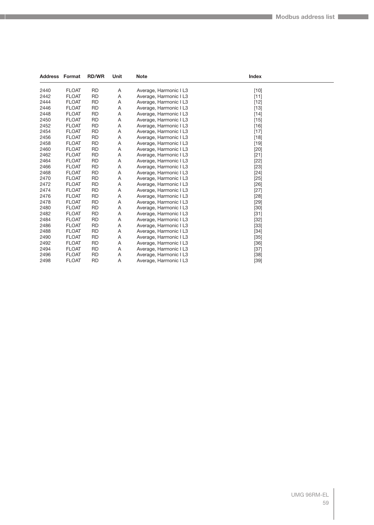|      | <b>Address Format</b> | <b>RD/WR</b> | Unit | <b>Note</b>            | Index  |  |
|------|-----------------------|--------------|------|------------------------|--------|--|
| 2440 | <b>FLOAT</b>          | <b>RD</b>    | Α    | Average, Harmonic I L3 | $[10]$ |  |
| 2442 | <b>FLOAT</b>          | <b>RD</b>    | Α    | Average, Harmonic I L3 | $[11]$ |  |
| 2444 | <b>FLOAT</b>          | <b>RD</b>    | Α    | Average, Harmonic I L3 | $[12]$ |  |
| 2446 | <b>FLOAT</b>          | <b>RD</b>    | Α    | Average, Harmonic I L3 | $[13]$ |  |
| 2448 | <b>FLOAT</b>          | <b>RD</b>    | Α    | Average, Harmonic I L3 | $[14]$ |  |
| 2450 | <b>FLOAT</b>          | <b>RD</b>    | Α    | Average, Harmonic I L3 | $[15]$ |  |
| 2452 | <b>FLOAT</b>          | <b>RD</b>    | Α    | Average, Harmonic I L3 | $[16]$ |  |
| 2454 | <b>FLOAT</b>          | <b>RD</b>    | Α    | Average, Harmonic I L3 | $[17]$ |  |
| 2456 | <b>FLOAT</b>          | <b>RD</b>    | Α    | Average, Harmonic I L3 | $[18]$ |  |
| 2458 | <b>FLOAT</b>          | <b>RD</b>    | Α    | Average, Harmonic I L3 | $[19]$ |  |
| 2460 | <b>FLOAT</b>          | <b>RD</b>    | Α    | Average, Harmonic I L3 | $[20]$ |  |
| 2462 | <b>FLOAT</b>          | <b>RD</b>    | Α    | Average, Harmonic I L3 | $[21]$ |  |
| 2464 | <b>FLOAT</b>          | <b>RD</b>    | Α    | Average, Harmonic I L3 | $[22]$ |  |
| 2466 | <b>FLOAT</b>          | <b>RD</b>    | Α    | Average, Harmonic I L3 | $[23]$ |  |
| 2468 | <b>FLOAT</b>          | <b>RD</b>    | Α    | Average, Harmonic I L3 | $[24]$ |  |
| 2470 | <b>FLOAT</b>          | <b>RD</b>    | Α    | Average, Harmonic I L3 | $[25]$ |  |
| 2472 | <b>FLOAT</b>          | <b>RD</b>    | Α    | Average, Harmonic I L3 | $[26]$ |  |
| 2474 | <b>FLOAT</b>          | <b>RD</b>    | Α    | Average, Harmonic I L3 | $[27]$ |  |
| 2476 | <b>FLOAT</b>          | <b>RD</b>    | Α    | Average, Harmonic I L3 | [28]   |  |
| 2478 | <b>FLOAT</b>          | <b>RD</b>    | Α    | Average, Harmonic I L3 | $[29]$ |  |
| 2480 | <b>FLOAT</b>          | <b>RD</b>    | Α    | Average, Harmonic I L3 | $[30]$ |  |
| 2482 | <b>FLOAT</b>          | <b>RD</b>    | Α    | Average, Harmonic I L3 | $[31]$ |  |
| 2484 | <b>FLOAT</b>          | <b>RD</b>    | Α    | Average, Harmonic I L3 | $[32]$ |  |
| 2486 | <b>FLOAT</b>          | <b>RD</b>    | Α    | Average, Harmonic I L3 | $[33]$ |  |
| 2488 | <b>FLOAT</b>          | <b>RD</b>    | Α    | Average, Harmonic I L3 | $[34]$ |  |
| 2490 | <b>FLOAT</b>          | <b>RD</b>    | Α    | Average, Harmonic I L3 | $[35]$ |  |
| 2492 | <b>FLOAT</b>          | <b>RD</b>    | Α    | Average, Harmonic I L3 | $[36]$ |  |
| 2494 | <b>FLOAT</b>          | <b>RD</b>    | Α    | Average, Harmonic I L3 | $[37]$ |  |
| 2496 | <b>FLOAT</b>          | <b>RD</b>    | Α    | Average, Harmonic I L3 | $[38]$ |  |
| 2498 | <b>FLOAT</b>          | <b>RD</b>    | A    | Average, Harmonic I L3 | $[39]$ |  |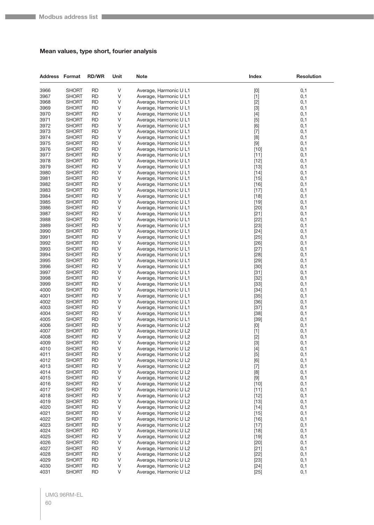#### **Mean values, type short, fourier analysis**

| <b>Address Format</b> |                              | <b>RD/WR</b>           | Unit   | Note                                             | Index            | <b>Resolution</b> |
|-----------------------|------------------------------|------------------------|--------|--------------------------------------------------|------------------|-------------------|
| 3966                  | <b>SHORT</b>                 | <b>RD</b>              | V      | Average, Harmonic U L1                           | [0]              | 0,1               |
| 3967                  | <b>SHORT</b>                 | <b>RD</b>              | V      | Average, Harmonic U L1                           | $[1]$            | 0,1               |
| 3968                  | <b>SHORT</b>                 | <b>RD</b>              | ٧      | Average, Harmonic U L1                           | $[2]$            | 0,1               |
| 3969                  | <b>SHORT</b>                 | <b>RD</b>              | ٧      | Average, Harmonic U L1                           | $[3]$            | 0,1               |
| 3970                  | <b>SHORT</b>                 | <b>RD</b>              | V      | Average, Harmonic U L1                           | $[4]$            | 0,1               |
| 3971                  | <b>SHORT</b>                 | <b>RD</b>              | V      | Average, Harmonic U L1                           | $[5]$            | 0,1               |
| 3972                  | <b>SHORT</b>                 | <b>RD</b>              | V      | Average, Harmonic U L1                           | [6]              | 0,1               |
| 3973<br>3974          | <b>SHORT</b><br><b>SHORT</b> | <b>RD</b><br>RD        | V<br>٧ | Average, Harmonic U L1<br>Average, Harmonic U L1 | $[7]$<br>[8]     | 0,1<br>0,1        |
| 3975                  | <b>SHORT</b>                 | <b>RD</b>              | V      | Average, Harmonic U L1                           | $[9]$            | 0,1               |
| 3976                  | <b>SHORT</b>                 | <b>RD</b>              | V      | Average, Harmonic U L1                           | $[10]$           | 0,1               |
| 3977                  | <b>SHORT</b>                 | <b>RD</b>              | V      | Average, Harmonic U L1                           | $[11]$           | 0,1               |
| 3978                  | <b>SHORT</b>                 | <b>RD</b>              | V      | Average, Harmonic U L1                           | $[12]$           | 0,1               |
| 3979                  | <b>SHORT</b>                 | <b>RD</b>              | ٧      | Average, Harmonic U L1                           | $[13]$           | 0,1               |
| 3980                  | <b>SHORT</b>                 | <b>RD</b>              | V      | Average, Harmonic U L1                           | $[14]$           | 0,1               |
| 3981                  | <b>SHORT</b>                 | <b>RD</b>              | V      | Average, Harmonic U L1                           | $[15]$           | 0,1               |
| 3982                  | <b>SHORT</b>                 | <b>RD</b>              | V      | Average, Harmonic U L1                           | $[16]$           | 0,1               |
| 3983                  | <b>SHORT</b>                 | <b>RD</b>              | ٧      | Average, Harmonic U L1                           | $[17]$           | 0,1               |
| 3984                  | <b>SHORT</b>                 | <b>RD</b>              | ٧      | Average, Harmonic U L1                           | $[18]$           | 0,1               |
| 3985                  | <b>SHORT</b>                 | <b>RD</b>              | V      | Average, Harmonic U L1                           | $[19]$           | 0,1               |
| 3986                  | <b>SHORT</b>                 | <b>RD</b>              | V      | Average, Harmonic U L1                           | $[20]$           | 0,1               |
| 3987                  | <b>SHORT</b>                 | RD                     | V      | Average, Harmonic U L1                           | $[21]$           | 0,1               |
| 3988                  | <b>SHORT</b><br><b>SHORT</b> | <b>RD</b><br><b>RD</b> | V<br>٧ | Average, Harmonic U L1                           | $[22]$           | 0,1               |
| 3989<br>3990          | <b>SHORT</b>                 | <b>RD</b>              | V      | Average, Harmonic U L1<br>Average, Harmonic U L1 | $[23]$<br>$[24]$ | 0,1<br>0,1        |
| 3991                  | <b>SHORT</b>                 | <b>RD</b>              | V      | Average, Harmonic U L1                           | $[25]$           | 0,1               |
| 3992                  | <b>SHORT</b>                 | <b>RD</b>              | V      | Average, Harmonic U L1                           | $[26]$           | 0,1               |
| 3993                  | <b>SHORT</b>                 | <b>RD</b>              | V      | Average, Harmonic U L1                           | $[27]$           | 0,1               |
| 3994                  | <b>SHORT</b>                 | RD                     | ٧      | Average, Harmonic U L1                           | $[28]$           | 0,1               |
| 3995                  | <b>SHORT</b>                 | <b>RD</b>              | V      | Average, Harmonic U L1                           | $[29]$           | 0,1               |
| 3996                  | <b>SHORT</b>                 | <b>RD</b>              | V      | Average, Harmonic U L1                           | $[30]$           | 0,1               |
| 3997                  | <b>SHORT</b>                 | <b>RD</b>              | V      | Average, Harmonic U L1                           | $[31]$           | 0,1               |
| 3998                  | <b>SHORT</b>                 | <b>RD</b>              | V      | Average, Harmonic U L1                           | $[32]$           | 0,1               |
| 3999                  | <b>SHORT</b>                 | RD                     | ٧      | Average, Harmonic U L1                           | $[33]$           | 0,1               |
| 4000                  | <b>SHORT</b>                 | <b>RD</b>              | V      | Average, Harmonic U L1                           | $[34]$           | 0,1               |
| 4001                  | <b>SHORT</b>                 | <b>RD</b><br>RD        | V<br>V | Average, Harmonic U L1                           | $[35]$           | 0,1               |
| 4002<br>4003          | <b>SHORT</b><br><b>SHORT</b> | <b>RD</b>              | ٧      | Average, Harmonic U L1<br>Average, Harmonic U L1 | $[36]$<br>$[37]$ | 0,1<br>0,1        |
| 4004                  | <b>SHORT</b>                 | <b>RD</b>              | ٧      | Average, Harmonic U L1                           | $[38]$           | 0,1               |
| 4005                  | <b>SHORT</b>                 | <b>RD</b>              | V      | Average, Harmonic U L1                           | $[39]$           | 0,1               |
| 4006                  | <b>SHORT</b>                 | <b>RD</b>              | V      | Average, Harmonic U L2                           | [0]              | 0,1               |
| 4007                  | <b>SHORT</b>                 | RD                     | V      | Average, Harmonic U L2                           | $[1]$            | 0,1               |
| 4008                  | <b>SHORT</b>                 | <b>RD</b>              | ٧      | Average, Harmonic U L2                           | $[2]$            | 0,1               |
| 4009                  | <b>SHORT</b>                 | <b>RD</b>              | V      | Average, Harmonic U L2                           | $[3]$            | 0,1               |
| 4010                  | <b>SHORT</b>                 | <b>RD</b>              | V      | Average, Harmonic U L2                           | $[4]$            | 0,1               |
| 4011                  | <b>SHORT</b>                 | <b>RD</b>              | V      | Average, Harmonic U L2                           | $[5]$            | 0,1               |
| 4012                  | <b>SHORT</b>                 | RD                     | V      | Average, Harmonic U L2                           | [6]              | 0,1               |
| 4013                  | <b>SHORT</b>                 | <b>RD</b>              | V      | Average, Harmonic U L2                           | $[7]$            | 0,1               |
| 4014<br>4015          | <b>SHORT</b><br><b>SHORT</b> | <b>RD</b><br><b>RD</b> | V<br>V | Average, Harmonic U L2<br>Average, Harmonic U L2 | [8]<br>$[9]$     | 0,1<br>0,1        |
| 4016                  | <b>SHORT</b>                 | <b>RD</b>              | V      | Average, Harmonic U L2                           | $[10]$           | 0,1               |
| 4017                  | <b>SHORT</b>                 | RD                     | V      | Average, Harmonic U L2                           | $[11]$           | 0,1               |
| 4018                  | <b>SHORT</b>                 | <b>RD</b>              | V      | Average, Harmonic U L2                           | $[12]$           | 0,1               |
| 4019                  | <b>SHORT</b>                 | <b>RD</b>              | V      | Average, Harmonic U L2                           | $[13]$           | 0,1               |
| 4020                  | <b>SHORT</b>                 | <b>RD</b>              | V      | Average, Harmonic U L2                           | $[14]$           | 0,1               |
| 4021                  | <b>SHORT</b>                 | <b>RD</b>              | V      | Average, Harmonic U L2                           | $[15]$           | 0,1               |
| 4022                  | <b>SHORT</b>                 | RD                     | V      | Average, Harmonic U L2                           | $[16]$           | 0,1               |
| 4023                  | <b>SHORT</b>                 | <b>RD</b>              | V      | Average, Harmonic U L2                           | $[17]$           | 0,1               |
| 4024                  | <b>SHORT</b>                 | <b>RD</b>              | V      | Average, Harmonic U L2                           | $[18]$           | 0,1               |
| 4025                  | <b>SHORT</b>                 | <b>RD</b>              | V      | Average, Harmonic U L2                           | $[19]$           | 0,1               |
| 4026                  | <b>SHORT</b>                 | <b>RD</b>              | V      | Average, Harmonic U L2                           | $[20]$           | 0,1               |
| 4027                  | <b>SHORT</b>                 | RD                     | V      | Average, Harmonic U L2                           | $[21]$           | 0,1               |
| 4028<br>4029          | <b>SHORT</b>                 | <b>RD</b><br><b>RD</b> | V<br>V | Average, Harmonic U L2<br>Average, Harmonic U L2 | $[22]$           | 0,1               |
| 4030                  | <b>SHORT</b><br><b>SHORT</b> | <b>RD</b>              | V      | Average, Harmonic U L2                           | $[23]$<br>$[24]$ | 0,1<br>0,1        |
| 4031                  | <b>SHORT</b>                 | <b>RD</b>              | V      | Average, Harmonic U L2                           | $[25]$           | 0,1               |
|                       |                              |                        |        |                                                  |                  |                   |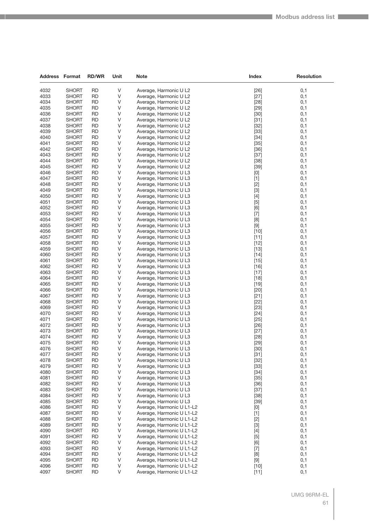| <b>Address Format</b> |                       | <b>RD/WR</b>           | Unit   | <b>Note</b>                                      | Index            | <b>Resolution</b> |
|-----------------------|-----------------------|------------------------|--------|--------------------------------------------------|------------------|-------------------|
|                       |                       |                        |        |                                                  |                  |                   |
| 4032                  | <b>SHORT</b>          | <b>RD</b>              | V      | Average, Harmonic U L2                           | $[26]$           | 0,1               |
| 4033                  | <b>SHORT</b>          | <b>RD</b>              | V      | Average, Harmonic U L2                           | $[27]$           | 0,1               |
| 4034                  | <b>SHORT</b>          | <b>RD</b>              | V      | Average, Harmonic U L2                           | $[28]$           | 0,1               |
| 4035                  | <b>SHORT</b>          | <b>RD</b>              | V      | Average, Harmonic U L2                           | $[29]$           | 0,1               |
| 4036                  | SHORT                 | RD                     | V      | Average, Harmonic U L2                           | $[30]$           | 0,1               |
| 4037                  | <b>SHORT</b>          | RD                     | V      | Average, Harmonic U L2                           | $[31]$           | 0,1               |
| 4038                  | SHORT                 | <b>RD</b>              | V      | Average, Harmonic U L2                           | $[32]$           | 0,1               |
| 4039<br>4040          | <b>SHORT</b>          | <b>RD</b><br><b>RD</b> | V      | Average, Harmonic U L2<br>Average, Harmonic U L2 | $[33]$           | 0,1               |
| 4041                  | <b>SHORT</b>          | <b>RD</b>              | V<br>V |                                                  | $[34]$           | 0,1               |
| 4042                  | SHORT<br><b>SHORT</b> | RD                     | V      | Average, Harmonic U L2<br>Average, Harmonic U L2 | $[35]$<br>$[36]$ | 0,1<br>0,1        |
| 4043                  | SHORT                 | <b>RD</b>              | V      | Average, Harmonic U L2                           | $[37]$           | 0,1               |
| 4044                  | <b>SHORT</b>          | <b>RD</b>              | V      | Average, Harmonic U L2                           | $[38]$           | 0,1               |
| 4045                  | <b>SHORT</b>          | <b>RD</b>              | V      | Average, Harmonic U L2                           | $[39]$           | 0,1               |
| 4046                  | SHORT                 | RD                     | V      | Average, Harmonic U L3                           | [0]              | 0,1               |
| 4047                  | <b>SHORT</b>          | <b>RD</b>              | V      | Average, Harmonic U L3                           | $[1]$            | 0,1               |
| 4048                  | SHORT                 | <b>RD</b>              | V      | Average, Harmonic U L3                           | $[2]$            | 0,1               |
| 4049                  | <b>SHORT</b>          | <b>RD</b>              | V      | Average, Harmonic U L3                           | $[3]$            | 0,1               |
| 4050                  | <b>SHORT</b>          | <b>RD</b>              | V      | Average, Harmonic U L3                           | $[4]$            | 0,1               |
| 4051                  | SHORT                 | <b>RD</b>              | V      | Average, Harmonic U L3                           | [5]              | 0,1               |
| 4052                  | <b>SHORT</b>          | <b>RD</b>              | V      | Average, Harmonic U L3                           | [6]              | 0,1               |
| 4053                  | <b>SHORT</b>          | <b>RD</b>              | V      | Average, Harmonic U L3                           | $[7]$            | 0,1               |
| 4054                  | <b>SHORT</b>          | <b>RD</b>              | V      | Average, Harmonic U L3                           | [8]              | 0,1               |
| 4055                  | <b>SHORT</b>          | <b>RD</b>              | V      | Average, Harmonic U L3                           | $[9]$            | 0,1               |
| 4056                  | SHORT                 | RD                     | V      | Average, Harmonic U L3                           | $[10]$           | 0,1               |
| 4057                  | <b>SHORT</b>          | <b>RD</b>              | V      | Average, Harmonic U L3                           | $[11]$           | 0,1               |
| 4058                  | <b>SHORT</b>          | <b>RD</b>              | V      | Average, Harmonic U L3                           | $[12]$           | 0,1               |
| 4059                  | <b>SHORT</b>          | <b>RD</b>              | V      | Average, Harmonic U L3                           | $[13]$           | 0,1               |
| 4060                  | <b>SHORT</b>          | <b>RD</b>              | V      | Average, Harmonic U L3                           | $[14]$           | 0,1               |
| 4061                  | SHORT                 | RD                     | V      | Average, Harmonic U L3                           | $[15]$           | 0,1               |
| 4062                  | SHORT                 | <b>RD</b>              | V      | Average, Harmonic U L3                           | $[16]$           | 0,1               |
| 4063                  | SHORT                 | <b>RD</b>              | V      | Average, Harmonic U L3                           | $[17]$           | 0,1               |
| 4064                  | <b>SHORT</b>          | <b>RD</b>              | V      | Average, Harmonic U L3                           | $[18]$           | 0,1               |
| 4065                  | <b>SHORT</b>          | <b>RD</b>              | V      | Average, Harmonic U L3                           | $[19]$           | 0,1               |
| 4066                  | SHORT                 | <b>RD</b>              | V      | Average, Harmonic U L3                           | $[20]$           | 0,1               |
| 4067                  | SHORT                 | <b>RD</b>              | V      | Average, Harmonic U L3                           | $[21]$           | 0,1               |
| 4068                  | SHORT                 | <b>RD</b>              | V      | Average, Harmonic U L3                           | $[22]$           | 0,1               |
| 4069                  | <b>SHORT</b>          | <b>RD</b>              | V      | Average, Harmonic U L3                           | $[23]$           | 0,1               |
| 4070                  | <b>SHORT</b>          | <b>RD</b>              | V      | Average, Harmonic U L3                           | $[24]$           | 0,1               |
| 4071                  | <b>SHORT</b>          | <b>RD</b>              | V      | Average, Harmonic U L3                           | $[25]$           | 0,1               |
| 4072                  | <b>SHORT</b>          | <b>RD</b>              | V      | Average, Harmonic U L3                           | $[26]$           | 0,1               |
| 4073                  | <b>SHORT</b>          | <b>RD</b>              | V      | Average, Harmonic U L3                           | $[27]$           | 0,1               |
| 4074                  | <b>SHORT</b>          | RD                     | V      | Average, Harmonic U L3                           | $[28]$           | 0,1               |
| 4075                  | <b>SHORT</b>          | <b>RD</b>              | V      | Average, Harmonic U L3                           | $[29]$           | 0,1               |
| 4076                  | <b>SHORT</b>          | <b>RD</b>              | V      | Average, Harmonic U L3                           | $[30]$           | 0,1               |
| 4077                  | SHORT                 | <b>RD</b>              | V      | Average, Harmonic U L3                           | $[31]$           | 0,1               |
| 4078                  | <b>SHORT</b>          | <b>RD</b>              | V      | Average, Harmonic U L3                           | $[32]$           | 0,1               |
| 4079                  | <b>SHORT</b>          | <b>RD</b>              | V      | Average, Harmonic U L3                           | $[33]$           | 0,1               |
| 4080                  | <b>SHORT</b>          | <b>RD</b>              | V      | Average, Harmonic U L3                           | $[34]$           | 0,1               |
| 4081                  | <b>SHORT</b>          | RD                     | V      | Average, Harmonic U L3                           | $[35]$           | 0,1               |
| 4082                  | SHORT                 | <b>RD</b>              | V      | Average, Harmonic U L3                           | $[36]$           | 0,1               |
| 4083                  | <b>SHORT</b>          | <b>RD</b>              | V      | Average, Harmonic U L3                           | $[37]$           | 0,1               |
| 4084                  | <b>SHORT</b>          | <b>RD</b>              | V      | Average, Harmonic U L3                           | $[38]$           | 0,1               |
| 4085                  | <b>SHORT</b>          | <b>RD</b>              | V      | Average, Harmonic U L3                           | $[39]$           | 0,1               |
| 4086                  | <b>SHORT</b>          | RD                     | V      | Average, Harmonic U L1-L2                        | [0]              | 0,1               |
| 4087                  | SHORT                 | <b>RD</b>              | V      | Average, Harmonic U L1-L2                        | $[1]$            | 0,1               |
| 4088                  | <b>SHORT</b>          | <b>RD</b>              | V      | Average, Harmonic U L1-L2                        | $[2]$            | 0,1               |
| 4089                  | <b>SHORT</b>          | <b>RD</b>              | V      | Average, Harmonic U L1-L2                        | $[3]$            | 0,1               |
| 4090                  | SHORT                 | <b>RD</b>              | V      | Average, Harmonic U L1-L2                        | $[4]$            | 0,1               |
| 4091                  | <b>SHORT</b>          | RD                     | V      | Average, Harmonic U L1-L2                        | $[5]$            | 0,1               |
| 4092                  | SHORT                 | <b>RD</b>              | V      | Average, Harmonic U L1-L2                        | [6]              | 0,1               |
| 4093                  | <b>SHORT</b>          | <b>RD</b>              | V      | Average, Harmonic U L1-L2                        | $[7]$            | 0,1               |
| 4094                  | <b>SHORT</b>          | <b>RD</b>              | V      | Average, Harmonic U L1-L2                        | [8]              | 0,1               |
| 4095                  | <b>SHORT</b>          | <b>RD</b>              | V      | Average, Harmonic U L1-L2                        | $[9]$            | 0,1               |
| 4096                  | <b>SHORT</b>          | RD                     | V      | Average, Harmonic U L1-L2                        | $[10]$           | 0,1               |
| 4097                  | <b>SHORT</b>          | <b>RD</b>              | V      | Average, Harmonic U L1-L2                        | $[11]$           | 0,1               |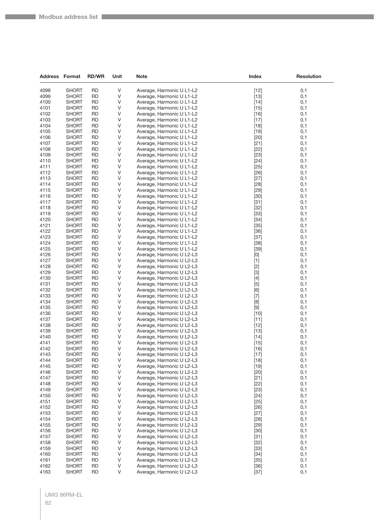**The State** 

| <b>Address Format</b> |                              | <b>RD/WR</b>           | Unit   | Note                                                   | <b>Index</b>                                                                                                                                                                                                                                                                                                                | <b>Resolution</b> |
|-----------------------|------------------------------|------------------------|--------|--------------------------------------------------------|-----------------------------------------------------------------------------------------------------------------------------------------------------------------------------------------------------------------------------------------------------------------------------------------------------------------------------|-------------------|
| 4098                  | <b>SHORT</b>                 | <b>RD</b>              | V      | Average, Harmonic U L1-L2                              | $[12]$                                                                                                                                                                                                                                                                                                                      | 0,1               |
| 4099                  | <b>SHORT</b>                 | <b>RD</b>              | V      | Average, Harmonic U L1-L2                              | $[13]$                                                                                                                                                                                                                                                                                                                      | 0,1               |
| 4100                  | <b>SHORT</b>                 | <b>RD</b>              | V      | Average, Harmonic U L1-L2                              | $[14]$                                                                                                                                                                                                                                                                                                                      | 0,1               |
| 4101                  | <b>SHORT</b>                 | <b>RD</b>              | V      | Average, Harmonic U L1-L2                              | $[15]$                                                                                                                                                                                                                                                                                                                      | 0,1               |
| 4102                  | <b>SHORT</b>                 | <b>RD</b>              | V      | Average, Harmonic U L1-L2                              | $[16]$                                                                                                                                                                                                                                                                                                                      | 0,1               |
| 4103                  | <b>SHORT</b>                 | <b>RD</b>              | V      | Average, Harmonic U L1-L2                              | $[17]$                                                                                                                                                                                                                                                                                                                      | 0,1               |
| 4104                  | <b>SHORT</b>                 | <b>RD</b>              | V      | Average, Harmonic U L1-L2                              | $[18]$                                                                                                                                                                                                                                                                                                                      | 0,1               |
| 4105                  | <b>SHORT</b>                 | <b>RD</b>              | V      | Average, Harmonic U L1-L2                              | $[19]$                                                                                                                                                                                                                                                                                                                      | 0,1               |
| 4106                  | <b>SHORT</b>                 | <b>RD</b>              | V      | Average, Harmonic U L1-L2                              | $[20]$                                                                                                                                                                                                                                                                                                                      | 0,1               |
| 4107                  | <b>SHORT</b>                 | <b>RD</b>              | V      | Average, Harmonic U L1-L2                              | $[21]$                                                                                                                                                                                                                                                                                                                      | 0,1               |
| 4108                  | <b>SHORT</b>                 | <b>RD</b>              | V      | Average, Harmonic U L1-L2                              | $[22]$                                                                                                                                                                                                                                                                                                                      | 0,1               |
| 4109                  | <b>SHORT</b>                 | <b>RD</b>              | V      | Average, Harmonic U L1-L2                              | $[23]$                                                                                                                                                                                                                                                                                                                      | 0,1               |
| 4110                  | <b>SHORT</b>                 | <b>RD</b>              | V      | Average, Harmonic U L1-L2                              | $[24]$                                                                                                                                                                                                                                                                                                                      | 0,1               |
| 4111                  | <b>SHORT</b>                 | <b>RD</b>              | V      | Average, Harmonic U L1-L2                              | $[25]$                                                                                                                                                                                                                                                                                                                      | 0,1               |
| 4112                  | <b>SHORT</b>                 | <b>RD</b>              | V      | Average, Harmonic U L1-L2                              | $[26]$                                                                                                                                                                                                                                                                                                                      | 0,1               |
| 4113                  | <b>SHORT</b>                 | <b>RD</b>              | V      | Average, Harmonic U L1-L2                              | $[27]$                                                                                                                                                                                                                                                                                                                      | 0,1               |
| 4114                  | <b>SHORT</b>                 | <b>RD</b>              | V      | Average, Harmonic U L1-L2                              | $[28]$                                                                                                                                                                                                                                                                                                                      | 0,1               |
| 4115<br>4116          | <b>SHORT</b>                 | <b>RD</b><br><b>RD</b> | V<br>V | Average, Harmonic U L1-L2                              | $[29]$                                                                                                                                                                                                                                                                                                                      | 0,1               |
|                       | <b>SHORT</b><br><b>SHORT</b> | <b>RD</b>              | V      | Average, Harmonic U L1-L2<br>Average, Harmonic U L1-L2 | $[30]$                                                                                                                                                                                                                                                                                                                      | 0,1<br>0,1        |
| 4117<br>4118          | <b>SHORT</b>                 | <b>RD</b>              | V      | Average, Harmonic U L1-L2                              | $[31]$                                                                                                                                                                                                                                                                                                                      |                   |
| 4119                  | <b>SHORT</b>                 | <b>RD</b>              | V      | Average, Harmonic U L1-L2                              | $[32]$<br>$[33]$                                                                                                                                                                                                                                                                                                            | 0,1<br>0,1        |
| 4120                  | <b>SHORT</b>                 | <b>RD</b>              | V      | Average, Harmonic U L1-L2                              | $[34]$                                                                                                                                                                                                                                                                                                                      | 0,1               |
| 4121                  | <b>SHORT</b>                 | <b>RD</b>              | V      | Average, Harmonic U L1-L2                              | $[35]$                                                                                                                                                                                                                                                                                                                      | 0,1               |
| 4122                  | <b>SHORT</b>                 | <b>RD</b>              | V      | Average, Harmonic U L1-L2                              | $[36]$                                                                                                                                                                                                                                                                                                                      | 0,1               |
| 4123                  | <b>SHORT</b>                 | <b>RD</b>              | V      | Average, Harmonic U L1-L2                              | $[37]$                                                                                                                                                                                                                                                                                                                      | 0,1               |
| 4124                  | <b>SHORT</b>                 | <b>RD</b>              | V      | Average, Harmonic U L1-L2                              | $[38]$                                                                                                                                                                                                                                                                                                                      | 0,1               |
| 4125                  | <b>SHORT</b>                 | <b>RD</b>              | V      | Average, Harmonic U L1-L2                              | $[39]$                                                                                                                                                                                                                                                                                                                      | 0,1               |
| 4126                  | <b>SHORT</b>                 | <b>RD</b>              | V      | Average, Harmonic U L2-L3                              | $[0] % \begin{center} % \includegraphics[width=\linewidth]{imagesSupplemental_3.png} % \end{center} % \caption { % Our method can be used for the use of the image. % Note that the \emph{Def}(i) and the \emph{Def}(i) are the same and the \emph{Def}(i) and the \emph{Def}(i) are the same. % } % \label{fig:Defin_3} %$ | 0,1               |
| 4127                  | <b>SHORT</b>                 | <b>RD</b>              | V      | Average, Harmonic U L2-L3                              | $[1]$                                                                                                                                                                                                                                                                                                                       | 0,1               |
| 4128                  | <b>SHORT</b>                 | <b>RD</b>              | V      | Average, Harmonic U L2-L3                              | $[2]$                                                                                                                                                                                                                                                                                                                       | 0,1               |
| 4129                  | <b>SHORT</b>                 | <b>RD</b>              | V      | Average, Harmonic U L2-L3                              | $[3]$                                                                                                                                                                                                                                                                                                                       | 0,1               |
| 4130                  | <b>SHORT</b>                 | <b>RD</b>              | V      | Average, Harmonic U L2-L3                              | $[4]$                                                                                                                                                                                                                                                                                                                       | 0,1               |
| 4131                  | <b>SHORT</b>                 | <b>RD</b>              | V      | Average, Harmonic U L2-L3                              | $[5]$                                                                                                                                                                                                                                                                                                                       | 0,1               |
| 4132                  | <b>SHORT</b>                 | <b>RD</b>              | V      | Average, Harmonic U L2-L3                              | [6]                                                                                                                                                                                                                                                                                                                         | 0,1               |
| 4133                  | <b>SHORT</b>                 | <b>RD</b>              | V      | Average, Harmonic U L2-L3                              | $[7]$                                                                                                                                                                                                                                                                                                                       | 0,1               |
| 4134                  | <b>SHORT</b>                 | <b>RD</b>              | V      | Average, Harmonic U L2-L3                              | [8]                                                                                                                                                                                                                                                                                                                         | 0,1               |
| 4135                  | <b>SHORT</b>                 | <b>RD</b>              | V      | Average, Harmonic U L2-L3                              | $[9]$                                                                                                                                                                                                                                                                                                                       | 0,1               |
| 4136                  | <b>SHORT</b>                 | <b>RD</b>              | V      | Average, Harmonic U L2-L3                              | $[10]$                                                                                                                                                                                                                                                                                                                      | 0,1               |
| 4137                  | <b>SHORT</b>                 | <b>RD</b>              | V      | Average, Harmonic U L2-L3                              | $[11]$                                                                                                                                                                                                                                                                                                                      | 0,1               |
| 4138                  | <b>SHORT</b>                 | <b>RD</b><br><b>RD</b> | V<br>V | Average, Harmonic U L2-L3                              | $[12]$                                                                                                                                                                                                                                                                                                                      | 0,1               |
| 4139<br>4140          | <b>SHORT</b><br><b>SHORT</b> | <b>RD</b>              | V      | Average, Harmonic U L2-L3<br>Average, Harmonic U L2-L3 | $[13]$<br>$[14]$                                                                                                                                                                                                                                                                                                            | 0,1<br>0,1        |
| 4141                  | <b>SHORT</b>                 | <b>RD</b>              | V      | Average, Harmonic U L2-L3                              | $[15]$                                                                                                                                                                                                                                                                                                                      | 0,1               |
| 4142                  | <b>SHORT</b>                 | <b>RD</b>              | V      | Average, Harmonic U L2-L3                              | $[16]$                                                                                                                                                                                                                                                                                                                      | 0,1               |
| 4143                  | <b>SHORT</b>                 | <b>RD</b>              | V      | Average, Harmonic U L2-L3                              | $[17]$                                                                                                                                                                                                                                                                                                                      | 0,1               |
| 4144                  | <b>SHORT</b>                 | <b>RD</b>              | V      | Average, Harmonic U L2-L3                              | $[18]$                                                                                                                                                                                                                                                                                                                      | 0,1               |
| 4145                  | <b>SHORT</b>                 | <b>RD</b>              | V      | Average, Harmonic U L2-L3                              | $[19]$                                                                                                                                                                                                                                                                                                                      | 0,1               |
| 4146                  | <b>SHORT</b>                 | <b>RD</b>              | V      | Average, Harmonic U L2-L3                              | $[20]$                                                                                                                                                                                                                                                                                                                      | 0,1               |
| 4147                  | <b>SHORT</b>                 | <b>RD</b>              | V      | Average, Harmonic U L2-L3                              | $[21]$                                                                                                                                                                                                                                                                                                                      | 0,1               |
| 4148                  | <b>SHORT</b>                 | <b>RD</b>              | V      | Average, Harmonic U L2-L3                              | $[22]$                                                                                                                                                                                                                                                                                                                      | 0,1               |
| 4149                  | <b>SHORT</b>                 | <b>RD</b>              | V      | Average, Harmonic U L2-L3                              | $[23]$                                                                                                                                                                                                                                                                                                                      | 0,1               |
| 4150                  | <b>SHORT</b>                 | <b>RD</b>              | V      | Average, Harmonic U L2-L3                              | $[24]$                                                                                                                                                                                                                                                                                                                      | 0,1               |
| 4151                  | <b>SHORT</b>                 | <b>RD</b>              | V      | Average, Harmonic U L2-L3                              | $[25]$                                                                                                                                                                                                                                                                                                                      | 0,1               |
| 4152                  | <b>SHORT</b>                 | <b>RD</b>              | V      | Average, Harmonic U L2-L3                              | $[26]$                                                                                                                                                                                                                                                                                                                      | 0,1               |
| 4153                  | <b>SHORT</b>                 | <b>RD</b>              | V      | Average, Harmonic U L2-L3                              | $[27]$                                                                                                                                                                                                                                                                                                                      | 0,1               |
| 4154                  | <b>SHORT</b>                 | <b>RD</b>              | V      | Average, Harmonic U L2-L3                              | $[28]$                                                                                                                                                                                                                                                                                                                      | 0,1               |
| 4155                  | <b>SHORT</b>                 | <b>RD</b>              | V      | Average, Harmonic U L2-L3                              | $[29]$                                                                                                                                                                                                                                                                                                                      | 0,1               |
| 4156                  | <b>SHORT</b>                 | <b>RD</b>              | V      | Average, Harmonic U L2-L3                              | $[30]$                                                                                                                                                                                                                                                                                                                      | 0,1               |
| 4157                  | <b>SHORT</b>                 | <b>RD</b>              | V      | Average, Harmonic U L2-L3                              | $[31]$                                                                                                                                                                                                                                                                                                                      | 0,1               |
| 4158                  | <b>SHORT</b>                 | <b>RD</b>              | V      | Average, Harmonic U L2-L3                              | $[32]$                                                                                                                                                                                                                                                                                                                      | 0,1               |
| 4159                  | <b>SHORT</b>                 | <b>RD</b>              | V      | Average, Harmonic U L2-L3                              | $[33]$                                                                                                                                                                                                                                                                                                                      | 0,1               |
| 4160                  | <b>SHORT</b>                 | <b>RD</b>              | V      | Average, Harmonic U L2-L3                              | $[34]$                                                                                                                                                                                                                                                                                                                      | 0,1               |
| 4161<br>4162          | <b>SHORT</b><br><b>SHORT</b> | <b>RD</b><br><b>RD</b> | V<br>V | Average, Harmonic U L2-L3<br>Average, Harmonic U L2-L3 | $[35]$<br>$[36]$                                                                                                                                                                                                                                                                                                            | 0,1<br>0,1        |
| 4163                  | <b>SHORT</b>                 | <b>RD</b>              | V      | Average, Harmonic U L2-L3                              | $[37]$                                                                                                                                                                                                                                                                                                                      | 0,1               |
|                       |                              |                        |        |                                                        |                                                                                                                                                                                                                                                                                                                             |                   |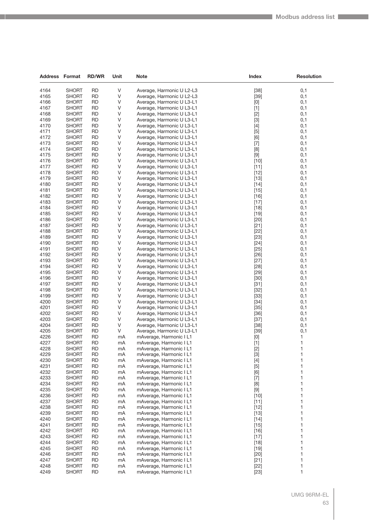| <b>Address Format</b> |                              | <b>RD/WR</b>           | Unit     | <b>Note</b>                                            | Index            | <b>Resolution</b> |
|-----------------------|------------------------------|------------------------|----------|--------------------------------------------------------|------------------|-------------------|
|                       |                              |                        |          |                                                        |                  |                   |
| 4164                  | <b>SHORT</b>                 | <b>RD</b>              | V        | Average, Harmonic U L2-L3                              | $[38]$           | 0,1               |
| 4165                  | <b>SHORT</b>                 | <b>RD</b>              | V        | Average, Harmonic U L2-L3                              | $[39]$           | 0,1               |
| 4166<br>4167          | SHORT<br><b>SHORT</b>        | <b>RD</b><br><b>RD</b> | V        | Average, Harmonic U L3-L1                              | [0]              | 0,1               |
| 4168                  | SHORT                        | <b>RD</b>              | V<br>V   | Average, Harmonic U L3-L1<br>Average, Harmonic U L3-L1 | $[1]$<br>$[2]$   | 0,1<br>0,1        |
| 4169                  | <b>SHORT</b>                 | <b>RD</b>              | V        | Average, Harmonic U L3-L1                              | $[3]$            | 0,1               |
| 4170                  | SHORT                        | <b>RD</b>              | V        | Average, Harmonic U L3-L1                              | $[4]$            | 0,1               |
| 4171                  | SHORT                        | <b>RD</b>              | V        | Average, Harmonic U L3-L1                              | $[5]$            | 0,1               |
| 4172                  | SHORT                        | <b>RD</b>              | V        | Average, Harmonic U L3-L1                              | [6]              | 0,1               |
| 4173                  | <b>SHORT</b>                 | <b>RD</b>              | V        | Average, Harmonic U L3-L1                              | $[7]$            | 0,1               |
| 4174                  | <b>SHORT</b>                 | <b>RD</b>              | V        | Average, Harmonic U L3-L1                              | [8]              | 0,1               |
| 4175                  | SHORT                        | <b>RD</b>              | V        | Average, Harmonic U L3-L1                              | $[9]$            | 0,1               |
| 4176                  | SHORT                        | <b>RD</b>              | V        | Average, Harmonic U L3-L1                              | $[10]$           | 0,1               |
| 4177                  | SHORT                        | <b>RD</b>              | V        | Average, Harmonic U L3-L1                              | $[11]$           | 0,1               |
| 4178                  | <b>SHORT</b>                 | <b>RD</b>              | V        | Average, Harmonic U L3-L1                              | $[12]$           | 0,1               |
| 4179                  | <b>SHORT</b>                 | <b>RD</b>              | V        | Average, Harmonic U L3-L1                              | $[13]$           | 0,1               |
| 4180                  | SHORT                        | <b>RD</b>              | V        | Average, Harmonic U L3-L1                              | $[14]$           | 0,1               |
| 4181                  | SHORT                        | <b>RD</b>              | V        | Average, Harmonic U L3-L1                              | $[15]$           | 0,1               |
| 4182                  | <b>SHORT</b>                 | <b>RD</b>              | V        | Average, Harmonic U L3-L1                              | $[16]$           | 0,1               |
| 4183                  | <b>SHORT</b>                 | <b>RD</b>              | V        | Average, Harmonic U L3-L1                              | $[17]$           | 0,1               |
| 4184                  | <b>SHORT</b>                 | <b>RD</b>              | V        | Average, Harmonic U L3-L1                              | $[18]$           | 0,1               |
| 4185                  | SHORT                        | <b>RD</b>              | V        | Average, Harmonic U L3-L1                              | $[19]$           | 0,1               |
| 4186                  | SHORT                        | <b>RD</b>              | V        | Average, Harmonic U L3-L1                              | $[20]$           | 0,1               |
| 4187                  | <b>SHORT</b>                 | <b>RD</b>              | V        | Average, Harmonic U L3-L1                              | $[21]$           | 0,1               |
| 4188                  | SHORT                        | <b>RD</b>              | V        | Average, Harmonic U L3-L1                              | $[22]$           | 0,1               |
| 4189                  | SHORT                        | <b>RD</b>              | V        | Average, Harmonic U L3-L1                              | $[23]$           | 0,1               |
| 4190                  | <b>SHORT</b>                 | <b>RD</b>              | V        | Average, Harmonic U L3-L1                              | $[24]$           | 0,1               |
| 4191                  | SHORT                        | <b>RD</b>              | V        | Average, Harmonic U L3-L1                              | $[25]$           | 0,1               |
| 4192                  | <b>SHORT</b>                 | <b>RD</b>              | V        | Average, Harmonic U L3-L1                              | $[26]$           | 0,1               |
| 4193                  | SHORT                        | <b>RD</b>              | V        | Average, Harmonic U L3-L1                              | $[27]$           | 0,1               |
| 4194                  | SHORT                        | <b>RD</b>              | V        | Average, Harmonic U L3-L1                              | $[28]$           | 0,1               |
| 4195                  | SHORT                        | <b>RD</b>              | V        | Average, Harmonic U L3-L1                              | $[29]$           | 0,1               |
| 4196                  | SHORT                        | <b>RD</b>              | V        | Average, Harmonic U L3-L1                              | $[30]$           | 0,1               |
| 4197                  | <b>SHORT</b>                 | <b>RD</b>              | V        | Average, Harmonic U L3-L1                              | $[31]$           | 0,1               |
| 4198<br>4199          | SHORT                        | <b>RD</b><br><b>RD</b> | V<br>V   | Average, Harmonic U L3-L1                              | $[32]$           | 0,1<br>0,1        |
| 4200                  | SHORT<br>SHORT               | <b>RD</b>              | V        | Average, Harmonic U L3-L1<br>Average, Harmonic U L3-L1 | $[33]$<br>$[34]$ | 0,1               |
| 4201                  | SHORT                        | <b>RD</b>              | V        | Average, Harmonic U L3-L1                              | $[35]$           | 0,1               |
| 4202                  | <b>SHORT</b>                 | <b>RD</b>              | V        | Average, Harmonic U L3-L1                              | $[36]$           | 0,1               |
| 4203                  | SHORT                        | <b>RD</b>              | V        | Average, Harmonic U L3-L1                              | $[37]$           | 0,1               |
| 4204                  | SHORT                        | <b>RD</b>              | V        | Average, Harmonic U L3-L1                              | $[38]$           | 0,1               |
| 4205                  | <b>SHORT</b>                 | <b>RD</b>              | V        | Average, Harmonic U L3-L1                              | $[39]$           | 0,1               |
| 4226                  | SHORT                        | <b>RD</b>              | mA       | mAverage, Harmonic I L1                                | [0]              | 1                 |
| 4227                  | SHORT                        | <b>RD</b>              | mA       | mAverage, Harmonic I L1                                | $[1]$            | 1                 |
| 4228                  | <b>SHORT</b>                 | <b>RD</b>              | mA       | mAverage, Harmonic I L1                                | $[2]$            | 1                 |
| 4229                  | SHORT                        | <b>RD</b>              | mA       | mAverage, Harmonic I L1                                | $[3]$            | 1                 |
| 4230                  | <b>SHORT</b>                 | <b>RD</b>              | mA       | mAverage, Harmonic I L1                                | $[4]$            | 1                 |
| 4231                  | <b>SHORT</b>                 | <b>RD</b>              | mA       | mAverage, Harmonic I L1                                | $[5]$            | 1                 |
| 4232                  | <b>SHORT</b>                 | <b>RD</b>              | mA       | mAverage, Harmonic I L1                                | [6]              | 1                 |
| 4233                  | <b>SHORT</b>                 | <b>RD</b>              | mA       | mAverage, Harmonic I L1                                | $[7]$            | 1                 |
| 4234                  | SHORT                        | <b>RD</b>              | mA       | mAverage, Harmonic I L1                                | [8]              | 1                 |
| 4235                  | SHORT                        | <b>RD</b>              | mA       | mAverage, Harmonic I L1                                | $[9]$            | 1                 |
| 4236                  | <b>SHORT</b>                 | <b>RD</b>              | mA       | mAverage, Harmonic I L1                                | $[10]$           | 1                 |
| 4237                  | <b>SHORT</b>                 | <b>RD</b>              | mA       | mAverage, Harmonic I L1                                | $[11]$           | 1                 |
| 4238                  | <b>SHORT</b>                 | <b>RD</b>              | mA       | mAverage, Harmonic I L1                                | $[12]$           | 1                 |
| 4239                  | SHORT                        | <b>RD</b>              | mA       | mAverage, Harmonic I L1                                | $[13]$           | 1                 |
| 4240                  | <b>SHORT</b>                 | <b>RD</b>              | mA       | mAverage, Harmonic I L1                                | $[14]$           | 1                 |
| 4241                  | <b>SHORT</b>                 | <b>RD</b>              | mA       | mAverage, Harmonic I L1                                | $[15]$           | 1                 |
| 4242                  | <b>SHORT</b>                 | <b>RD</b>              | mA       | mAverage, Harmonic I L1                                | $[16]$           | 1                 |
| 4243                  | <b>SHORT</b>                 | <b>RD</b>              | mA       | mAverage, Harmonic I L1                                | $[17]$           | 1                 |
| 4244<br>4245          | SHORT                        | <b>RD</b><br><b>RD</b> | mA       | mAverage, Harmonic I L1                                | $[18]$           | 1<br>1            |
| 4246                  | <b>SHORT</b><br><b>SHORT</b> | <b>RD</b>              | mA<br>mA | mAverage, Harmonic I L1<br>mAverage, Harmonic I L1     | $[19]$<br>$[20]$ | 1                 |
| 4247                  | <b>SHORT</b>                 | <b>RD</b>              | mA       | mAverage, Harmonic I L1                                | $[21]$           | 1                 |
| 4248                  | <b>SHORT</b>                 | <b>RD</b>              | mA       | mAverage, Harmonic I L1                                | $[22]$           | 1                 |
| 4249                  | <b>SHORT</b>                 | <b>RD</b>              | mA       | mAverage, Harmonic I L1                                | $[23]$           | 1                 |
|                       |                              |                        |          |                                                        |                  |                   |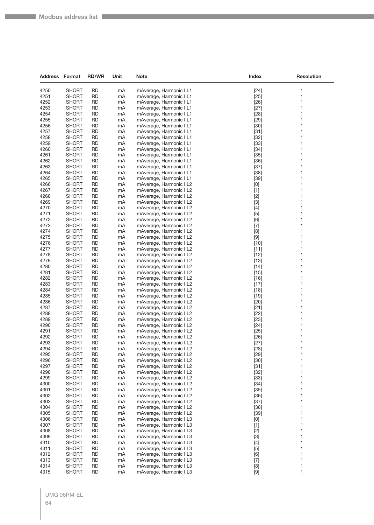| <b>Address Format</b> |                              | <b>RD/WR</b>           | Unit     | Note                                               | <b>Index</b>                                                                                                                                                                                                                                                                                                                                                                                                                                                                                                                                                                                                                                                                                                                                          | <b>Resolution</b> |
|-----------------------|------------------------------|------------------------|----------|----------------------------------------------------|-------------------------------------------------------------------------------------------------------------------------------------------------------------------------------------------------------------------------------------------------------------------------------------------------------------------------------------------------------------------------------------------------------------------------------------------------------------------------------------------------------------------------------------------------------------------------------------------------------------------------------------------------------------------------------------------------------------------------------------------------------|-------------------|
| 4250                  | <b>SHORT</b>                 | <b>RD</b>              | mA       | mAverage, Harmonic I L1                            | $[24]$                                                                                                                                                                                                                                                                                                                                                                                                                                                                                                                                                                                                                                                                                                                                                | 1                 |
| 4251                  | <b>SHORT</b>                 | <b>RD</b>              | mA       | mAverage, Harmonic I L1                            | $[25]$                                                                                                                                                                                                                                                                                                                                                                                                                                                                                                                                                                                                                                                                                                                                                | 1                 |
| 4252                  | <b>SHORT</b>                 | <b>RD</b>              | mA       | mAverage, Harmonic I L1                            | $[26]$                                                                                                                                                                                                                                                                                                                                                                                                                                                                                                                                                                                                                                                                                                                                                | 1                 |
| 4253                  | <b>SHORT</b>                 | <b>RD</b>              | mA       | mAverage, Harmonic I L1                            | $[27]$                                                                                                                                                                                                                                                                                                                                                                                                                                                                                                                                                                                                                                                                                                                                                | 1                 |
| 4254                  | <b>SHORT</b>                 | <b>RD</b>              | mA       | mAverage, Harmonic I L1                            | $[28]$                                                                                                                                                                                                                                                                                                                                                                                                                                                                                                                                                                                                                                                                                                                                                | 1                 |
| 4255                  | <b>SHORT</b>                 | <b>RD</b>              | mA       | mAverage, Harmonic I L1                            | $[29]$                                                                                                                                                                                                                                                                                                                                                                                                                                                                                                                                                                                                                                                                                                                                                | 1                 |
| 4256                  | <b>SHORT</b>                 | <b>RD</b>              | mA       | mAverage, Harmonic I L1                            | $[30]$                                                                                                                                                                                                                                                                                                                                                                                                                                                                                                                                                                                                                                                                                                                                                | 1                 |
| 4257                  | <b>SHORT</b>                 | <b>RD</b>              | mA       | mAverage, Harmonic I L1                            | $[31]$                                                                                                                                                                                                                                                                                                                                                                                                                                                                                                                                                                                                                                                                                                                                                | 1                 |
| 4258                  | <b>SHORT</b>                 | <b>RD</b>              | mA       | mAverage, Harmonic I L1                            | $[32]$                                                                                                                                                                                                                                                                                                                                                                                                                                                                                                                                                                                                                                                                                                                                                | 1                 |
| 4259                  | <b>SHORT</b>                 | <b>RD</b>              | mA       | mAverage, Harmonic I L1                            | $[33]$                                                                                                                                                                                                                                                                                                                                                                                                                                                                                                                                                                                                                                                                                                                                                | 1                 |
| 4260                  | <b>SHORT</b>                 | <b>RD</b>              | mA       | mAverage, Harmonic I L1                            | $[34]$                                                                                                                                                                                                                                                                                                                                                                                                                                                                                                                                                                                                                                                                                                                                                | 1                 |
| 4261                  | <b>SHORT</b>                 | <b>RD</b>              | mA       | mAverage, Harmonic I L1                            | $[35]$                                                                                                                                                                                                                                                                                                                                                                                                                                                                                                                                                                                                                                                                                                                                                | 1                 |
| 4262                  | <b>SHORT</b>                 | <b>RD</b>              | mA       | mAverage, Harmonic I L1                            | $[36]$                                                                                                                                                                                                                                                                                                                                                                                                                                                                                                                                                                                                                                                                                                                                                | 1                 |
| 4263                  | <b>SHORT</b>                 | <b>RD</b><br><b>RD</b> | mA       | mAverage, Harmonic I L1                            | $[37]$                                                                                                                                                                                                                                                                                                                                                                                                                                                                                                                                                                                                                                                                                                                                                | 1<br>1            |
| 4264<br>4265          | <b>SHORT</b><br><b>SHORT</b> | <b>RD</b>              | mA<br>mA | mAverage, Harmonic I L1<br>mAverage, Harmonic I L1 | $[38]$<br>$[39]$                                                                                                                                                                                                                                                                                                                                                                                                                                                                                                                                                                                                                                                                                                                                      | 1                 |
| 4266                  | <b>SHORT</b>                 | <b>RD</b>              | mA       | mAverage, Harmonic I L2                            | $[0] % \begin{center} % \includegraphics[width=\linewidth]{imagesSupplemental_3.png} % \end{center} % \caption { % Our method is used for the method. % Note that the \emph{exponent} is used for the method. % Note that the \emph{exponent} is used for the method. % Note that the \emph{exponent} is used for the method. % Note that the \emph{exponent} is used for the method. % Note that the \emph{exponent} is used for the method. % Note that the \emph{exportector} is used for the method. % Note that the \emph{exportector} is used for the method. % Note that the \emph{exportector} is used for the method. % Note that the \emph{exportector} is used for the method. % Note that the \emph{exportector} is used for the method.$ | 1                 |
| 4267                  | <b>SHORT</b>                 | <b>RD</b>              | mA       | mAverage, Harmonic I L2                            | $[1]$                                                                                                                                                                                                                                                                                                                                                                                                                                                                                                                                                                                                                                                                                                                                                 | 1                 |
| 4268                  | <b>SHORT</b>                 | <b>RD</b>              | mA       | mAverage, Harmonic I L2                            | $[2]$                                                                                                                                                                                                                                                                                                                                                                                                                                                                                                                                                                                                                                                                                                                                                 | 1                 |
| 4269                  | <b>SHORT</b>                 | <b>RD</b>              | mA       | mAverage, Harmonic I L2                            | $[3]$                                                                                                                                                                                                                                                                                                                                                                                                                                                                                                                                                                                                                                                                                                                                                 | 1                 |
| 4270                  | <b>SHORT</b>                 | <b>RD</b>              | mA       | mAverage, Harmonic I L2                            | $[4]$                                                                                                                                                                                                                                                                                                                                                                                                                                                                                                                                                                                                                                                                                                                                                 | 1                 |
| 4271                  | <b>SHORT</b>                 | <b>RD</b>              | mA       | mAverage, Harmonic I L2                            | $[5]$                                                                                                                                                                                                                                                                                                                                                                                                                                                                                                                                                                                                                                                                                                                                                 | 1                 |
| 4272                  | <b>SHORT</b>                 | <b>RD</b>              | mA       | mAverage, Harmonic I L2                            | [6]                                                                                                                                                                                                                                                                                                                                                                                                                                                                                                                                                                                                                                                                                                                                                   | 1                 |
| 4273                  | <b>SHORT</b>                 | <b>RD</b>              | mA       | mAverage, Harmonic I L2                            | $[7]$                                                                                                                                                                                                                                                                                                                                                                                                                                                                                                                                                                                                                                                                                                                                                 | 1                 |
| 4274                  | <b>SHORT</b>                 | <b>RD</b>              | mA       | mAverage, Harmonic I L2                            | [8]                                                                                                                                                                                                                                                                                                                                                                                                                                                                                                                                                                                                                                                                                                                                                   | 1                 |
| 4275                  | <b>SHORT</b>                 | <b>RD</b>              | mA       | mAverage, Harmonic I L2                            | $[9]$                                                                                                                                                                                                                                                                                                                                                                                                                                                                                                                                                                                                                                                                                                                                                 | 1                 |
| 4276                  | <b>SHORT</b>                 | <b>RD</b>              | mA       | mAverage, Harmonic I L2                            | $[10]$                                                                                                                                                                                                                                                                                                                                                                                                                                                                                                                                                                                                                                                                                                                                                | 1                 |
| 4277                  | <b>SHORT</b>                 | <b>RD</b>              | mA       | mAverage, Harmonic I L2                            | $[11]$                                                                                                                                                                                                                                                                                                                                                                                                                                                                                                                                                                                                                                                                                                                                                | 1                 |
| 4278                  | <b>SHORT</b>                 | <b>RD</b>              | mA       | mAverage, Harmonic I L2                            | $[12]$                                                                                                                                                                                                                                                                                                                                                                                                                                                                                                                                                                                                                                                                                                                                                | 1                 |
| 4279                  | <b>SHORT</b>                 | <b>RD</b>              | mA       | mAverage, Harmonic I L2                            | $[13]$                                                                                                                                                                                                                                                                                                                                                                                                                                                                                                                                                                                                                                                                                                                                                | 1                 |
| 4280                  | <b>SHORT</b>                 | <b>RD</b>              | mA       | mAverage, Harmonic I L2                            | $[14]$                                                                                                                                                                                                                                                                                                                                                                                                                                                                                                                                                                                                                                                                                                                                                | 1                 |
| 4281<br>4282          | <b>SHORT</b><br><b>SHORT</b> | <b>RD</b><br><b>RD</b> | mA<br>mA | mAverage, Harmonic I L2<br>mAverage, Harmonic I L2 | $[15]$<br>$[16]$                                                                                                                                                                                                                                                                                                                                                                                                                                                                                                                                                                                                                                                                                                                                      | 1<br>1            |
| 4283                  | <b>SHORT</b>                 | <b>RD</b>              | mA       | mAverage, Harmonic I L2                            | $[17]$                                                                                                                                                                                                                                                                                                                                                                                                                                                                                                                                                                                                                                                                                                                                                | 1                 |
| 4284                  | <b>SHORT</b>                 | <b>RD</b>              | mA       | mAverage, Harmonic I L2                            | $[18]$                                                                                                                                                                                                                                                                                                                                                                                                                                                                                                                                                                                                                                                                                                                                                | 1                 |
| 4285                  | <b>SHORT</b>                 | <b>RD</b>              | mA       | mAverage, Harmonic I L2                            | $[19]$                                                                                                                                                                                                                                                                                                                                                                                                                                                                                                                                                                                                                                                                                                                                                | 1                 |
| 4286                  | <b>SHORT</b>                 | <b>RD</b>              | mA       | mAverage, Harmonic I L2                            | $[20]$                                                                                                                                                                                                                                                                                                                                                                                                                                                                                                                                                                                                                                                                                                                                                | 1                 |
| 4287                  | <b>SHORT</b>                 | <b>RD</b>              | mA       | mAverage, Harmonic I L2                            | $[21]$                                                                                                                                                                                                                                                                                                                                                                                                                                                                                                                                                                                                                                                                                                                                                | 1                 |
| 4288                  | <b>SHORT</b>                 | <b>RD</b>              | mA       | mAverage, Harmonic I L2                            | $[22]$                                                                                                                                                                                                                                                                                                                                                                                                                                                                                                                                                                                                                                                                                                                                                | 1                 |
| 4289                  | <b>SHORT</b>                 | <b>RD</b>              | mA       | mAverage, Harmonic I L2                            | $[23]$                                                                                                                                                                                                                                                                                                                                                                                                                                                                                                                                                                                                                                                                                                                                                | 1                 |
| 4290                  | <b>SHORT</b>                 | <b>RD</b>              | mA       | mAverage, Harmonic I L2                            | $[24]$                                                                                                                                                                                                                                                                                                                                                                                                                                                                                                                                                                                                                                                                                                                                                | 1                 |
| 4291                  | <b>SHORT</b>                 | RD                     | mA       | mAverage, Harmonic I L2                            | $[25]$                                                                                                                                                                                                                                                                                                                                                                                                                                                                                                                                                                                                                                                                                                                                                | 1                 |
| 4292                  | <b>SHORT</b>                 | <b>RD</b>              | mA       | mAverage, Harmonic I L2                            | $[26]$                                                                                                                                                                                                                                                                                                                                                                                                                                                                                                                                                                                                                                                                                                                                                | 1                 |
| 4293                  | <b>SHORT</b>                 | <b>RD</b>              | mA       | mAverage, Harmonic I L2                            | $[27]$                                                                                                                                                                                                                                                                                                                                                                                                                                                                                                                                                                                                                                                                                                                                                | $\mathbf{1}$      |
| 4294                  | <b>SHORT</b>                 | <b>RD</b>              | mA       | mAverage, Harmonic I L2                            | $[28]$                                                                                                                                                                                                                                                                                                                                                                                                                                                                                                                                                                                                                                                                                                                                                | 1                 |
| 4295<br>4296          | <b>SHORT</b><br><b>SHORT</b> | <b>RD</b><br><b>RD</b> | mA<br>mA | mAverage, Harmonic I L2<br>mAverage, Harmonic I L2 | $[29]$<br>$[30]$                                                                                                                                                                                                                                                                                                                                                                                                                                                                                                                                                                                                                                                                                                                                      | 1<br>1            |
| 4297                  | <b>SHORT</b>                 | <b>RD</b>              | mA       | mAverage, Harmonic I L2                            | $[31]$                                                                                                                                                                                                                                                                                                                                                                                                                                                                                                                                                                                                                                                                                                                                                | 1                 |
| 4298                  | <b>SHORT</b>                 | <b>RD</b>              | mA       | mAverage, Harmonic I L2                            | $[32]$                                                                                                                                                                                                                                                                                                                                                                                                                                                                                                                                                                                                                                                                                                                                                | 1                 |
| 4299                  | <b>SHORT</b>                 | <b>RD</b>              | mA       | mAverage, Harmonic I L2                            | $[33]$                                                                                                                                                                                                                                                                                                                                                                                                                                                                                                                                                                                                                                                                                                                                                | 1                 |
| 4300                  | <b>SHORT</b>                 | <b>RD</b>              | mA       | mAverage, Harmonic I L2                            | $[34]$                                                                                                                                                                                                                                                                                                                                                                                                                                                                                                                                                                                                                                                                                                                                                | 1                 |
| 4301                  | <b>SHORT</b>                 | <b>RD</b>              | mA       | mAverage, Harmonic I L2                            | $[35]$                                                                                                                                                                                                                                                                                                                                                                                                                                                                                                                                                                                                                                                                                                                                                | 1                 |
| 4302                  | <b>SHORT</b>                 | <b>RD</b>              | mA       | mAverage, Harmonic I L2                            | $[36]$                                                                                                                                                                                                                                                                                                                                                                                                                                                                                                                                                                                                                                                                                                                                                | 1                 |
| 4303                  | <b>SHORT</b>                 | <b>RD</b>              | mA       | mAverage, Harmonic I L2                            | $[37]$                                                                                                                                                                                                                                                                                                                                                                                                                                                                                                                                                                                                                                                                                                                                                | 1                 |
| 4304                  | <b>SHORT</b>                 | <b>RD</b>              | mA       | mAverage, Harmonic I L2                            | $[38]$                                                                                                                                                                                                                                                                                                                                                                                                                                                                                                                                                                                                                                                                                                                                                | 1                 |
| 4305                  | <b>SHORT</b>                 | <b>RD</b>              | mA       | mAverage, Harmonic I L2                            | $[39]$                                                                                                                                                                                                                                                                                                                                                                                                                                                                                                                                                                                                                                                                                                                                                | 1                 |
| 4306                  | <b>SHORT</b>                 | <b>RD</b>              | mA       | mAverage, Harmonic I L3                            | $[0] % \begin{center} % \includegraphics[width=\linewidth]{imagesSupplemental_3.png} % \end{center} % \caption { % Our method can be used for the use of the image. % Note that the \emph{DefNet}~\cite{bib66} as a function of the \emph{DefNet}~\cite{bib66} as a function of the \emph{DefNet}~\cite{bib66} as a function of the \emph{DefNet}~\cite{bib66} as a function of the \emph{DefNet}~\cite{bib66} as a function of the \emph{DefNet}~\cite{bib66} as a function of the \emph{DefNet}~\cite{bib66} as a function of the \emph{DefNet}~\cite{bib66} as a function of the \emph{DefNet}$                                                                                                                                                    | 1                 |
| 4307                  | <b>SHORT</b>                 | <b>RD</b>              | mA       | mAverage, Harmonic I L3                            | $[1]$                                                                                                                                                                                                                                                                                                                                                                                                                                                                                                                                                                                                                                                                                                                                                 | 1                 |
| 4308                  | <b>SHORT</b>                 | <b>RD</b>              | mA       | mAverage, Harmonic I L3                            | $[2]$                                                                                                                                                                                                                                                                                                                                                                                                                                                                                                                                                                                                                                                                                                                                                 | 1                 |
| 4309                  | <b>SHORT</b>                 | <b>RD</b>              | mA       | mAverage, Harmonic I L3                            | $[3]$                                                                                                                                                                                                                                                                                                                                                                                                                                                                                                                                                                                                                                                                                                                                                 | $\mathbf{1}$      |
| 4310                  | <b>SHORT</b>                 | <b>RD</b>              | mA       | mAverage, Harmonic I L3                            | $[4]$                                                                                                                                                                                                                                                                                                                                                                                                                                                                                                                                                                                                                                                                                                                                                 | 1                 |
| 4311<br>4312          | <b>SHORT</b><br><b>SHORT</b> | <b>RD</b>              | mA<br>mA | mAverage, Harmonic I L3<br>mAverage, Harmonic I L3 | $[5]$<br>[6]                                                                                                                                                                                                                                                                                                                                                                                                                                                                                                                                                                                                                                                                                                                                          | 1<br>1            |
| 4313                  | <b>SHORT</b>                 | <b>RD</b><br><b>RD</b> | mA       | mAverage, Harmonic I L3                            | $[7]$                                                                                                                                                                                                                                                                                                                                                                                                                                                                                                                                                                                                                                                                                                                                                 | 1                 |
| 4314                  | <b>SHORT</b>                 | <b>RD</b>              | mA       | mAverage, Harmonic I L3                            | $[8] % \begin{center} \includegraphics[width=\linewidth]{images/Transr3.jpg} \end{center} % \caption { % Our method shows the proposed method of the proposed method. % } % \label{fig:classical} %$                                                                                                                                                                                                                                                                                                                                                                                                                                                                                                                                                  | 1                 |
| 4315                  | <b>SHORT</b>                 | <b>RD</b>              | mA       | mAverage, Harmonic I L3                            | $[9]$                                                                                                                                                                                                                                                                                                                                                                                                                                                                                                                                                                                                                                                                                                                                                 | $\mathbf{1}$      |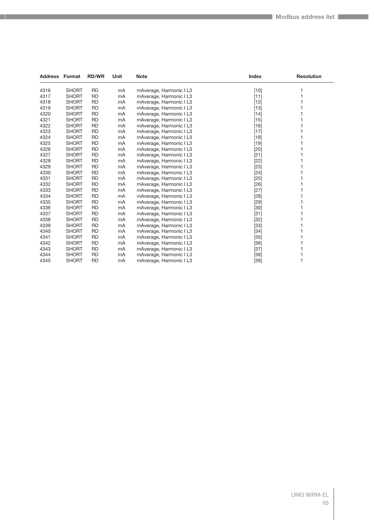|      | <b>Address Format</b> | <b>RD/WR</b> | Unit | <b>Note</b>             | <b>Index</b> | <b>Resolution</b> |
|------|-----------------------|--------------|------|-------------------------|--------------|-------------------|
| 4316 | <b>SHORT</b>          | <b>RD</b>    | mA   | mAverage, Harmonic I L3 | $[10]$       |                   |
| 4317 | <b>SHORT</b>          | <b>RD</b>    | mA   | mAverage, Harmonic I L3 | $[11]$       |                   |
| 4318 | <b>SHORT</b>          | <b>RD</b>    | mA   | mAverage, Harmonic I L3 | $[12]$       |                   |
| 4319 | <b>SHORT</b>          | <b>RD</b>    | mA   | mAverage, Harmonic I L3 | $[13]$       |                   |
| 4320 | <b>SHORT</b>          | <b>RD</b>    | mA   | mAverage, Harmonic I L3 | $[14]$       |                   |
| 4321 | <b>SHORT</b>          | <b>RD</b>    | mA   | mAverage, Harmonic I L3 | $[15]$       |                   |
| 4322 | <b>SHORT</b>          | <b>RD</b>    | mA   | mAverage, Harmonic I L3 | $[16]$       |                   |
| 4323 | <b>SHORT</b>          | <b>RD</b>    | mA   | mAverage, Harmonic I L3 | $[17]$       |                   |
| 4324 | <b>SHORT</b>          | <b>RD</b>    | mA   | mAverage, Harmonic I L3 | $[18]$       |                   |
| 4325 | <b>SHORT</b>          | <b>RD</b>    | mA   | mAverage, Harmonic I L3 | $[19]$       |                   |
| 4326 | <b>SHORT</b>          | <b>RD</b>    | mA   | mAverage, Harmonic I L3 | $[20]$       |                   |
| 4327 | <b>SHORT</b>          | <b>RD</b>    | mA   | mAverage, Harmonic I L3 | $[21]$       |                   |
| 4328 | <b>SHORT</b>          | <b>RD</b>    | mA   | mAverage, Harmonic I L3 | $[22]$       |                   |
| 4329 | <b>SHORT</b>          | <b>RD</b>    | mA   | mAverage, Harmonic I L3 | $[23]$       |                   |
| 4330 | <b>SHORT</b>          | <b>RD</b>    | mA   | mAverage, Harmonic I L3 | $[24]$       |                   |
| 4331 | <b>SHORT</b>          | <b>RD</b>    | mA   | mAverage, Harmonic I L3 | $[25]$       |                   |
| 4332 | <b>SHORT</b>          | <b>RD</b>    | mA   | mAverage, Harmonic I L3 | $[26]$       |                   |
| 4333 | <b>SHORT</b>          | <b>RD</b>    | mA   | mAverage, Harmonic I L3 | $[27]$       |                   |
| 4334 | <b>SHORT</b>          | <b>RD</b>    | mA   | mAverage, Harmonic I L3 | $[28]$       |                   |
| 4335 | <b>SHORT</b>          | <b>RD</b>    | mA   | mAverage, Harmonic I L3 | $[29]$       |                   |
| 4336 | <b>SHORT</b>          | <b>RD</b>    | mA   | mAverage, Harmonic I L3 | $[30]$       |                   |
| 4337 | <b>SHORT</b>          | <b>RD</b>    | mA   | mAverage, Harmonic I L3 | $[31]$       |                   |
| 4338 | <b>SHORT</b>          | <b>RD</b>    | mA   | mAverage, Harmonic I L3 | $[32]$       |                   |
| 4339 | <b>SHORT</b>          | <b>RD</b>    | mA   | mAverage, Harmonic I L3 | $[33]$       |                   |
| 4340 | <b>SHORT</b>          | <b>RD</b>    | mA   | mAverage, Harmonic I L3 | $[34]$       |                   |
| 4341 | <b>SHORT</b>          | <b>RD</b>    | mA   | mAverage, Harmonic I L3 | $[35]$       |                   |
| 4342 | <b>SHORT</b>          | <b>RD</b>    | mA   | mAverage, Harmonic I L3 | $[36]$       |                   |
| 4343 | <b>SHORT</b>          | <b>RD</b>    | mA   | mAverage, Harmonic I L3 | $[37]$       |                   |
| 4344 | <b>SHORT</b>          | <b>RD</b>    | mA   | mAverage, Harmonic I L3 | $[38]$       |                   |
| 4345 | <b>SHORT</b>          | <b>RD</b>    | mA   | mAverage, Harmonic I L3 | $[39]$       |                   |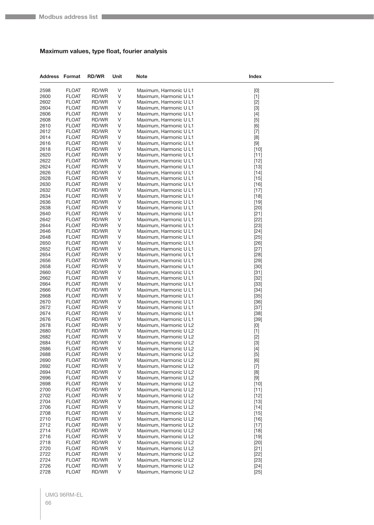#### **Maximum values, type float, fourier analysis**

| <b>Address Format</b> |                              | <b>RD/WR</b>   | Unit   | Note                                             | Index                                                                                                                                                                                                                |
|-----------------------|------------------------------|----------------|--------|--------------------------------------------------|----------------------------------------------------------------------------------------------------------------------------------------------------------------------------------------------------------------------|
| 2598                  | <b>FLOAT</b>                 | RD/WR          | V      | Maximum, Harmonic U L1                           | $[0]$                                                                                                                                                                                                                |
| 2600                  | <b>FLOAT</b>                 | RD/WR          | V      | Maximum, Harmonic U L1                           | $[1]$                                                                                                                                                                                                                |
| 2602                  | <b>FLOAT</b>                 | RD/WR          | V      | Maximum, Harmonic U L1                           | $[2]$                                                                                                                                                                                                                |
| 2604                  | <b>FLOAT</b>                 | RD/WR          | V      | Maximum, Harmonic U L1                           | $[3]$                                                                                                                                                                                                                |
| 2606                  | <b>FLOAT</b>                 | RD/WR          | V      | Maximum, Harmonic U L1                           | $[4]$                                                                                                                                                                                                                |
| 2608                  | <b>FLOAT</b>                 | RD/WR          | V      | Maximum, Harmonic U L1                           | $[5]$                                                                                                                                                                                                                |
| 2610                  | <b>FLOAT</b>                 | RD/WR          | V      | Maximum, Harmonic U L1                           | [6]                                                                                                                                                                                                                  |
| 2612                  | <b>FLOAT</b>                 | RD/WR          | V      | Maximum, Harmonic U L1                           | $[7]$                                                                                                                                                                                                                |
| 2614                  | <b>FLOAT</b>                 | RD/WR          | V      | Maximum, Harmonic U L1                           | [8]                                                                                                                                                                                                                  |
| 2616                  | <b>FLOAT</b>                 | RD/WR          | V      | Maximum, Harmonic U L1                           | $[9]$                                                                                                                                                                                                                |
| 2618                  | <b>FLOAT</b>                 | RD/WR          | V      | Maximum, Harmonic U L1                           | $[10]$                                                                                                                                                                                                               |
| 2620                  | <b>FLOAT</b>                 | RD/WR          | V      | Maximum, Harmonic U L1                           | $[11]$                                                                                                                                                                                                               |
| 2622<br>2624          | <b>FLOAT</b>                 | RD/WR          | V<br>V | Maximum, Harmonic U L1<br>Maximum, Harmonic U L1 | $[12]$                                                                                                                                                                                                               |
| 2626                  | <b>FLOAT</b><br><b>FLOAT</b> | RD/WR<br>RD/WR | V      | Maximum, Harmonic U L1                           | $[13]$<br>$[14]$                                                                                                                                                                                                     |
| 2628                  | <b>FLOAT</b>                 | RD/WR          | V      | Maximum, Harmonic U L1                           | $[15]$                                                                                                                                                                                                               |
| 2630                  | <b>FLOAT</b>                 | RD/WR          | V      | Maximum, Harmonic U L1                           | $[16]$                                                                                                                                                                                                               |
| 2632                  | <b>FLOAT</b>                 | RD/WR          | V      | Maximum, Harmonic U L1                           | $[17]$                                                                                                                                                                                                               |
| 2634                  | <b>FLOAT</b>                 | RD/WR          | V      | Maximum, Harmonic U L1                           | $[18]$                                                                                                                                                                                                               |
| 2636                  | <b>FLOAT</b>                 | RD/WR          | V      | Maximum, Harmonic U L1                           | $[19]$                                                                                                                                                                                                               |
| 2638                  | <b>FLOAT</b>                 | RD/WR          | V      | Maximum, Harmonic U L1                           | $[20]$                                                                                                                                                                                                               |
| 2640                  | <b>FLOAT</b>                 | RD/WR          | V      | Maximum, Harmonic U L1                           | $[21]$                                                                                                                                                                                                               |
| 2642                  | <b>FLOAT</b>                 | RD/WR          | V      | Maximum, Harmonic U L1                           | $[22]$                                                                                                                                                                                                               |
| 2644                  | <b>FLOAT</b>                 | RD/WR          | V      | Maximum, Harmonic U L1                           | $[23]$                                                                                                                                                                                                               |
| 2646                  | <b>FLOAT</b>                 | RD/WR          | V      | Maximum, Harmonic U L1                           | $[24]$                                                                                                                                                                                                               |
| 2648                  | <b>FLOAT</b>                 | RD/WR          | V      | Maximum, Harmonic U L1                           | $[25]$                                                                                                                                                                                                               |
| 2650                  | <b>FLOAT</b>                 | RD/WR          | V      | Maximum, Harmonic U L1                           | $[26]$                                                                                                                                                                                                               |
| 2652                  | <b>FLOAT</b>                 | RD/WR          | V      | Maximum, Harmonic U L1                           | $[27]$                                                                                                                                                                                                               |
| 2654                  | <b>FLOAT</b>                 | RD/WR          | V      | Maximum, Harmonic U L1                           | $[28]$                                                                                                                                                                                                               |
| 2656                  | <b>FLOAT</b>                 | RD/WR          | V      | Maximum, Harmonic U L1                           | $[29]$                                                                                                                                                                                                               |
| 2658                  | <b>FLOAT</b>                 | RD/WR          | V      | Maximum, Harmonic U L1                           | $[30]$                                                                                                                                                                                                               |
| 2660                  | <b>FLOAT</b>                 | RD/WR          | V      | Maximum, Harmonic U L1                           | $[31]$                                                                                                                                                                                                               |
| 2662                  | <b>FLOAT</b>                 | RD/WR          | V      | Maximum, Harmonic U L1                           | $[32]$                                                                                                                                                                                                               |
| 2664                  | <b>FLOAT</b>                 | RD/WR          | V      | Maximum, Harmonic U L1                           | $[33]$                                                                                                                                                                                                               |
| 2666<br>2668          | <b>FLOAT</b><br><b>FLOAT</b> | RD/WR          | V<br>V | Maximum, Harmonic U L1                           | $[34]$                                                                                                                                                                                                               |
| 2670                  | <b>FLOAT</b>                 | RD/WR<br>RD/WR | V      | Maximum, Harmonic U L1<br>Maximum, Harmonic U L1 | $[35]$<br>$[36]$                                                                                                                                                                                                     |
| 2672                  | <b>FLOAT</b>                 | RD/WR          | V      | Maximum, Harmonic U L1                           | $[37]$                                                                                                                                                                                                               |
| 2674                  | <b>FLOAT</b>                 | RD/WR          | V      | Maximum, Harmonic U L1                           | $[38]$                                                                                                                                                                                                               |
| 2676                  | <b>FLOAT</b>                 | RD/WR          | V      | Maximum, Harmonic U L1                           | $[39]$                                                                                                                                                                                                               |
| 2678                  | <b>FLOAT</b>                 | RD/WR          | V      | Maximum, Harmonic U L2                           | $[0]$                                                                                                                                                                                                                |
| 2680                  | <b>FLOAT</b>                 | RD/WR          | V      | Maximum, Harmonic U L2                           | $[1]$                                                                                                                                                                                                                |
| 2682                  | <b>FLOAT</b>                 | RD/WR          | V      | Maximum, Harmonic U L2                           | $[2]$                                                                                                                                                                                                                |
| 2684                  | <b>FLOAT</b>                 | RD/WR          | V      | Maximum, Harmonic U L2                           | $[3]$                                                                                                                                                                                                                |
| 2686                  | <b>FLOAT</b>                 | RD/WR          | V      | Maximum, Harmonic U L2                           | $[4]$                                                                                                                                                                                                                |
| 2688                  | <b>FLOAT</b>                 | RD/WR          | V      | Maximum, Harmonic U L2                           | $[5]$                                                                                                                                                                                                                |
| 2690                  | <b>FLOAT</b>                 | RD/WR          | V      | Maximum, Harmonic U L2                           | [6]                                                                                                                                                                                                                  |
| 2692                  | <b>FLOAT</b>                 | RD/WR          | V      | Maximum, Harmonic U L2                           | $[7]$                                                                                                                                                                                                                |
| 2694                  | <b>FLOAT</b>                 | RD/WR          | V      | Maximum, Harmonic U L2                           | $[8] % \begin{center} \includegraphics[width=\linewidth]{imagesSupplemental/Imetad2D.pdf} \end{center} % \vspace{-1em} \caption{The image shows the number of parameters in the left and right.} \label{fig:limsub}$ |
| 2696                  | <b>FLOAT</b>                 | RD/WR          | V      | Maximum, Harmonic U L2                           | $[9]$                                                                                                                                                                                                                |
| 2698                  | <b>FLOAT</b>                 | RD/WR          | V      | Maximum, Harmonic U L2                           | $[10]$                                                                                                                                                                                                               |
| 2700                  | <b>FLOAT</b>                 | RD/WR          | V      | Maximum, Harmonic U L2                           | $[11]$                                                                                                                                                                                                               |
| 2702<br>2704          | <b>FLOAT</b><br><b>FLOAT</b> | RD/WR<br>RD/WR | V<br>V | Maximum, Harmonic U L2<br>Maximum, Harmonic U L2 | $[12]$<br>$[13]$                                                                                                                                                                                                     |
| 2706                  | <b>FLOAT</b>                 | RD/WR          | V      | Maximum, Harmonic U L2                           | $[14]$                                                                                                                                                                                                               |
| 2708                  | <b>FLOAT</b>                 | RD/WR          | V      | Maximum, Harmonic U L2                           | $[15]$                                                                                                                                                                                                               |
| 2710                  | <b>FLOAT</b>                 | RD/WR          | V      | Maximum, Harmonic U L2                           | $[16]$                                                                                                                                                                                                               |
| 2712                  | <b>FLOAT</b>                 | RD/WR          | V      | Maximum, Harmonic U L2                           | $[17]$                                                                                                                                                                                                               |
| 2714                  | <b>FLOAT</b>                 | RD/WR          | V      | Maximum, Harmonic U L2                           | $[18]$                                                                                                                                                                                                               |
| 2716                  | <b>FLOAT</b>                 | RD/WR          | V      | Maximum, Harmonic U L2                           | $[19]$                                                                                                                                                                                                               |
| 2718                  | <b>FLOAT</b>                 | RD/WR          | V      | Maximum, Harmonic U L2                           | $[20]$                                                                                                                                                                                                               |
| 2720                  | <b>FLOAT</b>                 | RD/WR          | V      | Maximum, Harmonic U L2                           | $[21]$                                                                                                                                                                                                               |
| 2722                  | <b>FLOAT</b>                 | RD/WR          | V      | Maximum, Harmonic U L2                           | $[22]$                                                                                                                                                                                                               |
| 2724                  | <b>FLOAT</b>                 | RD/WR          | V      | Maximum, Harmonic U L2                           | $[23]$                                                                                                                                                                                                               |
| 2726                  | <b>FLOAT</b>                 | RD/WR          | V      | Maximum, Harmonic U L2                           | $[24]$                                                                                                                                                                                                               |
| 2728                  | <b>FLOAT</b>                 | RD/WR          | V      | Maximum, Harmonic U L2                           | $[25]$                                                                                                                                                                                                               |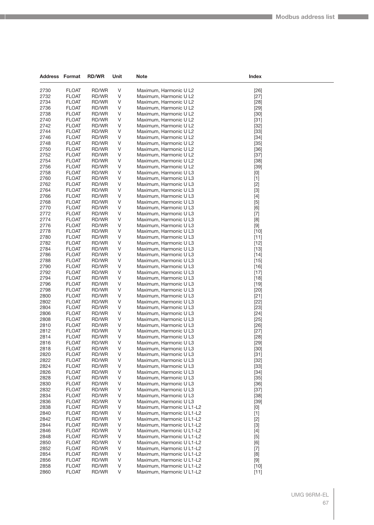| Address      | Format                       | <b>RD/WR</b>   | Unit   | Note                                                   | Index                                                                                                                                                                                                                                                                                                                                |  |
|--------------|------------------------------|----------------|--------|--------------------------------------------------------|--------------------------------------------------------------------------------------------------------------------------------------------------------------------------------------------------------------------------------------------------------------------------------------------------------------------------------------|--|
|              |                              |                |        |                                                        |                                                                                                                                                                                                                                                                                                                                      |  |
| 2730         | <b>FLOAT</b>                 | RD/WR<br>RD/WR | V      | Maximum, Harmonic U L2                                 | $[26]$                                                                                                                                                                                                                                                                                                                               |  |
| 2732<br>2734 | <b>FLOAT</b><br><b>FLOAT</b> | RD/WR          | V<br>V | Maximum, Harmonic U L2<br>Maximum, Harmonic U L2       | $[27]$<br>$[28]$                                                                                                                                                                                                                                                                                                                     |  |
| 2736         | <b>FLOAT</b>                 | RD/WR          | V      | Maximum, Harmonic U L2                                 | $[29]$                                                                                                                                                                                                                                                                                                                               |  |
| 2738         | <b>FLOAT</b>                 | RD/WR          | V      | Maximum, Harmonic U L2                                 | $[30]$                                                                                                                                                                                                                                                                                                                               |  |
| 2740         | <b>FLOAT</b>                 | RD/WR          | V      | Maximum, Harmonic U L2                                 | $[31]$                                                                                                                                                                                                                                                                                                                               |  |
| 2742         | <b>FLOAT</b>                 | RD/WR          | V      | Maximum, Harmonic U L2                                 | $[32]$                                                                                                                                                                                                                                                                                                                               |  |
| 2744         | <b>FLOAT</b>                 | RD/WR          | V      | Maximum, Harmonic U L2                                 | $[33]$                                                                                                                                                                                                                                                                                                                               |  |
| 2746         | <b>FLOAT</b>                 | RD/WR          | V      | Maximum, Harmonic U L2                                 | $[34]$                                                                                                                                                                                                                                                                                                                               |  |
| 2748         | <b>FLOAT</b>                 | RD/WR          | V      | Maximum, Harmonic U L2                                 | $[35]$                                                                                                                                                                                                                                                                                                                               |  |
| 2750         | <b>FLOAT</b>                 | RD/WR          | V      | Maximum, Harmonic U L2                                 | $[36]$                                                                                                                                                                                                                                                                                                                               |  |
| 2752         | <b>FLOAT</b>                 | RD/WR          | V      | Maximum, Harmonic U L2                                 | $[37]$                                                                                                                                                                                                                                                                                                                               |  |
| 2754         | <b>FLOAT</b>                 | RD/WR          | V      | Maximum, Harmonic U L2                                 | $[38]$                                                                                                                                                                                                                                                                                                                               |  |
| 2756<br>2758 | <b>FLOAT</b><br><b>FLOAT</b> | RD/WR<br>RD/WR | V<br>V | Maximum, Harmonic U L2                                 | $[39]$                                                                                                                                                                                                                                                                                                                               |  |
| 2760         | <b>FLOAT</b>                 | RD/WR          | V      | Maximum, Harmonic U L3<br>Maximum, Harmonic U L3       | $[0] % \begin{center} % \includegraphics[width=\linewidth]{imagesSupplemental_3.png} % \end{center} % \caption { % Our method can be used for the use of the image. % Note that the \emph{Def}(i) and the \emph{Def}(i) are the same and the \emph{Def}(i) and the \emph{Def}(i) are the same. % } % \label{fig:Defin_3} %$<br>$[1]$ |  |
| 2762         | <b>FLOAT</b>                 | RD/WR          | V      | Maximum, Harmonic U L3                                 | $[2]$                                                                                                                                                                                                                                                                                                                                |  |
| 2764         | <b>FLOAT</b>                 | RD/WR          | V      | Maximum, Harmonic U L3                                 | $[3]$                                                                                                                                                                                                                                                                                                                                |  |
| 2766         | <b>FLOAT</b>                 | RD/WR          | V      | Maximum, Harmonic U L3                                 | $[4]$                                                                                                                                                                                                                                                                                                                                |  |
| 2768         | <b>FLOAT</b>                 | RD/WR          | V      | Maximum, Harmonic U L3                                 | $[5]$                                                                                                                                                                                                                                                                                                                                |  |
| 2770         | <b>FLOAT</b>                 | RD/WR          | V      | Maximum, Harmonic U L3                                 | [6]                                                                                                                                                                                                                                                                                                                                  |  |
| 2772         | <b>FLOAT</b>                 | RD/WR          | V      | Maximum, Harmonic U L3                                 | $[7]$                                                                                                                                                                                                                                                                                                                                |  |
| 2774         | <b>FLOAT</b>                 | RD/WR          | V      | Maximum, Harmonic U L3                                 | [8]                                                                                                                                                                                                                                                                                                                                  |  |
| 2776         | <b>FLOAT</b>                 | RD/WR          | V      | Maximum, Harmonic U L3                                 | $[9]$                                                                                                                                                                                                                                                                                                                                |  |
| 2778         | <b>FLOAT</b>                 | RD/WR          | V      | Maximum, Harmonic U L3                                 | $[10]$                                                                                                                                                                                                                                                                                                                               |  |
| 2780         | <b>FLOAT</b>                 | RD/WR<br>RD/WR | V      | Maximum, Harmonic U L3                                 | $[11]$                                                                                                                                                                                                                                                                                                                               |  |
| 2782<br>2784 | <b>FLOAT</b><br><b>FLOAT</b> | RD/WR          | V<br>V | Maximum, Harmonic U L3<br>Maximum, Harmonic U L3       | $[12]$<br>$[13]$                                                                                                                                                                                                                                                                                                                     |  |
| 2786         | <b>FLOAT</b>                 | RD/WR          | V      | Maximum, Harmonic U L3                                 | $[14]$                                                                                                                                                                                                                                                                                                                               |  |
| 2788         | <b>FLOAT</b>                 | RD/WR          | V      | Maximum, Harmonic U L3                                 | $[15]$                                                                                                                                                                                                                                                                                                                               |  |
| 2790         | <b>FLOAT</b>                 | RD/WR          | V      | Maximum, Harmonic U L3                                 | $[16]$                                                                                                                                                                                                                                                                                                                               |  |
| 2792         | <b>FLOAT</b>                 | RD/WR          | V      | Maximum, Harmonic U L3                                 | $[17]$                                                                                                                                                                                                                                                                                                                               |  |
| 2794         | <b>FLOAT</b>                 | RD/WR          | V      | Maximum, Harmonic U L3                                 | $[18]$                                                                                                                                                                                                                                                                                                                               |  |
| 2796         | <b>FLOAT</b>                 | RD/WR          | V      | Maximum, Harmonic U L3                                 | $[19]$                                                                                                                                                                                                                                                                                                                               |  |
| 2798         | <b>FLOAT</b>                 | RD/WR          | V      | Maximum, Harmonic U L3                                 | $[20]$                                                                                                                                                                                                                                                                                                                               |  |
| 2800         | <b>FLOAT</b>                 | RD/WR          | V      | Maximum, Harmonic U L3                                 | $[21]$                                                                                                                                                                                                                                                                                                                               |  |
| 2802         | <b>FLOAT</b>                 | RD/WR          | V      | Maximum, Harmonic U L3                                 | $[22]$                                                                                                                                                                                                                                                                                                                               |  |
| 2804<br>2806 | <b>FLOAT</b><br><b>FLOAT</b> | RD/WR<br>RD/WR | V<br>V | Maximum, Harmonic U L3<br>Maximum, Harmonic U L3       | $[23]$<br>$[24]$                                                                                                                                                                                                                                                                                                                     |  |
| 2808         | <b>FLOAT</b>                 | RD/WR          | V      | Maximum, Harmonic U L3                                 | $[25]$                                                                                                                                                                                                                                                                                                                               |  |
| 2810         | <b>FLOAT</b>                 | RD/WR          | V      | Maximum, Harmonic U L3                                 | $[26]$                                                                                                                                                                                                                                                                                                                               |  |
| 2812         | <b>FLOAT</b>                 | RD/WR          | V      | Maximum, Harmonic U L3                                 | $[27]$                                                                                                                                                                                                                                                                                                                               |  |
| 2814         | <b>FLOAT</b>                 | RD/WR          | V      | Maximum, Harmonic U L3                                 | $[28]$                                                                                                                                                                                                                                                                                                                               |  |
| 2816         | <b>FLOAT</b>                 | RD/WR          | V      | Maximum, Harmonic U L3                                 | $[29]$                                                                                                                                                                                                                                                                                                                               |  |
| 2818         | <b>FLOAT</b>                 | RD/WR          | V      | Maximum, Harmonic U L3                                 | $[30]$                                                                                                                                                                                                                                                                                                                               |  |
| 2820         | <b>FLOAT</b>                 | RD/WR          | V      | Maximum, Harmonic U L3                                 | $[31]$                                                                                                                                                                                                                                                                                                                               |  |
| 2822         | <b>FLOAT</b>                 | RD/WR          | V      | Maximum, Harmonic U L3                                 | $[32]$                                                                                                                                                                                                                                                                                                                               |  |
| 2824         | <b>FLOAT</b>                 | RD/WR          | V      | Maximum, Harmonic U L3                                 | $[33]$                                                                                                                                                                                                                                                                                                                               |  |
| 2826<br>2828 | <b>FLOAT</b><br><b>FLOAT</b> | RD/WR<br>RD/WR | V<br>V | Maximum, Harmonic U L3<br>Maximum, Harmonic U L3       | $[34]$                                                                                                                                                                                                                                                                                                                               |  |
| 2830         | FLOAT                        | RD/WR          | ٧      | Maximum, Harmonic U L3                                 | $[35]$<br>$[36]$                                                                                                                                                                                                                                                                                                                     |  |
| 2832         | <b>FLOAT</b>                 | RD/WR          | ٧      | Maximum, Harmonic U L3                                 | $[37]$                                                                                                                                                                                                                                                                                                                               |  |
| 2834         | <b>FLOAT</b>                 | RD/WR          | V      | Maximum, Harmonic U L3                                 | $[38]$                                                                                                                                                                                                                                                                                                                               |  |
| 2836         | <b>FLOAT</b>                 | RD/WR          | V      | Maximum, Harmonic U L3                                 | $[39]$                                                                                                                                                                                                                                                                                                                               |  |
| 2838         | <b>FLOAT</b>                 | RD/WR          | V      | Maximum, Harmonic U L1-L2                              | [0]                                                                                                                                                                                                                                                                                                                                  |  |
| 2840         | FLOAT                        | RD/WR          | ٧      | Maximum, Harmonic U L1-L2                              | $[1]$                                                                                                                                                                                                                                                                                                                                |  |
| 2842         | <b>FLOAT</b>                 | RD/WR          | ٧      | Maximum, Harmonic U L1-L2                              | $[2]$                                                                                                                                                                                                                                                                                                                                |  |
| 2844         | <b>FLOAT</b>                 | RD/WR          | V      | Maximum, Harmonic U L1-L2                              | $[3]$                                                                                                                                                                                                                                                                                                                                |  |
| 2846         | <b>FLOAT</b>                 | RD/WR          | V      | Maximum, Harmonic U L1-L2                              | $[4]$                                                                                                                                                                                                                                                                                                                                |  |
| 2848         | <b>FLOAT</b>                 | RD/WR          | V      | Maximum, Harmonic U L1-L2                              | $[5]$                                                                                                                                                                                                                                                                                                                                |  |
| 2850<br>2852 | FLOAT<br><b>FLOAT</b>        | RD/WR<br>RD/WR | ٧<br>٧ | Maximum, Harmonic U L1-L2<br>Maximum, Harmonic U L1-L2 | [6]<br>$[7]$                                                                                                                                                                                                                                                                                                                         |  |
| 2854         | <b>FLOAT</b>                 | RD/WR          | V      | Maximum, Harmonic U L1-L2                              | [8]                                                                                                                                                                                                                                                                                                                                  |  |
| 2856         | <b>FLOAT</b>                 | RD/WR          | V      | Maximum, Harmonic U L1-L2                              | $[9]$                                                                                                                                                                                                                                                                                                                                |  |
| 2858         | <b>FLOAT</b>                 | RD/WR          | V      | Maximum, Harmonic U L1-L2                              | $[10]$                                                                                                                                                                                                                                                                                                                               |  |
| 2860         | <b>FLOAT</b>                 | RD/WR          | V      | Maximum, Harmonic U L1-L2                              | $[11]$                                                                                                                                                                                                                                                                                                                               |  |
|              |                              |                |        |                                                        |                                                                                                                                                                                                                                                                                                                                      |  |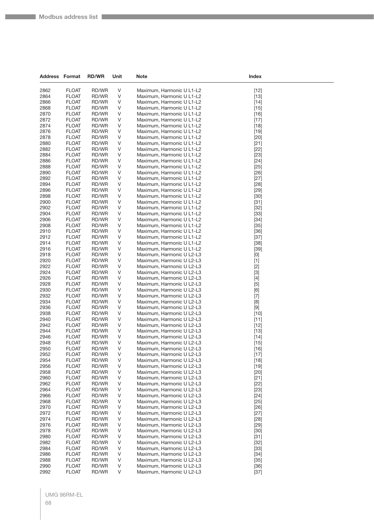| <b>Address Format</b> |                              | <b>RD/WR</b>   | Unit   | Note                                                   | Index            |  |
|-----------------------|------------------------------|----------------|--------|--------------------------------------------------------|------------------|--|
| 2862                  | <b>FLOAT</b>                 | RD/WR          | V      | Maximum, Harmonic U L1-L2                              |                  |  |
| 2864                  | <b>FLOAT</b>                 | RD/WR          | V      | Maximum, Harmonic U L1-L2                              | $[12]$<br>$[13]$ |  |
| 2866                  | <b>FLOAT</b>                 | RD/WR          | V      | Maximum, Harmonic U L1-L2                              | $[14]$           |  |
| 2868                  | <b>FLOAT</b>                 | RD/WR          | V      | Maximum, Harmonic U L1-L2                              | $[15]$           |  |
| 2870                  | <b>FLOAT</b>                 | RD/WR          | V      | Maximum, Harmonic U L1-L2                              | $[16]$           |  |
| 2872                  | <b>FLOAT</b>                 | RD/WR          | V      | Maximum, Harmonic U L1-L2                              | $[17]$           |  |
| 2874                  | <b>FLOAT</b>                 | RD/WR          | V      | Maximum, Harmonic U L1-L2                              | $[18]$           |  |
| 2876                  | <b>FLOAT</b>                 | RD/WR          | V      | Maximum, Harmonic U L1-L2                              | $[19]$           |  |
| 2878                  | <b>FLOAT</b>                 | RD/WR          | V      | Maximum, Harmonic U L1-L2                              | $[20]$           |  |
| 2880                  | <b>FLOAT</b>                 | RD/WR          | V      | Maximum, Harmonic U L1-L2                              | $[21]$           |  |
| 2882                  | <b>FLOAT</b>                 | RD/WR          | V      | Maximum, Harmonic U L1-L2                              | $[22]$           |  |
| 2884                  | <b>FLOAT</b>                 | RD/WR          | V      | Maximum, Harmonic U L1-L2                              | $[23]$           |  |
| 2886                  | <b>FLOAT</b>                 | RD/WR          | V      | Maximum, Harmonic U L1-L2                              | $[24]$           |  |
| 2888                  | <b>FLOAT</b>                 | RD/WR          | V      | Maximum, Harmonic U L1-L2                              | $[25]$           |  |
| 2890                  | <b>FLOAT</b>                 | RD/WR          | V      | Maximum, Harmonic U L1-L2                              | $[26]$           |  |
| 2892                  | <b>FLOAT</b>                 | RD/WR          | V      | Maximum, Harmonic U L1-L2                              | $[27]$           |  |
| 2894                  | <b>FLOAT</b>                 | RD/WR          | V      | Maximum, Harmonic U L1-L2                              | $[28]$           |  |
| 2896                  | <b>FLOAT</b>                 | RD/WR          | V      | Maximum, Harmonic U L1-L2                              | $[29]$           |  |
| 2898                  | <b>FLOAT</b>                 | RD/WR          | V      | Maximum, Harmonic U L1-L2                              | $[30]$           |  |
| 2900                  | <b>FLOAT</b>                 | RD/WR          | V      | Maximum, Harmonic U L1-L2                              | $[31]$           |  |
| 2902                  | <b>FLOAT</b>                 | RD/WR          | V      | Maximum, Harmonic U L1-L2                              | $[32]$           |  |
| 2904                  | <b>FLOAT</b>                 | RD/WR          | V      | Maximum, Harmonic U L1-L2                              | $[33]$           |  |
| 2906<br>2908          | <b>FLOAT</b><br><b>FLOAT</b> | RD/WR<br>RD/WR | V<br>V | Maximum, Harmonic U L1-L2                              | $[34]$<br>$[35]$ |  |
| 2910                  | <b>FLOAT</b>                 | RD/WR          | V      | Maximum, Harmonic U L1-L2<br>Maximum, Harmonic U L1-L2 | $[36]$           |  |
| 2912                  | <b>FLOAT</b>                 | RD/WR          | V      | Maximum, Harmonic U L1-L2                              | $[37]$           |  |
| 2914                  | <b>FLOAT</b>                 | RD/WR          | V      | Maximum, Harmonic U L1-L2                              | $[38]$           |  |
| 2916                  | <b>FLOAT</b>                 | RD/WR          | V      | Maximum, Harmonic U L1-L2                              | $[39]$           |  |
| 2918                  | <b>FLOAT</b>                 | RD/WR          | V      | Maximum, Harmonic U L2-L3                              | [0]              |  |
| 2920                  | <b>FLOAT</b>                 | RD/WR          | V      | Maximum, Harmonic U L2-L3                              | $[1]$            |  |
| 2922                  | <b>FLOAT</b>                 | RD/WR          | V      | Maximum, Harmonic U L2-L3                              | $[2]$            |  |
| 2924                  | <b>FLOAT</b>                 | RD/WR          | V      | Maximum, Harmonic U L2-L3                              | $[3]$            |  |
| 2926                  | <b>FLOAT</b>                 | RD/WR          | V      | Maximum, Harmonic U L2-L3                              | $[4]$            |  |
| 2928                  | <b>FLOAT</b>                 | RD/WR          | V      | Maximum, Harmonic U L2-L3                              | $[5]$            |  |
| 2930                  | <b>FLOAT</b>                 | RD/WR          | V      | Maximum, Harmonic U L2-L3                              | [6]              |  |
| 2932                  | <b>FLOAT</b>                 | RD/WR          | V      | Maximum, Harmonic U L2-L3                              | $[7]$            |  |
| 2934                  | <b>FLOAT</b>                 | RD/WR          | V      | Maximum, Harmonic U L2-L3                              | [8]              |  |
| 2936                  | <b>FLOAT</b>                 | RD/WR          | V      | Maximum, Harmonic U L2-L3                              | $[9]$            |  |
| 2938                  | <b>FLOAT</b>                 | RD/WR          | V      | Maximum, Harmonic U L2-L3                              | $[10]$           |  |
| 2940                  | <b>FLOAT</b>                 | RD/WR          | V      | Maximum, Harmonic U L2-L3                              | $[11]$           |  |
| 2942                  | <b>FLOAT</b>                 | RD/WR          | V      | Maximum, Harmonic U L2-L3                              | $[12]$           |  |
| 2944                  | <b>FLOAT</b>                 | RD/WR          | V      | Maximum, Harmonic U L2-L3                              | $[13]$           |  |
| 2946                  | <b>FLOAT</b>                 | RD/WR          | V      | Maximum, Harmonic U L2-L3                              | $[14]$           |  |
| 2948                  | <b>FLOAT</b>                 | RD/WR          | V      | Maximum, Harmonic U L2-L3                              | $[15]$           |  |
| 2950                  | <b>FLOAT</b><br><b>FLOAT</b> | RD/WR          | V<br>V | Maximum, Harmonic U L2-L3                              | $[16]$           |  |
| 2952<br>2954          | <b>FLOAT</b>                 | RD/WR<br>RD/WR | V      | Maximum, Harmonic U L2-L3<br>Maximum, Harmonic U L2-L3 | $[17]$<br>$[18]$ |  |
| 2956                  | <b>FLOAT</b>                 | RD/WR          | V      | Maximum, Harmonic U L2-L3                              | $[19]$           |  |
| 2958                  | <b>FLOAT</b>                 | RD/WR          | V      | Maximum, Harmonic U L2-L3                              | $[20]$           |  |
| 2960                  | <b>FLOAT</b>                 | RD/WR          | V      | Maximum, Harmonic U L2-L3                              | $[21]$           |  |
| 2962                  | <b>FLOAT</b>                 | RD/WR          | V      | Maximum, Harmonic U L2-L3                              | $[22]$           |  |
| 2964                  | <b>FLOAT</b>                 | RD/WR          | V      | Maximum, Harmonic U L2-L3                              | $[23]$           |  |
| 2966                  | <b>FLOAT</b>                 | RD/WR          | V      | Maximum, Harmonic U L2-L3                              | $[24]$           |  |
| 2968                  | <b>FLOAT</b>                 | RD/WR          | V      | Maximum, Harmonic U L2-L3                              | $[25]$           |  |
| 2970                  | <b>FLOAT</b>                 | RD/WR          | V      | Maximum, Harmonic U L2-L3                              | $[26]$           |  |
| 2972                  | <b>FLOAT</b>                 | RD/WR          | V      | Maximum, Harmonic U L2-L3                              | $[27]$           |  |
| 2974                  | <b>FLOAT</b>                 | RD/WR          | V      | Maximum, Harmonic U L2-L3                              | $[28]$           |  |
| 2976                  | <b>FLOAT</b>                 | RD/WR          | V      | Maximum, Harmonic U L2-L3                              | $[29]$           |  |
| 2978                  | <b>FLOAT</b>                 | RD/WR          | V      | Maximum, Harmonic U L2-L3                              | $[30]$           |  |
| 2980                  | <b>FLOAT</b>                 | RD/WR          | V      | Maximum, Harmonic U L2-L3                              | $[31]$           |  |
| 2982                  | <b>FLOAT</b>                 | RD/WR          | V      | Maximum, Harmonic U L2-L3                              | $[32]$           |  |
| 2984                  | <b>FLOAT</b>                 | RD/WR          | V      | Maximum, Harmonic U L2-L3                              | $[33]$           |  |
| 2986                  | <b>FLOAT</b>                 | RD/WR          | V      | Maximum, Harmonic U L2-L3                              | $[34]$           |  |
| 2988                  | <b>FLOAT</b>                 | RD/WR          | V      | Maximum, Harmonic U L2-L3                              | $[35]$           |  |
| 2990<br>2992          | <b>FLOAT</b><br><b>FLOAT</b> | RD/WR<br>RD/WR | V<br>V | Maximum, Harmonic U L2-L3<br>Maximum, Harmonic U L2-L3 | $[36]$<br>$[37]$ |  |
|                       |                              |                |        |                                                        |                  |  |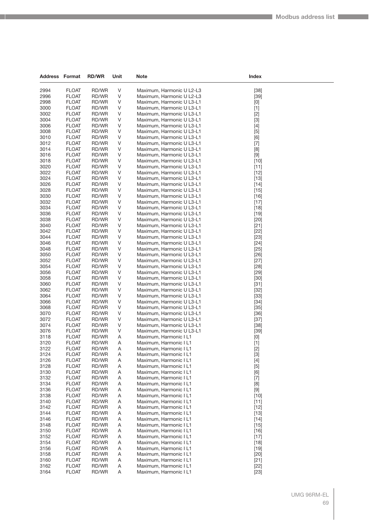| <b>Address Format</b> |                              | <b>RD/WR</b>   | Unit        | Note                                                   | Index                                                                                                                                                                                                                                                                                                                                                                                                                                                                                                                                                                                              |  |
|-----------------------|------------------------------|----------------|-------------|--------------------------------------------------------|----------------------------------------------------------------------------------------------------------------------------------------------------------------------------------------------------------------------------------------------------------------------------------------------------------------------------------------------------------------------------------------------------------------------------------------------------------------------------------------------------------------------------------------------------------------------------------------------------|--|
| 2994                  | <b>FLOAT</b>                 | RD/WR          | $\vee$      | Maximum, Harmonic U L2-L3                              | $[38]$                                                                                                                                                                                                                                                                                                                                                                                                                                                                                                                                                                                             |  |
| 2996                  | <b>FLOAT</b>                 | RD/WR          | $\vee$      | Maximum, Harmonic U L2-L3                              | $[39]$                                                                                                                                                                                                                                                                                                                                                                                                                                                                                                                                                                                             |  |
| 2998                  | <b>FLOAT</b>                 | RD/WR          | V           | Maximum, Harmonic U L3-L1                              | [0]                                                                                                                                                                                                                                                                                                                                                                                                                                                                                                                                                                                                |  |
| 3000                  | <b>FLOAT</b>                 | RD/WR          | V           | Maximum, Harmonic U L3-L1                              | $[1]$                                                                                                                                                                                                                                                                                                                                                                                                                                                                                                                                                                                              |  |
| 3002                  | <b>FLOAT</b>                 | RD/WR          | V           | Maximum, Harmonic U L3-L1                              | $[2]$                                                                                                                                                                                                                                                                                                                                                                                                                                                                                                                                                                                              |  |
| 3004                  | <b>FLOAT</b>                 | RD/WR          | $\vee$      | Maximum, Harmonic U L3-L1                              | $[3]$                                                                                                                                                                                                                                                                                                                                                                                                                                                                                                                                                                                              |  |
| 3006                  | <b>FLOAT</b>                 | RD/WR          | V           | Maximum, Harmonic U L3-L1                              | $[4]$                                                                                                                                                                                                                                                                                                                                                                                                                                                                                                                                                                                              |  |
| 3008                  | <b>FLOAT</b>                 | RD/WR          | V           | Maximum, Harmonic U L3-L1                              | $[5]$                                                                                                                                                                                                                                                                                                                                                                                                                                                                                                                                                                                              |  |
| 3010                  | <b>FLOAT</b>                 | RD/WR          | $\vee$      | Maximum, Harmonic U L3-L1                              | [6]                                                                                                                                                                                                                                                                                                                                                                                                                                                                                                                                                                                                |  |
| 3012                  | <b>FLOAT</b>                 | RD/WR          | V           | Maximum, Harmonic U L3-L1                              | $[7]$                                                                                                                                                                                                                                                                                                                                                                                                                                                                                                                                                                                              |  |
| 3014                  | <b>FLOAT</b>                 | RD/WR          | $\vee$      | Maximum, Harmonic U L3-L1                              | [8]                                                                                                                                                                                                                                                                                                                                                                                                                                                                                                                                                                                                |  |
| 3016<br>3018          | <b>FLOAT</b><br><b>FLOAT</b> | RD/WR<br>RD/WR | V<br>$\vee$ | Maximum, Harmonic U L3-L1                              | $[9]$                                                                                                                                                                                                                                                                                                                                                                                                                                                                                                                                                                                              |  |
| 3020                  | <b>FLOAT</b>                 | RD/WR          | $\vee$      | Maximum, Harmonic U L3-L1<br>Maximum, Harmonic U L3-L1 | $[10]$<br>$[11]$                                                                                                                                                                                                                                                                                                                                                                                                                                                                                                                                                                                   |  |
| 3022                  | <b>FLOAT</b>                 | RD/WR          | V           | Maximum, Harmonic U L3-L1                              | $[12]$                                                                                                                                                                                                                                                                                                                                                                                                                                                                                                                                                                                             |  |
| 3024                  | <b>FLOAT</b>                 | RD/WR          | $\vee$      | Maximum, Harmonic U L3-L1                              | $[13]$                                                                                                                                                                                                                                                                                                                                                                                                                                                                                                                                                                                             |  |
| 3026                  | <b>FLOAT</b>                 | RD/WR          | V           | Maximum, Harmonic U L3-L1                              | $[14]$                                                                                                                                                                                                                                                                                                                                                                                                                                                                                                                                                                                             |  |
| 3028                  | <b>FLOAT</b>                 | RD/WR          | V           | Maximum, Harmonic U L3-L1                              | $[15]$                                                                                                                                                                                                                                                                                                                                                                                                                                                                                                                                                                                             |  |
| 3030                  | <b>FLOAT</b>                 | RD/WR          | $\vee$      | Maximum, Harmonic U L3-L1                              | $[16]$                                                                                                                                                                                                                                                                                                                                                                                                                                                                                                                                                                                             |  |
| 3032                  | <b>FLOAT</b>                 | RD/WR          | V           | Maximum, Harmonic U L3-L1                              | $[17]$                                                                                                                                                                                                                                                                                                                                                                                                                                                                                                                                                                                             |  |
| 3034                  | <b>FLOAT</b>                 | RD/WR          | $\vee$      | Maximum, Harmonic U L3-L1                              | $[18]$                                                                                                                                                                                                                                                                                                                                                                                                                                                                                                                                                                                             |  |
| 3036                  | <b>FLOAT</b>                 | RD/WR          | V           | Maximum, Harmonic U L3-L1                              | $[19]$                                                                                                                                                                                                                                                                                                                                                                                                                                                                                                                                                                                             |  |
| 3038                  | <b>FLOAT</b>                 | RD/WR          | V           | Maximum, Harmonic U L3-L1                              | $[20]$                                                                                                                                                                                                                                                                                                                                                                                                                                                                                                                                                                                             |  |
| 3040                  | <b>FLOAT</b>                 | RD/WR          | V           | Maximum, Harmonic U L3-L1                              | $[21]$                                                                                                                                                                                                                                                                                                                                                                                                                                                                                                                                                                                             |  |
| 3042                  | <b>FLOAT</b>                 | RD/WR          | V           | Maximum, Harmonic U L3-L1                              | $[22]$                                                                                                                                                                                                                                                                                                                                                                                                                                                                                                                                                                                             |  |
| 3044                  | <b>FLOAT</b>                 | RD/WR          | $\vee$      | Maximum, Harmonic U L3-L1                              | $[23]$                                                                                                                                                                                                                                                                                                                                                                                                                                                                                                                                                                                             |  |
| 3046                  | <b>FLOAT</b>                 | RD/WR          | V           | Maximum, Harmonic U L3-L1                              | $[24]$                                                                                                                                                                                                                                                                                                                                                                                                                                                                                                                                                                                             |  |
| 3048                  | <b>FLOAT</b>                 | RD/WR          | V<br>$\vee$ | Maximum, Harmonic U L3-L1                              | $[25]$                                                                                                                                                                                                                                                                                                                                                                                                                                                                                                                                                                                             |  |
| 3050<br>3052          | <b>FLOAT</b>                 | RD/WR<br>RD/WR | V           | Maximum, Harmonic U L3-L1                              | $[26]$                                                                                                                                                                                                                                                                                                                                                                                                                                                                                                                                                                                             |  |
| 3054                  | <b>FLOAT</b><br><b>FLOAT</b> | RD/WR          | $\vee$      | Maximum, Harmonic U L3-L1<br>Maximum, Harmonic U L3-L1 | $[27]$<br>$[28]$                                                                                                                                                                                                                                                                                                                                                                                                                                                                                                                                                                                   |  |
| 3056                  | <b>FLOAT</b>                 | RD/WR          | V           | Maximum, Harmonic U L3-L1                              | $[29]$                                                                                                                                                                                                                                                                                                                                                                                                                                                                                                                                                                                             |  |
| 3058                  | <b>FLOAT</b>                 | RD/WR          | V           | Maximum, Harmonic U L3-L1                              | $[30]$                                                                                                                                                                                                                                                                                                                                                                                                                                                                                                                                                                                             |  |
| 3060                  | <b>FLOAT</b>                 | RD/WR          | $\vee$      | Maximum, Harmonic U L3-L1                              | $[31]$                                                                                                                                                                                                                                                                                                                                                                                                                                                                                                                                                                                             |  |
| 3062                  | <b>FLOAT</b>                 | RD/WR          | V           | Maximum, Harmonic U L3-L1                              | $[32]$                                                                                                                                                                                                                                                                                                                                                                                                                                                                                                                                                                                             |  |
| 3064                  | <b>FLOAT</b>                 | RD/WR          | $\vee$      | Maximum, Harmonic U L3-L1                              | $[33]$                                                                                                                                                                                                                                                                                                                                                                                                                                                                                                                                                                                             |  |
| 3066                  | <b>FLOAT</b>                 | RD/WR          | V           | Maximum, Harmonic U L3-L1                              | $[34]$                                                                                                                                                                                                                                                                                                                                                                                                                                                                                                                                                                                             |  |
| 3068                  | <b>FLOAT</b>                 | RD/WR          | V           | Maximum, Harmonic U L3-L1                              | $[35]$                                                                                                                                                                                                                                                                                                                                                                                                                                                                                                                                                                                             |  |
| 3070                  | <b>FLOAT</b>                 | RD/WR          | $\vee$      | Maximum, Harmonic U L3-L1                              | $[36]$                                                                                                                                                                                                                                                                                                                                                                                                                                                                                                                                                                                             |  |
| 3072                  | <b>FLOAT</b>                 | RD/WR          | V           | Maximum, Harmonic U L3-L1                              | $[37]$                                                                                                                                                                                                                                                                                                                                                                                                                                                                                                                                                                                             |  |
| 3074                  | <b>FLOAT</b>                 | RD/WR          | $\vee$      | Maximum, Harmonic U L3-L1                              | $[38]$                                                                                                                                                                                                                                                                                                                                                                                                                                                                                                                                                                                             |  |
| 3076                  | <b>FLOAT</b>                 | RD/WR          | V           | Maximum, Harmonic U L3-L1                              | $[39]$                                                                                                                                                                                                                                                                                                                                                                                                                                                                                                                                                                                             |  |
| 3118                  | <b>FLOAT</b>                 | RD/WR          | Α           | Maximum, Harmonic I L1                                 | $[0] % \begin{center} % \includegraphics[width=\linewidth]{imagesSupplemental_3.png} % \end{center} % \caption { % Our method can be used for the use of the image. % Note that the \emph{DefNet}~\cite{bib66} as a function of the \emph{DefNet}~\cite{bib66} as a function of the \emph{DefNet}~\cite{bib66} as a function of the \emph{DefNet}~\cite{bib66} as a function of the \emph{DefNet}~\cite{bib66} as a function of the \emph{DefNet}~\cite{bib66} as a function of the \emph{DefNet}~\cite{bib66} as a function of the \emph{DefNet}~\cite{bib66} as a function of the \emph{DefNet}$ |  |
| 3120<br>3122          | <b>FLOAT</b><br><b>FLOAT</b> | RD/WR<br>RD/WR | Α<br>Α      | Maximum, Harmonic I L1<br>Maximum, Harmonic I L1       | $[1]$                                                                                                                                                                                                                                                                                                                                                                                                                                                                                                                                                                                              |  |
| 3124                  | <b>FLOAT</b>                 | RD/WR          | Α           | Maximum, Harmonic I L1                                 | $[2]$<br>$[3]$                                                                                                                                                                                                                                                                                                                                                                                                                                                                                                                                                                                     |  |
| 3126                  | <b>FLOAT</b>                 | RD/WR          | A           | Maximum, Harmonic I L1                                 | $[4]$                                                                                                                                                                                                                                                                                                                                                                                                                                                                                                                                                                                              |  |
| 3128                  | <b>FLOAT</b>                 | RD/WR          | Α           | Maximum, Harmonic I L1                                 | $[5]$                                                                                                                                                                                                                                                                                                                                                                                                                                                                                                                                                                                              |  |
| 3130                  | <b>FLOAT</b>                 | RD/WR          | Α           | Maximum, Harmonic I L1                                 | [6]                                                                                                                                                                                                                                                                                                                                                                                                                                                                                                                                                                                                |  |
| 3132                  | <b>FLOAT</b>                 | RD/WR          | Α           | Maximum, Harmonic I L1                                 | $[7]$                                                                                                                                                                                                                                                                                                                                                                                                                                                                                                                                                                                              |  |
| 3134                  | <b>FLOAT</b>                 | RD/WR          | Α           | Maximum, Harmonic I L1                                 | $[8] % \begin{center} \includegraphics[width=\linewidth]{imagesSupplemental/Imetad2D.pdf} \end{center} % \vspace{-1em} \caption{The image shows the number of parameters in the left and right.} \label{fig:limsub}$                                                                                                                                                                                                                                                                                                                                                                               |  |
| 3136                  | <b>FLOAT</b>                 | RD/WR          | A           | Maximum, Harmonic I L1                                 | $[9]$                                                                                                                                                                                                                                                                                                                                                                                                                                                                                                                                                                                              |  |
| 3138                  | <b>FLOAT</b>                 | RD/WR          | A           | Maximum, Harmonic I L1                                 | $[10]$                                                                                                                                                                                                                                                                                                                                                                                                                                                                                                                                                                                             |  |
| 3140                  | <b>FLOAT</b>                 | RD/WR          | A           | Maximum, Harmonic I L1                                 | $[11]$                                                                                                                                                                                                                                                                                                                                                                                                                                                                                                                                                                                             |  |
| 3142                  | <b>FLOAT</b>                 | RD/WR          | A           | Maximum, Harmonic I L1                                 | $[12]$                                                                                                                                                                                                                                                                                                                                                                                                                                                                                                                                                                                             |  |
| 3144                  | <b>FLOAT</b>                 | RD/WR          | Α           | Maximum, Harmonic I L1                                 | $[13]$                                                                                                                                                                                                                                                                                                                                                                                                                                                                                                                                                                                             |  |
| 3146                  | <b>FLOAT</b>                 | RD/WR          | A           | Maximum, Harmonic I L1                                 | $[14]$                                                                                                                                                                                                                                                                                                                                                                                                                                                                                                                                                                                             |  |
| 3148                  | <b>FLOAT</b>                 | RD/WR          | A           | Maximum, Harmonic I L1                                 | $[15]$                                                                                                                                                                                                                                                                                                                                                                                                                                                                                                                                                                                             |  |
| 3150<br>3152          | <b>FLOAT</b><br><b>FLOAT</b> | RD/WR<br>RD/WR | Α           | Maximum, Harmonic I L1                                 | $[16]$                                                                                                                                                                                                                                                                                                                                                                                                                                                                                                                                                                                             |  |
| 3154                  | <b>FLOAT</b>                 | RD/WR          | Α<br>Α      | Maximum, Harmonic I L1<br>Maximum, Harmonic I L1       | $[17]$<br>$[18]$                                                                                                                                                                                                                                                                                                                                                                                                                                                                                                                                                                                   |  |
| 3156                  | <b>FLOAT</b>                 | RD/WR          | A           | Maximum, Harmonic I L1                                 | $[19]$                                                                                                                                                                                                                                                                                                                                                                                                                                                                                                                                                                                             |  |
| 3158                  | <b>FLOAT</b>                 | RD/WR          | A           | Maximum, Harmonic I L1                                 | $[20]$                                                                                                                                                                                                                                                                                                                                                                                                                                                                                                                                                                                             |  |
| 3160                  | <b>FLOAT</b>                 | RD/WR          | Α           | Maximum, Harmonic I L1                                 | $[21]$                                                                                                                                                                                                                                                                                                                                                                                                                                                                                                                                                                                             |  |
| 3162                  | <b>FLOAT</b>                 | RD/WR          | Α           | Maximum, Harmonic I L1                                 | $[22]$                                                                                                                                                                                                                                                                                                                                                                                                                                                                                                                                                                                             |  |
| 3164                  | <b>FLOAT</b>                 | RD/WR          | Α           | Maximum, Harmonic I L1                                 | $[23]$                                                                                                                                                                                                                                                                                                                                                                                                                                                                                                                                                                                             |  |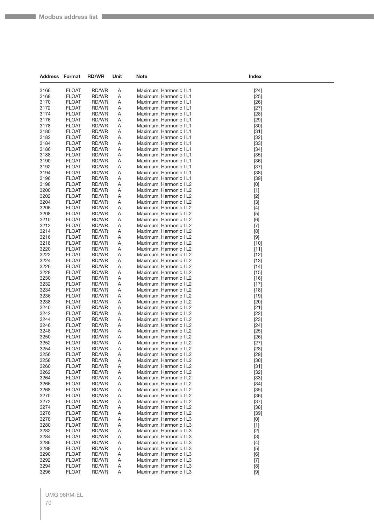| <b>Address Format</b> |                              | <b>RD/WR</b>   | Unit   | <b>Note</b>                                      | Index                                                                                                                                                                                  |
|-----------------------|------------------------------|----------------|--------|--------------------------------------------------|----------------------------------------------------------------------------------------------------------------------------------------------------------------------------------------|
| 3166                  | <b>FLOAT</b>                 | RD/WR          | Α      | Maximum, Harmonic I L1                           | $[24]$                                                                                                                                                                                 |
| 3168                  | <b>FLOAT</b>                 | RD/WR          | Α      | Maximum, Harmonic I L1                           | $[25]$                                                                                                                                                                                 |
| 3170                  | <b>FLOAT</b>                 | RD/WR          | Α      | Maximum, Harmonic I L1                           | $[26]$                                                                                                                                                                                 |
| 3172                  | <b>FLOAT</b>                 | RD/WR          | Α      | Maximum, Harmonic I L1                           | $[27]$                                                                                                                                                                                 |
| 3174                  | <b>FLOAT</b>                 | RD/WR          | Α      | Maximum, Harmonic I L1                           | $[28]$                                                                                                                                                                                 |
| 3176                  | <b>FLOAT</b>                 | RD/WR          | Α      | Maximum, Harmonic I L1                           | $[29]$                                                                                                                                                                                 |
| 3178                  | <b>FLOAT</b>                 | RD/WR          | Α      | Maximum, Harmonic I L1                           | $[30]$                                                                                                                                                                                 |
| 3180                  | <b>FLOAT</b>                 | RD/WR          | A      | Maximum, Harmonic I L1                           | $[31]$                                                                                                                                                                                 |
| 3182                  | <b>FLOAT</b>                 | RD/WR          | Α      | Maximum, Harmonic I L1                           | $[32]$                                                                                                                                                                                 |
| 3184                  | <b>FLOAT</b>                 | RD/WR          | Α      | Maximum, Harmonic I L1                           | $[33]$                                                                                                                                                                                 |
| 3186                  | <b>FLOAT</b>                 | RD/WR          | Α      | Maximum, Harmonic I L1                           | $[34]$                                                                                                                                                                                 |
| 3188                  | <b>FLOAT</b>                 | RD/WR          | Α      | Maximum, Harmonic I L1                           | $[35]$                                                                                                                                                                                 |
| 3190                  | <b>FLOAT</b>                 | RD/WR          | A      | Maximum, Harmonic I L1                           | $[36]$                                                                                                                                                                                 |
| 3192                  | <b>FLOAT</b>                 | RD/WR          | Α      | Maximum, Harmonic I L1                           | $[37]$                                                                                                                                                                                 |
| 3194                  | <b>FLOAT</b>                 | RD/WR          | Α      | Maximum, Harmonic I L1                           | $[38]$                                                                                                                                                                                 |
| 3196                  | <b>FLOAT</b>                 | RD/WR          | Α      | Maximum, Harmonic I L1                           | $[39]$                                                                                                                                                                                 |
| 3198                  | <b>FLOAT</b>                 | RD/WR          | Α      | Maximum, Harmonic I L2                           | [0]                                                                                                                                                                                    |
| 3200                  | <b>FLOAT</b>                 | RD/WR          | Α      | Maximum, Harmonic I L2                           | $[1]$                                                                                                                                                                                  |
| 3202<br>3204          | <b>FLOAT</b><br><b>FLOAT</b> | RD/WR<br>RD/WR | Α<br>Α | Maximum, Harmonic I L2                           | $[2]$<br>$[3]$                                                                                                                                                                         |
| 3206                  | <b>FLOAT</b>                 | RD/WR          | Α      | Maximum, Harmonic I L2<br>Maximum, Harmonic I L2 | $[4]$                                                                                                                                                                                  |
| 3208                  | <b>FLOAT</b>                 | RD/WR          | Α      | Maximum, Harmonic I L2                           | $[5]$                                                                                                                                                                                  |
| 3210                  | <b>FLOAT</b>                 | RD/WR          | Α      | Maximum, Harmonic I L2                           | [6]                                                                                                                                                                                    |
| 3212                  | <b>FLOAT</b>                 | RD/WR          | Α      | Maximum, Harmonic I L2                           | $[7]$                                                                                                                                                                                  |
| 3214                  | <b>FLOAT</b>                 | RD/WR          | Α      | Maximum, Harmonic I L2                           | [8]                                                                                                                                                                                    |
| 3216                  | <b>FLOAT</b>                 | RD/WR          | Α      | Maximum, Harmonic I L2                           |                                                                                                                                                                                        |
| 3218                  | <b>FLOAT</b>                 | RD/WR          | Α      | Maximum, Harmonic I L2                           | $[10]$                                                                                                                                                                                 |
| 3220                  | <b>FLOAT</b>                 | RD/WR          | Α      | Maximum, Harmonic I L2                           | $[11]$                                                                                                                                                                                 |
| 3222                  | <b>FLOAT</b>                 | RD/WR          | Α      | Maximum, Harmonic I L2                           | $[12]$                                                                                                                                                                                 |
| 3224                  | <b>FLOAT</b>                 | RD/WR          | Α      | Maximum, Harmonic I L2                           | $[13]$                                                                                                                                                                                 |
| 3226                  | <b>FLOAT</b>                 | RD/WR          | Α      | Maximum, Harmonic I L2                           | $[14]$                                                                                                                                                                                 |
| 3228                  | <b>FLOAT</b>                 | RD/WR          | Α      | Maximum, Harmonic I L2                           | $[15]$                                                                                                                                                                                 |
| 3230                  | <b>FLOAT</b>                 | RD/WR          | Α      | Maximum, Harmonic I L2                           | $[16]$                                                                                                                                                                                 |
| 3232                  | <b>FLOAT</b>                 | RD/WR          | Α      | Maximum, Harmonic I L2                           | $[17]$                                                                                                                                                                                 |
| 3234                  | <b>FLOAT</b>                 | RD/WR          | Α      | Maximum, Harmonic I L2                           | $[18]$                                                                                                                                                                                 |
| 3236                  | <b>FLOAT</b>                 | RD/WR          | Α      | Maximum, Harmonic I L2                           | $[19]$                                                                                                                                                                                 |
| 3238                  | <b>FLOAT</b>                 | RD/WR          | Α      | Maximum, Harmonic I L2                           | $[20]$                                                                                                                                                                                 |
| 3240<br>3242          | <b>FLOAT</b><br><b>FLOAT</b> | RD/WR<br>RD/WR | Α<br>Α | Maximum, Harmonic I L2<br>Maximum, Harmonic I L2 | $[21]$<br>$[22]$                                                                                                                                                                       |
| 3244                  | <b>FLOAT</b>                 | RD/WR          | Α      | Maximum, Harmonic I L2                           | $[23]$                                                                                                                                                                                 |
| 3246                  | <b>FLOAT</b>                 | RD/WR          | Α      | Maximum, Harmonic I L2                           | $[24]$                                                                                                                                                                                 |
| 3248                  | <b>FLOAT</b>                 | RD/WR          | Α      | Maximum, Harmonic I L2                           | $[25]$                                                                                                                                                                                 |
| 3250                  | <b>FLOAT</b>                 | RD/WR          | Α      | Maximum, Harmonic I L2                           | $[26]$                                                                                                                                                                                 |
| 3252                  | <b>FLOAT</b>                 | RD/WR          | Α      | Maximum, Harmonic I L2                           | $[27]$                                                                                                                                                                                 |
| 3254                  | <b>FLOAT</b>                 | RD/WR          | A      | Maximum, Harmonic I L2                           | [28]                                                                                                                                                                                   |
| 3256                  | <b>FLOAT</b>                 | RD/WR          | A      | Maximum, Harmonic I L2                           | $[29]$                                                                                                                                                                                 |
| 3258                  | <b>FLOAT</b>                 | RD/WR          | Α      | Maximum, Harmonic I L2                           | $[30]$                                                                                                                                                                                 |
| 3260                  | <b>FLOAT</b>                 | RD/WR          | A      | Maximum, Harmonic I L2                           | $[31]$                                                                                                                                                                                 |
| 3262                  | <b>FLOAT</b>                 | RD/WR          | Α      | Maximum, Harmonic I L2                           | $[32]$                                                                                                                                                                                 |
| 3264                  | <b>FLOAT</b>                 | RD/WR          | A      | Maximum, Harmonic I L2                           | $[33]$                                                                                                                                                                                 |
| 3266                  | <b>FLOAT</b>                 | RD/WR          | A      | Maximum, Harmonic I L2                           | $[34]$                                                                                                                                                                                 |
| 3268                  | <b>FLOAT</b>                 | RD/WR          | Α      | Maximum, Harmonic I L2                           | $[35]$                                                                                                                                                                                 |
| 3270<br>3272          | <b>FLOAT</b><br><b>FLOAT</b> | RD/WR<br>RD/WR | A      | Maximum, Harmonic I L2                           | $[36]$                                                                                                                                                                                 |
| 3274                  | <b>FLOAT</b>                 | RD/WR          | Α<br>Α | Maximum, Harmonic I L2<br>Maximum, Harmonic I L2 | $[37]$<br>$[38]$                                                                                                                                                                       |
| 3276                  | <b>FLOAT</b>                 | RD/WR          | A      | Maximum, Harmonic I L2                           | $[39]$                                                                                                                                                                                 |
| 3278                  | <b>FLOAT</b>                 | RD/WR          | Α      | Maximum, Harmonic I L3                           | [0]                                                                                                                                                                                    |
| 3280                  | <b>FLOAT</b>                 | RD/WR          | A      | Maximum, Harmonic I L3                           | $[1]$                                                                                                                                                                                  |
| 3282                  | <b>FLOAT</b>                 | RD/WR          | Α      | Maximum, Harmonic I L3                           | $[2]$                                                                                                                                                                                  |
| 3284                  | <b>FLOAT</b>                 | RD/WR          | Α      | Maximum, Harmonic I L3                           | $[3]$                                                                                                                                                                                  |
| 3286                  | <b>FLOAT</b>                 | RD/WR          | Α      | Maximum, Harmonic I L3                           | $[4]$                                                                                                                                                                                  |
| 3288                  | <b>FLOAT</b>                 | RD/WR          | Α      | Maximum, Harmonic I L3                           | $[5]$                                                                                                                                                                                  |
| 3290                  | <b>FLOAT</b>                 | RD/WR          | A      | Maximum, Harmonic I L3                           | [6]                                                                                                                                                                                    |
| 3292                  | <b>FLOAT</b>                 | RD/WR          | Α      | Maximum, Harmonic I L3                           | $[7]$                                                                                                                                                                                  |
| 3294                  | <b>FLOAT</b>                 | RD/WR          | Α      | Maximum, Harmonic I L3                           | $[8] % \begin{center} \includegraphics[width=\linewidth]{imagesSupplemental/Imetad2.png} \end{center} % \caption { % Our method shows the proposed method. % } % \label{fig:limsub} %$ |
| 3296                  | <b>FLOAT</b>                 | RD/WR          | Α      | Maximum, Harmonic I L3                           | $[9]$                                                                                                                                                                                  |

## UMG 96RM-EL 70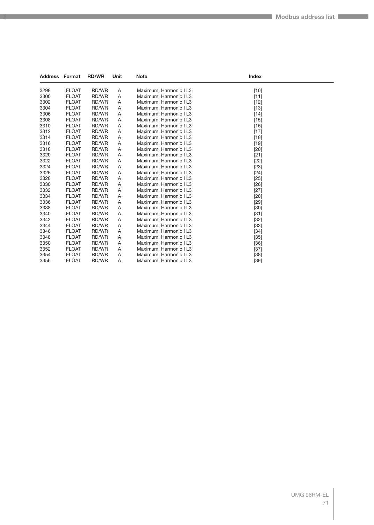| <b>Address Format</b> |              | <b>RD/WR</b> | Unit | <b>Note</b>            | <b>Index</b> |  |
|-----------------------|--------------|--------------|------|------------------------|--------------|--|
| 3298                  | <b>FLOAT</b> | RD/WR        | Α    | Maximum, Harmonic I L3 | $[10]$       |  |
| 3300                  | <b>FLOAT</b> | RD/WR        | Α    | Maximum, Harmonic I L3 | $[11]$       |  |
| 3302                  | <b>FLOAT</b> | RD/WR        | Α    | Maximum, Harmonic I L3 | $[12]$       |  |
| 3304                  | <b>FLOAT</b> | RD/WR        | Α    | Maximum, Harmonic I L3 | $[13]$       |  |
| 3306                  | <b>FLOAT</b> | RD/WR        | Α    | Maximum, Harmonic I L3 | $[14]$       |  |
| 3308                  | <b>FLOAT</b> | RD/WR        | Α    | Maximum, Harmonic I L3 | $[15]$       |  |
| 3310                  | <b>FLOAT</b> | RD/WR        | Α    | Maximum, Harmonic I L3 | $[16]$       |  |
| 3312                  | <b>FLOAT</b> | RD/WR        | Α    | Maximum, Harmonic I L3 | $[17]$       |  |
| 3314                  | <b>FLOAT</b> | RD/WR        | Α    | Maximum, Harmonic I L3 | $[18]$       |  |
| 3316                  | <b>FLOAT</b> | RD/WR        | Α    | Maximum, Harmonic I L3 | $[19]$       |  |
| 3318                  | <b>FLOAT</b> | RD/WR        | Α    | Maximum, Harmonic I L3 | $[20]$       |  |
| 3320                  | <b>FLOAT</b> | RD/WR        | Α    | Maximum, Harmonic I L3 | $[21]$       |  |
| 3322                  | <b>FLOAT</b> | RD/WR        | Α    | Maximum, Harmonic I L3 | $[22]$       |  |
| 3324                  | <b>FLOAT</b> | RD/WR        | Α    | Maximum, Harmonic I L3 | $[23]$       |  |
| 3326                  | <b>FLOAT</b> | RD/WR        | Α    | Maximum, Harmonic I L3 | $[24]$       |  |
| 3328                  | <b>FLOAT</b> | RD/WR        | Α    | Maximum, Harmonic I L3 | $[25]$       |  |
| 3330                  | <b>FLOAT</b> | RD/WR        | Α    | Maximum, Harmonic I L3 | $[26]$       |  |
| 3332                  | <b>FLOAT</b> | RD/WR        | Α    | Maximum, Harmonic I L3 | $[27]$       |  |
| 3334                  | <b>FLOAT</b> | RD/WR        | A    | Maximum, Harmonic I L3 | $[28]$       |  |
| 3336                  | <b>FLOAT</b> | RD/WR        | Α    | Maximum, Harmonic I L3 | $[29]$       |  |
| 3338                  | <b>FLOAT</b> | RD/WR        | Α    | Maximum, Harmonic I L3 | $[30]$       |  |
| 3340                  | <b>FLOAT</b> | RD/WR        | Α    | Maximum, Harmonic I L3 | $[31]$       |  |
| 3342                  | <b>FLOAT</b> | RD/WR        | Α    | Maximum, Harmonic I L3 | $[32]$       |  |
| 3344                  | <b>FLOAT</b> | RD/WR        | Α    | Maximum, Harmonic I L3 | $[33]$       |  |
| 3346                  | <b>FLOAT</b> | RD/WR        | Α    | Maximum, Harmonic I L3 | $[34]$       |  |
| 3348                  | <b>FLOAT</b> | RD/WR        | Α    | Maximum, Harmonic I L3 | $[35]$       |  |
| 3350                  | <b>FLOAT</b> | RD/WR        | Α    | Maximum, Harmonic I L3 | $[36]$       |  |
| 3352                  | <b>FLOAT</b> | RD/WR        | Α    | Maximum, Harmonic I L3 | $[37]$       |  |
| 3354                  | <b>FLOAT</b> | RD/WR        | A    | Maximum, Harmonic I L3 | $[38]$       |  |
| 3356                  | <b>FLOAT</b> | RD/WR        | A    | Maximum, Harmonic I L3 | [39]         |  |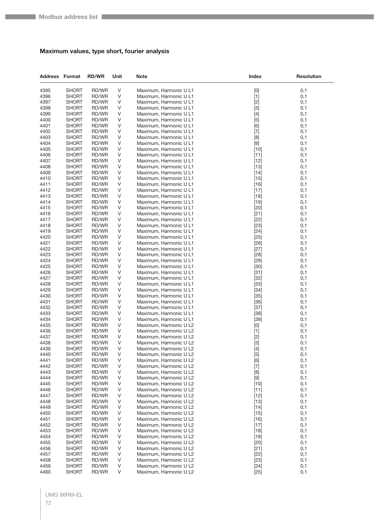#### **Maximum values, type short, fourier analysis**

| <b>Address Format</b> |                              | <b>RD/WR</b>   | Unit    | <b>Note</b>                                      | Index                                                                                                                                                                                                                                                                                                                       | <b>Resolution</b> |
|-----------------------|------------------------------|----------------|---------|--------------------------------------------------|-----------------------------------------------------------------------------------------------------------------------------------------------------------------------------------------------------------------------------------------------------------------------------------------------------------------------------|-------------------|
| 4395                  | <b>SHORT</b>                 | RD/WR          | V       | Maximum, Harmonic U L1                           | $[0] % \begin{center} % \includegraphics[width=\linewidth]{imagesSupplemental_3.png} % \end{center} % \caption { % Our method can be used for the use of the image. % Note that the \emph{Def}(i) and the \emph{Def}(i) are the same and the \emph{Def}(i) and the \emph{Def}(i) are the same. % } % \label{fig:Defin_3} %$ | 0,1               |
| 4396                  | SHORT                        | RD/WR          | V       | Maximum, Harmonic U L1                           | $[1]$                                                                                                                                                                                                                                                                                                                       | 0,1               |
| 4397                  | SHORT                        | RD/WR          | V       | Maximum, Harmonic U L1                           | $[2]$                                                                                                                                                                                                                                                                                                                       | 0,1               |
| 4398                  | SHORT                        | RD/WR          | V       | Maximum, Harmonic U L1                           | $[3]$                                                                                                                                                                                                                                                                                                                       | 0,1               |
| 4399                  | <b>SHORT</b>                 | RD/WR          | V       | Maximum, Harmonic U L1                           | $[4]$                                                                                                                                                                                                                                                                                                                       | 0,1               |
| 4400                  | <b>SHORT</b>                 | RD/WR          | V       | Maximum, Harmonic U L1                           | $[5]$                                                                                                                                                                                                                                                                                                                       | 0,1               |
| 4401                  | <b>SHORT</b>                 | RD/WR          | V       | Maximum, Harmonic U L1                           | [6]                                                                                                                                                                                                                                                                                                                         | 0,1               |
| 4402                  | <b>SHORT</b>                 | RD/WR<br>RD/WR | V       | Maximum, Harmonic U L1                           | $[7]$                                                                                                                                                                                                                                                                                                                       | 0,1               |
| 4403<br>4404          | <b>SHORT</b><br><b>SHORT</b> | RD/WR          | V<br>V  | Maximum, Harmonic U L1<br>Maximum, Harmonic U L1 | [8]<br>$[9]$                                                                                                                                                                                                                                                                                                                | 0,1<br>0,1        |
| 4405                  | <b>SHORT</b>                 | RD/WR          | V       | Maximum, Harmonic U L1                           | $[10]$                                                                                                                                                                                                                                                                                                                      | 0,1               |
| 4406                  | SHORT                        | RD/WR          | V       | Maximum, Harmonic U L1                           | $[11]$                                                                                                                                                                                                                                                                                                                      | 0,1               |
| 4407                  | SHORT                        | RD/WR          | V       | Maximum, Harmonic U L1                           | $[12]$                                                                                                                                                                                                                                                                                                                      | 0,1               |
| 4408                  | SHORT                        | RD/WR          | V       | Maximum, Harmonic U L1                           | $[13]$                                                                                                                                                                                                                                                                                                                      | 0,1               |
| 4409                  | <b>SHORT</b>                 | RD/WR          | V       | Maximum, Harmonic U L1                           | $[14]$                                                                                                                                                                                                                                                                                                                      | 0,1               |
| 4410                  | SHORT                        | RD/WR          | V       | Maximum, Harmonic U L1                           | $[15]$                                                                                                                                                                                                                                                                                                                      | 0,1               |
| 4411                  | SHORT                        | RD/WR          | V       | Maximum, Harmonic U L1                           | $[16]$                                                                                                                                                                                                                                                                                                                      | 0,1               |
| 4412                  | SHORT                        | RD/WR          | V       | Maximum, Harmonic U L1                           | $[17]$                                                                                                                                                                                                                                                                                                                      | 0,1               |
| 4413                  | <b>SHORT</b>                 | RD/WR          | V       | Maximum, Harmonic U L1                           | $[18]$                                                                                                                                                                                                                                                                                                                      | 0,1               |
| 4414                  | <b>SHORT</b>                 | RD/WR          | V       | Maximum, Harmonic U L1                           | $[19]$                                                                                                                                                                                                                                                                                                                      | 0,1               |
| 4415                  | <b>SHORT</b>                 | RD/WR          | V       | Maximum, Harmonic U L1                           | $[20]$                                                                                                                                                                                                                                                                                                                      | 0,1               |
| 4416                  | SHORT                        | RD/WR<br>RD/WR | V<br>V  | Maximum, Harmonic U L1                           | $[21]$                                                                                                                                                                                                                                                                                                                      | 0,1<br>0,1        |
| 4417<br>4418          | SHORT<br>SHORT               | RD/WR          | V       | Maximum, Harmonic U L1<br>Maximum, Harmonic U L1 | $[22]$<br>$[23]$                                                                                                                                                                                                                                                                                                            | 0,1               |
| 4419                  | <b>SHORT</b>                 | RD/WR          | V       | Maximum, Harmonic U L1                           | $[24]$                                                                                                                                                                                                                                                                                                                      | 0,1               |
| 4420                  | <b>SHORT</b>                 | RD/WR          | V       | Maximum, Harmonic U L1                           | $[25]$                                                                                                                                                                                                                                                                                                                      | 0,1               |
| 4421                  | <b>SHORT</b>                 | RD/WR          | V       | Maximum, Harmonic U L1                           | $[26]$                                                                                                                                                                                                                                                                                                                      | 0,1               |
| 4422                  | SHORT                        | RD/WR          | V       | Maximum, Harmonic U L1                           | $[27]$                                                                                                                                                                                                                                                                                                                      | 0,1               |
| 4423                  | SHORT                        | RD/WR          | V       | Maximum, Harmonic U L1                           | $[28]$                                                                                                                                                                                                                                                                                                                      | 0,1               |
| 4424                  | <b>SHORT</b>                 | RD/WR          | V       | Maximum, Harmonic U L1                           | $[29]$                                                                                                                                                                                                                                                                                                                      | 0,1               |
| 4425                  | <b>SHORT</b>                 | RD/WR          | V       | Maximum, Harmonic U L1                           | $[30]$                                                                                                                                                                                                                                                                                                                      | 0,1               |
| 4426                  | SHORT                        | RD/WR          | V       | Maximum, Harmonic U L1                           | $[31]$                                                                                                                                                                                                                                                                                                                      | 0,1               |
| 4427                  | SHORT                        | RD/WR          | V       | Maximum, Harmonic U L1                           | $[32]$                                                                                                                                                                                                                                                                                                                      | 0,1               |
| 4428                  | SHORT                        | RD/WR          | V       | Maximum, Harmonic U L1                           | $[33]$                                                                                                                                                                                                                                                                                                                      | 0,1               |
| 4429<br>4430          | <b>SHORT</b><br><b>SHORT</b> | RD/WR<br>RD/WR | V<br>V  | Maximum, Harmonic U L1<br>Maximum, Harmonic U L1 | $[34]$<br>$[35]$                                                                                                                                                                                                                                                                                                            | 0,1<br>0,1        |
| 4431                  | SHORT                        | RD/WR          | V       | Maximum, Harmonic U L1                           | $[36]$                                                                                                                                                                                                                                                                                                                      | 0,1               |
| 4432                  | SHORT                        | RD/WR          | V       | Maximum, Harmonic U L1                           | $[37]$                                                                                                                                                                                                                                                                                                                      | 0,1               |
| 4433                  | SHORT                        | RD/WR          | V       | Maximum, Harmonic U L1                           | $[38]$                                                                                                                                                                                                                                                                                                                      | 0,1               |
| 4434                  | <b>SHORT</b>                 | RD/WR          | V       | Maximum, Harmonic U L1                           | $[39]$                                                                                                                                                                                                                                                                                                                      | 0,1               |
| 4435                  | <b>SHORT</b>                 | RD/WR          | V       | Maximum, Harmonic U L2                           | $[0] % \begin{center} % \includegraphics[width=\linewidth]{imagesSupplemental_3.png} % \end{center} % \caption { % Our method can be used for the use of the image. % Note that the \emph{Def}(i) and the \emph{Def}(i) are the same and the \emph{Def}(i) and the \emph{Def}(i) are the same. % } % \label{fig:Defin_3} %$ | 0,1               |
| 4436                  | SHORT                        | RD/WR          | V       | Maximum, Harmonic U L2                           | $[1]$                                                                                                                                                                                                                                                                                                                       | 0,1               |
| 4437                  | <b>SHORT</b>                 | RD/WR          | V       | Maximum, Harmonic U L2                           | $[2]$                                                                                                                                                                                                                                                                                                                       | 0,1               |
| 4438                  | <b>SHORT</b>                 | RD/WR          | V       | Maximum, Harmonic U L2                           | $[3]$                                                                                                                                                                                                                                                                                                                       | 0,1               |
| 4439                  | <b>SHORT</b>                 | RD/WR          | $\sf V$ | Maximum, Harmonic U L2                           |                                                                                                                                                                                                                                                                                                                             | 0,1               |
| 4440<br>4441          | <b>SHORT</b><br><b>SHORT</b> | RD/WR<br>RD/WR | V<br>V  | Maximum, Harmonic U L2<br>Maximum, Harmonic U L2 | $[5]$<br>[6]                                                                                                                                                                                                                                                                                                                | 0,1<br>0,1        |
| 4442                  | <b>SHORT</b>                 | RD/WR          | V       | Maximum, Harmonic U L2                           | $[7]$                                                                                                                                                                                                                                                                                                                       | 0,1               |
| 4443                  | <b>SHORT</b>                 | RD/WR          | V       | Maximum, Harmonic U L2                           | $[8] % \begin{center} \includegraphics[width=\linewidth]{imagesSupplemental/Imetad2D.pdf} \end{center} % \vspace{-1em} \caption{The image shows the number of parameters in the left and right.} \label{fig:limsub}$                                                                                                        | 0,1               |
| 4444                  | <b>SHORT</b>                 | RD/WR          | V       | Maximum, Harmonic U L2                           | $[9]$                                                                                                                                                                                                                                                                                                                       | 0,1               |
| 4445                  | <b>SHORT</b>                 | RD/WR          | V       | Maximum, Harmonic U L2                           | $[10]$                                                                                                                                                                                                                                                                                                                      | 0,1               |
| 4446                  | <b>SHORT</b>                 | RD/WR          | V       | Maximum, Harmonic U L2                           | $[11]$                                                                                                                                                                                                                                                                                                                      | 0,1               |
| 4447                  | <b>SHORT</b>                 | RD/WR          | V       | Maximum, Harmonic U L2                           | $[12]$                                                                                                                                                                                                                                                                                                                      | 0,1               |
| 4448                  | <b>SHORT</b>                 | RD/WR          | V       | Maximum, Harmonic U L2                           | $[13]$                                                                                                                                                                                                                                                                                                                      | 0,1               |
| 4449                  | <b>SHORT</b>                 | RD/WR          | V       | Maximum, Harmonic U L2                           | $[14]$                                                                                                                                                                                                                                                                                                                      | 0,1               |
| 4450                  | <b>SHORT</b>                 | RD/WR          | V       | Maximum, Harmonic U L2                           | $[15]$                                                                                                                                                                                                                                                                                                                      | 0,1               |
| 4451                  | <b>SHORT</b>                 | RD/WR          | V       | Maximum, Harmonic U L2                           | $[16]$                                                                                                                                                                                                                                                                                                                      | 0,1               |
| 4452                  | <b>SHORT</b>                 | RD/WR          | V       | Maximum, Harmonic U L2                           | $[17]$                                                                                                                                                                                                                                                                                                                      | 0,1               |
| 4453<br>4454          | <b>SHORT</b><br><b>SHORT</b> | RD/WR<br>RD/WR | V<br>V  | Maximum, Harmonic U L2<br>Maximum, Harmonic U L2 | $[18]$<br>$[19]$                                                                                                                                                                                                                                                                                                            | 0,1<br>0,1        |
| 4455                  | <b>SHORT</b>                 | RD/WR          | V       | Maximum, Harmonic U L2                           | $[20]$                                                                                                                                                                                                                                                                                                                      | 0,1               |
| 4456                  | <b>SHORT</b>                 | RD/WR          | V       | Maximum, Harmonic U L2                           | $[21]$                                                                                                                                                                                                                                                                                                                      | 0,1               |
| 4457                  | <b>SHORT</b>                 | RD/WR          | V       | Maximum, Harmonic U L2                           | $[22]$                                                                                                                                                                                                                                                                                                                      | 0,1               |
| 4458                  | <b>SHORT</b>                 | RD/WR          | V       | Maximum, Harmonic U L2                           | $[23]$                                                                                                                                                                                                                                                                                                                      | 0,1               |
| 4459                  | <b>SHORT</b>                 | RD/WR          | V       | Maximum, Harmonic U L2                           | $[24]$                                                                                                                                                                                                                                                                                                                      | 0,1               |
| 4460                  | <b>SHORT</b>                 | RD/WR          | V       | Maximum, Harmonic U L2                           | $[25]$                                                                                                                                                                                                                                                                                                                      | 0,1               |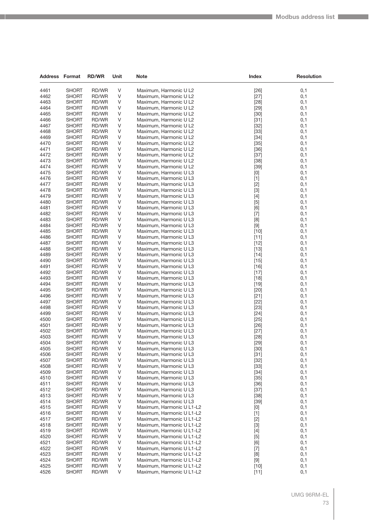| Address Format |                       | <b>RD/WR</b>   | Unit   | <b>Note</b>                                            | Index            | <b>Resolution</b> |
|----------------|-----------------------|----------------|--------|--------------------------------------------------------|------------------|-------------------|
|                |                       |                |        |                                                        |                  |                   |
| 4461           | <b>SHORT</b>          | RD/WR          | V      | Maximum, Harmonic U L2                                 | $[26]$           | 0,1               |
| 4462           | <b>SHORT</b>          | RD/WR          | V      | Maximum, Harmonic U L2                                 | $[27]$           | 0,1               |
| 4463<br>4464   | SHORT<br><b>SHORT</b> | RD/WR          | V<br>V | Maximum, Harmonic U L2                                 | $[28]$           | 0,1<br>0,1        |
| 4465           | <b>SHORT</b>          | RD/WR<br>RD/WR | V      | Maximum, Harmonic U L2                                 | $[29]$           |                   |
| 4466           | SHORT                 | RD/WR          | V      | Maximum, Harmonic U L2<br>Maximum, Harmonic U L2       | $[30]$<br>$[31]$ | 0,1<br>0,1        |
| 4467           | SHORT                 | RD/WR          | V      | Maximum, Harmonic U L2                                 | $[32]$           | 0,1               |
| 4468           | <b>SHORT</b>          | RD/WR          | V      | Maximum, Harmonic U L2                                 | $[33]$           | 0,1               |
| 4469           | <b>SHORT</b>          | RD/WR          | V      | Maximum, Harmonic U L2                                 | $[34]$           | 0,1               |
| 4470           | SHORT                 | RD/WR          | V      | Maximum, Harmonic U L2                                 | $[35]$           | 0,1               |
| 4471           | SHORT                 | RD/WR          | V      | Maximum, Harmonic U L2                                 | $[36]$           | 0,1               |
| 4472           | SHORT                 | RD/WR          | V      | Maximum, Harmonic U L2                                 | $[37]$           | 0,1               |
| 4473           | <b>SHORT</b>          | RD/WR          | V      | Maximum, Harmonic U L2                                 | $[38]$           | 0,1               |
| 4474           | SHORT                 | RD/WR          | V      | Maximum, Harmonic U L2                                 | $[39]$           | 0,1               |
| 4475           | <b>SHORT</b>          | RD/WR          | V      | Maximum, Harmonic U L3                                 | [0]              | 0,1               |
| 4476           | SHORT                 | RD/WR          | V      | Maximum, Harmonic U L3                                 | $[1]$            | 0,1               |
| 4477           | SHORT                 | RD/WR          | V      | Maximum, Harmonic U L3                                 | $[2]$            | 0,1               |
| 4478           | SHORT                 | RD/WR          | V      | Maximum, Harmonic U L3                                 | $[3]$            | 0,1               |
| 4479           | <b>SHORT</b>          | RD/WR          | V      | Maximum, Harmonic U L3                                 | $[4]$            | 0,1               |
| 4480           | <b>SHORT</b>          | RD/WR          | V      | Maximum, Harmonic U L3                                 | $[5]$            | 0,1               |
| 4481           | <b>SHORT</b>          | RD/WR          | V      | Maximum, Harmonic U L3                                 | [6]              | 0,1               |
| 4482           | SHORT                 | RD/WR          | V      | Maximum, Harmonic U L3                                 | $[7]$            | 0,1               |
| 4483           | <b>SHORT</b>          | RD/WR          | V      | Maximum, Harmonic U L3                                 | [8]              | 0,1               |
| 4484           | SHORT                 | RD/WR          | V      | Maximum, Harmonic U L3                                 | $[9]$            | 0,1               |
| 4485<br>4486   | SHORT                 | RD/WR          | V<br>V | Maximum, Harmonic U L3<br>Maximum, Harmonic U L3       | $[10]$           | 0,1<br>0,1        |
| 4487           | SHORT<br>SHORT        | RD/WR<br>RD/WR | V      | Maximum, Harmonic U L3                                 | $[11]$<br>$[12]$ | 0,1               |
| 4488           | <b>SHORT</b>          | RD/WR          | V      | Maximum, Harmonic U L3                                 | $[13]$           | 0,1               |
| 4489           | SHORT                 | RD/WR          | V      | Maximum, Harmonic U L3                                 | $[14]$           | 0,1               |
| 4490           | SHORT                 | RD/WR          | V      | Maximum, Harmonic U L3                                 | $[15]$           | 0,1               |
| 4491           | SHORT                 | RD/WR          | V      | Maximum, Harmonic U L3                                 | $[16]$           | 0,1               |
| 4492           | SHORT                 | RD/WR          | V      | Maximum, Harmonic U L3                                 | $[17]$           | 0,1               |
| 4493           | SHORT                 | RD/WR          | V      | Maximum, Harmonic U L3                                 | $[18]$           | 0,1               |
| 4494           | SHORT                 | RD/WR          | V      | Maximum, Harmonic U L3                                 | $[19]$           | 0,1               |
| 4495           | SHORT                 | RD/WR          | V      | Maximum, Harmonic U L3                                 | $[20]$           | 0,1               |
| 4496           | <b>SHORT</b>          | RD/WR          | V      | Maximum, Harmonic U L3                                 | $[21]$           | 0,1               |
| 4497           | SHORT                 | RD/WR          | V      | Maximum, Harmonic U L3                                 | $[22]$           | 0,1               |
| 4498           | SHORT                 | RD/WR          | V      | Maximum, Harmonic U L3                                 | $[23]$           | 0,1               |
| 4499           | SHORT                 | RD/WR          | V      | Maximum, Harmonic U L3                                 | $[24]$           | 0,1               |
| 4500           | SHORT                 | RD/WR          | V      | Maximum, Harmonic U L3                                 | $[25]$           | 0,1               |
| 4501           | SHORT                 | RD/WR          | V      | Maximum, Harmonic U L3                                 | $[26]$           | 0,1               |
| 4502<br>4503   | SHORT<br><b>SHORT</b> | RD/WR<br>RD/WR | V<br>V | Maximum, Harmonic U L3<br>Maximum, Harmonic U L3       | $[27]$<br>[28]   | 0,1               |
| 4504           | SHORT                 | RD/WR          | V      | Maximum, Harmonic U L3                                 | $[29]$           | 0,1<br>0,1        |
| 4505           | <b>SHORT</b>          | RD/WR          | V      | Maximum, Harmonic U L3                                 | $[30]$           | 0,1               |
| 4506           | SHORT                 | RD/WR          | V      | Maximum, Harmonic U L3                                 | $[31]$           | 0,1               |
| 4507           | <b>SHORT</b>          | RD/WR          | V      | Maximum, Harmonic U L3                                 | $[32]$           | 0,1               |
| 4508           | <b>SHORT</b>          | RD/WR          | V      | Maximum, Harmonic U L3                                 | $[33]$           | 0,1               |
| 4509           | <b>SHORT</b>          | RD/WR          | V      | Maximum, Harmonic U L3                                 | $[34]$           | 0,1               |
| 4510           | <b>SHORT</b>          | RD/WR          | V      | Maximum, Harmonic U L3                                 | $[35]$           | 0,1               |
| 4511           | SHORT                 | RD/WR          | V      | Maximum, Harmonic U L3                                 | $[36]$           | 0,1               |
| 4512           | <b>SHORT</b>          | RD/WR          | V      | Maximum, Harmonic U L3                                 | $[37]$           | 0,1               |
| 4513           | <b>SHORT</b>          | RD/WR          | V      | Maximum, Harmonic U L3                                 | $[38]$           | 0,1               |
| 4514           | SHORT                 | RD/WR          | V      | Maximum, Harmonic U L3                                 | $[39]$           | 0,1               |
| 4515           | <b>SHORT</b>          | RD/WR          | V      | Maximum, Harmonic U L1-L2                              | [0]              | 0,1               |
| 4516           | SHORT                 | RD/WR          | V      | Maximum, Harmonic U L1-L2                              | $[1]$            | 0,1               |
| 4517<br>4518   | <b>SHORT</b>          | RD/WR          | V      | Maximum, Harmonic U L1-L2                              | $[2]$            | 0,1               |
|                | <b>SHORT</b>          | RD/WR          | V<br>V | Maximum, Harmonic U L1-L2<br>Maximum, Harmonic U L1-L2 | $[3]$            | 0,1<br>0,1        |
| 4519<br>4520   | SHORT<br><b>SHORT</b> | RD/WR<br>RD/WR | V      | Maximum, Harmonic U L1-L2                              | $[4]$<br>$[5]$   | 0,1               |
| 4521           | SHORT                 | RD/WR          | V      | Maximum, Harmonic U L1-L2                              | [6]              | 0,1               |
| 4522           | <b>SHORT</b>          | RD/WR          | V      | Maximum, Harmonic U L1-L2                              | $[7]$            | 0,1               |
| 4523           | <b>SHORT</b>          | RD/WR          | V      | Maximum, Harmonic U L1-L2                              | [8]              | 0,1               |
| 4524           | SHORT                 | RD/WR          | V      | Maximum, Harmonic U L1-L2                              | $[9]$            | 0,1               |
| 4525           | <b>SHORT</b>          | RD/WR          | V      | Maximum, Harmonic U L1-L2                              | $[10]$           | 0,1               |
| 4526           | <b>SHORT</b>          | RD/WR          | V      | Maximum, Harmonic U L1-L2                              | $[11]$           | 0,1               |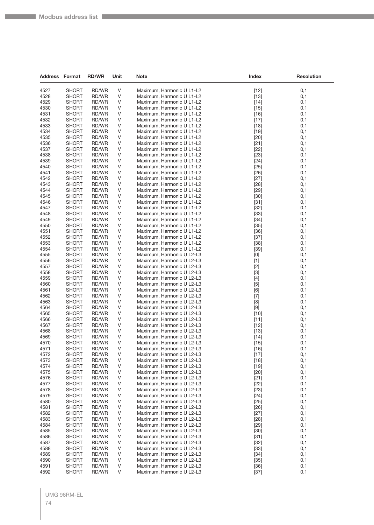| <b>Address Format</b> |                              | <b>RD/WR</b>   | Unit   | Note                                                   | Index                                                                                                                                                                                                                                                                                                                       | <b>Resolution</b> |
|-----------------------|------------------------------|----------------|--------|--------------------------------------------------------|-----------------------------------------------------------------------------------------------------------------------------------------------------------------------------------------------------------------------------------------------------------------------------------------------------------------------------|-------------------|
| 4527                  | <b>SHORT</b>                 | RD/WR          | V      | Maximum, Harmonic U L1-L2                              | $[12]$                                                                                                                                                                                                                                                                                                                      | 0,1               |
| 4528                  | <b>SHORT</b>                 | RD/WR          | V      | Maximum, Harmonic U L1-L2                              | $[13]$                                                                                                                                                                                                                                                                                                                      | 0,1               |
| 4529                  | <b>SHORT</b>                 | RD/WR          | V      | Maximum, Harmonic U L1-L2                              | $[14]$                                                                                                                                                                                                                                                                                                                      | 0,1               |
| 4530                  | <b>SHORT</b>                 | RD/WR          | V      | Maximum, Harmonic U L1-L2                              | $[15]$                                                                                                                                                                                                                                                                                                                      | 0,1               |
| 4531                  | <b>SHORT</b>                 | RD/WR          | V      | Maximum, Harmonic U L1-L2                              | $[16]$                                                                                                                                                                                                                                                                                                                      | 0,1               |
| 4532                  | <b>SHORT</b>                 | RD/WR          | V      | Maximum, Harmonic U L1-L2                              | $[17]$                                                                                                                                                                                                                                                                                                                      | 0,1               |
| 4533                  | <b>SHORT</b>                 | RD/WR          | V      | Maximum, Harmonic U L1-L2                              | $[18]$                                                                                                                                                                                                                                                                                                                      | 0,1               |
| 4534                  | <b>SHORT</b>                 | RD/WR          | V      | Maximum, Harmonic U L1-L2                              | $[19]$                                                                                                                                                                                                                                                                                                                      | 0,1               |
| 4535                  | <b>SHORT</b>                 | RD/WR          | V      | Maximum, Harmonic U L1-L2                              | $[20]$                                                                                                                                                                                                                                                                                                                      | 0,1               |
| 4536                  | <b>SHORT</b>                 | RD/WR          | V      | Maximum, Harmonic U L1-L2                              | $[21]$                                                                                                                                                                                                                                                                                                                      | 0,1               |
| 4537                  | <b>SHORT</b>                 | RD/WR          | V      | Maximum, Harmonic U L1-L2                              | $[22]$                                                                                                                                                                                                                                                                                                                      | 0,1               |
| 4538                  | <b>SHORT</b>                 | RD/WR          | V      | Maximum, Harmonic U L1-L2                              | $[23]$                                                                                                                                                                                                                                                                                                                      | 0,1               |
| 4539                  | <b>SHORT</b>                 | RD/WR          | V      | Maximum, Harmonic U L1-L2                              | $[24]$                                                                                                                                                                                                                                                                                                                      | 0,1               |
| 4540                  | <b>SHORT</b>                 | RD/WR          | V      | Maximum, Harmonic U L1-L2                              | $[25]$                                                                                                                                                                                                                                                                                                                      | 0,1               |
| 4541                  | <b>SHORT</b>                 | RD/WR          | V      | Maximum, Harmonic U L1-L2                              | $[26]$                                                                                                                                                                                                                                                                                                                      | 0,1               |
| 4542                  | <b>SHORT</b>                 | RD/WR          | V      | Maximum, Harmonic U L1-L2                              | $[27]$                                                                                                                                                                                                                                                                                                                      | 0,1               |
| 4543                  | <b>SHORT</b>                 | RD/WR          | V      | Maximum, Harmonic U L1-L2                              | $[28]$                                                                                                                                                                                                                                                                                                                      | 0,1               |
| 4544                  | <b>SHORT</b>                 | RD/WR          | V      | Maximum, Harmonic U L1-L2                              | [29]                                                                                                                                                                                                                                                                                                                        | 0,1               |
| 4545                  | <b>SHORT</b>                 | RD/WR          | V      | Maximum, Harmonic U L1-L2                              | $[30]$                                                                                                                                                                                                                                                                                                                      | 0,1               |
| 4546                  | <b>SHORT</b>                 | RD/WR          | V      | Maximum, Harmonic U L1-L2                              | $[31]$                                                                                                                                                                                                                                                                                                                      | 0,1               |
| 4547                  | <b>SHORT</b>                 | RD/WR          | V      | Maximum, Harmonic U L1-L2                              | $[32]$                                                                                                                                                                                                                                                                                                                      | 0,1               |
| 4548                  | <b>SHORT</b>                 | RD/WR          | V      | Maximum, Harmonic U L1-L2                              | $[33]$                                                                                                                                                                                                                                                                                                                      | 0,1               |
| 4549<br>4550          | <b>SHORT</b><br><b>SHORT</b> | RD/WR<br>RD/WR | V<br>V | Maximum, Harmonic U L1-L2<br>Maximum, Harmonic U L1-L2 | $[34]$<br>$[35]$                                                                                                                                                                                                                                                                                                            | 0,1<br>0,1        |
| 4551                  | <b>SHORT</b>                 | RD/WR          | V      | Maximum, Harmonic U L1-L2                              | $[36]$                                                                                                                                                                                                                                                                                                                      | 0,1               |
| 4552                  | <b>SHORT</b>                 | RD/WR          | V      | Maximum, Harmonic U L1-L2                              | $[37]$                                                                                                                                                                                                                                                                                                                      | 0,1               |
| 4553                  | <b>SHORT</b>                 | RD/WR          | V      | Maximum, Harmonic U L1-L2                              | $[38]$                                                                                                                                                                                                                                                                                                                      | 0,1               |
| 4554                  | <b>SHORT</b>                 | RD/WR          | V      | Maximum, Harmonic U L1-L2                              | $[39]$                                                                                                                                                                                                                                                                                                                      | 0,1               |
| 4555                  | <b>SHORT</b>                 | RD/WR          | V      | Maximum, Harmonic U L2-L3                              | $[0] % \begin{center} % \includegraphics[width=\linewidth]{imagesSupplemental_3.png} % \end{center} % \caption { % Our method can be used for the use of the image. % Note that the \emph{Def}(i) and the \emph{Def}(i) are the same and the \emph{Def}(i) and the \emph{Def}(i) are the same. % } % \label{fig:Defin_3} %$ | 0,1               |
| 4556                  | <b>SHORT</b>                 | RD/WR          | V      | Maximum, Harmonic U L2-L3                              | $[1]$                                                                                                                                                                                                                                                                                                                       | 0,1               |
| 4557                  | <b>SHORT</b>                 | RD/WR          | V      | Maximum, Harmonic U L2-L3                              | $[2]$                                                                                                                                                                                                                                                                                                                       | 0,1               |
| 4558                  | <b>SHORT</b>                 | RD/WR          | V      | Maximum, Harmonic U L2-L3                              | $[3]$                                                                                                                                                                                                                                                                                                                       | 0,1               |
| 4559                  | <b>SHORT</b>                 | RD/WR          | V      | Maximum, Harmonic U L2-L3                              | $[4]$                                                                                                                                                                                                                                                                                                                       | 0,1               |
| 4560                  | <b>SHORT</b>                 | RD/WR          | V      | Maximum, Harmonic U L2-L3                              | $[5]$                                                                                                                                                                                                                                                                                                                       | 0,1               |
| 4561                  | <b>SHORT</b>                 | RD/WR          | V      | Maximum, Harmonic U L2-L3                              | [6]                                                                                                                                                                                                                                                                                                                         | 0,1               |
| 4562                  | <b>SHORT</b>                 | RD/WR          | V      | Maximum, Harmonic U L2-L3                              | $[7]$                                                                                                                                                                                                                                                                                                                       | 0,1               |
| 4563                  | <b>SHORT</b>                 | RD/WR          | V      | Maximum, Harmonic U L2-L3                              | [8]                                                                                                                                                                                                                                                                                                                         | 0,1               |
| 4564                  | <b>SHORT</b>                 | RD/WR          | V      | Maximum, Harmonic U L2-L3                              | $[9]$                                                                                                                                                                                                                                                                                                                       | 0,1               |
| 4565                  | <b>SHORT</b>                 | RD/WR          | V      | Maximum, Harmonic U L2-L3                              | $[10]$                                                                                                                                                                                                                                                                                                                      | 0,1               |
| 4566                  | <b>SHORT</b>                 | RD/WR          | V      | Maximum, Harmonic U L2-L3                              | [11]                                                                                                                                                                                                                                                                                                                        | 0,1               |
| 4567                  | <b>SHORT</b>                 | RD/WR          | V      | Maximum, Harmonic U L2-L3                              | $[12]$                                                                                                                                                                                                                                                                                                                      | 0,1               |
| 4568                  | <b>SHORT</b>                 | RD/WR          | V      | Maximum, Harmonic U L2-L3                              | $[13]$                                                                                                                                                                                                                                                                                                                      | 0,1               |
| 4569                  | <b>SHORT</b>                 | RD/WR          | V      | Maximum, Harmonic U L2-L3                              | $[14]$                                                                                                                                                                                                                                                                                                                      | 0,1               |
| 4570                  | <b>SHORT</b>                 | RD/WR          | V      | Maximum, Harmonic U L2-L3                              | $[15]$                                                                                                                                                                                                                                                                                                                      | 0,1               |
| 4571                  | <b>SHORT</b>                 | RD/WR          | V      | Maximum, Harmonic U L2-L3                              | $[16]$                                                                                                                                                                                                                                                                                                                      | 0,1               |
| 4572                  | <b>SHORT</b>                 | RD/WR          | V<br>V | Maximum, Harmonic U L2-L3                              | $[17]$                                                                                                                                                                                                                                                                                                                      | 0,1<br>0,1        |
| 4573                  | <b>SHORT</b>                 | RD/WR          |        | Maximum, Harmonic U L2-L3                              | $[18]$                                                                                                                                                                                                                                                                                                                      | 0,1               |
| 4574<br>4575          | <b>SHORT</b><br><b>SHORT</b> | RD/WR<br>RD/WR | V<br>V | Maximum, Harmonic U L2-L3<br>Maximum, Harmonic U L2-L3 | $[19]$<br>$[20]$                                                                                                                                                                                                                                                                                                            | 0,1               |
| 4576                  | <b>SHORT</b>                 | RD/WR          | V      | Maximum, Harmonic U L2-L3                              | $[21]$                                                                                                                                                                                                                                                                                                                      | 0,1               |
| 4577                  | <b>SHORT</b>                 | RD/WR          | V      | Maximum, Harmonic U L2-L3                              | $[22]$                                                                                                                                                                                                                                                                                                                      | 0,1               |
| 4578                  | <b>SHORT</b>                 | RD/WR          | V      | Maximum, Harmonic U L2-L3                              | $[23]$                                                                                                                                                                                                                                                                                                                      | 0,1               |
| 4579                  | <b>SHORT</b>                 | RD/WR          | V      | Maximum, Harmonic U L2-L3                              | $[24]$                                                                                                                                                                                                                                                                                                                      | 0,1               |
| 4580                  | <b>SHORT</b>                 | RD/WR          | V      | Maximum, Harmonic U L2-L3                              | $[25]$                                                                                                                                                                                                                                                                                                                      | 0,1               |
| 4581                  | <b>SHORT</b>                 | RD/WR          | V      | Maximum, Harmonic U L2-L3                              | $[26]$                                                                                                                                                                                                                                                                                                                      | 0,1               |
| 4582                  | <b>SHORT</b>                 | RD/WR          | V      | Maximum, Harmonic U L2-L3                              | $[27]$                                                                                                                                                                                                                                                                                                                      | 0,1               |
| 4583                  | <b>SHORT</b>                 | RD/WR          | V      | Maximum, Harmonic U L2-L3                              | $[28]$                                                                                                                                                                                                                                                                                                                      | 0,1               |
| 4584                  | <b>SHORT</b>                 | RD/WR          | V      | Maximum, Harmonic U L2-L3                              | $[29]$                                                                                                                                                                                                                                                                                                                      | 0,1               |
| 4585                  | <b>SHORT</b>                 | RD/WR          | V      | Maximum, Harmonic U L2-L3                              | $[30]$                                                                                                                                                                                                                                                                                                                      | 0,1               |
| 4586                  | <b>SHORT</b>                 | RD/WR          | V      | Maximum, Harmonic U L2-L3                              | $[31]$                                                                                                                                                                                                                                                                                                                      | 0,1               |
| 4587                  | <b>SHORT</b>                 | RD/WR          | V      | Maximum, Harmonic U L2-L3                              | $[32]$                                                                                                                                                                                                                                                                                                                      | 0,1               |
| 4588                  | <b>SHORT</b>                 | RD/WR          | V      | Maximum, Harmonic U L2-L3                              | $[33]$                                                                                                                                                                                                                                                                                                                      | 0,1               |
| 4589                  | <b>SHORT</b>                 | RD/WR          | V      | Maximum, Harmonic U L2-L3                              | $[34]$                                                                                                                                                                                                                                                                                                                      | 0,1               |
| 4590                  | <b>SHORT</b>                 | RD/WR          | V      | Maximum, Harmonic U L2-L3                              | $[35]$                                                                                                                                                                                                                                                                                                                      | 0,1               |
| 4591                  | <b>SHORT</b>                 | RD/WR          | V      | Maximum, Harmonic U L2-L3                              | $[36]$                                                                                                                                                                                                                                                                                                                      | 0,1               |
| 4592                  | <b>SHORT</b>                 | RD/WR          | V      | Maximum, Harmonic U L2-L3                              | $[37]$                                                                                                                                                                                                                                                                                                                      | 0,1               |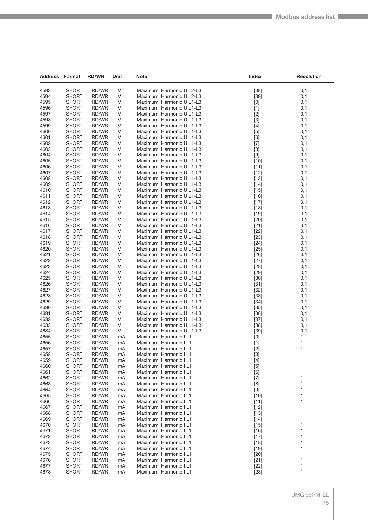| Address Format |                              | <b>RD/WR</b>   | Unit        | <b>Note</b>                                            | <b>Index</b>     | Resolution   |
|----------------|------------------------------|----------------|-------------|--------------------------------------------------------|------------------|--------------|
|                |                              |                |             |                                                        |                  |              |
| 4593           | <b>SHORT</b>                 | RD/WR          | V           | Maximum, Harmonic U L2-L3                              | $[38]$           | 0,1          |
| 4594           | <b>SHORT</b>                 | RD/WR          | $\vee$      | Maximum, Harmonic U L2-L3                              | $[39]$           | 0,1          |
| 4595           | <b>SHORT</b>                 | RD/WR          | V           | Maximum, Harmonic U L1-L3                              | [0]              | 0,1          |
| 4596<br>4597   | <b>SHORT</b><br><b>SHORT</b> | RD/WR<br>RD/WR | V<br>V      | Maximum, Harmonic U L1-L3                              | $[1]$            | 0,1<br>0,1   |
| 4598           | <b>SHORT</b>                 | RD/WR          | V           | Maximum, Harmonic U L1-L3<br>Maximum, Harmonic U L1-L3 | $[2]$<br>$[3]$   | 0,1          |
| 4599           | <b>SHORT</b>                 | RD/WR          | $\vee$      | Maximum, Harmonic U L1-L3                              | $[4]$            | 0,1          |
| 4600           | <b>SHORT</b>                 | RD/WR          | V           | Maximum, Harmonic U L1-L3                              | $[5]$            | 0,1          |
| 4601           | <b>SHORT</b>                 | RD/WR          | V           | Maximum, Harmonic U L1-L3                              | [6]              | 0,1          |
| 4602           | <b>SHORT</b>                 | RD/WR          | V           | Maximum, Harmonic U L1-L3                              | $[7]$            | 0,1          |
| 4603           | <b>SHORT</b>                 | RD/WR          | V           | Maximum, Harmonic U L1-L3                              | [8]              | 0,1          |
| 4604           | <b>SHORT</b>                 | RD/WR          | $\vee$      | Maximum, Harmonic U L1-L3                              | $[9]$            | 0,1          |
| 4605           | <b>SHORT</b>                 | RD/WR          | V           | Maximum, Harmonic U L1-L3                              | $[10]$           | 0,1          |
| 4606           | <b>SHORT</b>                 | RD/WR          | V           | Maximum, Harmonic U L1-L3                              | $[11]$           | 0,1          |
| 4607           | <b>SHORT</b>                 | RD/WR          | V           | Maximum, Harmonic U L1-L3                              | $[12]$           | 0,1          |
| 4608           | <b>SHORT</b>                 | RD/WR          | V           | Maximum, Harmonic U L1-L3                              | $[13]$           | 0,1          |
| 4609           | <b>SHORT</b>                 | RD/WR          | $\vee$      | Maximum, Harmonic U L1-L3                              | $[14]$           | 0,1          |
| 4610           | <b>SHORT</b>                 | RD/WR          | V           | Maximum, Harmonic U L1-L3                              | $[15]$           | 0,1          |
| 4611           | <b>SHORT</b>                 | RD/WR          | V           | Maximum, Harmonic U L1-L3                              | $[16]$           | 0,1          |
| 4612           | <b>SHORT</b>                 | RD/WR          | V           | Maximum, Harmonic U L1-L3                              | $[17]$           | 0,1          |
| 4613<br>4614   | <b>SHORT</b>                 | RD/WR          | V<br>$\vee$ | Maximum, Harmonic U L1-L3                              | $[18]$           | 0,1          |
| 4615           | <b>SHORT</b><br><b>SHORT</b> | RD/WR<br>RD/WR | V           | Maximum, Harmonic U L1-L3<br>Maximum, Harmonic U L1-L3 | $[19]$<br>[20]   | 0,1<br>0,1   |
| 4616           | <b>SHORT</b>                 | RD/WR          | V           | Maximum, Harmonic U L1-L3                              | $[21]$           | 0,1          |
| 4617           | <b>SHORT</b>                 | RD/WR          | V           | Maximum, Harmonic U L1-L3                              | $[22]$           | 0,1          |
| 4618           | <b>SHORT</b>                 | RD/WR          | V           | Maximum, Harmonic U L1-L3                              | $[23]$           | 0,1          |
| 4619           | <b>SHORT</b>                 | RD/WR          | $\vee$      | Maximum, Harmonic U L1-L3                              | $[24]$           | 0,1          |
| 4620           | <b>SHORT</b>                 | RD/WR          | V           | Maximum, Harmonic U L1-L3                              | $[25]$           | 0,1          |
| 4621           | <b>SHORT</b>                 | RD/WR          | V           | Maximum, Harmonic U L1-L3                              | $[26]$           | 0,1          |
| 4622           | <b>SHORT</b>                 | RD/WR          | V           | Maximum, Harmonic U L1-L3                              | $[27]$           | 0,1          |
| 4623           | <b>SHORT</b>                 | RD/WR          | V           | Maximum, Harmonic U L1-L3                              | $[28]$           | 0,1          |
| 4624           | <b>SHORT</b>                 | RD/WR          | $\vee$      | Maximum, Harmonic U L1-L3                              | $[29]$           | 0,1          |
| 4625           | <b>SHORT</b>                 | RD/WR          | V           | Maximum, Harmonic U L1-L3                              | $[30]$           | 0,1          |
| 4626           | <b>SHORT</b>                 | RD/WR          | V           | Maximum, Harmonic U L1-L3                              | $[31]$           | 0,1          |
| 4627           | <b>SHORT</b>                 | RD/WR          | V           | Maximum, Harmonic U L1-L3                              | $[32]$           | 0,1          |
| 4628<br>4629   | <b>SHORT</b>                 | RD/WR          | V<br>$\vee$ | Maximum, Harmonic U L1-L3                              | $[33]$           | 0,1          |
| 4630           | <b>SHORT</b><br><b>SHORT</b> | RD/WR<br>RD/WR | V           | Maximum, Harmonic U L1-L3<br>Maximum, Harmonic U L1-L3 | $[34]$<br>$[35]$ | 0,1<br>0,1   |
| 4631           | <b>SHORT</b>                 | RD/WR          | V           | Maximum, Harmonic U L1-L3                              | $[36]$           | 0,1          |
| 4632           | <b>SHORT</b>                 | RD/WR          | V           | Maximum, Harmonic U L1-L3                              | $[37]$           | 0,1          |
| 4633           | <b>SHORT</b>                 | RD/WR          | V           | Maximum, Harmonic U L1-L3                              | $[38]$           | 0,1          |
| 4634           | <b>SHORT</b>                 | RD/WR          | V           | Maximum, Harmonic U L1-L3                              | $[39]$           | 0,1          |
| 4655           | <b>SHORT</b>                 | RD/WR          | mA          | Maximum, Harmonic I L1                                 | [0]              | 1            |
| 4656           | <b>SHORT</b>                 | RD/WR          | mA          | Maximum, Harmonic I L1                                 | $[1]$            | 1            |
| 4657           | <b>SHORT</b>                 | RD/WR          | mA          | Maximum, Harmonic I L1                                 | $[2]$            | $\mathbf{1}$ |
| 4658           | SHORT                        | RD/WR          | mA          | Maximum, Harmonic I L1                                 | $[3]$            | 1            |
| 4659           | <b>SHORT</b>                 | RD/WR          | mA          | Maximum, Harmonic I L1                                 | $[4]$            | 1            |
| 4660           | <b>SHORT</b>                 | RD/WR          | mA          | Maximum, Harmonic I L1                                 | $[5]$            | 1            |
| 4661           | <b>SHORT</b>                 | RD/WR          | mA          | Maximum, Harmonic I L1                                 | [6]              | 1            |
| 4662           | <b>SHORT</b>                 | RD/WR          | mA          | Maximum, Harmonic I L1                                 | $[7]$            | 1            |
| 4663<br>4664   | <b>SHORT</b><br><b>SHORT</b> | RD/WR<br>RD/WR | mA<br>mA    | Maximum, Harmonic I L1<br>Maximum, Harmonic I L1       | [8]<br>$[9]$     | 1<br>1       |
| 4665           | <b>SHORT</b>                 | RD/WR          | mA          | Maximum, Harmonic I L1                                 | $[10]$           | 1            |
| 4666           | <b>SHORT</b>                 | RD/WR          | mA          | Maximum, Harmonic I L1                                 | $[11]$           | 1            |
| 4667           | <b>SHORT</b>                 | RD/WR          | mA          | Maximum, Harmonic I L1                                 | $[12]$           | 1            |
| 4668           | <b>SHORT</b>                 | RD/WR          | mA          | Maximum, Harmonic I L1                                 | $[13]$           | 1            |
| 4669           | <b>SHORT</b>                 | RD/WR          | mA          | Maximum, Harmonic I L1                                 | $[14]$           | 1            |
| 4670           | <b>SHORT</b>                 | RD/WR          | mA          | Maximum, Harmonic I L1                                 | $[15]$           | 1            |
| 4671           | <b>SHORT</b>                 | RD/WR          | mA          | Maximum, Harmonic I L1                                 | $[16]$           | 1            |
| 4672           | <b>SHORT</b>                 | RD/WR          | mA          | Maximum, Harmonic I L1                                 | $[17]$           | 1            |
| 4673           | <b>SHORT</b>                 | RD/WR          | mA          | Maximum, Harmonic I L1                                 | $[18]$           | 1            |
| 4674           | <b>SHORT</b>                 | RD/WR          | mA          | Maximum, Harmonic I L1                                 | $[19]$           | 1            |
| 4675           | <b>SHORT</b>                 | RD/WR          | mA          | Maximum, Harmonic I L1                                 | $[20]$           | 1            |
| 4676           | <b>SHORT</b>                 | RD/WR          | mA          | Maximum, Harmonic I L1                                 | $[21]$           | 1            |
| 4677<br>4678   | <b>SHORT</b><br><b>SHORT</b> | RD/WR<br>RD/WR | mA<br>mA    | Maximum, Harmonic I L1<br>Maximum, Harmonic I L1       | $[22]$           | 1<br>1       |
|                |                              |                |             |                                                        | $[23]$           |              |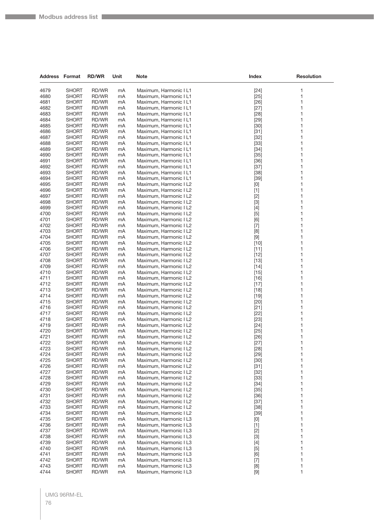| <b>Address Format</b> |                              | <b>RD/WR</b>   | Unit     | <b>Note</b>                                      | <b>Index</b>                                                                                                                                                                                    | <b>Resolution</b> |
|-----------------------|------------------------------|----------------|----------|--------------------------------------------------|-------------------------------------------------------------------------------------------------------------------------------------------------------------------------------------------------|-------------------|
| 4679                  | <b>SHORT</b>                 | RD/WR          | mA       | Maximum, Harmonic I L1                           | $[24]$                                                                                                                                                                                          | 1                 |
| 4680                  | <b>SHORT</b>                 | RD/WR          | mA       | Maximum, Harmonic I L1                           | $[25]$                                                                                                                                                                                          | 1                 |
| 4681                  | <b>SHORT</b>                 | RD/WR          | mA       | Maximum, Harmonic I L1                           | $[26]$                                                                                                                                                                                          | 1                 |
| 4682                  | SHORT                        | RD/WR          | mA       | Maximum, Harmonic I L1                           | $[27]$                                                                                                                                                                                          | 1                 |
| 4683                  | <b>SHORT</b>                 | RD/WR          | mA       | Maximum, Harmonic I L1                           | $[28]$                                                                                                                                                                                          | 1                 |
| 4684                  | <b>SHORT</b>                 | RD/WR          | mA       | Maximum, Harmonic I L1                           | $[29]$                                                                                                                                                                                          | 1                 |
| 4685                  | <b>SHORT</b>                 | RD/WR          | mA       | Maximum, Harmonic I L1                           | $[30]$                                                                                                                                                                                          | 1                 |
| 4686                  | <b>SHORT</b>                 | RD/WR          | mA       | Maximum, Harmonic I L1                           | $[31]$                                                                                                                                                                                          | 1                 |
| 4687                  | SHORT                        | RD/WR          | mA       | Maximum, Harmonic I L1                           | $[32]$                                                                                                                                                                                          | 1                 |
| 4688                  | <b>SHORT</b>                 | RD/WR          | mA       | Maximum, Harmonic I L1                           | $[33]$                                                                                                                                                                                          | 1                 |
| 4689                  | <b>SHORT</b>                 | RD/WR          | mA       | Maximum, Harmonic I L1                           | $[34]$                                                                                                                                                                                          | 1                 |
| 4690                  | <b>SHORT</b>                 | RD/WR          | mA       | Maximum, Harmonic I L1                           | $[35]$                                                                                                                                                                                          | 1                 |
| 4691                  | <b>SHORT</b>                 | RD/WR          | mA       | Maximum, Harmonic I L1                           | $[36]$                                                                                                                                                                                          | 1                 |
| 4692                  | <b>SHORT</b>                 | RD/WR          | mA       | Maximum, Harmonic I L1                           | $[37]$                                                                                                                                                                                          | 1                 |
| 4693                  | <b>SHORT</b>                 | RD/WR          | mA       | Maximum, Harmonic I L1                           | $[38]$                                                                                                                                                                                          | 1                 |
| 4694                  | <b>SHORT</b>                 | RD/WR          | mA       | Maximum, Harmonic I L1                           | $[39]$                                                                                                                                                                                          | 1                 |
| 4695                  | <b>SHORT</b>                 | RD/WR          | mA       | Maximum, Harmonic I L2                           | [0]                                                                                                                                                                                             | 1                 |
| 4696                  | <b>SHORT</b>                 | RD/WR          | mA       | Maximum, Harmonic I L2                           | $[1]$                                                                                                                                                                                           | 1<br>1            |
| 4697<br>4698          | SHORT                        | RD/WR          | mA       | Maximum, Harmonic I L2<br>Maximum, Harmonic I L2 | $[2]$                                                                                                                                                                                           | 1                 |
| 4699                  | <b>SHORT</b><br><b>SHORT</b> | RD/WR<br>RD/WR | mA<br>mA | Maximum, Harmonic I L2                           | $[3]$<br>$[4]$                                                                                                                                                                                  | 1                 |
| 4700                  | <b>SHORT</b>                 | RD/WR          | mA       | Maximum, Harmonic I L2                           | $[5]$                                                                                                                                                                                           | 1                 |
| 4701                  | <b>SHORT</b>                 | RD/WR          | mA       | Maximum, Harmonic I L2                           | [6]                                                                                                                                                                                             | 1                 |
| 4702                  | <b>SHORT</b>                 | RD/WR          | mA       | Maximum, Harmonic I L2                           | $[7]$                                                                                                                                                                                           | 1                 |
| 4703                  | <b>SHORT</b>                 | RD/WR          | mA       | Maximum, Harmonic I L2                           | [8]                                                                                                                                                                                             | 1                 |
| 4704                  | <b>SHORT</b>                 | <b>RD/WR</b>   | mA       | Maximum, Harmonic I L2                           | $[9]$                                                                                                                                                                                           | 1                 |
| 4705                  | <b>SHORT</b>                 | RD/WR          | mA       | Maximum, Harmonic I L2                           | $[10]$                                                                                                                                                                                          | 1                 |
| 4706                  | <b>SHORT</b>                 | RD/WR          | mA       | Maximum, Harmonic I L2                           | $[11]$                                                                                                                                                                                          | 1                 |
| 4707                  | SHORT                        | RD/WR          | mA       | Maximum, Harmonic I L2                           | $[12]$                                                                                                                                                                                          | 1                 |
| 4708                  | <b>SHORT</b>                 | RD/WR          | mA       | Maximum, Harmonic I L2                           | $[13]$                                                                                                                                                                                          | 1                 |
| 4709                  | <b>SHORT</b>                 | RD/WR          | mA       | Maximum, Harmonic I L2                           | $[14]$                                                                                                                                                                                          | 1                 |
| 4710                  | <b>SHORT</b>                 | RD/WR          | mA       | Maximum, Harmonic I L2                           | $[15]$                                                                                                                                                                                          | 1                 |
| 4711                  | <b>SHORT</b>                 | RD/WR          | mA       | Maximum, Harmonic I L2                           | $[16]$                                                                                                                                                                                          | 1                 |
| 4712                  | <b>SHORT</b>                 | RD/WR          | mA       | Maximum, Harmonic I L2                           | $[17]$                                                                                                                                                                                          | 1                 |
| 4713                  | <b>SHORT</b>                 | RD/WR          | mA       | Maximum, Harmonic I L2                           | $[18]$                                                                                                                                                                                          | 1                 |
| 4714                  | <b>SHORT</b>                 | RD/WR          | mA       | Maximum, Harmonic I L2                           | $[19]$                                                                                                                                                                                          | 1                 |
| 4715                  | <b>SHORT</b>                 | RD/WR          | mA       | Maximum, Harmonic I L2                           | $[20]$                                                                                                                                                                                          | 1                 |
| 4716                  | <b>SHORT</b>                 | RD/WR          | mA       | Maximum, Harmonic I L2                           | $[21]$                                                                                                                                                                                          | 1                 |
| 4717                  | <b>SHORT</b>                 | RD/WR          | mA       | Maximum, Harmonic I L2                           | $[22]$                                                                                                                                                                                          | 1                 |
| 4718                  | <b>SHORT</b>                 | RD/WR          | mA       | Maximum, Harmonic I L2                           | $[23]$                                                                                                                                                                                          | 1                 |
| 4719                  | <b>SHORT</b>                 | RD/WR          | mA       | Maximum, Harmonic I L2                           | $[24]$                                                                                                                                                                                          | 1                 |
| 4720                  | <b>SHORT</b>                 | RD/WR          | mA       | Maximum, Harmonic I L2                           | $[25]$                                                                                                                                                                                          | 1                 |
| 4721<br>4722          | <b>SHORT</b><br>SHORT        | RD/WR<br>RD/WR | mA<br>mA | Maximum, Harmonic I L2<br>Maximum, Harmonic I L2 | $[26]$<br>$[27]$                                                                                                                                                                                | 1<br>1            |
| 4723                  | <b>SHORT</b>                 | RD/WR          | mA       | Maximum, Harmonic I L2                           | $[28]$                                                                                                                                                                                          | 1                 |
| 4724                  | <b>SHORT</b>                 | RD/WR          | mA       | Maximum, Harmonic I L2                           | $[29]$                                                                                                                                                                                          | 1                 |
| 4725                  | <b>SHORT</b>                 | RD/WR          | mA       | Maximum, Harmonic I L2                           | $[30]$                                                                                                                                                                                          | 1                 |
| 4726                  | <b>SHORT</b>                 | RD/WR          | mA       | Maximum, Harmonic I L2                           | $[31]$                                                                                                                                                                                          | 1                 |
| 4727                  | <b>SHORT</b>                 | RD/WR          | mA       | Maximum, Harmonic I L2                           | $[32]$                                                                                                                                                                                          | 1                 |
| 4728                  | <b>SHORT</b>                 | RD/WR          | mA       | Maximum, Harmonic I L2                           | $[33]$                                                                                                                                                                                          | 1                 |
| 4729                  | <b>SHORT</b>                 | RD/WR          | mA       | Maximum, Harmonic I L2                           | $[34]$                                                                                                                                                                                          | 1                 |
| 4730                  | <b>SHORT</b>                 | RD/WR          | mA       | Maximum, Harmonic I L2                           | $[35]$                                                                                                                                                                                          | 1                 |
| 4731                  | <b>SHORT</b>                 | RD/WR          | mA       | Maximum, Harmonic I L2                           | $[36]$                                                                                                                                                                                          | 1                 |
| 4732                  | <b>SHORT</b>                 | RD/WR          | mA       | Maximum, Harmonic I L2                           | $[37]$                                                                                                                                                                                          | 1                 |
| 4733                  | <b>SHORT</b>                 | RD/WR          | mA       | Maximum, Harmonic I L2                           | $[38]$                                                                                                                                                                                          | 1                 |
| 4734                  | <b>SHORT</b>                 | RD/WR          | mA       | Maximum, Harmonic I L2                           | $[39]$                                                                                                                                                                                          | 1                 |
| 4735                  | <b>SHORT</b>                 | RD/WR          | mA       | Maximum, Harmonic I L3                           | [0]                                                                                                                                                                                             | 1                 |
| 4736                  | <b>SHORT</b>                 | RD/WR          | mA       | Maximum, Harmonic I L3                           | $[1]$                                                                                                                                                                                           | 1                 |
| 4737                  | <b>SHORT</b>                 | RD/WR          | mA       | Maximum, Harmonic I L3                           | $[2]$                                                                                                                                                                                           | 1                 |
| 4738                  | <b>SHORT</b>                 | RD/WR          | mA       | Maximum, Harmonic I L3                           | $[3]$                                                                                                                                                                                           | 1                 |
| 4739                  | <b>SHORT</b>                 | RD/WR          | mA       | Maximum, Harmonic I L3                           | $[4]$                                                                                                                                                                                           | 1                 |
| 4740                  | <b>SHORT</b>                 | RD/WR          | mA       | Maximum, Harmonic I L3                           | $[5]$                                                                                                                                                                                           | 1                 |
| 4741                  | <b>SHORT</b>                 | RD/WR          | mA       | Maximum, Harmonic I L3                           | [6]                                                                                                                                                                                             | 1                 |
| 4742                  | <b>SHORT</b>                 | RD/WR          | mA       | Maximum, Harmonic I L3                           | $[7]$                                                                                                                                                                                           | 1                 |
| 4743<br>4744          | <b>SHORT</b><br><b>SHORT</b> | RD/WR<br>RD/WR | mA<br>mA | Maximum, Harmonic I L3<br>Maximum, Harmonic I L3 | $[8] % \begin{center} \includegraphics[width=\linewidth]{imagesSupplemental/Imetad2.png} \end{center} % \caption { % Our method shows the proposed method. % } % \label{fig:limsub} %$<br>$[9]$ | 1<br>$\mathbf{1}$ |
|                       |                              |                |          |                                                  |                                                                                                                                                                                                 |                   |